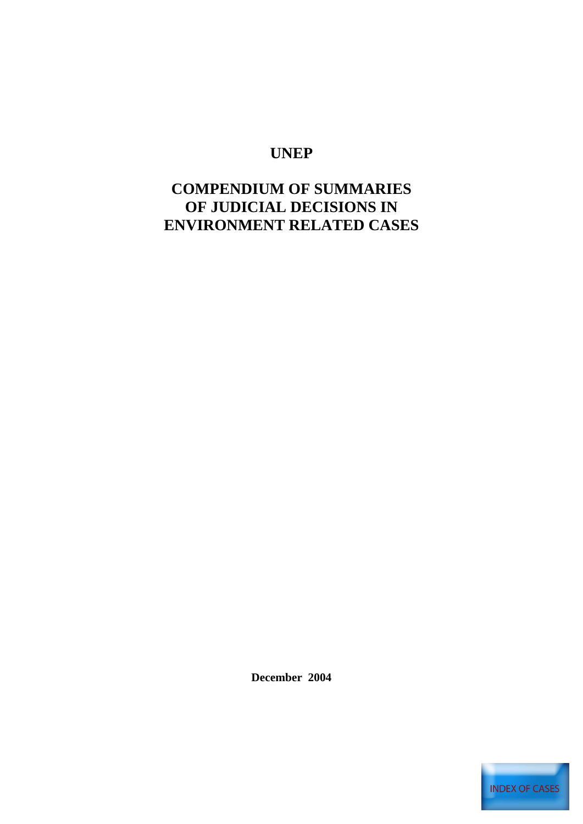# **UNEP**

# **COMPENDIUM OF SUMMARIES OF JUDICIAL DECISIONS IN ENVIRONMENT RELATED CASES**

**December 2004** 

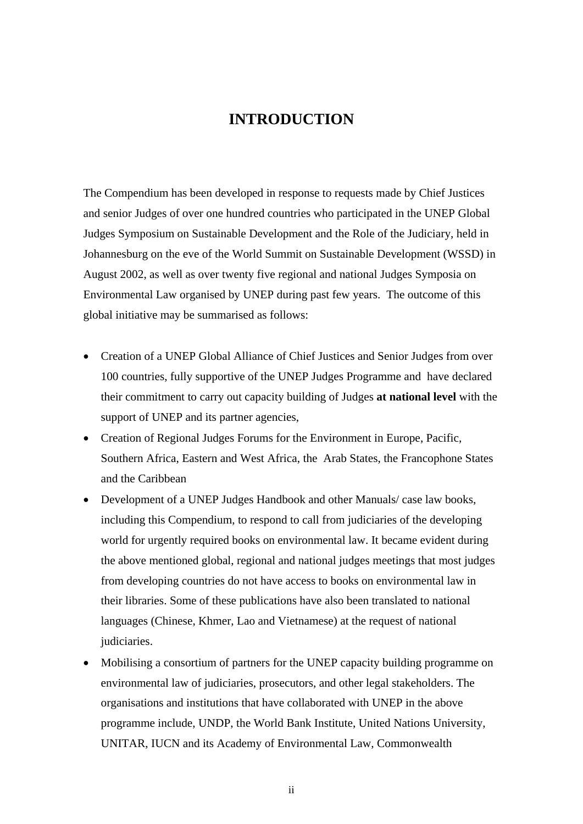# **INTRODUCTION**

The Compendium has been developed in response to requests made by Chief Justices and senior Judges of over one hundred countries who participated in the UNEP Global Judges Symposium on Sustainable Development and the Role of the Judiciary, held in Johannesburg on the eve of the World Summit on Sustainable Development (WSSD) in August 2002, as well as over twenty five regional and national Judges Symposia on Environmental Law organised by UNEP during past few years. The outcome of this global initiative may be summarised as follows:

- Creation of a UNEP Global Alliance of Chief Justices and Senior Judges from over 100 countries, fully supportive of the UNEP Judges Programme and have declared their commitment to carry out capacity building of Judges **at national level** with the support of UNEP and its partner agencies,
- Creation of Regional Judges Forums for the Environment in Europe, Pacific, Southern Africa, Eastern and West Africa, the Arab States, the Francophone States and the Caribbean
- Development of a UNEP Judges Handbook and other Manuals/case law books, including this Compendium, to respond to call from judiciaries of the developing world for urgently required books on environmental law. It became evident during the above mentioned global, regional and national judges meetings that most judges from developing countries do not have access to books on environmental law in their libraries. Some of these publications have also been translated to national languages (Chinese, Khmer, Lao and Vietnamese) at the request of national judiciaries.
- Mobilising a consortium of partners for the UNEP capacity building programme on environmental law of judiciaries, prosecutors, and other legal stakeholders. The organisations and institutions that have collaborated with UNEP in the above programme include, UNDP, the World Bank Institute, United Nations University, UNITAR, IUCN and its Academy of Environmental Law, Commonwealth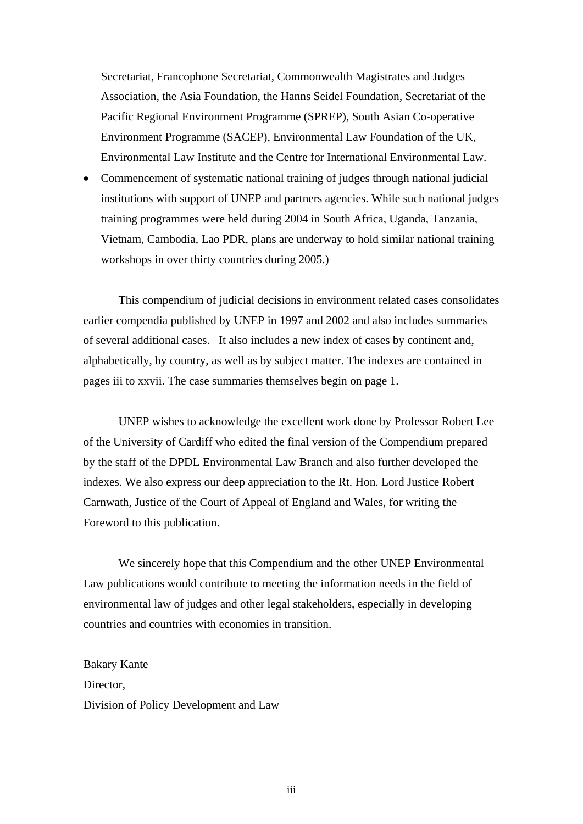Secretariat, Francophone Secretariat, Commonwealth Magistrates and Judges Association, the Asia Foundation, the Hanns Seidel Foundation, Secretariat of the Pacific Regional Environment Programme (SPREP), South Asian Co-operative Environment Programme (SACEP), Environmental Law Foundation of the UK, Environmental Law Institute and the Centre for International Environmental Law.

• Commencement of systematic national training of judges through national judicial institutions with support of UNEP and partners agencies. While such national judges training programmes were held during 2004 in South Africa, Uganda, Tanzania, Vietnam, Cambodia, Lao PDR, plans are underway to hold similar national training workshops in over thirty countries during 2005.)

 This compendium of judicial decisions in environment related cases consolidates earlier compendia published by UNEP in 1997 and 2002 and also includes summaries of several additional cases. It also includes a new index of cases by continent and, alphabetically, by country, as well as by subject matter. The indexes are contained in pages iii to xxvii. The case summaries themselves begin on page 1.

 UNEP wishes to acknowledge the excellent work done by Professor Robert Lee of the University of Cardiff who edited the final version of the Compendium prepared by the staff of the DPDL Environmental Law Branch and also further developed the indexes. We also express our deep appreciation to the Rt. Hon. Lord Justice Robert Carnwath, Justice of the Court of Appeal of England and Wales, for writing the Foreword to this publication.

 We sincerely hope that this Compendium and the other UNEP Environmental Law publications would contribute to meeting the information needs in the field of environmental law of judges and other legal stakeholders, especially in developing countries and countries with economies in transition.

Bakary Kante Director, Division of Policy Development and Law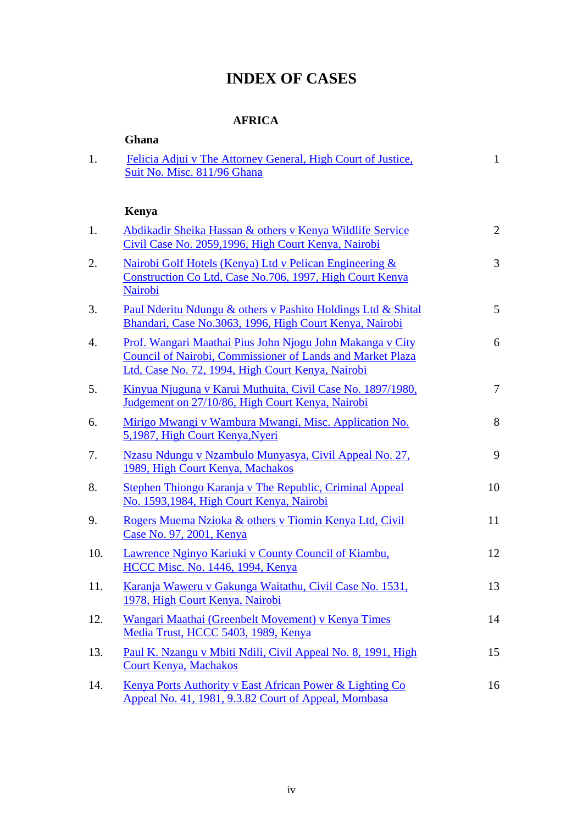# **INDEX OF CASES**

## **AFRICA**

<span id="page-3-1"></span><span id="page-3-0"></span>

|                  | Ghana                                                                                                                                                                        |                |
|------------------|------------------------------------------------------------------------------------------------------------------------------------------------------------------------------|----------------|
| 1.               | Felicia Adjui v The Attorney General, High Court of Justice,<br>Suit No. Misc. 811/96 Ghana                                                                                  | $\mathbf{1}$   |
|                  | Kenya                                                                                                                                                                        |                |
| 1.               | Abdikadir Sheika Hassan & others v Kenya Wildlife Service<br>Civil Case No. 2059,1996, High Court Kenya, Nairobi                                                             | $\overline{2}$ |
| 2.               | Nairobi Golf Hotels (Kenya) Ltd v Pelican Engineering &<br>Construction Co Ltd, Case No.706, 1997, High Court Kenya<br>Nairobi                                               | 3              |
| 3.               | Paul Nderitu Ndungu & others v Pashito Holdings Ltd & Shital<br>Bhandari, Case No.3063, 1996, High Court Kenya, Nairobi                                                      | 5              |
| $\overline{4}$ . | Prof. Wangari Maathai Pius John Njogu John Makanga v City<br>Council of Nairobi, Commissioner of Lands and Market Plaza<br>Ltd, Case No. 72, 1994, High Court Kenya, Nairobi | 6              |
| 5.               | Kinyua Njuguna v Karui Muthuita, Civil Case No. 1897/1980,<br>Judgement on 27/10/86, High Court Kenya, Nairobi                                                               | $\tau$         |
| 6.               | Mirigo Mwangi v Wambura Mwangi, Misc. Application No.<br>5,1987, High Court Kenya, Nyeri                                                                                     | 8              |
| 7.               | Nzasu Ndungu v Nzambulo Munyasya, Civil Appeal No. 27,<br>1989, High Court Kenya, Machakos                                                                                   | 9              |
| 8.               | Stephen Thiongo Karanja v The Republic, Criminal Appeal<br>No. 1593,1984, High Court Kenya, Nairobi                                                                          | 10             |
| 9.               | Rogers Muema Nzioka & others v Tiomin Kenya Ltd, Civil<br>Case No. 97, 2001, Kenya                                                                                           | 11             |
| 10.              | Lawrence Nginyo Kariuki v County Council of Kiambu,<br>HCCC Misc. No. 1446, 1994, Kenya                                                                                      | 12             |
| 11.              | Karanja Waweru v Gakunga Waitathu, Civil Case No. 1531,<br>1978, High Court Kenya, Nairobi                                                                                   | 13             |
| 12.              | Wangari Maathai (Greenbelt Movement) v Kenya Times<br>Media Trust, HCCC 5403, 1989, Kenya                                                                                    | 14             |
| 13.              | Paul K. Nzangu v Mbiti Ndili, Civil Appeal No. 8, 1991, High<br><b>Court Kenya, Machakos</b>                                                                                 | 15             |
| 14.              | Kenya Ports Authority v East African Power & Lighting Co<br>Appeal No. 41, 1981, 9.3.82 Court of Appeal, Mombasa                                                             | 16             |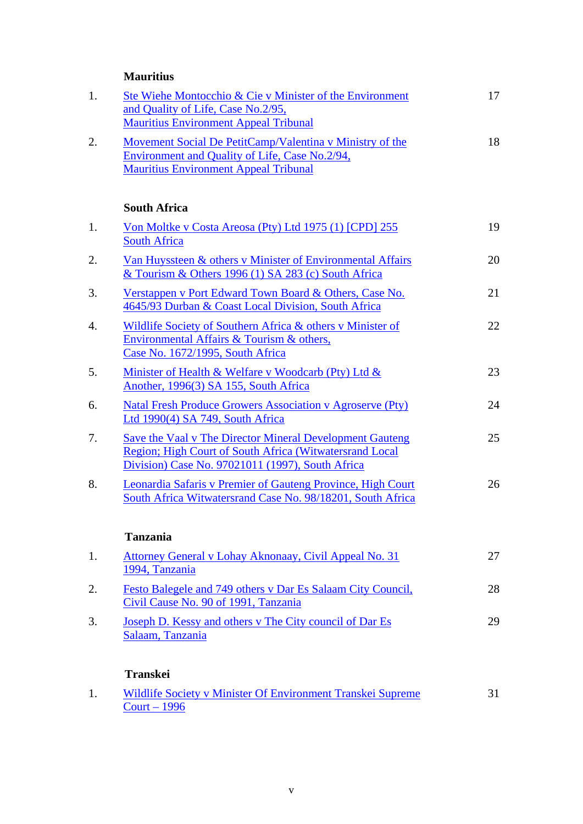# **Mauritius**

| 1. | Ste Wiehe Montocchio & Cie v Minister of the Environment<br>and Quality of Life, Case No.2/95,<br><b>Mauritius Environment Appeal Tribunal</b>                          | 17 |
|----|-------------------------------------------------------------------------------------------------------------------------------------------------------------------------|----|
| 2. | Movement Social De PetitCamp/Valentina v Ministry of the<br>Environment and Quality of Life, Case No.2/94,<br><b>Mauritius Environment Appeal Tribunal</b>              | 18 |
|    | <b>South Africa</b>                                                                                                                                                     |    |
| 1. | Von Moltke v Costa Areosa (Pty) Ltd 1975 (1) [CPD] 255<br><b>South Africa</b>                                                                                           | 19 |
| 2. | Van Huyssteen & others v Minister of Environmental Affairs<br>& Tourism & Others 1996 (1) SA 283 (c) South Africa                                                       | 20 |
| 3. | Verstappen v Port Edward Town Board & Others, Case No.<br>4645/93 Durban & Coast Local Division, South Africa                                                           | 21 |
| 4. | Wildlife Society of Southern Africa & others v Minister of<br>Environmental Affairs & Tourism & others,<br>Case No. 1672/1995, South Africa                             | 22 |
| 5. | Minister of Health & Welfare v Woodcarb (Pty) Ltd &<br>Another, 1996(3) SA 155, South Africa                                                                            | 23 |
| 6. | <b>Natal Fresh Produce Growers Association v Agroserve (Pty)</b><br>Ltd 1990(4) SA 749, South Africa                                                                    | 24 |
| 7. | Save the Vaal v The Director Mineral Development Gauteng<br>Region; High Court of South Africa (Witwatersrand Local<br>Division) Case No. 97021011 (1997), South Africa | 25 |
| 8. | Leonardia Safaris v Premier of Gauteng Province, High Court<br>South Africa Witwatersrand Case No. 98/18201, South Africa                                               | 26 |
|    | <b>Tanzania</b>                                                                                                                                                         |    |
| 1. | Attorney General v Lohay Aknonaay, Civil Appeal No. 31<br>1994, Tanzania                                                                                                | 27 |
| 2. | Festo Balegele and 749 others v Dar Es Salaam City Council,<br>Civil Cause No. 90 of 1991, Tanzania                                                                     | 28 |
| 3. | Joseph D. Kessy and others v The City council of Dar Es<br>Salaam, Tanzania                                                                                             | 29 |
|    | <b>Transkei</b>                                                                                                                                                         |    |
| 1. | Wildlife Society v Minister Of Environment Transkei Supreme<br>$Court - 1996$                                                                                           | 31 |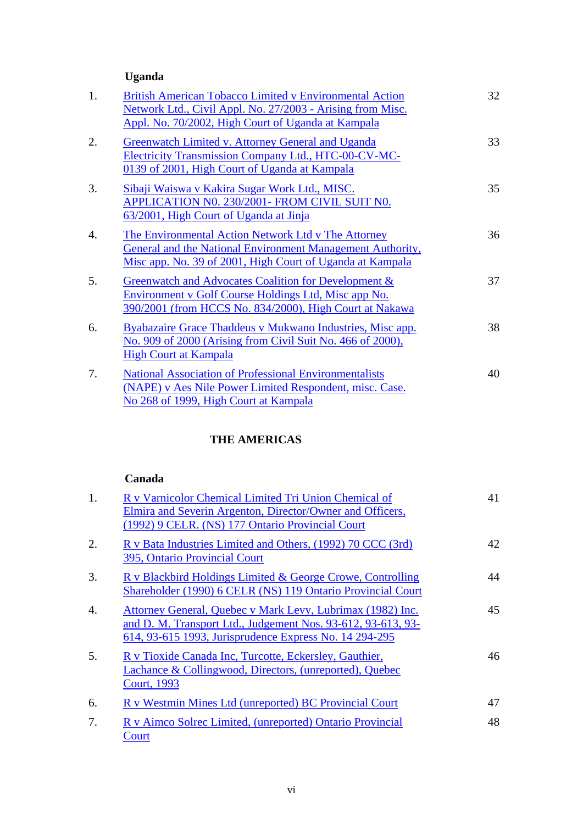# **Uganda**

| 1. | <b>British American Tobacco Limited v Environmental Action</b><br>Network Ltd., Civil Appl. No. 27/2003 - Arising from Misc.<br>Appl. No. 70/2002, High Court of Uganda at Kampala | 32 |
|----|------------------------------------------------------------------------------------------------------------------------------------------------------------------------------------|----|
| 2. | Greenwatch Limited v. Attorney General and Uganda<br><b>Electricity Transmission Company Ltd., HTC-00-CV-MC-</b><br>0139 of 2001, High Court of Uganda at Kampala                  | 33 |
| 3. | Sibaji Waiswa v Kakira Sugar Work Ltd., MISC.<br>APPLICATION N0. 230/2001- FROM CIVIL SUIT N0.<br>63/2001, High Court of Uganda at Jinja                                           | 35 |
| 4. | The Environmental Action Network Ltd v The Attorney<br>General and the National Environment Management Authority,<br>Misc app. No. 39 of 2001, High Court of Uganda at Kampala     | 36 |
| 5. | Greenwatch and Advocates Coalition for Development &<br>Environment v Golf Course Holdings Ltd, Misc app No.<br>390/2001 (from HCCS No. 834/2000), High Court at Nakawa            | 37 |
| 6. | Byabazaire Grace Thaddeus v Mukwano Industries, Misc app.<br>No. 909 of 2000 (Arising from Civil Suit No. 466 of 2000),<br><b>High Court at Kampala</b>                            | 38 |
| 7. | <b>National Association of Professional Environmentalists</b><br>(NAPE) v Aes Nile Power Limited Respondent, misc. Case.<br>No 268 of 1999, High Court at Kampala                  | 40 |

# **THE AMERICAS**

# **Canada**

| 1. | R v Varnicolor Chemical Limited Tri Union Chemical of<br>Elmira and Severin Argenton, Director/Owner and Officers,<br>(1992) 9 CELR. (NS) 177 Ontario Provincial Court               | 41 |
|----|--------------------------------------------------------------------------------------------------------------------------------------------------------------------------------------|----|
| 2. | R v Bata Industries Limited and Others, (1992) 70 CCC (3rd)<br>395, Ontario Provincial Court                                                                                         | 42 |
| 3. | R v Blackbird Holdings Limited & George Crowe, Controlling<br>Shareholder (1990) 6 CELR (NS) 119 Ontario Provincial Court                                                            | 44 |
| 4. | Attorney General, Quebec v Mark Levy, Lubrimax (1982) Inc.<br>and D. M. Transport Ltd., Judgement Nos. 93-612, 93-613, 93-<br>614, 93-615 1993, Jurisprudence Express No. 14 294-295 | 45 |
| 5. | R v Tioxide Canada Inc, Turcotte, Eckersley, Gauthier,<br>Lachance & Collingwood, Directors, (unreported), Quebec<br><b>Court, 1993</b>                                              | 46 |
| 6. | R v Westmin Mines Ltd (unreported) BC Provincial Court                                                                                                                               | 47 |
| 7. | R v Aimco Solrec Limited, (unreported) Ontario Provincial<br>Court                                                                                                                   | 48 |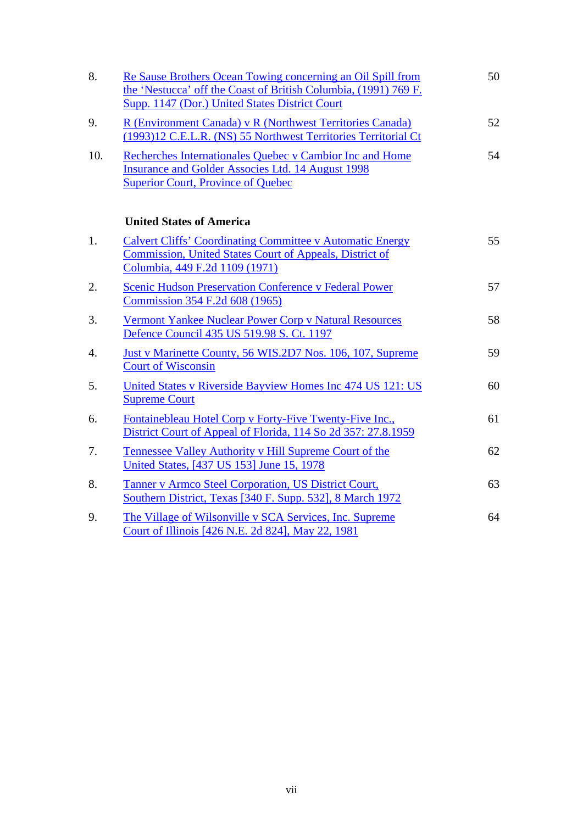| 8.  | Re Sause Brothers Ocean Towing concerning an Oil Spill from<br>the 'Nestucca' off the Coast of British Columbia, (1991) 769 F.<br>Supp. 1147 (Dor.) United States District Court | 50 |
|-----|----------------------------------------------------------------------------------------------------------------------------------------------------------------------------------|----|
| 9.  | R (Environment Canada) v R (Northwest Territories Canada)<br>(1993)12 C.E.L.R. (NS) 55 Northwest Territories Territorial Ct                                                      | 52 |
| 10. | Recherches Internationales Quebec v Cambior Inc and Home<br><b>Insurance and Golder Associes Ltd. 14 August 1998</b><br><b>Superior Court, Province of Quebec</b>                | 54 |
|     | <b>United States of America</b>                                                                                                                                                  |    |
| 1.  | <b>Calvert Cliffs' Coordinating Committee v Automatic Energy</b><br>Commission, United States Court of Appeals, District of<br>Columbia, 449 F.2d 1109 (1971)                    | 55 |
| 2.  | Scenic Hudson Preservation Conference v Federal Power<br>Commission 354 F.2d 608 (1965)                                                                                          | 57 |
| 3.  | Vermont Yankee Nuclear Power Corp v Natural Resources<br>Defence Council 435 US 519.98 S. Ct. 1197                                                                               | 58 |
| 4.  | Just v Marinette County, 56 WIS.2D7 Nos. 106, 107, Supreme<br><b>Court of Wisconsin</b>                                                                                          | 59 |
| 5.  | United States v Riverside Bayview Homes Inc 474 US 121: US<br><b>Supreme Court</b>                                                                                               | 60 |
| 6.  | Fontainebleau Hotel Corp v Forty-Five Twenty-Five Inc.,<br>District Court of Appeal of Florida, 114 So 2d 357: 27.8.1959                                                         | 61 |
| 7.  | Tennessee Valley Authority v Hill Supreme Court of the<br>United States, [437 US 153] June 15, 1978                                                                              | 62 |
| 8.  | Tanner v Armco Steel Corporation, US District Court,<br>Southern District, Texas [340 F. Supp. 532], 8 March 1972                                                                | 63 |
| 9.  | The Village of Wilsonville v SCA Services, Inc. Supreme<br>Court of Illinois [426 N.E. 2d 824], May 22, 1981                                                                     | 64 |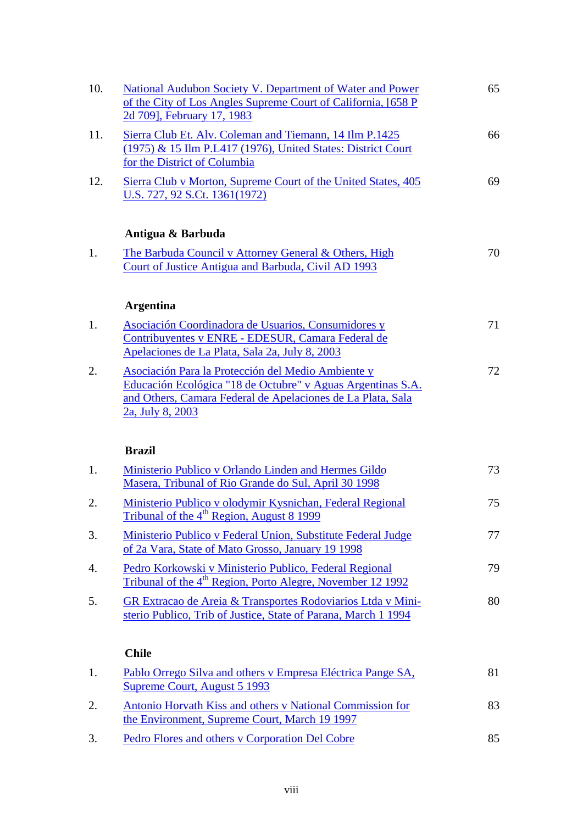| 10. | National Audubon Society V. Department of Water and Power<br>of the City of Los Angles Supreme Court of California, [658 P<br>2d 709], February 17, 1983                                             | 65 |
|-----|------------------------------------------------------------------------------------------------------------------------------------------------------------------------------------------------------|----|
| 11. | Sierra Club Et. Alv. Coleman and Tiemann, 14 Ilm P.1425<br>(1975) & 15 Ilm P.L417 (1976), United States: District Court<br>for the District of Columbia                                              | 66 |
| 12. | Sierra Club v Morton, Supreme Court of the United States, 405<br>U.S. 727, 92 S.Ct. 1361(1972)                                                                                                       | 69 |
|     | Antigua & Barbuda                                                                                                                                                                                    |    |
| 1.  | The Barbuda Council v Attorney General & Others, High<br>Court of Justice Antigua and Barbuda, Civil AD 1993                                                                                         | 70 |
|     | <b>Argentina</b>                                                                                                                                                                                     |    |
| 1.  | Asociación Coordinadora de Usuarios, Consumidores y<br>Contribuyentes v ENRE - EDESUR, Camara Federal de<br>Apelaciones de La Plata, Sala 2a, July 8, 2003                                           | 71 |
| 2.  | Asociación Para la Protección del Medio Ambiente y<br>Educación Ecológica "18 de Octubre" y Aguas Argentinas S.A.<br>and Others, Camara Federal de Apelaciones de La Plata, Sala<br>2a, July 8, 2003 | 72 |
|     | <b>Brazil</b>                                                                                                                                                                                        |    |
| 1.  | Ministerio Publico v Orlando Linden and Hermes Gildo<br>Masera, Tribunal of Rio Grande do Sul, April 30 1998                                                                                         | 73 |
| 2.  | Ministerio Publico v olodymir Kysnichan, Federal Regional<br>Tribunal of the 4 <sup>th</sup> Region, August 8 1999                                                                                   | 75 |
| 3.  | Ministerio Publico y Federal Union, Substitute Federal Judge<br>of 2a Vara, State of Mato Grosso, January 19 1998                                                                                    | 77 |
| 4.  | Pedro Korkowski v Ministerio Publico, Federal Regional<br>Tribunal of the 4 <sup>th</sup> Region, Porto Alegre, November 12 1992                                                                     | 79 |
| 5.  | GR Extracao de Areia & Transportes Rodoviarios Ltda v Mini-<br>sterio Publico, Trib of Justice, State of Parana, March 1 1994                                                                        | 80 |
|     | <b>Chile</b>                                                                                                                                                                                         |    |
| 1.  | Pablo Orrego Silva and others v Empresa Eléctrica Pange SA,<br>Supreme Court, August 5 1993                                                                                                          | 81 |
| 2.  | <b>Antonio Horvath Kiss and others v National Commission for</b><br>the Environment, Supreme Court, March 19 1997                                                                                    | 83 |
| 3.  | <b>Pedro Flores and others v Corporation Del Cobre</b>                                                                                                                                               | 85 |

viii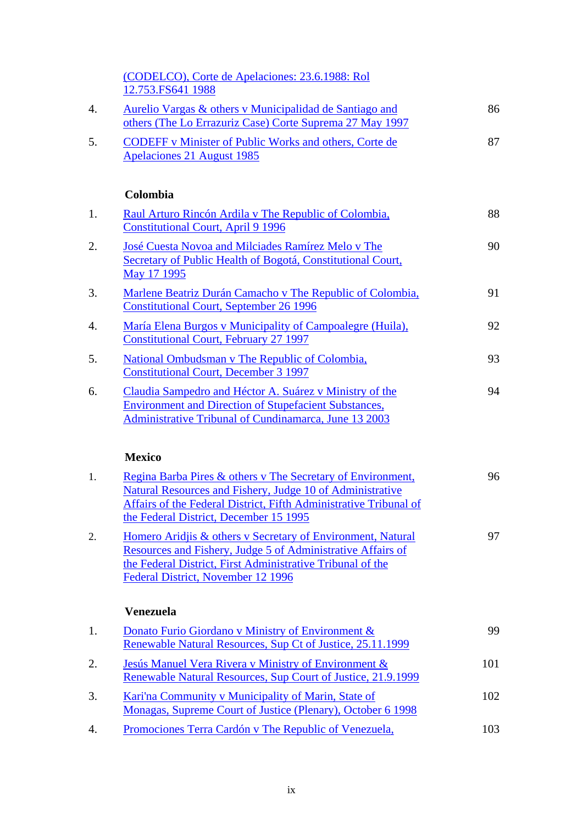|    | (CODELCO), Corte de Apelaciones: 23.6.1988: Rol<br>12.753.FS641 1988                                                                                                                                                                    |     |
|----|-----------------------------------------------------------------------------------------------------------------------------------------------------------------------------------------------------------------------------------------|-----|
| 4. | Aurelio Vargas & others v Municipalidad de Santiago and<br>others (The Lo Errazuriz Case) Corte Suprema 27 May 1997                                                                                                                     | 86  |
| 5. | <b>CODEFF</b> v Minister of Public Works and others, Corte de<br><b>Apelaciones 21 August 1985</b>                                                                                                                                      | 87  |
|    | Colombia                                                                                                                                                                                                                                |     |
| 1. | Raul Arturo Rincón Ardila v The Republic of Colombia,<br><b>Constitutional Court, April 9 1996</b>                                                                                                                                      | 88  |
| 2. | José Cuesta Novoa and Milciades Ramírez Melo v The<br>Secretary of Public Health of Bogotá, Constitutional Court,<br>May 17 1995                                                                                                        | 90  |
| 3. | Marlene Beatriz Durán Camacho v The Republic of Colombia,<br><b>Constitutional Court, September 26 1996</b>                                                                                                                             | 91  |
| 4. | María Elena Burgos y Municipality of Campoalegre (Huila),<br><b>Constitutional Court, February 27 1997</b>                                                                                                                              | 92  |
| 5. | National Ombudsman v The Republic of Colombia,<br><b>Constitutional Court, December 3 1997</b>                                                                                                                                          | 93  |
| 6. | Claudia Sampedro and Héctor A. Suárez v Ministry of the<br><b>Environment and Direction of Stupefacient Substances,</b><br><b>Administrative Tribunal of Cundinamarca, June 13 2003</b>                                                 | 94  |
|    | <b>Mexico</b>                                                                                                                                                                                                                           |     |
| 1. | Regina Barba Pires & others v The Secretary of Environment,<br>Natural Resources and Fishery, Judge 10 of Administrative<br>Affairs of the Federal District, Fifth Administrative Tribunal of<br>the Federal District, December 15 1995 | 96  |
| 2. | Homero Aridjis & others v Secretary of Environment, Natural<br>Resources and Fishery, Judge 5 of Administrative Affairs of<br>the Federal District, First Administrative Tribunal of the<br>Federal District, November 12 1996          | 97  |
|    | <b>Venezuela</b>                                                                                                                                                                                                                        |     |
| 1. | Donato Furio Giordano v Ministry of Environment &<br>Renewable Natural Resources, Sup Ct of Justice, 25.11.1999                                                                                                                         | 99  |
| 2. | Jesús Manuel Vera Rivera v Ministry of Environment &<br>Renewable Natural Resources, Sup Court of Justice, 21.9.1999                                                                                                                    | 101 |
| 3. | Kari'na Community v Municipality of Marin, State of<br>Monagas, Supreme Court of Justice (Plenary), October 6 1998                                                                                                                      | 102 |
| 4. | Promociones Terra Cardón v The Republic of Venezuela,                                                                                                                                                                                   | 103 |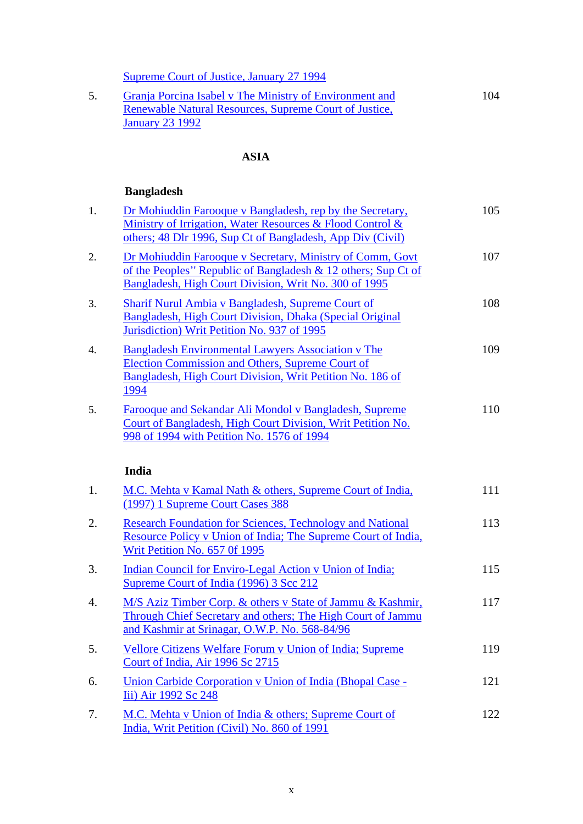Supreme Court of Justice, January 27 1994

5. [Granja Porcina Isabel v The Ministry of Environment and](#page-131-0)  [Renewable Natural Resources, Supreme Court of Justice,](#page-131-0)  [January 23 1992](#page-131-0) 104

# **ASIA**

# **Bangladesh**

| 1. | Dr Mohiuddin Farooque v Bangladesh, rep by the Secretary,<br>Ministry of Irrigation, Water Resources & Flood Control &<br>others; 48 Dlr 1996, Sup Ct of Bangladesh, App Div (Civil)      | 105 |
|----|-------------------------------------------------------------------------------------------------------------------------------------------------------------------------------------------|-----|
| 2. | Dr Mohiuddin Farooque v Secretary, Ministry of Comm, Govt<br>of the Peoples'' Republic of Bangladesh & 12 others; Sup Ct of<br>Bangladesh, High Court Division, Writ No. 300 of 1995      | 107 |
| 3. | Sharif Nurul Ambia v Bangladesh, Supreme Court of<br>Bangladesh, High Court Division, Dhaka (Special Original<br>Jurisdiction) Writ Petition No. 937 of 1995                              | 108 |
| 4. | <b>Bangladesh Environmental Lawyers Association v The</b><br><b>Election Commission and Others, Supreme Court of</b><br>Bangladesh, High Court Division, Writ Petition No. 186 of<br>1994 | 109 |
| 5. | Farooque and Sekandar Ali Mondol v Bangladesh, Supreme<br>Court of Bangladesh, High Court Division, Writ Petition No.<br>998 of 1994 with Petition No. 1576 of 1994                       | 110 |
|    | India                                                                                                                                                                                     |     |
| 1. | M.C. Mehta v Kamal Nath & others, Supreme Court of India,<br>(1997) 1 Supreme Court Cases 388                                                                                             | 111 |
| 2. | <b>Research Foundation for Sciences, Technology and National</b><br>Resource Policy v Union of India; The Supreme Court of India,<br>Writ Petition No. 657 0f 1995                        | 113 |
| 3. | Indian Council for Enviro-Legal Action v Union of India;<br>Supreme Court of India (1996) 3 Scc 212                                                                                       | 115 |
| 4. | M/S Aziz Timber Corp. & others v State of Jammu & Kashmir,<br>Through Chief Secretary and others; The High Court of Jammu<br>and Kashmir at Srinagar, O.W.P. No. 568-84/96                | 117 |
| 5. | Vellore Citizens Welfare Forum v Union of India; Supreme<br>Court of India, Air 1996 Sc 2715                                                                                              | 119 |
| 6. | Union Carbide Corporation v Union of India (Bhopal Case -<br>Iii) Air 1992 Sc 248                                                                                                         | 121 |
| 7. | M.C. Mehta v Union of India & others; Supreme Court of<br>India, Writ Petition (Civil) No. 860 of 1991                                                                                    | 122 |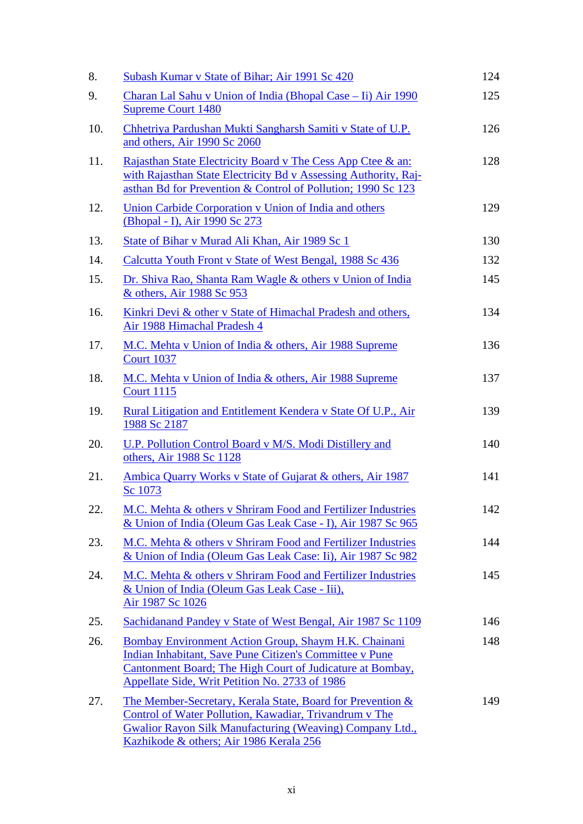| 8.  | Subash Kumar v State of Bihar; Air 1991 Sc 420                                                                                                                                                                                 | 124 |
|-----|--------------------------------------------------------------------------------------------------------------------------------------------------------------------------------------------------------------------------------|-----|
| 9.  | Charan Lal Sahu v Union of India (Bhopal Case – Ii) Air 1990<br><b>Supreme Court 1480</b>                                                                                                                                      | 125 |
| 10. | Chhetriya Pardushan Mukti Sangharsh Samiti v State of U.P.<br>and others, Air 1990 Sc 2060                                                                                                                                     | 126 |
| 11. | Rajasthan State Electricity Board v The Cess App Ctee & an:<br>with Rajasthan State Electricity Bd v Assessing Authority, Raj-<br>asthan Bd for Prevention & Control of Pollution; 1990 Sc 123                                 | 128 |
| 12. | Union Carbide Corporation v Union of India and others<br>(Bhopal - I), Air 1990 Sc 273                                                                                                                                         | 129 |
| 13. | State of Bihar v Murad Ali Khan, Air 1989 Sc 1                                                                                                                                                                                 | 130 |
| 14. | Calcutta Youth Front v State of West Bengal, 1988 Sc 436                                                                                                                                                                       | 132 |
| 15. | Dr. Shiva Rao, Shanta Ram Wagle & others v Union of India<br>& others, Air 1988 Sc 953                                                                                                                                         | 145 |
| 16. | Kinkri Devi & other v State of Himachal Pradesh and others,<br>Air 1988 Himachal Pradesh 4                                                                                                                                     | 134 |
| 17. | M.C. Mehta v Union of India & others, Air 1988 Supreme<br><b>Court 1037</b>                                                                                                                                                    | 136 |
| 18. | M.C. Mehta v Union of India & others, Air 1988 Supreme<br><b>Court 1115</b>                                                                                                                                                    | 137 |
| 19. | Rural Litigation and Entitlement Kendera v State Of U.P., Air<br>1988 Sc 2187                                                                                                                                                  | 139 |
| 20. | U.P. Pollution Control Board v M/S. Modi Distillery and<br>others, Air 1988 Sc 1128                                                                                                                                            | 140 |
| 21. | Ambica Quarry Works v State of Gujarat & others, Air 1987<br>Sc 1073                                                                                                                                                           | 141 |
| 22. | M.C. Mehta & others v Shriram Food and Fertilizer Industries<br>& Union of India (Oleum Gas Leak Case - I), Air 1987 Sc 965                                                                                                    | 142 |
| 23. | M.C. Mehta & others v Shriram Food and Fertilizer Industries<br>& Union of India (Oleum Gas Leak Case: Ii), Air 1987 Sc 982                                                                                                    | 144 |
| 24. | M.C. Mehta & others v Shriram Food and Fertilizer Industries<br>& Union of India (Oleum Gas Leak Case - Iii),<br>Air 1987 Sc 1026                                                                                              | 145 |
| 25. | Sachidanand Pandey v State of West Bengal, Air 1987 Sc 1109                                                                                                                                                                    | 146 |
| 26. | Bombay Environment Action Group, Shaym H.K. Chainani<br>Indian Inhabitant, Save Pune Citizen's Committee v Pune<br>Cantonment Board; The High Court of Judicature at Bombay,<br>Appellate Side, Writ Petition No. 2733 of 1986 | 148 |
| 27. | The Member-Secretary, Kerala State, Board for Prevention &<br>Control of Water Pollution, Kawadiar, Trivandrum v The<br>Gwalior Rayon Silk Manufacturing (Weaving) Company Ltd.,<br>Kazhikode & others; Air 1986 Kerala 256    | 149 |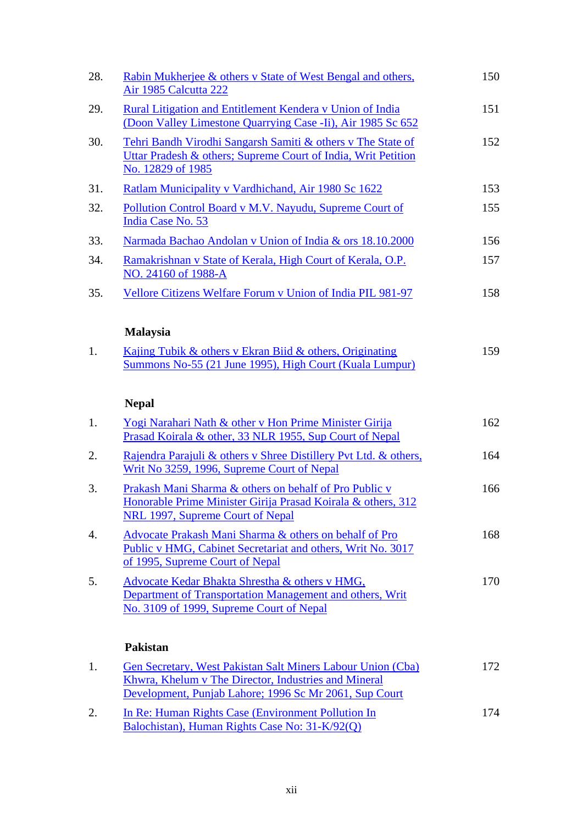| 28. | Rabin Mukherjee & others v State of West Bengal and others,<br>Air 1985 Calcutta 222                                                                                          | 150 |
|-----|-------------------------------------------------------------------------------------------------------------------------------------------------------------------------------|-----|
| 29. | Rural Litigation and Entitlement Kendera v Union of India<br>(Doon Valley Limestone Quarrying Case - Ii), Air 1985 Sc 652                                                     | 151 |
| 30. | Tehri Bandh Virodhi Sangarsh Samiti & others v The State of<br>Uttar Pradesh & others; Supreme Court of India, Writ Petition<br>No. 12829 of 1985                             | 152 |
| 31. | Ratlam Municipality v Vardhichand, Air 1980 Sc 1622                                                                                                                           | 153 |
| 32. | Pollution Control Board v M.V. Nayudu, Supreme Court of<br>India Case No. 53                                                                                                  | 155 |
| 33. | Narmada Bachao Andolan v Union of India & ors 18.10.2000                                                                                                                      | 156 |
| 34. | Ramakrishnan v State of Kerala, High Court of Kerala, O.P.<br>NO. 24160 of 1988-A                                                                                             | 157 |
| 35. | Vellore Citizens Welfare Forum v Union of India PIL 981-97                                                                                                                    | 158 |
|     | <b>Malaysia</b>                                                                                                                                                               |     |
| 1.  | Kajing Tubik & others v Ekran Biid & others, Originating<br>Summons No-55 (21 June 1995), High Court (Kuala Lumpur)                                                           | 159 |
|     | <b>Nepal</b>                                                                                                                                                                  |     |
| 1.  | Yogi Narahari Nath & other v Hon Prime Minister Girija<br>Prasad Koirala & other, 33 NLR 1955, Sup Court of Nepal                                                             | 162 |
| 2.  | Rajendra Parajuli & others v Shree Distillery Pvt Ltd. & others,<br>Writ No 3259, 1996, Supreme Court of Nepal                                                                | 164 |
| 3.  | Prakash Mani Sharma & others on behalf of Pro Public v<br>Honorable Prime Minister Girija Prasad Koirala & others, 312<br>NRL 1997, Supreme Court of Nepal                    | 166 |
| 4.  | Advocate Prakash Mani Sharma & others on behalf of Pro<br>Public v HMG, Cabinet Secretariat and others, Writ No. 3017<br>of 1995, Supreme Court of Nepal                      | 168 |
| 5.  | Advocate Kedar Bhakta Shrestha & others v HMG,<br>Department of Transportation Management and others, Writ<br>No. 3109 of 1999, Supreme Court of Nepal                        | 170 |
|     | <b>Pakistan</b>                                                                                                                                                               |     |
| 1.  | Gen Secretary, West Pakistan Salt Miners Labour Union (Cba)<br>Khwra, Khelum v The Director, Industries and Mineral<br>Development, Punjab Lahore; 1996 Sc Mr 2061, Sup Court | 172 |
| 2.  | In Re: Human Rights Case (Environment Pollution In<br>Balochistan), Human Rights Case No: 31-K/92(Q)                                                                          | 174 |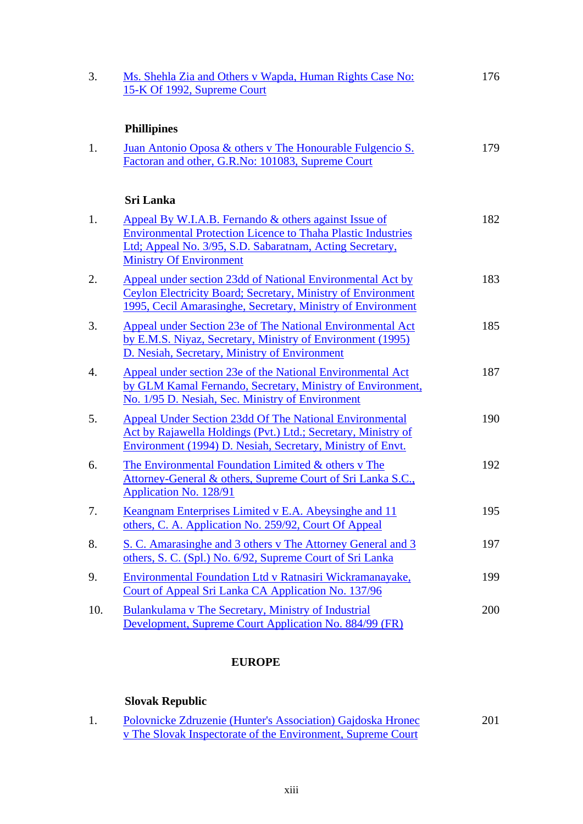| Ms. Shehla Zia and Others v Wapda, Human Rights Case No:<br>15-K Of 1992, Supreme Court                                                                                                                                    | 176 |
|----------------------------------------------------------------------------------------------------------------------------------------------------------------------------------------------------------------------------|-----|
| <b>Phillipines</b>                                                                                                                                                                                                         |     |
| Juan Antonio Oposa & others v The Honourable Fulgencio S.<br>Factoran and other, G.R.No: 101083, Supreme Court                                                                                                             | 179 |
| <b>Sri Lanka</b>                                                                                                                                                                                                           |     |
| Appeal By W.I.A.B. Fernando & others against Issue of<br><b>Environmental Protection Licence to Thaha Plastic Industries</b><br>Ltd; Appeal No. 3/95, S.D. Sabaratnam, Acting Secretary,<br><b>Ministry Of Environment</b> | 182 |
| Appeal under section 23dd of National Environmental Act by<br><b>Ceylon Electricity Board; Secretary, Ministry of Environment</b><br>1995, Cecil Amarasinghe, Secretary, Ministry of Environment                           | 183 |
| <b>Appeal under Section 23e of The National Environmental Act</b><br>by E.M.S. Niyaz, Secretary, Ministry of Environment (1995)<br>D. Nesiah, Secretary, Ministry of Environment                                           | 185 |
| Appeal under section 23e of the National Environmental Act<br>by GLM Kamal Fernando, Secretary, Ministry of Environment,<br>No. 1/95 D. Nesiah, Sec. Ministry of Environment                                               | 187 |
| <b>Appeal Under Section 23dd Of The National Environmental</b><br>Act by Rajawella Holdings (Pvt.) Ltd.; Secretary, Ministry of<br>Environment (1994) D. Nesiah, Secretary, Ministry of Envt.                              | 190 |
| The Environmental Foundation Limited & others v The<br>Attorney-General & others, Supreme Court of Sri Lanka S.C.,<br><b>Application No. 128/91</b>                                                                        | 192 |
| Keangnam Enterprises Limited v E.A. Abeysinghe and 11<br>others, C. A. Application No. 259/92, Court Of Appeal                                                                                                             | 195 |
| S. C. Amarasinghe and 3 others v The Attorney General and 3<br>others, S. C. (Spl.) No. 6/92, Supreme Court of Sri Lanka                                                                                                   | 197 |
| Environmental Foundation Ltd v Ratnasiri Wickramanayake,<br>Court of Appeal Sri Lanka CA Application No. 137/96                                                                                                            | 199 |
| Bulankulama v The Secretary, Ministry of Industrial<br>Development, Supreme Court Application No. 884/99 (FR)                                                                                                              | 200 |

# **EUROPE**

# **Slovak Republic**

| <b>Polovnicke Zdruzenie (Hunter's Association) Gajdoska Hronec</b> | 201 |
|--------------------------------------------------------------------|-----|
| v The Slovak Inspectorate of the Environment, Supreme Court        |     |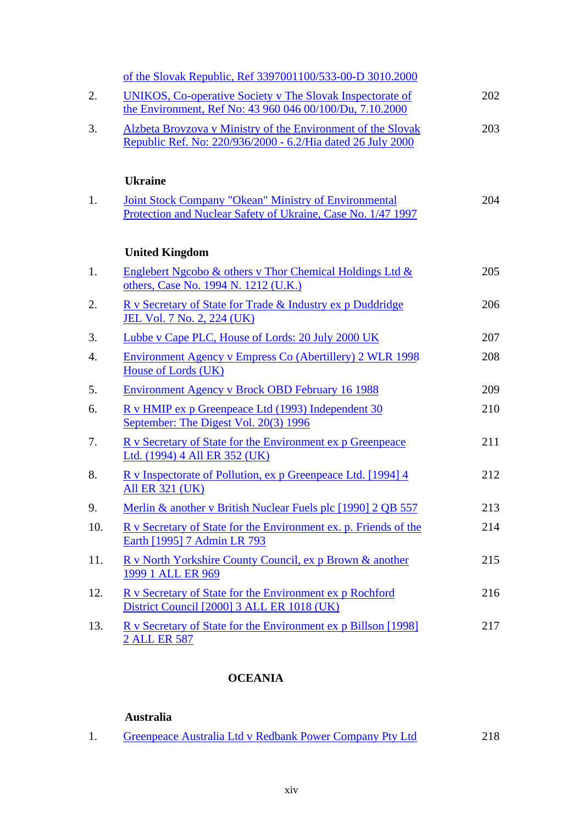|     | of the Slovak Republic, Ref 3397001100/533-00-D 3010.2000                                                                   |     |
|-----|-----------------------------------------------------------------------------------------------------------------------------|-----|
| 2.  | UNIKOS, Co-operative Society v The Slovak Inspectorate of<br>the Environment, Ref No: 43 960 046 00/100/Du, 7.10.2000       | 202 |
| 3.  | Alzbeta Brovzova v Ministry of the Environment of the Slovak<br>Republic Ref. No: 220/936/2000 - 6.2/Hia dated 26 July 2000 | 203 |
|     | <b>Ukraine</b>                                                                                                              |     |
| 1.  | Joint Stock Company "Okean" Ministry of Environmental<br>Protection and Nuclear Safety of Ukraine, Case No. 1/47 1997       | 204 |
|     | <b>United Kingdom</b>                                                                                                       |     |
| 1.  | Englebert Ngcobo & others v Thor Chemical Holdings Ltd $\&$<br>others, Case No. 1994 N. 1212 (U.K.)                         | 205 |
| 2.  | R v Secretary of State for Trade & Industry ex p Duddridge<br>JEL Vol. 7 No. 2, 224 (UK)                                    | 206 |
| 3.  | Lubbe v Cape PLC, House of Lords: 20 July 2000 UK                                                                           | 207 |
| 4.  | Environment Agency v Empress Co (Abertillery) 2 WLR 1998<br>House of Lords (UK)                                             | 208 |
| 5.  | <b>Environment Agency v Brock OBD February 16 1988</b>                                                                      | 209 |
| 6.  | R v HMIP ex p Greenpeace Ltd (1993) Independent 30<br>September: The Digest Vol. 20(3) 1996                                 | 210 |
| 7.  | R v Secretary of State for the Environment ex p Greenpeace<br>Ltd. (1994) 4 All ER 352 (UK)                                 | 211 |
| 8.  | R v Inspectorate of Pollution, ex p Greenpeace Ltd. [1994] 4<br><b>All ER 321 (UK)</b>                                      | 212 |
| 9.  | Merlin & another v British Nuclear Fuels plc [1990] 2 QB 557                                                                | 213 |
| 10. | R v Secretary of State for the Environment ex. p. Friends of the<br>Earth [1995] 7 Admin LR 793                             | 214 |
| 11. | R v North Yorkshire County Council, ex p Brown & another<br>1999 1 ALL ER 969                                               | 215 |
| 12. | R v Secretary of State for the Environment ex p Rochford<br>District Council [2000] 3 ALL ER 1018 (UK)                      | 216 |
| 13. | R v Secretary of State for the Environment ex p Billson [1998]<br>2 ALL ER 587                                              | 217 |

# **OCEANIA**

# **[Australia](#page-228-1)**

|  |  | Greenpeace Australia Ltd v Redbank Power Company Pty Ltd | 218 |
|--|--|----------------------------------------------------------|-----|
|--|--|----------------------------------------------------------|-----|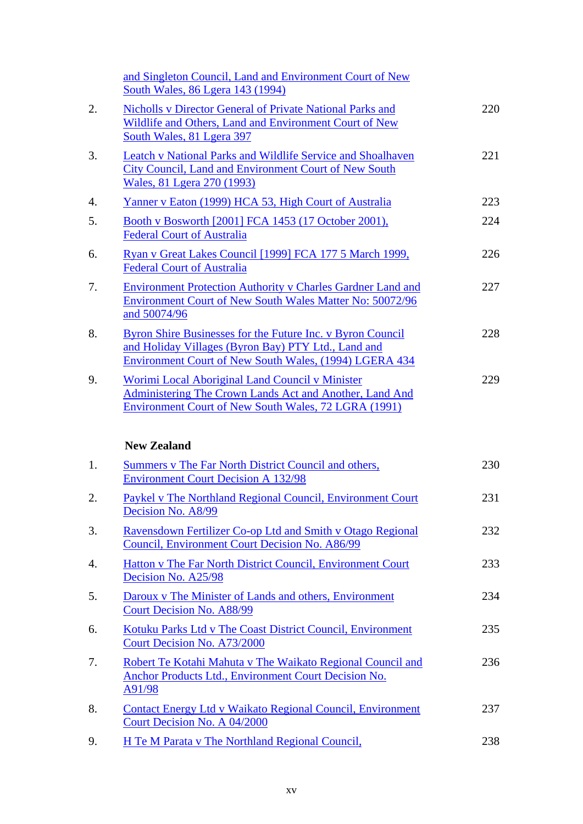|    | and Singleton Council, Land and Environment Court of New<br>South Wales, 86 Lgera 143 (1994)                                                                                |     |
|----|-----------------------------------------------------------------------------------------------------------------------------------------------------------------------------|-----|
| 2. | Nicholls v Director General of Private National Parks and<br>Wildlife and Others, Land and Environment Court of New<br>South Wales, 81 Lgera 397                            | 220 |
| 3. | Leatch v National Parks and Wildlife Service and Shoalhaven<br>City Council, Land and Environment Court of New South<br>Wales, 81 Lgera 270 (1993)                          | 221 |
| 4. | Yanner v Eaton (1999) HCA 53, High Court of Australia                                                                                                                       | 223 |
| 5. | Booth v Bosworth [2001] FCA 1453 (17 October 2001),<br><b>Federal Court of Australia</b>                                                                                    | 224 |
| 6. | Ryan v Great Lakes Council [1999] FCA 177 5 March 1999,<br><b>Federal Court of Australia</b>                                                                                | 226 |
| 7. | <b>Environment Protection Authority v Charles Gardner Land and</b><br><b>Environment Court of New South Wales Matter No: 50072/96</b><br>and 50074/96                       | 227 |
| 8. | Byron Shire Businesses for the Future Inc. v Byron Council<br>and Holiday Villages (Byron Bay) PTY Ltd., Land and<br>Environment Court of New South Wales, (1994) LGERA 434 | 228 |
| 9. | Worimi Local Aboriginal Land Council v Minister<br>Administering The Crown Lands Act and Another, Land And<br><b>Environment Court of New South Wales, 72 LGRA (1991)</b>   | 229 |
|    | <b>New Zealand</b>                                                                                                                                                          |     |
| 1. | Summers v The Far North District Council and others,<br><b>Environment Court Decision A 132/98</b>                                                                          | 230 |
| 2. | Paykel v The Northland Regional Council, Environment Court<br>Decision No. A8/99                                                                                            | 231 |
| 3. | Ravensdown Fertilizer Co-op Ltd and Smith v Otago Regional<br>Council, Environment Court Decision No. A86/99                                                                | 232 |
| 4. | Hatton v The Far North District Council, Environment Court<br>Decision No. A25/98                                                                                           | 233 |
| 5. | Daroux v The Minister of Lands and others, Environment<br><b>Court Decision No. A88/99</b>                                                                                  | 234 |
| 6. | Kotuku Parks Ltd v The Coast District Council, Environment<br>Court Decision No. A73/2000                                                                                   | 235 |
| 7. | Robert Te Kotahi Mahuta v The Waikato Regional Council and<br>Anchor Products Ltd., Environment Court Decision No.<br>A91/98                                                | 236 |
| 8. | Contact Energy Ltd v Waikato Regional Council, Environment<br>Court Decision No. A 04/2000                                                                                  | 237 |
| 9. | H Te M Parata v The Northland Regional Council,                                                                                                                             | 238 |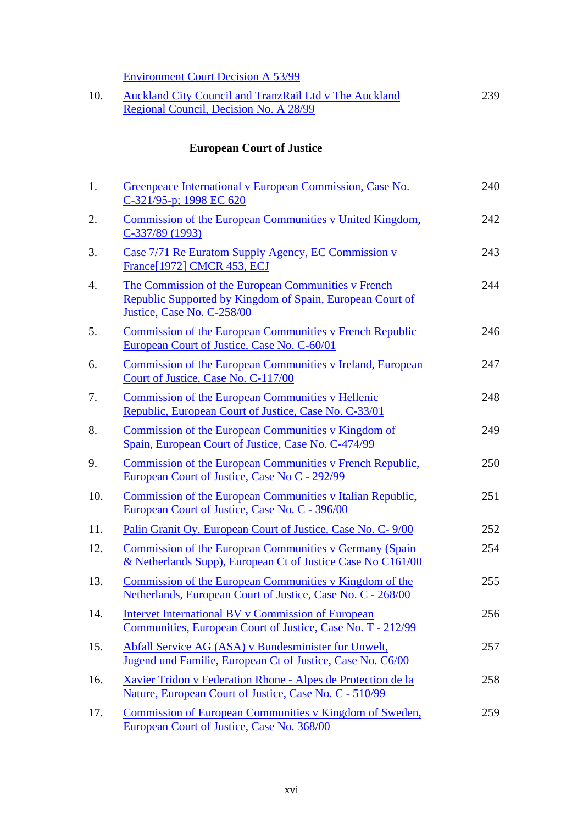Environment Court Decision A 53/99

10. Auckland City Council and TranzRail Ltd v The Auckland [Regional Council, Decision No. A 28/99](#page-266-0) 239

# **European Court of Justice**

| 1.               | Greenpeace International v European Commission, Case No.<br>C-321/95-p; 1998 EC 620                                                            | 240 |
|------------------|------------------------------------------------------------------------------------------------------------------------------------------------|-----|
| 2.               | Commission of the European Communities v United Kingdom,<br>$C-337/89(1993)$                                                                   | 242 |
| 3.               | Case 7/71 Re Euratom Supply Agency, EC Commission v<br>France[1972] CMCR 453, ECJ                                                              | 243 |
| $\overline{4}$ . | The Commission of the European Communities v French<br>Republic Supported by Kingdom of Spain, European Court of<br>Justice, Case No. C-258/00 | 244 |
| 5.               | <b>Commission of the European Communities v French Republic</b><br>European Court of Justice, Case No. C-60/01                                 | 246 |
| 6.               | Commission of the European Communities v Ireland, European<br>Court of Justice, Case No. C-117/00                                              | 247 |
| 7.               | <b>Commission of the European Communities v Hellenic</b><br>Republic, European Court of Justice, Case No. C-33/01                              | 248 |
| 8.               | Commission of the European Communities v Kingdom of<br>Spain, European Court of Justice, Case No. C-474/99                                     | 249 |
| 9.               | Commission of the European Communities v French Republic,<br>European Court of Justice, Case No C - 292/99                                     | 250 |
| 10.              | Commission of the European Communities v Italian Republic,<br>European Court of Justice, Case No. C - 396/00                                   | 251 |
| 11.              | Palin Granit Oy. European Court of Justice, Case No. C- 9/00                                                                                   | 252 |
| 12.              | Commission of the European Communities v Germany (Spain<br>& Netherlands Supp), European Ct of Justice Case No C161/00                         | 254 |
| 13.              | Commission of the European Communities v Kingdom of the<br>Netherlands, European Court of Justice, Case No. C - 268/00                         | 255 |
| 14.              | <b>Intervet International BV v Commission of European</b><br>Communities, European Court of Justice, Case No. T - 212/99                       | 256 |
| 15.              | Abfall Service AG (ASA) v Bundesminister fur Unwelt,<br>Jugend und Familie, European Ct of Justice, Case No. C6/00                             | 257 |
| 16.              | Xavier Tridon v Federation Rhone - Alpes de Protection de la<br>Nature, European Court of Justice, Case No. C - 510/99                         | 258 |
| 17.              | Commission of European Communities v Kingdom of Sweden,<br>European Court of Justice, Case No. 368/00                                          | 259 |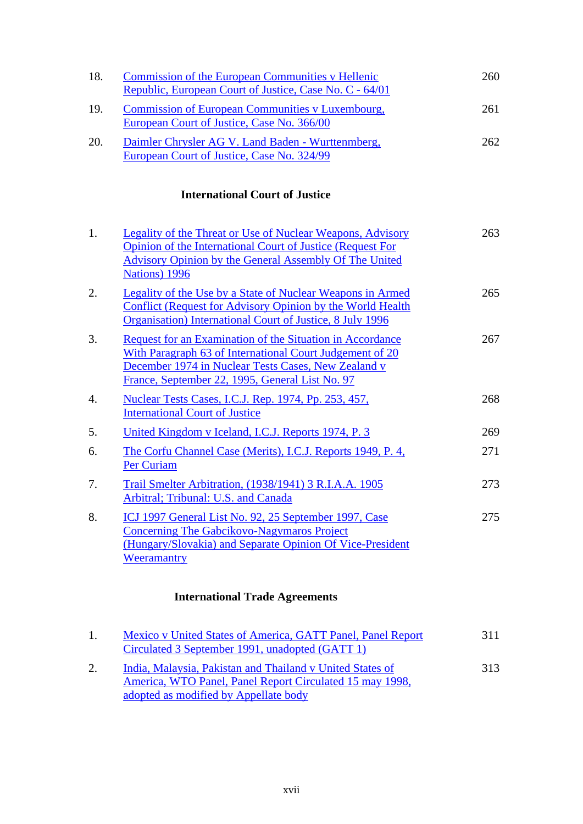| 18.              | <b>Commission of the European Communities v Hellenic</b><br>Republic, European Court of Justice, Case No. C - 64/01                                                                                                             | 260 |
|------------------|---------------------------------------------------------------------------------------------------------------------------------------------------------------------------------------------------------------------------------|-----|
| 19.              | <b>Commission of European Communities v Luxembourg,</b><br>European Court of Justice, Case No. 366/00                                                                                                                           | 261 |
| 20.              | Daimler Chrysler AG V. Land Baden - Wurttenmberg,<br>European Court of Justice, Case No. 324/99                                                                                                                                 | 262 |
|                  | <b>International Court of Justice</b>                                                                                                                                                                                           |     |
| 1.               | Legality of the Threat or Use of Nuclear Weapons, Advisory<br>Opinion of the International Court of Justice (Request For<br>Advisory Opinion by the General Assembly Of The United<br>Nations) 1996                             | 263 |
| 2.               | Legality of the Use by a State of Nuclear Weapons in Armed<br><b>Conflict (Request for Advisory Opinion by the World Health</b><br>Organisation) International Court of Justice, 8 July 1996                                    | 265 |
| 3.               | Request for an Examination of the Situation in Accordance<br>With Paragraph 63 of International Court Judgement of 20<br>December 1974 in Nuclear Tests Cases, New Zealand v<br>France, September 22, 1995, General List No. 97 | 267 |
| $\overline{4}$ . | Nuclear Tests Cases, I.C.J. Rep. 1974, Pp. 253, 457,<br><b>International Court of Justice</b>                                                                                                                                   | 268 |
| 5.               | United Kingdom v Iceland, I.C.J. Reports 1974, P. 3                                                                                                                                                                             | 269 |
| 6.               | The Corfu Channel Case (Merits), I.C.J. Reports 1949, P. 4,<br>Per Curiam                                                                                                                                                       | 271 |
| 7.               | Trail Smelter Arbitration, (1938/1941) 3 R.I.A.A. 1905<br>Arbitral; Tribunal: U.S. and Canada                                                                                                                                   | 273 |
| 8.               | ICJ 1997 General List No. 92, 25 September 1997, Case<br><b>Concerning The Gabcikovo-Nagymaros Project</b><br>(Hungary/Slovakia) and Separate Opinion Of Vice-President<br>Weeramantry                                          | 275 |

# **International Trade Agreements**

| 1. | Mexico v United States of America, GATT Panel, Panel Report | 311 |
|----|-------------------------------------------------------------|-----|
|    | Circulated 3 September 1991, unadopted (GATT 1)             |     |
| 2. | India, Malaysia, Pakistan and Thailand v United States of   | 313 |
|    | America, WTO Panel, Panel Report Circulated 15 may 1998,    |     |
|    | adopted as modified by Appellate body                       |     |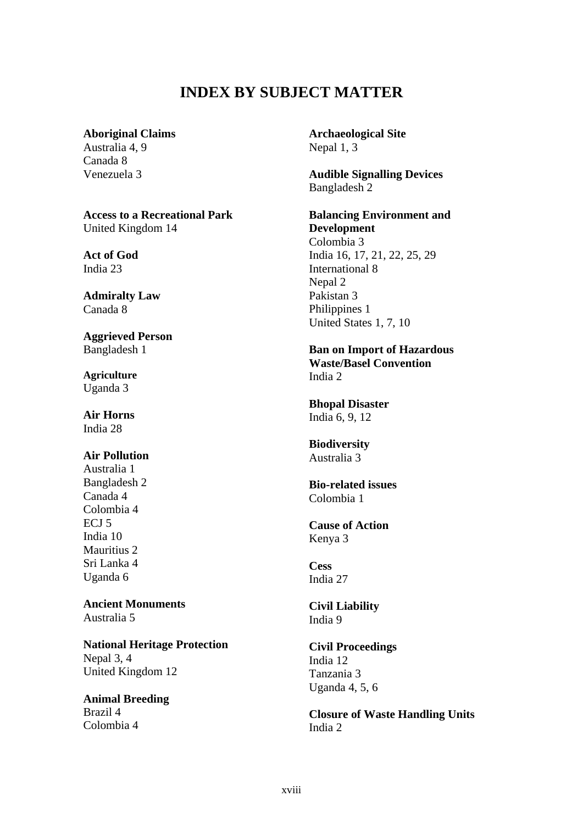# **INDEX BY SUBJECT MATTER**

#### **Aboriginal Claims**

Australia 4, 9 Canada 8 Venezuela 3

**Access to a Recreational Park**  United Kingdom 14

**Act of God**  India 23

**Admiralty Law**  Canada 8

**Aggrieved Person**  Bangladesh 1

**Agriculture** Uganda 3

**Air Horns**  India 28

## **Air Pollution**

Australia 1 Bangladesh 2 Canada 4 Colombia 4 ECJ 5 India 10 Mauritius 2 Sri Lanka 4 Uganda 6

**Ancient Monuments**  Australia 5

**National Heritage Protection** 

Nepal 3, 4 United Kingdom 12

#### **Animal Breeding**  Brazil 4

Colombia 4

**Archaeological Site**  Nepal 1, 3

**Audible Signalling Devices**  Bangladesh 2

**Balancing Environment and Development**  Colombia 3 India 16, 17, 21, 22, 25, 29 International 8 Nepal 2 Pakistan 3 Philippines 1 United States 1, 7, 10

**Ban on Import of Hazardous Waste/Basel Convention**  India 2

**Bhopal Disaster**  India 6, 9, 12

**Biodiversity**  Australia 3

**Bio-related issues**  Colombia 1

**Cause of Action**  Kenya 3

**Cess**  India 27

**Civil Liability**  India 9

**Civil Proceedings** 

India 12 Tanzania 3 Uganda 4, 5, 6

**Closure of Waste Handling Units**  India 2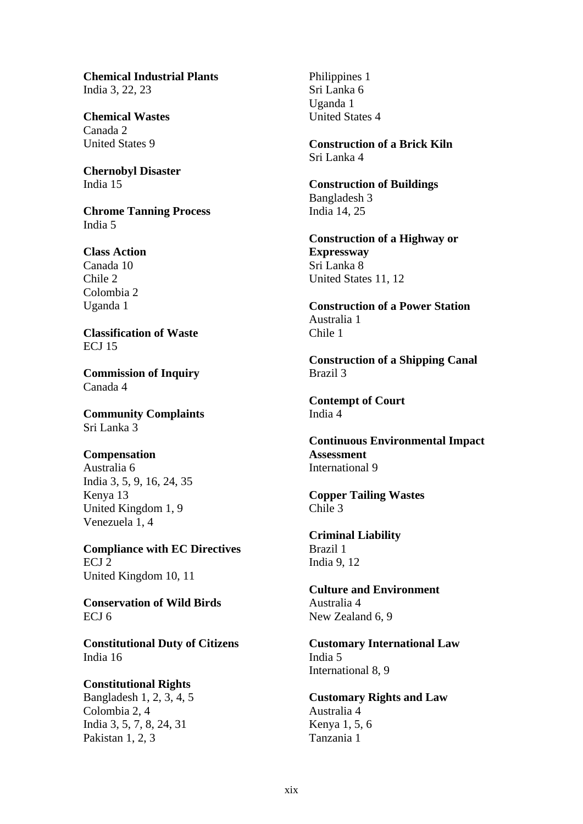**Chemical Industrial Plants**  India 3, 22, 23

**Chemical Wastes**  Canada 2 United States 9

**Chernobyl Disaster**  India 15

**Chrome Tanning Process**  India 5

**Class Action**  Canada 10 Chile 2 Colombia 2 Uganda 1

**Classification of Waste**  ECJ 15

**Commission of Inquiry**  Canada 4

**Community Complaints**  Sri Lanka 3

## **Compensation**

Australia 6 India 3, 5, 9, 16, 24, 35 Kenya 13 United Kingdom 1, 9 Venezuela 1, 4

**Compliance with EC Directives**  ECJ 2 United Kingdom 10, 11

**Conservation of Wild Birds**  ECJ 6

**Constitutional Duty of Citizens**  India 16

**Constitutional Rights**  Bangladesh 1, 2, 3, 4, 5 Colombia 2, 4 India 3, 5, 7, 8, 24, 31 Pakistan 1, 2, 3

Philippines 1 Sri Lanka 6 Uganda 1 United States 4

**Construction of a Brick Kiln**  Sri Lanka 4

**Construction of Buildings**  Bangladesh 3 India 14, 25

**Construction of a Highway or Expressway**  Sri Lanka 8 United States 11, 12

**Construction of a Power Station**  Australia 1 Chile 1

**Construction of a Shipping Canal**  Brazil 3

**Contempt of Court**  India 4

**Continuous Environmental Impact Assessment**  International 9

**Copper Tailing Wastes**  Chile 3

**Criminal Liability**  Brazil 1 India 9, 12

**Culture and Environment**  Australia 4 New Zealand 6, 9

**Customary International Law**  India 5 International 8, 9

**Customary Rights and Law**  Australia 4 Kenya 1, 5, 6 Tanzania 1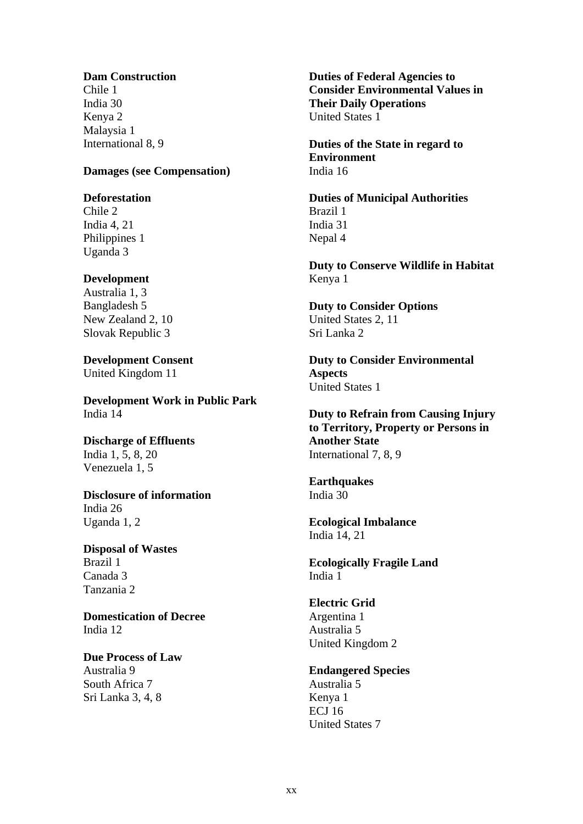#### **Dam Construction**

Chile 1 India 30 Kenya 2 Malaysia 1 International 8, 9

## **Damages (see Compensation)**

#### **Deforestation**

Chile 2 India 4, 21 Philippines 1 Uganda 3

#### **Development**

Australia 1, 3 Bangladesh 5 New Zealand 2, 10 Slovak Republic 3

**Development Consent**  United Kingdom 11

**Development Work in Public Park**  India 14

**Discharge of Effluents**  India 1, 5, 8, 20 Venezuela 1, 5

**Disclosure of information**  India 26 Uganda 1, 2

**Disposal of Wastes**  Brazil 1 Canada 3 Tanzania 2

**Domestication of Decree**  India 12

**Due Process of Law**  Australia 9 South Africa 7 Sri Lanka 3, 4, 8

**Duties of Federal Agencies to Consider Environmental Values in Their Daily Operations**  United States 1

**Duties of the State in regard to Environment**  India 16

**Duties of Municipal Authorities**  Brazil 1 India 31 Nepal 4

**Duty to Conserve Wildlife in Habitat**  Kenya 1

**Duty to Consider Options**  United States 2, 11 Sri Lanka 2

**Duty to Consider Environmental Aspects**  United States 1

**Duty to Refrain from Causing Injury to Territory, Property or Persons in Another State**  International 7, 8, 9

**Earthquakes**  India 30

**Ecological Imbalance**  India 14, 21

**Ecologically Fragile Land**  India 1

**Electric Grid**  Argentina 1 Australia 5 United Kingdom 2

#### **Endangered Species**

Australia 5 Kenya 1 ECJ 16 United States 7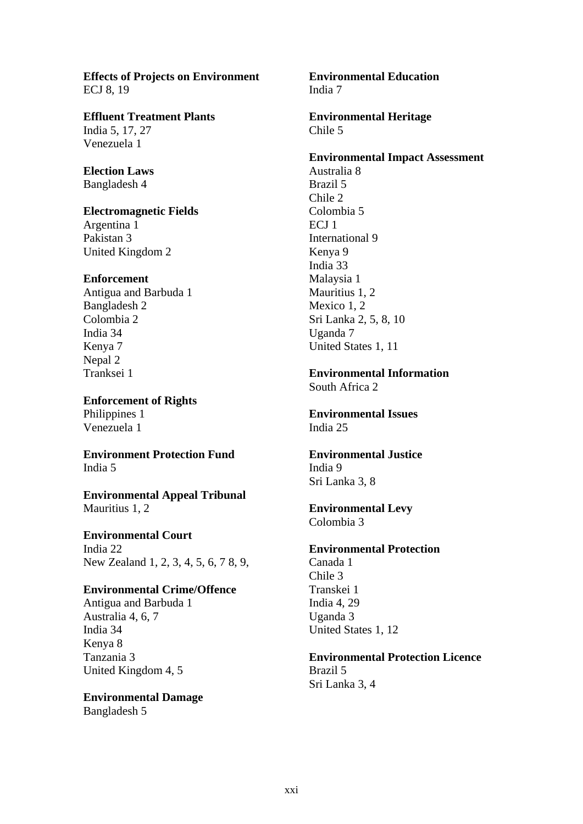**Effects of Projects on Environment**  ECJ 8, 19

**Effluent Treatment Plants**  India 5, 17, 27 Venezuela 1

**Election Laws**  Bangladesh 4

### **Electromagnetic Fields**

Argentina 1 Pakistan 3 United Kingdom 2

## **Enforcement**

Antigua and Barbuda 1 Bangladesh 2 Colombia 2 India 34 Kenya 7 Nepal 2 Tranksei 1

**Enforcement of Rights**  Philippines 1 Venezuela 1

**Environment Protection Fund**  India 5

**Environmental Appeal Tribunal**  Mauritius 1, 2

**Environmental Court**  India 22 New Zealand 1, 2, 3, 4, 5, 6, 7 8, 9,

# **Environmental Crime/Offence**

Antigua and Barbuda 1 Australia 4, 6, 7 India 34 Kenya 8 Tanzania 3 United Kingdom 4, 5

# **Environmental Damage**

Bangladesh 5

**Environmental Education**  India 7

**Environmental Heritage**  Chile 5

**Environmental Impact Assessment**  Australia 8 Brazil 5 Chile 2 Colombia 5 ECJ 1 International 9 Kenya 9 India 33 Malaysia 1 Mauritius 1, 2 Mexico 1, 2 Sri Lanka 2, 5, 8, 10 Uganda 7 United States 1, 11

**Environmental Information** 

South Africa 2

## **Environmental Issues**  India 25

## **Environmental Justice**  India 9 Sri Lanka 3, 8

## **Environmental Levy**  Colombia 3

# **Environmental Protection**

Canada 1 Chile 3 Transkei 1 India 4, 29 Uganda 3 United States 1, 12

#### **Environmental Protection Licence**  Brazil 5 Sri Lanka 3, 4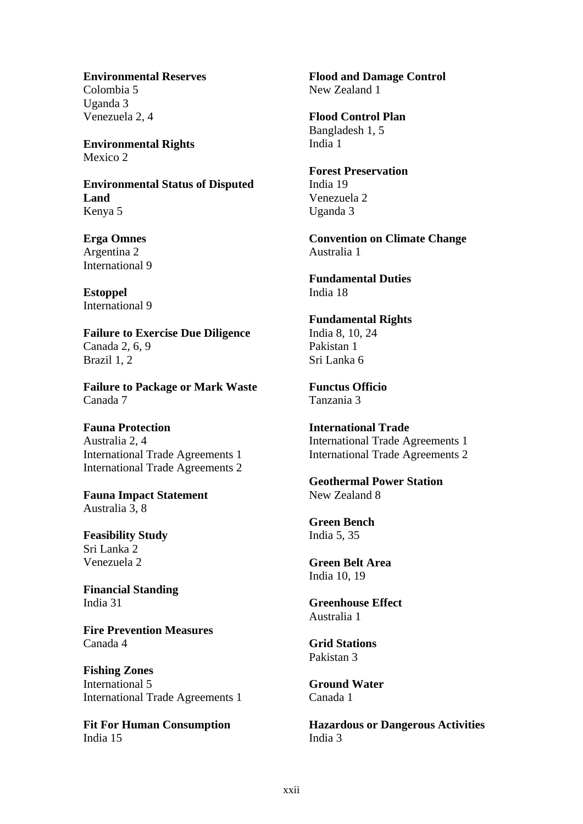**Environmental Reserves**  Colombia 5 Uganda 3 Venezuela 2, 4

**Environmental Rights**  Mexico 2

**Environmental Status of Disputed Land**  Kenya 5

**Erga Omnes** Argentina 2 International 9

**Estoppel**  International 9

**Failure to Exercise Due Diligence**  Canada 2, 6, 9 Brazil 1, 2

**Failure to Package or Mark Waste**  Canada 7

**Fauna Protection**  Australia 2, 4 International Trade Agreements 1 International Trade Agreements 2

**Fauna Impact Statement**  Australia 3, 8

**Feasibility Study**  Sri Lanka 2 Venezuela 2

**Financial Standing**  India 31

**Fire Prevention Measures**  Canada 4

**Fishing Zones**  International 5 International Trade Agreements 1

**Fit For Human Consumption**  India 15

**Flood and Damage Control**  New Zealand 1

**Flood Control Plan**  Bangladesh 1, 5 India 1

**Forest Preservation**  India 19 Venezuela 2 Uganda 3

**Convention on Climate Change**  Australia 1

**Fundamental Duties**  India 18

**Fundamental Rights**  India 8, 10, 24 Pakistan 1 Sri Lanka 6

**Functus Officio**  Tanzania 3

**International Trade**  International Trade Agreements 1 International Trade Agreements 2

**Geothermal Power Station**  New Zealand 8

**Green Bench**  India 5, 35

**Green Belt Area**  India 10, 19

**Greenhouse Effect**  Australia 1

**Grid Stations**  Pakistan 3

**Ground Water**  Canada 1

**Hazardous or Dangerous Activities**  India 3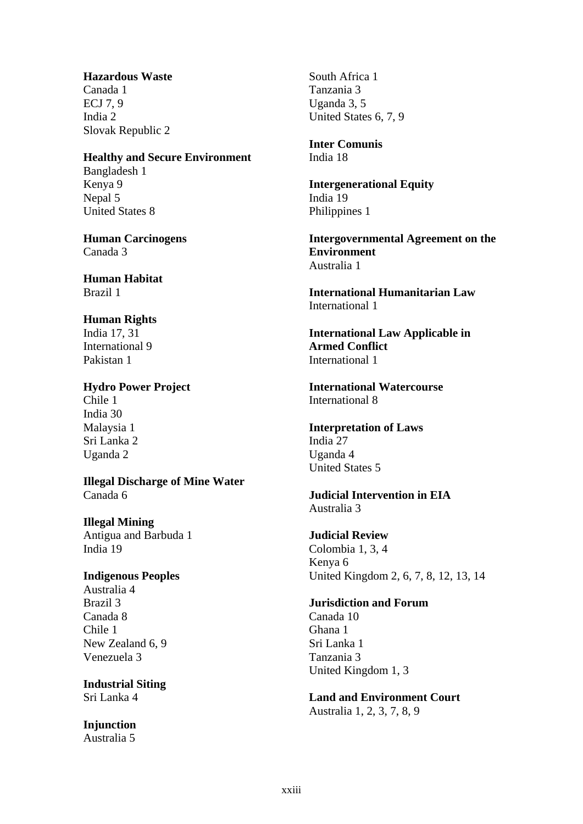## **Hazardous Waste**

Canada 1 ECJ 7, 9 India 2 Slovak Republic 2

# **Healthy and Secure Environment**

Bangladesh 1 Kenya 9 Nepal 5 United States 8

**Human Carcinogens**  Canada 3

**Human Habitat**  Brazil 1

# **Human Rights**

India 17, 31 International 9 Pakistan 1

## **Hydro Power Project**  Chile 1 India 30 Malaysia 1 Sri Lanka 2 Uganda 2

**Illegal Discharge of Mine Water**  Canada 6

**Illegal Mining**  Antigua and Barbuda 1 India 19

# **Indigenous Peoples**

Australia 4 Brazil 3 Canada 8 Chile 1 New Zealand 6, 9 Venezuela 3

**Industrial Siting**  Sri Lanka 4

**Injunction**  Australia 5

South Africa 1 Tanzania 3 Uganda 3, 5 United States 6, 7, 9

## **Inter Comunis**  India 18

**Intergenerational Equity** India 19 Philippines 1

**Intergovernmental Agreement on the Environment**  Australia 1

**International Humanitarian Law**  International 1

**International Law Applicable in Armed Conflict**  International 1

**International Watercourse**  International 8

#### **Interpretation of Laws**  India 27 Uganda 4 United States 5

**Judicial Intervention in EIA**  Australia 3

**Judicial Review**  Colombia 1, 3, 4 Kenya 6 United Kingdom 2, 6, 7, 8, 12, 13, 14

## **Jurisdiction and Forum**  Canada 10 Ghana 1 Sri Lanka 1

Tanzania 3 United Kingdom 1, 3

**Land and Environment Court**  Australia 1, 2, 3, 7, 8, 9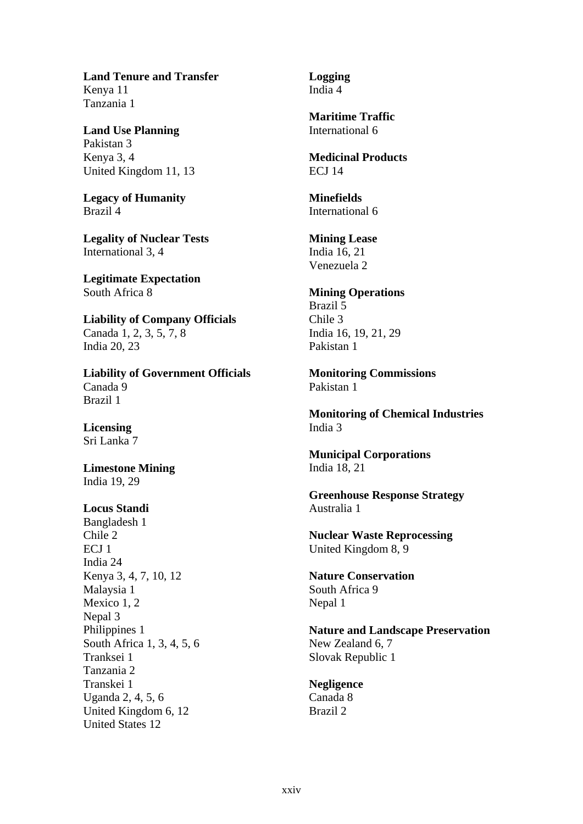**Land Tenure and Transfer**  Kenya 11 Tanzania 1

**Land Use Planning**  Pakistan 3 Kenya 3, 4 United Kingdom 11, 13

**Legacy of Humanity**  Brazil 4

**Legality of Nuclear Tests**  International 3, 4

**Legitimate Expectation**  South Africa 8

**Liability of Company Officials**  Canada 1, 2, 3, 5, 7, 8 India 20, 23

**Liability of Government Officials**  Canada 9 Brazil 1

**Licensing**  Sri Lanka 7

**Limestone Mining**  India 19, 29

#### **Locus Standi**

Bangladesh 1 Chile 2 ECJ 1 India 24 Kenya 3, 4, 7, 10, 12 Malaysia 1 Mexico 1, 2 Nepal 3 Philippines 1 South Africa 1, 3, 4, 5, 6 Tranksei 1 Tanzania 2 Transkei 1 Uganda 2, 4, 5, 6 United Kingdom 6, 12 United States 12

**Logging**  India 4

**Maritime Traffic**  International 6

**Medicinal Products**  ECJ 14

**Minefields**  International 6

**Mining Lease** India 16, 21 Venezuela 2

Pakistan 1

**Mining Operations**  Brazil 5 Chile 3 India 16, 19, 21, 29

**Monitoring Commissions**  Pakistan 1

**Monitoring of Chemical Industries**  India 3

**Municipal Corporations**  India 18, 21

**Greenhouse Response Strategy**  Australia 1

**Nuclear Waste Reprocessing**  United Kingdom 8, 9

**Nature Conservation**  South Africa 9 Nepal 1

**Nature and Landscape Preservation**  New Zealand 6, 7 Slovak Republic 1

**Negligence**  Canada 8 Brazil 2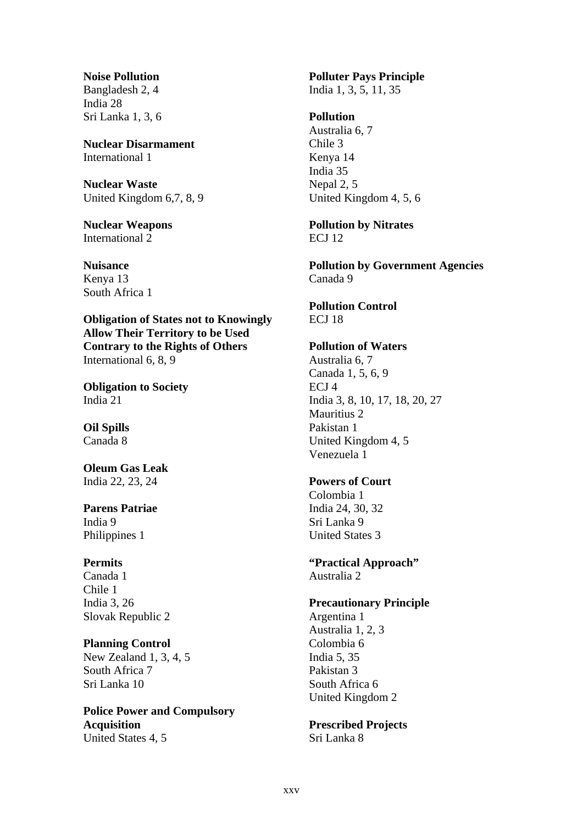**Noise Pollution**  Bangladesh 2, 4 India 28 Sri Lanka 1, 3, 6

**Nuclear Disarmament**  International 1

**Nuclear Waste**  United Kingdom 6,7, 8, 9

**Nuclear Weapons**  International 2

**Nuisance**  Kenya 13 South Africa 1

**Obligation of States not to Knowingly Allow Their Territory to be Used Contrary to the Rights of Others**  International 6, 8, 9

**Obligation to Society**  India 21

**Oil Spills**  Canada 8

**Oleum Gas Leak**  India 22, 23, 24

#### **Parens Patriae**  India 9 Philippines 1

#### **Permits**

Canada 1 Chile 1 India 3, 26 Slovak Republic 2

#### **Planning Control**

New Zealand 1, 3, 4, 5 South Africa 7 Sri Lanka 10

**Police Power and Compulsory Acquisition**  United States 4, 5

## **Polluter Pays Principle**

India 1, 3, 5, 11, 35

## **Pollution**

Australia 6, 7 Chile 3 Kenya 14 India 35 Nepal 2, 5 United Kingdom 4, 5, 6

**Pollution by Nitrates**  ECJ 12

**Pollution by Government Agencies**  Canada 9

**Pollution Control**  ECJ 18

#### **Pollution of Waters**

Australia 6, 7 Canada 1, 5, 6, 9 ECJ 4 India 3, 8, 10, 17, 18, 20, 27 Mauritius 2 Pakistan 1 United Kingdom 4, 5 Venezuela 1

## **Powers of Court**

Colombia 1 India 24, 30, 32 Sri Lanka 9 United States 3

# **"Practical Approach"**

Australia 2

## **Precautionary Principle**

Argentina 1 Australia 1, 2, 3 Colombia 6 India 5, 35 Pakistan 3 South Africa 6 United Kingdom 2

#### **Prescribed Projects**  Sri Lanka 8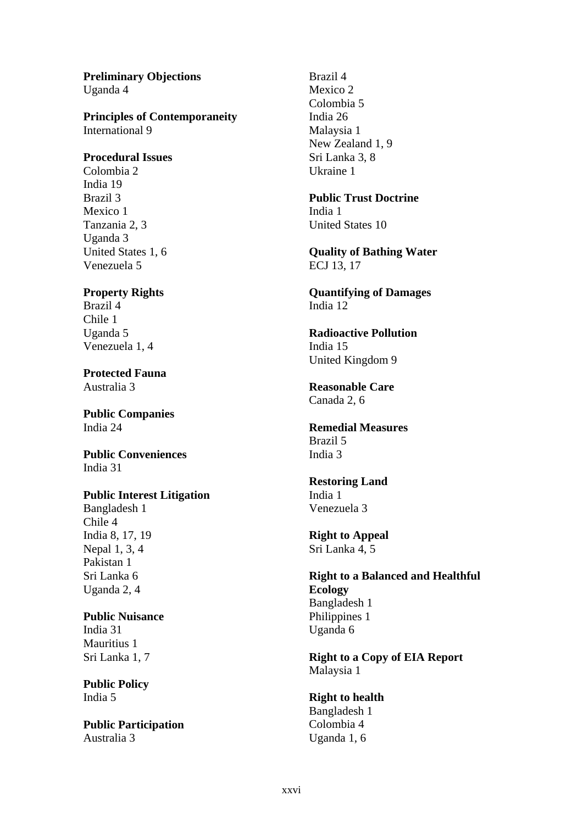**Preliminary Objections**  Uganda 4

**Principles of Contemporaneity**  International 9

# **Procedural Issues**

Colombia 2 India 19 Brazil 3 Mexico 1 Tanzania 2, 3 Uganda 3 United States 1, 6 Venezuela 5

## **Property Rights**

Brazil 4 Chile 1 Uganda 5 Venezuela 1, 4

**Protected Fauna**  Australia 3

**Public Companies**  India 24

**Public Conveniences**  India 31

## **Public Interest Litigation**

Bangladesh 1 Chile 4 India 8, 17, 19 Nepal 1, 3, 4 Pakistan 1 Sri Lanka 6 Uganda 2, 4

## **Public Nuisance**  India 31

Mauritius 1 Sri Lanka 1, 7

**Public Policy**  India 5

**Public Participation**  Australia 3

Brazil 4 Mexico 2 Colombia 5 India 26 Malaysia 1 New Zealand 1, 9 Sri Lanka 3, 8 Ukraine 1

**Public Trust Doctrine** 

India 1 United States 10

**Quality of Bathing Water**  ECJ 13, 17

**Quantifying of Damages**  India 12

**Radioactive Pollution**  India 15 United Kingdom 9

**Reasonable Care**  Canada 2, 6

**Remedial Measures**  Brazil 5 India 3

**Restoring Land**  India 1 Venezuela 3

**Right to Appeal** Sri Lanka 4, 5

**Right to a Balanced and Healthful Ecology**  Bangladesh 1 Philippines 1 Uganda 6

**Right to a Copy of EIA Report**  Malaysia 1

**Right to health**  Bangladesh 1 Colombia 4 Uganda 1, 6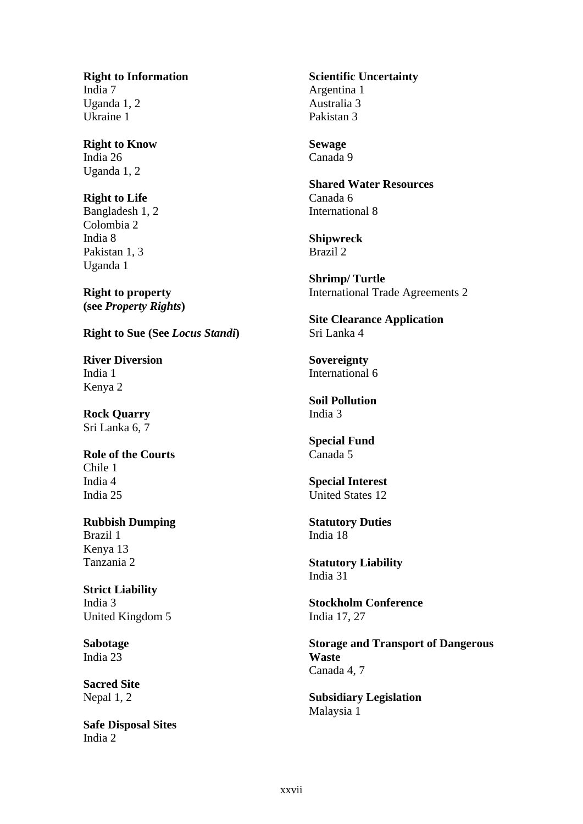**Right to Information**  India 7 Uganda 1, 2 Ukraine 1

**Right to Know**  India 26 Uganda 1, 2

**Right to Life**  Bangladesh 1, 2 Colombia 2 India 8 Pakistan 1, 3 Uganda 1

**Right to property (see** *Property Rights***)** 

**Right to Sue (See** *Locus Standi***)** 

**River Diversion**  India 1 Kenya 2

**Rock Quarry**  Sri Lanka 6, 7

**Role of the Courts**  Chile 1 India 4 India 25

**Rubbish Dumping**  Brazil 1 Kenya 13 Tanzania 2

**Strict Liability**  India 3 United Kingdom 5

**Sabotage**  India 23

**Sacred Site**  Nepal 1, 2

**Safe Disposal Sites**  India 2

**Scientific Uncertainty**  Argentina 1 Australia 3 Pakistan 3

**Sewage**  Canada 9

**Shared Water Resources**  Canada 6 International 8

**Shipwreck**  Brazil 2

**Shrimp/ Turtle**  International Trade Agreements 2

**Site Clearance Application**  Sri Lanka 4

**Sovereignty**  International 6

**Soil Pollution**  India 3

**Special Fund**  Canada 5

**Special Interest**  United States 12

**Statutory Duties**  India 18

**Statutory Liability**  India 31

**Stockholm Conference**  India 17, 27

**Storage and Transport of Dangerous Waste**  Canada 4, 7

**Subsidiary Legislation**  Malaysia 1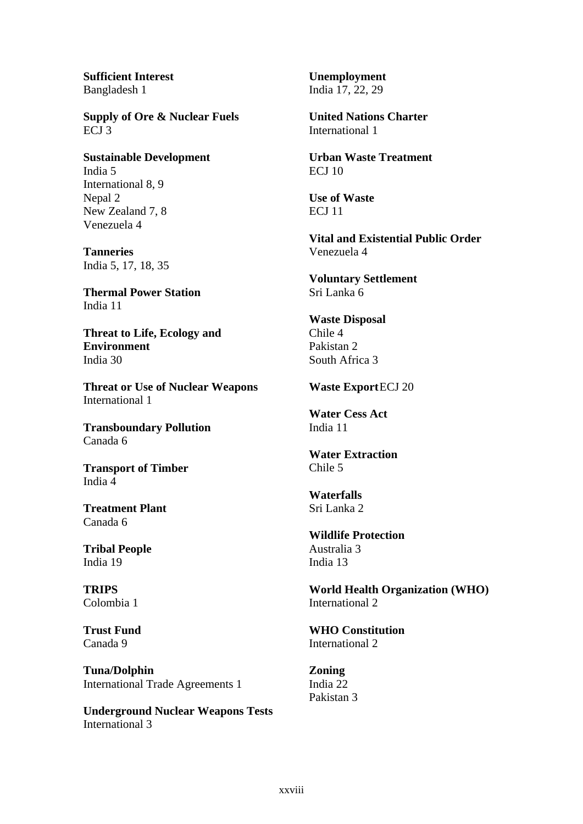**Sufficient Interest**  Bangladesh 1

**Supply of Ore & Nuclear Fuels** ECJ 3

**Sustainable Development**  India 5 International 8, 9 Nepal 2 New Zealand 7, 8 Venezuela 4

**Tanneries**  India 5, 17, 18, 35

**Thermal Power Station**  India 11

**Threat to Life, Ecology and Environment**  India 30

**Threat or Use of Nuclear Weapons**  International 1

**Transboundary Pollution**  Canada 6

**Transport of Timber**  India 4

**Treatment Plant**  Canada 6

**Tribal People**  India 19

**TRIPS**  Colombia 1

**Trust Fund**  Canada 9

**Tuna/Dolphin**  International Trade Agreements 1

**Underground Nuclear Weapons Tests**  International 3

**Unemployment**  India 17, 22, 29

**United Nations Charter**  International 1

**Urban Waste Treatment**  ECJ 10

**Use of Waste**  ECJ 11

**Vital and Existential Public Order**  Venezuela 4

**Voluntary Settlement**  Sri Lanka 6

**Waste Disposal**  Chile 4 Pakistan 2 South Africa 3

**Waste Export** ECJ 20

**Water Cess Act**  India 11

**Water Extraction**  Chile 5

**Waterfalls**  Sri Lanka 2

**Wildlife Protection**  Australia 3 India 13

**World Health Organization (WHO)** International 2

**WHO Constitution**  International 2

**Zoning**  India 22 Pakistan 3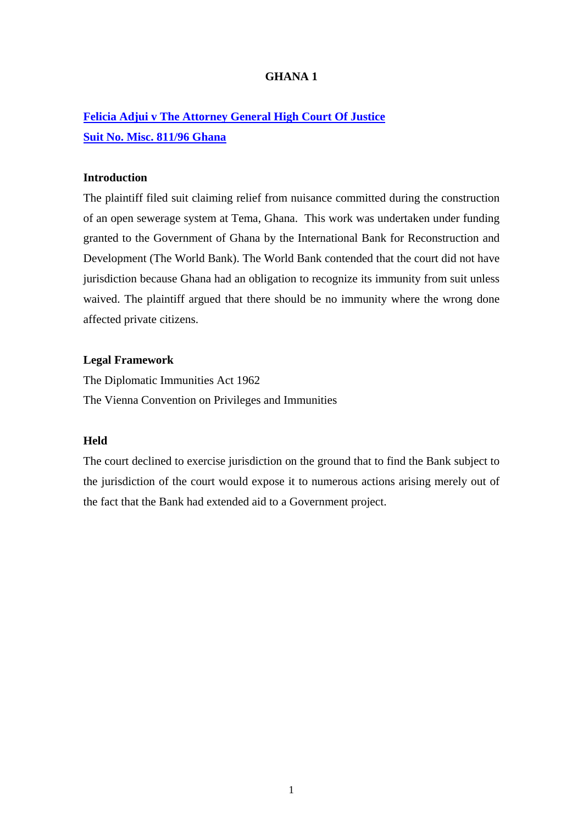## **GHANA 1**

# <span id="page-28-0"></span>**[Felicia Adjui v The Attorney General High Court Of Justice](#page-3-0)  [Suit No. Misc. 811/96 Ghana](#page-3-0)**

#### **Introduction**

The plaintiff filed suit claiming relief from nuisance committed during the construction of an open sewerage system at Tema, Ghana. This work was undertaken under funding granted to the Government of Ghana by the International Bank for Reconstruction and Development (The World Bank). The World Bank contended that the court did not have jurisdiction because Ghana had an obligation to recognize its immunity from suit unless waived. The plaintiff argued that there should be no immunity where the wrong done affected private citizens.

#### **Legal Framework**

The Diplomatic Immunities Act 1962 The Vienna Convention on Privileges and Immunities

## **Held**

The court declined to exercise jurisdiction on the ground that to find the Bank subject to the jurisdiction of the court would expose it to numerous actions arising merely out of the fact that the Bank had extended aid to a Government project.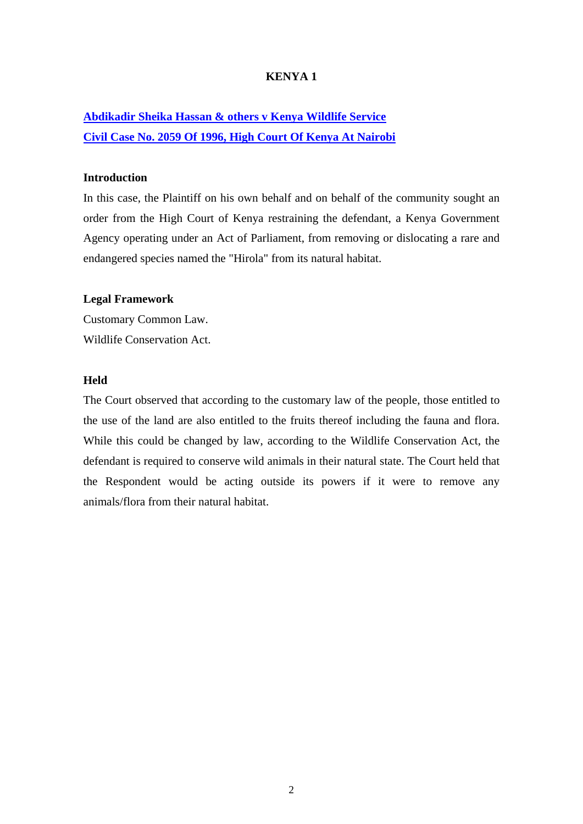# <span id="page-29-0"></span>**[Abdikadir Sheika Hassan & others v Kenya Wildlife Service](#page-3-0) [Civil Case No. 2059 Of 1996, High Court Of Kenya At Nairobi](#page-3-0)**

#### **Introduction**

In this case, the Plaintiff on his own behalf and on behalf of the community sought an order from the High Court of Kenya restraining the defendant, a Kenya Government Agency operating under an Act of Parliament, from removing or dislocating a rare and endangered species named the "Hirola" from its natural habitat.

#### **Legal Framework**

Customary Common Law. Wildlife Conservation Act.

## **Held**

The Court observed that according to the customary law of the people, those entitled to the use of the land are also entitled to the fruits thereof including the fauna and flora. While this could be changed by law, according to the Wildlife Conservation Act, the defendant is required to conserve wild animals in their natural state. The Court held that the Respondent would be acting outside its powers if it were to remove any animals/flora from their natural habitat.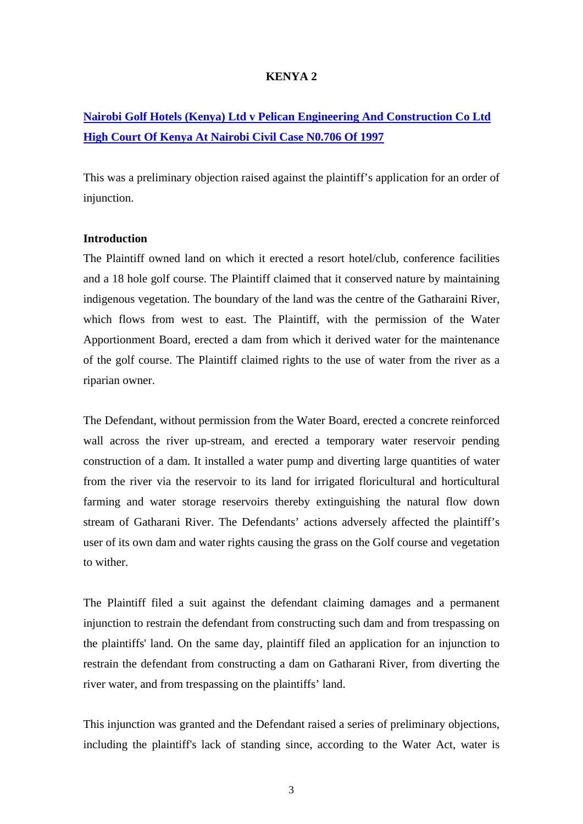# <span id="page-30-0"></span>**[Nairobi Golf Hotels \(Kenya\) Ltd v Pelican Engineering And Construction Co Ltd](#page-3-0) [High Court Of Kenya At Nairobi Civil Case N0.706 Of 1997](#page-3-0)**

This was a preliminary objection raised against the plaintiff's application for an order of injunction.

#### **Introduction**

The Plaintiff owned land on which it erected a resort hotel/club, conference facilities and a 18 hole golf course. The Plaintiff claimed that it conserved nature by maintaining indigenous vegetation. The boundary of the land was the centre of the Gatharaini River, which flows from west to east. The Plaintiff, with the permission of the Water Apportionment Board, erected a dam from which it derived water for the maintenance of the golf course. The Plaintiff claimed rights to the use of water from the river as a riparian owner.

The Defendant, without permission from the Water Board, erected a concrete reinforced wall across the river up-stream, and erected a temporary water reservoir pending construction of a dam. It installed a water pump and diverting large quantities of water from the river via the reservoir to its land for irrigated floricultural and horticultural farming and water storage reservoirs thereby extinguishing the natural flow down stream of Gatharani River. The Defendants' actions adversely affected the plaintiff's user of its own dam and water rights causing the grass on the Golf course and vegetation to wither.

The Plaintiff filed a suit against the defendant claiming damages and a permanent injunction to restrain the defendant from constructing such dam and from trespassing on the plaintiffs' land. On the same day, plaintiff filed an application for an injunction to restrain the defendant from constructing a dam on Gatharani River, from diverting the river water, and from trespassing on the plaintiffs' land.

This injunction was granted and the Defendant raised a series of preliminary objections, including the plaintiff's lack of standing since, according to the Water Act, water is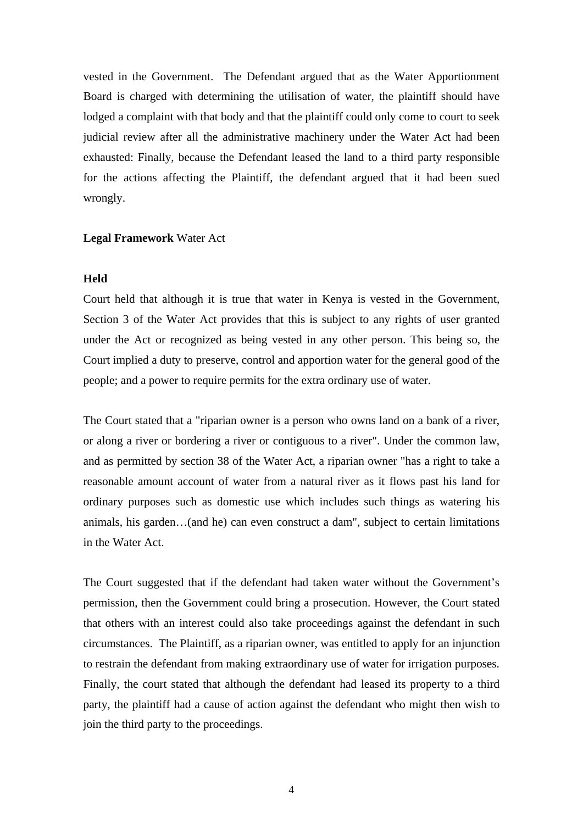vested in the Government. The Defendant argued that as the Water Apportionment Board is charged with determining the utilisation of water, the plaintiff should have lodged a complaint with that body and that the plaintiff could only come to court to seek judicial review after all the administrative machinery under the Water Act had been exhausted: Finally, because the Defendant leased the land to a third party responsible for the actions affecting the Plaintiff, the defendant argued that it had been sued wrongly.

#### **Legal Framework** Water Act

#### **Held**

Court held that although it is true that water in Kenya is vested in the Government, Section 3 of the Water Act provides that this is subject to any rights of user granted under the Act or recognized as being vested in any other person. This being so, the Court implied a duty to preserve, control and apportion water for the general good of the people; and a power to require permits for the extra ordinary use of water.

The Court stated that a "riparian owner is a person who owns land on a bank of a river, or along a river or bordering a river or contiguous to a river". Under the common law, and as permitted by section 38 of the Water Act, a riparian owner "has a right to take a reasonable amount account of water from a natural river as it flows past his land for ordinary purposes such as domestic use which includes such things as watering his animals, his garden…(and he) can even construct a dam", subject to certain limitations in the Water Act.

The Court suggested that if the defendant had taken water without the Government's permission, then the Government could bring a prosecution. However, the Court stated that others with an interest could also take proceedings against the defendant in such circumstances. The Plaintiff, as a riparian owner, was entitled to apply for an injunction to restrain the defendant from making extraordinary use of water for irrigation purposes. Finally, the court stated that although the defendant had leased its property to a third party, the plaintiff had a cause of action against the defendant who might then wish to join the third party to the proceedings.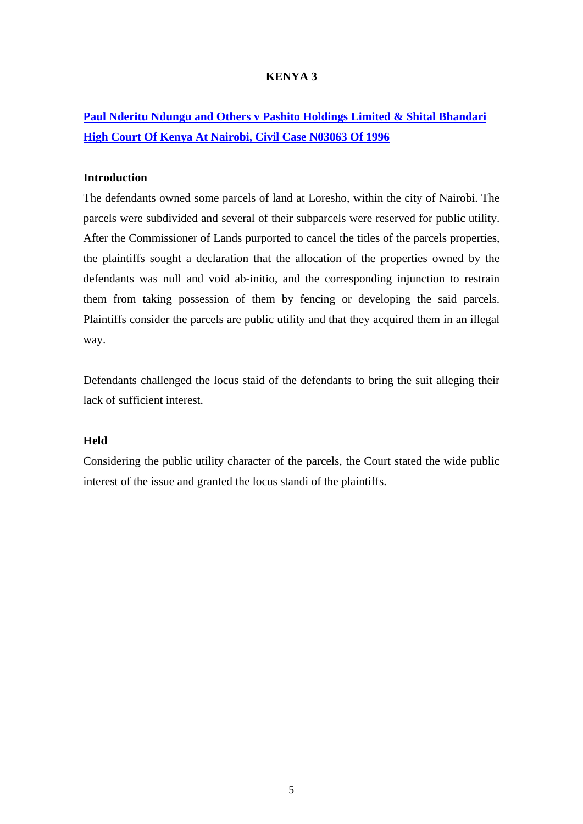# <span id="page-32-0"></span>**[Paul Nderitu Ndungu and Others v Pashito Holdings Limited & Shital Bhandari](#page-3-0) [High Court Of Kenya At Nairobi, Civil Case N03063 Of 1996](#page-3-0)**

#### **Introduction**

The defendants owned some parcels of land at Loresho, within the city of Nairobi. The parcels were subdivided and several of their subparcels were reserved for public utility. After the Commissioner of Lands purported to cancel the titles of the parcels properties, the plaintiffs sought a declaration that the allocation of the properties owned by the defendants was null and void ab-initio, and the corresponding injunction to restrain them from taking possession of them by fencing or developing the said parcels. Plaintiffs consider the parcels are public utility and that they acquired them in an illegal way.

Defendants challenged the locus staid of the defendants to bring the suit alleging their lack of sufficient interest.

### **Held**

Considering the public utility character of the parcels, the Court stated the wide public interest of the issue and granted the locus standi of the plaintiffs.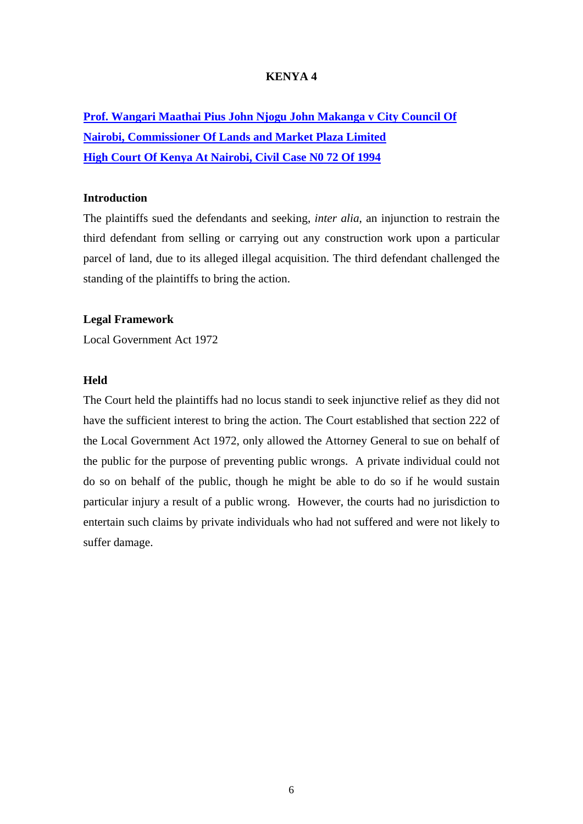<span id="page-33-0"></span>**[Prof. Wangari Maathai Pius John Njogu John Makanga v City Council Of](#page-3-1) Nairobi, Commissioner Of Lands and Market Plaza Limited High Court Of Kenya At Nairobi, Civil Case N0 72 Of 1994**

#### **Introduction**

The plaintiffs sued the defendants and seeking, *inter alia*, an injunction to restrain the third defendant from selling or carrying out any construction work upon a particular parcel of land, due to its alleged illegal acquisition. The third defendant challenged the standing of the plaintiffs to bring the action.

#### **Legal Framework**

Local Government Act 1972

#### **Held**

The Court held the plaintiffs had no locus standi to seek injunctive relief as they did not have the sufficient interest to bring the action. The Court established that section 222 of the Local Government Act 1972, only allowed the Attorney General to sue on behalf of the public for the purpose of preventing public wrongs. A private individual could not do so on behalf of the public, though he might be able to do so if he would sustain particular injury a result of a public wrong. However, the courts had no jurisdiction to entertain such claims by private individuals who had not suffered and were not likely to suffer damage.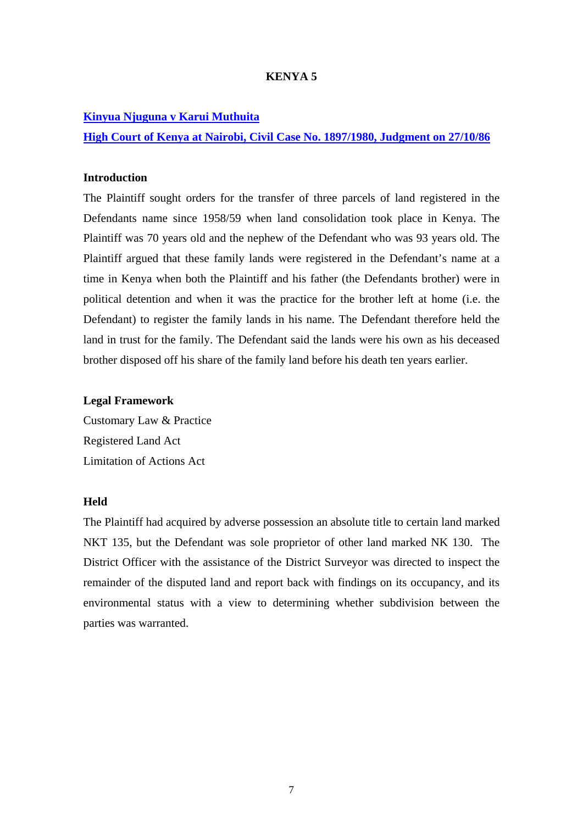#### <span id="page-34-0"></span>**Kinyua Njuguna v Karui Muthuita**

**[High Court of Kenya at Nairobi, Civil Case No. 1897/1980, Judgment on 27/10/86](#page-3-1)** 

#### **Introduction**

The Plaintiff sought orders for the transfer of three parcels of land registered in the Defendants name since 1958/59 when land consolidation took place in Kenya. The Plaintiff was 70 years old and the nephew of the Defendant who was 93 years old. The Plaintiff argued that these family lands were registered in the Defendant's name at a time in Kenya when both the Plaintiff and his father (the Defendants brother) were in political detention and when it was the practice for the brother left at home (i.e. the Defendant) to register the family lands in his name. The Defendant therefore held the land in trust for the family. The Defendant said the lands were his own as his deceased brother disposed off his share of the family land before his death ten years earlier.

#### **Legal Framework**

Customary Law & Practice Registered Land Act Limitation of Actions Act

#### **Held**

The Plaintiff had acquired by adverse possession an absolute title to certain land marked NKT 135, but the Defendant was sole proprietor of other land marked NK 130. The District Officer with the assistance of the District Surveyor was directed to inspect the remainder of the disputed land and report back with findings on its occupancy, and its environmental status with a view to determining whether subdivision between the parties was warranted.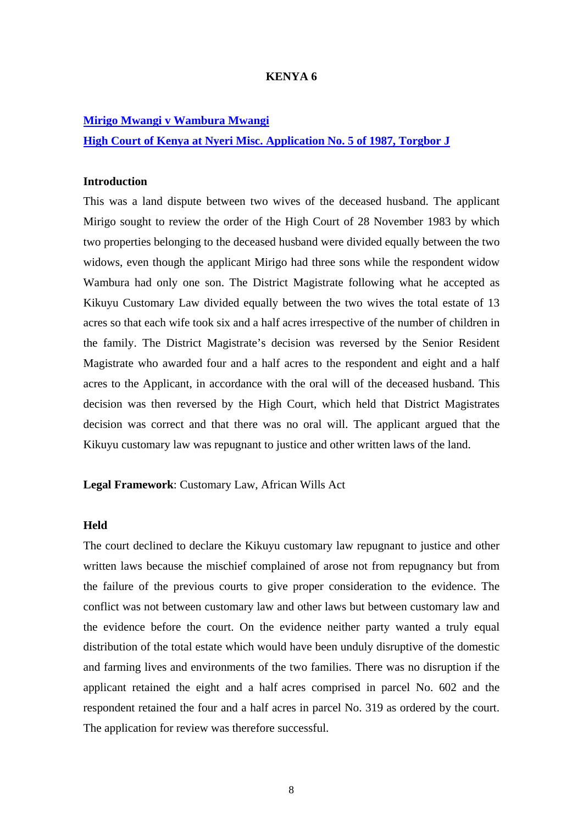#### <span id="page-35-0"></span>**Mirigo Mwangi v Wambura Mwangi**

**[High Court of Kenya at Nyeri Misc. Application No. 5 of 1987, Torgbor J](#page-3-1)**

#### **Introduction**

This was a land dispute between two wives of the deceased husband. The applicant Mirigo sought to review the order of the High Court of 28 November 1983 by which two properties belonging to the deceased husband were divided equally between the two widows, even though the applicant Mirigo had three sons while the respondent widow Wambura had only one son. The District Magistrate following what he accepted as Kikuyu Customary Law divided equally between the two wives the total estate of 13 acres so that each wife took six and a half acres irrespective of the number of children in the family. The District Magistrate's decision was reversed by the Senior Resident Magistrate who awarded four and a half acres to the respondent and eight and a half acres to the Applicant, in accordance with the oral will of the deceased husband. This decision was then reversed by the High Court, which held that District Magistrates decision was correct and that there was no oral will. The applicant argued that the Kikuyu customary law was repugnant to justice and other written laws of the land.

**Legal Framework**: Customary Law, African Wills Act

#### **Held**

The court declined to declare the Kikuyu customary law repugnant to justice and other written laws because the mischief complained of arose not from repugnancy but from the failure of the previous courts to give proper consideration to the evidence. The conflict was not between customary law and other laws but between customary law and the evidence before the court. On the evidence neither party wanted a truly equal distribution of the total estate which would have been unduly disruptive of the domestic and farming lives and environments of the two families. There was no disruption if the applicant retained the eight and a half acres comprised in parcel No. 602 and the respondent retained the four and a half acres in parcel No. 319 as ordered by the court. The application for review was therefore successful.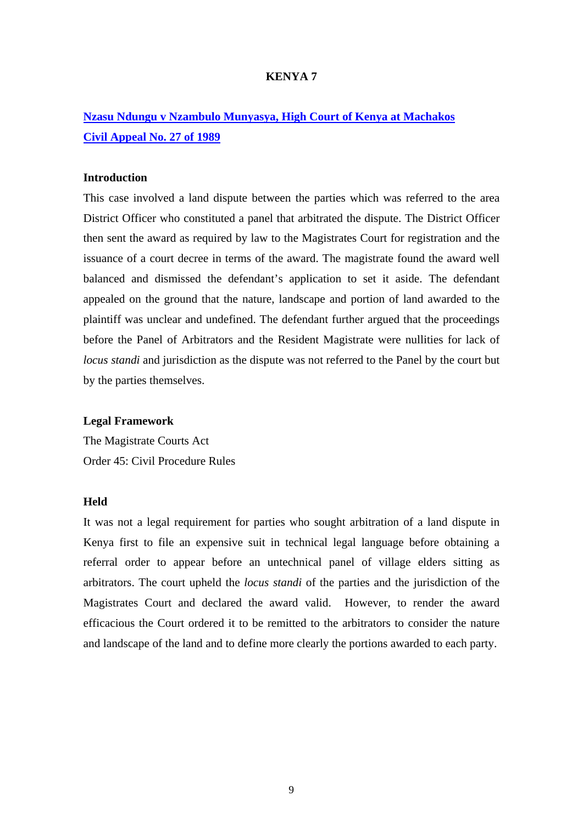# **[Nzasu Ndungu v Nzambulo Munyasya, High Court of Kenya at Machakos](#page-3-0) Civil Appeal No. 27 of 1989**

#### **Introduction**

This case involved a land dispute between the parties which was referred to the area District Officer who constituted a panel that arbitrated the dispute. The District Officer then sent the award as required by law to the Magistrates Court for registration and the issuance of a court decree in terms of the award. The magistrate found the award well balanced and dismissed the defendant's application to set it aside. The defendant appealed on the ground that the nature, landscape and portion of land awarded to the plaintiff was unclear and undefined. The defendant further argued that the proceedings before the Panel of Arbitrators and the Resident Magistrate were nullities for lack of *locus standi* and jurisdiction as the dispute was not referred to the Panel by the court but by the parties themselves.

#### **Legal Framework**

The Magistrate Courts Act Order 45: Civil Procedure Rules

## **Held**

It was not a legal requirement for parties who sought arbitration of a land dispute in Kenya first to file an expensive suit in technical legal language before obtaining a referral order to appear before an untechnical panel of village elders sitting as arbitrators. The court upheld the *locus standi* of the parties and the jurisdiction of the Magistrates Court and declared the award valid. However, to render the award efficacious the Court ordered it to be remitted to the arbitrators to consider the nature and landscape of the land and to define more clearly the portions awarded to each party.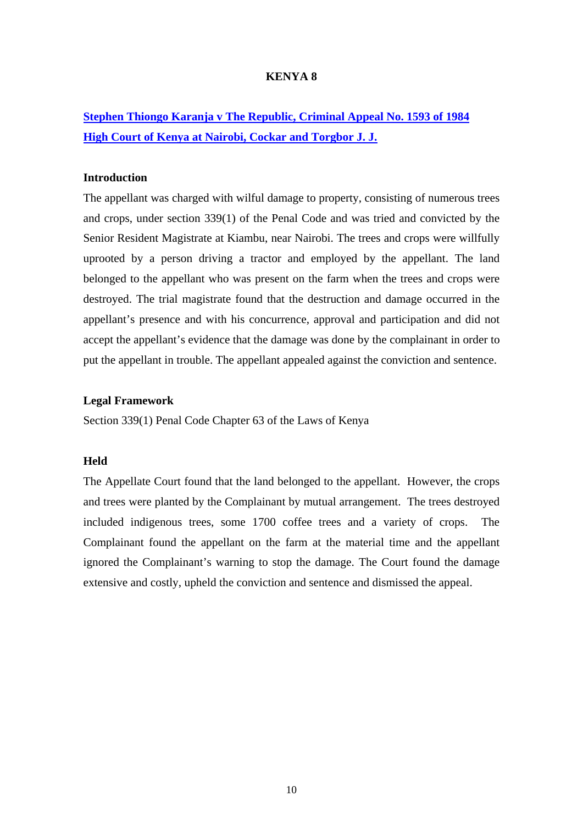# **[Stephen Thiongo Karanja v The Republic, Criminal Appeal No. 1593 of 1984](#page-3-0) High Court of Kenya at Nairobi, Cockar and Torgbor J. J.**

#### **Introduction**

The appellant was charged with wilful damage to property, consisting of numerous trees and crops, under section 339(1) of the Penal Code and was tried and convicted by the Senior Resident Magistrate at Kiambu, near Nairobi. The trees and crops were willfully uprooted by a person driving a tractor and employed by the appellant. The land belonged to the appellant who was present on the farm when the trees and crops were destroyed. The trial magistrate found that the destruction and damage occurred in the appellant's presence and with his concurrence, approval and participation and did not accept the appellant's evidence that the damage was done by the complainant in order to put the appellant in trouble. The appellant appealed against the conviction and sentence.

#### **Legal Framework**

Section 339(1) Penal Code Chapter 63 of the Laws of Kenya

### **Held**

The Appellate Court found that the land belonged to the appellant. However, the crops and trees were planted by the Complainant by mutual arrangement. The trees destroyed included indigenous trees, some 1700 coffee trees and a variety of crops. The Complainant found the appellant on the farm at the material time and the appellant ignored the Complainant's warning to stop the damage. The Court found the damage extensive and costly, upheld the conviction and sentence and dismissed the appeal.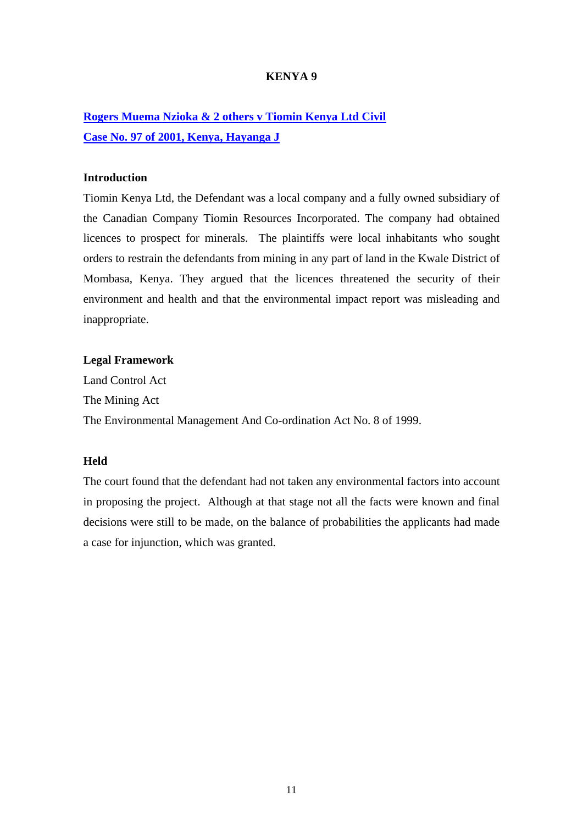# **[Rogers Muema Nzioka & 2 others v Tiomin Kenya Ltd Civil](#page-3-0) Case No. 97 of 2001, Kenya, Hayanga J**

## **Introduction**

Tiomin Kenya Ltd, the Defendant was a local company and a fully owned subsidiary of the Canadian Company Tiomin Resources Incorporated. The company had obtained licences to prospect for minerals. The plaintiffs were local inhabitants who sought orders to restrain the defendants from mining in any part of land in the Kwale District of Mombasa, Kenya. They argued that the licences threatened the security of their environment and health and that the environmental impact report was misleading and inappropriate.

#### **Legal Framework**

Land Control Act The Mining Act The Environmental Management And Co-ordination Act No. 8 of 1999.

## **Held**

The court found that the defendant had not taken any environmental factors into account in proposing the project. Although at that stage not all the facts were known and final decisions were still to be made, on the balance of probabilities the applicants had made a case for injunction, which was granted.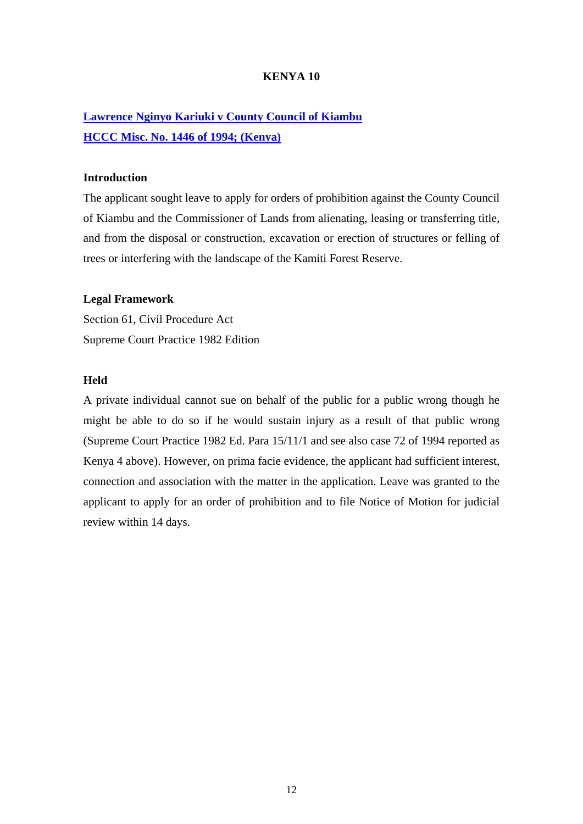# **[Lawrence Nginyo Kariuki v County Council of Kiambu](#page-3-0) HCCC Misc. No. 1446 of 1994; (Kenya)**

## **Introduction**

The applicant sought leave to apply for orders of prohibition against the County Council of Kiambu and the Commissioner of Lands from alienating, leasing or transferring title, and from the disposal or construction, excavation or erection of structures or felling of trees or interfering with the landscape of the Kamiti Forest Reserve.

#### **Legal Framework**

Section 61, Civil Procedure Act Supreme Court Practice 1982 Edition

# **Held**

A private individual cannot sue on behalf of the public for a public wrong though he might be able to do so if he would sustain injury as a result of that public wrong (Supreme Court Practice 1982 Ed. Para 15/11/1 and see also case 72 of 1994 reported as Kenya 4 above). However, on prima facie evidence, the applicant had sufficient interest, connection and association with the matter in the application. Leave was granted to the applicant to apply for an order of prohibition and to file Notice of Motion for judicial review within 14 days.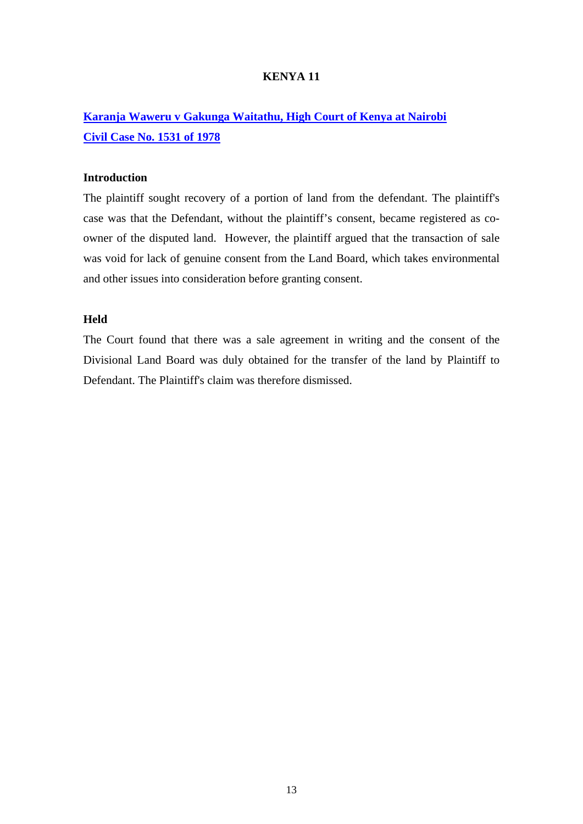# **[Karanja Waweru v Gakunga Waitathu, High Court of Kenya at Nairobi](#page-3-0) Civil Case No. 1531 of 1978**

### **Introduction**

The plaintiff sought recovery of a portion of land from the defendant. The plaintiff's case was that the Defendant, without the plaintiff's consent, became registered as coowner of the disputed land. However, the plaintiff argued that the transaction of sale was void for lack of genuine consent from the Land Board, which takes environmental and other issues into consideration before granting consent.

# **Held**

The Court found that there was a sale agreement in writing and the consent of the Divisional Land Board was duly obtained for the transfer of the land by Plaintiff to Defendant. The Plaintiff's claim was therefore dismissed.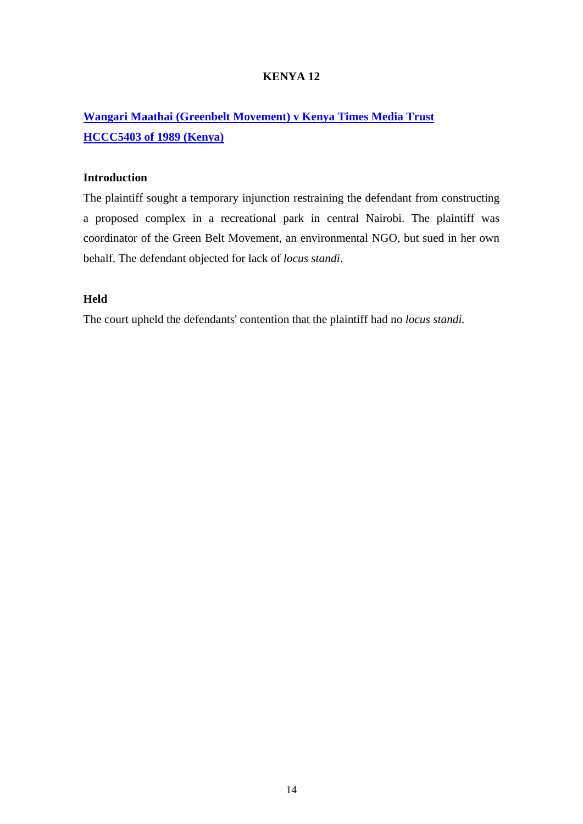# **[Wangari Maathai \(Greenbelt Movement\) v Kenya Times Media Trust](#page-3-0) HCCC5403 of 1989 (Kenya)**

# **Introduction**

The plaintiff sought a temporary injunction restraining the defendant from constructing a proposed complex in a recreational park in central Nairobi. The plaintiff was coordinator of the Green Belt Movement, an environmental NGO, but sued in her own behalf. The defendant objected for lack of *locus standi*.

# **Held**

The court upheld the defendants' contention that the plaintiff had no *locus standi.*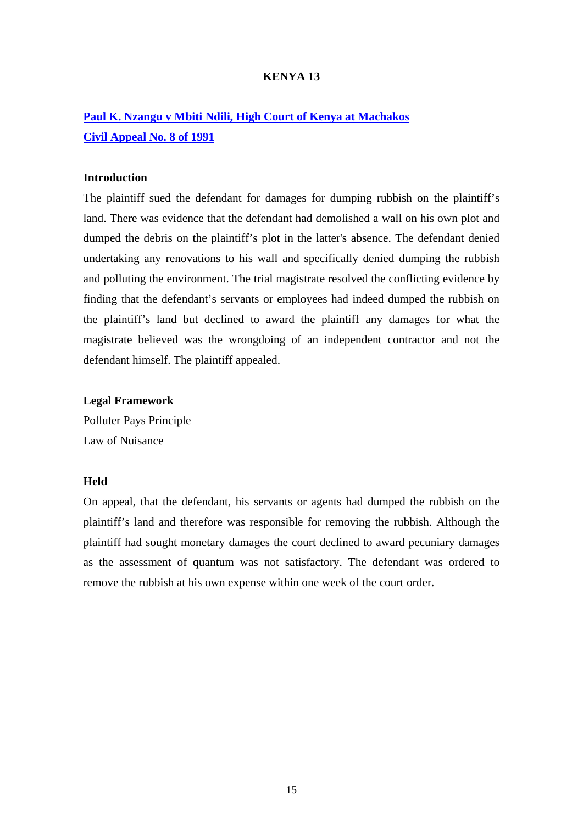# **[Paul K. Nzangu v Mbiti Ndili, High Court of Kenya at Machakos](#page-3-0) Civil Appeal No. 8 of 1991**

## **Introduction**

The plaintiff sued the defendant for damages for dumping rubbish on the plaintiff's land. There was evidence that the defendant had demolished a wall on his own plot and dumped the debris on the plaintiff's plot in the latter's absence. The defendant denied undertaking any renovations to his wall and specifically denied dumping the rubbish and polluting the environment. The trial magistrate resolved the conflicting evidence by finding that the defendant's servants or employees had indeed dumped the rubbish on the plaintiff's land but declined to award the plaintiff any damages for what the magistrate believed was the wrongdoing of an independent contractor and not the defendant himself. The plaintiff appealed.

#### **Legal Framework**

Polluter Pays Principle Law of Nuisance

## **Held**

On appeal, that the defendant, his servants or agents had dumped the rubbish on the plaintiff's land and therefore was responsible for removing the rubbish. Although the plaintiff had sought monetary damages the court declined to award pecuniary damages as the assessment of quantum was not satisfactory. The defendant was ordered to remove the rubbish at his own expense within one week of the court order.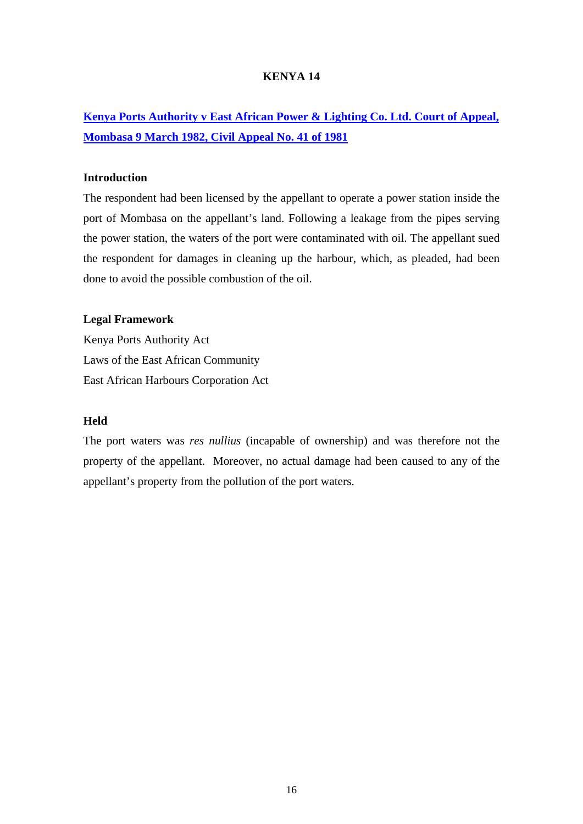# **[Kenya Ports Authority v East African Power & Lighting Co. Ltd. Court of Appeal,](#page-3-0)  Mombasa 9 March 1982, Civil Appeal No. 41 of 1981**

## **Introduction**

The respondent had been licensed by the appellant to operate a power station inside the port of Mombasa on the appellant's land. Following a leakage from the pipes serving the power station, the waters of the port were contaminated with oil. The appellant sued the respondent for damages in cleaning up the harbour, which, as pleaded, had been done to avoid the possible combustion of the oil.

## **Legal Framework**

Kenya Ports Authority Act Laws of the East African Community East African Harbours Corporation Act

#### **Held**

The port waters was *res nullius* (incapable of ownership) and was therefore not the property of the appellant. Moreover, no actual damage had been caused to any of the appellant's property from the pollution of the port waters.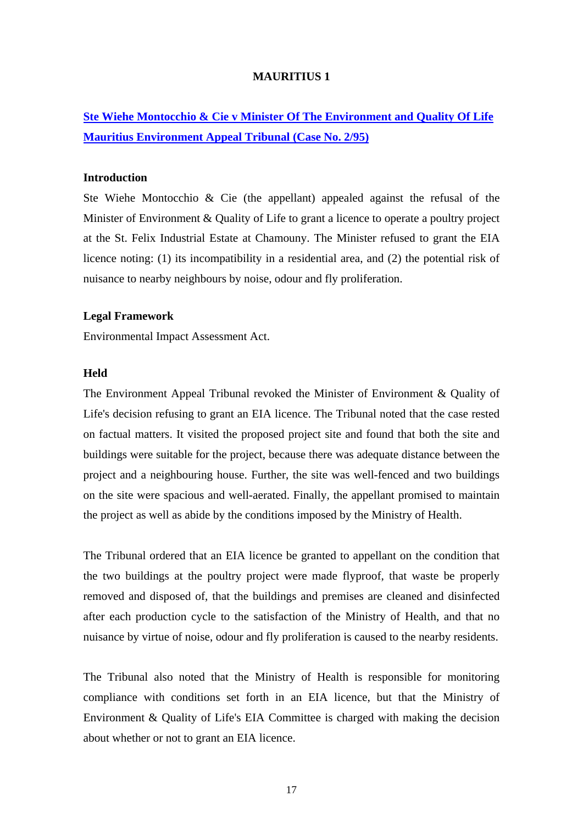### **MAURITIUS 1**

# **[Ste Wiehe Montocchio & Cie v Minister Of The Environment and Quality Of Life](#page-4-0) [Mauritius Environment Appeal Tribunal \(Case No. 2/95\)](#page-4-0)**

#### **Introduction**

Ste Wiehe Montocchio & Cie (the appellant) appealed against the refusal of the Minister of Environment & Quality of Life to grant a licence to operate a poultry project at the St. Felix Industrial Estate at Chamouny. The Minister refused to grant the EIA licence noting: (1) its incompatibility in a residential area, and (2) the potential risk of nuisance to nearby neighbours by noise, odour and fly proliferation.

#### **Legal Framework**

Environmental Impact Assessment Act.

#### **Held**

The Environment Appeal Tribunal revoked the Minister of Environment & Quality of Life's decision refusing to grant an EIA licence. The Tribunal noted that the case rested on factual matters. It visited the proposed project site and found that both the site and buildings were suitable for the project, because there was adequate distance between the project and a neighbouring house. Further, the site was well-fenced and two buildings on the site were spacious and well-aerated. Finally, the appellant promised to maintain the project as well as abide by the conditions imposed by the Ministry of Health.

The Tribunal ordered that an EIA licence be granted to appellant on the condition that the two buildings at the poultry project were made flyproof, that waste be properly removed and disposed of, that the buildings and premises are cleaned and disinfected after each production cycle to the satisfaction of the Ministry of Health, and that no nuisance by virtue of noise, odour and fly proliferation is caused to the nearby residents.

The Tribunal also noted that the Ministry of Health is responsible for monitoring compliance with conditions set forth in an EIA licence, but that the Ministry of Environment & Quality of Life's EIA Committee is charged with making the decision about whether or not to grant an EIA licence.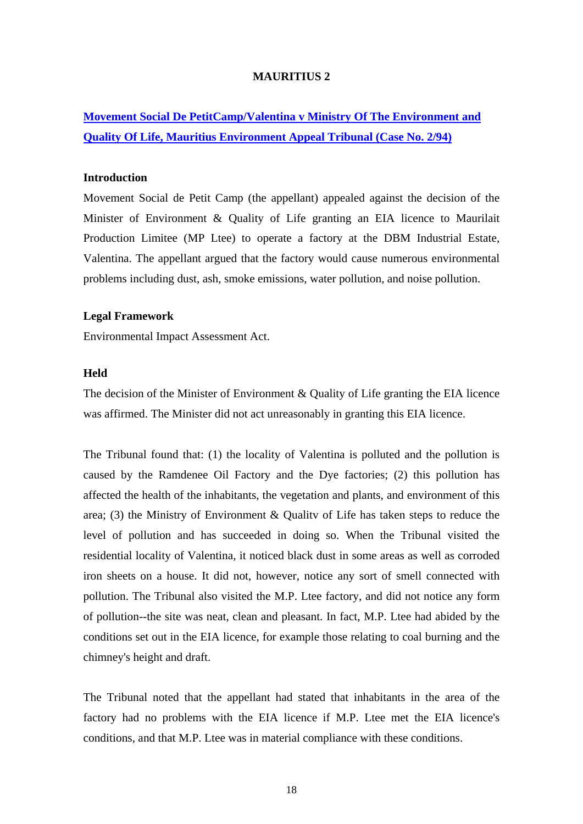### **MAURITIUS 2**

# **[Movement Social De PetitCamp/Valentina v Ministry Of The Environment and](#page-4-0)  [Quality Of Life, Mauritius Environment Appeal Tribunal \(Case No. 2/94\)](#page-4-0)**

#### **Introduction**

Movement Social de Petit Camp (the appellant) appealed against the decision of the Minister of Environment & Quality of Life granting an EIA licence to Maurilait Production Limitee (MP Ltee) to operate a factory at the DBM Industrial Estate, Valentina. The appellant argued that the factory would cause numerous environmental problems including dust, ash, smoke emissions, water pollution, and noise pollution.

#### **Legal Framework**

Environmental Impact Assessment Act.

#### **Held**

The decision of the Minister of Environment & Quality of Life granting the EIA licence was affirmed. The Minister did not act unreasonably in granting this EIA licence.

The Tribunal found that: (1) the locality of Valentina is polluted and the pollution is caused by the Ramdenee Oil Factory and the Dye factories; (2) this pollution has affected the health of the inhabitants, the vegetation and plants, and environment of this area; (3) the Ministry of Environment & Qualitv of Life has taken steps to reduce the level of pollution and has succeeded in doing so. When the Tribunal visited the residential locality of Valentina, it noticed black dust in some areas as well as corroded iron sheets on a house. It did not, however, notice any sort of smell connected with pollution. The Tribunal also visited the M.P. Ltee factory, and did not notice any form of pollution--the site was neat, clean and pleasant. In fact, M.P. Ltee had abided by the conditions set out in the EIA licence, for example those relating to coal burning and the chimney's height and draft.

The Tribunal noted that the appellant had stated that inhabitants in the area of the factory had no problems with the EIA licence if M.P. Ltee met the EIA licence's conditions, and that M.P. Ltee was in material compliance with these conditions.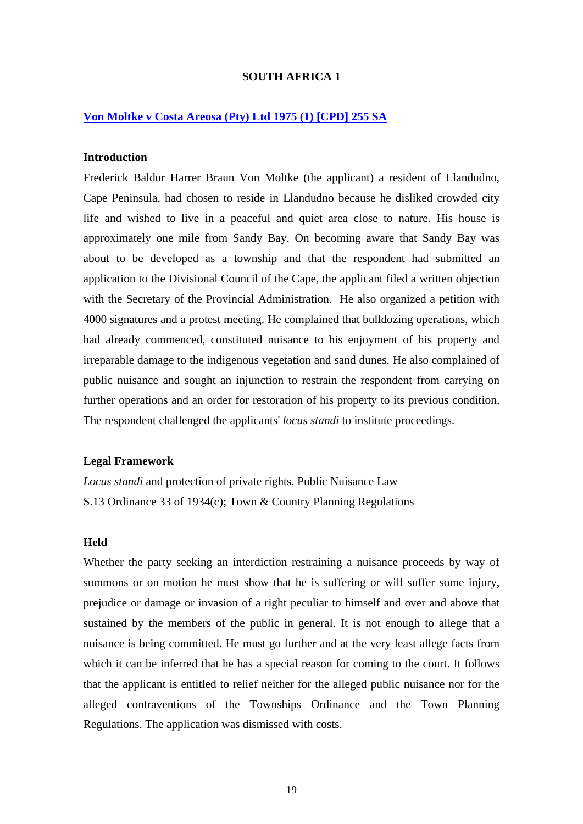## **[Von Moltke v Costa Areosa \(Pty\) Ltd 1975 \(1\) \[CPD\] 255 SA](#page-4-0)**

## **Introduction**

Frederick Baldur Harrer Braun Von Moltke (the applicant) a resident of Llandudno, Cape Peninsula, had chosen to reside in Llandudno because he disliked crowded city life and wished to live in a peaceful and quiet area close to nature. His house is approximately one mile from Sandy Bay. On becoming aware that Sandy Bay was about to be developed as a township and that the respondent had submitted an application to the Divisional Council of the Cape, the applicant filed a written objection with the Secretary of the Provincial Administration. He also organized a petition with 4000 signatures and a protest meeting. He complained that bulldozing operations, which had already commenced, constituted nuisance to his enjoyment of his property and irreparable damage to the indigenous vegetation and sand dunes. He also complained of public nuisance and sought an injunction to restrain the respondent from carrying on further operations and an order for restoration of his property to its previous condition. The respondent challenged the applicants' *locus standi* to institute proceedings.

#### **Legal Framework**

*Locus standi* and protection of private rights. Public Nuisance Law S.13 Ordinance 33 of 1934(c); Town & Country Planning Regulations

### **Held**

Whether the party seeking an interdiction restraining a nuisance proceeds by way of summons or on motion he must show that he is suffering or will suffer some injury, prejudice or damage or invasion of a right peculiar to himself and over and above that sustained by the members of the public in general. It is not enough to allege that a nuisance is being committed. He must go further and at the very least allege facts from which it can be inferred that he has a special reason for coming to the court. It follows that the applicant is entitled to relief neither for the alleged public nuisance nor for the alleged contraventions of the Townships Ordinance and the Town Planning Regulations. The application was dismissed with costs.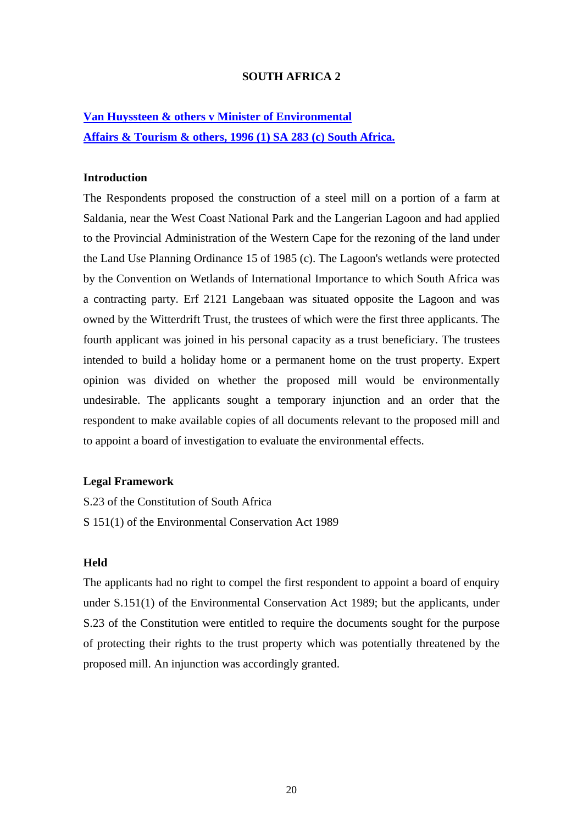# **[Van Huyssteen & others v Minister of Environmental](#page-4-0) [Affairs & Tourism & others, 1996 \(1\) SA 283 \(c\) South Africa.](#page-4-0)**

### **Introduction**

The Respondents proposed the construction of a steel mill on a portion of a farm at Saldania, near the West Coast National Park and the Langerian Lagoon and had applied to the Provincial Administration of the Western Cape for the rezoning of the land under the Land Use Planning Ordinance 15 of 1985 (c). The Lagoon's wetlands were protected by the Convention on Wetlands of International Importance to which South Africa was a contracting party. Erf 2121 Langebaan was situated opposite the Lagoon and was owned by the Witterdrift Trust, the trustees of which were the first three applicants. The fourth applicant was joined in his personal capacity as a trust beneficiary. The trustees intended to build a holiday home or a permanent home on the trust property. Expert opinion was divided on whether the proposed mill would be environmentally undesirable. The applicants sought a temporary injunction and an order that the respondent to make available copies of all documents relevant to the proposed mill and to appoint a board of investigation to evaluate the environmental effects.

#### **Legal Framework**

S.23 of the Constitution of South Africa S 151(1) of the Environmental Conservation Act 1989

### **Held**

The applicants had no right to compel the first respondent to appoint a board of enquiry under S.151(1) of the Environmental Conservation Act 1989; but the applicants, under S.23 of the Constitution were entitled to require the documents sought for the purpose of protecting their rights to the trust property which was potentially threatened by the proposed mill. An injunction was accordingly granted.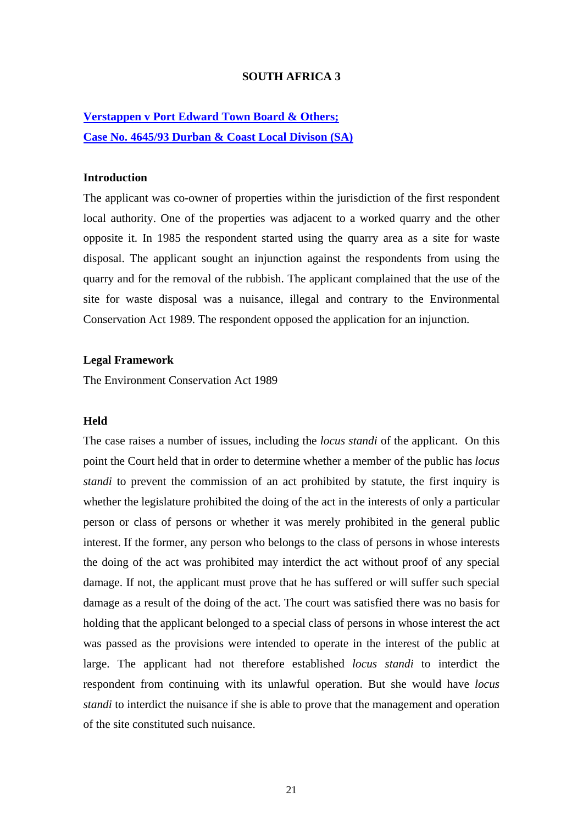# **Verstappen v Port Edward Town Board & Others; [Case No. 4645/93 Durban & Coast Local Divison \(SA\)](#page-4-1)**

#### **Introduction**

The applicant was co-owner of properties within the jurisdiction of the first respondent local authority. One of the properties was adjacent to a worked quarry and the other opposite it. In 1985 the respondent started using the quarry area as a site for waste disposal. The applicant sought an injunction against the respondents from using the quarry and for the removal of the rubbish. The applicant complained that the use of the site for waste disposal was a nuisance, illegal and contrary to the Environmental Conservation Act 1989. The respondent opposed the application for an injunction.

#### **Legal Framework**

The Environment Conservation Act 1989

#### **Held**

The case raises a number of issues, including the *locus standi* of the applicant. On this point the Court held that in order to determine whether a member of the public has *locus standi* to prevent the commission of an act prohibited by statute, the first inquiry is whether the legislature prohibited the doing of the act in the interests of only a particular person or class of persons or whether it was merely prohibited in the general public interest. If the former, any person who belongs to the class of persons in whose interests the doing of the act was prohibited may interdict the act without proof of any special damage. If not, the applicant must prove that he has suffered or will suffer such special damage as a result of the doing of the act. The court was satisfied there was no basis for holding that the applicant belonged to a special class of persons in whose interest the act was passed as the provisions were intended to operate in the interest of the public at large. The applicant had not therefore established *locus standi* to interdict the respondent from continuing with its unlawful operation. But she would have *locus standi* to interdict the nuisance if she is able to prove that the management and operation of the site constituted such nuisance.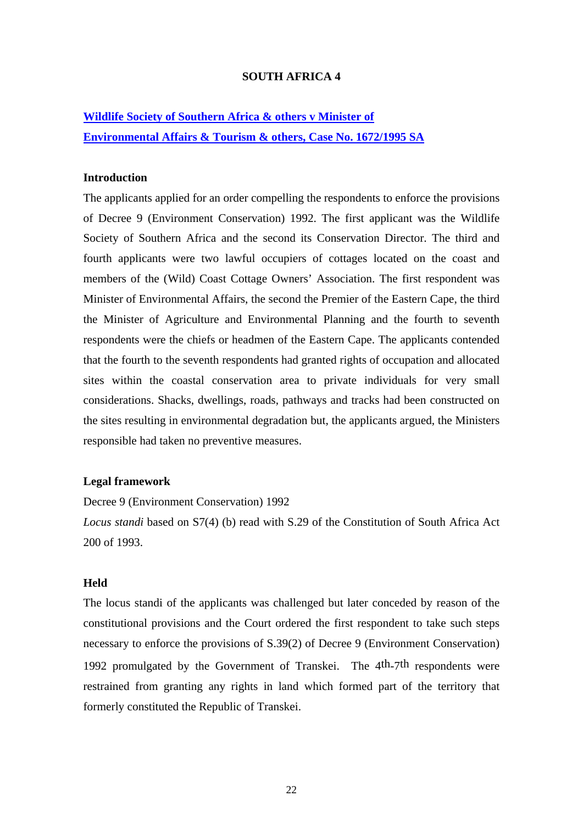# **Wildlife Society of Southern Africa & others v Minister of [Environmental Affairs & Tourism & others, Case No. 1672/1995 SA](#page-4-1)**

## **Introduction**

The applicants applied for an order compelling the respondents to enforce the provisions of Decree 9 (Environment Conservation) 1992. The first applicant was the Wildlife Society of Southern Africa and the second its Conservation Director. The third and fourth applicants were two lawful occupiers of cottages located on the coast and members of the (Wild) Coast Cottage Owners' Association. The first respondent was Minister of Environmental Affairs, the second the Premier of the Eastern Cape, the third the Minister of Agriculture and Environmental Planning and the fourth to seventh respondents were the chiefs or headmen of the Eastern Cape. The applicants contended that the fourth to the seventh respondents had granted rights of occupation and allocated sites within the coastal conservation area to private individuals for very small considerations. Shacks, dwellings, roads, pathways and tracks had been constructed on the sites resulting in environmental degradation but, the applicants argued, the Ministers responsible had taken no preventive measures.

#### **Legal framework**

Decree 9 (Environment Conservation) 1992

*Locus standi* based on S7(4) (b) read with S.29 of the Constitution of South Africa Act 200 of 1993.

## **Held**

The locus standi of the applicants was challenged but later conceded by reason of the constitutional provisions and the Court ordered the first respondent to take such steps necessary to enforce the provisions of S.39(2) of Decree 9 (Environment Conservation) 1992 promulgated by the Government of Transkei. The 4th-7th respondents were restrained from granting any rights in land which formed part of the territory that formerly constituted the Republic of Transkei.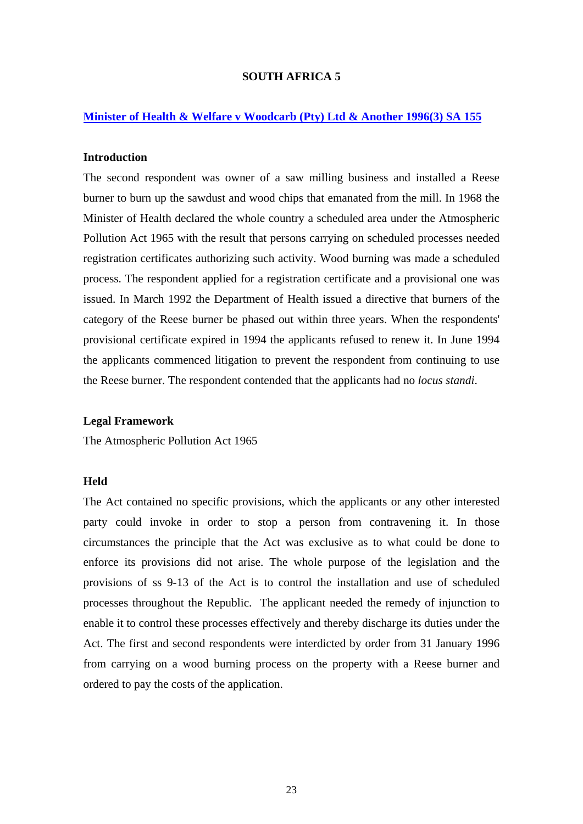## **[Minister of Health & Welfare v Woodcarb \(Pty\) Ltd & Another 1996\(3\) SA 155](#page-4-1)**

## **Introduction**

The second respondent was owner of a saw milling business and installed a Reese burner to burn up the sawdust and wood chips that emanated from the mill. In 1968 the Minister of Health declared the whole country a scheduled area under the Atmospheric Pollution Act 1965 with the result that persons carrying on scheduled processes needed registration certificates authorizing such activity. Wood burning was made a scheduled process. The respondent applied for a registration certificate and a provisional one was issued. In March 1992 the Department of Health issued a directive that burners of the category of the Reese burner be phased out within three years. When the respondents' provisional certificate expired in 1994 the applicants refused to renew it. In June 1994 the applicants commenced litigation to prevent the respondent from continuing to use the Reese burner. The respondent contended that the applicants had no *locus standi*.

#### **Legal Framework**

The Atmospheric Pollution Act 1965

## **Held**

The Act contained no specific provisions, which the applicants or any other interested party could invoke in order to stop a person from contravening it. In those circumstances the principle that the Act was exclusive as to what could be done to enforce its provisions did not arise. The whole purpose of the legislation and the provisions of ss 9-13 of the Act is to control the installation and use of scheduled processes throughout the Republic. The applicant needed the remedy of injunction to enable it to control these processes effectively and thereby discharge its duties under the Act. The first and second respondents were interdicted by order from 31 January 1996 from carrying on a wood burning process on the property with a Reese burner and ordered to pay the costs of the application.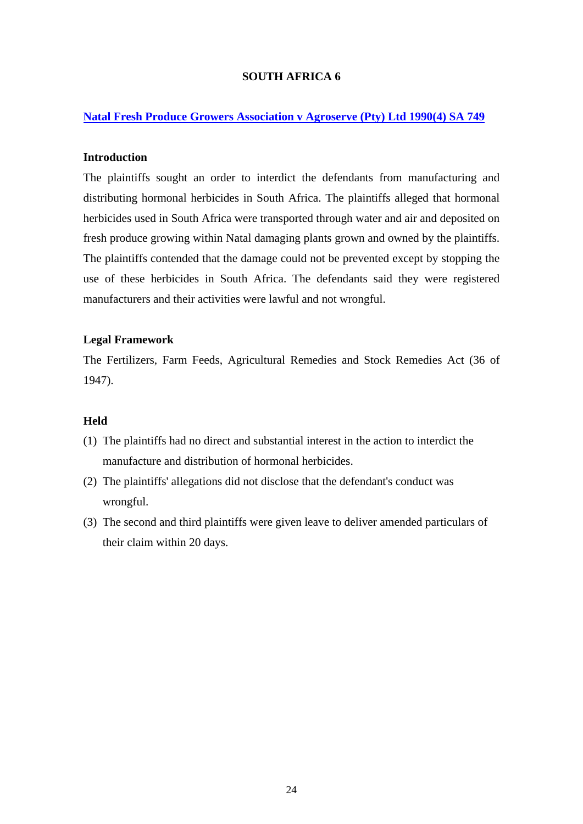## **[Natal Fresh Produce Growers Association v Agroserve \(Pty\) Ltd 1990\(4\) SA 749](#page-4-1)**

## **Introduction**

The plaintiffs sought an order to interdict the defendants from manufacturing and distributing hormonal herbicides in South Africa. The plaintiffs alleged that hormonal herbicides used in South Africa were transported through water and air and deposited on fresh produce growing within Natal damaging plants grown and owned by the plaintiffs. The plaintiffs contended that the damage could not be prevented except by stopping the use of these herbicides in South Africa. The defendants said they were registered manufacturers and their activities were lawful and not wrongful.

## **Legal Framework**

The Fertilizers, Farm Feeds, Agricultural Remedies and Stock Remedies Act (36 of 1947).

## **Held**

- (1) The plaintiffs had no direct and substantial interest in the action to interdict the manufacture and distribution of hormonal herbicides.
- (2) The plaintiffs' allegations did not disclose that the defendant's conduct was wrongful.
- (3) The second and third plaintiffs were given leave to deliver amended particulars of their claim within 20 days.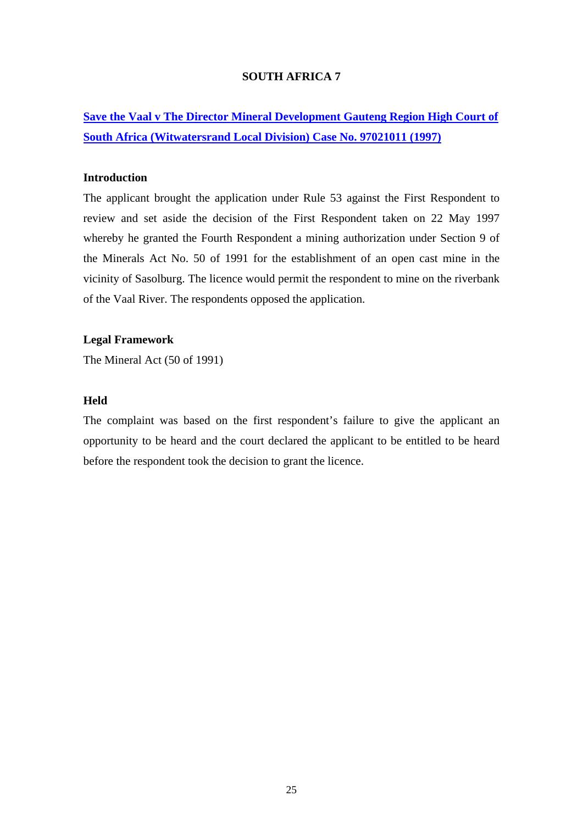# **[Save the Vaal v The Director Mineral Development Gauteng Region High Court of](#page-4-1)  South Africa (Witwatersrand Local Division) Case No. 97021011 (1997)**

## **Introduction**

The applicant brought the application under Rule 53 against the First Respondent to review and set aside the decision of the First Respondent taken on 22 May 1997 whereby he granted the Fourth Respondent a mining authorization under Section 9 of the Minerals Act No. 50 of 1991 for the establishment of an open cast mine in the vicinity of Sasolburg. The licence would permit the respondent to mine on the riverbank of the Vaal River. The respondents opposed the application.

## **Legal Framework**

The Mineral Act (50 of 1991)

### **Held**

The complaint was based on the first respondent's failure to give the applicant an opportunity to be heard and the court declared the applicant to be entitled to be heard before the respondent took the decision to grant the licence.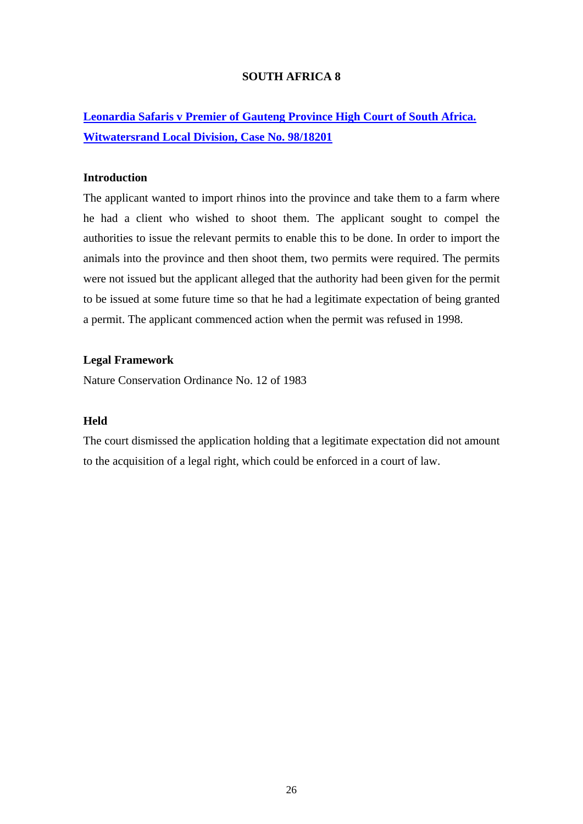# **[Leonardia Safaris v Premier of Gauteng Province High Court of South Africa.](#page-4-1) Witwatersrand Local Division, Case No. 98/18201**

### **Introduction**

The applicant wanted to import rhinos into the province and take them to a farm where he had a client who wished to shoot them. The applicant sought to compel the authorities to issue the relevant permits to enable this to be done. In order to import the animals into the province and then shoot them, two permits were required. The permits were not issued but the applicant alleged that the authority had been given for the permit to be issued at some future time so that he had a legitimate expectation of being granted a permit. The applicant commenced action when the permit was refused in 1998.

#### **Legal Framework**

Nature Conservation Ordinance No. 12 of 1983

#### **Held**

The court dismissed the application holding that a legitimate expectation did not amount to the acquisition of a legal right, which could be enforced in a court of law.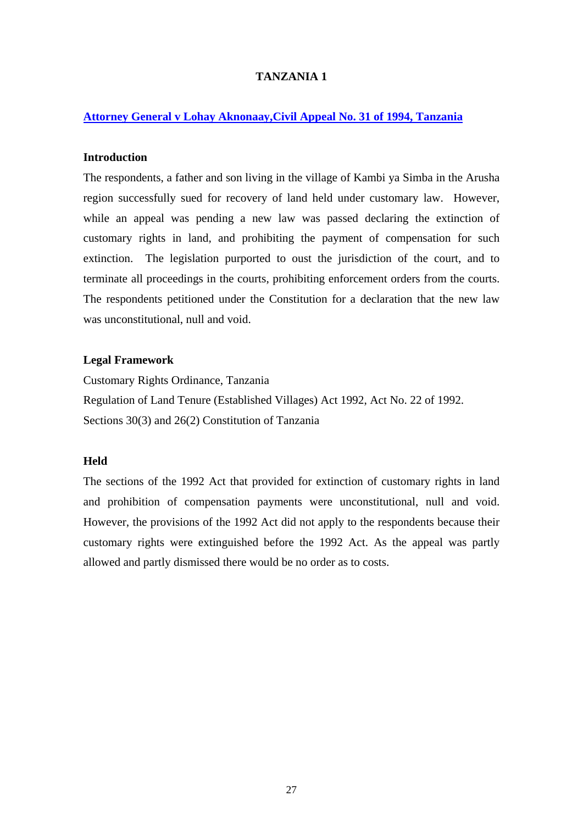# **TANZANIA 1**

## **[Attorney General v Lohay Aknonaay,Civil Appeal No. 31 of 1994, Tanzania](#page-4-1)**

## **Introduction**

The respondents, a father and son living in the village of Kambi ya Simba in the Arusha region successfully sued for recovery of land held under customary law. However, while an appeal was pending a new law was passed declaring the extinction of customary rights in land, and prohibiting the payment of compensation for such extinction. The legislation purported to oust the jurisdiction of the court, and to terminate all proceedings in the courts, prohibiting enforcement orders from the courts. The respondents petitioned under the Constitution for a declaration that the new law was unconstitutional, null and void.

### **Legal Framework**

Customary Rights Ordinance, Tanzania Regulation of Land Tenure (Established Villages) Act 1992, Act No. 22 of 1992. Sections 30(3) and 26(2) Constitution of Tanzania

## **Held**

The sections of the 1992 Act that provided for extinction of customary rights in land and prohibition of compensation payments were unconstitutional, null and void. However, the provisions of the 1992 Act did not apply to the respondents because their customary rights were extinguished before the 1992 Act. As the appeal was partly allowed and partly dismissed there would be no order as to costs.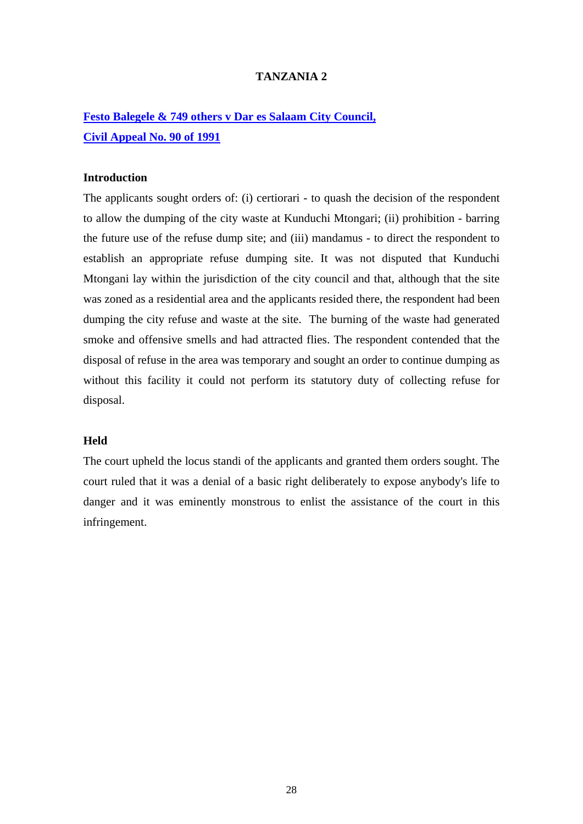# **TANZANIA 2**

# **[Festo Balegele & 749 others v Dar es Salaam City Council,](#page-4-1) Civil Appeal No. 90 of 1991**

## **Introduction**

The applicants sought orders of: (i) certiorari - to quash the decision of the respondent to allow the dumping of the city waste at Kunduchi Mtongari; (ii) prohibition - barring the future use of the refuse dump site; and (iii) mandamus - to direct the respondent to establish an appropriate refuse dumping site. It was not disputed that Kunduchi Mtongani lay within the jurisdiction of the city council and that, although that the site was zoned as a residential area and the applicants resided there, the respondent had been dumping the city refuse and waste at the site. The burning of the waste had generated smoke and offensive smells and had attracted flies. The respondent contended that the disposal of refuse in the area was temporary and sought an order to continue dumping as without this facility it could not perform its statutory duty of collecting refuse for disposal.

#### **Held**

The court upheld the locus standi of the applicants and granted them orders sought. The court ruled that it was a denial of a basic right deliberately to expose anybody's life to danger and it was eminently monstrous to enlist the assistance of the court in this infringement.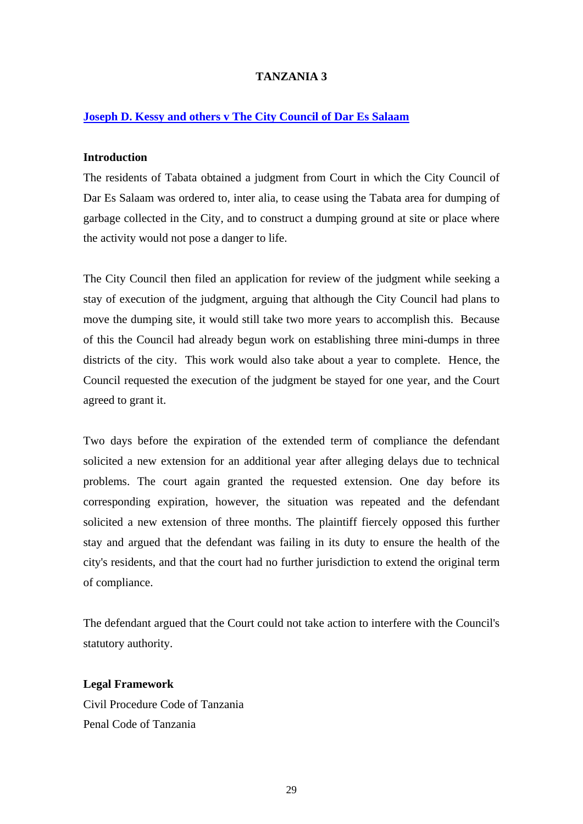# **TANZANIA 3**

## **[Joseph D. Kessy and others v The City Council of Dar Es Salaam](#page-4-1)**

## **Introduction**

The residents of Tabata obtained a judgment from Court in which the City Council of Dar Es Salaam was ordered to, inter alia, to cease using the Tabata area for dumping of garbage collected in the City, and to construct a dumping ground at site or place where the activity would not pose a danger to life.

The City Council then filed an application for review of the judgment while seeking a stay of execution of the judgment, arguing that although the City Council had plans to move the dumping site, it would still take two more years to accomplish this. Because of this the Council had already begun work on establishing three mini-dumps in three districts of the city. This work would also take about a year to complete. Hence, the Council requested the execution of the judgment be stayed for one year, and the Court agreed to grant it.

Two days before the expiration of the extended term of compliance the defendant solicited a new extension for an additional year after alleging delays due to technical problems. The court again granted the requested extension. One day before its corresponding expiration, however, the situation was repeated and the defendant solicited a new extension of three months. The plaintiff fiercely opposed this further stay and argued that the defendant was failing in its duty to ensure the health of the city's residents, and that the court had no further jurisdiction to extend the original term of compliance.

The defendant argued that the Court could not take action to interfere with the Council's statutory authority.

#### **Legal Framework**

Civil Procedure Code of Tanzania Penal Code of Tanzania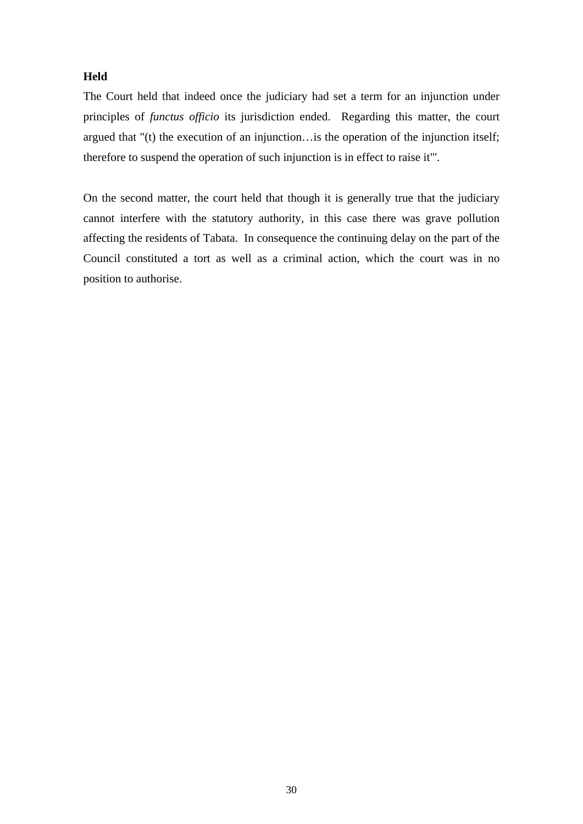# **Held**

The Court held that indeed once the judiciary had set a term for an injunction under principles of *functus officio* its jurisdiction ended. Regarding this matter, the court argued that "(t) the execution of an injunction…is the operation of the injunction itself; therefore to suspend the operation of such injunction is in effect to raise it"'.

On the second matter, the court held that though it is generally true that the judiciary cannot interfere with the statutory authority, in this case there was grave pollution affecting the residents of Tabata. In consequence the continuing delay on the part of the Council constituted a tort as well as a criminal action, which the court was in no position to authorise.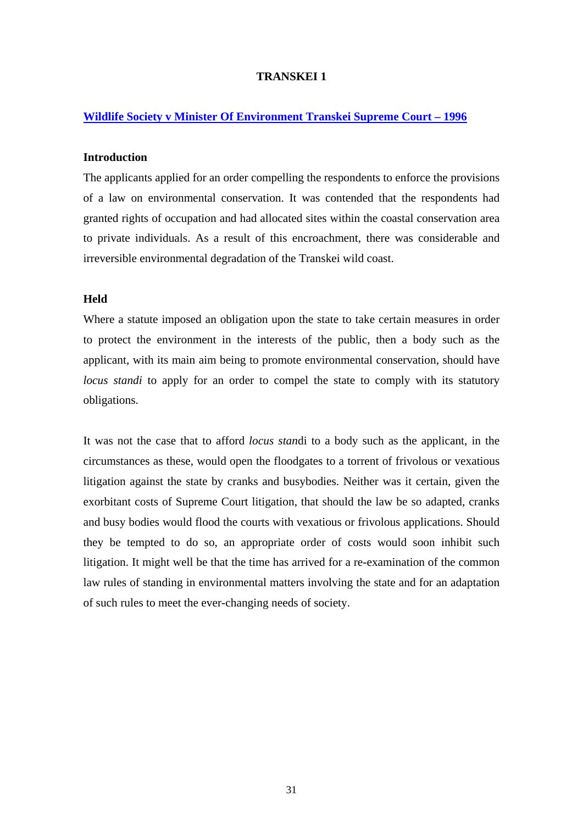## **TRANSKEI 1**

## **[Wildlife Society v Minister Of Environment Transkei Supreme Court – 1996](#page-4-1)**

## **Introduction**

The applicants applied for an order compelling the respondents to enforce the provisions of a law on environmental conservation. It was contended that the respondents had granted rights of occupation and had allocated sites within the coastal conservation area to private individuals. As a result of this encroachment, there was considerable and irreversible environmental degradation of the Transkei wild coast.

## **Held**

Where a statute imposed an obligation upon the state to take certain measures in order to protect the environment in the interests of the public, then a body such as the applicant, with its main aim being to promote environmental conservation, should have *locus standi* to apply for an order to compel the state to comply with its statutory obligations.

It was not the case that to afford *locus stan*di to a body such as the applicant, in the circumstances as these, would open the floodgates to a torrent of frivolous or vexatious litigation against the state by cranks and busybodies. Neither was it certain, given the exorbitant costs of Supreme Court litigation, that should the law be so adapted, cranks and busy bodies would flood the courts with vexatious or frivolous applications. Should they be tempted to do so, an appropriate order of costs would soon inhibit such litigation. It might well be that the time has arrived for a re-examination of the common law rules of standing in environmental matters involving the state and for an adaptation of such rules to meet the ever-changing needs of society.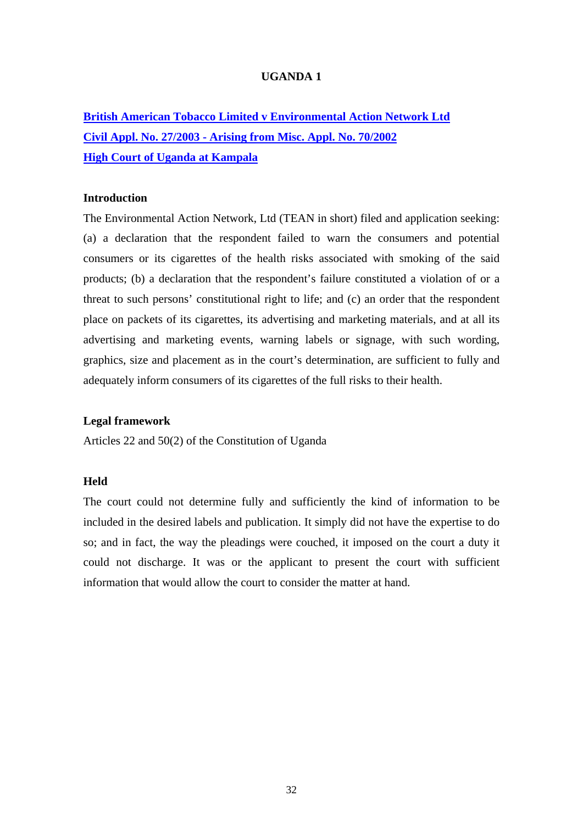**[British American Tobacco Limited v Environmental Action Network Ltd](#page-5-0) [Civil Appl. No. 27/2003 - Arising from Misc. Appl. No. 70/2002](#page-5-0) [High Court of Uganda at Kampala](#page-5-0)**

#### **Introduction**

The Environmental Action Network, Ltd (TEAN in short) filed and application seeking: (a) a declaration that the respondent failed to warn the consumers and potential consumers or its cigarettes of the health risks associated with smoking of the said products; (b) a declaration that the respondent's failure constituted a violation of or a threat to such persons' constitutional right to life; and (c) an order that the respondent place on packets of its cigarettes, its advertising and marketing materials, and at all its advertising and marketing events, warning labels or signage, with such wording, graphics, size and placement as in the court's determination, are sufficient to fully and adequately inform consumers of its cigarettes of the full risks to their health.

#### **Legal framework**

Articles 22 and 50(2) of the Constitution of Uganda

## **Held**

The court could not determine fully and sufficiently the kind of information to be included in the desired labels and publication. It simply did not have the expertise to do so; and in fact, the way the pleadings were couched, it imposed on the court a duty it could not discharge. It was or the applicant to present the court with sufficient information that would allow the court to consider the matter at hand.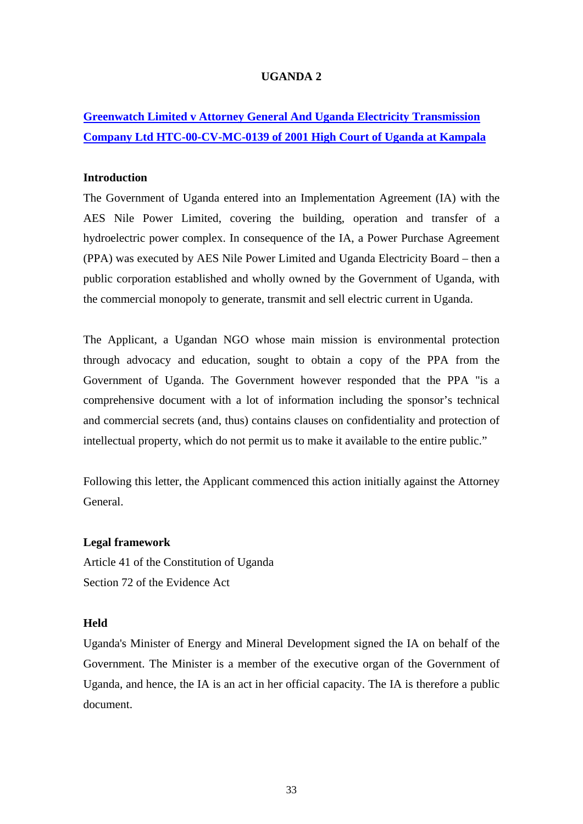# **[Greenwatch Limited v Attorney General And Uganda Electricity Transmission](#page-5-0)  [Company Ltd HTC-00-CV-MC-0139 of 2001 High Court of Uganda at Kampala](#page-5-0)**

### **Introduction**

The Government of Uganda entered into an Implementation Agreement (IA) with the AES Nile Power Limited, covering the building, operation and transfer of a hydroelectric power complex. In consequence of the IA, a Power Purchase Agreement (PPA) was executed by AES Nile Power Limited and Uganda Electricity Board – then a public corporation established and wholly owned by the Government of Uganda, with the commercial monopoly to generate, transmit and sell electric current in Uganda.

The Applicant, a Ugandan NGO whose main mission is environmental protection through advocacy and education, sought to obtain a copy of the PPA from the Government of Uganda. The Government however responded that the PPA "is a comprehensive document with a lot of information including the sponsor's technical and commercial secrets (and, thus) contains clauses on confidentiality and protection of intellectual property, which do not permit us to make it available to the entire public."

Following this letter, the Applicant commenced this action initially against the Attorney General.

#### **Legal framework**

Article 41 of the Constitution of Uganda Section 72 of the Evidence Act

#### **Held**

Uganda's Minister of Energy and Mineral Development signed the IA on behalf of the Government. The Minister is a member of the executive organ of the Government of Uganda, and hence, the IA is an act in her official capacity. The IA is therefore a public document.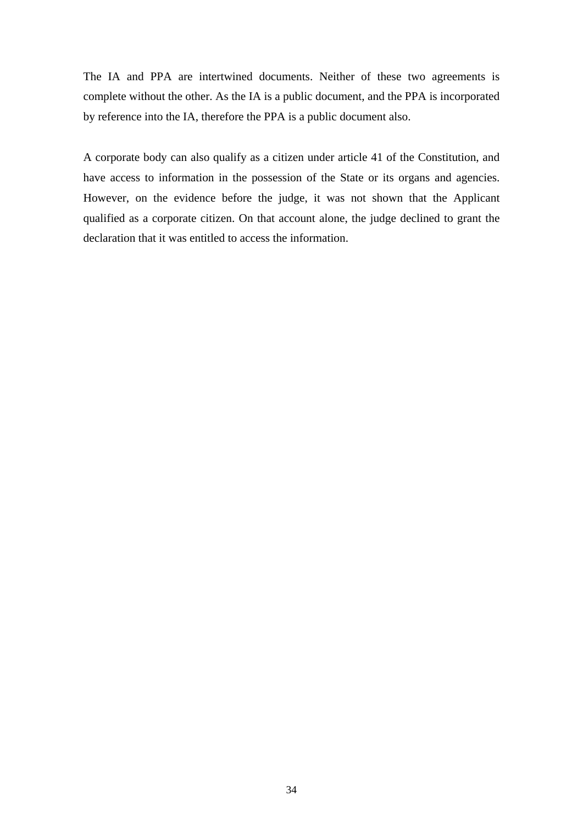The IA and PPA are intertwined documents. Neither of these two agreements is complete without the other. As the IA is a public document, and the PPA is incorporated by reference into the IA, therefore the PPA is a public document also.

A corporate body can also qualify as a citizen under article 41 of the Constitution, and have access to information in the possession of the State or its organs and agencies. However, on the evidence before the judge, it was not shown that the Applicant qualified as a corporate citizen. On that account alone, the judge declined to grant the declaration that it was entitled to access the information.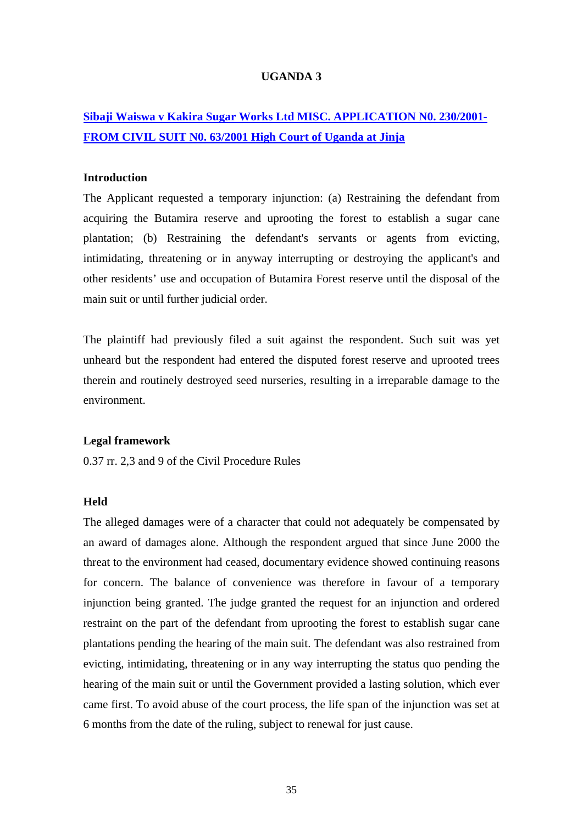# **[Sibaji Waiswa v Kakira Sugar Works Ltd MISC. APPLICATION N0. 230/2001-](#page-5-0) [FROM CIVIL SUIT N0. 63/2001 High Court of Uganda at Jinja](#page-5-0)**

#### **Introduction**

The Applicant requested a temporary injunction: (a) Restraining the defendant from acquiring the Butamira reserve and uprooting the forest to establish a sugar cane plantation; (b) Restraining the defendant's servants or agents from evicting, intimidating, threatening or in anyway interrupting or destroying the applicant's and other residents' use and occupation of Butamira Forest reserve until the disposal of the main suit or until further judicial order.

The plaintiff had previously filed a suit against the respondent. Such suit was yet unheard but the respondent had entered the disputed forest reserve and uprooted trees therein and routinely destroyed seed nurseries, resulting in a irreparable damage to the environment.

#### **Legal framework**

0.37 rr. 2,3 and 9 of the Civil Procedure Rules

## **Held**

The alleged damages were of a character that could not adequately be compensated by an award of damages alone. Although the respondent argued that since June 2000 the threat to the environment had ceased, documentary evidence showed continuing reasons for concern. The balance of convenience was therefore in favour of a temporary injunction being granted. The judge granted the request for an injunction and ordered restraint on the part of the defendant from uprooting the forest to establish sugar cane plantations pending the hearing of the main suit. The defendant was also restrained from evicting, intimidating, threatening or in any way interrupting the status quo pending the hearing of the main suit or until the Government provided a lasting solution, which ever came first. To avoid abuse of the court process, the life span of the injunction was set at 6 months from the date of the ruling, subject to renewal for just cause.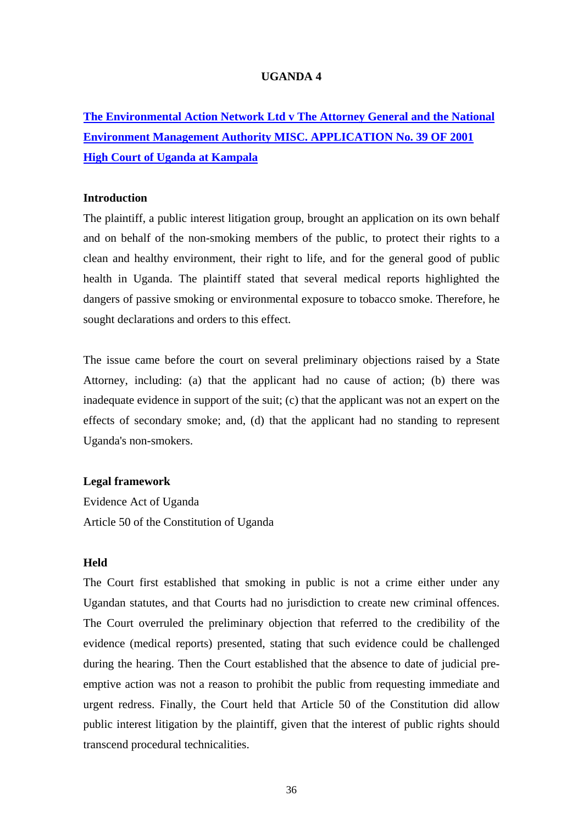# **[The Environmental Action Network Ltd v The Attorney General and the National](#page-5-0)  [Environment Management Authority MISC. APPLICATION No. 39 OF 2001](#page-5-0) [High Court of Uganda at Kampala](#page-5-0)**

#### **Introduction**

The plaintiff, a public interest litigation group, brought an application on its own behalf and on behalf of the non-smoking members of the public, to protect their rights to a clean and healthy environment, their right to life, and for the general good of public health in Uganda. The plaintiff stated that several medical reports highlighted the dangers of passive smoking or environmental exposure to tobacco smoke. Therefore, he sought declarations and orders to this effect.

The issue came before the court on several preliminary objections raised by a State Attorney, including: (a) that the applicant had no cause of action; (b) there was inadequate evidence in support of the suit; (c) that the applicant was not an expert on the effects of secondary smoke; and, (d) that the applicant had no standing to represent Uganda's non-smokers.

#### **Legal framework**

Evidence Act of Uganda Article 50 of the Constitution of Uganda

### **Held**

The Court first established that smoking in public is not a crime either under any Ugandan statutes, and that Courts had no jurisdiction to create new criminal offences. The Court overruled the preliminary objection that referred to the credibility of the evidence (medical reports) presented, stating that such evidence could be challenged during the hearing. Then the Court established that the absence to date of judicial preemptive action was not a reason to prohibit the public from requesting immediate and urgent redress. Finally, the Court held that Article 50 of the Constitution did allow public interest litigation by the plaintiff, given that the interest of public rights should transcend procedural technicalities.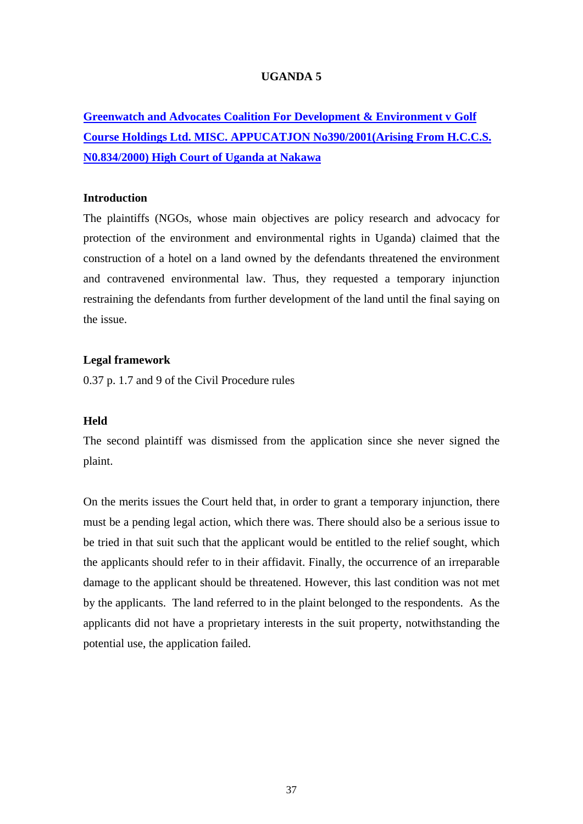**[Greenwatch and Advocates Coalition For Development & Environment v Golf](#page-5-0)  [Course Holdings Ltd. MISC. APPUCATJON No390/2001\(Arising From H.C.C.S.](#page-5-0)  [N0.834/2000\) High Court of Uganda at Nakawa](#page-5-0)**

#### **Introduction**

The plaintiffs (NGOs, whose main objectives are policy research and advocacy for protection of the environment and environmental rights in Uganda) claimed that the construction of a hotel on a land owned by the defendants threatened the environment and contravened environmental law. Thus, they requested a temporary injunction restraining the defendants from further development of the land until the final saying on the issue.

#### **Legal framework**

0.37 p. 1.7 and 9 of the Civil Procedure rules

#### **Held**

The second plaintiff was dismissed from the application since she never signed the plaint.

On the merits issues the Court held that, in order to grant a temporary injunction, there must be a pending legal action, which there was. There should also be a serious issue to be tried in that suit such that the applicant would be entitled to the relief sought, which the applicants should refer to in their affidavit. Finally, the occurrence of an irreparable damage to the applicant should be threatened. However, this last condition was not met by the applicants. The land referred to in the plaint belonged to the respondents. As the applicants did not have a proprietary interests in the suit property, notwithstanding the potential use, the application failed.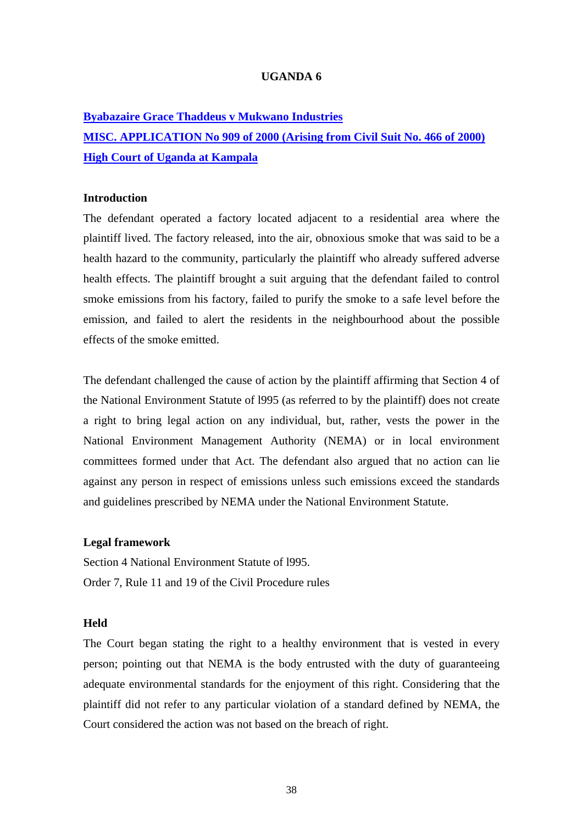# **Byabazaire Grace Thaddeus v Mukwano Industries [MISC. APPLICATION No 909 of 2000 \(Arising from Civil Suit No. 466 of 2000\)](#page-5-1)  High Court of Uganda at Kampala**

#### **Introduction**

The defendant operated a factory located adjacent to a residential area where the plaintiff lived. The factory released, into the air, obnoxious smoke that was said to be a health hazard to the community, particularly the plaintiff who already suffered adverse health effects. The plaintiff brought a suit arguing that the defendant failed to control smoke emissions from his factory, failed to purify the smoke to a safe level before the emission, and failed to alert the residents in the neighbourhood about the possible effects of the smoke emitted.

The defendant challenged the cause of action by the plaintiff affirming that Section 4 of the National Environment Statute of l995 (as referred to by the plaintiff) does not create a right to bring legal action on any individual, but, rather, vests the power in the National Environment Management Authority (NEMA) or in local environment committees formed under that Act. The defendant also argued that no action can lie against any person in respect of emissions unless such emissions exceed the standards and guidelines prescribed by NEMA under the National Environment Statute.

### **Legal framework**

Section 4 National Environment Statute of l995. Order 7, Rule 11 and 19 of the Civil Procedure rules

#### **Held**

The Court began stating the right to a healthy environment that is vested in every person; pointing out that NEMA is the body entrusted with the duty of guaranteeing adequate environmental standards for the enjoyment of this right. Considering that the plaintiff did not refer to any particular violation of a standard defined by NEMA, the Court considered the action was not based on the breach of right.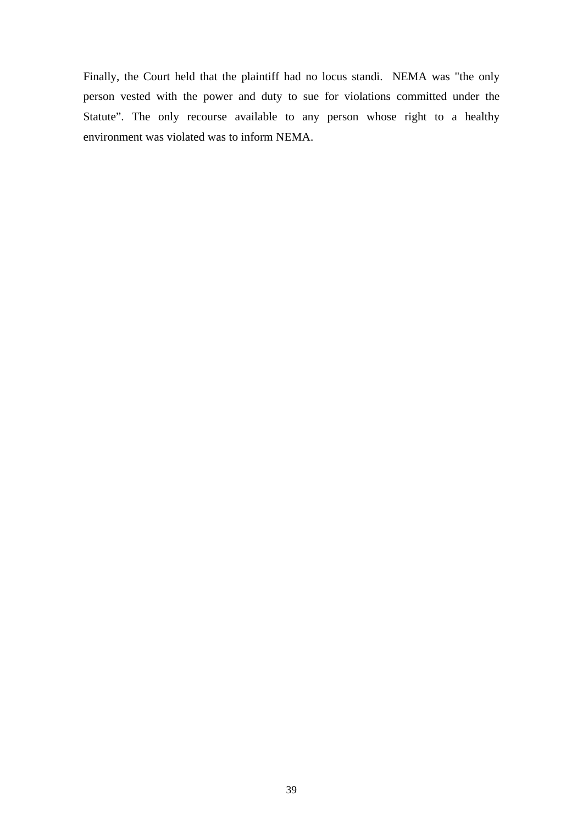Finally, the Court held that the plaintiff had no locus standi. NEMA was "the only person vested with the power and duty to sue for violations committed under the Statute". The only recourse available to any person whose right to a healthy environment was violated was to inform NEMA.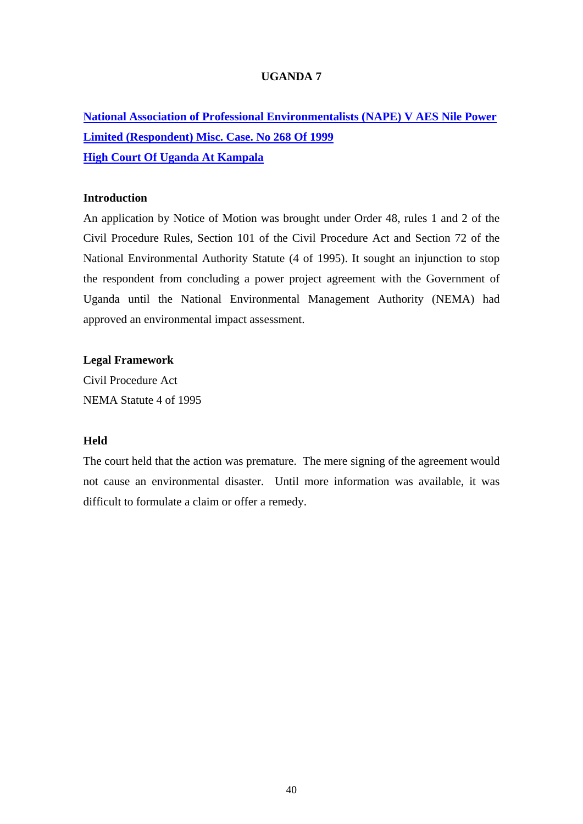**[National Association of Professional Environmentalists \(NAPE\) V AES Nile Power](#page-5-1) Limited (Respondent) Misc. Case. No 268 Of 1999 High Court Of Uganda At Kampala**

### **Introduction**

An application by Notice of Motion was brought under Order 48, rules 1 and 2 of the Civil Procedure Rules, Section 101 of the Civil Procedure Act and Section 72 of the National Environmental Authority Statute (4 of 1995). It sought an injunction to stop the respondent from concluding a power project agreement with the Government of Uganda until the National Environmental Management Authority (NEMA) had approved an environmental impact assessment.

## **Legal Framework**

Civil Procedure Act NEMA Statute 4 of 1995

## **Held**

The court held that the action was premature. The mere signing of the agreement would not cause an environmental disaster. Until more information was available, it was difficult to formulate a claim or offer a remedy.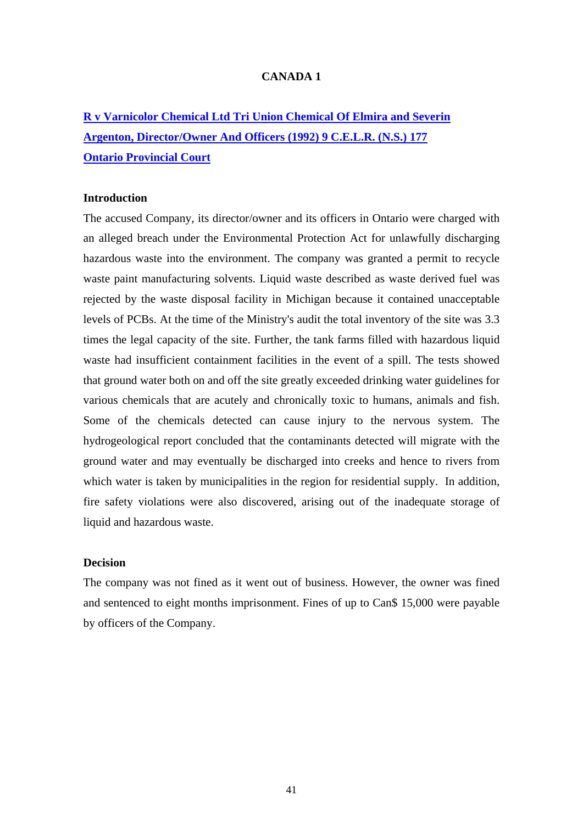## **CANADA 1**

# **[R v Varnicolor Chemical Ltd Tri Union Chemical Of Elmira and Severin](#page-5-1) Argenton, Director/Owner And Officers (1992) 9 C.E.L.R. (N.S.) 177 Ontario Provincial Court**

#### **Introduction**

The accused Company, its director/owner and its officers in Ontario were charged with an alleged breach under the Environmental Protection Act for unlawfully discharging hazardous waste into the environment. The company was granted a permit to recycle waste paint manufacturing solvents. Liquid waste described as waste derived fuel was rejected by the waste disposal facility in Michigan because it contained unacceptable levels of PCBs. At the time of the Ministry's audit the total inventory of the site was 3.3 times the legal capacity of the site. Further, the tank farms filled with hazardous liquid waste had insufficient containment facilities in the event of a spill. The tests showed that ground water both on and off the site greatly exceeded drinking water guidelines for various chemicals that are acutely and chronically toxic to humans, animals and fish. Some of the chemicals detected can cause injury to the nervous system. The hydrogeological report concluded that the contaminants detected will migrate with the ground water and may eventually be discharged into creeks and hence to rivers from which water is taken by municipalities in the region for residential supply. In addition, fire safety violations were also discovered, arising out of the inadequate storage of liquid and hazardous waste.

## **Decision**

The company was not fined as it went out of business. However, the owner was fined and sentenced to eight months imprisonment. Fines of up to Can\$ 15,000 were payable by officers of the Company.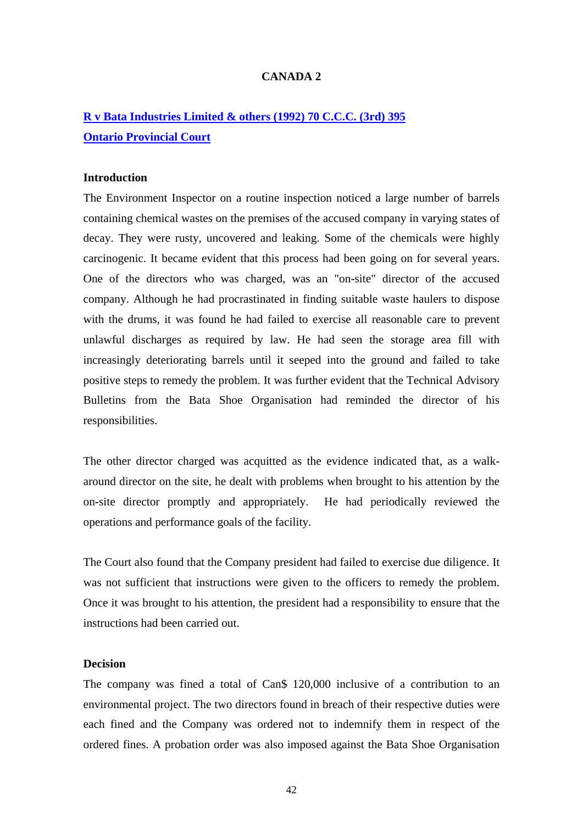# **CANADA 2**

# **[R v Bata Industries Limited & others \(1992\) 70 C.C.C. \(3rd\) 395](#page-5-1) Ontario Provincial Court**

#### **Introduction**

The Environment Inspector on a routine inspection noticed a large number of barrels containing chemical wastes on the premises of the accused company in varying states of decay. They were rusty, uncovered and leaking. Some of the chemicals were highly carcinogenic. It became evident that this process had been going on for several years. One of the directors who was charged, was an "on-site" director of the accused company. Although he had procrastinated in finding suitable waste haulers to dispose with the drums, it was found he had failed to exercise all reasonable care to prevent unlawful discharges as required by law. He had seen the storage area fill with increasingly deteriorating barrels until it seeped into the ground and failed to take positive steps to remedy the problem. It was further evident that the Technical Advisory Bulletins from the Bata Shoe Organisation had reminded the director of his responsibilities.

The other director charged was acquitted as the evidence indicated that, as a walkaround director on the site, he dealt with problems when brought to his attention by the on-site director promptly and appropriately. He had periodically reviewed the operations and performance goals of the facility.

The Court also found that the Company president had failed to exercise due diligence. It was not sufficient that instructions were given to the officers to remedy the problem. Once it was brought to his attention, the president had a responsibility to ensure that the instructions had been carried out.

## **Decision**

The company was fined a total of Can\$ 120,000 inclusive of a contribution to an environmental project. The two directors found in breach of their respective duties were each fined and the Company was ordered not to indemnify them in respect of the ordered fines. A probation order was also imposed against the Bata Shoe Organisation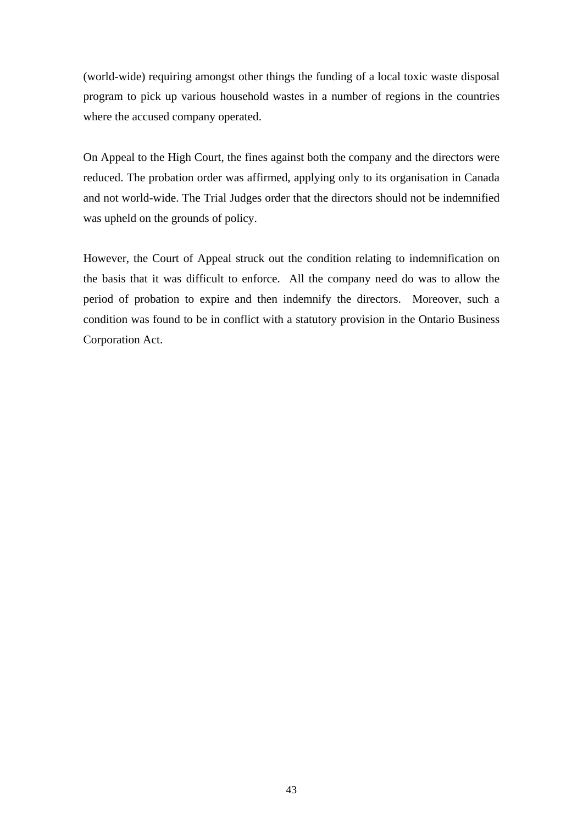(world-wide) requiring amongst other things the funding of a local toxic waste disposal program to pick up various household wastes in a number of regions in the countries where the accused company operated.

On Appeal to the High Court, the fines against both the company and the directors were reduced. The probation order was affirmed, applying only to its organisation in Canada and not world-wide. The Trial Judges order that the directors should not be indemnified was upheld on the grounds of policy.

However, the Court of Appeal struck out the condition relating to indemnification on the basis that it was difficult to enforce. All the company need do was to allow the period of probation to expire and then indemnify the directors. Moreover, such a condition was found to be in conflict with a statutory provision in the Ontario Business Corporation Act.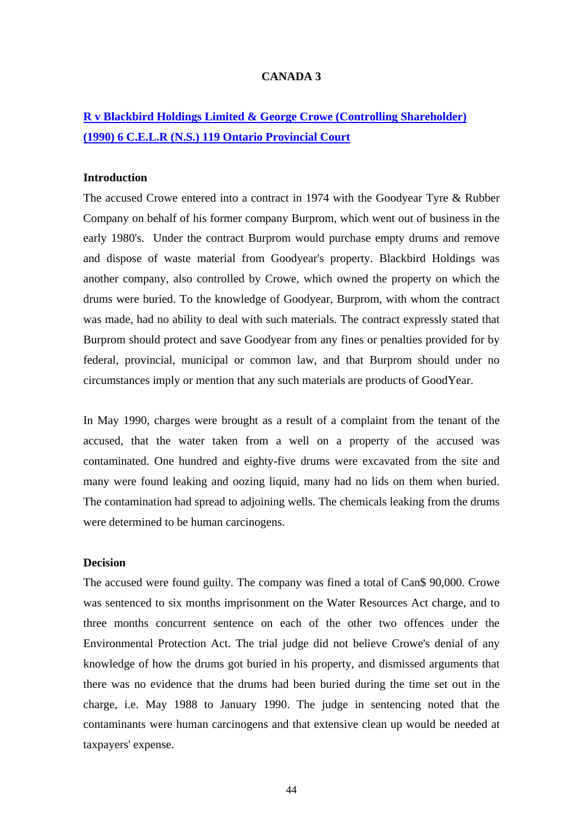## **CANADA 3**

# **[R v Blackbird Holdings Limited & George Crowe \(Controlling Shareholder\)](#page-5-1) (1990) 6 C.E.L.R (N.S.) 119 Ontario Provincial Court**

#### **Introduction**

The accused Crowe entered into a contract in 1974 with the Goodyear Tyre & Rubber Company on behalf of his former company Burprom, which went out of business in the early 1980's. Under the contract Burprom would purchase empty drums and remove and dispose of waste material from Goodyear's property. Blackbird Holdings was another company, also controlled by Crowe, which owned the property on which the drums were buried. To the knowledge of Goodyear, Burprom, with whom the contract was made, had no ability to deal with such materials. The contract expressly stated that Burprom should protect and save Goodyear from any fines or penalties provided for by federal, provincial, municipal or common law, and that Burprom should under no circumstances imply or mention that any such materials are products of GoodYear.

In May 1990, charges were brought as a result of a complaint from the tenant of the accused, that the water taken from a well on a property of the accused was contaminated. One hundred and eighty-five drums were excavated from the site and many were found leaking and oozing liquid, many had no lids on them when buried. The contamination had spread to adjoining wells. The chemicals leaking from the drums were determined to be human carcinogens.

### **Decision**

The accused were found guilty. The company was fined a total of Can\$ 90,000. Crowe was sentenced to six months imprisonment on the Water Resources Act charge, and to three months concurrent sentence on each of the other two offences under the Environmental Protection Act. The trial judge did not believe Crowe's denial of any knowledge of how the drums got buried in his property, and dismissed arguments that there was no evidence that the drums had been buried during the time set out in the charge, i.e. May 1988 to January 1990. The judge in sentencing noted that the contaminants were human carcinogens and that extensive clean up would be needed at taxpayers' expense.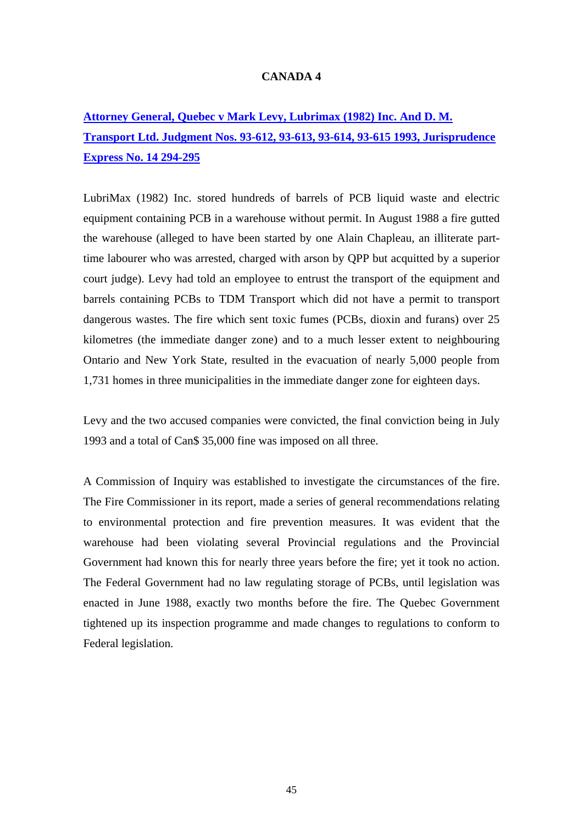# **Attorney General, Quebec v Mark Levy, Lubrimax (1982) Inc. And D. M. [Transport Ltd. Judgment Nos. 93-612, 93-613, 93-614, 93-615 1993, Jurisprudence](#page-5-0) Express No. 14 294-295**

LubriMax (1982) Inc. stored hundreds of barrels of PCB liquid waste and electric equipment containing PCB in a warehouse without permit. In August 1988 a fire gutted the warehouse (alleged to have been started by one Alain Chapleau, an illiterate parttime labourer who was arrested, charged with arson by QPP but acquitted by a superior court judge). Levy had told an employee to entrust the transport of the equipment and barrels containing PCBs to TDM Transport which did not have a permit to transport dangerous wastes. The fire which sent toxic fumes (PCBs, dioxin and furans) over 25 kilometres (the immediate danger zone) and to a much lesser extent to neighbouring Ontario and New York State, resulted in the evacuation of nearly 5,000 people from 1,731 homes in three municipalities in the immediate danger zone for eighteen days.

Levy and the two accused companies were convicted, the final conviction being in July 1993 and a total of Can\$ 35,000 fine was imposed on all three.

A Commission of Inquiry was established to investigate the circumstances of the fire. The Fire Commissioner in its report, made a series of general recommendations relating to environmental protection and fire prevention measures. It was evident that the warehouse had been violating several Provincial regulations and the Provincial Government had known this for nearly three years before the fire; yet it took no action. The Federal Government had no law regulating storage of PCBs, until legislation was enacted in June 1988, exactly two months before the fire. The Quebec Government tightened up its inspection programme and made changes to regulations to conform to Federal legislation.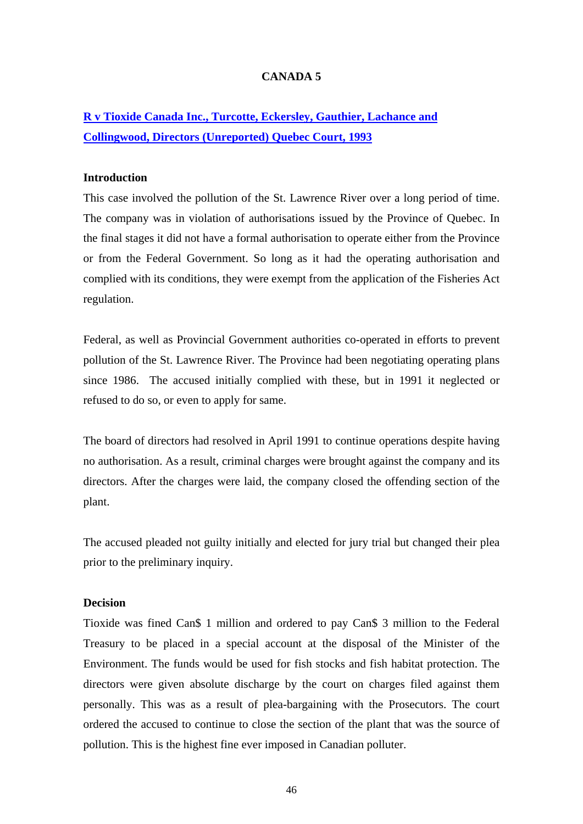# **[R v Tioxide Canada Inc., Turcotte, Eckersley, Gauthier, Lachance and](#page-5-0) Collingwood, Directors (Unreported) Quebec Court, 1993**

#### **Introduction**

This case involved the pollution of the St. Lawrence River over a long period of time. The company was in violation of authorisations issued by the Province of Quebec. In the final stages it did not have a formal authorisation to operate either from the Province or from the Federal Government. So long as it had the operating authorisation and complied with its conditions, they were exempt from the application of the Fisheries Act regulation.

Federal, as well as Provincial Government authorities co-operated in efforts to prevent pollution of the St. Lawrence River. The Province had been negotiating operating plans since 1986. The accused initially complied with these, but in 1991 it neglected or refused to do so, or even to apply for same.

The board of directors had resolved in April 1991 to continue operations despite having no authorisation. As a result, criminal charges were brought against the company and its directors. After the charges were laid, the company closed the offending section of the plant.

The accused pleaded not guilty initially and elected for jury trial but changed their plea prior to the preliminary inquiry.

#### **Decision**

Tioxide was fined Can\$ 1 million and ordered to pay Can\$ 3 million to the Federal Treasury to be placed in a special account at the disposal of the Minister of the Environment. The funds would be used for fish stocks and fish habitat protection. The directors were given absolute discharge by the court on charges filed against them personally. This was as a result of plea-bargaining with the Prosecutors. The court ordered the accused to continue to close the section of the plant that was the source of pollution. This is the highest fine ever imposed in Canadian polluter.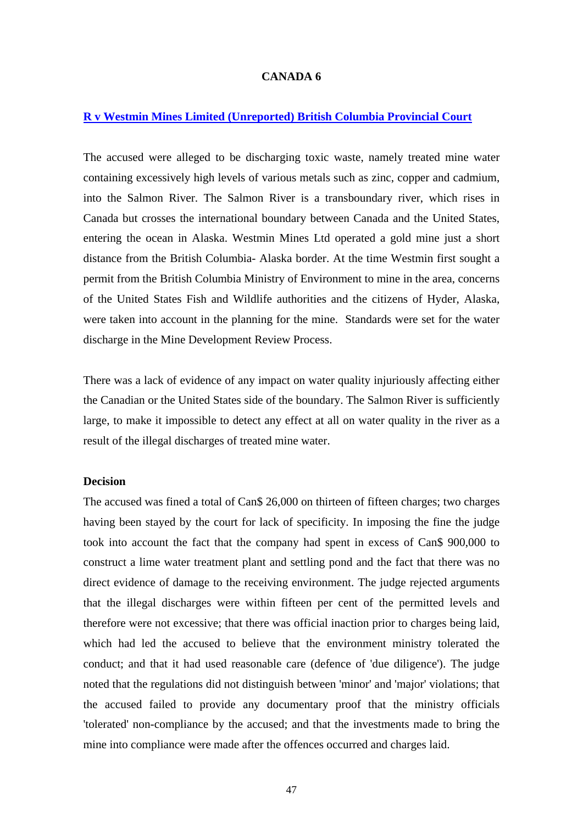#### **[R v Westmin Mines Limited \(Unreported\) British Columbia Provincial Court](#page-5-0)**

The accused were alleged to be discharging toxic waste, namely treated mine water containing excessively high levels of various metals such as zinc, copper and cadmium, into the Salmon River. The Salmon River is a transboundary river, which rises in Canada but crosses the international boundary between Canada and the United States, entering the ocean in Alaska. Westmin Mines Ltd operated a gold mine just a short distance from the British Columbia- Alaska border. At the time Westmin first sought a permit from the British Columbia Ministry of Environment to mine in the area, concerns of the United States Fish and Wildlife authorities and the citizens of Hyder, Alaska, were taken into account in the planning for the mine. Standards were set for the water discharge in the Mine Development Review Process.

There was a lack of evidence of any impact on water quality injuriously affecting either the Canadian or the United States side of the boundary. The Salmon River is sufficiently large, to make it impossible to detect any effect at all on water quality in the river as a result of the illegal discharges of treated mine water.

#### **Decision**

The accused was fined a total of Can\$ 26,000 on thirteen of fifteen charges; two charges having been stayed by the court for lack of specificity. In imposing the fine the judge took into account the fact that the company had spent in excess of Can\$ 900,000 to construct a lime water treatment plant and settling pond and the fact that there was no direct evidence of damage to the receiving environment. The judge rejected arguments that the illegal discharges were within fifteen per cent of the permitted levels and therefore were not excessive; that there was official inaction prior to charges being laid, which had led the accused to believe that the environment ministry tolerated the conduct; and that it had used reasonable care (defence of 'due diligence'). The judge noted that the regulations did not distinguish between 'minor' and 'major' violations; that the accused failed to provide any documentary proof that the ministry officials 'tolerated' non-compliance by the accused; and that the investments made to bring the mine into compliance were made after the offences occurred and charges laid.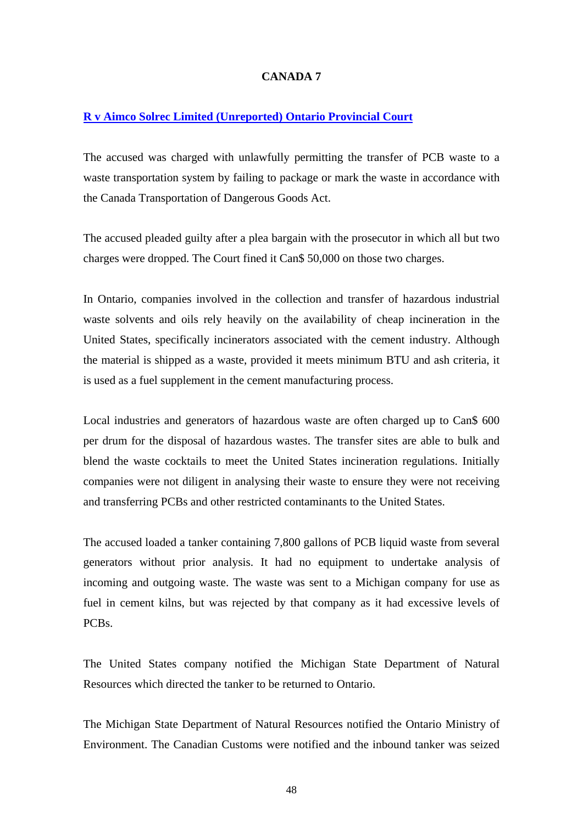# **[R v Aimco Solrec Limited \(Unreported\) Ontario Provincial Court](#page-5-0)**

The accused was charged with unlawfully permitting the transfer of PCB waste to a waste transportation system by failing to package or mark the waste in accordance with the Canada Transportation of Dangerous Goods Act.

The accused pleaded guilty after a plea bargain with the prosecutor in which all but two charges were dropped. The Court fined it Can\$ 50,000 on those two charges.

In Ontario, companies involved in the collection and transfer of hazardous industrial waste solvents and oils rely heavily on the availability of cheap incineration in the United States, specifically incinerators associated with the cement industry. Although the material is shipped as a waste, provided it meets minimum BTU and ash criteria, it is used as a fuel supplement in the cement manufacturing process.

Local industries and generators of hazardous waste are often charged up to Can\$ 600 per drum for the disposal of hazardous wastes. The transfer sites are able to bulk and blend the waste cocktails to meet the United States incineration regulations. Initially companies were not diligent in analysing their waste to ensure they were not receiving and transferring PCBs and other restricted contaminants to the United States.

The accused loaded a tanker containing 7,800 gallons of PCB liquid waste from several generators without prior analysis. It had no equipment to undertake analysis of incoming and outgoing waste. The waste was sent to a Michigan company for use as fuel in cement kilns, but was rejected by that company as it had excessive levels of PCBs.

The United States company notified the Michigan State Department of Natural Resources which directed the tanker to be returned to Ontario.

The Michigan State Department of Natural Resources notified the Ontario Ministry of Environment. The Canadian Customs were notified and the inbound tanker was seized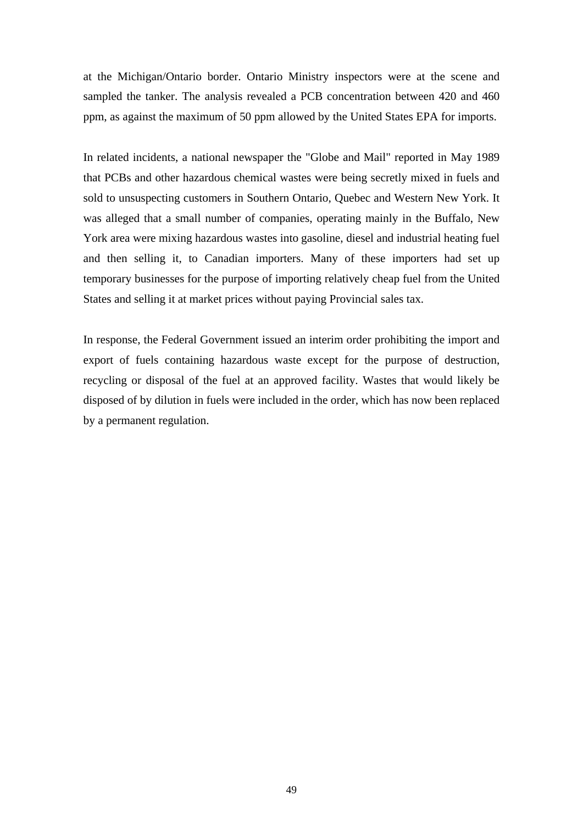at the Michigan/Ontario border. Ontario Ministry inspectors were at the scene and sampled the tanker. The analysis revealed a PCB concentration between 420 and 460 ppm, as against the maximum of 50 ppm allowed by the United States EPA for imports.

In related incidents, a national newspaper the "Globe and Mail" reported in May 1989 that PCBs and other hazardous chemical wastes were being secretly mixed in fuels and sold to unsuspecting customers in Southern Ontario, Quebec and Western New York. It was alleged that a small number of companies, operating mainly in the Buffalo, New York area were mixing hazardous wastes into gasoline, diesel and industrial heating fuel and then selling it, to Canadian importers. Many of these importers had set up temporary businesses for the purpose of importing relatively cheap fuel from the United States and selling it at market prices without paying Provincial sales tax.

In response, the Federal Government issued an interim order prohibiting the import and export of fuels containing hazardous waste except for the purpose of destruction, recycling or disposal of the fuel at an approved facility. Wastes that would likely be disposed of by dilution in fuels were included in the order, which has now been replaced by a permanent regulation.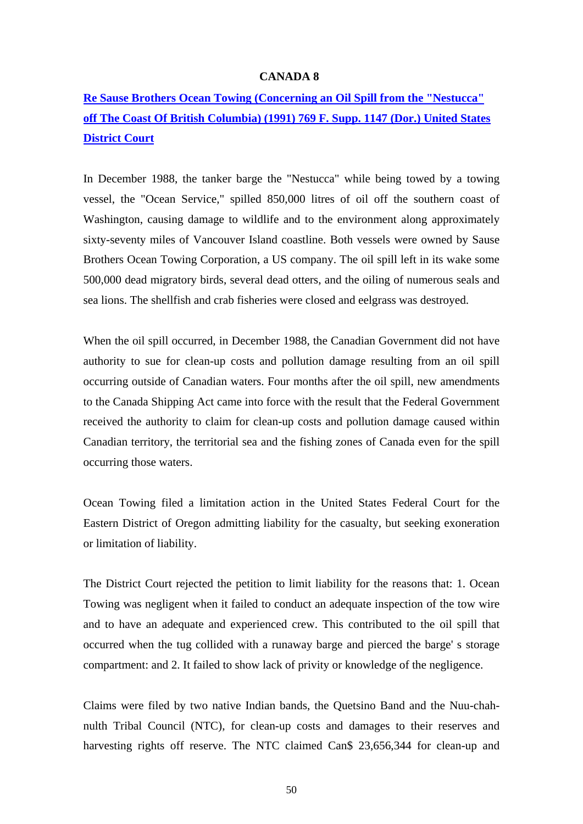# **[Re Sause Brothers Ocean Towing \(Concerning an Oil Spill from the "Nestucca"](#page-6-0)  [off The Coast Of British Columbia\) \(1991\) 769 F. Supp. 1147 \(Dor.\) United States](#page-6-0)  [District Court](#page-6-0)**

In December 1988, the tanker barge the "Nestucca" while being towed by a towing vessel, the "Ocean Service," spilled 850,000 litres of oil off the southern coast of Washington, causing damage to wildlife and to the environment along approximately sixty-seventy miles of Vancouver Island coastline. Both vessels were owned by Sause Brothers Ocean Towing Corporation, a US company. The oil spill left in its wake some 500,000 dead migratory birds, several dead otters, and the oiling of numerous seals and sea lions. The shellfish and crab fisheries were closed and eelgrass was destroyed.

When the oil spill occurred, in December 1988, the Canadian Government did not have authority to sue for clean-up costs and pollution damage resulting from an oil spill occurring outside of Canadian waters. Four months after the oil spill, new amendments to the Canada Shipping Act came into force with the result that the Federal Government received the authority to claim for clean-up costs and pollution damage caused within Canadian territory, the territorial sea and the fishing zones of Canada even for the spill occurring those waters.

Ocean Towing filed a limitation action in the United States Federal Court for the Eastern District of Oregon admitting liability for the casualty, but seeking exoneration or limitation of liability.

The District Court rejected the petition to limit liability for the reasons that: 1. Ocean Towing was negligent when it failed to conduct an adequate inspection of the tow wire and to have an adequate and experienced crew. This contributed to the oil spill that occurred when the tug collided with a runaway barge and pierced the barge' s storage compartment: and 2. It failed to show lack of privity or knowledge of the negligence.

Claims were filed by two native Indian bands, the Quetsino Band and the Nuu-chahnulth Tribal Council (NTC), for clean-up costs and damages to their reserves and harvesting rights off reserve. The NTC claimed Can\$ 23,656,344 for clean-up and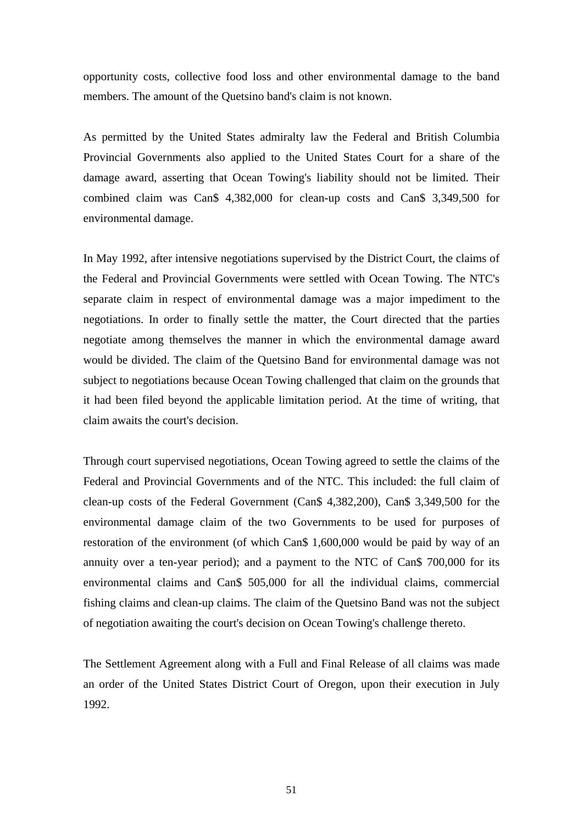opportunity costs, collective food loss and other environmental damage to the band members. The amount of the Quetsino band's claim is not known.

As permitted by the United States admiralty law the Federal and British Columbia Provincial Governments also applied to the United States Court for a share of the damage award, asserting that Ocean Towing's liability should not be limited. Their combined claim was Can\$ 4,382,000 for clean-up costs and Can\$ 3,349,500 for environmental damage.

In May 1992, after intensive negotiations supervised by the District Court, the claims of the Federal and Provincial Governments were settled with Ocean Towing. The NTC's separate claim in respect of environmental damage was a major impediment to the negotiations. In order to finally settle the matter, the Court directed that the parties negotiate among themselves the manner in which the environmental damage award would be divided. The claim of the Quetsino Band for environmental damage was not subject to negotiations because Ocean Towing challenged that claim on the grounds that it had been filed beyond the applicable limitation period. At the time of writing, that claim awaits the court's decision.

Through court supervised negotiations, Ocean Towing agreed to settle the claims of the Federal and Provincial Governments and of the NTC. This included: the full claim of clean-up costs of the Federal Government (Can\$ 4,382,200), Can\$ 3,349,500 for the environmental damage claim of the two Governments to be used for purposes of restoration of the environment (of which Can\$ 1,600,000 would be paid by way of an annuity over a ten-year period); and a payment to the NTC of Can\$ 700,000 for its environmental claims and Can\$ 505,000 for all the individual claims, commercial fishing claims and clean-up claims. The claim of the Quetsino Band was not the subject of negotiation awaiting the court's decision on Ocean Towing's challenge thereto.

The Settlement Agreement along with a Full and Final Release of all claims was made an order of the United States District Court of Oregon, upon their execution in July 1992.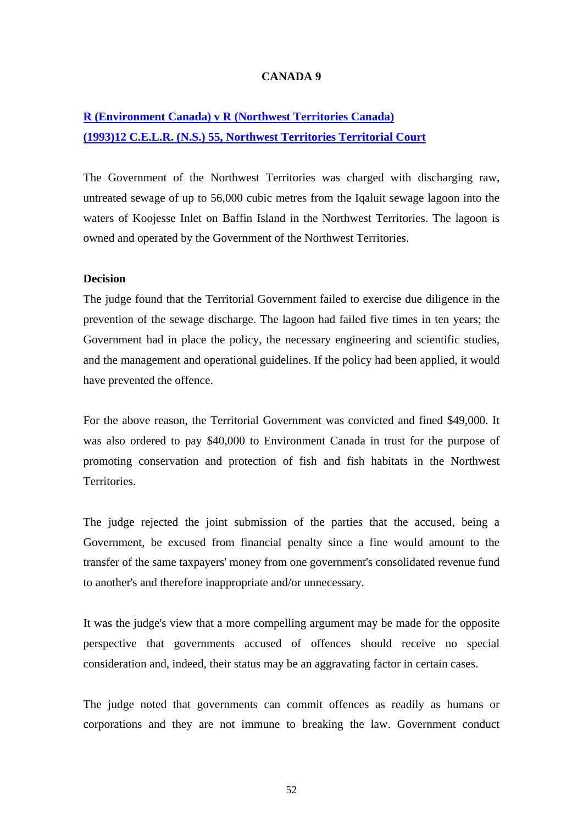# **R (Environment Canada) v R (Northwest Territories Canada) [\(1993\)12 C.E.L.R. \(N.S.\) 55, Northwest Territories Territorial Court](#page-6-1)**

The Government of the Northwest Territories was charged with discharging raw, untreated sewage of up to 56,000 cubic metres from the Iqaluit sewage lagoon into the waters of Koojesse Inlet on Baffin Island in the Northwest Territories. The lagoon is owned and operated by the Government of the Northwest Territories.

### **Decision**

The judge found that the Territorial Government failed to exercise due diligence in the prevention of the sewage discharge. The lagoon had failed five times in ten years; the Government had in place the policy, the necessary engineering and scientific studies, and the management and operational guidelines. If the policy had been applied, it would have prevented the offence.

For the above reason, the Territorial Government was convicted and fined \$49,000. It was also ordered to pay \$40,000 to Environment Canada in trust for the purpose of promoting conservation and protection of fish and fish habitats in the Northwest **Territories** 

The judge rejected the joint submission of the parties that the accused, being a Government, be excused from financial penalty since a fine would amount to the transfer of the same taxpayers' money from one government's consolidated revenue fund to another's and therefore inappropriate and/or unnecessary.

It was the judge's view that a more compelling argument may be made for the opposite perspective that governments accused of offences should receive no special consideration and, indeed, their status may be an aggravating factor in certain cases.

The judge noted that governments can commit offences as readily as humans or corporations and they are not immune to breaking the law. Government conduct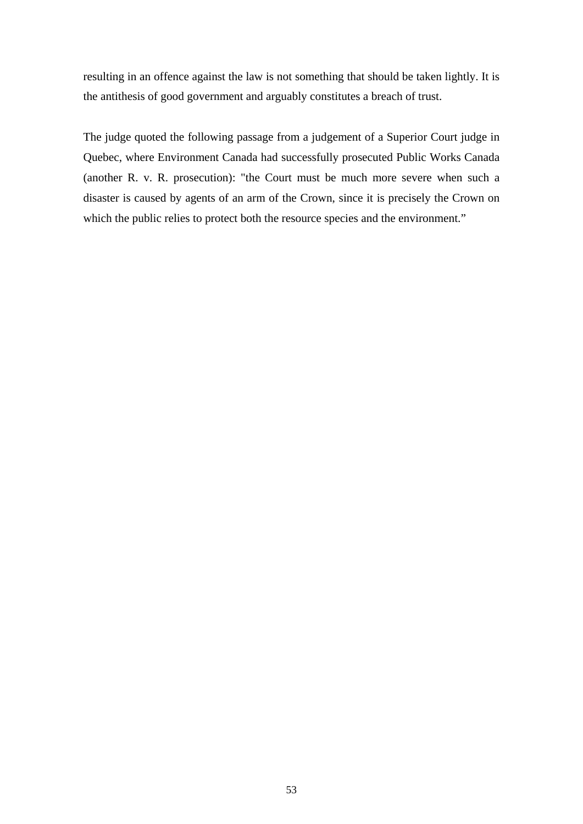resulting in an offence against the law is not something that should be taken lightly. It is the antithesis of good government and arguably constitutes a breach of trust.

The judge quoted the following passage from a judgement of a Superior Court judge in Quebec, where Environment Canada had successfully prosecuted Public Works Canada (another R. v. R. prosecution): "the Court must be much more severe when such a disaster is caused by agents of an arm of the Crown, since it is precisely the Crown on which the public relies to protect both the resource species and the environment."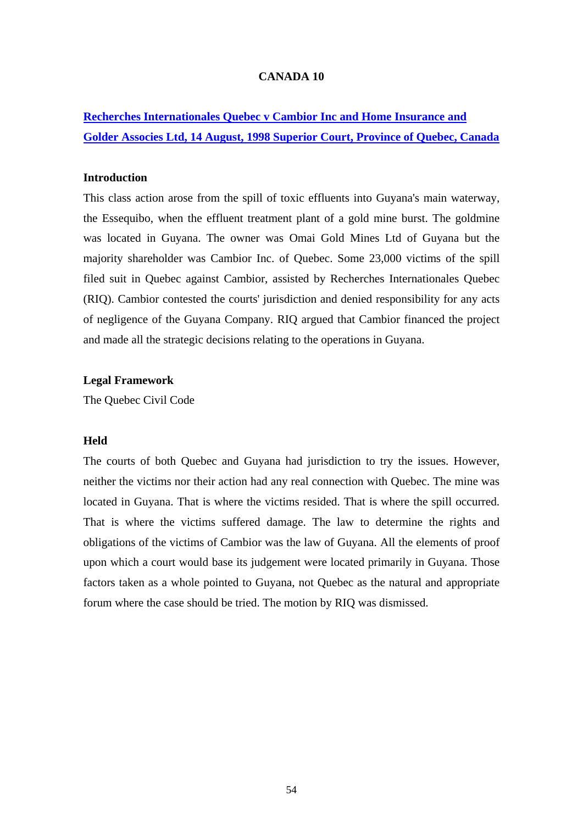# **[Recherches Internationales Quebec v Cambior Inc and Home Insurance and](#page-6-0)  [Golder Associes Ltd, 14 August, 1998 Superior Court, Province of Quebec, Canada](#page-6-0)**

#### **Introduction**

This class action arose from the spill of toxic effluents into Guyana's main waterway, the Essequibo, when the effluent treatment plant of a gold mine burst. The goldmine was located in Guyana. The owner was Omai Gold Mines Ltd of Guyana but the majority shareholder was Cambior Inc. of Quebec. Some 23,000 victims of the spill filed suit in Quebec against Cambior, assisted by Recherches Internationales Quebec (RIQ). Cambior contested the courts' jurisdiction and denied responsibility for any acts of negligence of the Guyana Company. RIQ argued that Cambior financed the project and made all the strategic decisions relating to the operations in Guyana.

### **Legal Framework**

The Quebec Civil Code

#### **Held**

The courts of both Quebec and Guyana had jurisdiction to try the issues. However, neither the victims nor their action had any real connection with Quebec. The mine was located in Guyana. That is where the victims resided. That is where the spill occurred. That is where the victims suffered damage. The law to determine the rights and obligations of the victims of Cambior was the law of Guyana. All the elements of proof upon which a court would base its judgement were located primarily in Guyana. Those factors taken as a whole pointed to Guyana, not Quebec as the natural and appropriate forum where the case should be tried. The motion by RIQ was dismissed.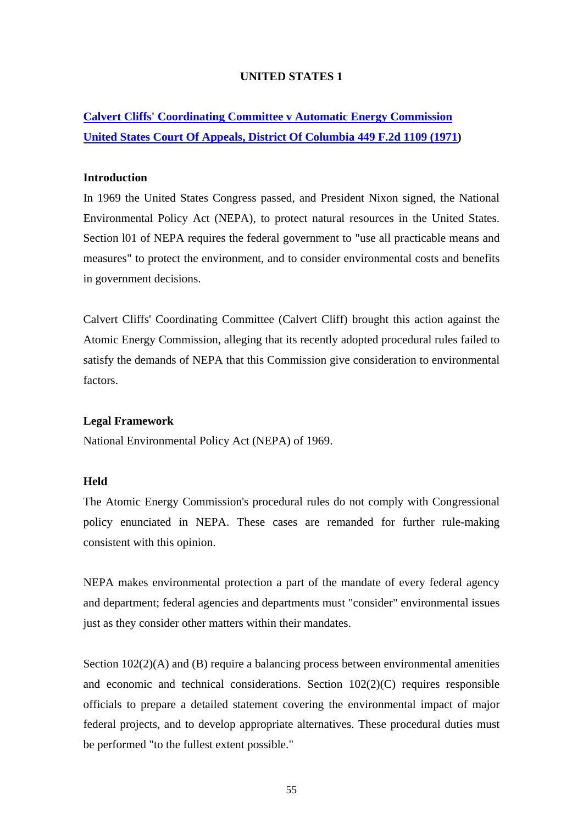# **Calvert Cliffs' Coordinating Committee v Automatic Energy Commission [United States Court Of Appeals, District Of Columbia 449 F.2d 1109 \(1971\)](#page-6-1)**

#### **Introduction**

In 1969 the United States Congress passed, and President Nixon signed, the National Environmental Policy Act (NEPA), to protect natural resources in the United States. Section l01 of NEPA requires the federal government to "use all practicable means and measures" to protect the environment, and to consider environmental costs and benefits in government decisions.

Calvert Cliffs' Coordinating Committee (Calvert Cliff) brought this action against the Atomic Energy Commission, alleging that its recently adopted procedural rules failed to satisfy the demands of NEPA that this Commission give consideration to environmental factors.

#### **Legal Framework**

National Environmental Policy Act (NEPA) of 1969.

# **Held**

The Atomic Energy Commission's procedural rules do not comply with Congressional policy enunciated in NEPA. These cases are remanded for further rule-making consistent with this opinion.

NEPA makes environmental protection a part of the mandate of every federal agency and department; federal agencies and departments must "consider" environmental issues just as they consider other matters within their mandates.

Section 102(2)(A) and (B) require a balancing process between environmental amenities and economic and technical considerations. Section 102(2)(C) requires responsible officials to prepare a detailed statement covering the environmental impact of major federal projects, and to develop appropriate alternatives. These procedural duties must be performed "to the fullest extent possible."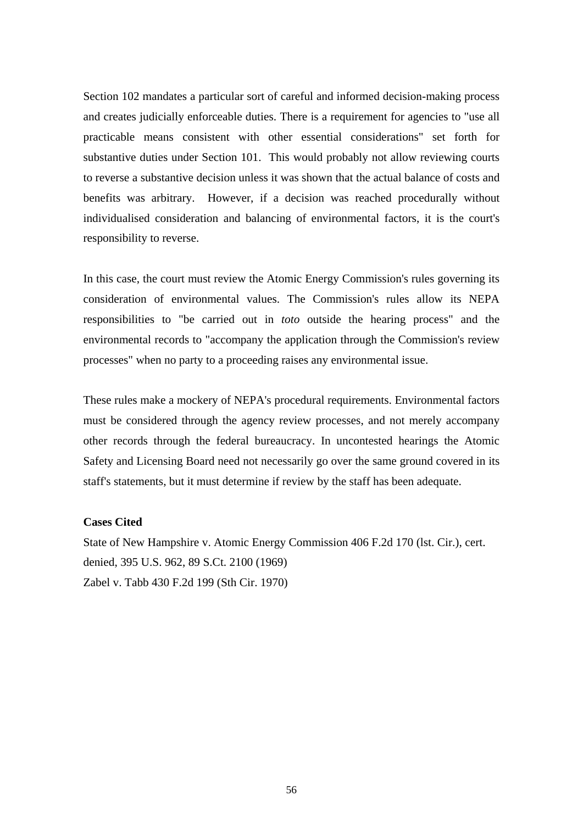Section 102 mandates a particular sort of careful and informed decision-making process and creates judicially enforceable duties. There is a requirement for agencies to "use all practicable means consistent with other essential considerations" set forth for substantive duties under Section 101. This would probably not allow reviewing courts to reverse a substantive decision unless it was shown that the actual balance of costs and benefits was arbitrary. However, if a decision was reached procedurally without individualised consideration and balancing of environmental factors, it is the court's responsibility to reverse.

In this case, the court must review the Atomic Energy Commission's rules governing its consideration of environmental values. The Commission's rules allow its NEPA responsibilities to "be carried out in *toto* outside the hearing process" and the environmental records to "accompany the application through the Commission's review processes" when no party to a proceeding raises any environmental issue.

These rules make a mockery of NEPA's procedural requirements. Environmental factors must be considered through the agency review processes, and not merely accompany other records through the federal bureaucracy. In uncontested hearings the Atomic Safety and Licensing Board need not necessarily go over the same ground covered in its staff's statements, but it must determine if review by the staff has been adequate.

### **Cases Cited**

State of New Hampshire v. Atomic Energy Commission 406 F.2d 170 (lst. Cir.), cert. denied, 395 U.S. 962, 89 S.Ct. 2100 (1969) Zabel v. Tabb 430 F.2d 199 (Sth Cir. 1970)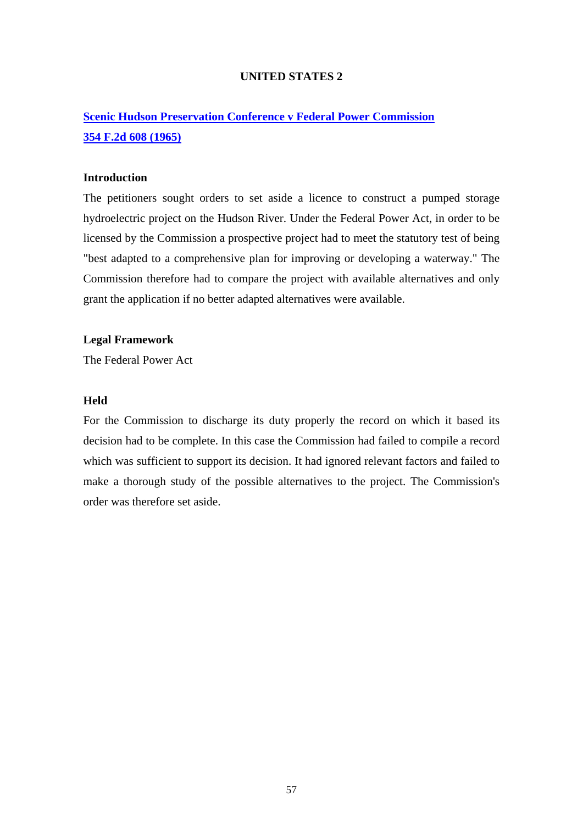# **[Scenic Hudson Preservation Conference v Federal Power Commission](#page-6-1) 354 F.2d 608 (1965)**

### **Introduction**

The petitioners sought orders to set aside a licence to construct a pumped storage hydroelectric project on the Hudson River. Under the Federal Power Act, in order to be licensed by the Commission a prospective project had to meet the statutory test of being "best adapted to a comprehensive plan for improving or developing a waterway." The Commission therefore had to compare the project with available alternatives and only grant the application if no better adapted alternatives were available.

## **Legal Framework**

The Federal Power Act

# **Held**

For the Commission to discharge its duty properly the record on which it based its decision had to be complete. In this case the Commission had failed to compile a record which was sufficient to support its decision. It had ignored relevant factors and failed to make a thorough study of the possible alternatives to the project. The Commission's order was therefore set aside.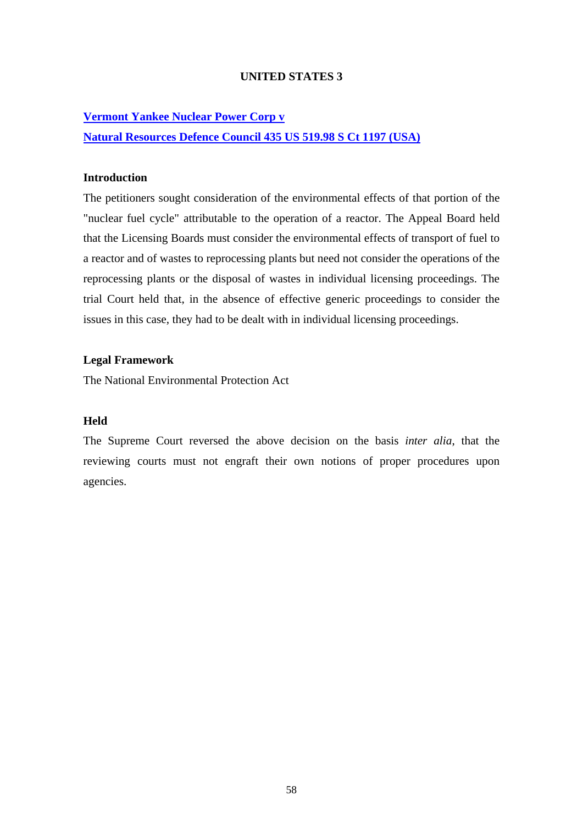# **Vermont Yankee Nuclear Power Corp v [Natural Resources Defence Council 435 US 519.98 S Ct 1197 \(USA\)](#page-6-1)**

### **Introduction**

The petitioners sought consideration of the environmental effects of that portion of the "nuclear fuel cycle" attributable to the operation of a reactor. The Appeal Board held that the Licensing Boards must consider the environmental effects of transport of fuel to a reactor and of wastes to reprocessing plants but need not consider the operations of the reprocessing plants or the disposal of wastes in individual licensing proceedings. The trial Court held that, in the absence of effective generic proceedings to consider the issues in this case, they had to be dealt with in individual licensing proceedings.

## **Legal Framework**

The National Environmental Protection Act

#### **Held**

The Supreme Court reversed the above decision on the basis *inter alia*, that the reviewing courts must not engraft their own notions of proper procedures upon agencies.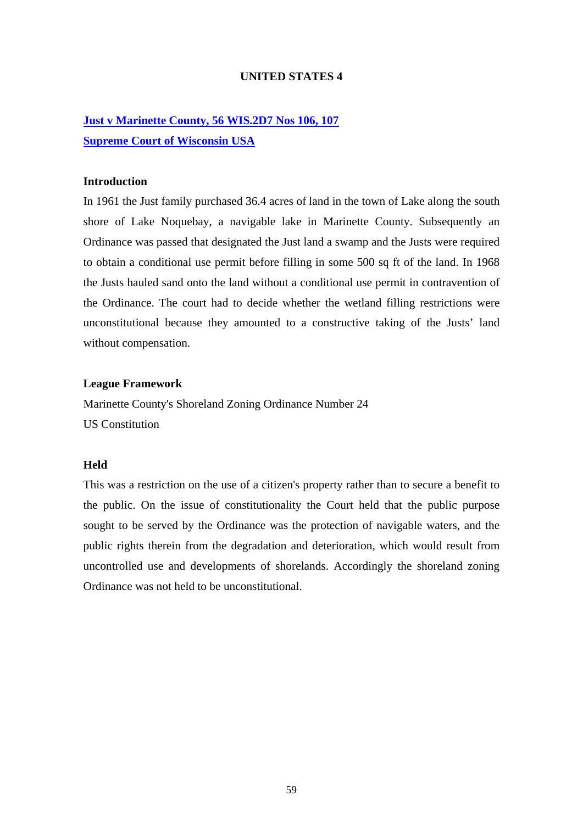# **[Just v Marinette County, 56 WIS.2D7 Nos 106, 107](#page-6-1) Supreme Court of Wisconsin USA**

#### **Introduction**

In 1961 the Just family purchased 36.4 acres of land in the town of Lake along the south shore of Lake Noquebay, a navigable lake in Marinette County. Subsequently an Ordinance was passed that designated the Just land a swamp and the Justs were required to obtain a conditional use permit before filling in some 500 sq ft of the land. In 1968 the Justs hauled sand onto the land without a conditional use permit in contravention of the Ordinance. The court had to decide whether the wetland filling restrictions were unconstitutional because they amounted to a constructive taking of the Justs' land without compensation.

#### **League Framework**

Marinette County's Shoreland Zoning Ordinance Number 24 US Constitution

#### **Held**

This was a restriction on the use of a citizen's property rather than to secure a benefit to the public. On the issue of constitutionality the Court held that the public purpose sought to be served by the Ordinance was the protection of navigable waters, and the public rights therein from the degradation and deterioration, which would result from uncontrolled use and developments of shorelands. Accordingly the shoreland zoning Ordinance was not held to be unconstitutional.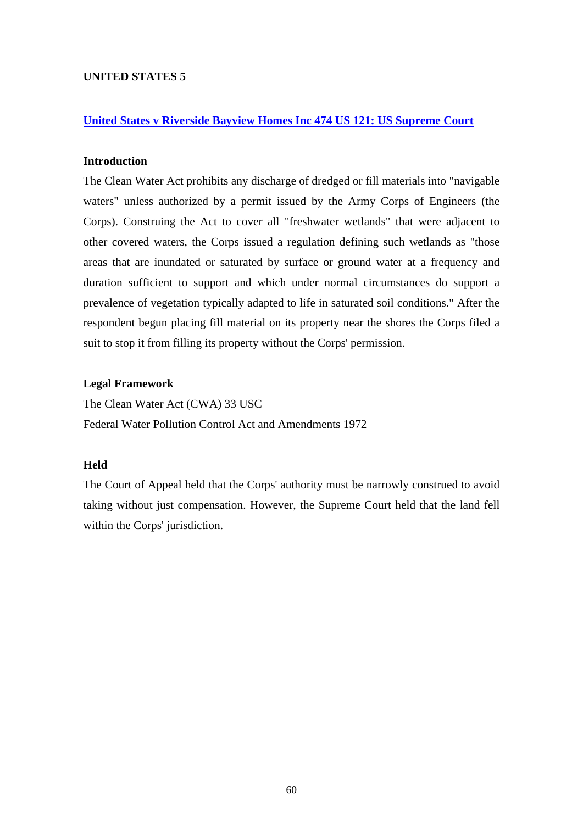# **[United States v Riverside Bayview Homes Inc 474 US 121: US Supreme Court](#page-6-1)**

### **Introduction**

The Clean Water Act prohibits any discharge of dredged or fill materials into "navigable waters" unless authorized by a permit issued by the Army Corps of Engineers (the Corps). Construing the Act to cover all "freshwater wetlands" that were adjacent to other covered waters, the Corps issued a regulation defining such wetlands as "those areas that are inundated or saturated by surface or ground water at a frequency and duration sufficient to support and which under normal circumstances do support a prevalence of vegetation typically adapted to life in saturated soil conditions." After the respondent begun placing fill material on its property near the shores the Corps filed a suit to stop it from filling its property without the Corps' permission.

### **Legal Framework**

The Clean Water Act (CWA) 33 USC Federal Water Pollution Control Act and Amendments 1972

# **Held**

The Court of Appeal held that the Corps' authority must be narrowly construed to avoid taking without just compensation. However, the Supreme Court held that the land fell within the Corps' jurisdiction.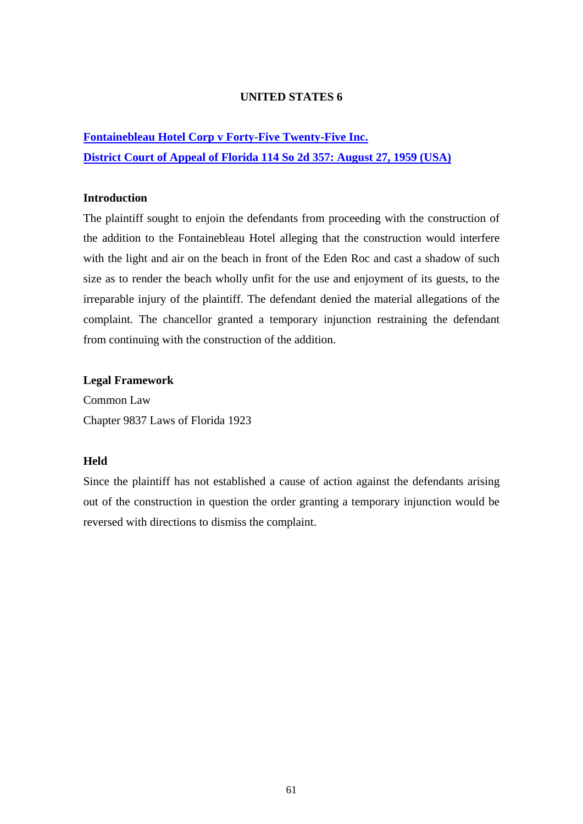# **Fontainebleau Hotel Corp v Forty-Five Twenty-Five Inc. [District Court of Appeal of Florida 114 So 2d 357: August 27, 1959 \(USA\)](#page-6-1)**

#### **Introduction**

The plaintiff sought to enjoin the defendants from proceeding with the construction of the addition to the Fontainebleau Hotel alleging that the construction would interfere with the light and air on the beach in front of the Eden Roc and cast a shadow of such size as to render the beach wholly unfit for the use and enjoyment of its guests, to the irreparable injury of the plaintiff. The defendant denied the material allegations of the complaint. The chancellor granted a temporary injunction restraining the defendant from continuing with the construction of the addition.

# **Legal Framework**

Common Law Chapter 9837 Laws of Florida 1923

## **Held**

Since the plaintiff has not established a cause of action against the defendants arising out of the construction in question the order granting a temporary injunction would be reversed with directions to dismiss the complaint.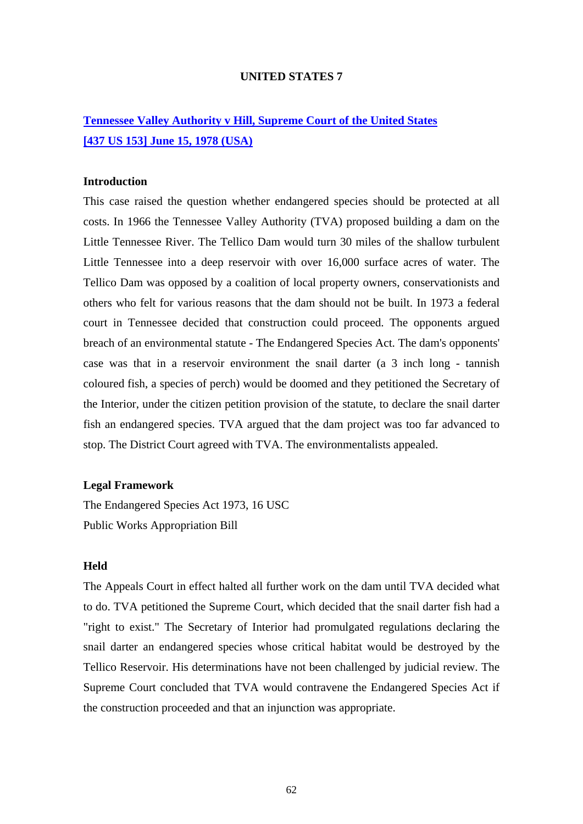# **[Tennessee Valley Authority v Hill, Supreme Court of the United States](#page-6-1) [437 US 153] June 15, 1978 (USA)**

#### **Introduction**

This case raised the question whether endangered species should be protected at all costs. In 1966 the Tennessee Valley Authority (TVA) proposed building a dam on the Little Tennessee River. The Tellico Dam would turn 30 miles of the shallow turbulent Little Tennessee into a deep reservoir with over 16,000 surface acres of water. The Tellico Dam was opposed by a coalition of local property owners, conservationists and others who felt for various reasons that the dam should not be built. In 1973 a federal court in Tennessee decided that construction could proceed. The opponents argued breach of an environmental statute - The Endangered Species Act. The dam's opponents' case was that in a reservoir environment the snail darter (a 3 inch long - tannish coloured fish, a species of perch) would be doomed and they petitioned the Secretary of the Interior, under the citizen petition provision of the statute, to declare the snail darter fish an endangered species. TVA argued that the dam project was too far advanced to stop. The District Court agreed with TVA. The environmentalists appealed.

#### **Legal Framework**

The Endangered Species Act 1973, 16 USC Public Works Appropriation Bill

#### **Held**

The Appeals Court in effect halted all further work on the dam until TVA decided what to do. TVA petitioned the Supreme Court, which decided that the snail darter fish had a "right to exist." The Secretary of Interior had promulgated regulations declaring the snail darter an endangered species whose critical habitat would be destroyed by the Tellico Reservoir. His determinations have not been challenged by judicial review. The Supreme Court concluded that TVA would contravene the Endangered Species Act if the construction proceeded and that an injunction was appropriate.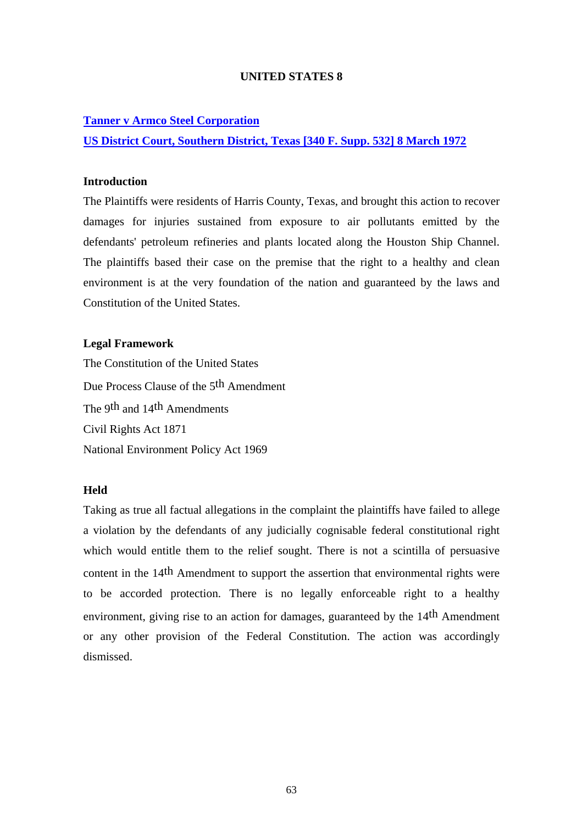## **Tanner v Armco Steel Corporation**

**[US District Court, Southern District, Texas \[340 F. Supp. 532\] 8 March 1972](#page-6-1)**

### **Introduction**

The Plaintiffs were residents of Harris County, Texas, and brought this action to recover damages for injuries sustained from exposure to air pollutants emitted by the defendants' petroleum refineries and plants located along the Houston Ship Channel. The plaintiffs based their case on the premise that the right to a healthy and clean environment is at the very foundation of the nation and guaranteed by the laws and Constitution of the United States.

### **Legal Framework**

The Constitution of the United States Due Process Clause of the 5th Amendment The 9th and 14th Amendments Civil Rights Act 1871 National Environment Policy Act 1969

### **Held**

Taking as true all factual allegations in the complaint the plaintiffs have failed to allege a violation by the defendants of any judicially cognisable federal constitutional right which would entitle them to the relief sought. There is not a scintilla of persuasive content in the 14th Amendment to support the assertion that environmental rights were to be accorded protection. There is no legally enforceable right to a healthy environment, giving rise to an action for damages, guaranteed by the 14th Amendment or any other provision of the Federal Constitution. The action was accordingly dismissed.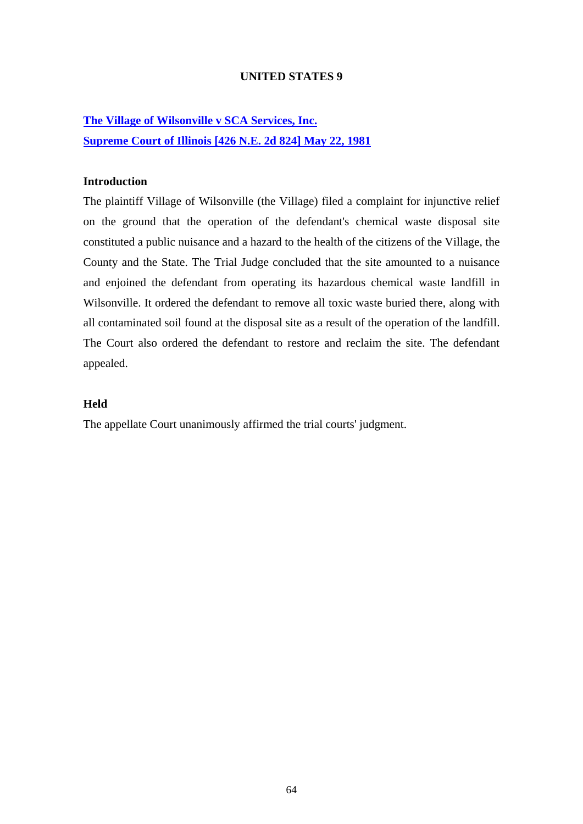# **The Village of Wilsonville v SCA Services, Inc. [Supreme Court of Illinois \[426 N.E. 2d 824\] May 22, 1981](#page-6-1)**

### **Introduction**

The plaintiff Village of Wilsonville (the Village) filed a complaint for injunctive relief on the ground that the operation of the defendant's chemical waste disposal site constituted a public nuisance and a hazard to the health of the citizens of the Village, the County and the State. The Trial Judge concluded that the site amounted to a nuisance and enjoined the defendant from operating its hazardous chemical waste landfill in Wilsonville. It ordered the defendant to remove all toxic waste buried there, along with all contaminated soil found at the disposal site as a result of the operation of the landfill. The Court also ordered the defendant to restore and reclaim the site. The defendant appealed.

# **Held**

The appellate Court unanimously affirmed the trial courts' judgment.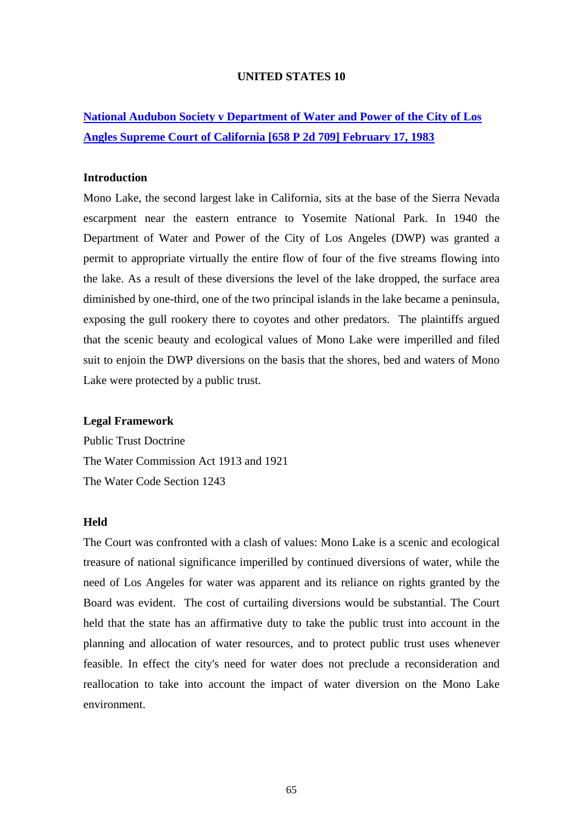# **[National Audubon Society v Department of Water and Power of the City of Los](#page-7-0)  [Angles Supreme Court of California \[658 P 2d 709\] February 17, 1983](#page-7-0)**

#### **Introduction**

Mono Lake, the second largest lake in California, sits at the base of the Sierra Nevada escarpment near the eastern entrance to Yosemite National Park. In 1940 the Department of Water and Power of the City of Los Angeles (DWP) was granted a permit to appropriate virtually the entire flow of four of the five streams flowing into the lake. As a result of these diversions the level of the lake dropped, the surface area diminished by one-third, one of the two principal islands in the lake became a peninsula, exposing the gull rookery there to coyotes and other predators. The plaintiffs argued that the scenic beauty and ecological values of Mono Lake were imperilled and filed suit to enjoin the DWP diversions on the basis that the shores, bed and waters of Mono Lake were protected by a public trust.

#### **Legal Framework**

Public Trust Doctrine The Water Commission Act 1913 and 1921 The Water Code Section 1243

#### **Held**

The Court was confronted with a clash of values: Mono Lake is a scenic and ecological treasure of national significance imperilled by continued diversions of water, while the need of Los Angeles for water was apparent and its reliance on rights granted by the Board was evident. The cost of curtailing diversions would be substantial. The Court held that the state has an affirmative duty to take the public trust into account in the planning and allocation of water resources, and to protect public trust uses whenever feasible. In effect the city's need for water does not preclude a reconsideration and reallocation to take into account the impact of water diversion on the Mono Lake environment.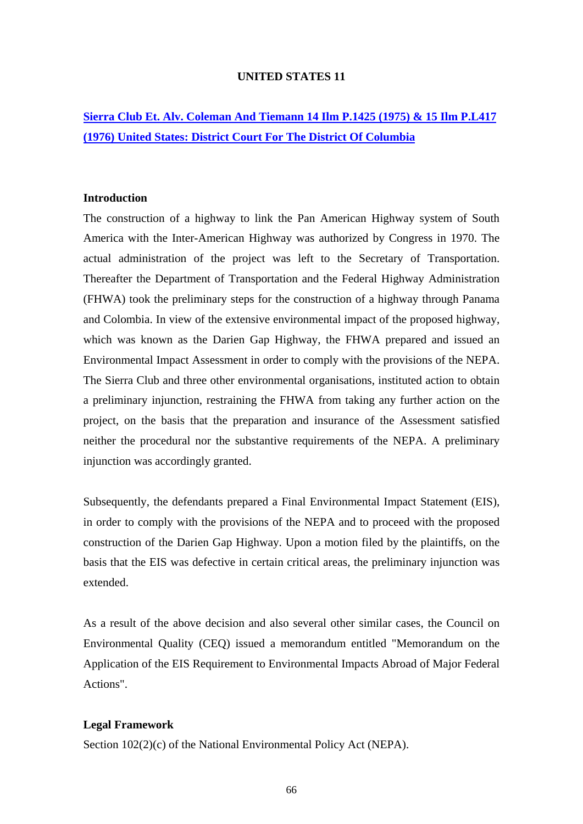# **[Sierra Club Et. Alv. Coleman And Tiemann 14 Ilm P.1425 \(1975\) & 15 Ilm P.L417](#page-7-0)  [\(1976\) United States: District Court For The District Of Columbia](#page-7-0)**

#### **Introduction**

The construction of a highway to link the Pan American Highway system of South America with the Inter-American Highway was authorized by Congress in 1970. The actual administration of the project was left to the Secretary of Transportation. Thereafter the Department of Transportation and the Federal Highway Administration (FHWA) took the preliminary steps for the construction of a highway through Panama and Colombia. In view of the extensive environmental impact of the proposed highway, which was known as the Darien Gap Highway, the FHWA prepared and issued an Environmental Impact Assessment in order to comply with the provisions of the NEPA. The Sierra Club and three other environmental organisations, instituted action to obtain a preliminary injunction, restraining the FHWA from taking any further action on the project, on the basis that the preparation and insurance of the Assessment satisfied neither the procedural nor the substantive requirements of the NEPA. A preliminary injunction was accordingly granted.

Subsequently, the defendants prepared a Final Environmental Impact Statement (EIS), in order to comply with the provisions of the NEPA and to proceed with the proposed construction of the Darien Gap Highway. Upon a motion filed by the plaintiffs, on the basis that the EIS was defective in certain critical areas, the preliminary injunction was extended.

As a result of the above decision and also several other similar cases, the Council on Environmental Quality (CEQ) issued a memorandum entitled "Memorandum on the Application of the EIS Requirement to Environmental Impacts Abroad of Major Federal Actions".

#### **Legal Framework**

Section 102(2)(c) of the National Environmental Policy Act (NEPA).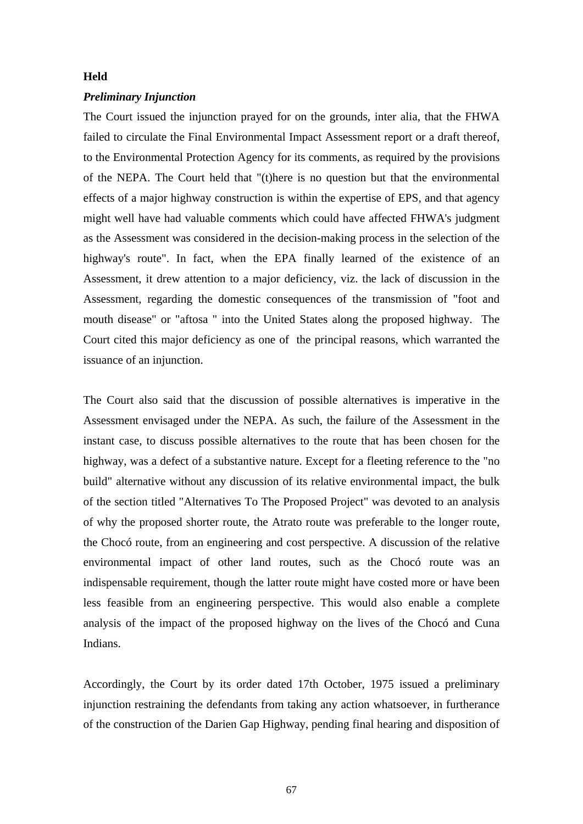#### **Held**

### *Preliminary Injunction*

The Court issued the injunction prayed for on the grounds, inter alia, that the FHWA failed to circulate the Final Environmental Impact Assessment report or a draft thereof, to the Environmental Protection Agency for its comments, as required by the provisions of the NEPA. The Court held that "(t)here is no question but that the environmental effects of a major highway construction is within the expertise of EPS, and that agency might well have had valuable comments which could have affected FHWA's judgment as the Assessment was considered in the decision-making process in the selection of the highway's route". In fact, when the EPA finally learned of the existence of an Assessment, it drew attention to a major deficiency, viz. the lack of discussion in the Assessment, regarding the domestic consequences of the transmission of "foot and mouth disease" or "aftosa " into the United States along the proposed highway. The Court cited this major deficiency as one of the principal reasons, which warranted the issuance of an injunction.

The Court also said that the discussion of possible alternatives is imperative in the Assessment envisaged under the NEPA. As such, the failure of the Assessment in the instant case, to discuss possible alternatives to the route that has been chosen for the highway, was a defect of a substantive nature. Except for a fleeting reference to the "no build" alternative without any discussion of its relative environmental impact, the bulk of the section titled "Alternatives To The Proposed Project" was devoted to an analysis of why the proposed shorter route, the Atrato route was preferable to the longer route, the Chocó route, from an engineering and cost perspective. A discussion of the relative environmental impact of other land routes, such as the Chocó route was an indispensable requirement, though the latter route might have costed more or have been less feasible from an engineering perspective. This would also enable a complete analysis of the impact of the proposed highway on the lives of the Chocó and Cuna Indians.

Accordingly, the Court by its order dated 17th October, 1975 issued a preliminary injunction restraining the defendants from taking any action whatsoever, in furtherance of the construction of the Darien Gap Highway, pending final hearing and disposition of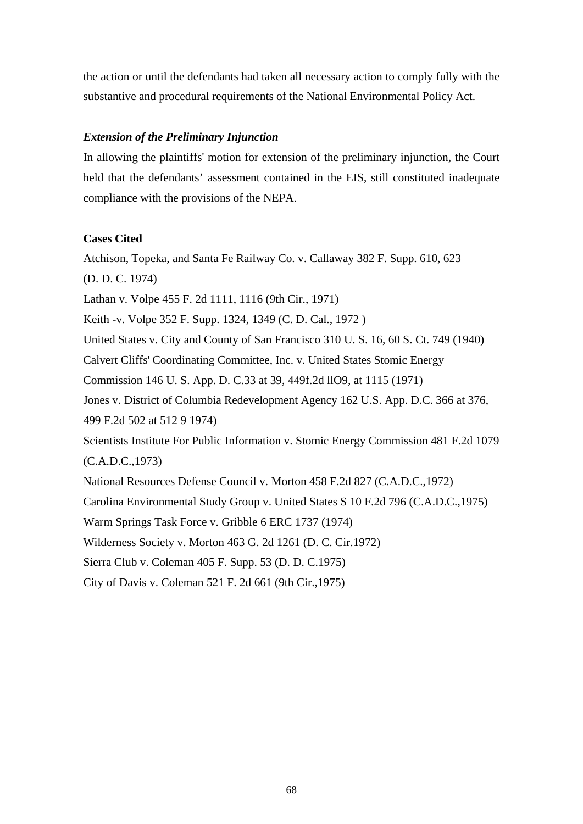the action or until the defendants had taken all necessary action to comply fully with the substantive and procedural requirements of the National Environmental Policy Act.

# *Extension of the Preliminary Injunction*

In allowing the plaintiffs' motion for extension of the preliminary injunction, the Court held that the defendants' assessment contained in the EIS, still constituted inadequate compliance with the provisions of the NEPA.

# **Cases Cited**

Atchison, Topeka, and Santa Fe Railway Co. v. Callaway 382 F. Supp. 610, 623 (D. D. C. 1974)

Lathan v. Volpe 455 F. 2d 1111, 1116 (9th Cir., 1971)

Keith -v. Volpe 352 F. Supp. 1324, 1349 (C. D. Cal., 1972 )

United States v. City and County of San Francisco 310 U. S. 16, 60 S. Ct. 749 (1940)

Calvert Cliffs' Coordinating Committee, Inc. v. United States Stomic Energy

Commission 146 U. S. App. D. C.33 at 39, 449f.2d llO9, at 1115 (1971)

Jones v. District of Columbia Redevelopment Agency 162 U.S. App. D.C. 366 at 376, 499 F.2d 502 at 512 9 1974)

Scientists Institute For Public Information v. Stomic Energy Commission 481 F.2d 1079 (C.A.D.C.,1973)

National Resources Defense Council v. Morton 458 F.2d 827 (C.A.D.C.,1972)

Carolina Environmental Study Group v. United States S 10 F.2d 796 (C.A.D.C.,1975)

Warm Springs Task Force v. Gribble 6 ERC 1737 (1974)

Wilderness Society v. Morton 463 G. 2d 1261 (D. C. Cir.1972)

Sierra Club v. Coleman 405 F. Supp. 53 (D. D. C.1975)

City of Davis v. Coleman 521 F. 2d 661 (9th Cir.,1975)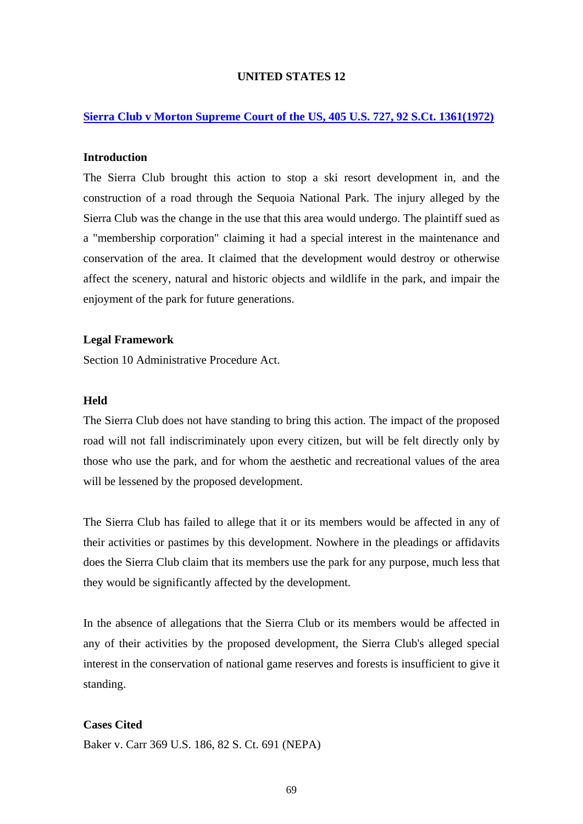# **[Sierra Club v Morton Supreme Court of the US, 405 U.S. 727, 92 S.Ct. 1361\(1972\)](#page-7-0)**

## **Introduction**

The Sierra Club brought this action to stop a ski resort development in, and the construction of a road through the Sequoia National Park. The injury alleged by the Sierra Club was the change in the use that this area would undergo. The plaintiff sued as a "membership corporation" claiming it had a special interest in the maintenance and conservation of the area. It claimed that the development would destroy or otherwise affect the scenery, natural and historic objects and wildlife in the park, and impair the enjoyment of the park for future generations.

#### **Legal Framework**

Section 10 Administrative Procedure Act.

#### **Held**

The Sierra Club does not have standing to bring this action. The impact of the proposed road will not fall indiscriminately upon every citizen, but will be felt directly only by those who use the park, and for whom the aesthetic and recreational values of the area will be lessened by the proposed development.

The Sierra Club has failed to allege that it or its members would be affected in any of their activities or pastimes by this development. Nowhere in the pleadings or affidavits does the Sierra Club claim that its members use the park for any purpose, much less that they would be significantly affected by the development.

In the absence of allegations that the Sierra Club or its members would be affected in any of their activities by the proposed development, the Sierra Club's alleged special interest in the conservation of national game reserves and forests is insufficient to give it standing.

#### **Cases Cited**

Baker v. Carr 369 U.S. 186, 82 S. Ct. 691 (NEPA)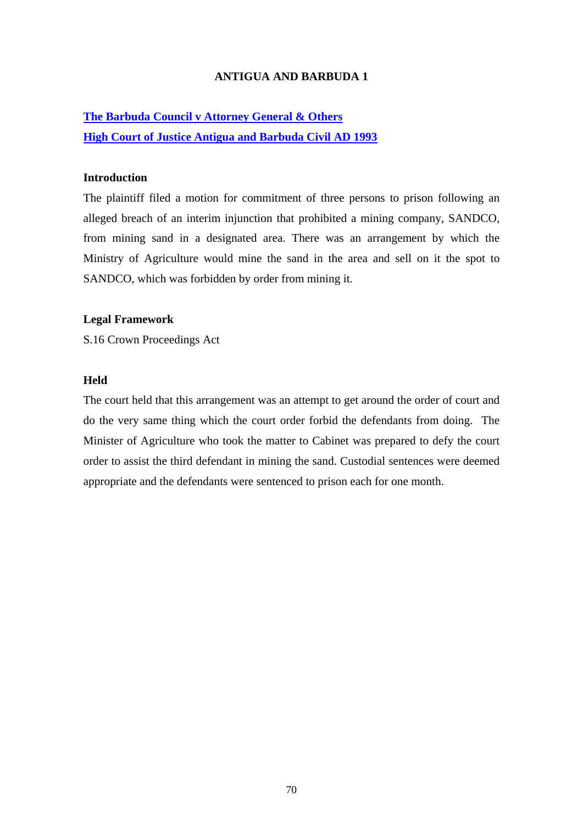# **ANTIGUA AND BARBUDA 1**

# **[The Barbuda Council v Attorney General & Others](#page-7-0) [High Court of Justice Antigua and Barbuda Civil AD 1993](#page-7-0)**

### **Introduction**

The plaintiff filed a motion for commitment of three persons to prison following an alleged breach of an interim injunction that prohibited a mining company, SANDCO, from mining sand in a designated area. There was an arrangement by which the Ministry of Agriculture would mine the sand in the area and sell on it the spot to SANDCO, which was forbidden by order from mining it.

# **Legal Framework**

S.16 Crown Proceedings Act

# **Held**

The court held that this arrangement was an attempt to get around the order of court and do the very same thing which the court order forbid the defendants from doing. The Minister of Agriculture who took the matter to Cabinet was prepared to defy the court order to assist the third defendant in mining the sand. Custodial sentences were deemed appropriate and the defendants were sentenced to prison each for one month.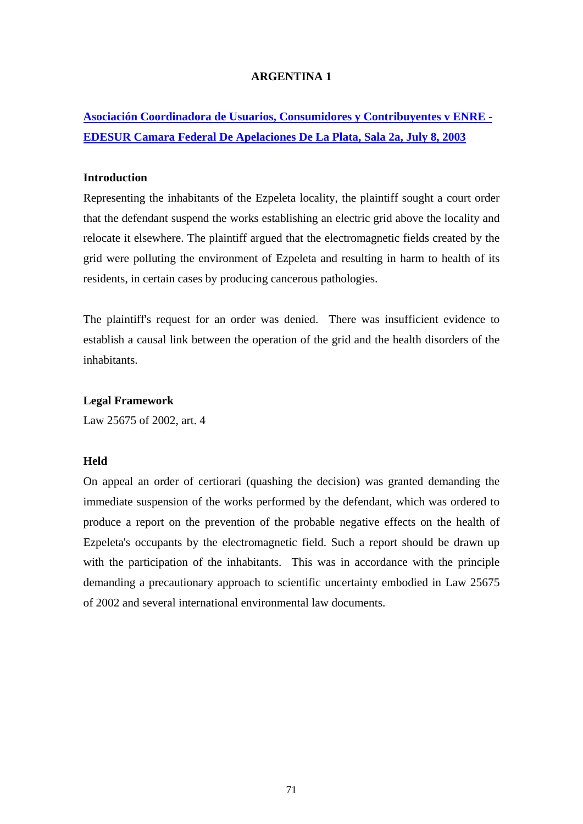# **ARGENTINA 1**

# **[Asociación Coordinadora de Usuarios, Consumidores y Contribuyentes v ENRE -](#page-7-0) [EDESUR Camara Federal De Apelaciones De La Plata, Sala 2a, July 8, 2003](#page-7-0)**

#### **Introduction**

Representing the inhabitants of the Ezpeleta locality, the plaintiff sought a court order that the defendant suspend the works establishing an electric grid above the locality and relocate it elsewhere. The plaintiff argued that the electromagnetic fields created by the grid were polluting the environment of Ezpeleta and resulting in harm to health of its residents, in certain cases by producing cancerous pathologies.

The plaintiff's request for an order was denied. There was insufficient evidence to establish a causal link between the operation of the grid and the health disorders of the inhabitants.

### **Legal Framework**

Law 25675 of 2002, art. 4

# **Held**

On appeal an order of certiorari (quashing the decision) was granted demanding the immediate suspension of the works performed by the defendant, which was ordered to produce a report on the prevention of the probable negative effects on the health of Ezpeleta's occupants by the electromagnetic field. Such a report should be drawn up with the participation of the inhabitants. This was in accordance with the principle demanding a precautionary approach to scientific uncertainty embodied in Law 25675 of 2002 and several international environmental law documents.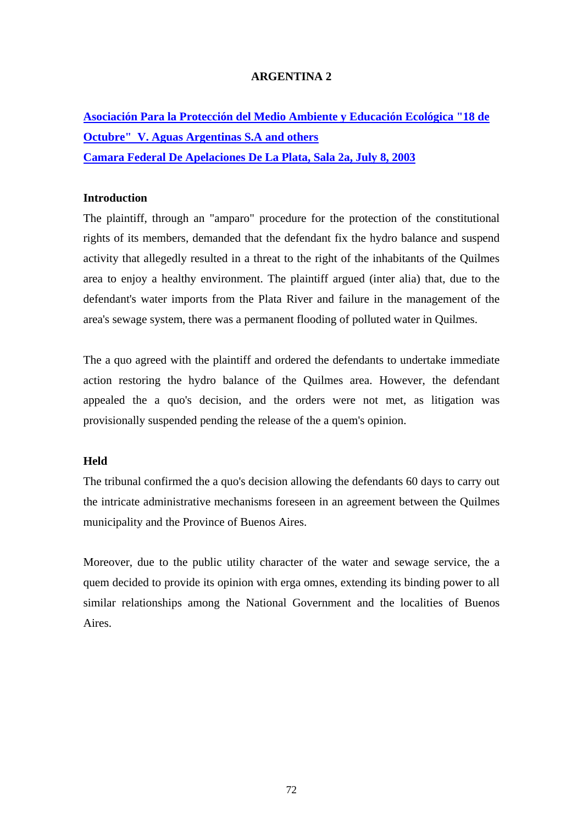# **ARGENTINA 2**

**[Asociación Para la Protección del Medio Ambiente y Educación Ecológica "18 de](#page-7-0)  [Octubre" V. Aguas Argentinas S.A and others](#page-7-0) [Camara Federal De Apelaciones De La Plata, Sala 2a, July 8, 2003](#page-7-0)**

#### **Introduction**

The plaintiff, through an "amparo" procedure for the protection of the constitutional rights of its members, demanded that the defendant fix the hydro balance and suspend activity that allegedly resulted in a threat to the right of the inhabitants of the Quilmes area to enjoy a healthy environment. The plaintiff argued (inter alia) that, due to the defendant's water imports from the Plata River and failure in the management of the area's sewage system, there was a permanent flooding of polluted water in Quilmes.

The a quo agreed with the plaintiff and ordered the defendants to undertake immediate action restoring the hydro balance of the Quilmes area. However, the defendant appealed the a quo's decision, and the orders were not met, as litigation was provisionally suspended pending the release of the a quem's opinion.

#### **Held**

The tribunal confirmed the a quo's decision allowing the defendants 60 days to carry out the intricate administrative mechanisms foreseen in an agreement between the Quilmes municipality and the Province of Buenos Aires.

Moreover, due to the public utility character of the water and sewage service, the a quem decided to provide its opinion with erga omnes, extending its binding power to all similar relationships among the National Government and the localities of Buenos Aires.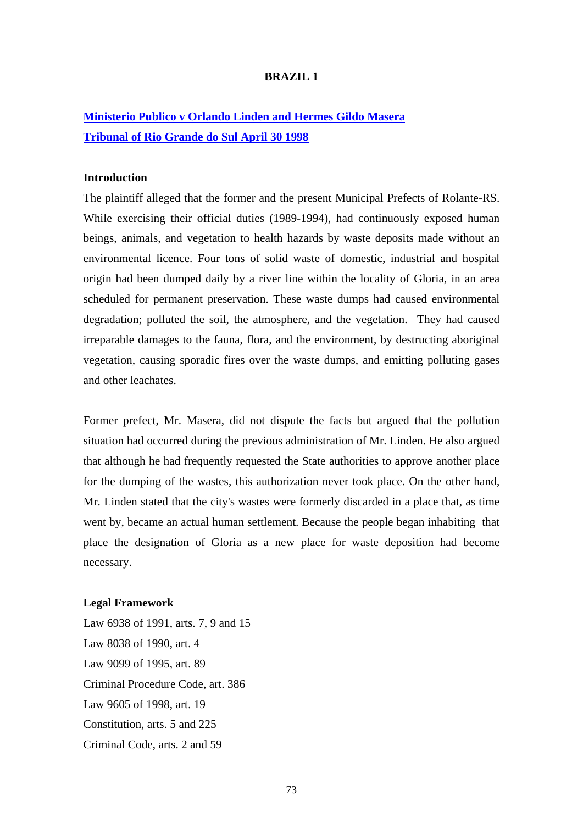### **BRAZIL 1**

# **[Ministerio Publico v Orlando Linden and Hermes Gildo Masera](#page-7-1) Tribunal of Rio Grande do Sul April 30 1998**

#### **Introduction**

The plaintiff alleged that the former and the present Municipal Prefects of Rolante-RS. While exercising their official duties (1989-1994), had continuously exposed human beings, animals, and vegetation to health hazards by waste deposits made without an environmental licence. Four tons of solid waste of domestic, industrial and hospital origin had been dumped daily by a river line within the locality of Gloria, in an area scheduled for permanent preservation. These waste dumps had caused environmental degradation; polluted the soil, the atmosphere, and the vegetation. They had caused irreparable damages to the fauna, flora, and the environment, by destructing aboriginal vegetation, causing sporadic fires over the waste dumps, and emitting polluting gases and other leachates.

Former prefect, Mr. Masera, did not dispute the facts but argued that the pollution situation had occurred during the previous administration of Mr. Linden. He also argued that although he had frequently requested the State authorities to approve another place for the dumping of the wastes, this authorization never took place. On the other hand, Mr. Linden stated that the city's wastes were formerly discarded in a place that, as time went by, became an actual human settlement. Because the people began inhabiting that place the designation of Gloria as a new place for waste deposition had become necessary.

#### **Legal Framework**

Law 6938 of 1991, arts. 7, 9 and 15 Law 8038 of 1990, art. 4 Law 9099 of 1995, art. 89 Criminal Procedure Code, art. 386 Law 9605 of 1998, art. 19 Constitution, arts. 5 and 225 Criminal Code, arts. 2 and 59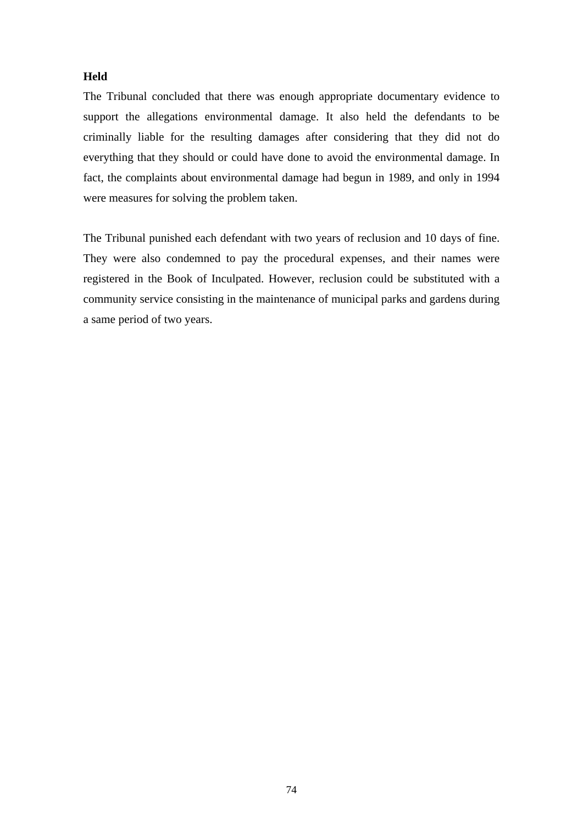# **Held**

The Tribunal concluded that there was enough appropriate documentary evidence to support the allegations environmental damage. It also held the defendants to be criminally liable for the resulting damages after considering that they did not do everything that they should or could have done to avoid the environmental damage. In fact, the complaints about environmental damage had begun in 1989, and only in 1994 were measures for solving the problem taken.

The Tribunal punished each defendant with two years of reclusion and 10 days of fine. They were also condemned to pay the procedural expenses, and their names were registered in the Book of Inculpated. However, reclusion could be substituted with a community service consisting in the maintenance of municipal parks and gardens during a same period of two years.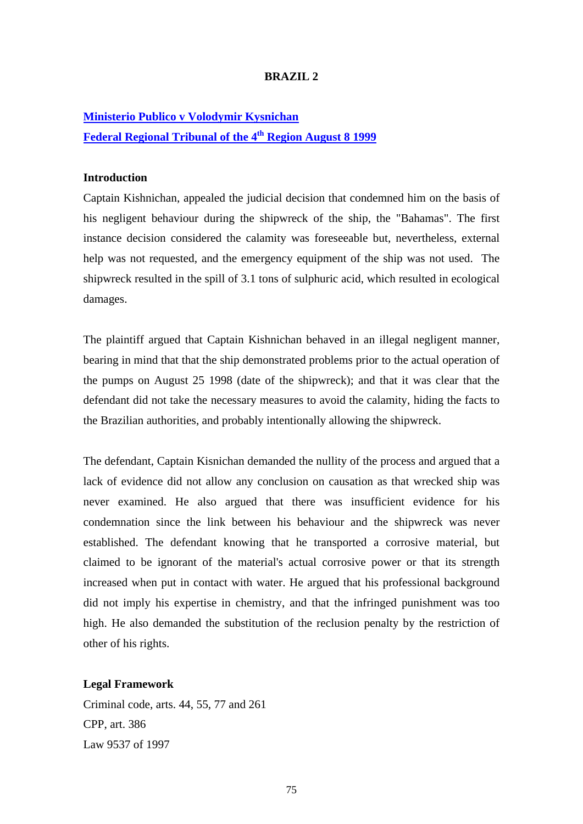### **BRAZIL 2**

# **Ministerio Publico v Volodymir Kysnichan Federal Regional Tribunal of t[h](#page-7-0)e4<sup>th</sup> [Region August 8 1999](#page-7-0)**

# **Introduction**

Captain Kishnichan, appealed the judicial decision that condemned him on the basis of his negligent behaviour during the shipwreck of the ship, the "Bahamas". The first instance decision considered the calamity was foreseeable but, nevertheless, external help was not requested, and the emergency equipment of the ship was not used. The shipwreck resulted in the spill of 3.1 tons of sulphuric acid, which resulted in ecological damages.

The plaintiff argued that Captain Kishnichan behaved in an illegal negligent manner, bearing in mind that that the ship demonstrated problems prior to the actual operation of the pumps on August 25 1998 (date of the shipwreck); and that it was clear that the defendant did not take the necessary measures to avoid the calamity, hiding the facts to the Brazilian authorities, and probably intentionally allowing the shipwreck.

The defendant, Captain Kisnichan demanded the nullity of the process and argued that a lack of evidence did not allow any conclusion on causation as that wrecked ship was never examined. He also argued that there was insufficient evidence for his condemnation since the link between his behaviour and the shipwreck was never established. The defendant knowing that he transported a corrosive material, but claimed to be ignorant of the material's actual corrosive power or that its strength increased when put in contact with water. He argued that his professional background did not imply his expertise in chemistry, and that the infringed punishment was too high. He also demanded the substitution of the reclusion penalty by the restriction of other of his rights.

### **Legal Framework**

Criminal code, arts. 44, 55, 77 and 261 CPP, art. 386 Law 9537 of 1997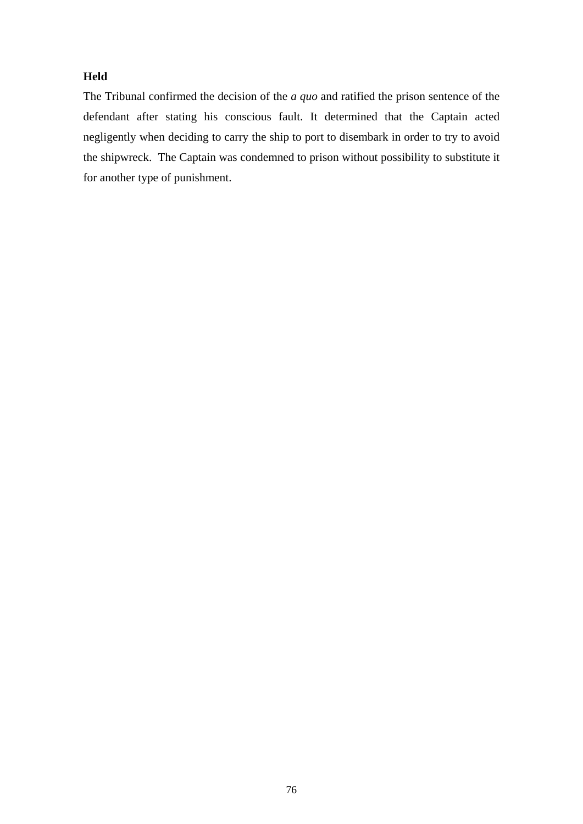# **Held**

The Tribunal confirmed the decision of the *a quo* and ratified the prison sentence of the defendant after stating his conscious fault. It determined that the Captain acted negligently when deciding to carry the ship to port to disembark in order to try to avoid the shipwreck. The Captain was condemned to prison without possibility to substitute it for another type of punishment.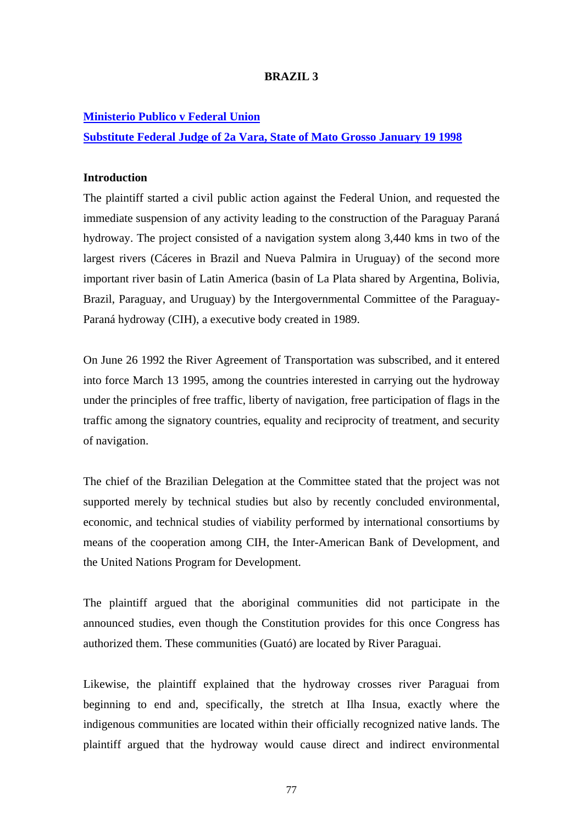# **BRAZIL 3**

### **Ministerio Publico v Federal Union**

**[Substitute Federal Judge of 2a Vara, State of Mato Grosso January 19 1998](#page-7-1)**

#### **Introduction**

The plaintiff started a civil public action against the Federal Union, and requested the immediate suspension of any activity leading to the construction of the Paraguay Paraná hydroway. The project consisted of a navigation system along 3,440 kms in two of the largest rivers (Cáceres in Brazil and Nueva Palmira in Uruguay) of the second more important river basin of Latin America (basin of La Plata shared by Argentina, Bolivia, Brazil, Paraguay, and Uruguay) by the Intergovernmental Committee of the Paraguay-Paraná hydroway (CIH), a executive body created in 1989.

On June 26 1992 the River Agreement of Transportation was subscribed, and it entered into force March 13 1995, among the countries interested in carrying out the hydroway under the principles of free traffic, liberty of navigation, free participation of flags in the traffic among the signatory countries, equality and reciprocity of treatment, and security of navigation.

The chief of the Brazilian Delegation at the Committee stated that the project was not supported merely by technical studies but also by recently concluded environmental, economic, and technical studies of viability performed by international consortiums by means of the cooperation among CIH, the Inter-American Bank of Development, and the United Nations Program for Development.

The plaintiff argued that the aboriginal communities did not participate in the announced studies, even though the Constitution provides for this once Congress has authorized them. These communities (Guató) are located by River Paraguai.

Likewise, the plaintiff explained that the hydroway crosses river Paraguai from beginning to end and, specifically, the stretch at Ilha Insua, exactly where the indigenous communities are located within their officially recognized native lands. The plaintiff argued that the hydroway would cause direct and indirect environmental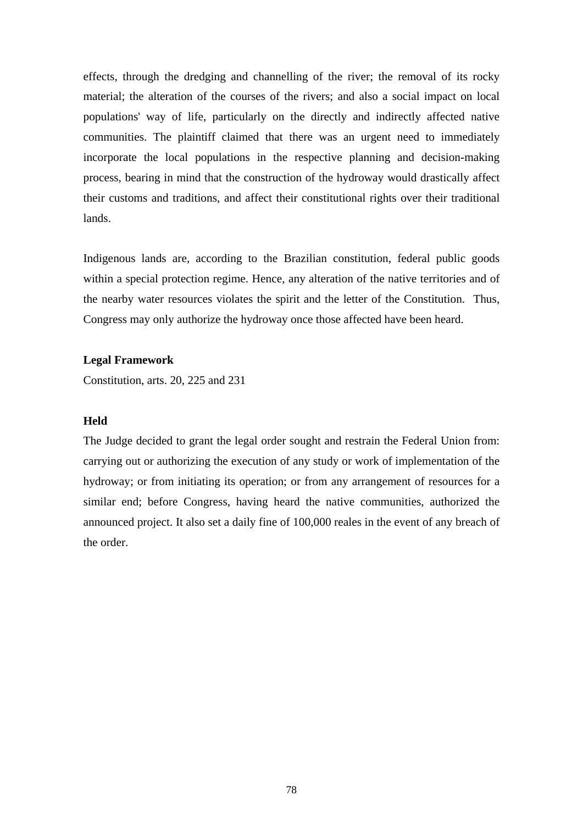effects, through the dredging and channelling of the river; the removal of its rocky material; the alteration of the courses of the rivers; and also a social impact on local populations' way of life, particularly on the directly and indirectly affected native communities. The plaintiff claimed that there was an urgent need to immediately incorporate the local populations in the respective planning and decision-making process, bearing in mind that the construction of the hydroway would drastically affect their customs and traditions, and affect their constitutional rights over their traditional lands.

Indigenous lands are, according to the Brazilian constitution, federal public goods within a special protection regime. Hence, any alteration of the native territories and of the nearby water resources violates the spirit and the letter of the Constitution. Thus, Congress may only authorize the hydroway once those affected have been heard.

#### **Legal Framework**

Constitution, arts. 20, 225 and 231

# **Held**

The Judge decided to grant the legal order sought and restrain the Federal Union from: carrying out or authorizing the execution of any study or work of implementation of the hydroway; or from initiating its operation; or from any arrangement of resources for a similar end; before Congress, having heard the native communities, authorized the announced project. It also set a daily fine of 100,000 reales in the event of any breach of the order.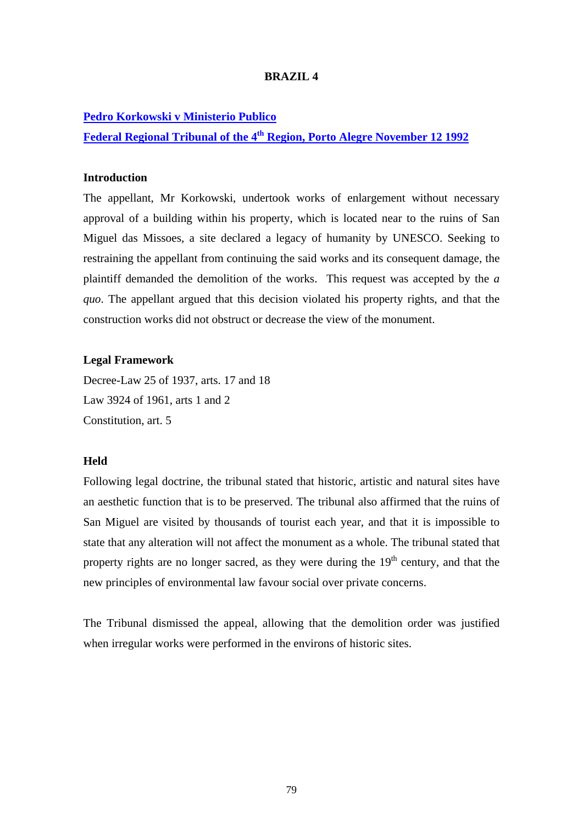### **BRAZIL 4**

# **Pedro Korkowski v Ministerio Publico**

**Federal Regional Tribunal of t[h](#page-7-0)e 4<sup>th</sup> [Region, Porto Alegre November 12 1992](#page-7-1)** 

#### **Introduction**

The appellant, Mr Korkowski, undertook works of enlargement without necessary approval of a building within his property, which is located near to the ruins of San Miguel das Missoes, a site declared a legacy of humanity by UNESCO. Seeking to restraining the appellant from continuing the said works and its consequent damage, the plaintiff demanded the demolition of the works. This request was accepted by the *a quo*. The appellant argued that this decision violated his property rights, and that the construction works did not obstruct or decrease the view of the monument.

#### **Legal Framework**

Decree-Law 25 of 1937, arts. 17 and 18 Law 3924 of 1961, arts 1 and 2 Constitution, art. 5

#### **Held**

Following legal doctrine, the tribunal stated that historic, artistic and natural sites have an aesthetic function that is to be preserved. The tribunal also affirmed that the ruins of San Miguel are visited by thousands of tourist each year, and that it is impossible to state that any alteration will not affect the monument as a whole. The tribunal stated that property rights are no longer sacred, as they were during the  $19<sup>th</sup>$  century, and that the new principles of environmental law favour social over private concerns.

The Tribunal dismissed the appeal, allowing that the demolition order was justified when irregular works were performed in the environs of historic sites.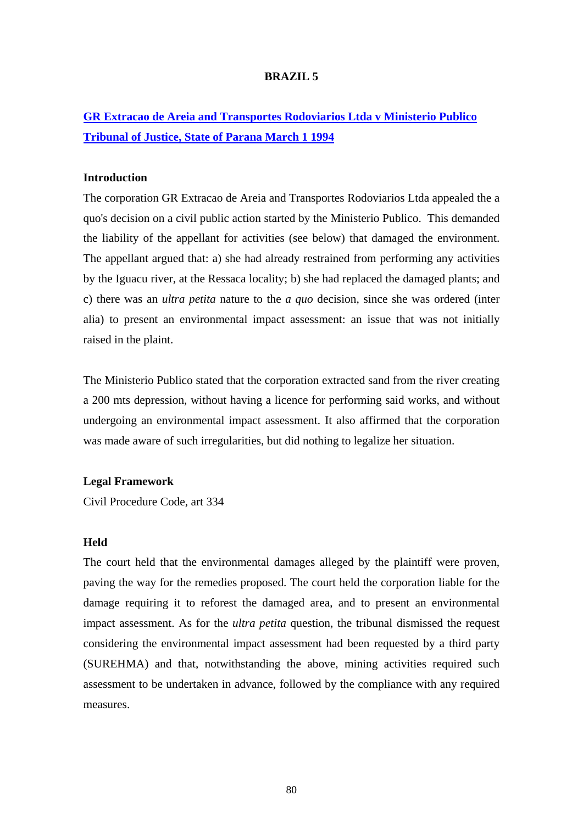#### **BRAZIL 5**

# **[GR Extracao de Areia and Transportes Rodoviarios Ltda v Ministerio Publico](#page-7-1) Tribunal of Justice, State of Parana March 1 1994**

#### **Introduction**

The corporation GR Extracao de Areia and Transportes Rodoviarios Ltda appealed the a quo's decision on a civil public action started by the Ministerio Publico. This demanded the liability of the appellant for activities (see below) that damaged the environment. The appellant argued that: a) she had already restrained from performing any activities by the Iguacu river, at the Ressaca locality; b) she had replaced the damaged plants; and c) there was an *ultra petita* nature to the *a quo* decision, since she was ordered (inter alia) to present an environmental impact assessment: an issue that was not initially raised in the plaint.

The Ministerio Publico stated that the corporation extracted sand from the river creating a 200 mts depression, without having a licence for performing said works, and without undergoing an environmental impact assessment. It also affirmed that the corporation was made aware of such irregularities, but did nothing to legalize her situation.

#### **Legal Framework**

Civil Procedure Code, art 334

# **Held**

The court held that the environmental damages alleged by the plaintiff were proven, paving the way for the remedies proposed. The court held the corporation liable for the damage requiring it to reforest the damaged area, and to present an environmental impact assessment. As for the *ultra petita* question, the tribunal dismissed the request considering the environmental impact assessment had been requested by a third party (SUREHMA) and that, notwithstanding the above, mining activities required such assessment to be undertaken in advance, followed by the compliance with any required measures.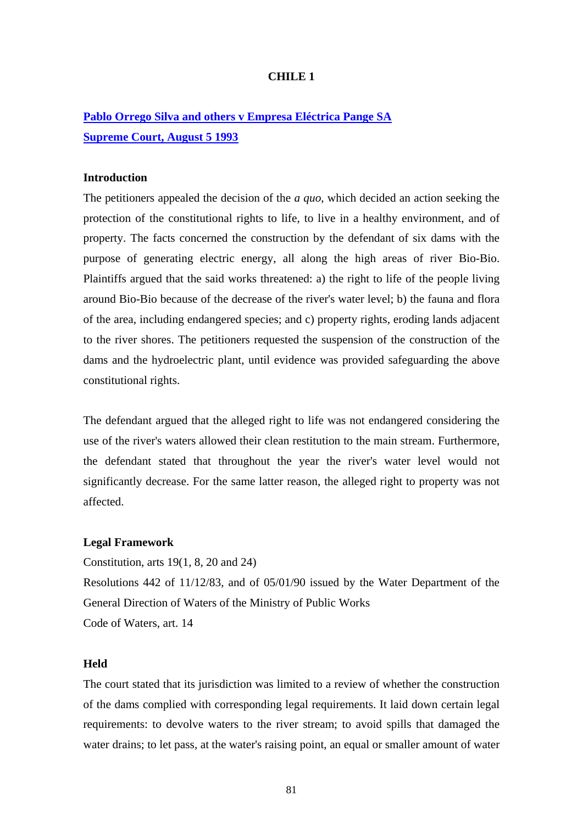# **[Pablo Orrego Silva and others v Empresa Eléctrica Pange SA](#page-7-0) Supreme Court, August 5 1993**

### **Introduction**

The petitioners appealed the decision of the *a quo*, which decided an action seeking the protection of the constitutional rights to life, to live in a healthy environment, and of property. The facts concerned the construction by the defendant of six dams with the purpose of generating electric energy, all along the high areas of river Bio-Bio. Plaintiffs argued that the said works threatened: a) the right to life of the people living around Bio-Bio because of the decrease of the river's water level; b) the fauna and flora of the area, including endangered species; and c) property rights, eroding lands adjacent to the river shores. The petitioners requested the suspension of the construction of the dams and the hydroelectric plant, until evidence was provided safeguarding the above constitutional rights.

The defendant argued that the alleged right to life was not endangered considering the use of the river's waters allowed their clean restitution to the main stream. Furthermore, the defendant stated that throughout the year the river's water level would not significantly decrease. For the same latter reason, the alleged right to property was not affected.

### **Legal Framework**

Constitution, arts 19(1, 8, 20 and 24) Resolutions 442 of 11/12/83, and of 05/01/90 issued by the Water Department of the General Direction of Waters of the Ministry of Public Works Code of Waters, art. 14

### **Held**

The court stated that its jurisdiction was limited to a review of whether the construction of the dams complied with corresponding legal requirements. It laid down certain legal requirements: to devolve waters to the river stream; to avoid spills that damaged the water drains; to let pass, at the water's raising point, an equal or smaller amount of water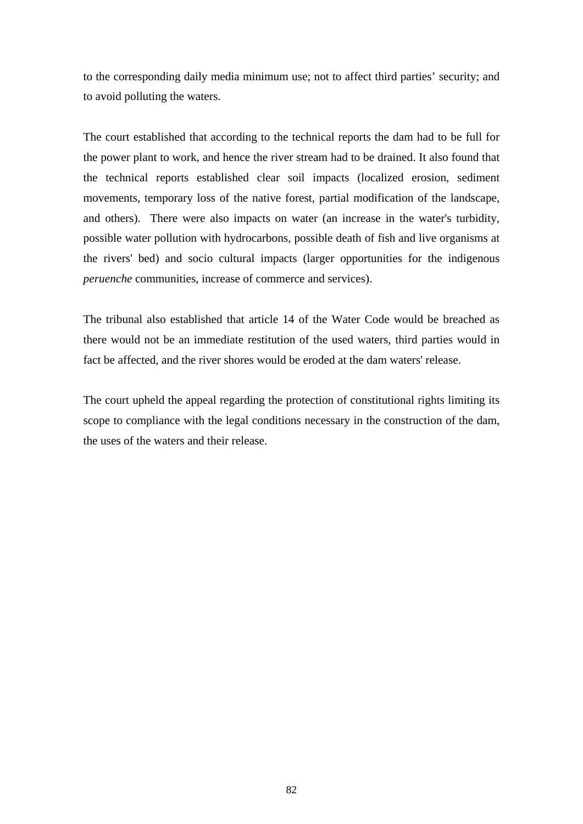to the corresponding daily media minimum use; not to affect third parties' security; and to avoid polluting the waters.

The court established that according to the technical reports the dam had to be full for the power plant to work, and hence the river stream had to be drained. It also found that the technical reports established clear soil impacts (localized erosion, sediment movements, temporary loss of the native forest, partial modification of the landscape, and others). There were also impacts on water (an increase in the water's turbidity, possible water pollution with hydrocarbons, possible death of fish and live organisms at the rivers' bed) and socio cultural impacts (larger opportunities for the indigenous *peruenche* communities, increase of commerce and services).

The tribunal also established that article 14 of the Water Code would be breached as there would not be an immediate restitution of the used waters, third parties would in fact be affected, and the river shores would be eroded at the dam waters' release.

The court upheld the appeal regarding the protection of constitutional rights limiting its scope to compliance with the legal conditions necessary in the construction of the dam, the uses of the waters and their release.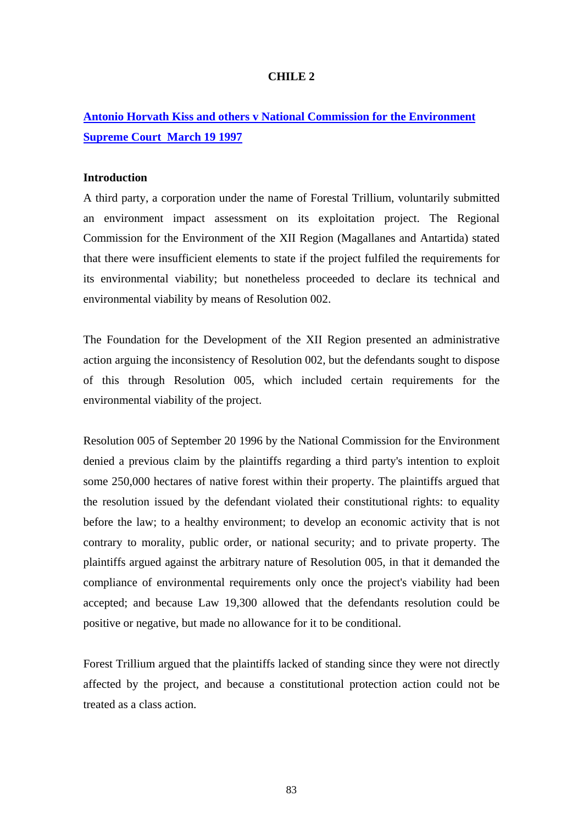# **[Antonio Horvath Kiss and others v National Commission for the Environment](#page-7-0) Supreme Court March 19 1997**

#### **Introduction**

A third party, a corporation under the name of Forestal Trillium, voluntarily submitted an environment impact assessment on its exploitation project. The Regional Commission for the Environment of the XII Region (Magallanes and Antartida) stated that there were insufficient elements to state if the project fulfiled the requirements for its environmental viability; but nonetheless proceeded to declare its technical and environmental viability by means of Resolution 002.

The Foundation for the Development of the XII Region presented an administrative action arguing the inconsistency of Resolution 002, but the defendants sought to dispose of this through Resolution 005, which included certain requirements for the environmental viability of the project.

Resolution 005 of September 20 1996 by the National Commission for the Environment denied a previous claim by the plaintiffs regarding a third party's intention to exploit some 250,000 hectares of native forest within their property. The plaintiffs argued that the resolution issued by the defendant violated their constitutional rights: to equality before the law; to a healthy environment; to develop an economic activity that is not contrary to morality, public order, or national security; and to private property. The plaintiffs argued against the arbitrary nature of Resolution 005, in that it demanded the compliance of environmental requirements only once the project's viability had been accepted; and because Law 19,300 allowed that the defendants resolution could be positive or negative, but made no allowance for it to be conditional.

Forest Trillium argued that the plaintiffs lacked of standing since they were not directly affected by the project, and because a constitutional protection action could not be treated as a class action.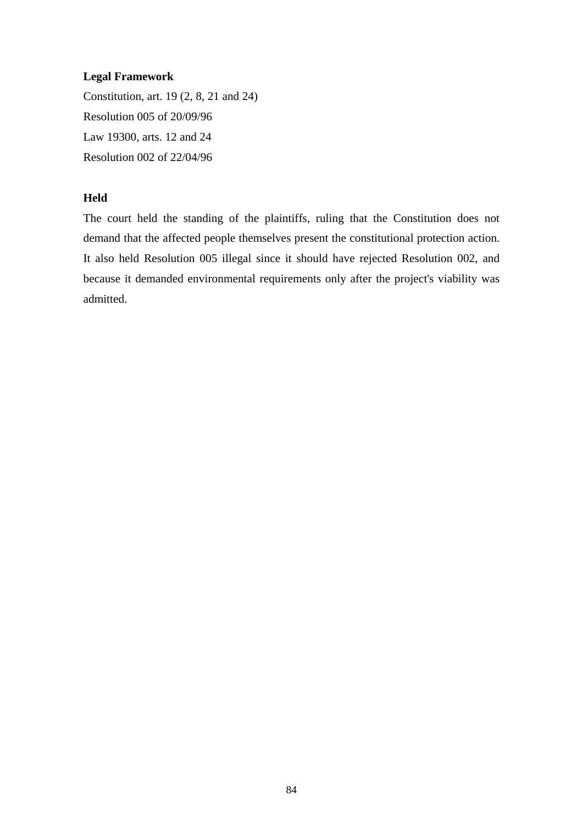# **Legal Framework**

Constitution, art. 19 (2, 8, 21 and 24) Resolution 005 of 20/09/96 Law 19300, arts. 12 and 24 Resolution 002 of 22/04/96

# **Held**

The court held the standing of the plaintiffs, ruling that the Constitution does not demand that the affected people themselves present the constitutional protection action. It also held Resolution 005 illegal since it should have rejected Resolution 002, and because it demanded environmental requirements only after the project's viability was admitted.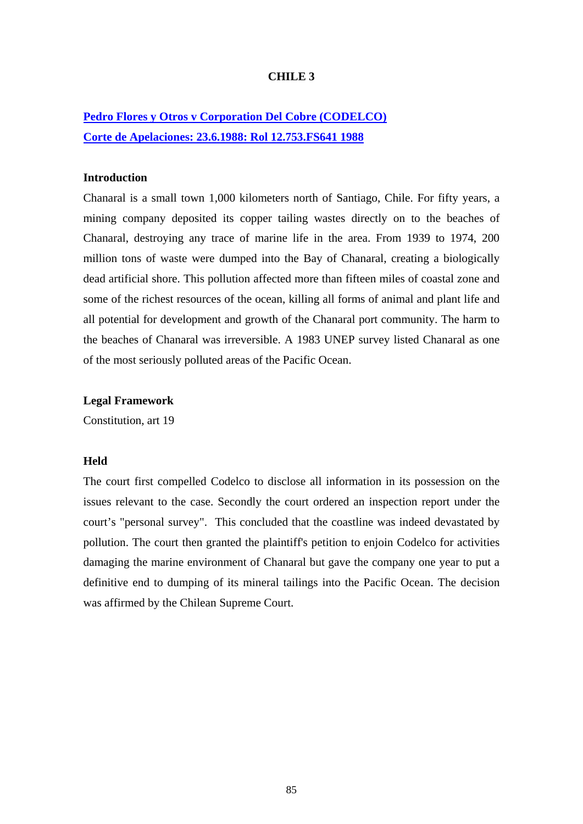# **[Pedro Flores y Otros v Corporation Del Cobre \(CODELCO\)](#page-7-0) Corte de Apelaciones: 23.6.1988: Rol 12.753.FS641 1988**

### **Introduction**

Chanaral is a small town 1,000 kilometers north of Santiago, Chile. For fifty years, a mining company deposited its copper tailing wastes directly on to the beaches of Chanaral, destroying any trace of marine life in the area. From 1939 to 1974, 200 million tons of waste were dumped into the Bay of Chanaral, creating a biologically dead artificial shore. This pollution affected more than fifteen miles of coastal zone and some of the richest resources of the ocean, killing all forms of animal and plant life and all potential for development and growth of the Chanaral port community. The harm to the beaches of Chanaral was irreversible. A 1983 UNEP survey listed Chanaral as one of the most seriously polluted areas of the Pacific Ocean.

### **Legal Framework**

Constitution, art 19

### **Held**

The court first compelled Codelco to disclose all information in its possession on the issues relevant to the case. Secondly the court ordered an inspection report under the court's "personal survey". This concluded that the coastline was indeed devastated by pollution. The court then granted the plaintiff's petition to enjoin Codelco for activities damaging the marine environment of Chanaral but gave the company one year to put a definitive end to dumping of its mineral tailings into the Pacific Ocean. The decision was affirmed by the Chilean Supreme Court.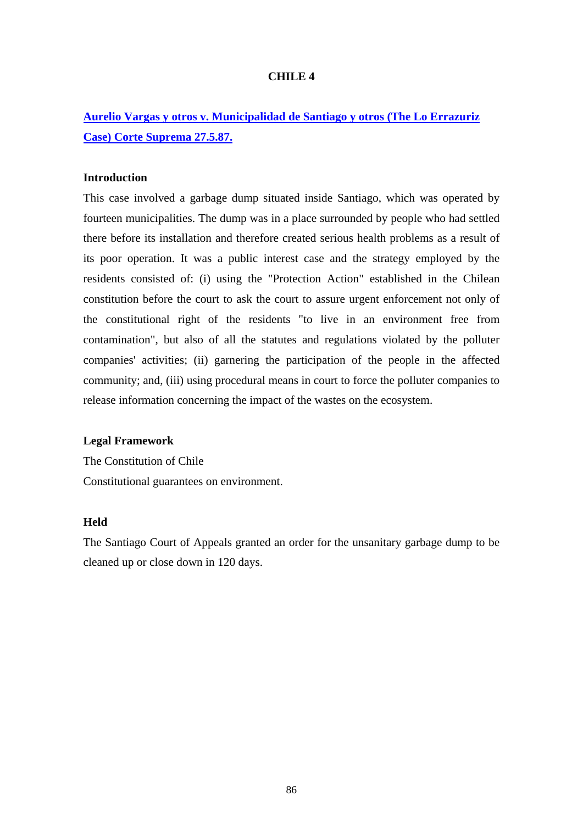# **[Aurelio Vargas y otros v. Municipalidad de Santiago y otros \(The Lo Errazuriz](#page-8-0)  [Case\) Corte Suprema 27.5.87.](#page-8-0)**

## **Introduction**

This case involved a garbage dump situated inside Santiago, which was operated by fourteen municipalities. The dump was in a place surrounded by people who had settled there before its installation and therefore created serious health problems as a result of its poor operation. It was a public interest case and the strategy employed by the residents consisted of: (i) using the "Protection Action" established in the Chilean constitution before the court to ask the court to assure urgent enforcement not only of the constitutional right of the residents "to live in an environment free from contamination", but also of all the statutes and regulations violated by the polluter companies' activities; (ii) garnering the participation of the people in the affected community; and, (iii) using procedural means in court to force the polluter companies to release information concerning the impact of the wastes on the ecosystem.

### **Legal Framework**

The Constitution of Chile Constitutional guarantees on environment.

#### **Held**

The Santiago Court of Appeals granted an order for the unsanitary garbage dump to be cleaned up or close down in 120 days.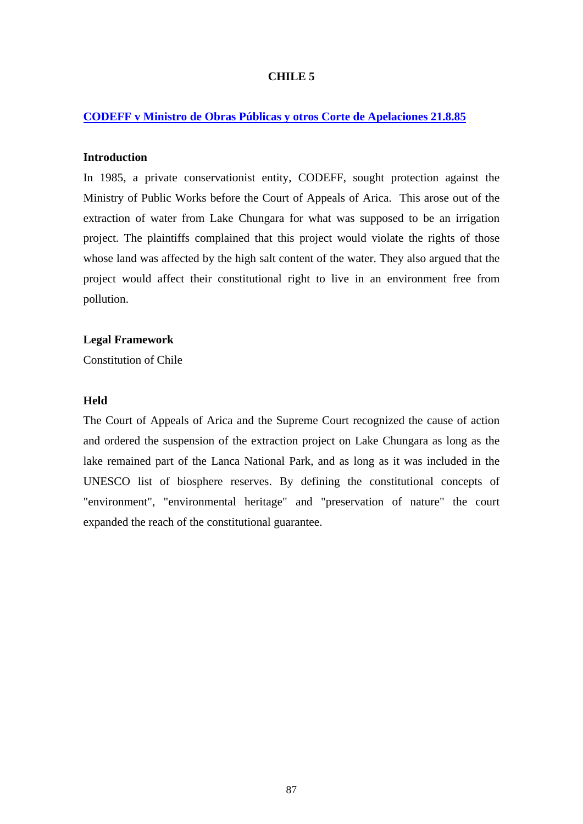### **[CODEFF v Ministro de Obras Públicas y otros Corte de Apelaciones 21.8.85](#page-8-0)**

### **Introduction**

In 1985, a private conservationist entity, CODEFF, sought protection against the Ministry of Public Works before the Court of Appeals of Arica. This arose out of the extraction of water from Lake Chungara for what was supposed to be an irrigation project. The plaintiffs complained that this project would violate the rights of those whose land was affected by the high salt content of the water. They also argued that the project would affect their constitutional right to live in an environment free from pollution.

#### **Legal Framework**

Constitution of Chile

### **Held**

The Court of Appeals of Arica and the Supreme Court recognized the cause of action and ordered the suspension of the extraction project on Lake Chungara as long as the lake remained part of the Lanca National Park, and as long as it was included in the UNESCO list of biosphere reserves. By defining the constitutional concepts of "environment", "environmental heritage" and "preservation of nature" the court expanded the reach of the constitutional guarantee.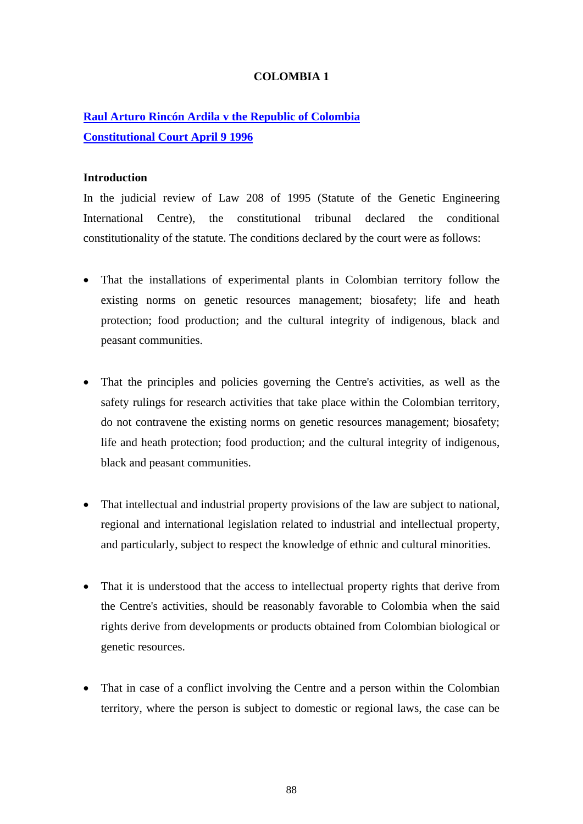# **[Raul Arturo Rincón Ardila v the Republic of Colombia](#page-8-0)  [Constitutional Court April 9 1996](#page-8-0)**

### **Introduction**

In the judicial review of Law 208 of 1995 (Statute of the Genetic Engineering International Centre), the constitutional tribunal declared the conditional constitutionality of the statute. The conditions declared by the court were as follows:

- That the installations of experimental plants in Colombian territory follow the existing norms on genetic resources management; biosafety; life and heath protection; food production; and the cultural integrity of indigenous, black and peasant communities.
- That the principles and policies governing the Centre's activities, as well as the safety rulings for research activities that take place within the Colombian territory, do not contravene the existing norms on genetic resources management; biosafety; life and heath protection; food production; and the cultural integrity of indigenous, black and peasant communities.
- That intellectual and industrial property provisions of the law are subject to national, regional and international legislation related to industrial and intellectual property, and particularly, subject to respect the knowledge of ethnic and cultural minorities.
- That it is understood that the access to intellectual property rights that derive from the Centre's activities, should be reasonably favorable to Colombia when the said rights derive from developments or products obtained from Colombian biological or genetic resources.
- That in case of a conflict involving the Centre and a person within the Colombian territory, where the person is subject to domestic or regional laws, the case can be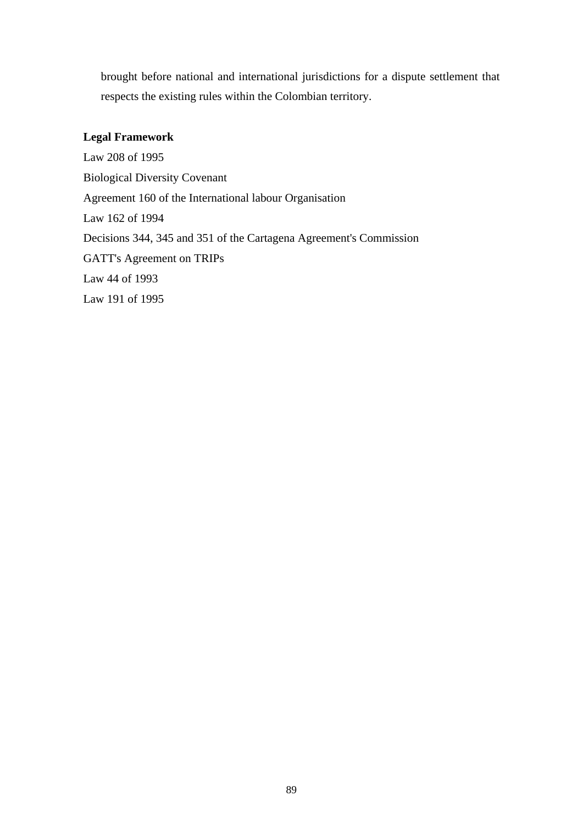brought before national and international jurisdictions for a dispute settlement that respects the existing rules within the Colombian territory.

# **Legal Framework**

Law 208 of 1995 Biological Diversity Covenant Agreement 160 of the International labour Organisation Law 162 of 1994 Decisions 344, 345 and 351 of the Cartagena Agreement's Commission GATT's Agreement on TRIPs Law 44 of 1993 Law 191 of 1995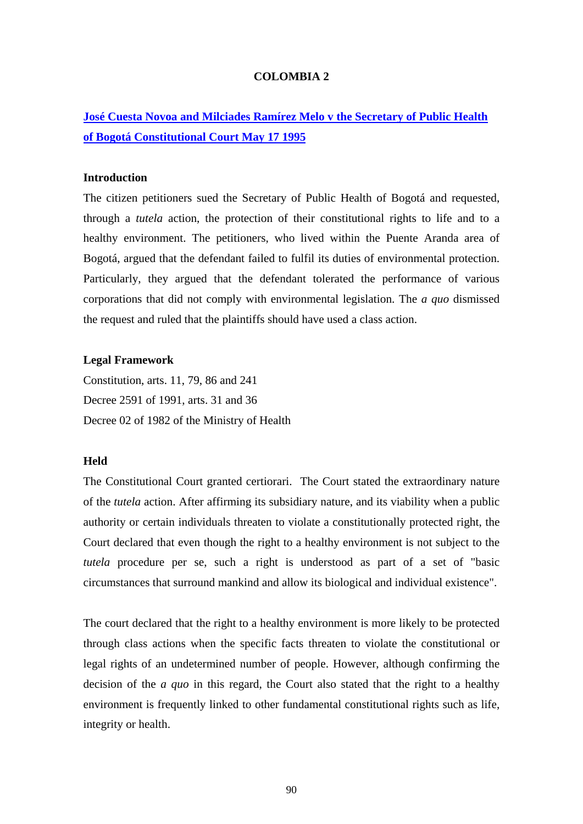# **[José Cuesta Novoa and Milciades Ramírez Melo v the Secretary of Public Health](#page-8-0)  [of Bogotá Constitutional Court May 17 1995](#page-8-0)**

#### **Introduction**

The citizen petitioners sued the Secretary of Public Health of Bogotá and requested, through a *tutela* action, the protection of their constitutional rights to life and to a healthy environment. The petitioners, who lived within the Puente Aranda area of Bogotá, argued that the defendant failed to fulfil its duties of environmental protection. Particularly, they argued that the defendant tolerated the performance of various corporations that did not comply with environmental legislation. The *a quo* dismissed the request and ruled that the plaintiffs should have used a class action.

### **Legal Framework**

Constitution, arts. 11, 79, 86 and 241 Decree 2591 of 1991, arts. 31 and 36 Decree 02 of 1982 of the Ministry of Health

### **Held**

The Constitutional Court granted certiorari. The Court stated the extraordinary nature of the *tutela* action. After affirming its subsidiary nature, and its viability when a public authority or certain individuals threaten to violate a constitutionally protected right, the Court declared that even though the right to a healthy environment is not subject to the *tutela* procedure per se, such a right is understood as part of a set of "basic circumstances that surround mankind and allow its biological and individual existence".

The court declared that the right to a healthy environment is more likely to be protected through class actions when the specific facts threaten to violate the constitutional or legal rights of an undetermined number of people. However, although confirming the decision of the *a quo* in this regard, the Court also stated that the right to a healthy environment is frequently linked to other fundamental constitutional rights such as life, integrity or health.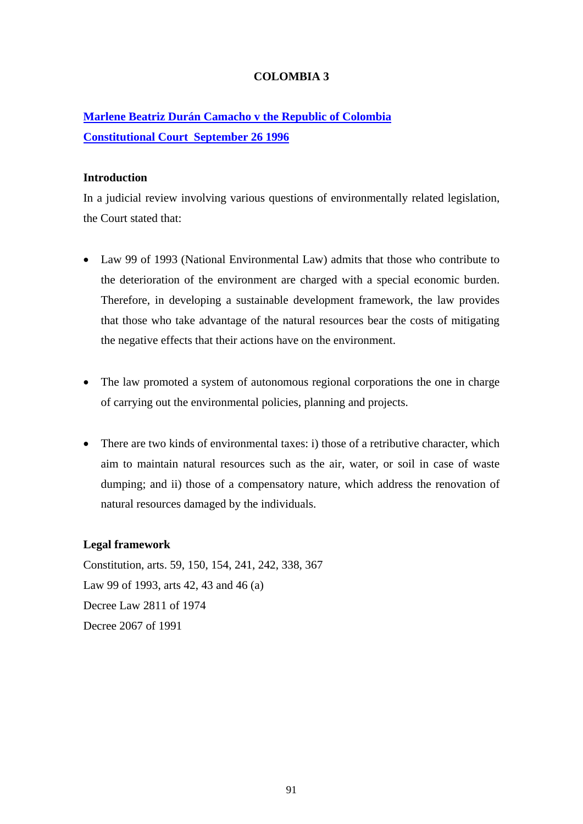# **[Marlene Beatriz Durán Camacho v the Republic of Colombia](#page-8-1) Constitutional Court September 26 1996**

# **Introduction**

In a judicial review involving various questions of environmentally related legislation, the Court stated that:

- Law 99 of 1993 (National Environmental Law) admits that those who contribute to the deterioration of the environment are charged with a special economic burden. Therefore, in developing a sustainable development framework, the law provides that those who take advantage of the natural resources bear the costs of mitigating the negative effects that their actions have on the environment.
- The law promoted a system of autonomous regional corporations the one in charge of carrying out the environmental policies, planning and projects.
- There are two kinds of environmental taxes: i) those of a retributive character, which aim to maintain natural resources such as the air, water, or soil in case of waste dumping; and ii) those of a compensatory nature, which address the renovation of natural resources damaged by the individuals.

# **Legal framework**

Constitution, arts. 59, 150, 154, 241, 242, 338, 367 Law 99 of 1993, arts 42, 43 and 46 (a) Decree Law 2811 of 1974 Decree 2067 of 1991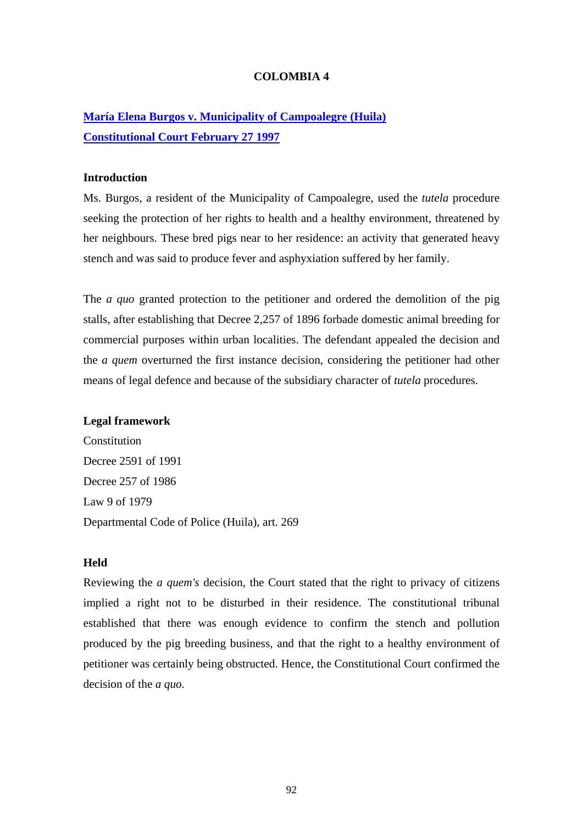# **[María Elena Burgos v. Municipality of Campoalegre \(Huila\)](#page-8-1) Constitutional Court February 27 1997**

### **Introduction**

Ms. Burgos, a resident of the Municipality of Campoalegre, used the *tutela* procedure seeking the protection of her rights to health and a healthy environment, threatened by her neighbours. These bred pigs near to her residence: an activity that generated heavy stench and was said to produce fever and asphyxiation suffered by her family.

The *a quo* granted protection to the petitioner and ordered the demolition of the pig stalls, after establishing that Decree 2,257 of 1896 forbade domestic animal breeding for commercial purposes within urban localities. The defendant appealed the decision and the *a quem* overturned the first instance decision, considering the petitioner had other means of legal defence and because of the subsidiary character of *tutela* procedures.

#### **Legal framework**

Constitution Decree 2591 of 1991 Decree 257 of 1986 Law 9 of 1979 Departmental Code of Police (Huila), art. 269

## **Held**

Reviewing the *a quem's* decision, the Court stated that the right to privacy of citizens implied a right not to be disturbed in their residence. The constitutional tribunal established that there was enough evidence to confirm the stench and pollution produced by the pig breeding business, and that the right to a healthy environment of petitioner was certainly being obstructed. Hence, the Constitutional Court confirmed the decision of the *a quo.*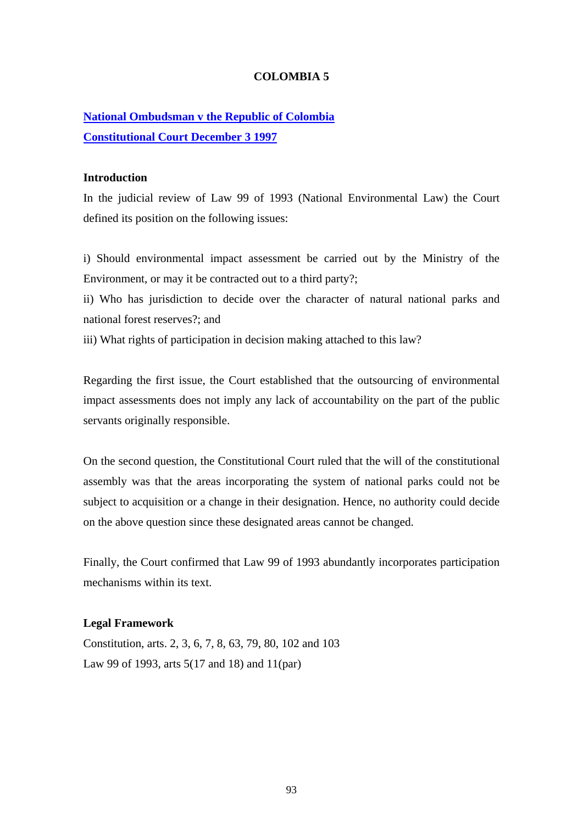# **[National Ombudsman v the Republic of Colombia](#page-8-1) Constitutional Court December 3 1997**

### **Introduction**

In the judicial review of Law 99 of 1993 (National Environmental Law) the Court defined its position on the following issues:

i) Should environmental impact assessment be carried out by the Ministry of the Environment, or may it be contracted out to a third party?;

ii) Who has jurisdiction to decide over the character of natural national parks and national forest reserves?; and

iii) What rights of participation in decision making attached to this law?

Regarding the first issue, the Court established that the outsourcing of environmental impact assessments does not imply any lack of accountability on the part of the public servants originally responsible.

On the second question, the Constitutional Court ruled that the will of the constitutional assembly was that the areas incorporating the system of national parks could not be subject to acquisition or a change in their designation. Hence, no authority could decide on the above question since these designated areas cannot be changed.

Finally, the Court confirmed that Law 99 of 1993 abundantly incorporates participation mechanisms within its text.

## **Legal Framework**

Constitution, arts. 2, 3, 6, 7, 8, 63, 79, 80, 102 and 103 Law 99 of 1993, arts 5(17 and 18) and 11(par)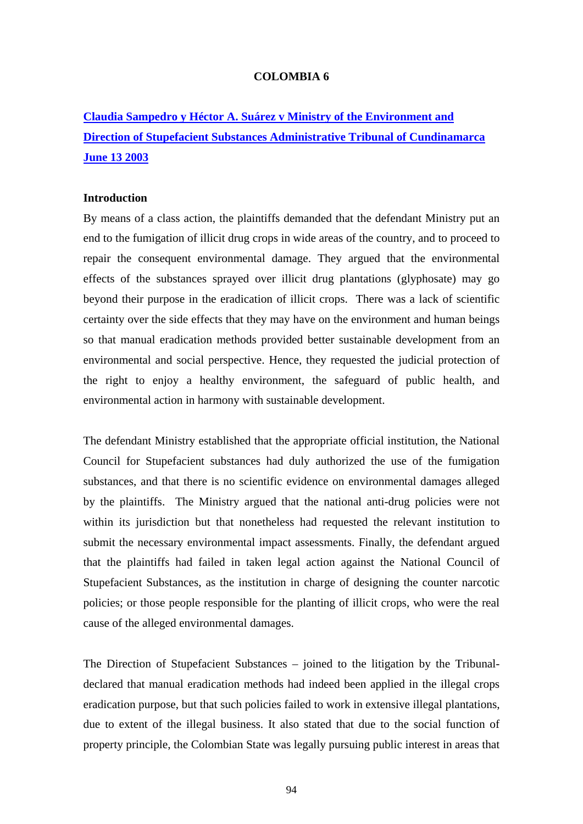# **Claudia Sampedro y Héctor A. Suárez v Ministry of the Environment and [Direction of Stupefacient Substances Administrative Tribunal of Cundinamarca](#page-8-1) June 13 2003**

#### **Introduction**

By means of a class action, the plaintiffs demanded that the defendant Ministry put an end to the fumigation of illicit drug crops in wide areas of the country, and to proceed to repair the consequent environmental damage. They argued that the environmental effects of the substances sprayed over illicit drug plantations (glyphosate) may go beyond their purpose in the eradication of illicit crops. There was a lack of scientific certainty over the side effects that they may have on the environment and human beings so that manual eradication methods provided better sustainable development from an environmental and social perspective. Hence, they requested the judicial protection of the right to enjoy a healthy environment, the safeguard of public health, and environmental action in harmony with sustainable development.

The defendant Ministry established that the appropriate official institution, the National Council for Stupefacient substances had duly authorized the use of the fumigation substances, and that there is no scientific evidence on environmental damages alleged by the plaintiffs. The Ministry argued that the national anti-drug policies were not within its jurisdiction but that nonetheless had requested the relevant institution to submit the necessary environmental impact assessments. Finally, the defendant argued that the plaintiffs had failed in taken legal action against the National Council of Stupefacient Substances, as the institution in charge of designing the counter narcotic policies; or those people responsible for the planting of illicit crops, who were the real cause of the alleged environmental damages.

The Direction of Stupefacient Substances – joined to the litigation by the Tribunaldeclared that manual eradication methods had indeed been applied in the illegal crops eradication purpose, but that such policies failed to work in extensive illegal plantations, due to extent of the illegal business. It also stated that due to the social function of property principle, the Colombian State was legally pursuing public interest in areas that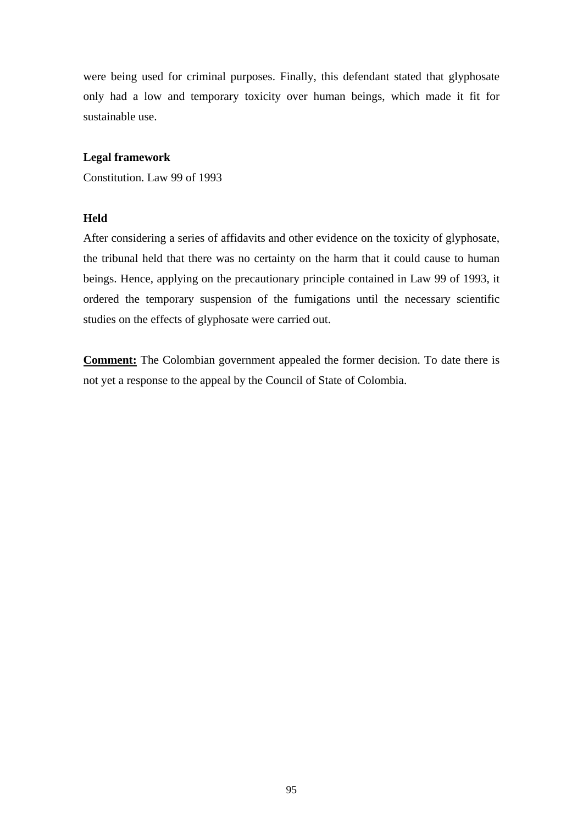were being used for criminal purposes. Finally, this defendant stated that glyphosate only had a low and temporary toxicity over human beings, which made it fit for sustainable use.

## **Legal framework**

Constitution. Law 99 of 1993

### **Held**

After considering a series of affidavits and other evidence on the toxicity of glyphosate, the tribunal held that there was no certainty on the harm that it could cause to human beings. Hence, applying on the precautionary principle contained in Law 99 of 1993, it ordered the temporary suspension of the fumigations until the necessary scientific studies on the effects of glyphosate were carried out.

**Comment:** The Colombian government appealed the former decision. To date there is not yet a response to the appeal by the Council of State of Colombia.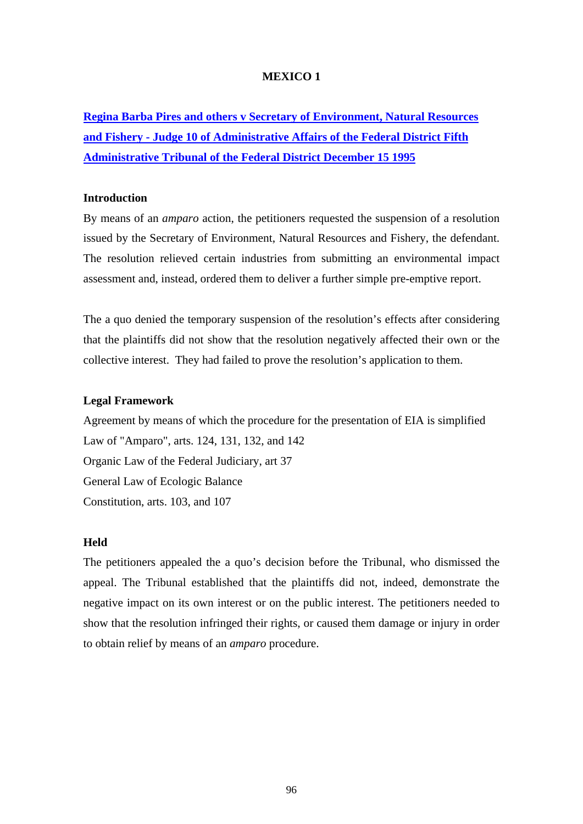## **MEXICO 1**

**[Regina Barba Pires and others v Secretary of Environment, Natural Resources](#page-8-1)  and Fishery - Judge 10 of Administrative Affairs of the Federal District Fifth Administrative Tribunal of the Federal District December 15 1995**

#### **Introduction**

By means of an *amparo* action, the petitioners requested the suspension of a resolution issued by the Secretary of Environment, Natural Resources and Fishery, the defendant. The resolution relieved certain industries from submitting an environmental impact assessment and, instead, ordered them to deliver a further simple pre-emptive report.

The a quo denied the temporary suspension of the resolution's effects after considering that the plaintiffs did not show that the resolution negatively affected their own or the collective interest. They had failed to prove the resolution's application to them.

### **Legal Framework**

Agreement by means of which the procedure for the presentation of EIA is simplified Law of "Amparo", arts. 124, 131, 132, and 142 Organic Law of the Federal Judiciary, art 37 General Law of Ecologic Balance Constitution, arts. 103, and 107

## **Held**

The petitioners appealed the a quo's decision before the Tribunal, who dismissed the appeal. The Tribunal established that the plaintiffs did not, indeed, demonstrate the negative impact on its own interest or on the public interest. The petitioners needed to show that the resolution infringed their rights, or caused them damage or injury in order to obtain relief by means of an *amparo* procedure.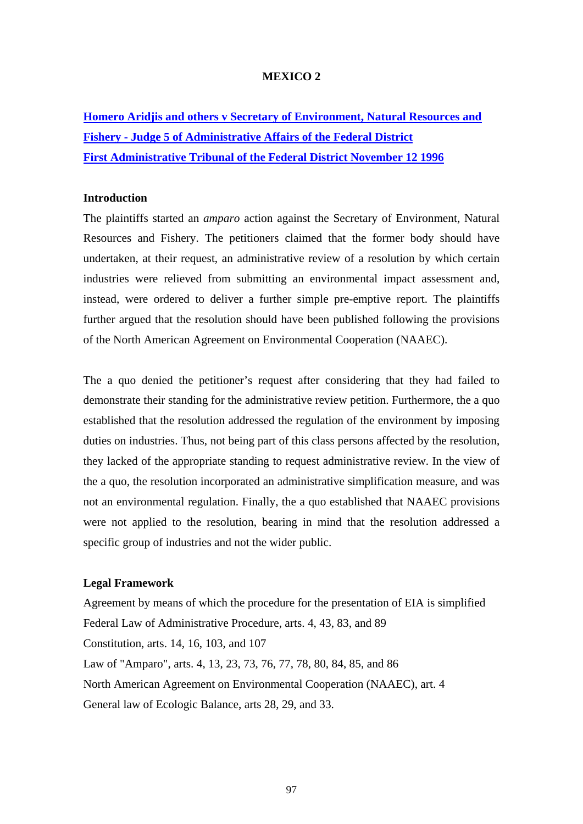### **MEXICO 2**

**[Homero Aridjis and others v Secretary of Environment, Natural Resources and](#page-8-1) Fishery - Judge 5 of Administrative Affairs of the Federal District First Administrative Tribunal of the Federal District November 12 1996**

#### **Introduction**

The plaintiffs started an *amparo* action against the Secretary of Environment, Natural Resources and Fishery. The petitioners claimed that the former body should have undertaken, at their request, an administrative review of a resolution by which certain industries were relieved from submitting an environmental impact assessment and, instead, were ordered to deliver a further simple pre-emptive report. The plaintiffs further argued that the resolution should have been published following the provisions of the North American Agreement on Environmental Cooperation (NAAEC).

The a quo denied the petitioner's request after considering that they had failed to demonstrate their standing for the administrative review petition. Furthermore, the a quo established that the resolution addressed the regulation of the environment by imposing duties on industries. Thus, not being part of this class persons affected by the resolution, they lacked of the appropriate standing to request administrative review. In the view of the a quo, the resolution incorporated an administrative simplification measure, and was not an environmental regulation. Finally, the a quo established that NAAEC provisions were not applied to the resolution, bearing in mind that the resolution addressed a specific group of industries and not the wider public.

## **Legal Framework**

Agreement by means of which the procedure for the presentation of EIA is simplified Federal Law of Administrative Procedure, arts. 4, 43, 83, and 89 Constitution, arts. 14, 16, 103, and 107 Law of "Amparo", arts. 4, 13, 23, 73, 76, 77, 78, 80, 84, 85, and 86 North American Agreement on Environmental Cooperation (NAAEC), art. 4 General law of Ecologic Balance, arts 28, 29, and 33.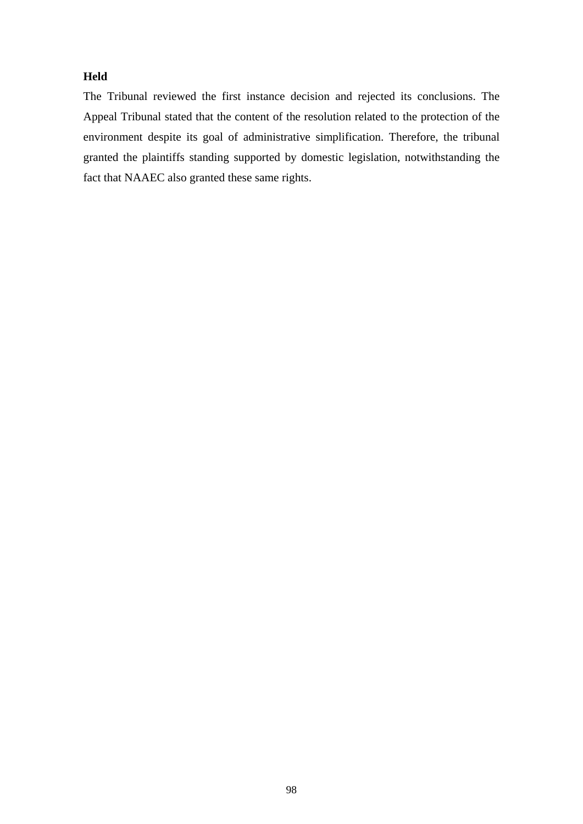# **Held**

The Tribunal reviewed the first instance decision and rejected its conclusions. The Appeal Tribunal stated that the content of the resolution related to the protection of the environment despite its goal of administrative simplification. Therefore, the tribunal granted the plaintiffs standing supported by domestic legislation, notwithstanding the fact that NAAEC also granted these same rights.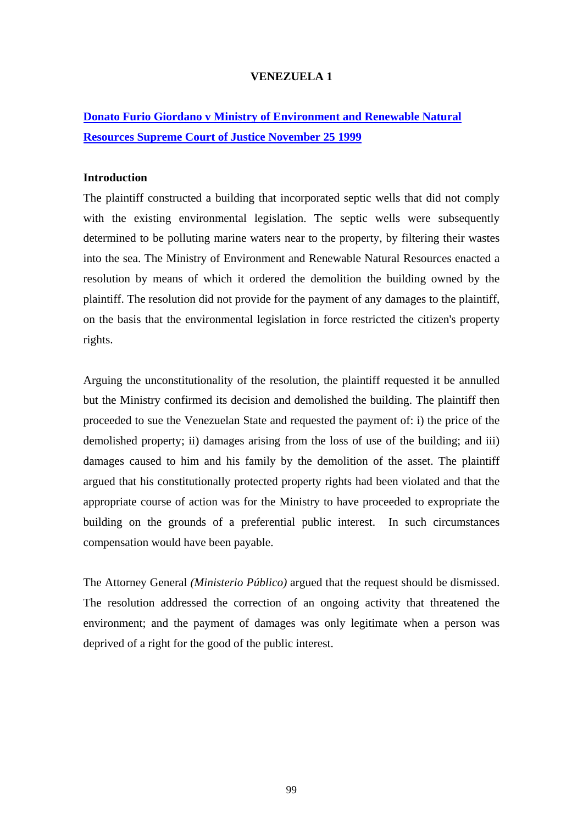# **[Donato Furio Giordano v Ministry of Environment and Renewable Natural](#page-8-1) Resources Supreme Court of Justice November 25 1999**

### **Introduction**

The plaintiff constructed a building that incorporated septic wells that did not comply with the existing environmental legislation. The septic wells were subsequently determined to be polluting marine waters near to the property, by filtering their wastes into the sea. The Ministry of Environment and Renewable Natural Resources enacted a resolution by means of which it ordered the demolition the building owned by the plaintiff. The resolution did not provide for the payment of any damages to the plaintiff, on the basis that the environmental legislation in force restricted the citizen's property rights.

Arguing the unconstitutionality of the resolution, the plaintiff requested it be annulled but the Ministry confirmed its decision and demolished the building. The plaintiff then proceeded to sue the Venezuelan State and requested the payment of: i) the price of the demolished property; ii) damages arising from the loss of use of the building; and iii) damages caused to him and his family by the demolition of the asset. The plaintiff argued that his constitutionally protected property rights had been violated and that the appropriate course of action was for the Ministry to have proceeded to expropriate the building on the grounds of a preferential public interest. In such circumstances compensation would have been payable.

The Attorney General *(Ministerio Público)* argued that the request should be dismissed. The resolution addressed the correction of an ongoing activity that threatened the environment; and the payment of damages was only legitimate when a person was deprived of a right for the good of the public interest.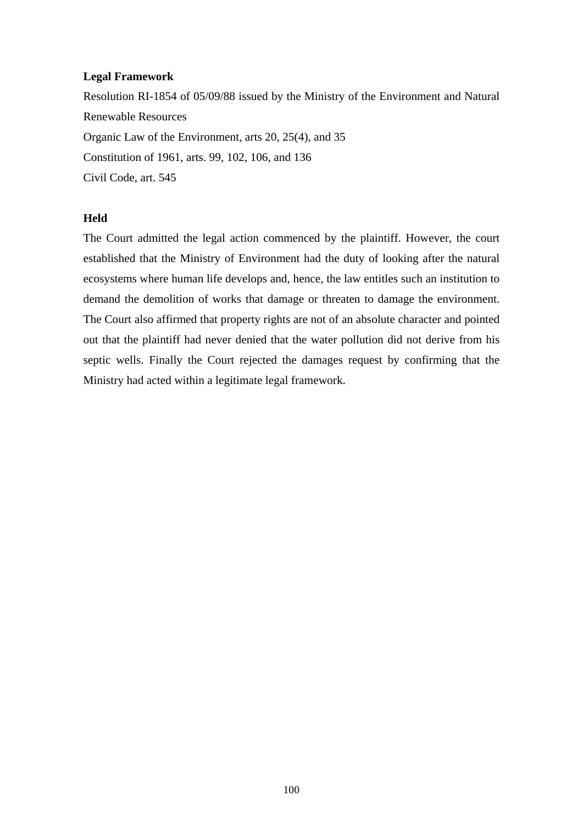# **Legal Framework**

Resolution RI-1854 of 05/09/88 issued by the Ministry of the Environment and Natural Renewable Resources Organic Law of the Environment, arts 20, 25(4), and 35 Constitution of 1961, arts. 99, 102, 106, and 136 Civil Code, art. 545

# **Held**

The Court admitted the legal action commenced by the plaintiff. However, the court established that the Ministry of Environment had the duty of looking after the natural ecosystems where human life develops and, hence, the law entitles such an institution to demand the demolition of works that damage or threaten to damage the environment. The Court also affirmed that property rights are not of an absolute character and pointed out that the plaintiff had never denied that the water pollution did not derive from his septic wells. Finally the Court rejected the damages request by confirming that the Ministry had acted within a legitimate legal framework.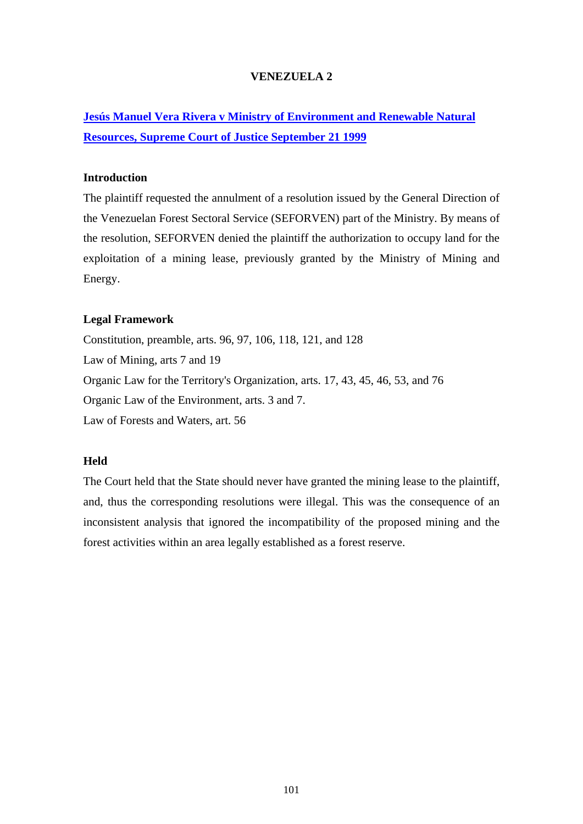# **[Jesús Manuel Vera Rivera v Ministry of Environment and Renewable Natural](#page-8-1)  Resources, Supreme Court of Justice September 21 1999**

## **Introduction**

The plaintiff requested the annulment of a resolution issued by the General Direction of the Venezuelan Forest Sectoral Service (SEFORVEN) part of the Ministry. By means of the resolution, SEFORVEN denied the plaintiff the authorization to occupy land for the exploitation of a mining lease, previously granted by the Ministry of Mining and Energy.

## **Legal Framework**

Constitution, preamble, arts. 96, 97, 106, 118, 121, and 128 Law of Mining, arts 7 and 19 Organic Law for the Territory's Organization, arts. 17, 43, 45, 46, 53, and 76 Organic Law of the Environment, arts. 3 and 7. Law of Forests and Waters, art. 56

### **Held**

The Court held that the State should never have granted the mining lease to the plaintiff, and, thus the corresponding resolutions were illegal. This was the consequence of an inconsistent analysis that ignored the incompatibility of the proposed mining and the forest activities within an area legally established as a forest reserve.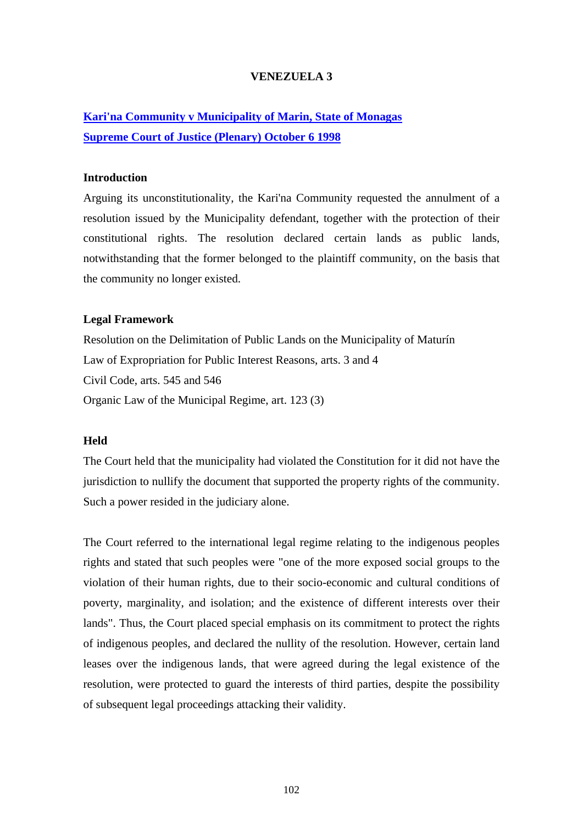# **[Kari'na Community v Municipality of Marin, State of Monagas](#page-8-1) Supreme Court of Justice (Plenary) October 6 1998**

### **Introduction**

Arguing its unconstitutionality, the Kari'na Community requested the annulment of a resolution issued by the Municipality defendant, together with the protection of their constitutional rights. The resolution declared certain lands as public lands, notwithstanding that the former belonged to the plaintiff community, on the basis that the community no longer existed.

### **Legal Framework**

Resolution on the Delimitation of Public Lands on the Municipality of Maturín Law of Expropriation for Public Interest Reasons, arts. 3 and 4 Civil Code, arts. 545 and 546 Organic Law of the Municipal Regime, art. 123 (3)

### **Held**

The Court held that the municipality had violated the Constitution for it did not have the jurisdiction to nullify the document that supported the property rights of the community. Such a power resided in the judiciary alone.

The Court referred to the international legal regime relating to the indigenous peoples rights and stated that such peoples were "one of the more exposed social groups to the violation of their human rights, due to their socio-economic and cultural conditions of poverty, marginality, and isolation; and the existence of different interests over their lands". Thus, the Court placed special emphasis on its commitment to protect the rights of indigenous peoples, and declared the nullity of the resolution. However, certain land leases over the indigenous lands, that were agreed during the legal existence of the resolution, were protected to guard the interests of third parties, despite the possibility of subsequent legal proceedings attacking their validity.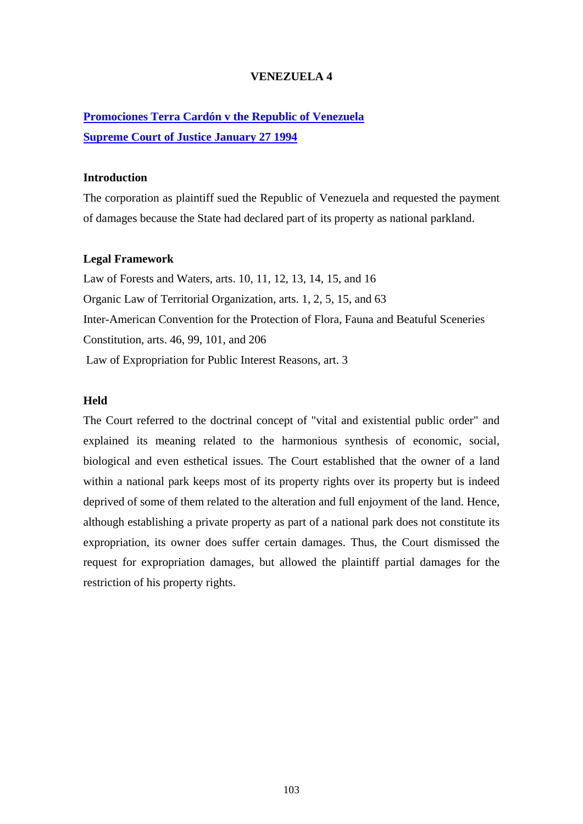# **[Promociones Terra Cardón v the Republic of Venezuela](#page-8-1) Supreme Court of Justice January 27 1994**

## **Introduction**

The corporation as plaintiff sued the Republic of Venezuela and requested the payment of damages because the State had declared part of its property as national parkland.

### **Legal Framework**

Law of Forests and Waters, arts. 10, 11, 12, 13, 14, 15, and 16 Organic Law of Territorial Organization, arts. 1, 2, 5, 15, and 63 Inter-American Convention for the Protection of Flora, Fauna and Beatuful Sceneries Constitution, arts. 46, 99, 101, and 206 Law of Expropriation for Public Interest Reasons, art. 3

### **Held**

The Court referred to the doctrinal concept of "vital and existential public order" and explained its meaning related to the harmonious synthesis of economic, social, biological and even esthetical issues. The Court established that the owner of a land within a national park keeps most of its property rights over its property but is indeed deprived of some of them related to the alteration and full enjoyment of the land. Hence, although establishing a private property as part of a national park does not constitute its expropriation, its owner does suffer certain damages. Thus, the Court dismissed the request for expropriation damages, but allowed the plaintiff partial damages for the restriction of his property rights.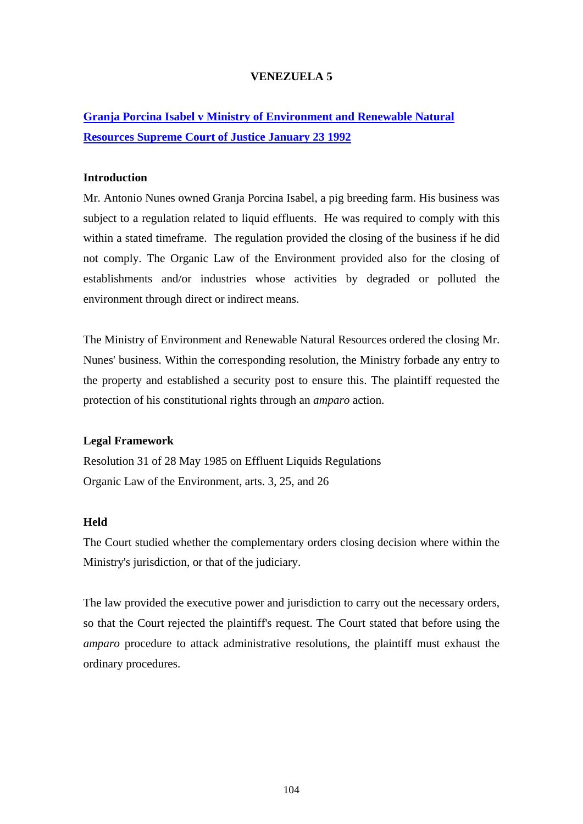# **[Granja Porcina Isabel v Ministry of Environment and Renewable Natural](#page-9-0) Resources Supreme Court of Justice January 23 1992**

### **Introduction**

Mr. Antonio Nunes owned Granja Porcina Isabel, a pig breeding farm. His business was subject to a regulation related to liquid effluents. He was required to comply with this within a stated timeframe. The regulation provided the closing of the business if he did not comply. The Organic Law of the Environment provided also for the closing of establishments and/or industries whose activities by degraded or polluted the environment through direct or indirect means.

The Ministry of Environment and Renewable Natural Resources ordered the closing Mr. Nunes' business. Within the corresponding resolution, the Ministry forbade any entry to the property and established a security post to ensure this. The plaintiff requested the protection of his constitutional rights through an *amparo* action.

### **Legal Framework**

Resolution 31 of 28 May 1985 on Effluent Liquids Regulations Organic Law of the Environment, arts. 3, 25, and 26

### **Held**

The Court studied whether the complementary orders closing decision where within the Ministry's jurisdiction, or that of the judiciary.

The law provided the executive power and jurisdiction to carry out the necessary orders, so that the Court rejected the plaintiff's request. The Court stated that before using the *amparo* procedure to attack administrative resolutions, the plaintiff must exhaust the ordinary procedures.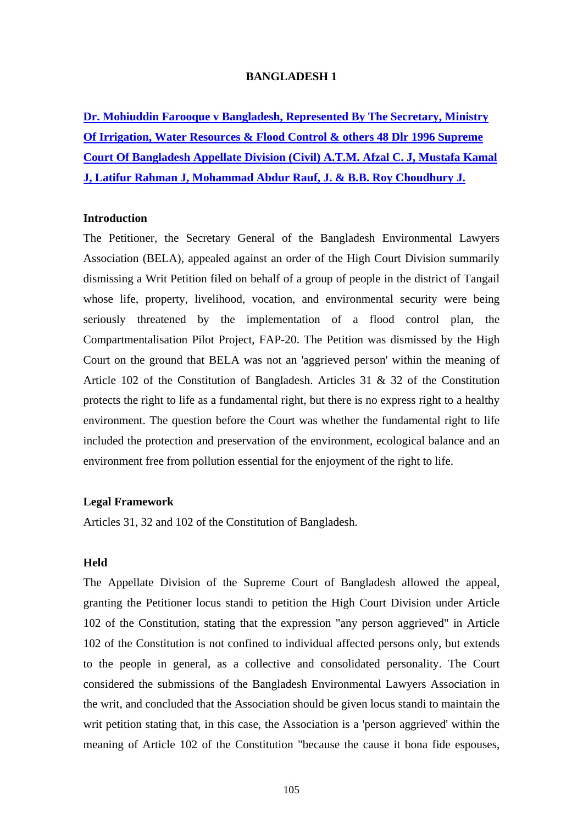**[Dr. Mohiuddin Farooque v Bangladesh, Represented By The Secretary, Ministry](#page-9-1)  [Of Irrigation, Water Resources & Flood Control & others 48 Dlr 1996 Supreme](#page-9-1)  [Court Of Bangladesh Appellate Division \(Civil\) A.T.M. Afzal C. J, Mustafa Kamal](#page-9-1)  [J, Latifur Rahman J, Mohammad Abdur Rauf, J. & B.B. Roy Choudhury J.](#page-9-1)**

## **Introduction**

The Petitioner, the Secretary General of the Bangladesh Environmental Lawyers Association (BELA), appealed against an order of the High Court Division summarily dismissing a Writ Petition filed on behalf of a group of people in the district of Tangail whose life, property, livelihood, vocation, and environmental security were being seriously threatened by the implementation of a flood control plan, the Compartmentalisation Pilot Project, FAP-20. The Petition was dismissed by the High Court on the ground that BELA was not an 'aggrieved person' within the meaning of Article 102 of the Constitution of Bangladesh. Articles 31 & 32 of the Constitution protects the right to life as a fundamental right, but there is no express right to a healthy environment. The question before the Court was whether the fundamental right to life included the protection and preservation of the environment, ecological balance and an environment free from pollution essential for the enjoyment of the right to life.

### **Legal Framework**

Articles 31, 32 and 102 of the Constitution of Bangladesh.

### **Held**

The Appellate Division of the Supreme Court of Bangladesh allowed the appeal, granting the Petitioner locus standi to petition the High Court Division under Article 102 of the Constitution, stating that the expression "any person aggrieved" in Article 102 of the Constitution is not confined to individual affected persons only, but extends to the people in general, as a collective and consolidated personality. The Court considered the submissions of the Bangladesh Environmental Lawyers Association in the writ, and concluded that the Association should be given locus standi to maintain the writ petition stating that, in this case, the Association is a 'person aggrieved' within the meaning of Article 102 of the Constitution "because the cause it bona fide espouses,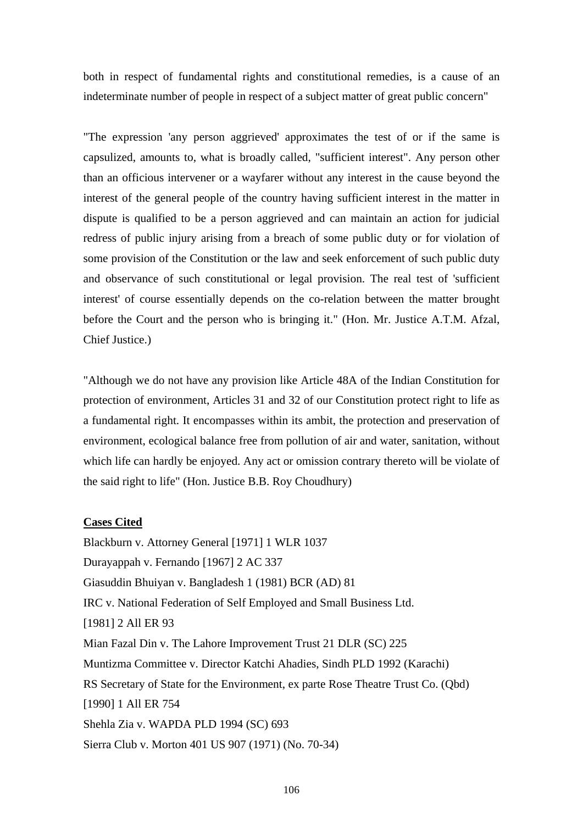both in respect of fundamental rights and constitutional remedies, is a cause of an indeterminate number of people in respect of a subject matter of great public concern"

"The expression 'any person aggrieved' approximates the test of or if the same is capsulized, amounts to, what is broadly called, "sufficient interest". Any person other than an officious intervener or a wayfarer without any interest in the cause beyond the interest of the general people of the country having sufficient interest in the matter in dispute is qualified to be a person aggrieved and can maintain an action for judicial redress of public injury arising from a breach of some public duty or for violation of some provision of the Constitution or the law and seek enforcement of such public duty and observance of such constitutional or legal provision. The real test of 'sufficient interest' of course essentially depends on the co-relation between the matter brought before the Court and the person who is bringing it." (Hon. Mr. Justice A.T.M. Afzal, Chief Justice.)

"Although we do not have any provision like Article 48A of the Indian Constitution for protection of environment, Articles 31 and 32 of our Constitution protect right to life as a fundamental right. It encompasses within its ambit, the protection and preservation of environment, ecological balance free from pollution of air and water, sanitation, without which life can hardly be enjoyed. Any act or omission contrary thereto will be violate of the said right to life" (Hon. Justice B.B. Roy Choudhury)

### **Cases Cited**

Blackburn v. Attorney General [1971] 1 WLR 1037 Durayappah v. Fernando [1967] 2 AC 337 Giasuddin Bhuiyan v. Bangladesh 1 (1981) BCR (AD) 81 IRC v. National Federation of Self Employed and Small Business Ltd. [1981] 2 All ER 93 Mian Fazal Din v. The Lahore Improvement Trust 21 DLR (SC) 225 Muntizma Committee v. Director Katchi Ahadies, Sindh PLD 1992 (Karachi) RS Secretary of State for the Environment, ex parte Rose Theatre Trust Co. (Qbd) [1990] 1 All ER 754 Shehla Zia v. WAPDA PLD 1994 (SC) 693 Sierra Club v. Morton 401 US 907 (1971) (No. 70-34)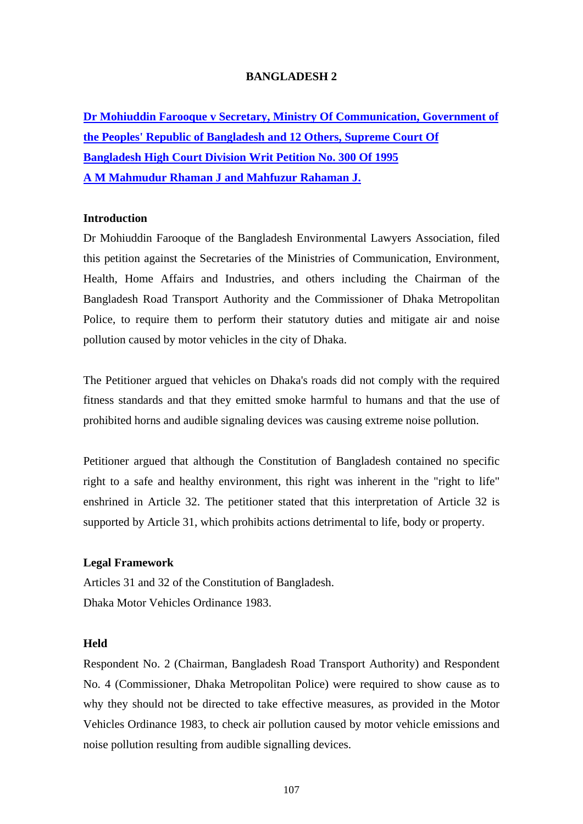**[Dr Mohiuddin Farooque v Secretary, Ministry Of Communication, Government of](#page-9-1)  [the Peoples' Republic of Bangladesh and 12 Others, Supreme Court Of](#page-9-1)  [Bangladesh High Court Division Writ Petition No. 300 Of 1995](#page-9-1) [A M Mahmudur Rhaman J and Mahfuzur Rahaman J.](#page-9-1)**

### **Introduction**

Dr Mohiuddin Farooque of the Bangladesh Environmental Lawyers Association, filed this petition against the Secretaries of the Ministries of Communication, Environment, Health, Home Affairs and Industries, and others including the Chairman of the Bangladesh Road Transport Authority and the Commissioner of Dhaka Metropolitan Police, to require them to perform their statutory duties and mitigate air and noise pollution caused by motor vehicles in the city of Dhaka.

The Petitioner argued that vehicles on Dhaka's roads did not comply with the required fitness standards and that they emitted smoke harmful to humans and that the use of prohibited horns and audible signaling devices was causing extreme noise pollution.

Petitioner argued that although the Constitution of Bangladesh contained no specific right to a safe and healthy environment, this right was inherent in the "right to life" enshrined in Article 32. The petitioner stated that this interpretation of Article 32 is supported by Article 31, which prohibits actions detrimental to life, body or property.

### **Legal Framework**

Articles 31 and 32 of the Constitution of Bangladesh. Dhaka Motor Vehicles Ordinance 1983.

### **Held**

Respondent No. 2 (Chairman, Bangladesh Road Transport Authority) and Respondent No. 4 (Commissioner, Dhaka Metropolitan Police) were required to show cause as to why they should not be directed to take effective measures, as provided in the Motor Vehicles Ordinance 1983, to check air pollution caused by motor vehicle emissions and noise pollution resulting from audible signalling devices.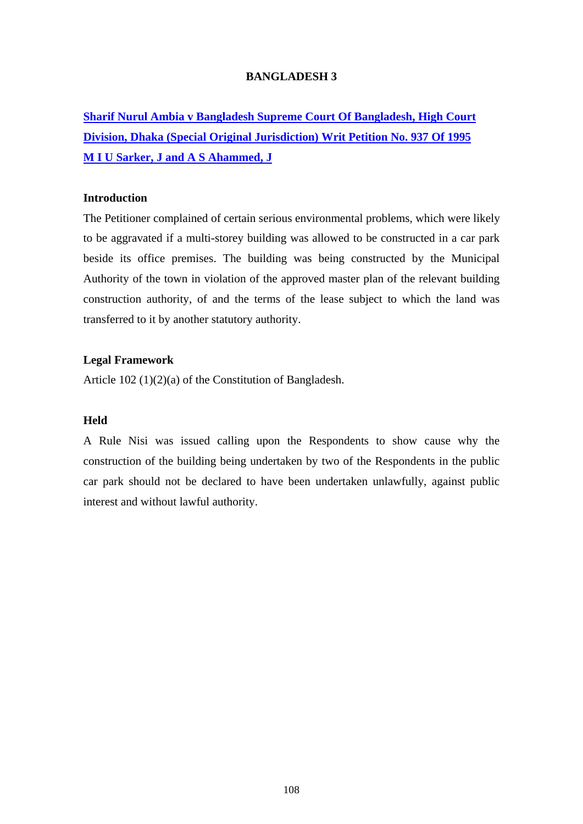**[Sharif Nurul Ambia v Bangladesh Supreme Court Of Bangladesh, High Court](#page-9-0) Division, Dhaka (Special Original Jurisdiction) Writ Petition No. 937 Of 1995 M I U Sarker, J and A S Ahammed, J**

### **Introduction**

The Petitioner complained of certain serious environmental problems, which were likely to be aggravated if a multi-storey building was allowed to be constructed in a car park beside its office premises. The building was being constructed by the Municipal Authority of the town in violation of the approved master plan of the relevant building construction authority, of and the terms of the lease subject to which the land was transferred to it by another statutory authority.

### **Legal Framework**

Article 102 (1)(2)(a) of the Constitution of Bangladesh.

## **Held**

A Rule Nisi was issued calling upon the Respondents to show cause why the construction of the building being undertaken by two of the Respondents in the public car park should not be declared to have been undertaken unlawfully, against public interest and without lawful authority.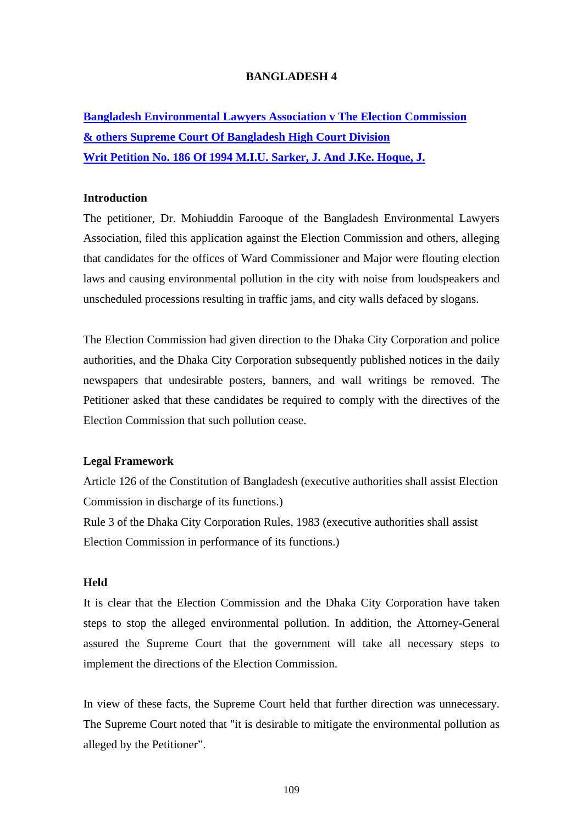**[Bangladesh Environmental Lawyers Association v The Election Commission](#page-9-0) & others Supreme Court Of Bangladesh High Court Division Writ Petition No. 186 Of 1994 M.I.U. Sarker, J. And J.Ke. Hoque, J.**

#### **Introduction**

The petitioner, Dr. Mohiuddin Farooque of the Bangladesh Environmental Lawyers Association, filed this application against the Election Commission and others, alleging that candidates for the offices of Ward Commissioner and Major were flouting election laws and causing environmental pollution in the city with noise from loudspeakers and unscheduled processions resulting in traffic jams, and city walls defaced by slogans.

The Election Commission had given direction to the Dhaka City Corporation and police authorities, and the Dhaka City Corporation subsequently published notices in the daily newspapers that undesirable posters, banners, and wall writings be removed. The Petitioner asked that these candidates be required to comply with the directives of the Election Commission that such pollution cease.

#### **Legal Framework**

Article 126 of the Constitution of Bangladesh (executive authorities shall assist Election Commission in discharge of its functions.)

Rule 3 of the Dhaka City Corporation Rules, 1983 (executive authorities shall assist Election Commission in performance of its functions.)

# **Held**

It is clear that the Election Commission and the Dhaka City Corporation have taken steps to stop the alleged environmental pollution. In addition, the Attorney-General assured the Supreme Court that the government will take all necessary steps to implement the directions of the Election Commission.

In view of these facts, the Supreme Court held that further direction was unnecessary. The Supreme Court noted that "it is desirable to mitigate the environmental pollution as alleged by the Petitioner".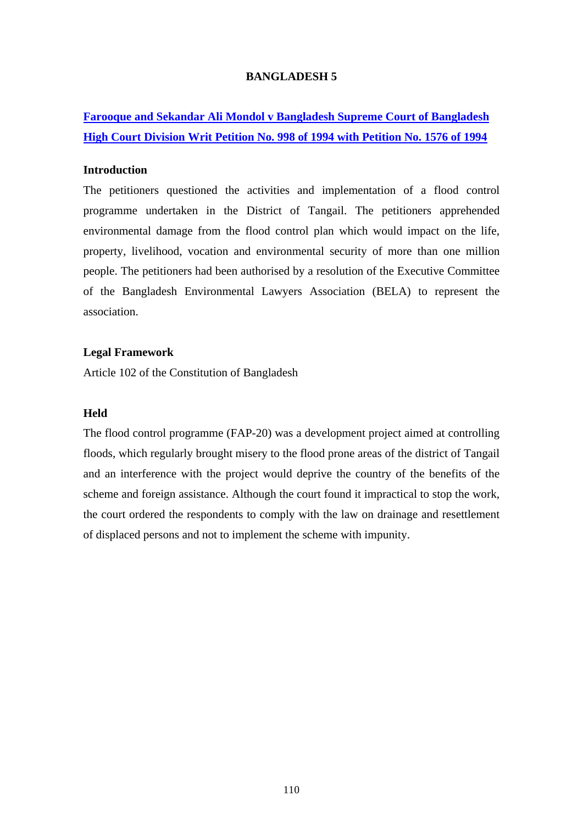# **Farooque and Sekandar Ali Mondol v Bangladesh Supreme Court of Bangladesh [High Court Division Writ Petition No. 998 of 1994 with Petition No. 1576 of 1994](#page-9-0)**

### **Introduction**

The petitioners questioned the activities and implementation of a flood control programme undertaken in the District of Tangail. The petitioners apprehended environmental damage from the flood control plan which would impact on the life, property, livelihood, vocation and environmental security of more than one million people. The petitioners had been authorised by a resolution of the Executive Committee of the Bangladesh Environmental Lawyers Association (BELA) to represent the association.

### **Legal Framework**

Article 102 of the Constitution of Bangladesh

### **Held**

The flood control programme (FAP-20) was a development project aimed at controlling floods, which regularly brought misery to the flood prone areas of the district of Tangail and an interference with the project would deprive the country of the benefits of the scheme and foreign assistance. Although the court found it impractical to stop the work, the court ordered the respondents to comply with the law on drainage and resettlement of displaced persons and not to implement the scheme with impunity.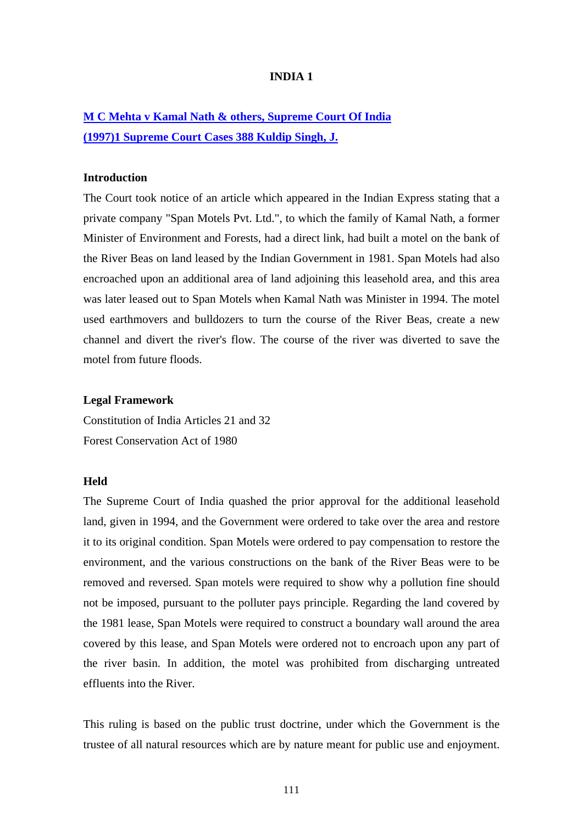### **INDIA 1**

# **[M C Mehta v Kamal Nath & others, Supreme Court Of India](#page-9-0) (1997)1 Supreme Court Cases 388 Kuldip Singh, J.**

### **Introduction**

The Court took notice of an article which appeared in the Indian Express stating that a private company "Span Motels Pvt. Ltd.", to which the family of Kamal Nath, a former Minister of Environment and Forests, had a direct link, had built a motel on the bank of the River Beas on land leased by the Indian Government in 1981. Span Motels had also encroached upon an additional area of land adjoining this leasehold area, and this area was later leased out to Span Motels when Kamal Nath was Minister in 1994. The motel used earthmovers and bulldozers to turn the course of the River Beas, create a new channel and divert the river's flow. The course of the river was diverted to save the motel from future floods.

### **Legal Framework**

Constitution of India Articles 21 and 32 Forest Conservation Act of 1980

#### **Held**

The Supreme Court of India quashed the prior approval for the additional leasehold land, given in 1994, and the Government were ordered to take over the area and restore it to its original condition. Span Motels were ordered to pay compensation to restore the environment, and the various constructions on the bank of the River Beas were to be removed and reversed. Span motels were required to show why a pollution fine should not be imposed, pursuant to the polluter pays principle. Regarding the land covered by the 1981 lease, Span Motels were required to construct a boundary wall around the area covered by this lease, and Span Motels were ordered not to encroach upon any part of the river basin. In addition, the motel was prohibited from discharging untreated effluents into the River.

This ruling is based on the public trust doctrine, under which the Government is the trustee of all natural resources which are by nature meant for public use and enjoyment.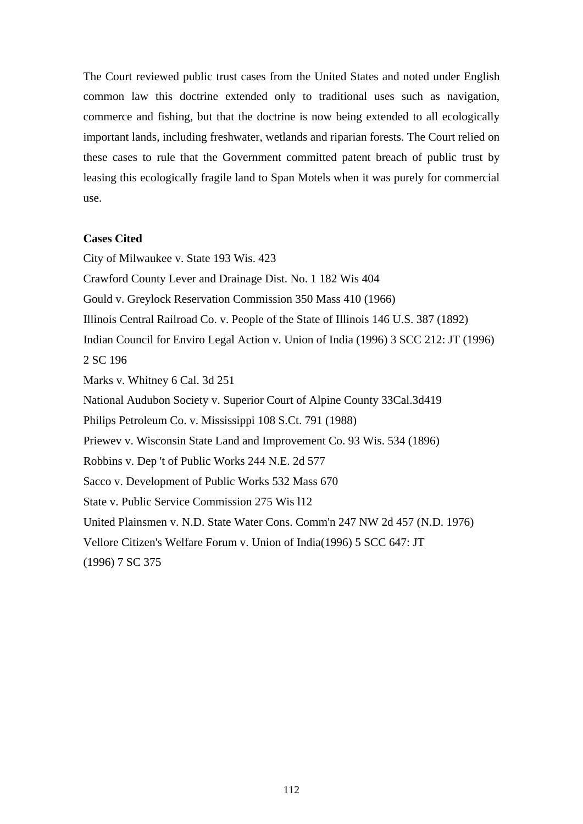The Court reviewed public trust cases from the United States and noted under English common law this doctrine extended only to traditional uses such as navigation, commerce and fishing, but that the doctrine is now being extended to all ecologically important lands, including freshwater, wetlands and riparian forests. The Court relied on these cases to rule that the Government committed patent breach of public trust by leasing this ecologically fragile land to Span Motels when it was purely for commercial use.

# **Cases Cited**

City of Milwaukee v. State 193 Wis. 423 Crawford County Lever and Drainage Dist. No. 1 182 Wis 404 Gould v. Greylock Reservation Commission 350 Mass 410 (1966) Illinois Central Railroad Co. v. People of the State of Illinois 146 U.S. 387 (1892) Indian Council for Enviro Legal Action v. Union of India (1996) 3 SCC 212: JT (1996) 2 SC 196 Marks v. Whitney 6 Cal. 3d 251 National Audubon Society v. Superior Court of Alpine County 33Cal.3d419 Philips Petroleum Co. v. Mississippi 108 S.Ct. 791 (1988) Priewev v. Wisconsin State Land and Improvement Co. 93 Wis. 534 (1896) Robbins v. Dep 't of Public Works 244 N.E. 2d 577 Sacco v. Development of Public Works 532 Mass 670 State v. Public Service Commission 275 Wis l12 United Plainsmen v. N.D. State Water Cons. Comm'n 247 NW 2d 457 (N.D. 1976) Vellore Citizen's Welfare Forum v. Union of India(1996) 5 SCC 647: JT

(1996) 7 SC 375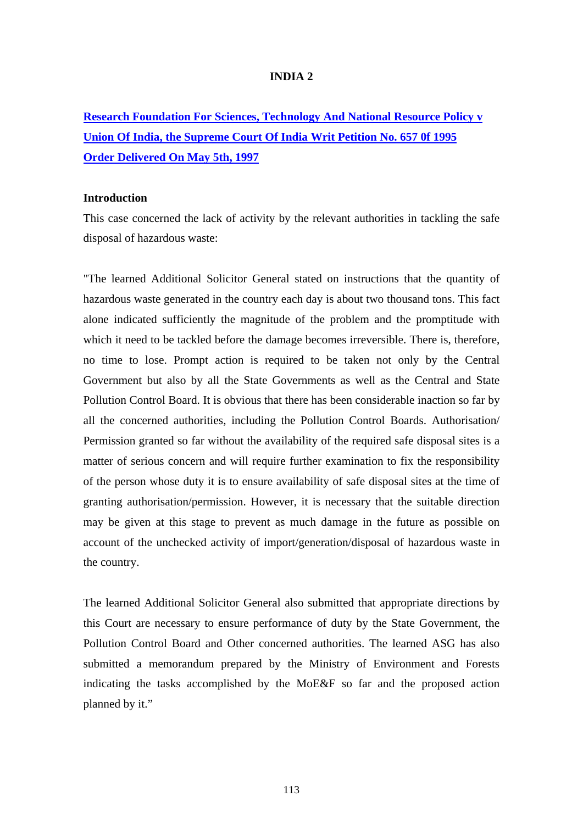### **INDIA 2**

**[Research Foundation For Sciences, Technology And National Resource Policy v](#page-9-0) Union Of India, the Supreme Court Of India Writ Petition No. 657 0f 1995 Order Delivered On May 5th, 1997**

#### **Introduction**

This case concerned the lack of activity by the relevant authorities in tackling the safe disposal of hazardous waste:

"The learned Additional Solicitor General stated on instructions that the quantity of hazardous waste generated in the country each day is about two thousand tons. This fact alone indicated sufficiently the magnitude of the problem and the promptitude with which it need to be tackled before the damage becomes irreversible. There is, therefore, no time to lose. Prompt action is required to be taken not only by the Central Government but also by all the State Governments as well as the Central and State Pollution Control Board. It is obvious that there has been considerable inaction so far by all the concerned authorities, including the Pollution Control Boards. Authorisation/ Permission granted so far without the availability of the required safe disposal sites is a matter of serious concern and will require further examination to fix the responsibility of the person whose duty it is to ensure availability of safe disposal sites at the time of granting authorisation/permission. However, it is necessary that the suitable direction may be given at this stage to prevent as much damage in the future as possible on account of the unchecked activity of import/generation/disposal of hazardous waste in the country.

The learned Additional Solicitor General also submitted that appropriate directions by this Court are necessary to ensure performance of duty by the State Government, the Pollution Control Board and Other concerned authorities. The learned ASG has also submitted a memorandum prepared by the Ministry of Environment and Forests indicating the tasks accomplished by the MoE&F so far and the proposed action planned by it."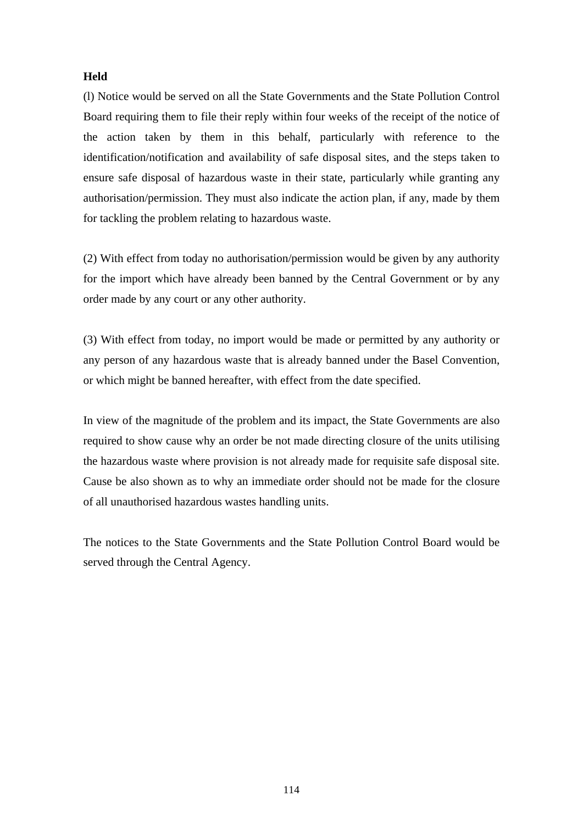# **Held**

(l) Notice would be served on all the State Governments and the State Pollution Control Board requiring them to file their reply within four weeks of the receipt of the notice of the action taken by them in this behalf, particularly with reference to the identification/notification and availability of safe disposal sites, and the steps taken to ensure safe disposal of hazardous waste in their state, particularly while granting any authorisation/permission. They must also indicate the action plan, if any, made by them for tackling the problem relating to hazardous waste.

(2) With effect from today no authorisation/permission would be given by any authority for the import which have already been banned by the Central Government or by any order made by any court or any other authority.

(3) With effect from today, no import would be made or permitted by any authority or any person of any hazardous waste that is already banned under the Basel Convention, or which might be banned hereafter, with effect from the date specified.

In view of the magnitude of the problem and its impact, the State Governments are also required to show cause why an order be not made directing closure of the units utilising the hazardous waste where provision is not already made for requisite safe disposal site. Cause be also shown as to why an immediate order should not be made for the closure of all unauthorised hazardous wastes handling units.

The notices to the State Governments and the State Pollution Control Board would be served through the Central Agency.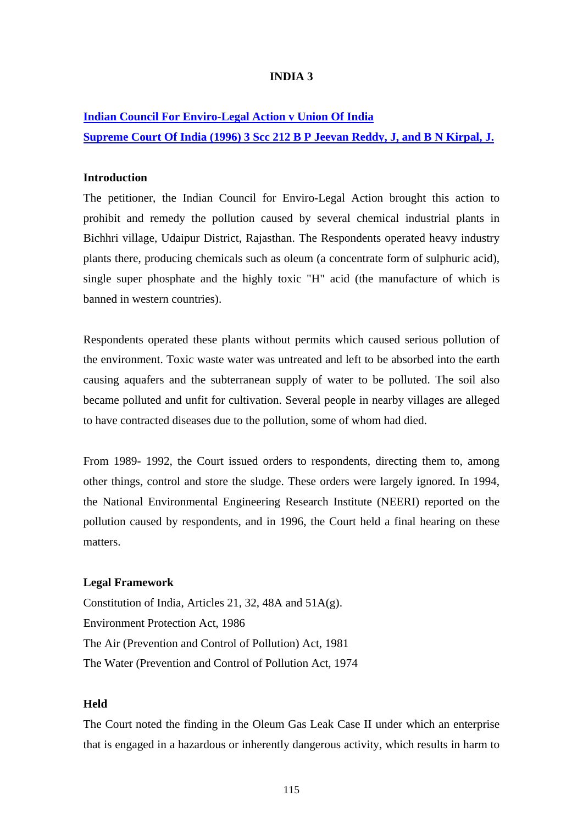## **INDIA 3**

# **Indian Council For Enviro-Legal Action v Union Of India [Supreme Court Of India \(1996\) 3 Scc 212 B P Jeevan Reddy, J, and B N Kirpal, J.](#page-9-0)**

### **Introduction**

The petitioner, the Indian Council for Enviro-Legal Action brought this action to prohibit and remedy the pollution caused by several chemical industrial plants in Bichhri village, Udaipur District, Rajasthan. The Respondents operated heavy industry plants there, producing chemicals such as oleum (a concentrate form of sulphuric acid), single super phosphate and the highly toxic "H" acid (the manufacture of which is banned in western countries).

Respondents operated these plants without permits which caused serious pollution of the environment. Toxic waste water was untreated and left to be absorbed into the earth causing aquafers and the subterranean supply of water to be polluted. The soil also became polluted and unfit for cultivation. Several people in nearby villages are alleged to have contracted diseases due to the pollution, some of whom had died.

From 1989- 1992, the Court issued orders to respondents, directing them to, among other things, control and store the sludge. These orders were largely ignored. In 1994, the National Environmental Engineering Research Institute (NEERI) reported on the pollution caused by respondents, and in 1996, the Court held a final hearing on these matters.

### **Legal Framework**

Constitution of India, Articles 21, 32, 48A and 51A(g). Environment Protection Act, 1986 The Air (Prevention and Control of Pollution) Act, 1981 The Water (Prevention and Control of Pollution Act, 1974

### **Held**

The Court noted the finding in the Oleum Gas Leak Case II under which an enterprise that is engaged in a hazardous or inherently dangerous activity, which results in harm to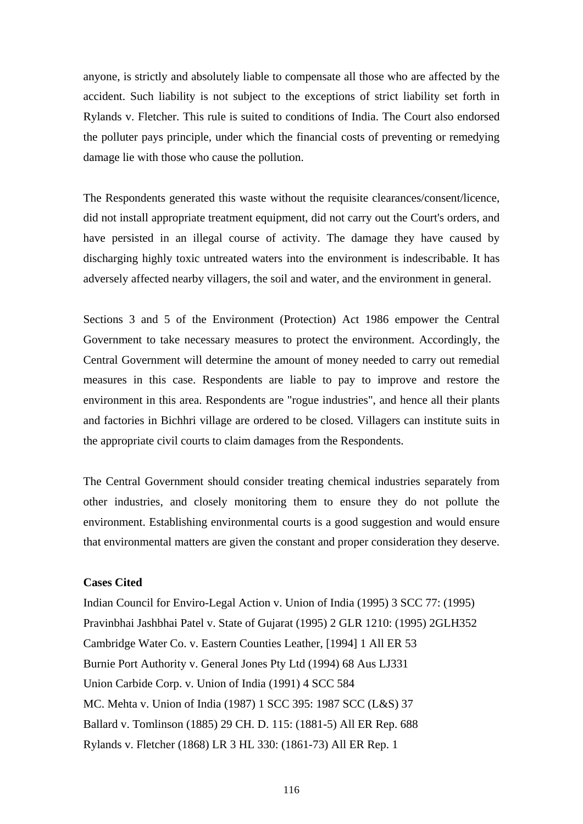anyone, is strictly and absolutely liable to compensate all those who are affected by the accident. Such liability is not subject to the exceptions of strict liability set forth in Rylands v. Fletcher. This rule is suited to conditions of India. The Court also endorsed the polluter pays principle, under which the financial costs of preventing or remedying damage lie with those who cause the pollution.

The Respondents generated this waste without the requisite clearances/consent/licence, did not install appropriate treatment equipment, did not carry out the Court's orders, and have persisted in an illegal course of activity. The damage they have caused by discharging highly toxic untreated waters into the environment is indescribable. It has adversely affected nearby villagers, the soil and water, and the environment in general.

Sections 3 and 5 of the Environment (Protection) Act 1986 empower the Central Government to take necessary measures to protect the environment. Accordingly, the Central Government will determine the amount of money needed to carry out remedial measures in this case. Respondents are liable to pay to improve and restore the environment in this area. Respondents are "rogue industries", and hence all their plants and factories in Bichhri village are ordered to be closed. Villagers can institute suits in the appropriate civil courts to claim damages from the Respondents.

The Central Government should consider treating chemical industries separately from other industries, and closely monitoring them to ensure they do not pollute the environment. Establishing environmental courts is a good suggestion and would ensure that environmental matters are given the constant and proper consideration they deserve.

# **Cases Cited**

Indian Council for Enviro-Legal Action v. Union of India (1995) 3 SCC 77: (1995) Pravinbhai Jashbhai Patel v. State of Gujarat (1995) 2 GLR 1210: (1995) 2GLH352 Cambridge Water Co. v. Eastern Counties Leather, [1994] 1 All ER 53 Burnie Port Authority v. General Jones Pty Ltd (1994) 68 Aus LJ331 Union Carbide Corp. v. Union of India (1991) 4 SCC 584 MC. Mehta v. Union of India (1987) 1 SCC 395: 1987 SCC (L&S) 37 Ballard v. Tomlinson (1885) 29 CH. D. 115: (1881-5) All ER Rep. 688 Rylands v. Fletcher (1868) LR 3 HL 330: (1861-73) All ER Rep. 1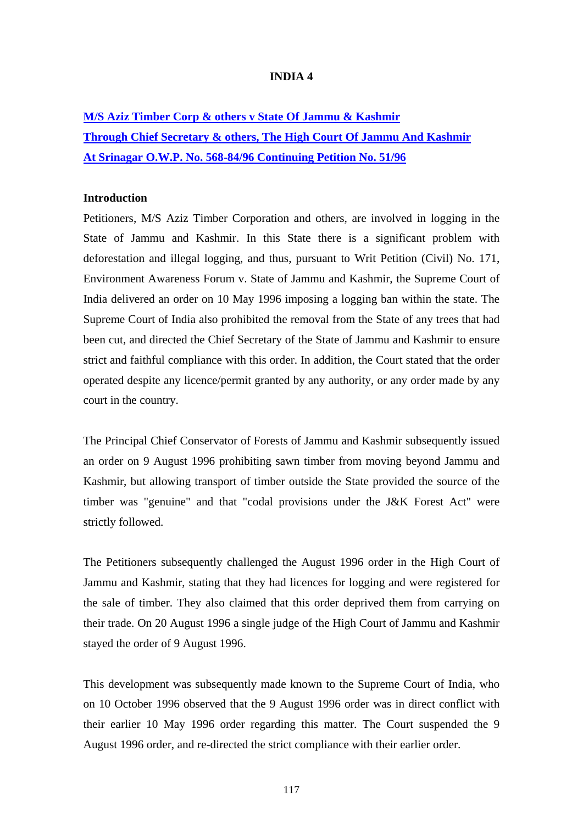**M/S Aziz Timber Corp & others v State Of Jammu & Kashmir [Through Chief Secretary & others, The High Court Of Jammu And Kashmir](#page-9-0) At Srinagar O.W.P. No. 568-84/96 Continuing Petition No. 51/96**

#### **Introduction**

Petitioners, M/S Aziz Timber Corporation and others, are involved in logging in the State of Jammu and Kashmir. In this State there is a significant problem with deforestation and illegal logging, and thus, pursuant to Writ Petition (Civil) No. 171, Environment Awareness Forum v. State of Jammu and Kashmir, the Supreme Court of India delivered an order on 10 May 1996 imposing a logging ban within the state. The Supreme Court of India also prohibited the removal from the State of any trees that had been cut, and directed the Chief Secretary of the State of Jammu and Kashmir to ensure strict and faithful compliance with this order. In addition, the Court stated that the order operated despite any licence/permit granted by any authority, or any order made by any court in the country.

The Principal Chief Conservator of Forests of Jammu and Kashmir subsequently issued an order on 9 August 1996 prohibiting sawn timber from moving beyond Jammu and Kashmir, but allowing transport of timber outside the State provided the source of the timber was "genuine" and that "codal provisions under the J&K Forest Act" were strictly followed.

The Petitioners subsequently challenged the August 1996 order in the High Court of Jammu and Kashmir, stating that they had licences for logging and were registered for the sale of timber. They also claimed that this order deprived them from carrying on their trade. On 20 August 1996 a single judge of the High Court of Jammu and Kashmir stayed the order of 9 August 1996.

This development was subsequently made known to the Supreme Court of India, who on 10 October 1996 observed that the 9 August 1996 order was in direct conflict with their earlier 10 May 1996 order regarding this matter. The Court suspended the 9 August 1996 order, and re-directed the strict compliance with their earlier order.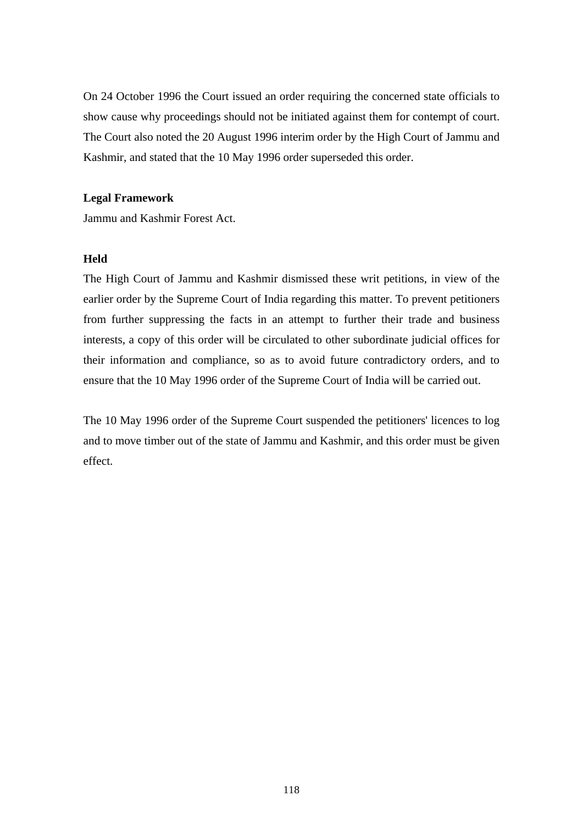On 24 October 1996 the Court issued an order requiring the concerned state officials to show cause why proceedings should not be initiated against them for contempt of court. The Court also noted the 20 August 1996 interim order by the High Court of Jammu and Kashmir, and stated that the 10 May 1996 order superseded this order.

## **Legal Framework**

Jammu and Kashmir Forest Act.

## **Held**

The High Court of Jammu and Kashmir dismissed these writ petitions, in view of the earlier order by the Supreme Court of India regarding this matter. To prevent petitioners from further suppressing the facts in an attempt to further their trade and business interests, a copy of this order will be circulated to other subordinate judicial offices for their information and compliance, so as to avoid future contradictory orders, and to ensure that the 10 May 1996 order of the Supreme Court of India will be carried out.

The 10 May 1996 order of the Supreme Court suspended the petitioners' licences to log and to move timber out of the state of Jammu and Kashmir, and this order must be given effect.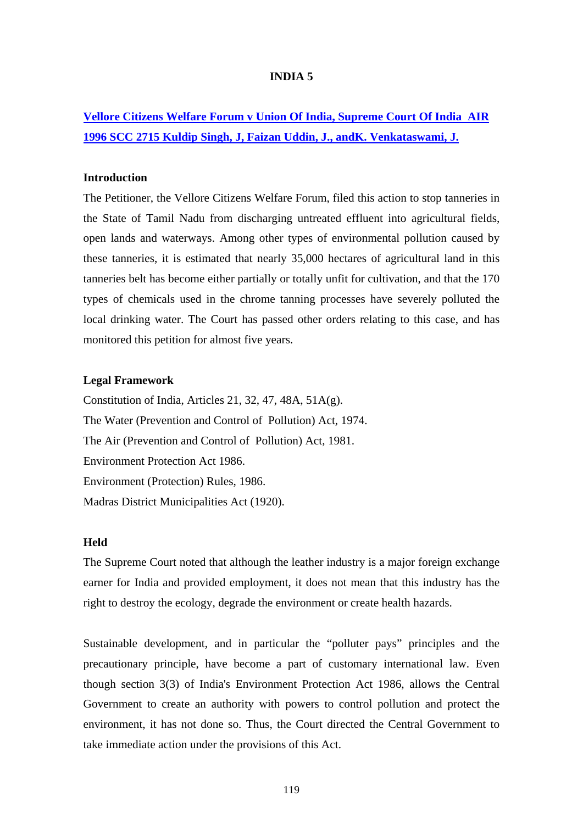# **[Vellore Citizens Welfare Forum v Union Of India, Supreme Court Of India AIR](#page-9-0)  1996 SCC 2715 Kuldip Singh, J, Faizan Uddin, J., andK. Venkataswami, J.**

#### **Introduction**

The Petitioner, the Vellore Citizens Welfare Forum, filed this action to stop tanneries in the State of Tamil Nadu from discharging untreated effluent into agricultural fields, open lands and waterways. Among other types of environmental pollution caused by these tanneries, it is estimated that nearly 35,000 hectares of agricultural land in this tanneries belt has become either partially or totally unfit for cultivation, and that the 170 types of chemicals used in the chrome tanning processes have severely polluted the local drinking water. The Court has passed other orders relating to this case, and has monitored this petition for almost five years.

#### **Legal Framework**

Constitution of India, Articles 21, 32, 47, 48A, 51A(g). The Water (Prevention and Control of Pollution) Act, 1974. The Air (Prevention and Control of Pollution) Act, 1981. Environment Protection Act 1986. Environment (Protection) Rules, 1986. Madras District Municipalities Act (1920).

## **Held**

The Supreme Court noted that although the leather industry is a major foreign exchange earner for India and provided employment, it does not mean that this industry has the right to destroy the ecology, degrade the environment or create health hazards.

Sustainable development, and in particular the "polluter pays" principles and the precautionary principle, have become a part of customary international law. Even though section 3(3) of India's Environment Protection Act 1986, allows the Central Government to create an authority with powers to control pollution and protect the environment, it has not done so. Thus, the Court directed the Central Government to take immediate action under the provisions of this Act.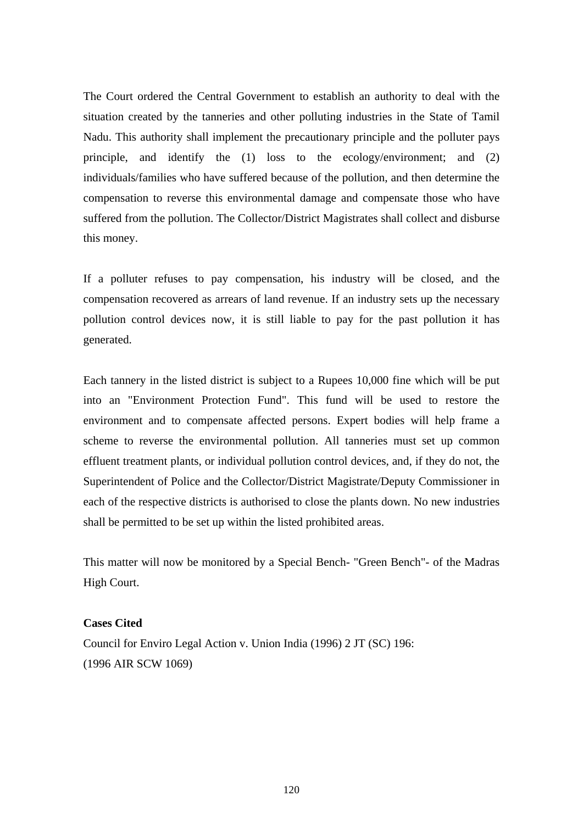The Court ordered the Central Government to establish an authority to deal with the situation created by the tanneries and other polluting industries in the State of Tamil Nadu. This authority shall implement the precautionary principle and the polluter pays principle, and identify the (1) loss to the ecology/environment; and (2) individuals/families who have suffered because of the pollution, and then determine the compensation to reverse this environmental damage and compensate those who have suffered from the pollution. The Collector/District Magistrates shall collect and disburse this money.

If a polluter refuses to pay compensation, his industry will be closed, and the compensation recovered as arrears of land revenue. If an industry sets up the necessary pollution control devices now, it is still liable to pay for the past pollution it has generated.

Each tannery in the listed district is subject to a Rupees 10,000 fine which will be put into an "Environment Protection Fund". This fund will be used to restore the environment and to compensate affected persons. Expert bodies will help frame a scheme to reverse the environmental pollution. All tanneries must set up common effluent treatment plants, or individual pollution control devices, and, if they do not, the Superintendent of Police and the Collector/District Magistrate/Deputy Commissioner in each of the respective districts is authorised to close the plants down. No new industries shall be permitted to be set up within the listed prohibited areas.

This matter will now be monitored by a Special Bench- "Green Bench"- of the Madras High Court.

## **Cases Cited**

Council for Enviro Legal Action v. Union India (1996) 2 JT (SC) 196: (1996 AIR SCW 1069)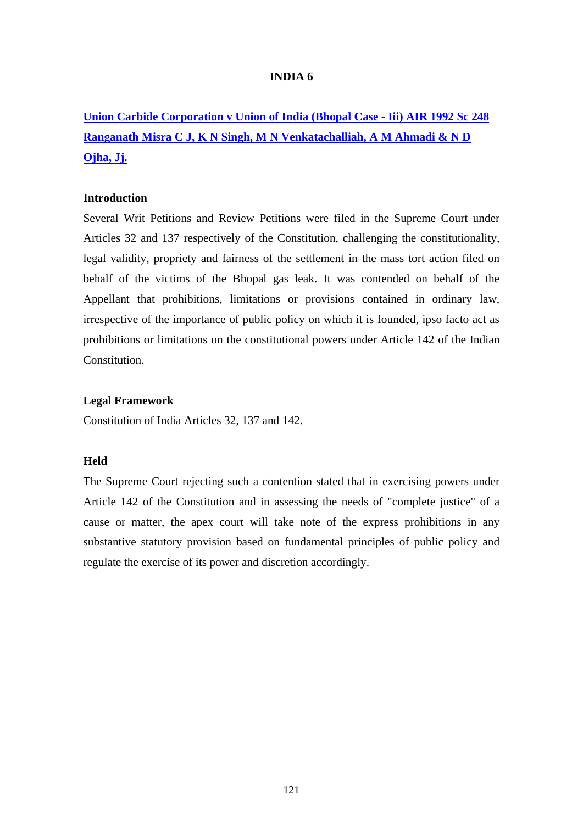# **[Union Carbide Corporation v Union of India \(Bhopal Case - Iii\) AIR 1992 Sc 248](#page-9-0) Ranganath Misra C J, K N Singh, M N Venkatachalliah, A M Ahmadi & N D Ojha, Jj.**

#### **Introduction**

Several Writ Petitions and Review Petitions were filed in the Supreme Court under Articles 32 and 137 respectively of the Constitution, challenging the constitutionality, legal validity, propriety and fairness of the settlement in the mass tort action filed on behalf of the victims of the Bhopal gas leak. It was contended on behalf of the Appellant that prohibitions, limitations or provisions contained in ordinary law, irrespective of the importance of public policy on which it is founded, ipso facto act as prohibitions or limitations on the constitutional powers under Article 142 of the Indian Constitution.

## **Legal Framework**

Constitution of India Articles 32, 137 and 142.

### **Held**

The Supreme Court rejecting such a contention stated that in exercising powers under Article 142 of the Constitution and in assessing the needs of "complete justice" of a cause or matter, the apex court will take note of the express prohibitions in any substantive statutory provision based on fundamental principles of public policy and regulate the exercise of its power and discretion accordingly.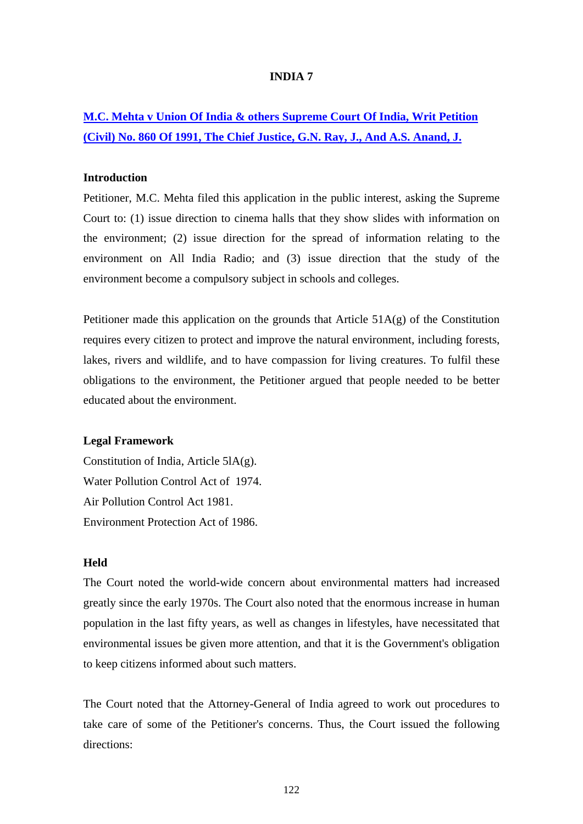# **[M.C. Mehta v Union Of India & others Supreme Court Of India, Writ Petition](#page-9-0) (Civil) No. 860 Of 1991, The Chief Justice, G.N. Ray, J., And A.S. Anand, J.**

#### **Introduction**

Petitioner, M.C. Mehta filed this application in the public interest, asking the Supreme Court to: (1) issue direction to cinema halls that they show slides with information on the environment; (2) issue direction for the spread of information relating to the environment on All India Radio; and (3) issue direction that the study of the environment become a compulsory subject in schools and colleges.

Petitioner made this application on the grounds that Article 51A(g) of the Constitution requires every citizen to protect and improve the natural environment, including forests, lakes, rivers and wildlife, and to have compassion for living creatures. To fulfil these obligations to the environment, the Petitioner argued that people needed to be better educated about the environment.

#### **Legal Framework**

Constitution of India, Article 5lA(g). Water Pollution Control Act of 1974. Air Pollution Control Act 1981. Environment Protection Act of 1986.

#### **Held**

The Court noted the world-wide concern about environmental matters had increased greatly since the early 1970s. The Court also noted that the enormous increase in human population in the last fifty years, as well as changes in lifestyles, have necessitated that environmental issues be given more attention, and that it is the Government's obligation to keep citizens informed about such matters.

The Court noted that the Attorney-General of India agreed to work out procedures to take care of some of the Petitioner's concerns. Thus, the Court issued the following directions: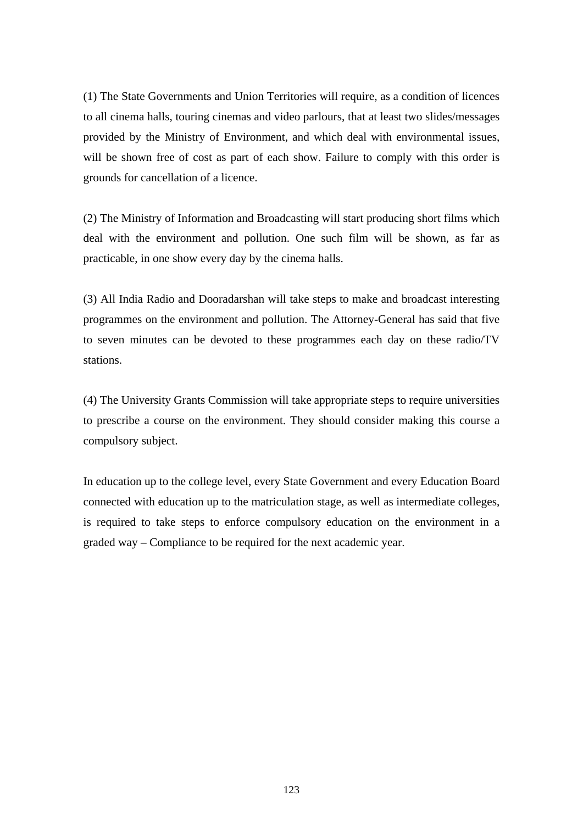(1) The State Governments and Union Territories will require, as a condition of licences to all cinema halls, touring cinemas and video parlours, that at least two slides/messages provided by the Ministry of Environment, and which deal with environmental issues, will be shown free of cost as part of each show. Failure to comply with this order is grounds for cancellation of a licence.

(2) The Ministry of Information and Broadcasting will start producing short films which deal with the environment and pollution. One such film will be shown, as far as practicable, in one show every day by the cinema halls.

(3) All India Radio and Dooradarshan will take steps to make and broadcast interesting programmes on the environment and pollution. The Attorney-General has said that five to seven minutes can be devoted to these programmes each day on these radio/TV stations.

(4) The University Grants Commission will take appropriate steps to require universities to prescribe a course on the environment. They should consider making this course a compulsory subject.

In education up to the college level, every State Government and every Education Board connected with education up to the matriculation stage, as well as intermediate colleges, is required to take steps to enforce compulsory education on the environment in a graded way – Compliance to be required for the next academic year.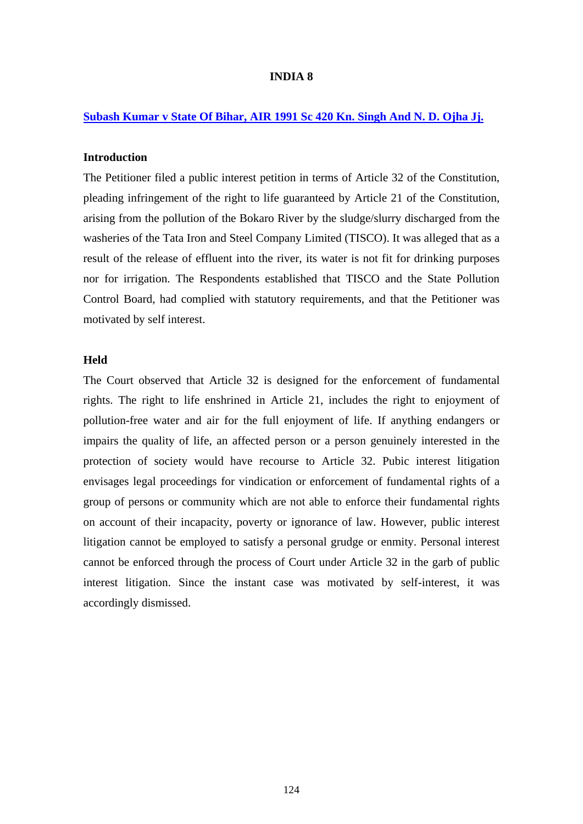## **[Subash Kumar v State Of Bihar, AIR 1991 Sc 420 Kn. Singh And N. D. Ojha Jj.](#page-10-0)**

## **Introduction**

The Petitioner filed a public interest petition in terms of Article 32 of the Constitution, pleading infringement of the right to life guaranteed by Article 21 of the Constitution, arising from the pollution of the Bokaro River by the sludge/slurry discharged from the washeries of the Tata Iron and Steel Company Limited (TISCO). It was alleged that as a result of the release of effluent into the river, its water is not fit for drinking purposes nor for irrigation. The Respondents established that TISCO and the State Pollution Control Board, had complied with statutory requirements, and that the Petitioner was motivated by self interest.

## **Held**

The Court observed that Article 32 is designed for the enforcement of fundamental rights. The right to life enshrined in Article 21, includes the right to enjoyment of pollution-free water and air for the full enjoyment of life. If anything endangers or impairs the quality of life, an affected person or a person genuinely interested in the protection of society would have recourse to Article 32. Pubic interest litigation envisages legal proceedings for vindication or enforcement of fundamental rights of a group of persons or community which are not able to enforce their fundamental rights on account of their incapacity, poverty or ignorance of law. However, public interest litigation cannot be employed to satisfy a personal grudge or enmity. Personal interest cannot be enforced through the process of Court under Article 32 in the garb of public interest litigation. Since the instant case was motivated by self-interest, it was accordingly dismissed.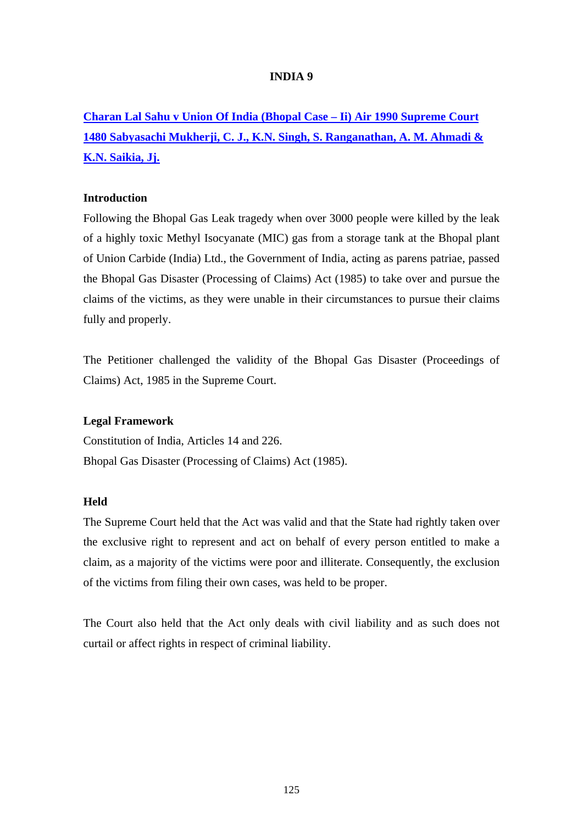**[Charan Lal Sahu v Union Of India \(Bhopal Case – Ii\) Air 1990 Supreme Court](#page-10-0)  [1480 Sabyasachi Mukherji, C. J., K.N. Singh, S. Ranganathan, A. M. Ahmadi &](#page-10-0)  [K.N. Saikia, Jj.](#page-10-0)**

## **Introduction**

Following the Bhopal Gas Leak tragedy when over 3000 people were killed by the leak of a highly toxic Methyl Isocyanate (MIC) gas from a storage tank at the Bhopal plant of Union Carbide (India) Ltd., the Government of India, acting as parens patriae, passed the Bhopal Gas Disaster (Processing of Claims) Act (1985) to take over and pursue the claims of the victims, as they were unable in their circumstances to pursue their claims fully and properly.

The Petitioner challenged the validity of the Bhopal Gas Disaster (Proceedings of Claims) Act, 1985 in the Supreme Court.

#### **Legal Framework**

Constitution of India, Articles 14 and 226. Bhopal Gas Disaster (Processing of Claims) Act (1985).

## **Held**

The Supreme Court held that the Act was valid and that the State had rightly taken over the exclusive right to represent and act on behalf of every person entitled to make a claim, as a majority of the victims were poor and illiterate. Consequently, the exclusion of the victims from filing their own cases, was held to be proper.

The Court also held that the Act only deals with civil liability and as such does not curtail or affect rights in respect of criminal liability.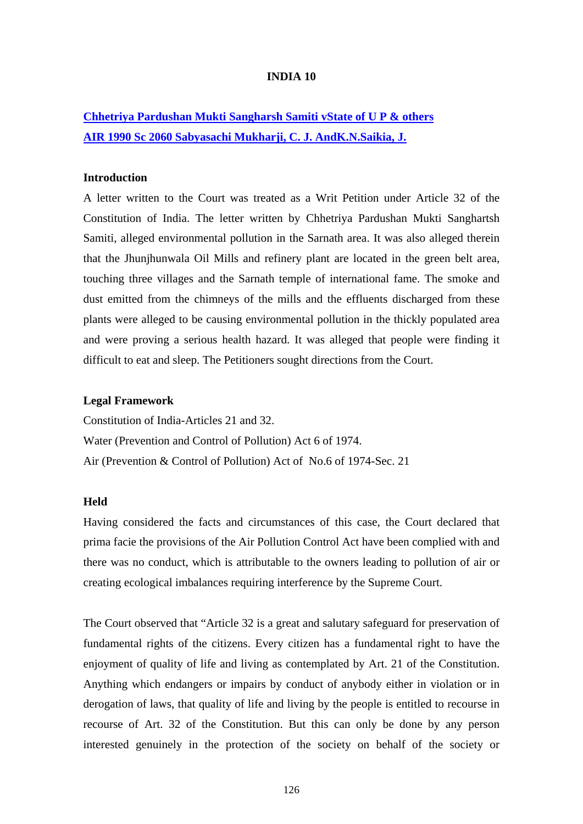# **[Chhetriya Pardushan Mukti Sangharsh Samiti vState of U P & others](#page-10-1) AIR 1990 Sc 2060 Sabyasachi Mukharji, C. J. AndK.N.Saikia, J.**

#### **Introduction**

A letter written to the Court was treated as a Writ Petition under Article 32 of the Constitution of India. The letter written by Chhetriya Pardushan Mukti Sanghartsh Samiti, alleged environmental pollution in the Sarnath area. It was also alleged therein that the Jhunjhunwala Oil Mills and refinery plant are located in the green belt area, touching three villages and the Sarnath temple of international fame. The smoke and dust emitted from the chimneys of the mills and the effluents discharged from these plants were alleged to be causing environmental pollution in the thickly populated area and were proving a serious health hazard. It was alleged that people were finding it difficult to eat and sleep. The Petitioners sought directions from the Court.

#### **Legal Framework**

Constitution of India-Articles 21 and 32. Water (Prevention and Control of Pollution) Act 6 of 1974. Air (Prevention & Control of Pollution) Act of No.6 of 1974-Sec. 21

## **Held**

Having considered the facts and circumstances of this case, the Court declared that prima facie the provisions of the Air Pollution Control Act have been complied with and there was no conduct, which is attributable to the owners leading to pollution of air or creating ecological imbalances requiring interference by the Supreme Court.

The Court observed that "Article 32 is a great and salutary safeguard for preservation of fundamental rights of the citizens. Every citizen has a fundamental right to have the enjoyment of quality of life and living as contemplated by Art. 21 of the Constitution. Anything which endangers or impairs by conduct of anybody either in violation or in derogation of laws, that quality of life and living by the people is entitled to recourse in recourse of Art. 32 of the Constitution. But this can only be done by any person interested genuinely in the protection of the society on behalf of the society or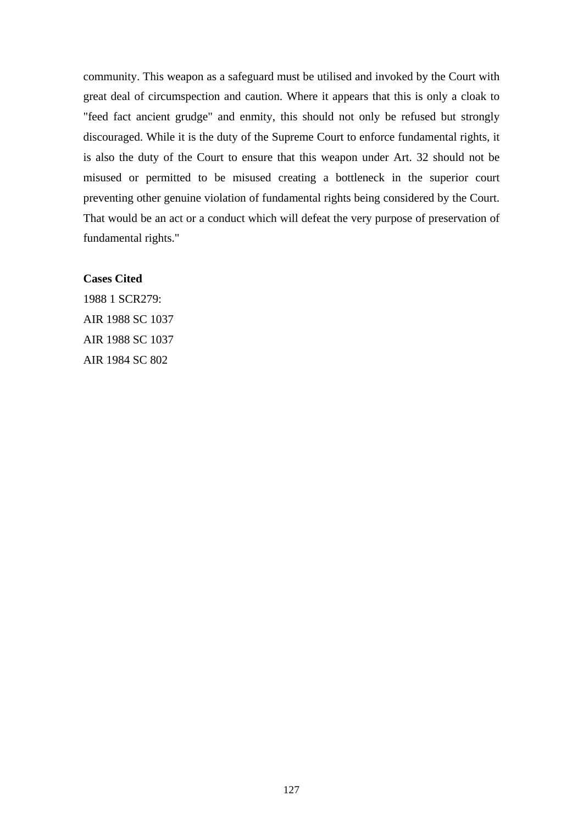community. This weapon as a safeguard must be utilised and invoked by the Court with great deal of circumspection and caution. Where it appears that this is only a cloak to "feed fact ancient grudge" and enmity, this should not only be refused but strongly discouraged. While it is the duty of the Supreme Court to enforce fundamental rights, it is also the duty of the Court to ensure that this weapon under Art. 32 should not be misused or permitted to be misused creating a bottleneck in the superior court preventing other genuine violation of fundamental rights being considered by the Court. That would be an act or a conduct which will defeat the very purpose of preservation of fundamental rights."

## **Cases Cited**

1988 1 SCR279: AIR 1988 SC 1037 AIR 1988 SC 1037 AIR 1984 SC 802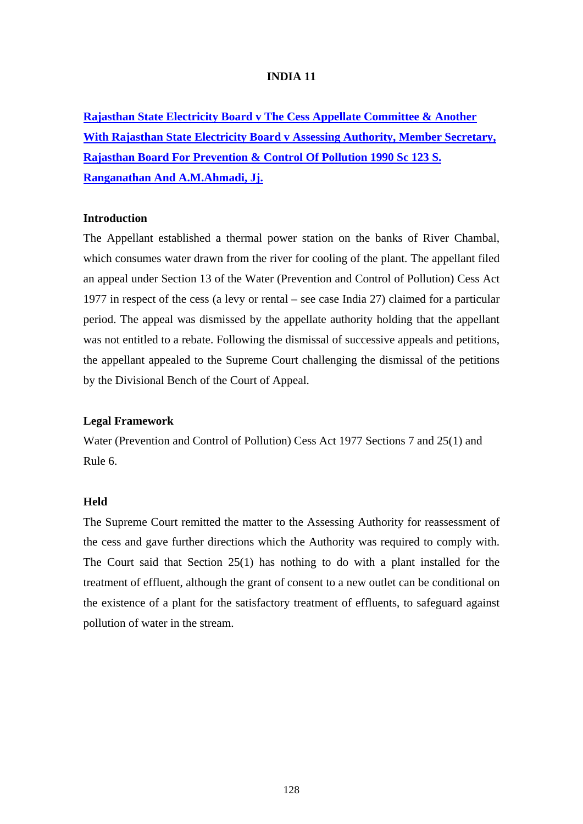**[Rajasthan State Electricity Board v The Cess Appellate Committee & Another](#page-10-0)  [With Rajasthan State Electricity Board v Assessing Authority, Member Secretary,](#page-10-0)  [Rajasthan Board For Prevention & Control Of Pollution 1990 Sc 123 S.](#page-10-0)  [Ranganathan And A.M.Ahmadi, Jj.](#page-10-0)**

#### **Introduction**

The Appellant established a thermal power station on the banks of River Chambal, which consumes water drawn from the river for cooling of the plant. The appellant filed an appeal under Section 13 of the Water (Prevention and Control of Pollution) Cess Act 1977 in respect of the cess (a levy or rental – see case India 27) claimed for a particular period. The appeal was dismissed by the appellate authority holding that the appellant was not entitled to a rebate. Following the dismissal of successive appeals and petitions, the appellant appealed to the Supreme Court challenging the dismissal of the petitions by the Divisional Bench of the Court of Appeal.

#### **Legal Framework**

Water (Prevention and Control of Pollution) Cess Act 1977 Sections 7 and 25(1) and Rule 6.

## **Held**

The Supreme Court remitted the matter to the Assessing Authority for reassessment of the cess and gave further directions which the Authority was required to comply with. The Court said that Section 25(1) has nothing to do with a plant installed for the treatment of effluent, although the grant of consent to a new outlet can be conditional on the existence of a plant for the satisfactory treatment of effluents, to safeguard against pollution of water in the stream.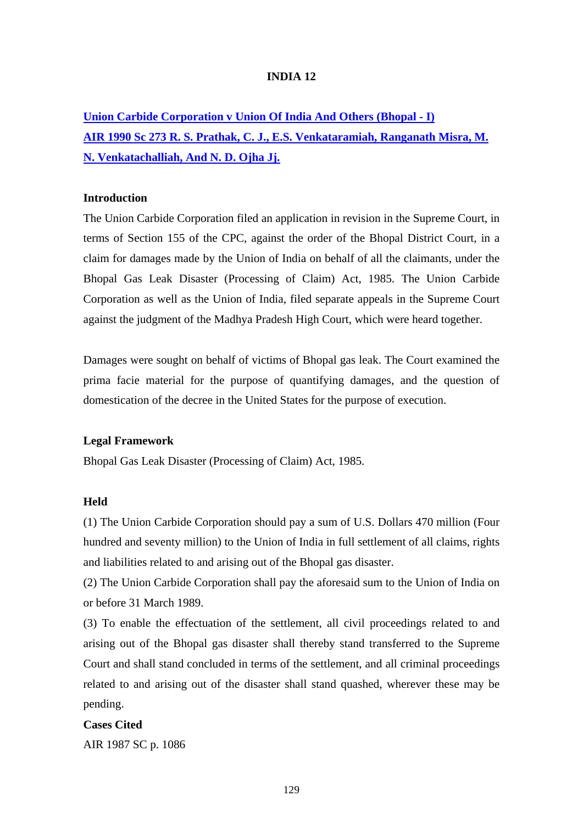**[Union Carbide Corporation v Union Of India And Others \(Bhopal - I\)](#page-10-0) [AIR 1990 Sc 273 R. S. Prathak, C. J., E.S. Venkataramiah, Ranganath Misra, M.](#page-10-0)  [N. Venkatachalliah, And N. D. Ojha Jj.](#page-10-0)**

#### **Introduction**

The Union Carbide Corporation filed an application in revision in the Supreme Court, in terms of Section 155 of the CPC, against the order of the Bhopal District Court, in a claim for damages made by the Union of India on behalf of all the claimants, under the Bhopal Gas Leak Disaster (Processing of Claim) Act, 1985. The Union Carbide Corporation as well as the Union of India, filed separate appeals in the Supreme Court against the judgment of the Madhya Pradesh High Court, which were heard together.

Damages were sought on behalf of victims of Bhopal gas leak. The Court examined the prima facie material for the purpose of quantifying damages, and the question of domestication of the decree in the United States for the purpose of execution.

#### **Legal Framework**

Bhopal Gas Leak Disaster (Processing of Claim) Act, 1985.

## **Held**

(1) The Union Carbide Corporation should pay a sum of U.S. Dollars 470 million (Four hundred and seventy million) to the Union of India in full settlement of all claims, rights and liabilities related to and arising out of the Bhopal gas disaster.

(2) The Union Carbide Corporation shall pay the aforesaid sum to the Union of India on or before 31 March 1989.

(3) To enable the effectuation of the settlement, all civil proceedings related to and arising out of the Bhopal gas disaster shall thereby stand transferred to the Supreme Court and shall stand concluded in terms of the settlement, and all criminal proceedings related to and arising out of the disaster shall stand quashed, wherever these may be pending.

**Cases Cited**  AIR 1987 SC p. 1086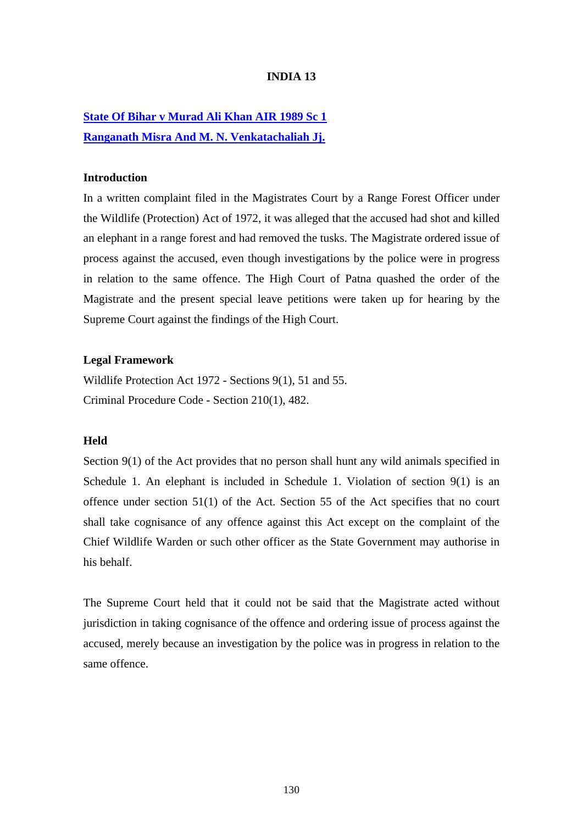# **[State Of Bihar v Murad Ali Khan AIR 1989 Sc 1](#page-10-0) [Ranganath Misra And M. N. Venkatachaliah Jj.](#page-10-0)**

#### **Introduction**

In a written complaint filed in the Magistrates Court by a Range Forest Officer under the Wildlife (Protection) Act of 1972, it was alleged that the accused had shot and killed an elephant in a range forest and had removed the tusks. The Magistrate ordered issue of process against the accused, even though investigations by the police were in progress in relation to the same offence. The High Court of Patna quashed the order of the Magistrate and the present special leave petitions were taken up for hearing by the Supreme Court against the findings of the High Court.

#### **Legal Framework**

Wildlife Protection Act 1972 - Sections 9(1), 51 and 55. Criminal Procedure Code - Section 210(1), 482.

## **Held**

Section 9(1) of the Act provides that no person shall hunt any wild animals specified in Schedule 1. An elephant is included in Schedule 1. Violation of section 9(1) is an offence under section 51(1) of the Act. Section 55 of the Act specifies that no court shall take cognisance of any offence against this Act except on the complaint of the Chief Wildlife Warden or such other officer as the State Government may authorise in his behalf.

The Supreme Court held that it could not be said that the Magistrate acted without jurisdiction in taking cognisance of the offence and ordering issue of process against the accused, merely because an investigation by the police was in progress in relation to the same offence.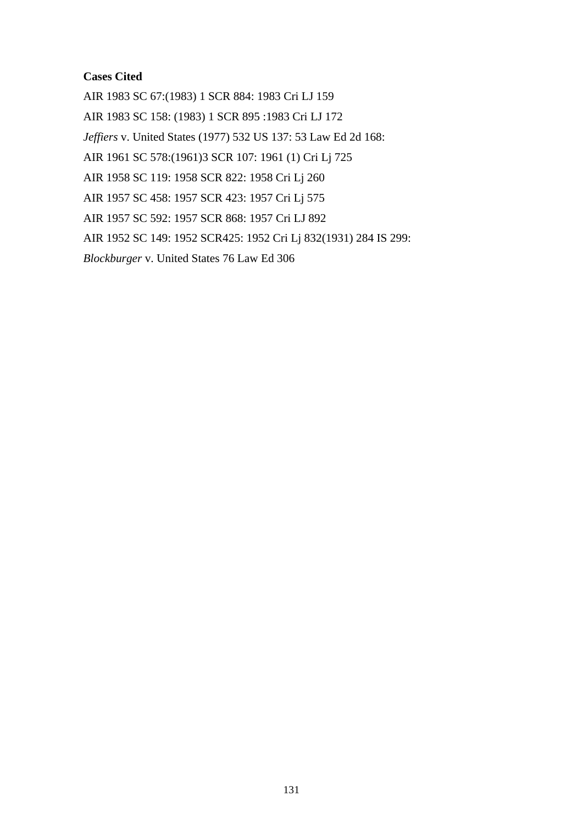## **Cases Cited**

AIR 1983 SC 67:(1983) 1 SCR 884: 1983 Cri LJ 159 AIR 1983 SC 158: (1983) 1 SCR 895 :1983 Cri LJ 172 *Jeffiers* v. United States (1977) 532 US 137: 53 Law Ed 2d 168: AIR 1961 SC 578:(1961)3 SCR 107: 1961 (1) Cri Lj 725 AIR 1958 SC 119: 1958 SCR 822: 1958 Cri Lj 260 AIR 1957 SC 458: 1957 SCR 423: 1957 Cri Lj 575 AIR 1957 SC 592: 1957 SCR 868: 1957 Cri LJ 892 AIR 1952 SC 149: 1952 SCR425: 1952 Cri Lj 832(1931) 284 IS 299: *Blockburger* v. United States 76 Law Ed 306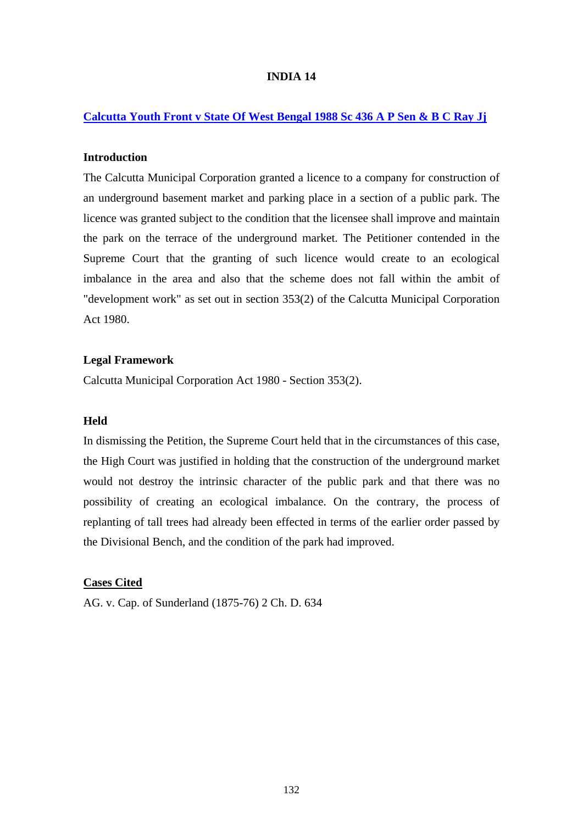## **[Calcutta Youth Front v State Of West Bengal 1988 Sc 436 A P Sen & B C Ray Jj](#page-10-0)**

## **Introduction**

The Calcutta Municipal Corporation granted a licence to a company for construction of an underground basement market and parking place in a section of a public park. The licence was granted subject to the condition that the licensee shall improve and maintain the park on the terrace of the underground market. The Petitioner contended in the Supreme Court that the granting of such licence would create to an ecological imbalance in the area and also that the scheme does not fall within the ambit of "development work" as set out in section 353(2) of the Calcutta Municipal Corporation Act 1980.

#### **Legal Framework**

Calcutta Municipal Corporation Act 1980 - Section 353(2).

#### **Held**

In dismissing the Petition, the Supreme Court held that in the circumstances of this case, the High Court was justified in holding that the construction of the underground market would not destroy the intrinsic character of the public park and that there was no possibility of creating an ecological imbalance. On the contrary, the process of replanting of tall trees had already been effected in terms of the earlier order passed by the Divisional Bench, and the condition of the park had improved.

## **Cases Cited**

AG. v. Cap. of Sunderland (1875-76) 2 Ch. D. 634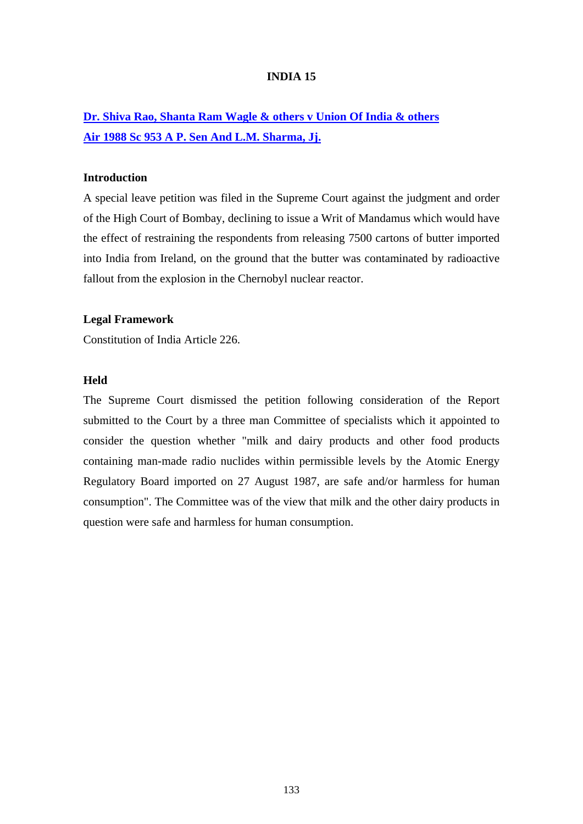# **[Dr. Shiva Rao, Shanta Ram Wagle & others v Union Of India & others](#page-10-0) [Air 1988 Sc 953 A P. Sen And L.M. Sharma, Jj.](#page-10-0)**

## **Introduction**

A special leave petition was filed in the Supreme Court against the judgment and order of the High Court of Bombay, declining to issue a Writ of Mandamus which would have the effect of restraining the respondents from releasing 7500 cartons of butter imported into India from Ireland, on the ground that the butter was contaminated by radioactive fallout from the explosion in the Chernobyl nuclear reactor.

## **Legal Framework**

Constitution of India Article 226.

## **Held**

The Supreme Court dismissed the petition following consideration of the Report submitted to the Court by a three man Committee of specialists which it appointed to consider the question whether "milk and dairy products and other food products containing man-made radio nuclides within permissible levels by the Atomic Energy Regulatory Board imported on 27 August 1987, are safe and/or harmless for human consumption". The Committee was of the view that milk and the other dairy products in question were safe and harmless for human consumption.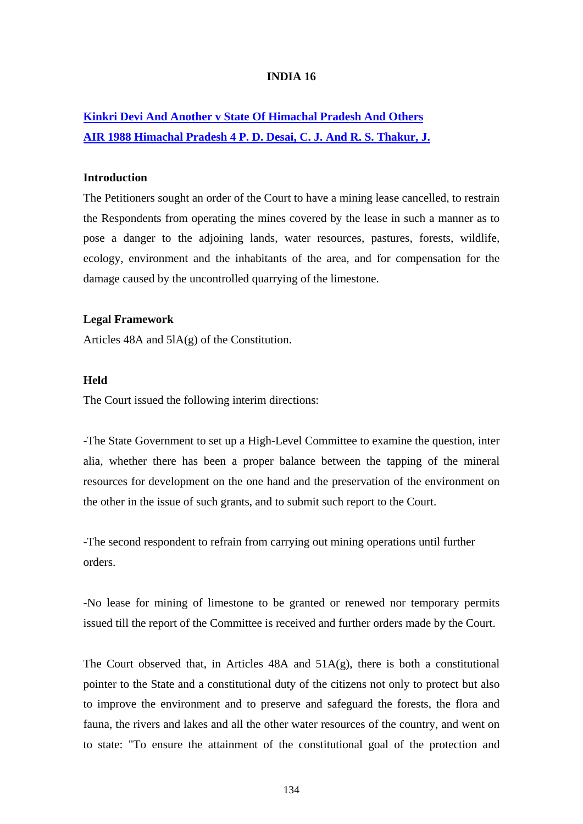# **[Kinkri Devi And Another v State Of Himachal Pradesh And Others](#page-10-0) [AIR 1988 Himachal Pradesh 4 P. D. Desai, C. J. And R. S. Thakur, J.](#page-10-0)**

#### **Introduction**

The Petitioners sought an order of the Court to have a mining lease cancelled, to restrain the Respondents from operating the mines covered by the lease in such a manner as to pose a danger to the adjoining lands, water resources, pastures, forests, wildlife, ecology, environment and the inhabitants of the area, and for compensation for the damage caused by the uncontrolled quarrying of the limestone.

#### **Legal Framework**

Articles 48A and 5lA(g) of the Constitution.

## **Held**

The Court issued the following interim directions:

-The State Government to set up a High-Level Committee to examine the question, inter alia, whether there has been a proper balance between the tapping of the mineral resources for development on the one hand and the preservation of the environment on the other in the issue of such grants, and to submit such report to the Court.

-The second respondent to refrain from carrying out mining operations until further orders.

-No lease for mining of limestone to be granted or renewed nor temporary permits issued till the report of the Committee is received and further orders made by the Court.

The Court observed that, in Articles  $48A$  and  $51A(g)$ , there is both a constitutional pointer to the State and a constitutional duty of the citizens not only to protect but also to improve the environment and to preserve and safeguard the forests, the flora and fauna, the rivers and lakes and all the other water resources of the country, and went on to state: "To ensure the attainment of the constitutional goal of the protection and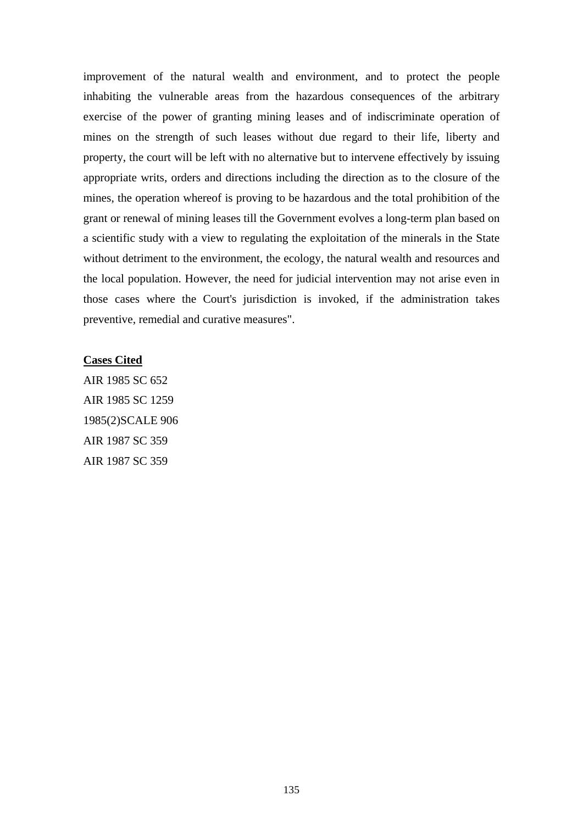improvement of the natural wealth and environment, and to protect the people inhabiting the vulnerable areas from the hazardous consequences of the arbitrary exercise of the power of granting mining leases and of indiscriminate operation of mines on the strength of such leases without due regard to their life, liberty and property, the court will be left with no alternative but to intervene effectively by issuing appropriate writs, orders and directions including the direction as to the closure of the mines, the operation whereof is proving to be hazardous and the total prohibition of the grant or renewal of mining leases till the Government evolves a long-term plan based on a scientific study with a view to regulating the exploitation of the minerals in the State without detriment to the environment, the ecology, the natural wealth and resources and the local population. However, the need for judicial intervention may not arise even in those cases where the Court's jurisdiction is invoked, if the administration takes preventive, remedial and curative measures".

## **Cases Cited**

AIR 1985 SC 652 AIR 1985 SC 1259 1985(2)SCALE 906 AIR 1987 SC 359 AIR 1987 SC 359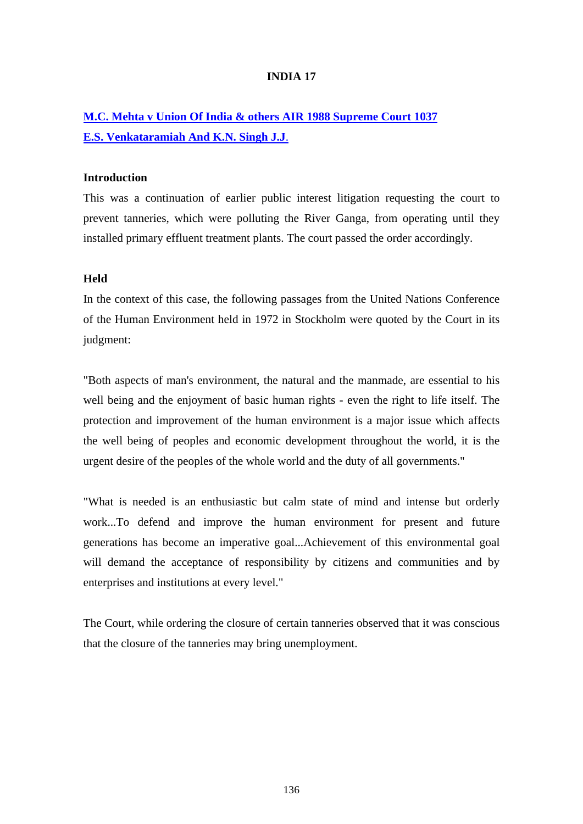# **[M.C. Mehta v Union Of India & others AIR 1988 Supreme Court 1037](#page-10-0) [E.S. Venkataramiah And K.N. Singh J.J](#page-10-0)**.

## **Introduction**

This was a continuation of earlier public interest litigation requesting the court to prevent tanneries, which were polluting the River Ganga, from operating until they installed primary effluent treatment plants. The court passed the order accordingly.

## **Held**

In the context of this case, the following passages from the United Nations Conference of the Human Environment held in 1972 in Stockholm were quoted by the Court in its judgment:

"Both aspects of man's environment, the natural and the manmade, are essential to his well being and the enjoyment of basic human rights - even the right to life itself. The protection and improvement of the human environment is a major issue which affects the well being of peoples and economic development throughout the world, it is the urgent desire of the peoples of the whole world and the duty of all governments."

"What is needed is an enthusiastic but calm state of mind and intense but orderly work...To defend and improve the human environment for present and future generations has become an imperative goal...Achievement of this environmental goal will demand the acceptance of responsibility by citizens and communities and by enterprises and institutions at every level."

The Court, while ordering the closure of certain tanneries observed that it was conscious that the closure of the tanneries may bring unemployment.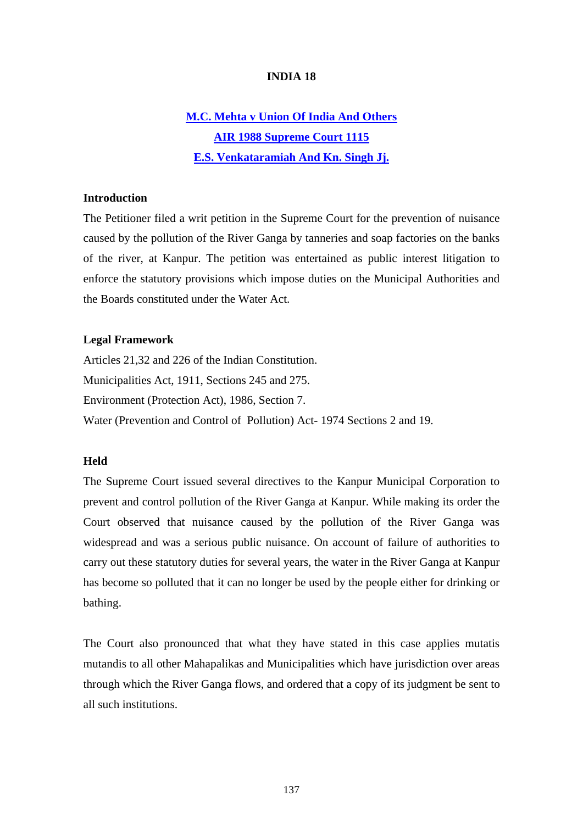# **[M.C. Mehta v Union Of India And Others](#page-10-0) [AIR 1988 Supreme Court 1115](#page-10-0) [E.S. Venkataramiah And Kn. Singh Jj.](#page-10-0)**

#### **Introduction**

The Petitioner filed a writ petition in the Supreme Court for the prevention of nuisance caused by the pollution of the River Ganga by tanneries and soap factories on the banks of the river, at Kanpur. The petition was entertained as public interest litigation to enforce the statutory provisions which impose duties on the Municipal Authorities and the Boards constituted under the Water Act.

## **Legal Framework**

Articles 21,32 and 226 of the Indian Constitution. Municipalities Act, 1911, Sections 245 and 275. Environment (Protection Act), 1986, Section 7. Water (Prevention and Control of Pollution) Act- 1974 Sections 2 and 19.

#### **Held**

The Supreme Court issued several directives to the Kanpur Municipal Corporation to prevent and control pollution of the River Ganga at Kanpur. While making its order the Court observed that nuisance caused by the pollution of the River Ganga was widespread and was a serious public nuisance. On account of failure of authorities to carry out these statutory duties for several years, the water in the River Ganga at Kanpur has become so polluted that it can no longer be used by the people either for drinking or bathing.

The Court also pronounced that what they have stated in this case applies mutatis mutandis to all other Mahapalikas and Municipalities which have jurisdiction over areas through which the River Ganga flows, and ordered that a copy of its judgment be sent to all such institutions.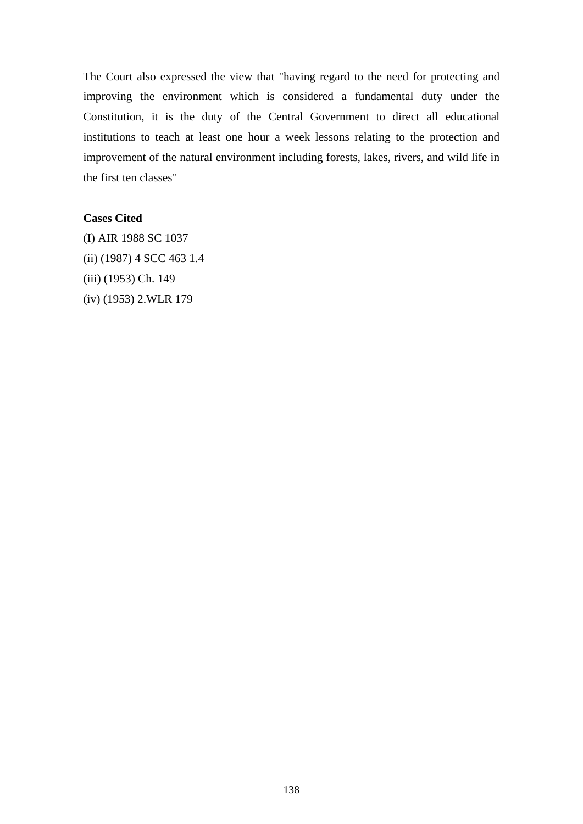The Court also expressed the view that "having regard to the need for protecting and improving the environment which is considered a fundamental duty under the Constitution, it is the duty of the Central Government to direct all educational institutions to teach at least one hour a week lessons relating to the protection and improvement of the natural environment including forests, lakes, rivers, and wild life in the first ten classes"

## **Cases Cited**

(I) AIR 1988 SC 1037 (ii) (1987) 4 SCC 463 1.4 (iii) (1953) Ch. 149 (iv) (1953) 2.WLR 179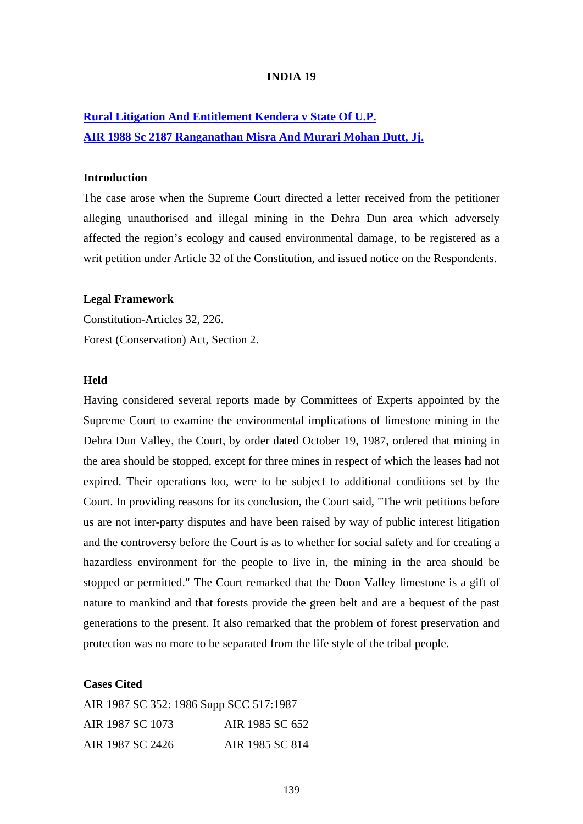## **[Rural Litigation And Entitlement Kendera v State Of U.P.](#page-10-0) [AIR 1988 Sc 2187 Ranganathan Misra And Murari Mohan Dutt, Jj.](#page-10-0)**

#### **Introduction**

The case arose when the Supreme Court directed a letter received from the petitioner alleging unauthorised and illegal mining in the Dehra Dun area which adversely affected the region's ecology and caused environmental damage, to be registered as a writ petition under Article 32 of the Constitution, and issued notice on the Respondents.

#### **Legal Framework**

Constitution-Articles 32, 226. Forest (Conservation) Act, Section 2.

## **Held**

Having considered several reports made by Committees of Experts appointed by the Supreme Court to examine the environmental implications of limestone mining in the Dehra Dun Valley, the Court, by order dated October 19, 1987, ordered that mining in the area should be stopped, except for three mines in respect of which the leases had not expired. Their operations too, were to be subject to additional conditions set by the Court. In providing reasons for its conclusion, the Court said, "The writ petitions before us are not inter-party disputes and have been raised by way of public interest litigation and the controversy before the Court is as to whether for social safety and for creating a hazardless environment for the people to live in, the mining in the area should be stopped or permitted." The Court remarked that the Doon Valley limestone is a gift of nature to mankind and that forests provide the green belt and are a bequest of the past generations to the present. It also remarked that the problem of forest preservation and protection was no more to be separated from the life style of the tribal people.

#### **Cases Cited**

| AIR 1987 SC 352: 1986 Supp SCC 517:1987 |                 |
|-----------------------------------------|-----------------|
| AIR 1987 SC 1073                        | AIR 1985 SC 652 |
| AIR 1987 SC 2426                        | AIR 1985 SC 814 |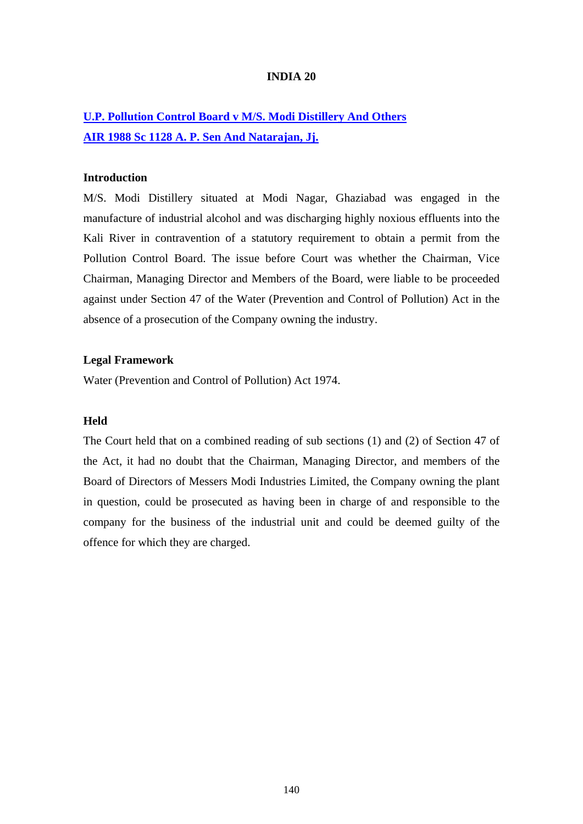# **[U.P. Pollution Control Board v M/S. Modi Distillery And Others](#page-10-0) [AIR 1988 Sc 1128 A. P. Sen And Natarajan, Jj.](#page-10-0)**

#### **Introduction**

M/S. Modi Distillery situated at Modi Nagar, Ghaziabad was engaged in the manufacture of industrial alcohol and was discharging highly noxious effluents into the Kali River in contravention of a statutory requirement to obtain a permit from the Pollution Control Board. The issue before Court was whether the Chairman, Vice Chairman, Managing Director and Members of the Board, were liable to be proceeded against under Section 47 of the Water (Prevention and Control of Pollution) Act in the absence of a prosecution of the Company owning the industry.

#### **Legal Framework**

Water (Prevention and Control of Pollution) Act 1974.

#### **Held**

The Court held that on a combined reading of sub sections (1) and (2) of Section 47 of the Act, it had no doubt that the Chairman, Managing Director, and members of the Board of Directors of Messers Modi Industries Limited, the Company owning the plant in question, could be prosecuted as having been in charge of and responsible to the company for the business of the industrial unit and could be deemed guilty of the offence for which they are charged.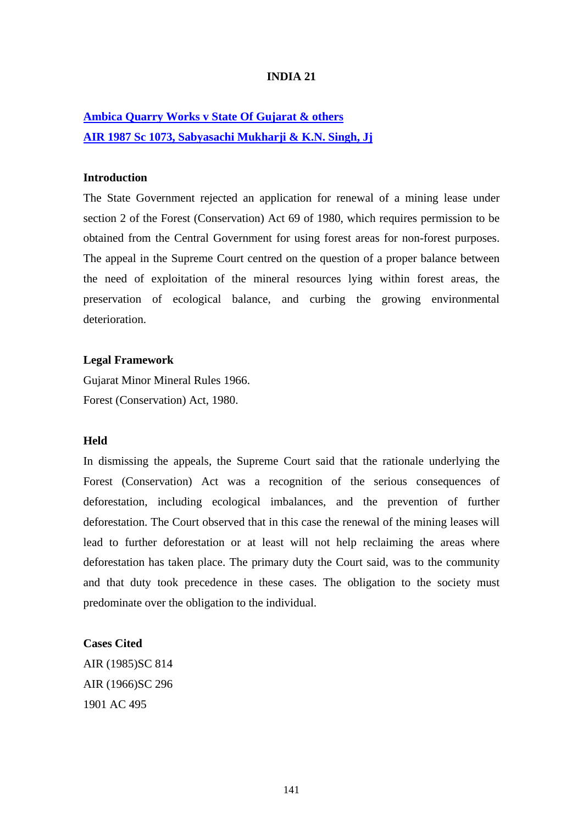## **Ambica Quarry Works v State Of Gujarat & others [AIR 1987 Sc 1073, Sabyasachi Mukharji & K.N. Singh, Jj](#page-10-1)**

#### **Introduction**

The State Government rejected an application for renewal of a mining lease under section 2 of the Forest (Conservation) Act 69 of 1980, which requires permission to be obtained from the Central Government for using forest areas for non-forest purposes. The appeal in the Supreme Court centred on the question of a proper balance between the need of exploitation of the mineral resources lying within forest areas, the preservation of ecological balance, and curbing the growing environmental deterioration.

#### **Legal Framework**

Gujarat Minor Mineral Rules 1966. Forest (Conservation) Act, 1980.

## **Held**

In dismissing the appeals, the Supreme Court said that the rationale underlying the Forest (Conservation) Act was a recognition of the serious consequences of deforestation, including ecological imbalances, and the prevention of further deforestation. The Court observed that in this case the renewal of the mining leases will lead to further deforestation or at least will not help reclaiming the areas where deforestation has taken place. The primary duty the Court said, was to the community and that duty took precedence in these cases. The obligation to the society must predominate over the obligation to the individual.

**Cases Cited** 

AIR (1985)SC 814 AIR (1966)SC 296 1901 AC 495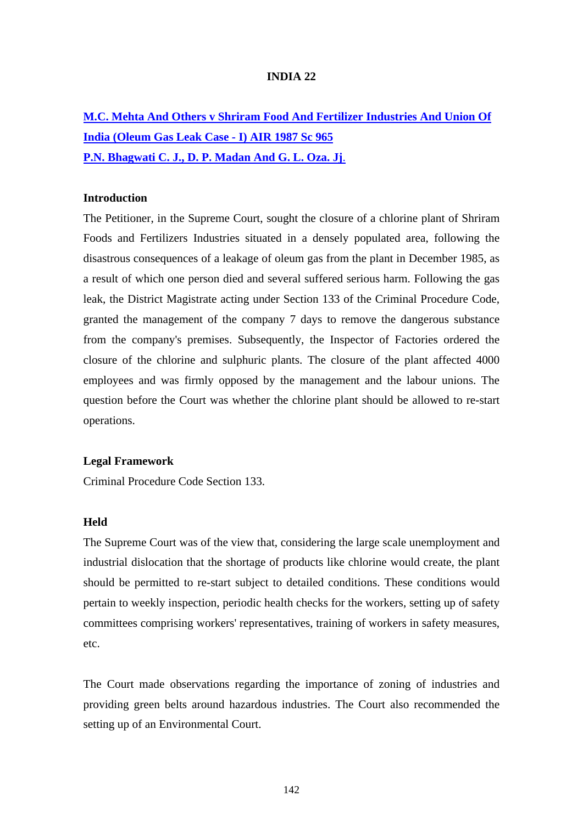# **[M.C. Mehta And Others v Shriram Food And Fertilizer Industries And Union Of](#page-10-1)  India (Oleum Gas Leak Case - I) AIR 1987 Sc 965 P.N. Bhagwati C. J., D. P. Madan And G. L. Oza. Jj**.

#### **Introduction**

The Petitioner, in the Supreme Court, sought the closure of a chlorine plant of Shriram Foods and Fertilizers Industries situated in a densely populated area, following the disastrous consequences of a leakage of oleum gas from the plant in December 1985, as a result of which one person died and several suffered serious harm. Following the gas leak, the District Magistrate acting under Section 133 of the Criminal Procedure Code, granted the management of the company 7 days to remove the dangerous substance from the company's premises. Subsequently, the Inspector of Factories ordered the closure of the chlorine and sulphuric plants. The closure of the plant affected 4000 employees and was firmly opposed by the management and the labour unions. The question before the Court was whether the chlorine plant should be allowed to re-start operations.

#### **Legal Framework**

Criminal Procedure Code Section 133.

#### **Held**

The Supreme Court was of the view that, considering the large scale unemployment and industrial dislocation that the shortage of products like chlorine would create, the plant should be permitted to re-start subject to detailed conditions. These conditions would pertain to weekly inspection, periodic health checks for the workers, setting up of safety committees comprising workers' representatives, training of workers in safety measures, etc.

The Court made observations regarding the importance of zoning of industries and providing green belts around hazardous industries. The Court also recommended the setting up of an Environmental Court.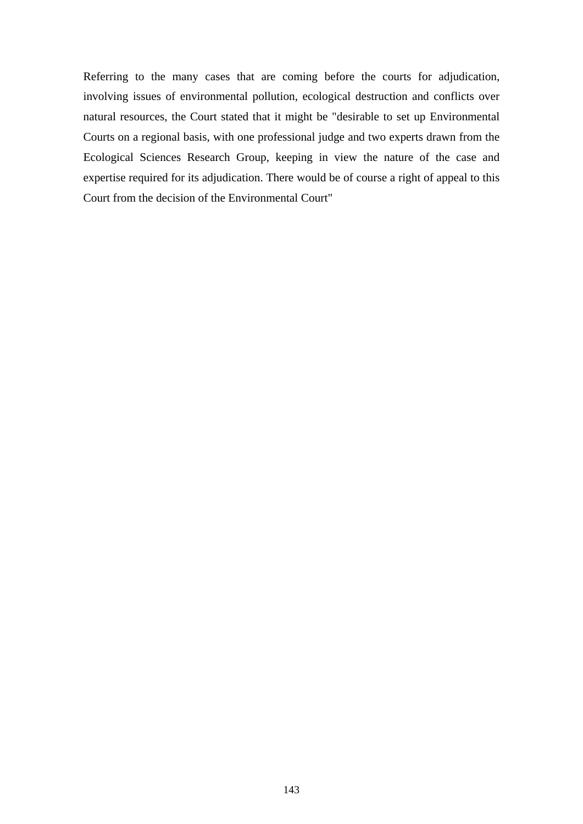Referring to the many cases that are coming before the courts for adjudication, involving issues of environmental pollution, ecological destruction and conflicts over natural resources, the Court stated that it might be "desirable to set up Environmental Courts on a regional basis, with one professional judge and two experts drawn from the Ecological Sciences Research Group, keeping in view the nature of the case and expertise required for its adjudication. There would be of course a right of appeal to this Court from the decision of the Environmental Court"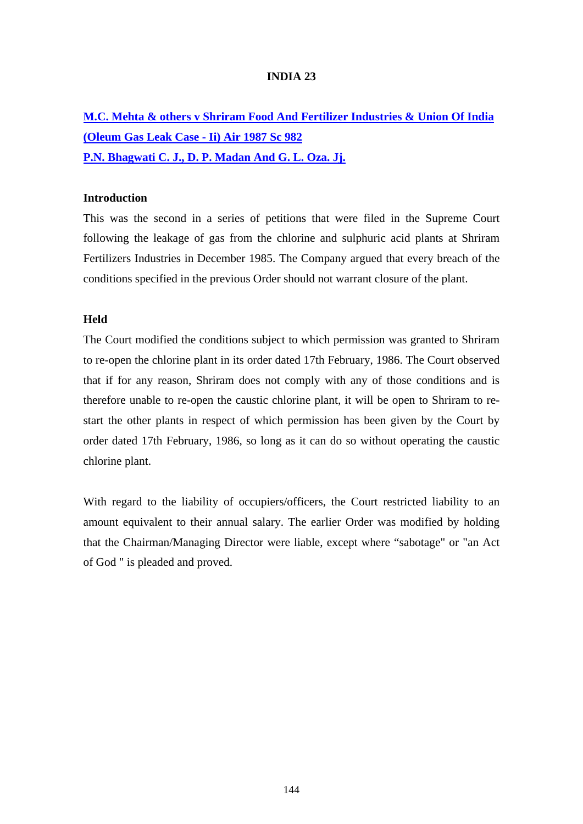# **[M.C. Mehta & others v Shriram Food And Fertilizer Industries & Union Of India](#page-10-1) (Oleum Gas Leak Case - Ii) Air 1987 Sc 982 P.N. Bhagwati C. J., D. P. Madan And G. L. Oza. Jj.**

#### **Introduction**

This was the second in a series of petitions that were filed in the Supreme Court following the leakage of gas from the chlorine and sulphuric acid plants at Shriram Fertilizers Industries in December 1985. The Company argued that every breach of the conditions specified in the previous Order should not warrant closure of the plant.

## **Held**

The Court modified the conditions subject to which permission was granted to Shriram to re-open the chlorine plant in its order dated 17th February, 1986. The Court observed that if for any reason, Shriram does not comply with any of those conditions and is therefore unable to re-open the caustic chlorine plant, it will be open to Shriram to restart the other plants in respect of which permission has been given by the Court by order dated 17th February, 1986, so long as it can do so without operating the caustic chlorine plant.

With regard to the liability of occupiers/officers, the Court restricted liability to an amount equivalent to their annual salary. The earlier Order was modified by holding that the Chairman/Managing Director were liable, except where "sabotage" or "an Act of God " is pleaded and proved.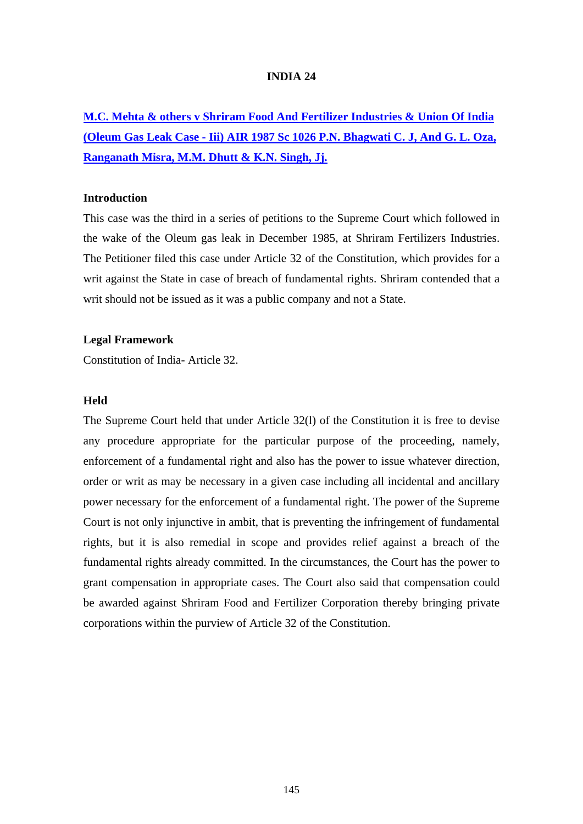**[M.C. Mehta & others v Shriram Food And Fertilizer Industries & Union Of India](#page-10-1)  (Oleum Gas Leak Case - Iii) AIR 1987 Sc 1026 P.N. Bhagwati C. J, And G. L. Oza, Ranganath Misra, M.M. Dhutt & K.N. Singh, Jj.**

#### **Introduction**

This case was the third in a series of petitions to the Supreme Court which followed in the wake of the Oleum gas leak in December 1985, at Shriram Fertilizers Industries. The Petitioner filed this case under Article 32 of the Constitution, which provides for a writ against the State in case of breach of fundamental rights. Shriram contended that a writ should not be issued as it was a public company and not a State.

#### **Legal Framework**

Constitution of India- Article 32.

#### **Held**

The Supreme Court held that under Article 32(l) of the Constitution it is free to devise any procedure appropriate for the particular purpose of the proceeding, namely, enforcement of a fundamental right and also has the power to issue whatever direction, order or writ as may be necessary in a given case including all incidental and ancillary power necessary for the enforcement of a fundamental right. The power of the Supreme Court is not only injunctive in ambit, that is preventing the infringement of fundamental rights, but it is also remedial in scope and provides relief against a breach of the fundamental rights already committed. In the circumstances, the Court has the power to grant compensation in appropriate cases. The Court also said that compensation could be awarded against Shriram Food and Fertilizer Corporation thereby bringing private corporations within the purview of Article 32 of the Constitution.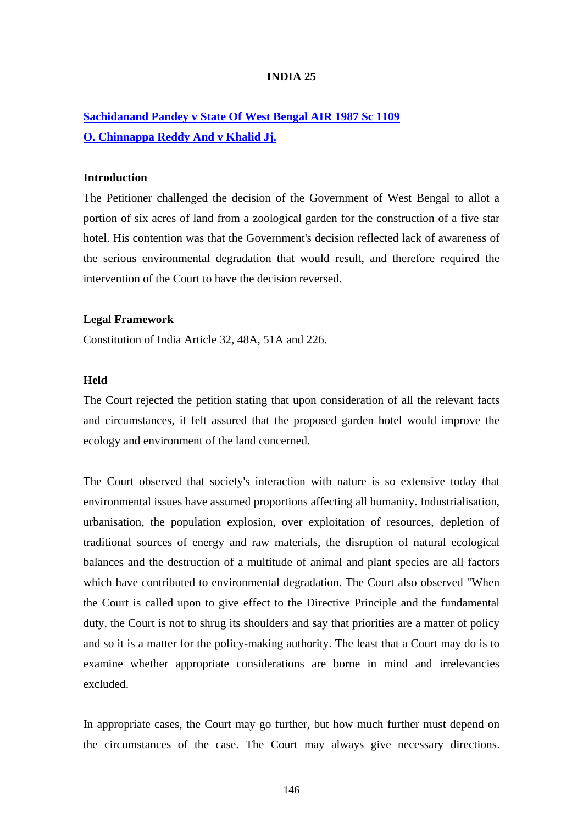# **[Sachidanand Pandey v State Of West Bengal AIR 1987 Sc 1109](#page-10-1) O. Chinnappa Reddy And v Khalid Jj.**

#### **Introduction**

The Petitioner challenged the decision of the Government of West Bengal to allot a portion of six acres of land from a zoological garden for the construction of a five star hotel. His contention was that the Government's decision reflected lack of awareness of the serious environmental degradation that would result, and therefore required the intervention of the Court to have the decision reversed.

## **Legal Framework**

Constitution of India Article 32, 48A, 51A and 226.

## **Held**

The Court rejected the petition stating that upon consideration of all the relevant facts and circumstances, it felt assured that the proposed garden hotel would improve the ecology and environment of the land concerned.

The Court observed that society's interaction with nature is so extensive today that environmental issues have assumed proportions affecting all humanity. Industrialisation, urbanisation, the population explosion, over exploitation of resources, depletion of traditional sources of energy and raw materials, the disruption of natural ecological balances and the destruction of a multitude of animal and plant species are all factors which have contributed to environmental degradation. The Court also observed "When the Court is called upon to give effect to the Directive Principle and the fundamental duty, the Court is not to shrug its shoulders and say that priorities are a matter of policy and so it is a matter for the policy-making authority. The least that a Court may do is to examine whether appropriate considerations are borne in mind and irrelevancies excluded.

In appropriate cases, the Court may go further, but how much further must depend on the circumstances of the case. The Court may always give necessary directions.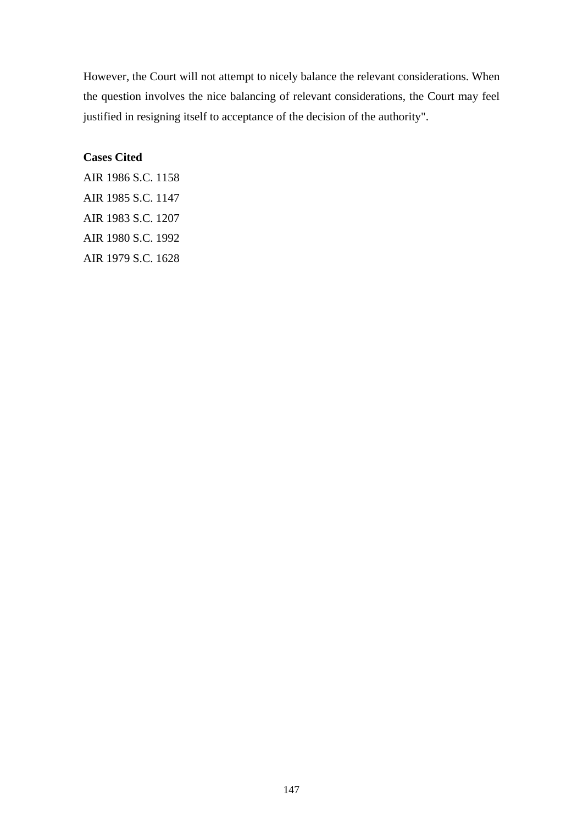However, the Court will not attempt to nicely balance the relevant considerations. When the question involves the nice balancing of relevant considerations, the Court may feel justified in resigning itself to acceptance of the decision of the authority".

## **Cases Cited**

AIR 1986 S.C. 1158 AIR 1985 S.C. 1147 AIR 1983 S.C. 1207 AIR 1980 S.C. 1992 AIR 1979 S.C. 1628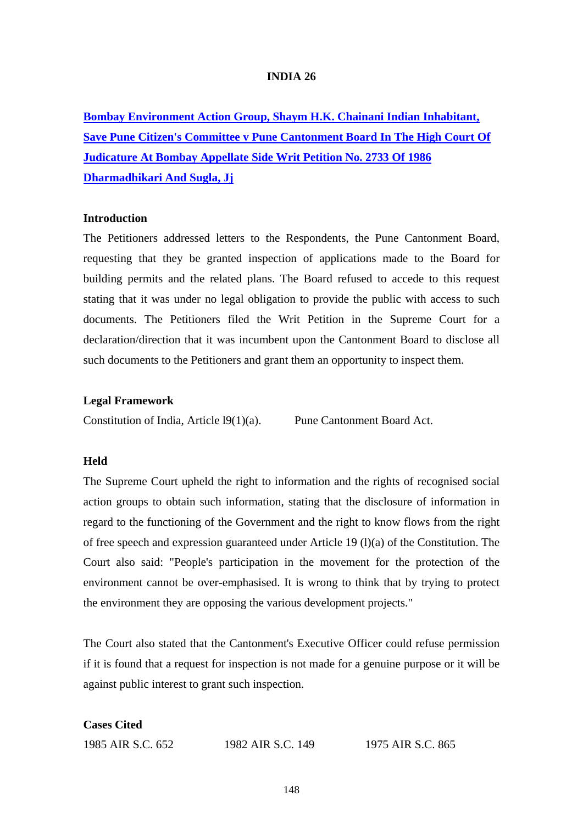**Bombay Environment Action Group, Shaym H.K. Chainani Indian Inhabitant, [Save Pune Citizen's Committee v Pune Cantonment Board In The High Court Of](#page-10-1) Judicature At Bombay Appellate Side Writ Petition No. 2733 Of 1986 Dharmadhikari And Sugla, Jj**

#### **Introduction**

The Petitioners addressed letters to the Respondents, the Pune Cantonment Board, requesting that they be granted inspection of applications made to the Board for building permits and the related plans. The Board refused to accede to this request stating that it was under no legal obligation to provide the public with access to such documents. The Petitioners filed the Writ Petition in the Supreme Court for a declaration/direction that it was incumbent upon the Cantonment Board to disclose all such documents to the Petitioners and grant them an opportunity to inspect them.

## **Legal Framework**

Constitution of India, Article l9(1)(a). Pune Cantonment Board Act.

### **Held**

The Supreme Court upheld the right to information and the rights of recognised social action groups to obtain such information, stating that the disclosure of information in regard to the functioning of the Government and the right to know flows from the right of free speech and expression guaranteed under Article 19 (l)(a) of the Constitution. The Court also said: "People's participation in the movement for the protection of the environment cannot be over-emphasised. It is wrong to think that by trying to protect the environment they are opposing the various development projects."

The Court also stated that the Cantonment's Executive Officer could refuse permission if it is found that a request for inspection is not made for a genuine purpose or it will be against public interest to grant such inspection.

| <b>Cases Cited</b> |                   |                   |
|--------------------|-------------------|-------------------|
| 1985 AIR S.C. 652  | 1982 AIR S.C. 149 | 1975 AIR S.C. 865 |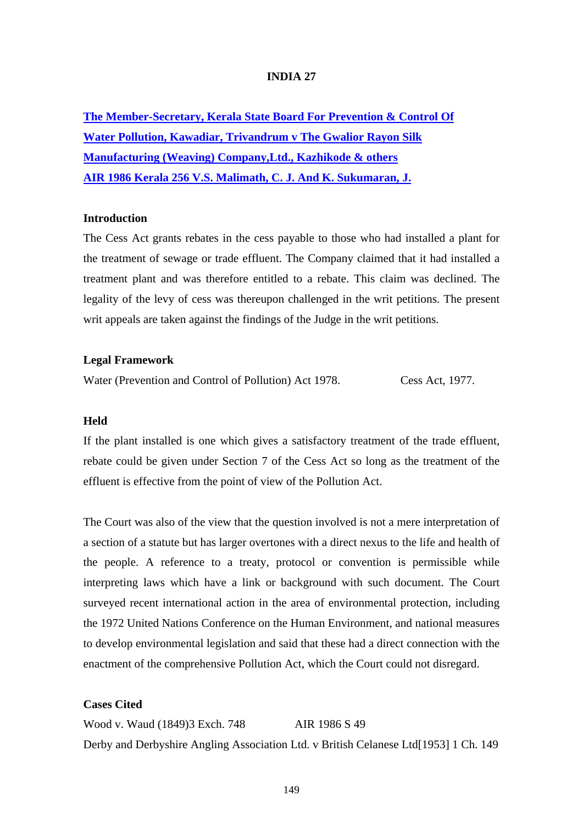**[The Member-Secretary, Kerala State Board For Prevention & Control Of](#page-10-1) Water Pollution, Kawadiar, Trivandrum v The Gwalior Rayon Silk Manufacturing (Weaving) Company,Ltd., Kazhikode & others AIR 1986 Kerala 256 V.S. Malimath, C. J. And K. Sukumaran, J.**

#### **Introduction**

The Cess Act grants rebates in the cess payable to those who had installed a plant for the treatment of sewage or trade effluent. The Company claimed that it had installed a treatment plant and was therefore entitled to a rebate. This claim was declined. The legality of the levy of cess was thereupon challenged in the writ petitions. The present writ appeals are taken against the findings of the Judge in the writ petitions.

#### **Legal Framework**

Water (Prevention and Control of Pollution) Act 1978. Cess Act, 1977.

#### **Held**

If the plant installed is one which gives a satisfactory treatment of the trade effluent, rebate could be given under Section 7 of the Cess Act so long as the treatment of the effluent is effective from the point of view of the Pollution Act.

The Court was also of the view that the question involved is not a mere interpretation of a section of a statute but has larger overtones with a direct nexus to the life and health of the people. A reference to a treaty, protocol or convention is permissible while interpreting laws which have a link or background with such document. The Court surveyed recent international action in the area of environmental protection, including the 1972 United Nations Conference on the Human Environment, and national measures to develop environmental legislation and said that these had a direct connection with the enactment of the comprehensive Pollution Act, which the Court could not disregard.

## **Cases Cited**

Wood v. Waud (1849)3 Exch. 748 AIR 1986 S 49 Derby and Derbyshire Angling Association Ltd. v British Celanese Ltd[1953] 1 Ch. 149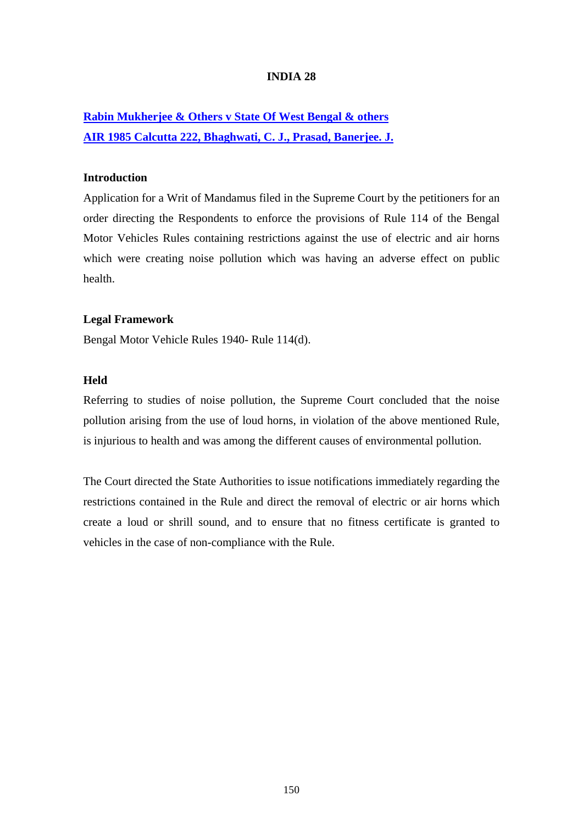# **[Rabin Mukherjee & Others v State Of West Bengal & others](#page-11-0) [AIR 1985 Calcutta 222, Bhaghwati, C. J., Prasad, Banerjee. J.](#page-11-0)**

## **Introduction**

Application for a Writ of Mandamus filed in the Supreme Court by the petitioners for an order directing the Respondents to enforce the provisions of Rule 114 of the Bengal Motor Vehicles Rules containing restrictions against the use of electric and air horns which were creating noise pollution which was having an adverse effect on public health.

## **Legal Framework**

Bengal Motor Vehicle Rules 1940- Rule 114(d).

## **Held**

Referring to studies of noise pollution, the Supreme Court concluded that the noise pollution arising from the use of loud horns, in violation of the above mentioned Rule, is injurious to health and was among the different causes of environmental pollution.

The Court directed the State Authorities to issue notifications immediately regarding the restrictions contained in the Rule and direct the removal of electric or air horns which create a loud or shrill sound, and to ensure that no fitness certificate is granted to vehicles in the case of non-compliance with the Rule.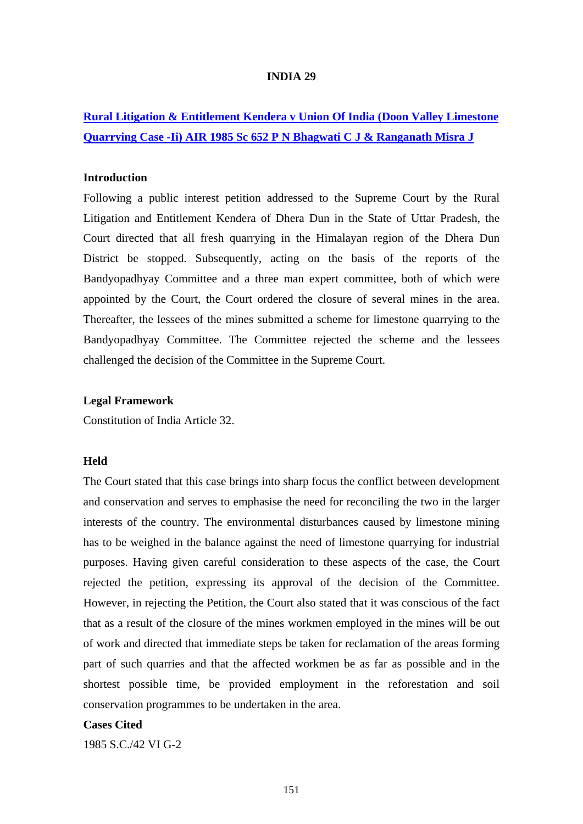# **[Rural Litigation & Entitlement Kendera v Union Of India \(Doon Valley Limestone](#page-11-0)  [Quarrying Case -Ii\) AIR 1985 Sc 652 P N Bhagwati C J & Ranganath Misra J](#page-11-0)**

#### **Introduction**

Following a public interest petition addressed to the Supreme Court by the Rural Litigation and Entitlement Kendera of Dhera Dun in the State of Uttar Pradesh, the Court directed that all fresh quarrying in the Himalayan region of the Dhera Dun District be stopped. Subsequently, acting on the basis of the reports of the Bandyopadhyay Committee and a three man expert committee, both of which were appointed by the Court, the Court ordered the closure of several mines in the area. Thereafter, the lessees of the mines submitted a scheme for limestone quarrying to the Bandyopadhyay Committee. The Committee rejected the scheme and the lessees challenged the decision of the Committee in the Supreme Court.

#### **Legal Framework**

Constitution of India Article 32.

#### **Held**

The Court stated that this case brings into sharp focus the conflict between development and conservation and serves to emphasise the need for reconciling the two in the larger interests of the country. The environmental disturbances caused by limestone mining has to be weighed in the balance against the need of limestone quarrying for industrial purposes. Having given careful consideration to these aspects of the case, the Court rejected the petition, expressing its approval of the decision of the Committee. However, in rejecting the Petition, the Court also stated that it was conscious of the fact that as a result of the closure of the mines workmen employed in the mines will be out of work and directed that immediate steps be taken for reclamation of the areas forming part of such quarries and that the affected workmen be as far as possible and in the shortest possible time, be provided employment in the reforestation and soil conservation programmes to be undertaken in the area.

#### **Cases Cited**

1985 S.C./42 VI G-2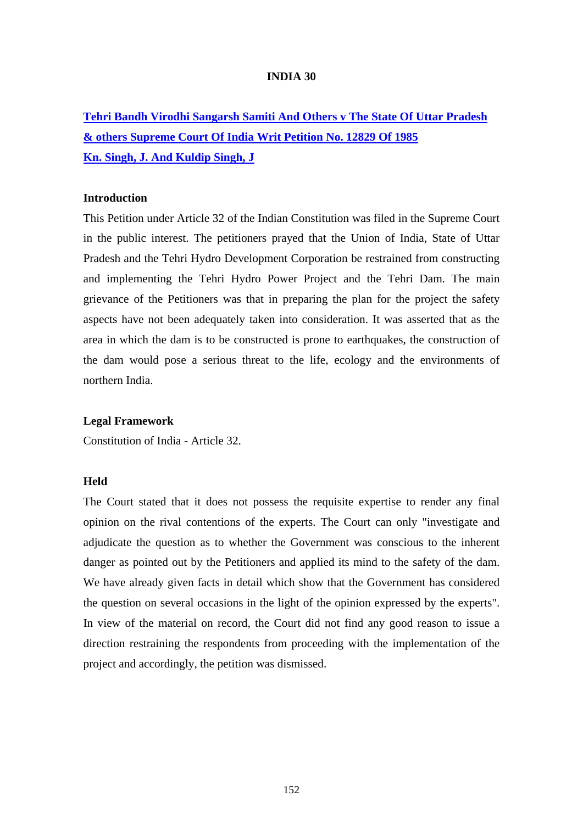**[Tehri Bandh Virodhi Sangarsh Samiti And Others v The State Of Uttar Pradesh](#page-11-0)  [& others Supreme Court Of India Writ Petition No. 12829 Of 1985](#page-11-0) [Kn. Singh, J. And Kuldip Singh, J](#page-11-0)**

#### **Introduction**

This Petition under Article 32 of the Indian Constitution was filed in the Supreme Court in the public interest. The petitioners prayed that the Union of India, State of Uttar Pradesh and the Tehri Hydro Development Corporation be restrained from constructing and implementing the Tehri Hydro Power Project and the Tehri Dam. The main grievance of the Petitioners was that in preparing the plan for the project the safety aspects have not been adequately taken into consideration. It was asserted that as the area in which the dam is to be constructed is prone to earthquakes, the construction of the dam would pose a serious threat to the life, ecology and the environments of northern India.

#### **Legal Framework**

Constitution of India - Article 32.

## **Held**

The Court stated that it does not possess the requisite expertise to render any final opinion on the rival contentions of the experts. The Court can only "investigate and adjudicate the question as to whether the Government was conscious to the inherent danger as pointed out by the Petitioners and applied its mind to the safety of the dam. We have already given facts in detail which show that the Government has considered the question on several occasions in the light of the opinion expressed by the experts". In view of the material on record, the Court did not find any good reason to issue a direction restraining the respondents from proceeding with the implementation of the project and accordingly, the petition was dismissed.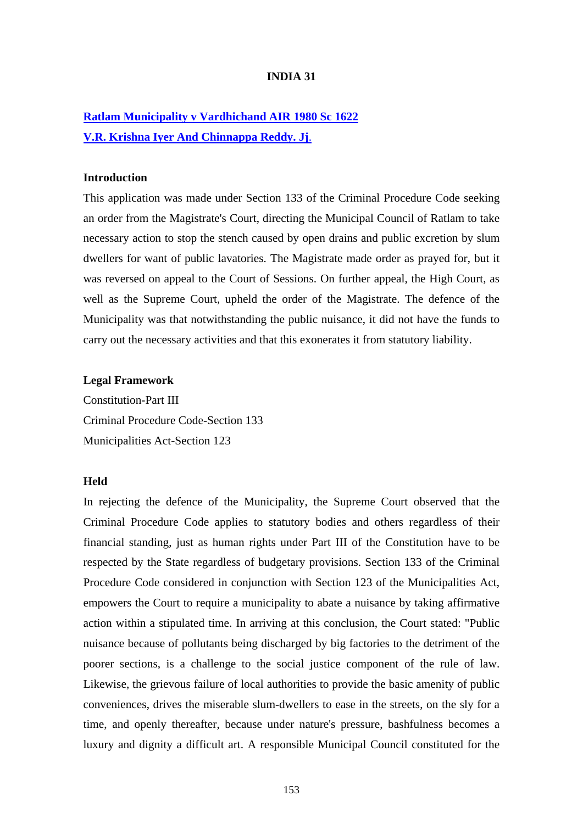# **[Ratlam Municipality v Vardhichand AIR 1980 Sc 1622](#page-11-0) [V.R. Krishna Iyer And Chinnappa Reddy. Jj](#page-11-0)**.

#### **Introduction**

This application was made under Section 133 of the Criminal Procedure Code seeking an order from the Magistrate's Court, directing the Municipal Council of Ratlam to take necessary action to stop the stench caused by open drains and public excretion by slum dwellers for want of public lavatories. The Magistrate made order as prayed for, but it was reversed on appeal to the Court of Sessions. On further appeal, the High Court, as well as the Supreme Court, upheld the order of the Magistrate. The defence of the Municipality was that notwithstanding the public nuisance, it did not have the funds to carry out the necessary activities and that this exonerates it from statutory liability.

# **Legal Framework**

Constitution-Part III Criminal Procedure Code-Section 133 Municipalities Act-Section 123

# **Held**

In rejecting the defence of the Municipality, the Supreme Court observed that the Criminal Procedure Code applies to statutory bodies and others regardless of their financial standing, just as human rights under Part III of the Constitution have to be respected by the State regardless of budgetary provisions. Section 133 of the Criminal Procedure Code considered in conjunction with Section 123 of the Municipalities Act, empowers the Court to require a municipality to abate a nuisance by taking affirmative action within a stipulated time. In arriving at this conclusion, the Court stated: "Public nuisance because of pollutants being discharged by big factories to the detriment of the poorer sections, is a challenge to the social justice component of the rule of law. Likewise, the grievous failure of local authorities to provide the basic amenity of public conveniences, drives the miserable slum-dwellers to ease in the streets, on the sly for a time, and openly thereafter, because under nature's pressure, bashfulness becomes a luxury and dignity a difficult art. A responsible Municipal Council constituted for the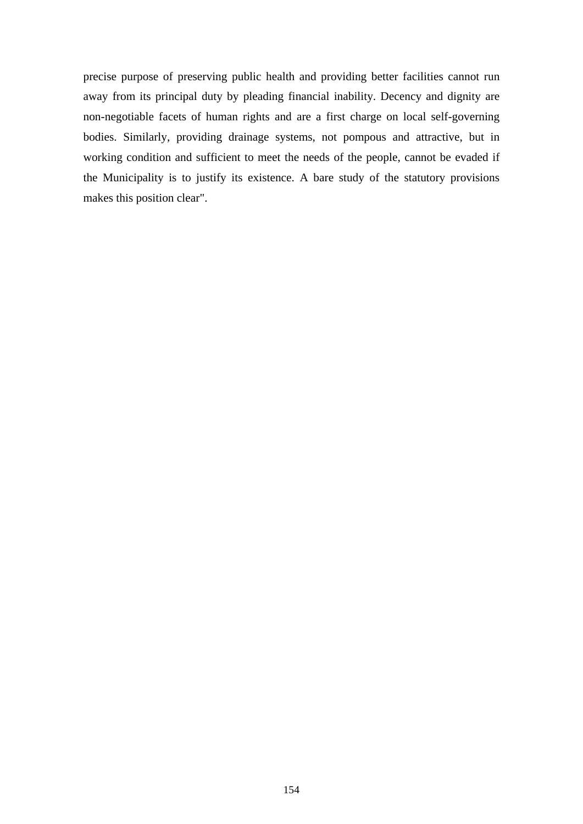precise purpose of preserving public health and providing better facilities cannot run away from its principal duty by pleading financial inability. Decency and dignity are non-negotiable facets of human rights and are a first charge on local self-governing bodies. Similarly, providing drainage systems, not pompous and attractive, but in working condition and sufficient to meet the needs of the people, cannot be evaded if the Municipality is to justify its existence. A bare study of the statutory provisions makes this position clear".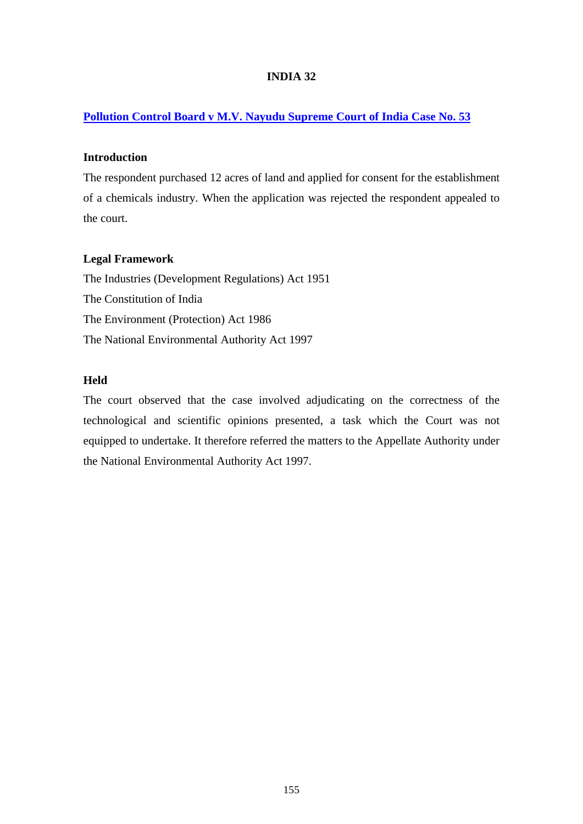# **[Pollution Control Board v M.V. Nayudu Supreme Court of India Case No. 53](#page-11-0)**

# **Introduction**

The respondent purchased 12 acres of land and applied for consent for the establishment of a chemicals industry. When the application was rejected the respondent appealed to the court.

# **Legal Framework**

The Industries (Development Regulations) Act 1951 The Constitution of India The Environment (Protection) Act 1986 The National Environmental Authority Act 1997

# **Held**

The court observed that the case involved adjudicating on the correctness of the technological and scientific opinions presented, a task which the Court was not equipped to undertake. It therefore referred the matters to the Appellate Authority under the National Environmental Authority Act 1997.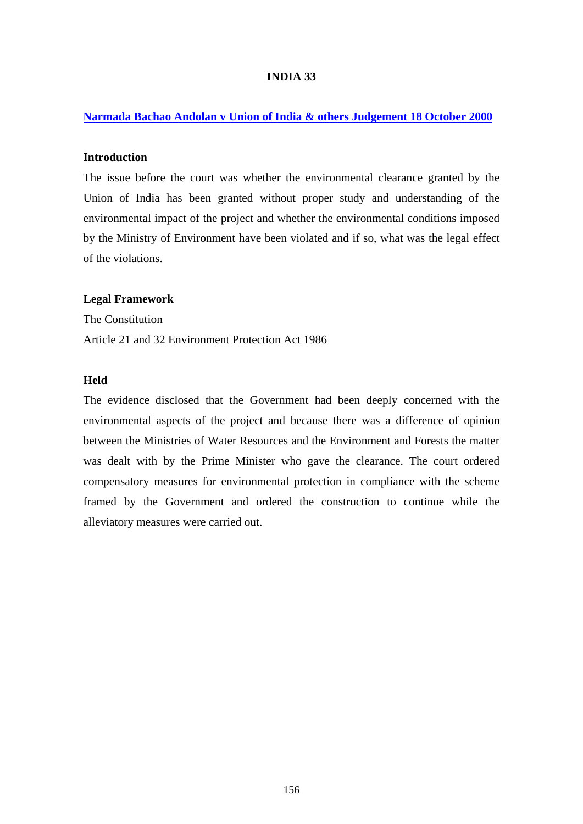## **[Narmada Bachao Andolan v Union of India & others Judgement 18 October 2000](#page-11-0)**

### **Introduction**

The issue before the court was whether the environmental clearance granted by the Union of India has been granted without proper study and understanding of the environmental impact of the project and whether the environmental conditions imposed by the Ministry of Environment have been violated and if so, what was the legal effect of the violations.

#### **Legal Framework**

The Constitution Article 21 and 32 Environment Protection Act 1986

# **Held**

The evidence disclosed that the Government had been deeply concerned with the environmental aspects of the project and because there was a difference of opinion between the Ministries of Water Resources and the Environment and Forests the matter was dealt with by the Prime Minister who gave the clearance. The court ordered compensatory measures for environmental protection in compliance with the scheme framed by the Government and ordered the construction to continue while the alleviatory measures were carried out.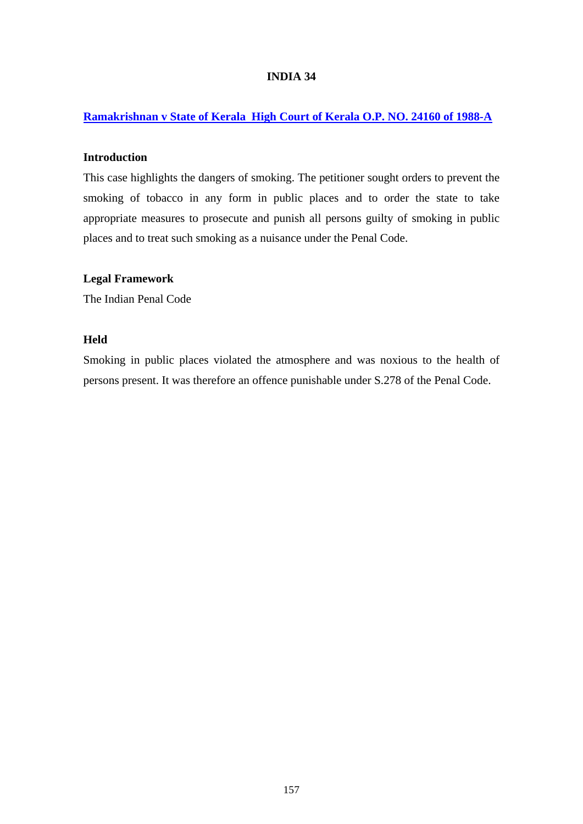# **[Ramakrishnan v State of Kerala High Court of Kerala O.P. NO. 24160 of 1988-A](#page-11-0)**

#### **Introduction**

This case highlights the dangers of smoking. The petitioner sought orders to prevent the smoking of tobacco in any form in public places and to order the state to take appropriate measures to prosecute and punish all persons guilty of smoking in public places and to treat such smoking as a nuisance under the Penal Code.

#### **Legal Framework**

The Indian Penal Code

# **Held**

Smoking in public places violated the atmosphere and was noxious to the health of persons present. It was therefore an offence punishable under S.278 of the Penal Code.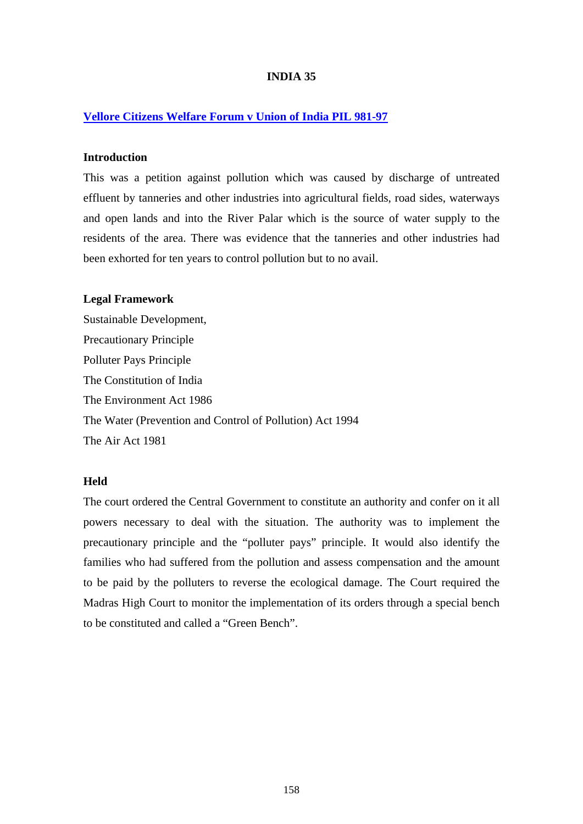### **[Vellore Citizens Welfare Forum v Union of India PIL 981-97](#page-11-0)**

### **Introduction**

This was a petition against pollution which was caused by discharge of untreated effluent by tanneries and other industries into agricultural fields, road sides, waterways and open lands and into the River Palar which is the source of water supply to the residents of the area. There was evidence that the tanneries and other industries had been exhorted for ten years to control pollution but to no avail.

#### **Legal Framework**

Sustainable Development, Precautionary Principle Polluter Pays Principle The Constitution of India The Environment Act 1986 The Water (Prevention and Control of Pollution) Act 1994 The Air Act 1981

### **Held**

The court ordered the Central Government to constitute an authority and confer on it all powers necessary to deal with the situation. The authority was to implement the precautionary principle and the "polluter pays" principle. It would also identify the families who had suffered from the pollution and assess compensation and the amount to be paid by the polluters to reverse the ecological damage. The Court required the Madras High Court to monitor the implementation of its orders through a special bench to be constituted and called a "Green Bench".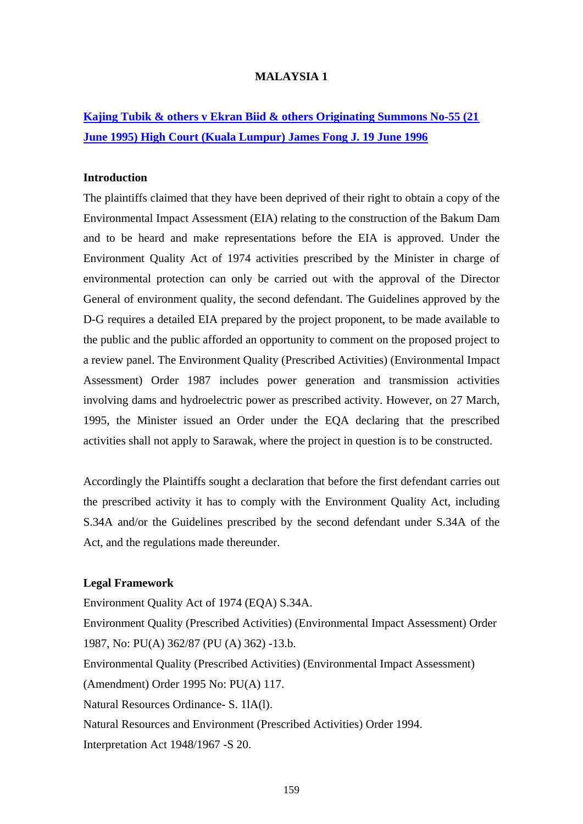# **MALAYSIA 1**

# **Kajing Tubik & others v Ekran Biid & others Originating Summons No-55 (21 [June 1995\) High Court \(Kuala Lumpur\) James Fong J. 19 June 1996](#page-11-1)**

#### **Introduction**

The plaintiffs claimed that they have been deprived of their right to obtain a copy of the Environmental Impact Assessment (EIA) relating to the construction of the Bakum Dam and to be heard and make representations before the EIA is approved. Under the Environment Quality Act of 1974 activities prescribed by the Minister in charge of environmental protection can only be carried out with the approval of the Director General of environment quality, the second defendant. The Guidelines approved by the D-G requires a detailed EIA prepared by the project proponent, to be made available to the public and the public afforded an opportunity to comment on the proposed project to a review panel. The Environment Quality (Prescribed Activities) (Environmental Impact Assessment) Order 1987 includes power generation and transmission activities involving dams and hydroelectric power as prescribed activity. However, on 27 March, 1995, the Minister issued an Order under the EQA declaring that the prescribed activities shall not apply to Sarawak, where the project in question is to be constructed.

Accordingly the Plaintiffs sought a declaration that before the first defendant carries out the prescribed activity it has to comply with the Environment Quality Act, including S.34A and/or the Guidelines prescribed by the second defendant under S.34A of the Act, and the regulations made thereunder.

# **Legal Framework**

Environment Quality Act of 1974 (EQA) S.34A.

Environment Quality (Prescribed Activities) (Environmental Impact Assessment) Order 1987, No: PU(A) 362/87 (PU (A) 362) -13.b.

Environmental Quality (Prescribed Activities) (Environmental Impact Assessment) (Amendment) Order 1995 No: PU(A) 117.

Natural Resources Ordinance- S. 1lA(l).

Natural Resources and Environment (Prescribed Activities) Order 1994.

Interpretation Act 1948/1967 -S 20.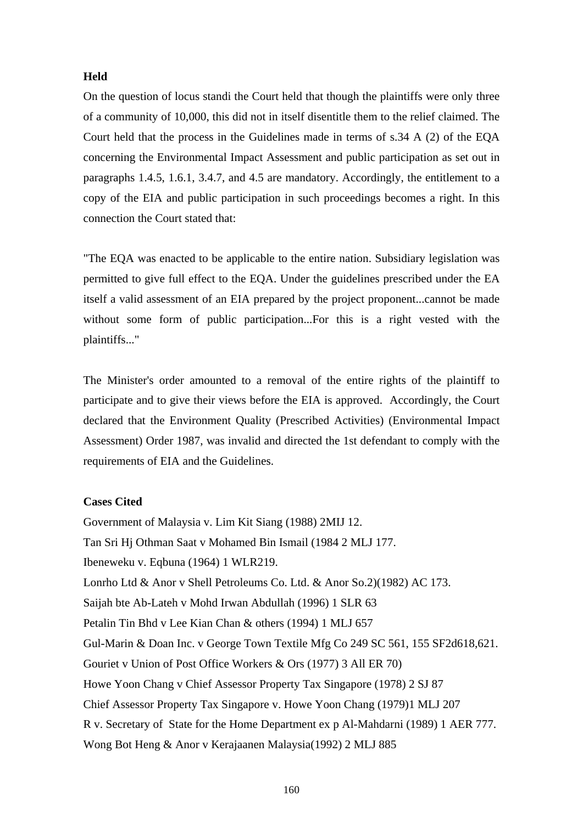# **Held**

On the question of locus standi the Court held that though the plaintiffs were only three of a community of 10,000, this did not in itself disentitle them to the relief claimed. The Court held that the process in the Guidelines made in terms of s.34 A (2) of the EQA concerning the Environmental Impact Assessment and public participation as set out in paragraphs 1.4.5, 1.6.1, 3.4.7, and 4.5 are mandatory. Accordingly, the entitlement to a copy of the EIA and public participation in such proceedings becomes a right. In this connection the Court stated that:

"The EQA was enacted to be applicable to the entire nation. Subsidiary legislation was permitted to give full effect to the EQA. Under the guidelines prescribed under the EA itself a valid assessment of an EIA prepared by the project proponent...cannot be made without some form of public participation...For this is a right vested with the plaintiffs..."

The Minister's order amounted to a removal of the entire rights of the plaintiff to participate and to give their views before the EIA is approved. Accordingly, the Court declared that the Environment Quality (Prescribed Activities) (Environmental Impact Assessment) Order 1987, was invalid and directed the 1st defendant to comply with the requirements of EIA and the Guidelines.

#### **Cases Cited**

Government of Malaysia v. Lim Kit Siang (1988) 2MIJ 12. Tan Sri Hj Othman Saat v Mohamed Bin Ismail (1984 2 MLJ 177. Ibeneweku v. Eqbuna (1964) 1 WLR219. Lonrho Ltd & Anor v Shell Petroleums Co. Ltd. & Anor So.2)(1982) AC 173. Saijah bte Ab-Lateh v Mohd Irwan Abdullah (1996) 1 SLR 63 Petalin Tin Bhd v Lee Kian Chan & others (1994) 1 MLJ 657 Gul-Marin & Doan Inc. v George Town Textile Mfg Co 249 SC 561, 155 SF2d618,621. Gouriet v Union of Post Office Workers & Ors (1977) 3 All ER 70) Howe Yoon Chang v Chief Assessor Property Tax Singapore (1978) 2 SJ 87 Chief Assessor Property Tax Singapore v. Howe Yoon Chang (1979)1 MLJ 207 R v. Secretary of State for the Home Department ex p Al-Mahdarni (1989) 1 AER 777. Wong Bot Heng & Anor v Kerajaanen Malaysia(1992) 2 MLJ 885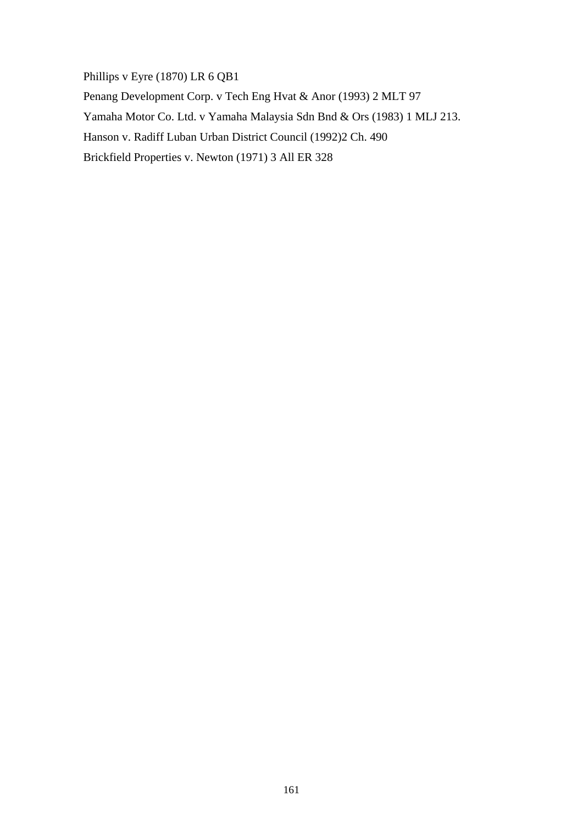Phillips v Eyre (1870) LR 6 QB1 Penang Development Corp. v Tech Eng Hvat & Anor (1993) 2 MLT 97 Yamaha Motor Co. Ltd. v Yamaha Malaysia Sdn Bnd & Ors (1983) 1 MLJ 213. Hanson v. Radiff Luban Urban District Council (1992)2 Ch. 490 Brickfield Properties v. Newton (1971) 3 All ER 328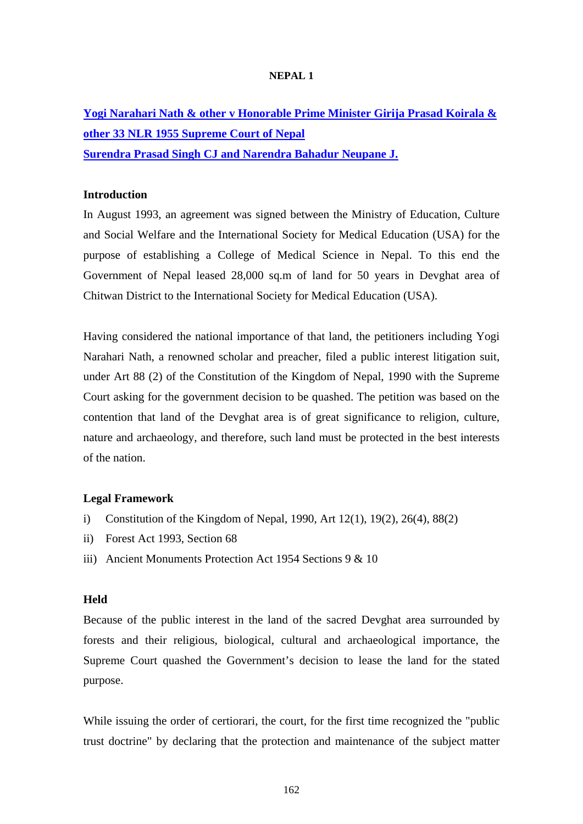#### **NEPAL 1**

**[Yogi Narahari Nath & other v Honorable Prime Minister Girija Prasad Koirala &](#page-11-1)  other 33 NLR 1955 Supreme Court of Nepal Surendra Prasad Singh CJ and Narendra Bahadur Neupane J.**

#### **Introduction**

In August 1993, an agreement was signed between the Ministry of Education, Culture and Social Welfare and the International Society for Medical Education (USA) for the purpose of establishing a College of Medical Science in Nepal. To this end the Government of Nepal leased 28,000 sq.m of land for 50 years in Devghat area of Chitwan District to the International Society for Medical Education (USA).

Having considered the national importance of that land, the petitioners including Yogi Narahari Nath, a renowned scholar and preacher, filed a public interest litigation suit, under Art 88 (2) of the Constitution of the Kingdom of Nepal, 1990 with the Supreme Court asking for the government decision to be quashed. The petition was based on the contention that land of the Devghat area is of great significance to religion, culture, nature and archaeology, and therefore, such land must be protected in the best interests of the nation.

# **Legal Framework**

- i) Constitution of the Kingdom of Nepal, 1990, Art 12(1), 19(2), 26(4), 88(2)
- ii) Forest Act 1993, Section 68
- iii) Ancient Monuments Protection Act 1954 Sections 9 & 10

## **Held**

Because of the public interest in the land of the sacred Devghat area surrounded by forests and their religious, biological, cultural and archaeological importance, the Supreme Court quashed the Government's decision to lease the land for the stated purpose.

While issuing the order of certiorari, the court, for the first time recognized the "public trust doctrine" by declaring that the protection and maintenance of the subject matter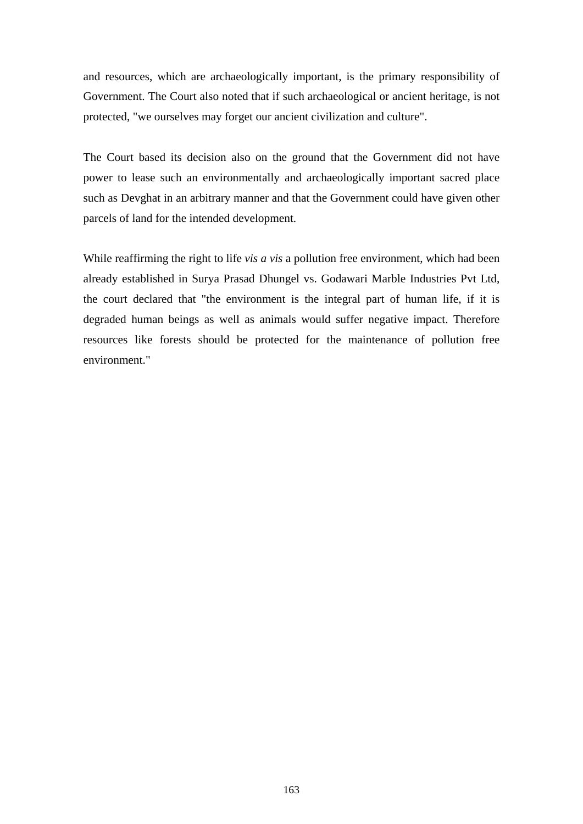and resources, which are archaeologically important, is the primary responsibility of Government. The Court also noted that if such archaeological or ancient heritage, is not protected, "we ourselves may forget our ancient civilization and culture".

The Court based its decision also on the ground that the Government did not have power to lease such an environmentally and archaeologically important sacred place such as Devghat in an arbitrary manner and that the Government could have given other parcels of land for the intended development.

While reaffirming the right to life *vis a vis* a pollution free environment, which had been already established in Surya Prasad Dhungel vs. Godawari Marble Industries Pvt Ltd, the court declared that "the environment is the integral part of human life, if it is degraded human beings as well as animals would suffer negative impact. Therefore resources like forests should be protected for the maintenance of pollution free environment."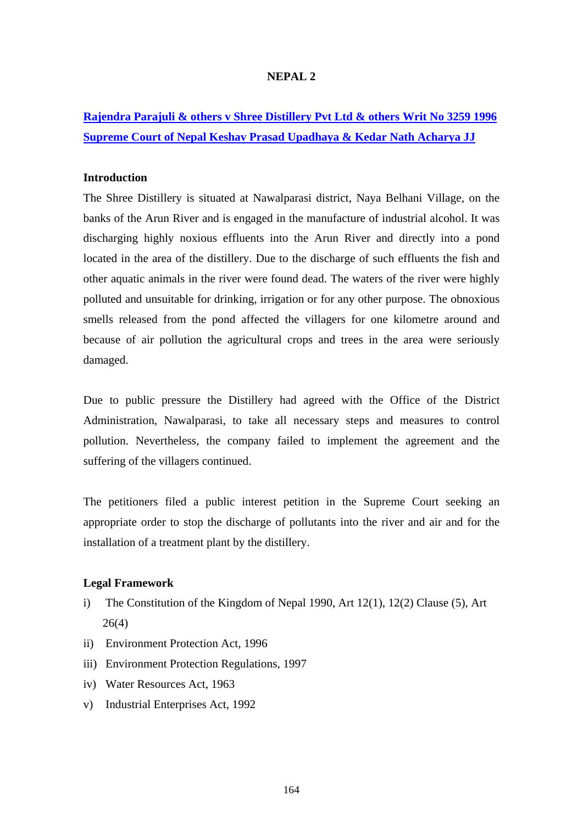# **NEPAL 2**

# **[Rajendra Parajuli & others v Shree Distillery Pvt Ltd & others Writ No 3259 1996](#page-11-1)  Supreme Court of Nepal Keshav Prasad Upadhaya & Kedar Nath Acharya JJ**

## **Introduction**

The Shree Distillery is situated at Nawalparasi district, Naya Belhani Village, on the banks of the Arun River and is engaged in the manufacture of industrial alcohol. It was discharging highly noxious effluents into the Arun River and directly into a pond located in the area of the distillery. Due to the discharge of such effluents the fish and other aquatic animals in the river were found dead. The waters of the river were highly polluted and unsuitable for drinking, irrigation or for any other purpose. The obnoxious smells released from the pond affected the villagers for one kilometre around and because of air pollution the agricultural crops and trees in the area were seriously damaged.

Due to public pressure the Distillery had agreed with the Office of the District Administration, Nawalparasi, to take all necessary steps and measures to control pollution. Nevertheless, the company failed to implement the agreement and the suffering of the villagers continued.

The petitioners filed a public interest petition in the Supreme Court seeking an appropriate order to stop the discharge of pollutants into the river and air and for the installation of a treatment plant by the distillery.

#### **Legal Framework**

- i) The Constitution of the Kingdom of Nepal 1990, Art 12(1), 12(2) Clause (5), Art 26(4)
- ii) Environment Protection Act, 1996
- iii) Environment Protection Regulations, 1997
- iv) Water Resources Act, 1963
- v) Industrial Enterprises Act, 1992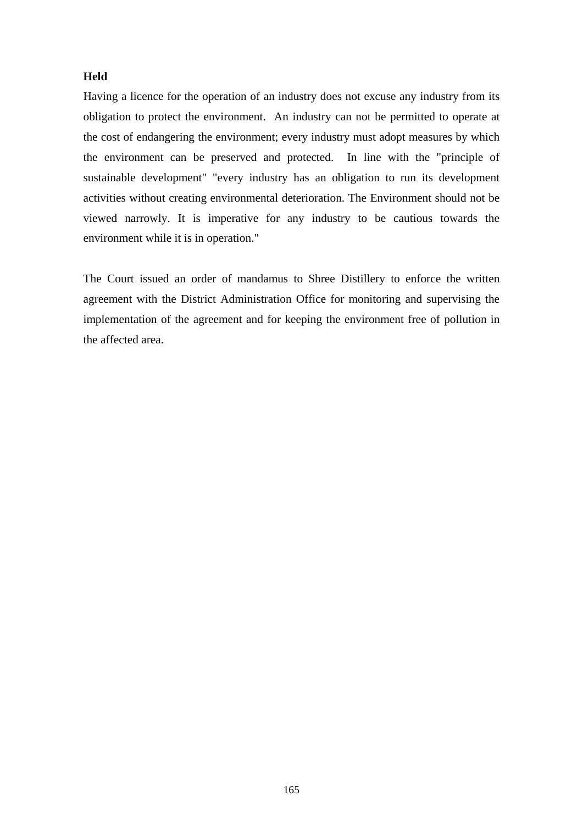# **Held**

Having a licence for the operation of an industry does not excuse any industry from its obligation to protect the environment. An industry can not be permitted to operate at the cost of endangering the environment; every industry must adopt measures by which the environment can be preserved and protected. In line with the "principle of sustainable development" "every industry has an obligation to run its development activities without creating environmental deterioration. The Environment should not be viewed narrowly. It is imperative for any industry to be cautious towards the environment while it is in operation."

The Court issued an order of mandamus to Shree Distillery to enforce the written agreement with the District Administration Office for monitoring and supervising the implementation of the agreement and for keeping the environment free of pollution in the affected area.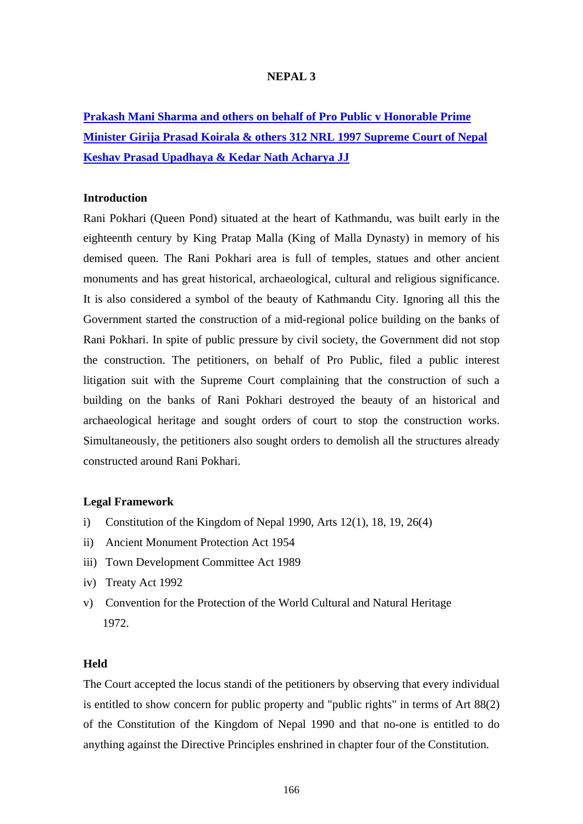#### **NEPAL 3**

**Prakash Mani Sharma and others on behalf of Pro Public v Honorable Prime [Minister Girija Prasad Koirala & others 312 NRL 1997 Supreme Court of Nepal](#page-11-1) Keshav Prasad Upadhaya & Kedar Nath Acharya JJ**

#### **Introduction**

Rani Pokhari (Queen Pond) situated at the heart of Kathmandu, was built early in the eighteenth century by King Pratap Malla (King of Malla Dynasty) in memory of his demised queen. The Rani Pokhari area is full of temples, statues and other ancient monuments and has great historical, archaeological, cultural and religious significance. It is also considered a symbol of the beauty of Kathmandu City. Ignoring all this the Government started the construction of a mid-regional police building on the banks of Rani Pokhari. In spite of public pressure by civil society, the Government did not stop the construction. The petitioners, on behalf of Pro Public, filed a public interest litigation suit with the Supreme Court complaining that the construction of such a building on the banks of Rani Pokhari destroyed the beauty of an historical and archaeological heritage and sought orders of court to stop the construction works. Simultaneously, the petitioners also sought orders to demolish all the structures already constructed around Rani Pokhari.

#### **Legal Framework**

- i) Constitution of the Kingdom of Nepal 1990, Arts 12(1), 18, 19, 26(4)
- ii) Ancient Monument Protection Act 1954
- iii) Town Development Committee Act 1989
- iv) Treaty Act 1992
- v) Convention for the Protection of the World Cultural and Natural Heritage 1972.

# **Held**

The Court accepted the locus standi of the petitioners by observing that every individual is entitled to show concern for public property and "public rights" in terms of Art 88(2) of the Constitution of the Kingdom of Nepal 1990 and that no-one is entitled to do anything against the Directive Principles enshrined in chapter four of the Constitution.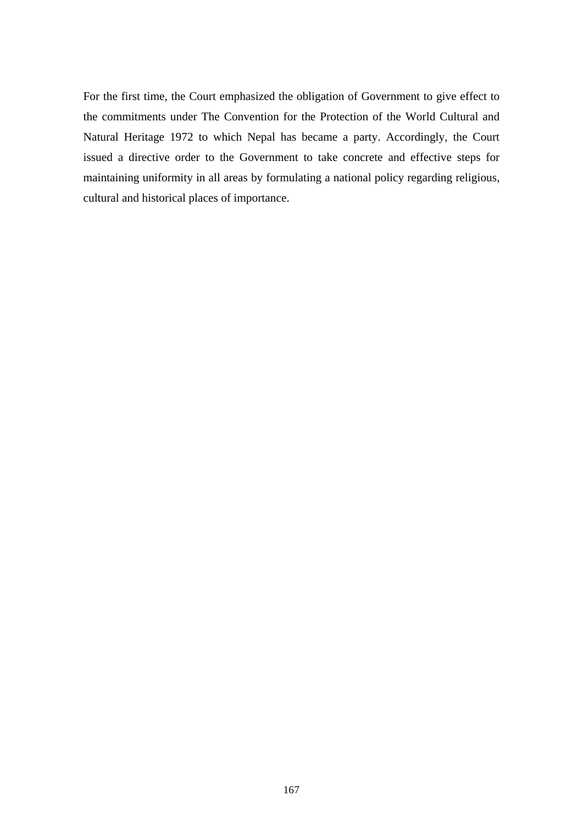For the first time, the Court emphasized the obligation of Government to give effect to the commitments under The Convention for the Protection of the World Cultural and Natural Heritage 1972 to which Nepal has became a party. Accordingly, the Court issued a directive order to the Government to take concrete and effective steps for maintaining uniformity in all areas by formulating a national policy regarding religious, cultural and historical places of importance.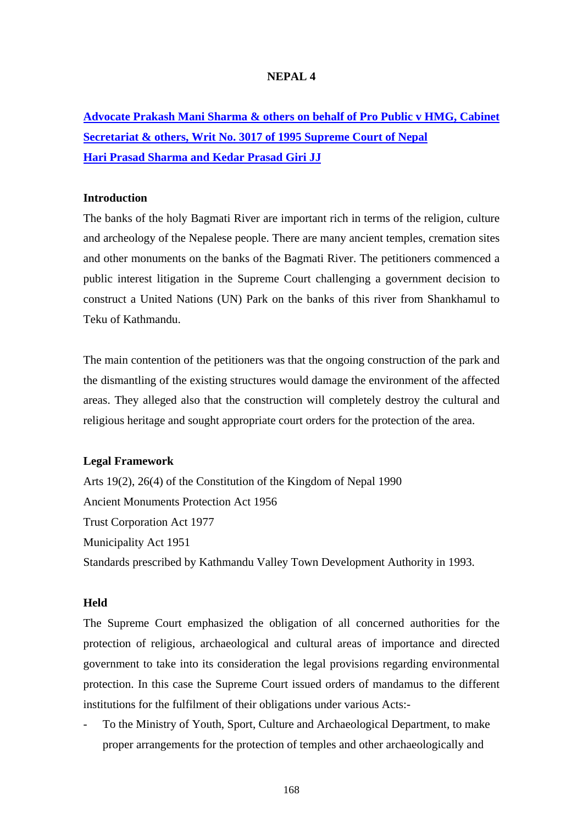#### **NEPAL 4**

**[Advocate Prakash Mani Sharma & others on behalf of Pro Public v HMG, Cabinet](#page-11-1) Secretariat & others, Writ No. 3017 of 1995 Supreme Court of Nepal Hari Prasad Sharma and Kedar Prasad Giri JJ**

#### **Introduction**

The banks of the holy Bagmati River are important rich in terms of the religion, culture and archeology of the Nepalese people. There are many ancient temples, cremation sites and other monuments on the banks of the Bagmati River. The petitioners commenced a public interest litigation in the Supreme Court challenging a government decision to construct a United Nations (UN) Park on the banks of this river from Shankhamul to Teku of Kathmandu.

The main contention of the petitioners was that the ongoing construction of the park and the dismantling of the existing structures would damage the environment of the affected areas. They alleged also that the construction will completely destroy the cultural and religious heritage and sought appropriate court orders for the protection of the area.

#### **Legal Framework**

Arts 19(2), 26(4) of the Constitution of the Kingdom of Nepal 1990 Ancient Monuments Protection Act 1956 Trust Corporation Act 1977 Municipality Act 1951 Standards prescribed by Kathmandu Valley Town Development Authority in 1993.

## **Held**

The Supreme Court emphasized the obligation of all concerned authorities for the protection of religious, archaeological and cultural areas of importance and directed government to take into its consideration the legal provisions regarding environmental protection. In this case the Supreme Court issued orders of mandamus to the different institutions for the fulfilment of their obligations under various Acts:-

- To the Ministry of Youth, Sport, Culture and Archaeological Department, to make proper arrangements for the protection of temples and other archaeologically and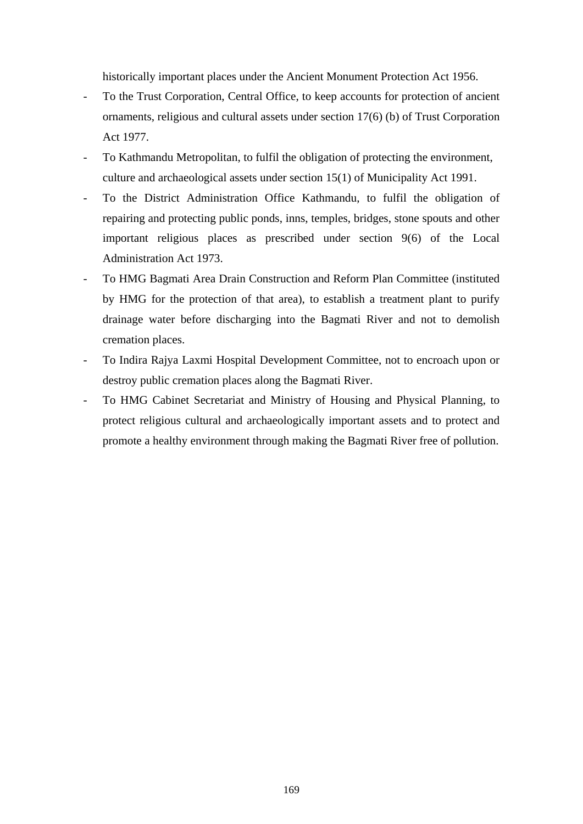historically important places under the Ancient Monument Protection Act 1956.

- To the Trust Corporation, Central Office, to keep accounts for protection of ancient ornaments, religious and cultural assets under section 17(6) (b) of Trust Corporation Act 1977.
- To Kathmandu Metropolitan, to fulfil the obligation of protecting the environment, culture and archaeological assets under section 15(1) of Municipality Act 1991.
- To the District Administration Office Kathmandu, to fulfil the obligation of repairing and protecting public ponds, inns, temples, bridges, stone spouts and other important religious places as prescribed under section 9(6) of the Local Administration Act 1973.
- To HMG Bagmati Area Drain Construction and Reform Plan Committee (instituted by HMG for the protection of that area), to establish a treatment plant to purify drainage water before discharging into the Bagmati River and not to demolish cremation places.
- To Indira Rajya Laxmi Hospital Development Committee, not to encroach upon or destroy public cremation places along the Bagmati River.
- To HMG Cabinet Secretariat and Ministry of Housing and Physical Planning, to protect religious cultural and archaeologically important assets and to protect and promote a healthy environment through making the Bagmati River free of pollution.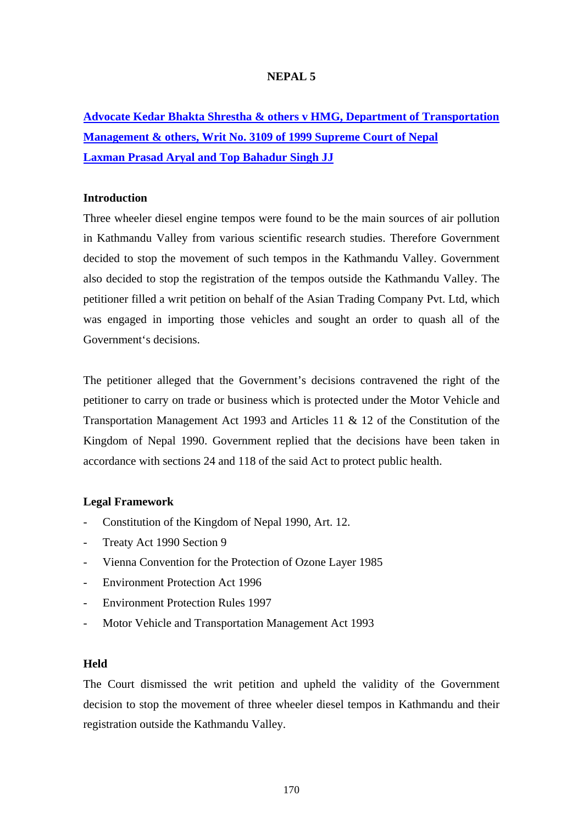# **NEPAL 5**

**[Advocate Kedar Bhakta Shrestha & others v HMG, Department of Transportation](#page-11-1)  Management & others, Writ No. 3109 of 1999 Supreme Court of Nepal Laxman Prasad Aryal and Top Bahadur Singh JJ**

#### **Introduction**

Three wheeler diesel engine tempos were found to be the main sources of air pollution in Kathmandu Valley from various scientific research studies. Therefore Government decided to stop the movement of such tempos in the Kathmandu Valley. Government also decided to stop the registration of the tempos outside the Kathmandu Valley. The petitioner filled a writ petition on behalf of the Asian Trading Company Pvt. Ltd, which was engaged in importing those vehicles and sought an order to quash all of the Government's decisions.

The petitioner alleged that the Government's decisions contravened the right of the petitioner to carry on trade or business which is protected under the Motor Vehicle and Transportation Management Act 1993 and Articles 11 & 12 of the Constitution of the Kingdom of Nepal 1990. Government replied that the decisions have been taken in accordance with sections 24 and 118 of the said Act to protect public health.

# **Legal Framework**

- Constitution of the Kingdom of Nepal 1990, Art. 12.
- Treaty Act 1990 Section 9
- Vienna Convention for the Protection of Ozone Layer 1985
- Environment Protection Act 1996
- Environment Protection Rules 1997
- Motor Vehicle and Transportation Management Act 1993

# **Held**

The Court dismissed the writ petition and upheld the validity of the Government decision to stop the movement of three wheeler diesel tempos in Kathmandu and their registration outside the Kathmandu Valley.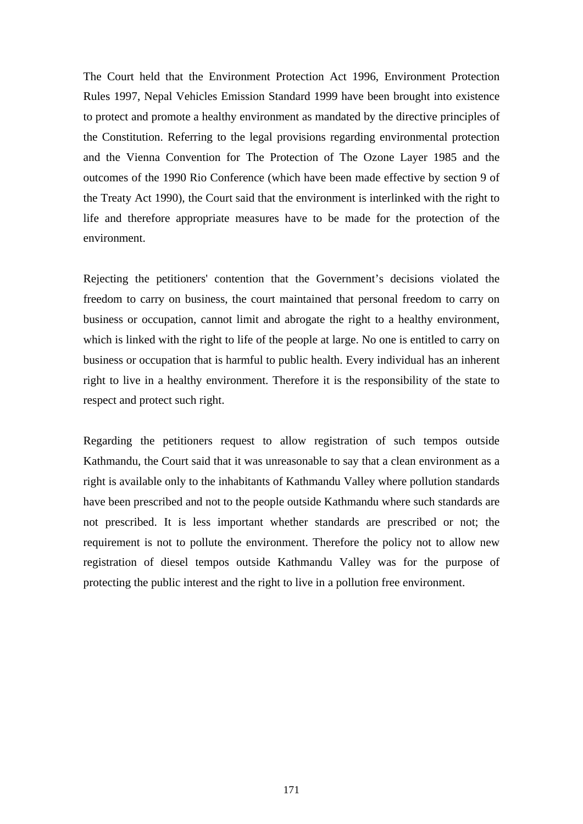The Court held that the Environment Protection Act 1996, Environment Protection Rules 1997, Nepal Vehicles Emission Standard 1999 have been brought into existence to protect and promote a healthy environment as mandated by the directive principles of the Constitution. Referring to the legal provisions regarding environmental protection and the Vienna Convention for The Protection of The Ozone Layer 1985 and the outcomes of the 1990 Rio Conference (which have been made effective by section 9 of the Treaty Act 1990), the Court said that the environment is interlinked with the right to life and therefore appropriate measures have to be made for the protection of the environment.

Rejecting the petitioners' contention that the Government's decisions violated the freedom to carry on business, the court maintained that personal freedom to carry on business or occupation, cannot limit and abrogate the right to a healthy environment, which is linked with the right to life of the people at large. No one is entitled to carry on business or occupation that is harmful to public health. Every individual has an inherent right to live in a healthy environment. Therefore it is the responsibility of the state to respect and protect such right.

Regarding the petitioners request to allow registration of such tempos outside Kathmandu, the Court said that it was unreasonable to say that a clean environment as a right is available only to the inhabitants of Kathmandu Valley where pollution standards have been prescribed and not to the people outside Kathmandu where such standards are not prescribed. It is less important whether standards are prescribed or not; the requirement is not to pollute the environment. Therefore the policy not to allow new registration of diesel tempos outside Kathmandu Valley was for the purpose of protecting the public interest and the right to live in a pollution free environment.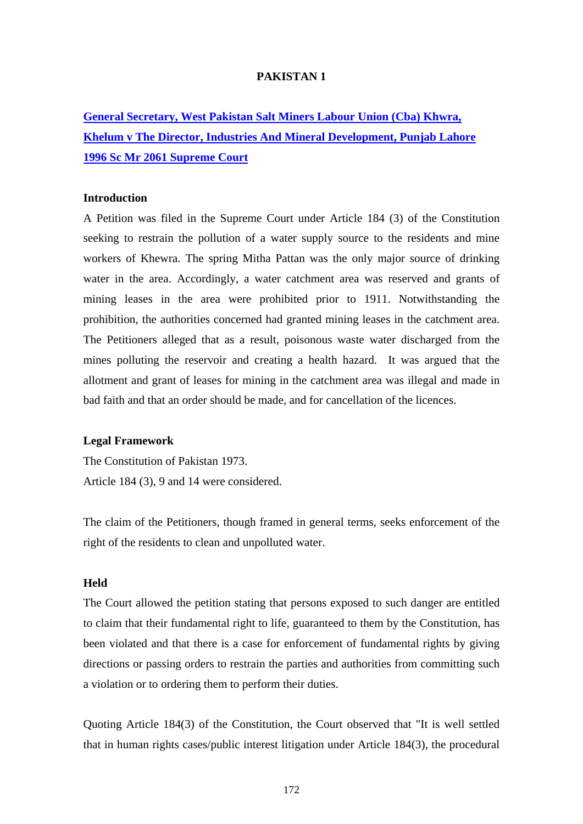# **PAKISTAN 1**

**General Secretary, West Pakistan Salt Miners Labour Union (Cba) Khwra, [Khelum v The Director, Industries And Mineral Development, Punjab Lahore](#page-11-1) 1996 Sc Mr 2061 Supreme Court**

#### **Introduction**

A Petition was filed in the Supreme Court under Article 184 (3) of the Constitution seeking to restrain the pollution of a water supply source to the residents and mine workers of Khewra. The spring Mitha Pattan was the only major source of drinking water in the area. Accordingly, a water catchment area was reserved and grants of mining leases in the area were prohibited prior to 1911. Notwithstanding the prohibition, the authorities concerned had granted mining leases in the catchment area. The Petitioners alleged that as a result, poisonous waste water discharged from the mines polluting the reservoir and creating a health hazard. It was argued that the allotment and grant of leases for mining in the catchment area was illegal and made in bad faith and that an order should be made, and for cancellation of the licences.

#### **Legal Framework**

The Constitution of Pakistan 1973. Article 184 (3), 9 and 14 were considered.

The claim of the Petitioners, though framed in general terms, seeks enforcement of the right of the residents to clean and unpolluted water.

# **Held**

The Court allowed the petition stating that persons exposed to such danger are entitled to claim that their fundamental right to life, guaranteed to them by the Constitution, has been violated and that there is a case for enforcement of fundamental rights by giving directions or passing orders to restrain the parties and authorities from committing such a violation or to ordering them to perform their duties.

Quoting Article 184(3) of the Constitution, the Court observed that "It is well settled that in human rights cases/public interest litigation under Article 184(3), the procedural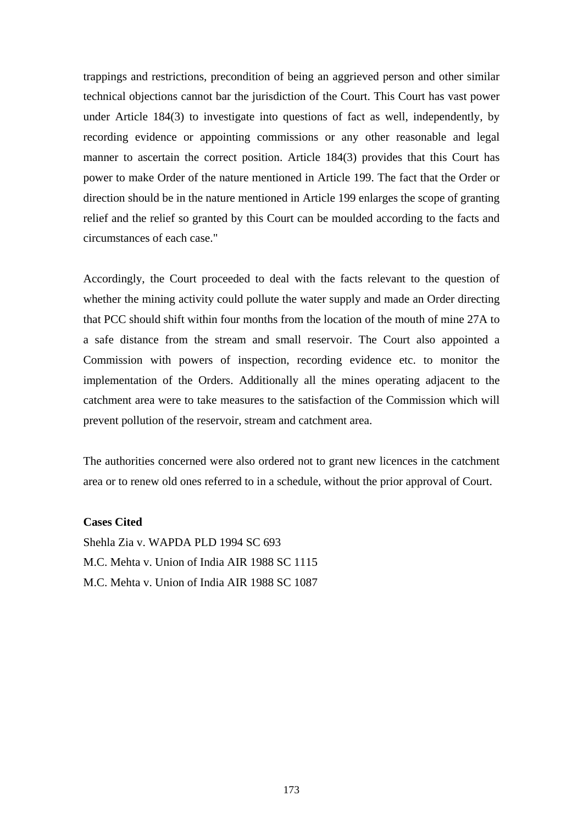trappings and restrictions, precondition of being an aggrieved person and other similar technical objections cannot bar the jurisdiction of the Court. This Court has vast power under Article 184(3) to investigate into questions of fact as well, independently, by recording evidence or appointing commissions or any other reasonable and legal manner to ascertain the correct position. Article 184(3) provides that this Court has power to make Order of the nature mentioned in Article 199. The fact that the Order or direction should be in the nature mentioned in Article 199 enlarges the scope of granting relief and the relief so granted by this Court can be moulded according to the facts and circumstances of each case."

Accordingly, the Court proceeded to deal with the facts relevant to the question of whether the mining activity could pollute the water supply and made an Order directing that PCC should shift within four months from the location of the mouth of mine 27A to a safe distance from the stream and small reservoir. The Court also appointed a Commission with powers of inspection, recording evidence etc. to monitor the implementation of the Orders. Additionally all the mines operating adjacent to the catchment area were to take measures to the satisfaction of the Commission which will prevent pollution of the reservoir, stream and catchment area.

The authorities concerned were also ordered not to grant new licences in the catchment area or to renew old ones referred to in a schedule, without the prior approval of Court.

# **Cases Cited**

Shehla Zia v. WAPDA PLD 1994 SC 693 M.C. Mehta v. Union of India AIR 1988 SC 1115 M.C. Mehta v. Union of India AIR 1988 SC 1087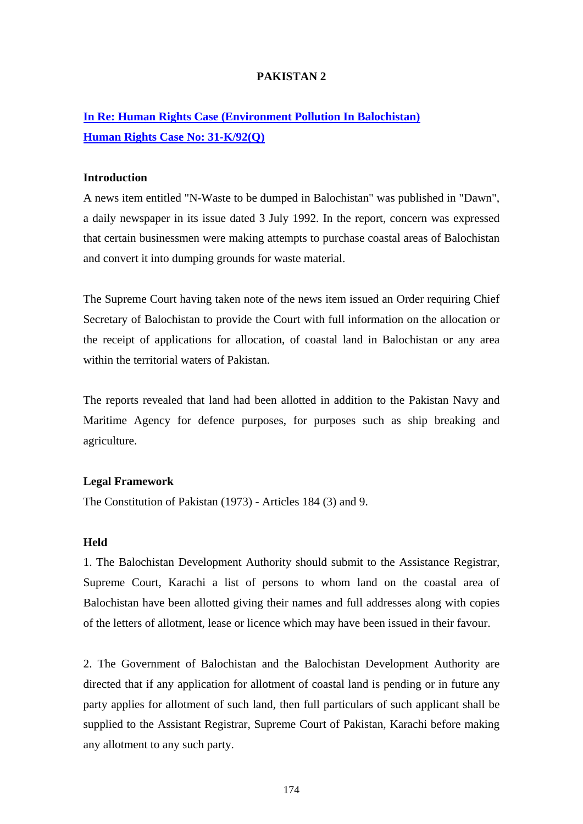# **PAKISTAN 2**

# **[In Re: Human Rights Case \(Environment Pollution In Balochistan\)](#page-11-1) Human Rights Case No: 31-K/92(Q)**

#### **Introduction**

A news item entitled "N-Waste to be dumped in Balochistan" was published in "Dawn", a daily newspaper in its issue dated 3 July 1992. In the report, concern was expressed that certain businessmen were making attempts to purchase coastal areas of Balochistan and convert it into dumping grounds for waste material.

The Supreme Court having taken note of the news item issued an Order requiring Chief Secretary of Balochistan to provide the Court with full information on the allocation or the receipt of applications for allocation, of coastal land in Balochistan or any area within the territorial waters of Pakistan.

The reports revealed that land had been allotted in addition to the Pakistan Navy and Maritime Agency for defence purposes, for purposes such as ship breaking and agriculture.

#### **Legal Framework**

The Constitution of Pakistan (1973) - Articles 184 (3) and 9.

# **Held**

1. The Balochistan Development Authority should submit to the Assistance Registrar, Supreme Court, Karachi a list of persons to whom land on the coastal area of Balochistan have been allotted giving their names and full addresses along with copies of the letters of allotment, lease or licence which may have been issued in their favour.

2. The Government of Balochistan and the Balochistan Development Authority are directed that if any application for allotment of coastal land is pending or in future any party applies for allotment of such land, then full particulars of such applicant shall be supplied to the Assistant Registrar, Supreme Court of Pakistan, Karachi before making any allotment to any such party.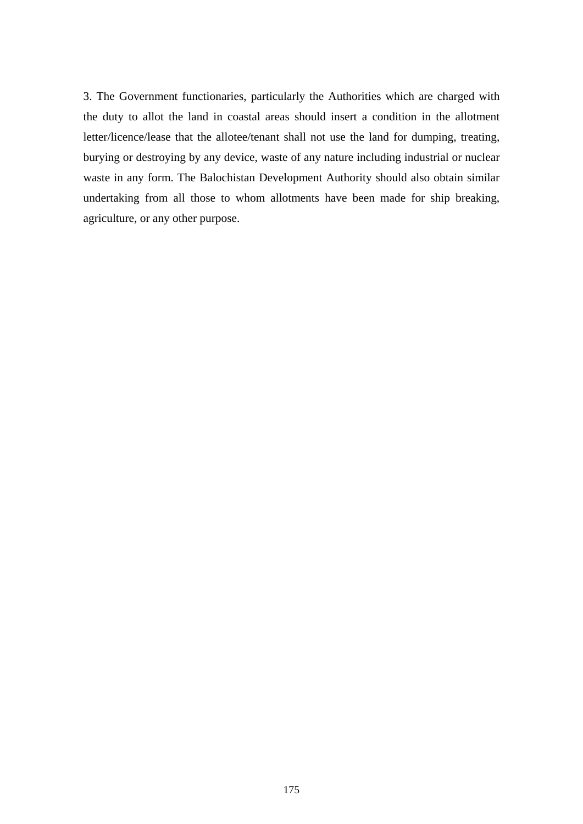3. The Government functionaries, particularly the Authorities which are charged with the duty to allot the land in coastal areas should insert a condition in the allotment letter/licence/lease that the allotee/tenant shall not use the land for dumping, treating, burying or destroying by any device, waste of any nature including industrial or nuclear waste in any form. The Balochistan Development Authority should also obtain similar undertaking from all those to whom allotments have been made for ship breaking, agriculture, or any other purpose.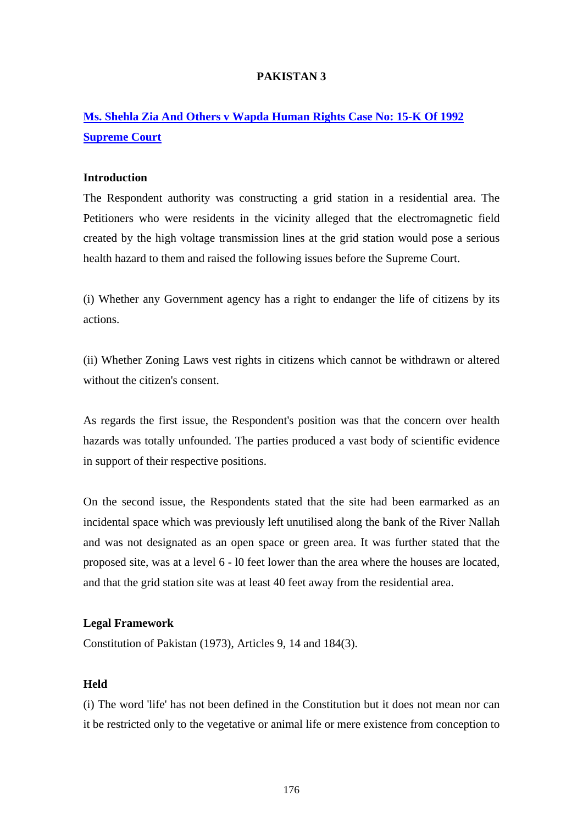# **PAKISTAN 3**

# **[Ms. Shehla Zia And Others v Wapda Human Rights Case No: 15-K Of 1992](#page-12-0) [Supreme Court](#page-12-0)**

#### **Introduction**

The Respondent authority was constructing a grid station in a residential area. The Petitioners who were residents in the vicinity alleged that the electromagnetic field created by the high voltage transmission lines at the grid station would pose a serious health hazard to them and raised the following issues before the Supreme Court.

(i) Whether any Government agency has a right to endanger the life of citizens by its actions.

(ii) Whether Zoning Laws vest rights in citizens which cannot be withdrawn or altered without the citizen's consent.

As regards the first issue, the Respondent's position was that the concern over health hazards was totally unfounded. The parties produced a vast body of scientific evidence in support of their respective positions.

On the second issue, the Respondents stated that the site had been earmarked as an incidental space which was previously left unutilised along the bank of the River Nallah and was not designated as an open space or green area. It was further stated that the proposed site, was at a level 6 - l0 feet lower than the area where the houses are located, and that the grid station site was at least 40 feet away from the residential area.

# **Legal Framework**

Constitution of Pakistan (1973), Articles 9, 14 and 184(3).

#### **Held**

(i) The word 'life' has not been defined in the Constitution but it does not mean nor can it be restricted only to the vegetative or animal life or mere existence from conception to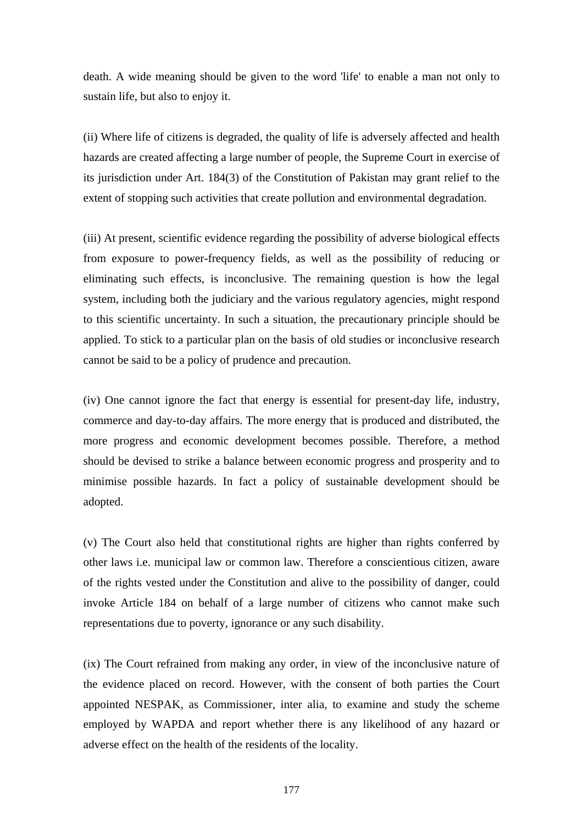death. A wide meaning should be given to the word 'life' to enable a man not only to sustain life, but also to enjoy it.

(ii) Where life of citizens is degraded, the quality of life is adversely affected and health hazards are created affecting a large number of people, the Supreme Court in exercise of its jurisdiction under Art. 184(3) of the Constitution of Pakistan may grant relief to the extent of stopping such activities that create pollution and environmental degradation.

(iii) At present, scientific evidence regarding the possibility of adverse biological effects from exposure to power-frequency fields, as well as the possibility of reducing or eliminating such effects, is inconclusive. The remaining question is how the legal system, including both the judiciary and the various regulatory agencies, might respond to this scientific uncertainty. In such a situation, the precautionary principle should be applied. To stick to a particular plan on the basis of old studies or inconclusive research cannot be said to be a policy of prudence and precaution.

(iv) One cannot ignore the fact that energy is essential for present-day life, industry, commerce and day-to-day affairs. The more energy that is produced and distributed, the more progress and economic development becomes possible. Therefore, a method should be devised to strike a balance between economic progress and prosperity and to minimise possible hazards. In fact a policy of sustainable development should be adopted.

(v) The Court also held that constitutional rights are higher than rights conferred by other laws i.e. municipal law or common law. Therefore a conscientious citizen, aware of the rights vested under the Constitution and alive to the possibility of danger, could invoke Article 184 on behalf of a large number of citizens who cannot make such representations due to poverty, ignorance or any such disability.

(ix) The Court refrained from making any order, in view of the inconclusive nature of the evidence placed on record. However, with the consent of both parties the Court appointed NESPAK, as Commissioner, inter alia, to examine and study the scheme employed by WAPDA and report whether there is any likelihood of any hazard or adverse effect on the health of the residents of the locality.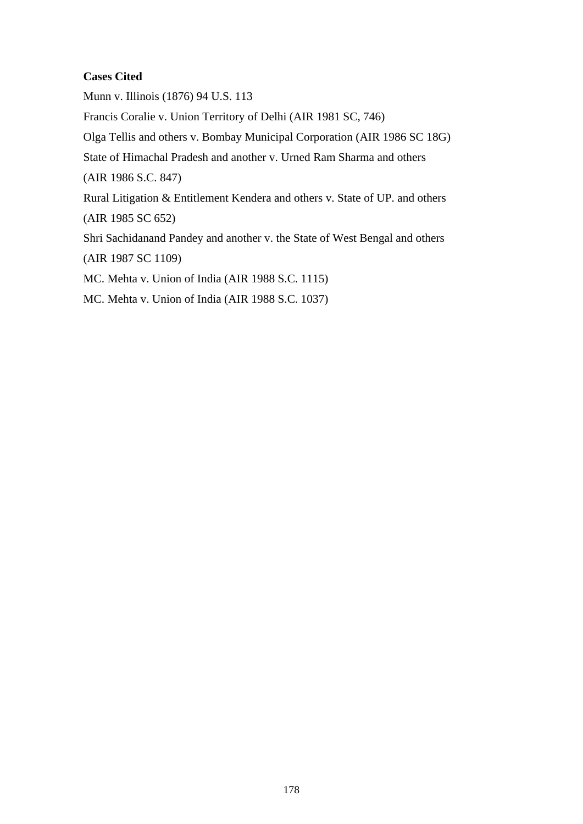# **Cases Cited**

Munn v. Illinois (1876) 94 U.S. 113 Francis Coralie v. Union Territory of Delhi (AIR 1981 SC, 746) Olga Tellis and others v. Bombay Municipal Corporation (AIR 1986 SC 18G) State of Himachal Pradesh and another v. Urned Ram Sharma and others (AIR 1986 S.C. 847) Rural Litigation & Entitlement Kendera and others v. State of UP. and others (AIR 1985 SC 652) Shri Sachidanand Pandey and another v. the State of West Bengal and others (AIR 1987 SC 1109) MC. Mehta v. Union of India (AIR 1988 S.C. 1115) MC. Mehta v. Union of India (AIR 1988 S.C. 1037)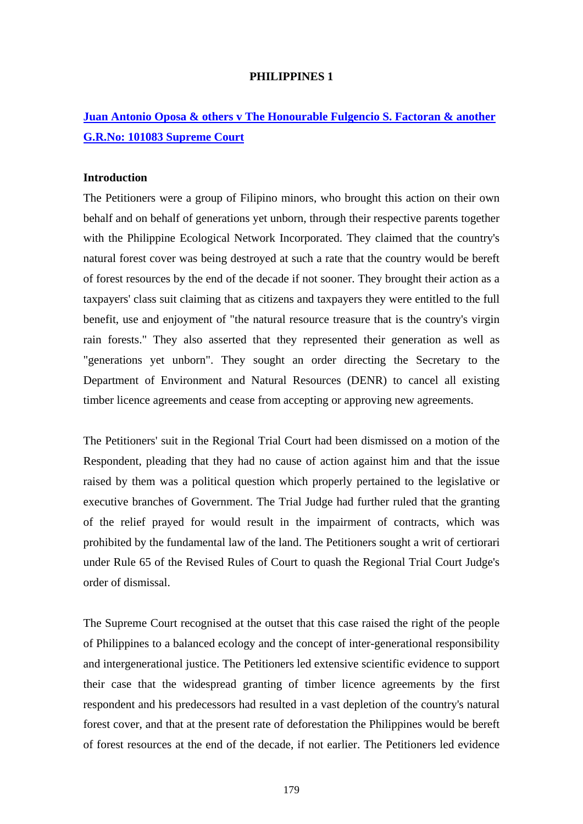# **PHILIPPINES 1**

# **[Juan Antonio Oposa & others v The Honourable Fulgencio S. Factoran & another](#page-12-0) [G.R.No: 101083 Supreme Court](#page-12-0)**

#### **Introduction**

The Petitioners were a group of Filipino minors, who brought this action on their own behalf and on behalf of generations yet unborn, through their respective parents together with the Philippine Ecological Network Incorporated. They claimed that the country's natural forest cover was being destroyed at such a rate that the country would be bereft of forest resources by the end of the decade if not sooner. They brought their action as a taxpayers' class suit claiming that as citizens and taxpayers they were entitled to the full benefit, use and enjoyment of "the natural resource treasure that is the country's virgin rain forests." They also asserted that they represented their generation as well as "generations yet unborn". They sought an order directing the Secretary to the Department of Environment and Natural Resources (DENR) to cancel all existing timber licence agreements and cease from accepting or approving new agreements.

The Petitioners' suit in the Regional Trial Court had been dismissed on a motion of the Respondent, pleading that they had no cause of action against him and that the issue raised by them was a political question which properly pertained to the legislative or executive branches of Government. The Trial Judge had further ruled that the granting of the relief prayed for would result in the impairment of contracts, which was prohibited by the fundamental law of the land. The Petitioners sought a writ of certiorari under Rule 65 of the Revised Rules of Court to quash the Regional Trial Court Judge's order of dismissal.

The Supreme Court recognised at the outset that this case raised the right of the people of Philippines to a balanced ecology and the concept of inter-generational responsibility and intergenerational justice. The Petitioners led extensive scientific evidence to support their case that the widespread granting of timber licence agreements by the first respondent and his predecessors had resulted in a vast depletion of the country's natural forest cover, and that at the present rate of deforestation the Philippines would be bereft of forest resources at the end of the decade, if not earlier. The Petitioners led evidence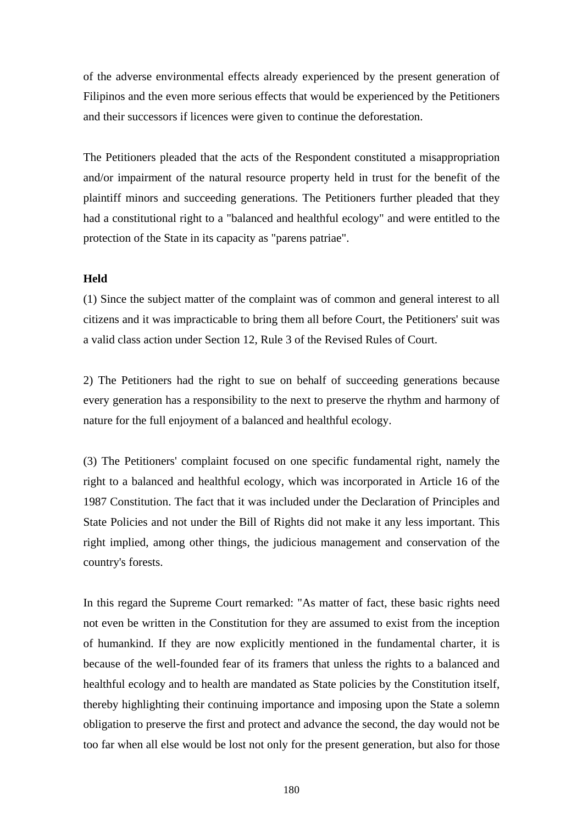of the adverse environmental effects already experienced by the present generation of Filipinos and the even more serious effects that would be experienced by the Petitioners and their successors if licences were given to continue the deforestation.

The Petitioners pleaded that the acts of the Respondent constituted a misappropriation and/or impairment of the natural resource property held in trust for the benefit of the plaintiff minors and succeeding generations. The Petitioners further pleaded that they had a constitutional right to a "balanced and healthful ecology" and were entitled to the protection of the State in its capacity as "parens patriae".

# **Held**

(1) Since the subject matter of the complaint was of common and general interest to all citizens and it was impracticable to bring them all before Court, the Petitioners' suit was a valid class action under Section 12, Rule 3 of the Revised Rules of Court.

2) The Petitioners had the right to sue on behalf of succeeding generations because every generation has a responsibility to the next to preserve the rhythm and harmony of nature for the full enjoyment of a balanced and healthful ecology.

(3) The Petitioners' complaint focused on one specific fundamental right, namely the right to a balanced and healthful ecology, which was incorporated in Article 16 of the 1987 Constitution. The fact that it was included under the Declaration of Principles and State Policies and not under the Bill of Rights did not make it any less important. This right implied, among other things, the judicious management and conservation of the country's forests.

In this regard the Supreme Court remarked: "As matter of fact, these basic rights need not even be written in the Constitution for they are assumed to exist from the inception of humankind. If they are now explicitly mentioned in the fundamental charter, it is because of the well-founded fear of its framers that unless the rights to a balanced and healthful ecology and to health are mandated as State policies by the Constitution itself, thereby highlighting their continuing importance and imposing upon the State a solemn obligation to preserve the first and protect and advance the second, the day would not be too far when all else would be lost not only for the present generation, but also for those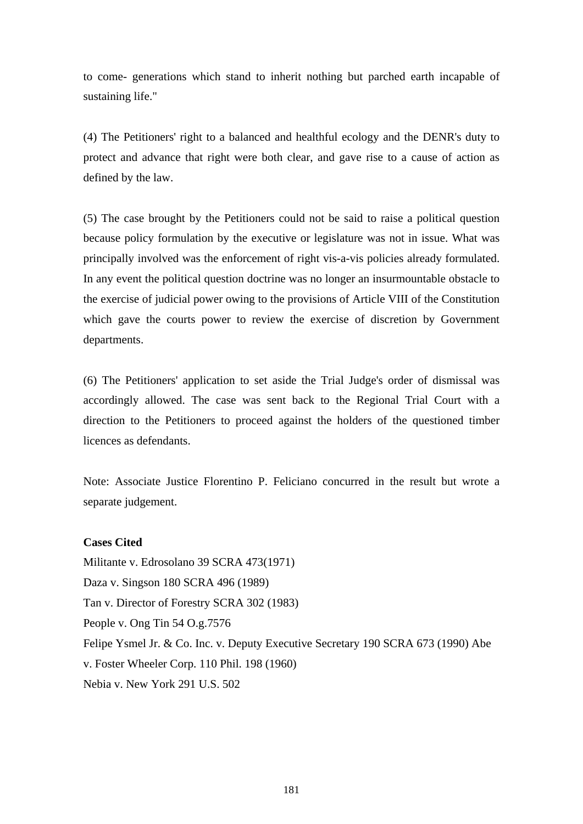to come- generations which stand to inherit nothing but parched earth incapable of sustaining life."

(4) The Petitioners' right to a balanced and healthful ecology and the DENR's duty to protect and advance that right were both clear, and gave rise to a cause of action as defined by the law.

(5) The case brought by the Petitioners could not be said to raise a political question because policy formulation by the executive or legislature was not in issue. What was principally involved was the enforcement of right vis-a-vis policies already formulated. In any event the political question doctrine was no longer an insurmountable obstacle to the exercise of judicial power owing to the provisions of Article VIII of the Constitution which gave the courts power to review the exercise of discretion by Government departments.

(6) The Petitioners' application to set aside the Trial Judge's order of dismissal was accordingly allowed. The case was sent back to the Regional Trial Court with a direction to the Petitioners to proceed against the holders of the questioned timber licences as defendants.

Note: Associate Justice Florentino P. Feliciano concurred in the result but wrote a separate judgement.

# **Cases Cited**

Militante v. Edrosolano 39 SCRA 473(1971) Daza v. Singson 180 SCRA 496 (1989) Tan v. Director of Forestry SCRA 302 (1983) People v. Ong Tin 54 O.g.7576 Felipe Ysmel Jr. & Co. Inc. v. Deputy Executive Secretary 190 SCRA 673 (1990) Abe v. Foster Wheeler Corp. 110 Phil. 198 (1960) Nebia v. New York 291 U.S. 502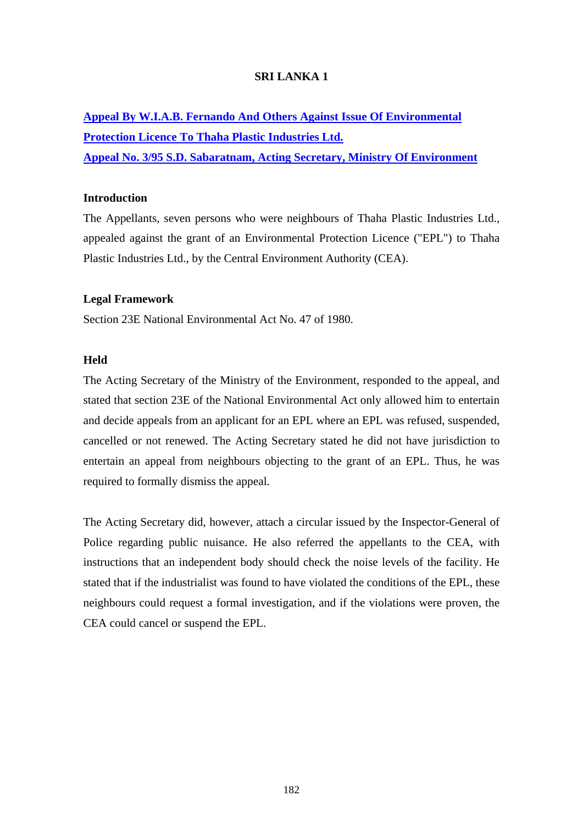# **SRI LANKA 1**

**[Appeal By W.I.A.B. Fernando And Others Against Issue Of Environmental](#page-12-0)  [Protection Licence To Thaha Plastic Industries Ltd.](#page-12-0) [Appeal No. 3/95 S.D. Sabaratnam, Acting Secretary, Ministry Of Environment](#page-12-0)**

#### **Introduction**

The Appellants, seven persons who were neighbours of Thaha Plastic Industries Ltd., appealed against the grant of an Environmental Protection Licence ("EPL") to Thaha Plastic Industries Ltd., by the Central Environment Authority (CEA).

#### **Legal Framework**

Section 23E National Environmental Act No. 47 of 1980.

## **Held**

The Acting Secretary of the Ministry of the Environment, responded to the appeal, and stated that section 23E of the National Environmental Act only allowed him to entertain and decide appeals from an applicant for an EPL where an EPL was refused, suspended, cancelled or not renewed. The Acting Secretary stated he did not have jurisdiction to entertain an appeal from neighbours objecting to the grant of an EPL. Thus, he was required to formally dismiss the appeal.

The Acting Secretary did, however, attach a circular issued by the Inspector-General of Police regarding public nuisance. He also referred the appellants to the CEA, with instructions that an independent body should check the noise levels of the facility. He stated that if the industrialist was found to have violated the conditions of the EPL, these neighbours could request a formal investigation, and if the violations were proven, the CEA could cancel or suspend the EPL.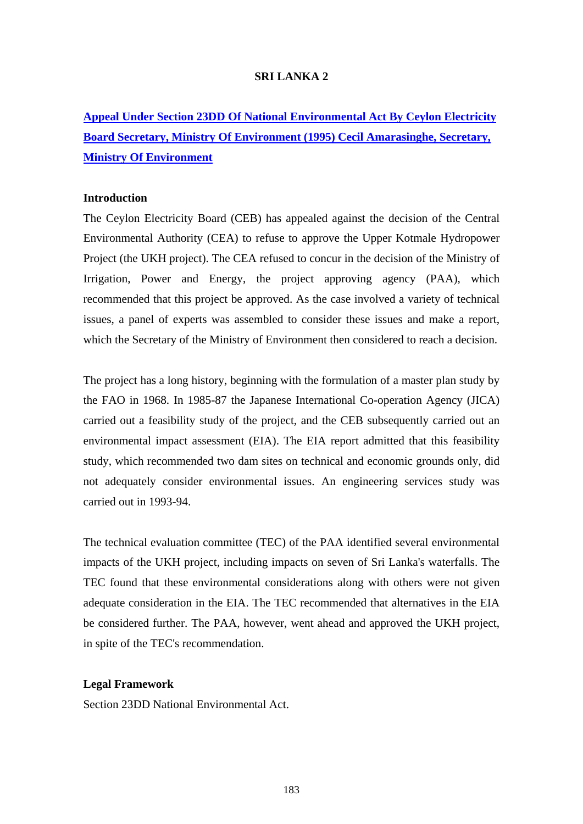# **SRI LANKA 2**

# **[Appeal Under Section 23DD Of National Environmental Act By Ceylon Electricity](#page-12-0)  [Board Secretary, Ministry Of Environment \(1995\) Cecil Amarasinghe, Secretary,](#page-12-0) [Ministry Of Environment](#page-12-0)**

#### **Introduction**

The Ceylon Electricity Board (CEB) has appealed against the decision of the Central Environmental Authority (CEA) to refuse to approve the Upper Kotmale Hydropower Project (the UKH project). The CEA refused to concur in the decision of the Ministry of Irrigation, Power and Energy, the project approving agency (PAA), which recommended that this project be approved. As the case involved a variety of technical issues, a panel of experts was assembled to consider these issues and make a report, which the Secretary of the Ministry of Environment then considered to reach a decision.

The project has a long history, beginning with the formulation of a master plan study by the FAO in 1968. In 1985-87 the Japanese International Co-operation Agency (JICA) carried out a feasibility study of the project, and the CEB subsequently carried out an environmental impact assessment (EIA). The EIA report admitted that this feasibility study, which recommended two dam sites on technical and economic grounds only, did not adequately consider environmental issues. An engineering services study was carried out in 1993-94.

The technical evaluation committee (TEC) of the PAA identified several environmental impacts of the UKH project, including impacts on seven of Sri Lanka's waterfalls. The TEC found that these environmental considerations along with others were not given adequate consideration in the EIA. The TEC recommended that alternatives in the EIA be considered further. The PAA, however, went ahead and approved the UKH project, in spite of the TEC's recommendation.

#### **Legal Framework**

Section 23DD National Environmental Act.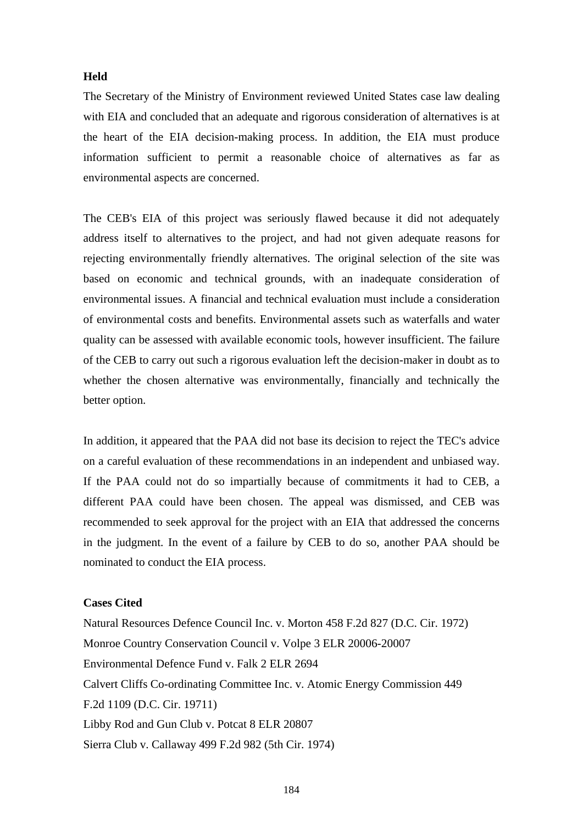#### **Held**

The Secretary of the Ministry of Environment reviewed United States case law dealing with EIA and concluded that an adequate and rigorous consideration of alternatives is at the heart of the EIA decision-making process. In addition, the EIA must produce information sufficient to permit a reasonable choice of alternatives as far as environmental aspects are concerned.

The CEB's EIA of this project was seriously flawed because it did not adequately address itself to alternatives to the project, and had not given adequate reasons for rejecting environmentally friendly alternatives. The original selection of the site was based on economic and technical grounds, with an inadequate consideration of environmental issues. A financial and technical evaluation must include a consideration of environmental costs and benefits. Environmental assets such as waterfalls and water quality can be assessed with available economic tools, however insufficient. The failure of the CEB to carry out such a rigorous evaluation left the decision-maker in doubt as to whether the chosen alternative was environmentally, financially and technically the better option.

In addition, it appeared that the PAA did not base its decision to reject the TEC's advice on a careful evaluation of these recommendations in an independent and unbiased way. If the PAA could not do so impartially because of commitments it had to CEB, a different PAA could have been chosen. The appeal was dismissed, and CEB was recommended to seek approval for the project with an EIA that addressed the concerns in the judgment. In the event of a failure by CEB to do so, another PAA should be nominated to conduct the EIA process.

# **Cases Cited**

Natural Resources Defence Council Inc. v. Morton 458 F.2d 827 (D.C. Cir. 1972) Monroe Country Conservation Council v. Volpe 3 ELR 20006-20007 Environmental Defence Fund v. Falk 2 ELR 2694 Calvert Cliffs Co-ordinating Committee Inc. v. Atomic Energy Commission 449 F.2d 1109 (D.C. Cir. 19711) Libby Rod and Gun Club v. Potcat 8 ELR 20807 Sierra Club v. Callaway 499 F.2d 982 (5th Cir. 1974)

184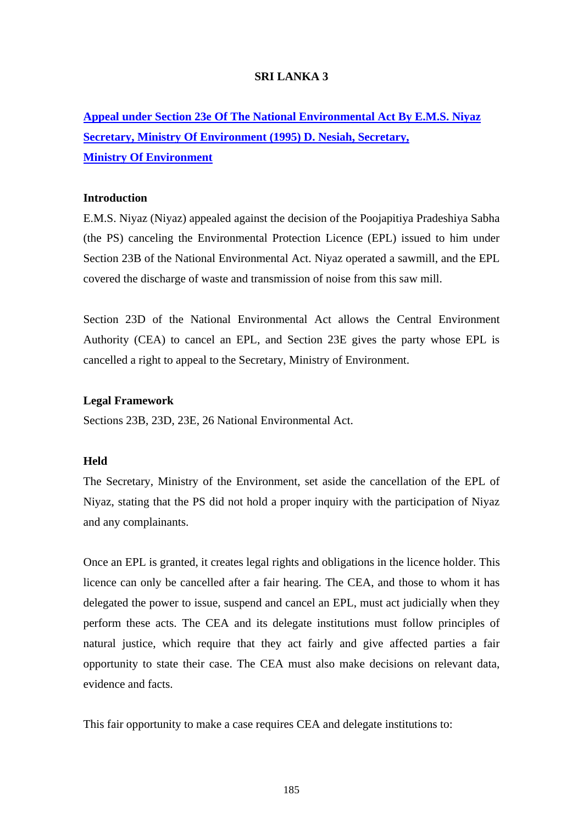# **SRI LANKA 3**

**[Appeal under Section 23e Of The National Environmental Act By E.M.S. Niyaz](#page-12-0) [Secretary, Ministry Of Environment \(1995\) D. Nesiah, Secretary,](#page-12-0) [Ministry Of Environment](#page-12-0)**

#### **Introduction**

E.M.S. Niyaz (Niyaz) appealed against the decision of the Poojapitiya Pradeshiya Sabha (the PS) canceling the Environmental Protection Licence (EPL) issued to him under Section 23B of the National Environmental Act. Niyaz operated a sawmill, and the EPL covered the discharge of waste and transmission of noise from this saw mill.

Section 23D of the National Environmental Act allows the Central Environment Authority (CEA) to cancel an EPL, and Section 23E gives the party whose EPL is cancelled a right to appeal to the Secretary, Ministry of Environment.

#### **Legal Framework**

Sections 23B, 23D, 23E, 26 National Environmental Act.

#### **Held**

The Secretary, Ministry of the Environment, set aside the cancellation of the EPL of Niyaz, stating that the PS did not hold a proper inquiry with the participation of Niyaz and any complainants.

Once an EPL is granted, it creates legal rights and obligations in the licence holder. This licence can only be cancelled after a fair hearing. The CEA, and those to whom it has delegated the power to issue, suspend and cancel an EPL, must act judicially when they perform these acts. The CEA and its delegate institutions must follow principles of natural justice, which require that they act fairly and give affected parties a fair opportunity to state their case. The CEA must also make decisions on relevant data, evidence and facts.

This fair opportunity to make a case requires CEA and delegate institutions to: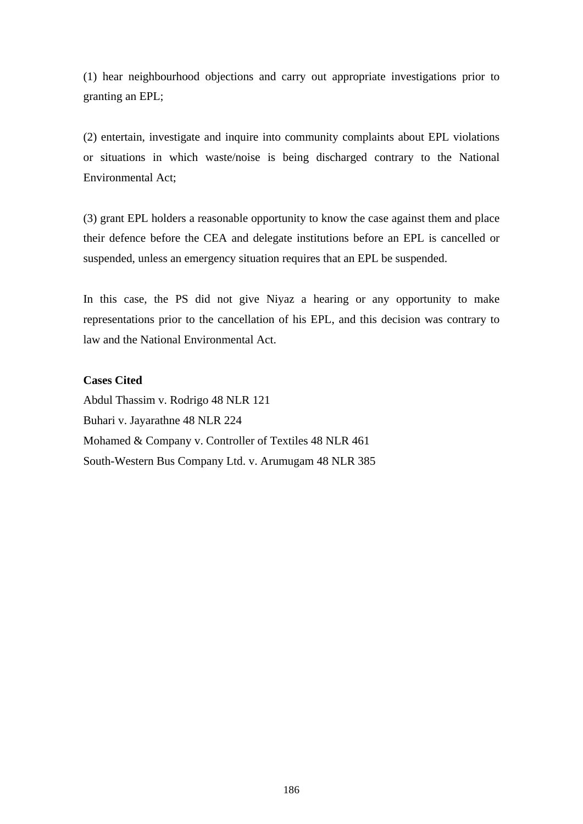(1) hear neighbourhood objections and carry out appropriate investigations prior to granting an EPL;

(2) entertain, investigate and inquire into community complaints about EPL violations or situations in which waste/noise is being discharged contrary to the National Environmental Act;

(3) grant EPL holders a reasonable opportunity to know the case against them and place their defence before the CEA and delegate institutions before an EPL is cancelled or suspended, unless an emergency situation requires that an EPL be suspended.

In this case, the PS did not give Niyaz a hearing or any opportunity to make representations prior to the cancellation of his EPL, and this decision was contrary to law and the National Environmental Act.

# **Cases Cited**

Abdul Thassim v. Rodrigo 48 NLR 121 Buhari v. Jayarathne 48 NLR 224 Mohamed & Company v. Controller of Textiles 48 NLR 461 South-Western Bus Company Ltd. v. Arumugam 48 NLR 385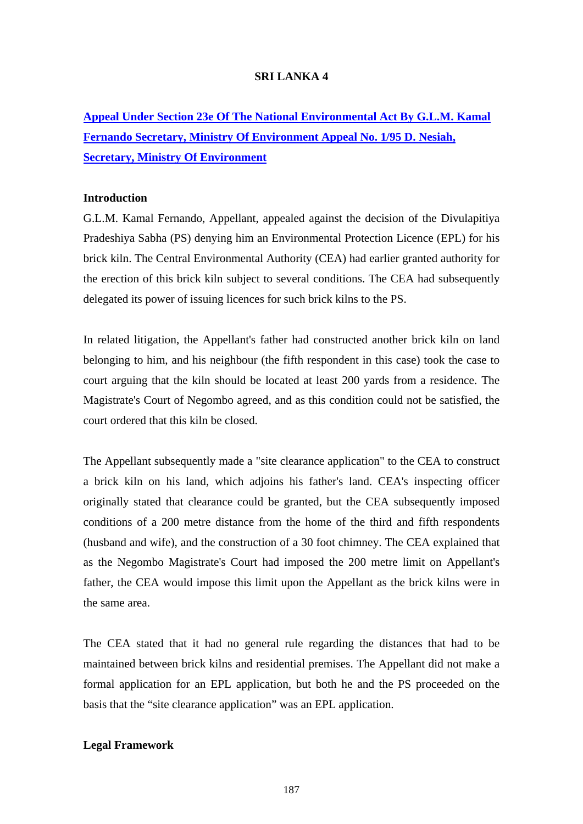# **SRI LANKA 4**

**[Appeal Under Section 23e Of The National Environmental Act By G.L.M. Kamal](#page-12-1) Fernando Secretary, Ministry Of Environment Appeal No. 1/95 D. Nesiah, Secretary, Ministry Of Environment**

#### **Introduction**

G.L.M. Kamal Fernando, Appellant, appealed against the decision of the Divulapitiya Pradeshiya Sabha (PS) denying him an Environmental Protection Licence (EPL) for his brick kiln. The Central Environmental Authority (CEA) had earlier granted authority for the erection of this brick kiln subject to several conditions. The CEA had subsequently delegated its power of issuing licences for such brick kilns to the PS.

In related litigation, the Appellant's father had constructed another brick kiln on land belonging to him, and his neighbour (the fifth respondent in this case) took the case to court arguing that the kiln should be located at least 200 yards from a residence. The Magistrate's Court of Negombo agreed, and as this condition could not be satisfied, the court ordered that this kiln be closed.

The Appellant subsequently made a "site clearance application" to the CEA to construct a brick kiln on his land, which adjoins his father's land. CEA's inspecting officer originally stated that clearance could be granted, but the CEA subsequently imposed conditions of a 200 metre distance from the home of the third and fifth respondents (husband and wife), and the construction of a 30 foot chimney. The CEA explained that as the Negombo Magistrate's Court had imposed the 200 metre limit on Appellant's father, the CEA would impose this limit upon the Appellant as the brick kilns were in the same area.

The CEA stated that it had no general rule regarding the distances that had to be maintained between brick kilns and residential premises. The Appellant did not make a formal application for an EPL application, but both he and the PS proceeded on the basis that the "site clearance application" was an EPL application.

# **Legal Framework**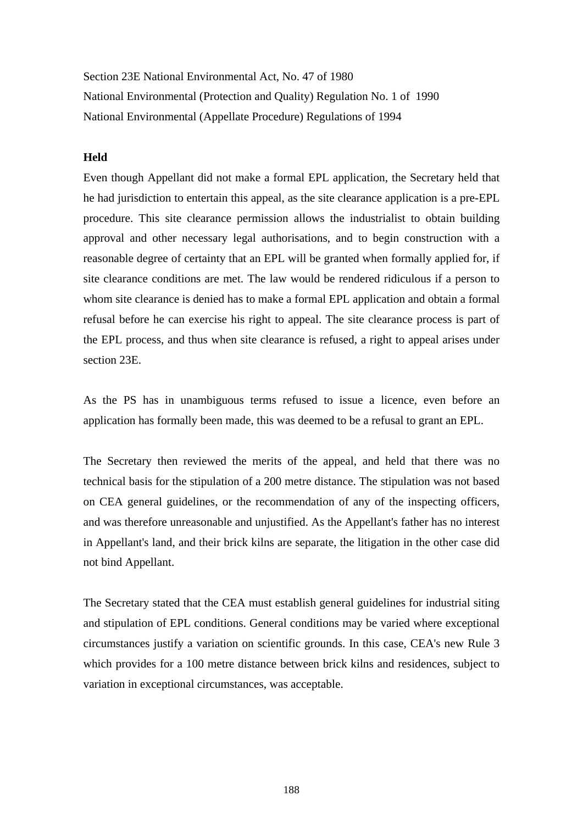Section 23E National Environmental Act, No. 47 of 1980 National Environmental (Protection and Quality) Regulation No. 1 of 1990 National Environmental (Appellate Procedure) Regulations of 1994

# **Held**

Even though Appellant did not make a formal EPL application, the Secretary held that he had jurisdiction to entertain this appeal, as the site clearance application is a pre-EPL procedure. This site clearance permission allows the industrialist to obtain building approval and other necessary legal authorisations, and to begin construction with a reasonable degree of certainty that an EPL will be granted when formally applied for, if site clearance conditions are met. The law would be rendered ridiculous if a person to whom site clearance is denied has to make a formal EPL application and obtain a formal refusal before he can exercise his right to appeal. The site clearance process is part of the EPL process, and thus when site clearance is refused, a right to appeal arises under section 23E.

As the PS has in unambiguous terms refused to issue a licence, even before an application has formally been made, this was deemed to be a refusal to grant an EPL.

The Secretary then reviewed the merits of the appeal, and held that there was no technical basis for the stipulation of a 200 metre distance. The stipulation was not based on CEA general guidelines, or the recommendation of any of the inspecting officers, and was therefore unreasonable and unjustified. As the Appellant's father has no interest in Appellant's land, and their brick kilns are separate, the litigation in the other case did not bind Appellant.

The Secretary stated that the CEA must establish general guidelines for industrial siting and stipulation of EPL conditions. General conditions may be varied where exceptional circumstances justify a variation on scientific grounds. In this case, CEA's new Rule 3 which provides for a 100 metre distance between brick kilns and residences, subject to variation in exceptional circumstances, was acceptable.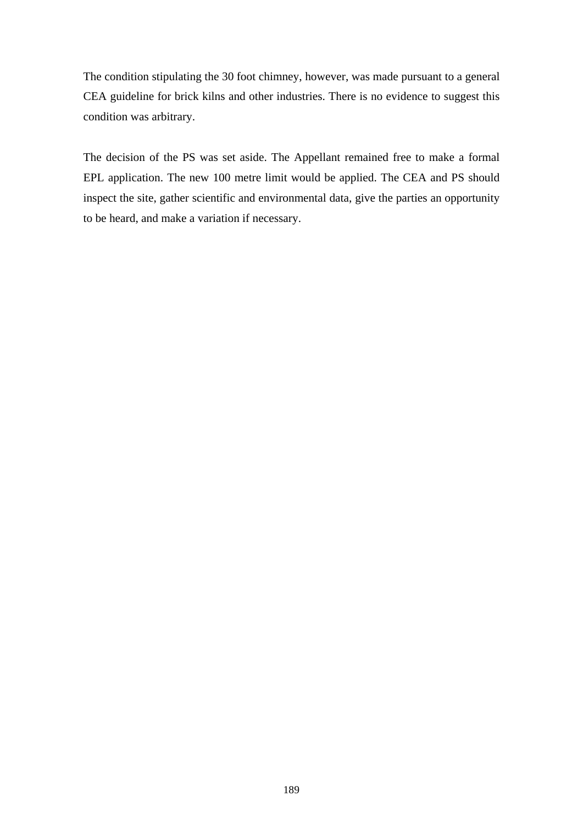The condition stipulating the 30 foot chimney, however, was made pursuant to a general CEA guideline for brick kilns and other industries. There is no evidence to suggest this condition was arbitrary.

The decision of the PS was set aside. The Appellant remained free to make a formal EPL application. The new 100 metre limit would be applied. The CEA and PS should inspect the site, gather scientific and environmental data, give the parties an opportunity to be heard, and make a variation if necessary.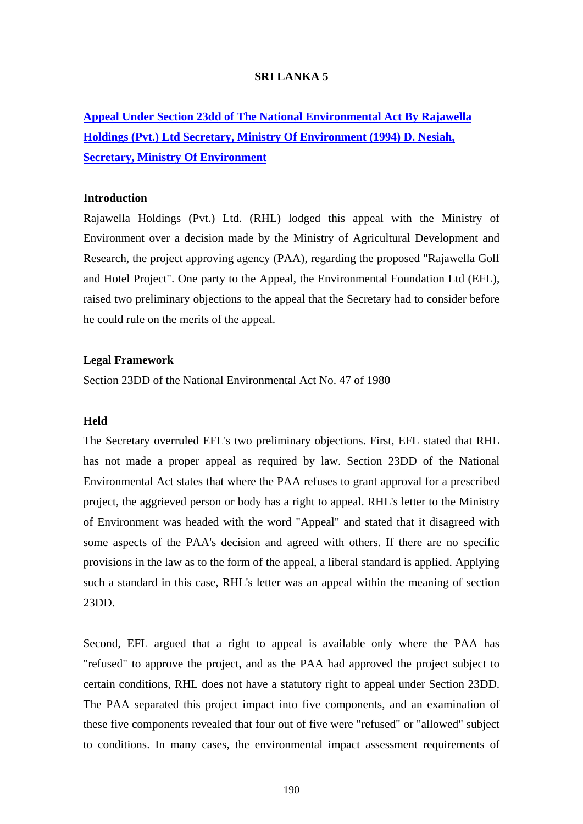## **SRI LANKA 5**

**[Appeal Under Section 23dd of The National Environmental Act By Rajawella](#page-12-0)  Holdings (Pvt.) Ltd Secretary, Ministry Of Environment (1994) D. Nesiah, Secretary, Ministry Of Environment**

#### **Introduction**

Rajawella Holdings (Pvt.) Ltd. (RHL) lodged this appeal with the Ministry of Environment over a decision made by the Ministry of Agricultural Development and Research, the project approving agency (PAA), regarding the proposed "Rajawella Golf and Hotel Project". One party to the Appeal, the Environmental Foundation Ltd (EFL), raised two preliminary objections to the appeal that the Secretary had to consider before he could rule on the merits of the appeal.

### **Legal Framework**

Section 23DD of the National Environmental Act No. 47 of 1980

#### **Held**

The Secretary overruled EFL's two preliminary objections. First, EFL stated that RHL has not made a proper appeal as required by law. Section 23DD of the National Environmental Act states that where the PAA refuses to grant approval for a prescribed project, the aggrieved person or body has a right to appeal. RHL's letter to the Ministry of Environment was headed with the word "Appeal" and stated that it disagreed with some aspects of the PAA's decision and agreed with others. If there are no specific provisions in the law as to the form of the appeal, a liberal standard is applied. Applying such a standard in this case, RHL's letter was an appeal within the meaning of section 23DD.

Second, EFL argued that a right to appeal is available only where the PAA has "refused" to approve the project, and as the PAA had approved the project subject to certain conditions, RHL does not have a statutory right to appeal under Section 23DD. The PAA separated this project impact into five components, and an examination of these five components revealed that four out of five were "refused" or "allowed" subject to conditions. In many cases, the environmental impact assessment requirements of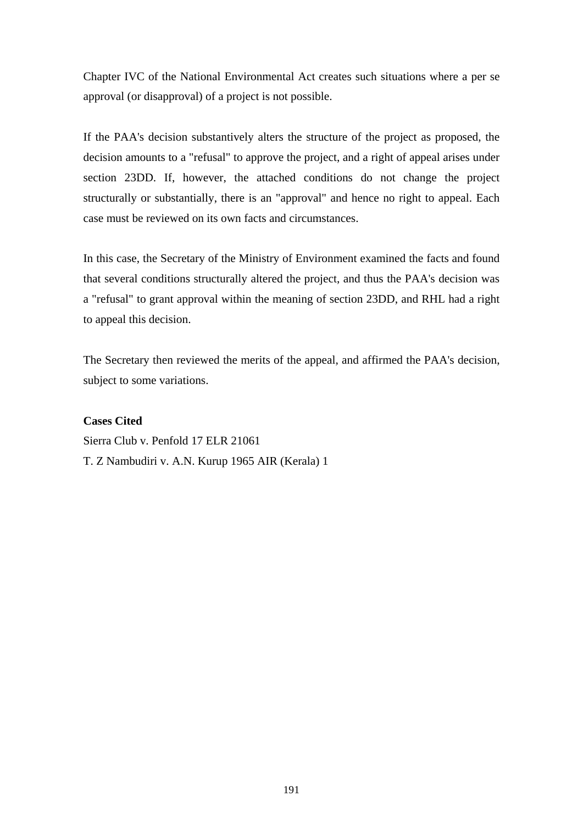Chapter IVC of the National Environmental Act creates such situations where a per se approval (or disapproval) of a project is not possible.

If the PAA's decision substantively alters the structure of the project as proposed, the decision amounts to a "refusal" to approve the project, and a right of appeal arises under section 23DD. If, however, the attached conditions do not change the project structurally or substantially, there is an "approval" and hence no right to appeal. Each case must be reviewed on its own facts and circumstances.

In this case, the Secretary of the Ministry of Environment examined the facts and found that several conditions structurally altered the project, and thus the PAA's decision was a "refusal" to grant approval within the meaning of section 23DD, and RHL had a right to appeal this decision.

The Secretary then reviewed the merits of the appeal, and affirmed the PAA's decision, subject to some variations.

# **Cases Cited**

Sierra Club v. Penfold 17 ELR 21061 T. Z Nambudiri v. A.N. Kurup 1965 AIR (Kerala) 1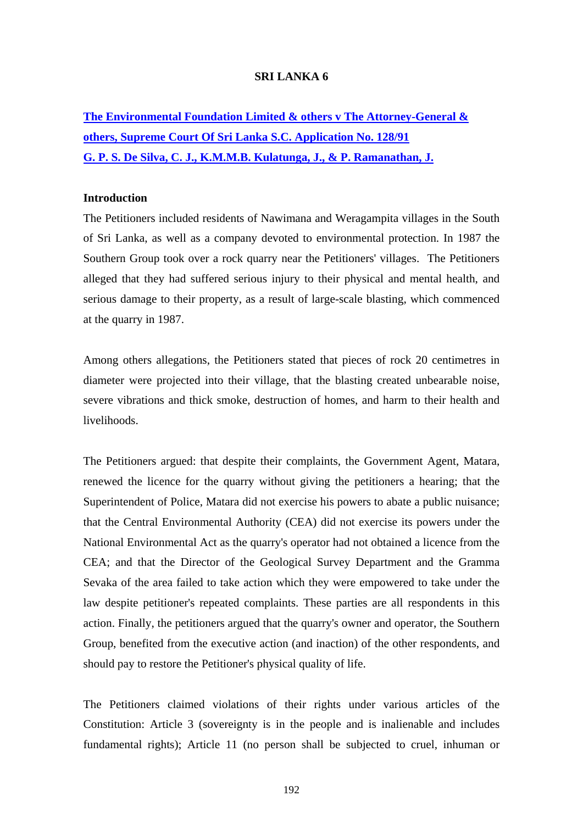## **SRI LANKA 6**

**[The Environmental Foundation Limited & others v The Attorney-General &](#page-12-0)  others, Supreme Court Of Sri Lanka S.C. Application No. 128/91 G. P. S. De Silva, C. J., K.M.M.B. Kulatunga, J., & P. Ramanathan, J.**

#### **Introduction**

The Petitioners included residents of Nawimana and Weragampita villages in the South of Sri Lanka, as well as a company devoted to environmental protection. In 1987 the Southern Group took over a rock quarry near the Petitioners' villages. The Petitioners alleged that they had suffered serious injury to their physical and mental health, and serious damage to their property, as a result of large-scale blasting, which commenced at the quarry in 1987.

Among others allegations, the Petitioners stated that pieces of rock 20 centimetres in diameter were projected into their village, that the blasting created unbearable noise, severe vibrations and thick smoke, destruction of homes, and harm to their health and livelihoods.

The Petitioners argued: that despite their complaints, the Government Agent, Matara, renewed the licence for the quarry without giving the petitioners a hearing; that the Superintendent of Police, Matara did not exercise his powers to abate a public nuisance; that the Central Environmental Authority (CEA) did not exercise its powers under the National Environmental Act as the quarry's operator had not obtained a licence from the CEA; and that the Director of the Geological Survey Department and the Gramma Sevaka of the area failed to take action which they were empowered to take under the law despite petitioner's repeated complaints. These parties are all respondents in this action. Finally, the petitioners argued that the quarry's owner and operator, the Southern Group, benefited from the executive action (and inaction) of the other respondents, and should pay to restore the Petitioner's physical quality of life.

The Petitioners claimed violations of their rights under various articles of the Constitution: Article 3 (sovereignty is in the people and is inalienable and includes fundamental rights); Article 11 (no person shall be subjected to cruel, inhuman or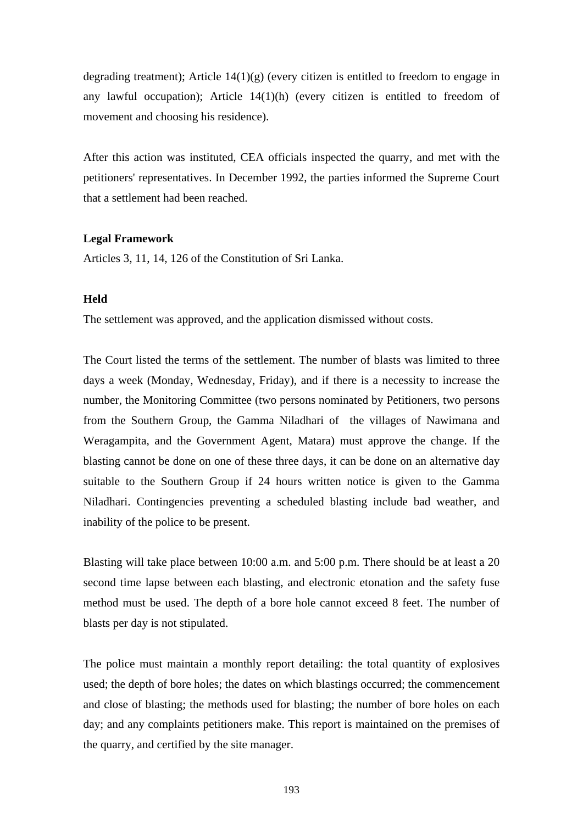degrading treatment); Article  $14(1)(g)$  (every citizen is entitled to freedom to engage in any lawful occupation); Article 14(1)(h) (every citizen is entitled to freedom of movement and choosing his residence).

After this action was instituted, CEA officials inspected the quarry, and met with the petitioners' representatives. In December 1992, the parties informed the Supreme Court that a settlement had been reached.

## **Legal Framework**

Articles 3, 11, 14, 126 of the Constitution of Sri Lanka.

## **Held**

The settlement was approved, and the application dismissed without costs.

The Court listed the terms of the settlement. The number of blasts was limited to three days a week (Monday, Wednesday, Friday), and if there is a necessity to increase the number, the Monitoring Committee (two persons nominated by Petitioners, two persons from the Southern Group, the Gamma Niladhari of the villages of Nawimana and Weragampita, and the Government Agent, Matara) must approve the change. If the blasting cannot be done on one of these three days, it can be done on an alternative day suitable to the Southern Group if 24 hours written notice is given to the Gamma Niladhari. Contingencies preventing a scheduled blasting include bad weather, and inability of the police to be present.

Blasting will take place between 10:00 a.m. and 5:00 p.m. There should be at least a 20 second time lapse between each blasting, and electronic etonation and the safety fuse method must be used. The depth of a bore hole cannot exceed 8 feet. The number of blasts per day is not stipulated.

The police must maintain a monthly report detailing: the total quantity of explosives used; the depth of bore holes; the dates on which blastings occurred; the commencement and close of blasting; the methods used for blasting; the number of bore holes on each day; and any complaints petitioners make. This report is maintained on the premises of the quarry, and certified by the site manager.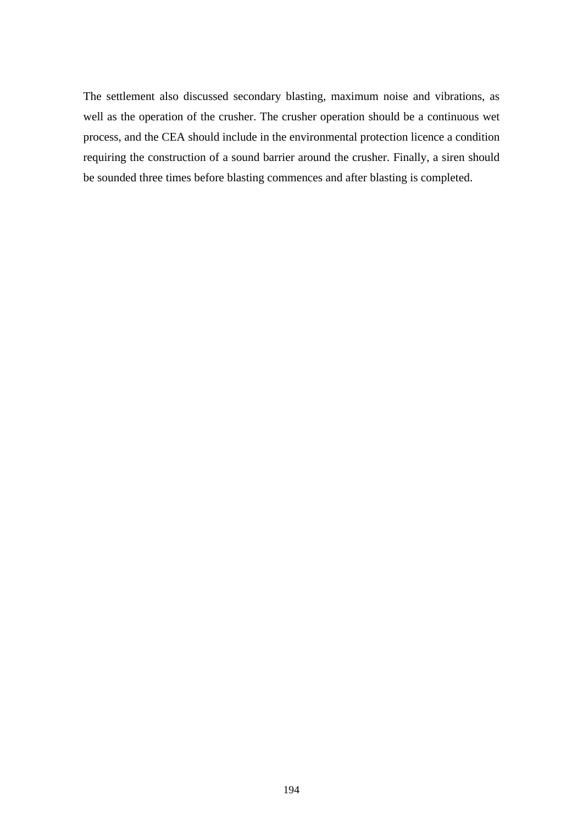The settlement also discussed secondary blasting, maximum noise and vibrations, as well as the operation of the crusher. The crusher operation should be a continuous wet process, and the CEA should include in the environmental protection licence a condition requiring the construction of a sound barrier around the crusher. Finally, a siren should be sounded three times before blasting commences and after blasting is completed.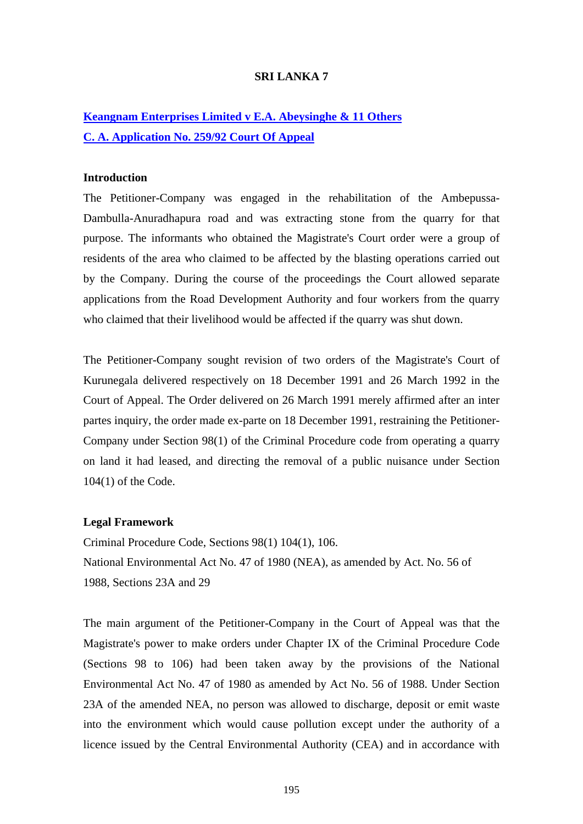## **SRI LANKA 7**

# **[Keangnam Enterprises Limited v E.A. Abeysinghe & 11 Others](#page-12-0) C. A. Application No. 259/92 Court Of Appeal**

#### **Introduction**

The Petitioner-Company was engaged in the rehabilitation of the Ambepussa-Dambulla-Anuradhapura road and was extracting stone from the quarry for that purpose. The informants who obtained the Magistrate's Court order were a group of residents of the area who claimed to be affected by the blasting operations carried out by the Company. During the course of the proceedings the Court allowed separate applications from the Road Development Authority and four workers from the quarry who claimed that their livelihood would be affected if the quarry was shut down.

The Petitioner-Company sought revision of two orders of the Magistrate's Court of Kurunegala delivered respectively on 18 December 1991 and 26 March 1992 in the Court of Appeal. The Order delivered on 26 March 1991 merely affirmed after an inter partes inquiry, the order made ex-parte on 18 December 1991, restraining the Petitioner-Company under Section 98(1) of the Criminal Procedure code from operating a quarry on land it had leased, and directing the removal of a public nuisance under Section 104(1) of the Code.

### **Legal Framework**

Criminal Procedure Code, Sections 98(1) 104(1), 106. National Environmental Act No. 47 of 1980 (NEA), as amended by Act. No. 56 of 1988, Sections 23A and 29

The main argument of the Petitioner-Company in the Court of Appeal was that the Magistrate's power to make orders under Chapter IX of the Criminal Procedure Code (Sections 98 to 106) had been taken away by the provisions of the National Environmental Act No. 47 of 1980 as amended by Act No. 56 of 1988. Under Section 23A of the amended NEA, no person was allowed to discharge, deposit or emit waste into the environment which would cause pollution except under the authority of a licence issued by the Central Environmental Authority (CEA) and in accordance with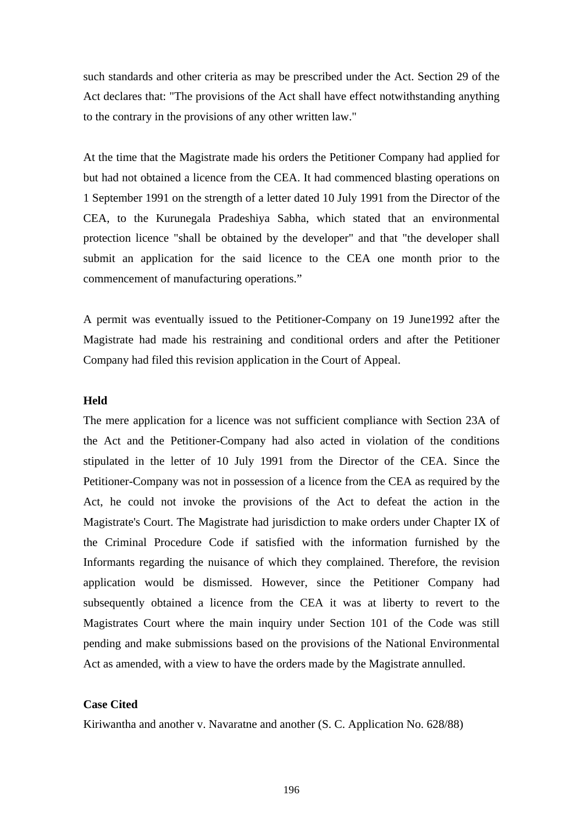such standards and other criteria as may be prescribed under the Act. Section 29 of the Act declares that: "The provisions of the Act shall have effect notwithstanding anything to the contrary in the provisions of any other written law."

At the time that the Magistrate made his orders the Petitioner Company had applied for but had not obtained a licence from the CEA. It had commenced blasting operations on 1 September 1991 on the strength of a letter dated 10 July 1991 from the Director of the CEA, to the Kurunegala Pradeshiya Sabha, which stated that an environmental protection licence "shall be obtained by the developer" and that "the developer shall submit an application for the said licence to the CEA one month prior to the commencement of manufacturing operations."

A permit was eventually issued to the Petitioner-Company on 19 June1992 after the Magistrate had made his restraining and conditional orders and after the Petitioner Company had filed this revision application in the Court of Appeal.

## **Held**

The mere application for a licence was not sufficient compliance with Section 23A of the Act and the Petitioner-Company had also acted in violation of the conditions stipulated in the letter of 10 July 1991 from the Director of the CEA. Since the Petitioner-Company was not in possession of a licence from the CEA as required by the Act, he could not invoke the provisions of the Act to defeat the action in the Magistrate's Court. The Magistrate had jurisdiction to make orders under Chapter IX of the Criminal Procedure Code if satisfied with the information furnished by the Informants regarding the nuisance of which they complained. Therefore, the revision application would be dismissed. However, since the Petitioner Company had subsequently obtained a licence from the CEA it was at liberty to revert to the Magistrates Court where the main inquiry under Section 101 of the Code was still pending and make submissions based on the provisions of the National Environmental Act as amended, with a view to have the orders made by the Magistrate annulled.

## **Case Cited**

Kiriwantha and another v. Navaratne and another (S. C. Application No. 628/88)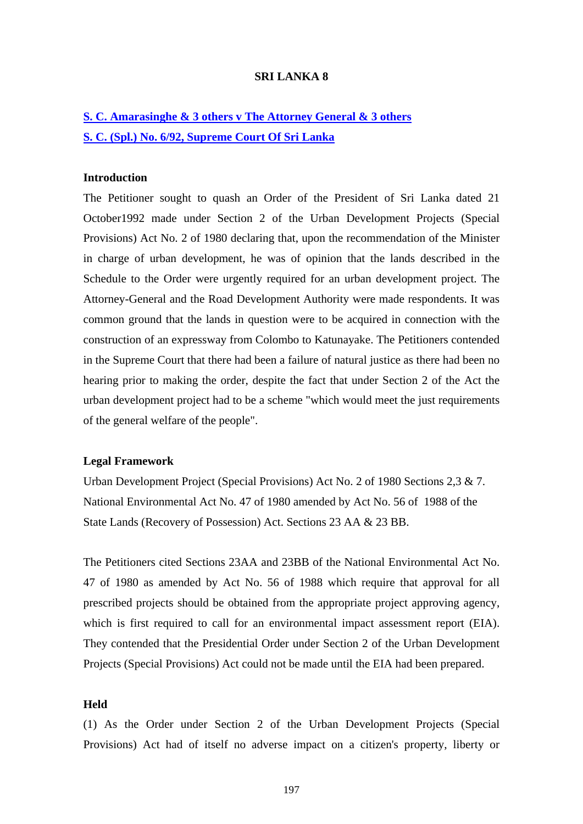## **SRI LANKA 8**

# **[S. C. Amarasinghe & 3 others v The Attorney General & 3 others](#page-12-0) S. C. (Spl.) No. 6/92, Supreme Court Of Sri Lanka**

#### **Introduction**

The Petitioner sought to quash an Order of the President of Sri Lanka dated 21 October1992 made under Section 2 of the Urban Development Projects (Special Provisions) Act No. 2 of 1980 declaring that, upon the recommendation of the Minister in charge of urban development, he was of opinion that the lands described in the Schedule to the Order were urgently required for an urban development project. The Attorney-General and the Road Development Authority were made respondents. It was common ground that the lands in question were to be acquired in connection with the construction of an expressway from Colombo to Katunayake. The Petitioners contended in the Supreme Court that there had been a failure of natural justice as there had been no hearing prior to making the order, despite the fact that under Section 2 of the Act the urban development project had to be a scheme "which would meet the just requirements of the general welfare of the people".

#### **Legal Framework**

Urban Development Project (Special Provisions) Act No. 2 of 1980 Sections 2,3 & 7. National Environmental Act No. 47 of 1980 amended by Act No. 56 of 1988 of the State Lands (Recovery of Possession) Act. Sections 23 AA & 23 BB.

The Petitioners cited Sections 23AA and 23BB of the National Environmental Act No. 47 of 1980 as amended by Act No. 56 of 1988 which require that approval for all prescribed projects should be obtained from the appropriate project approving agency, which is first required to call for an environmental impact assessment report (EIA). They contended that the Presidential Order under Section 2 of the Urban Development Projects (Special Provisions) Act could not be made until the EIA had been prepared.

## **Held**

(1) As the Order under Section 2 of the Urban Development Projects (Special Provisions) Act had of itself no adverse impact on a citizen's property, liberty or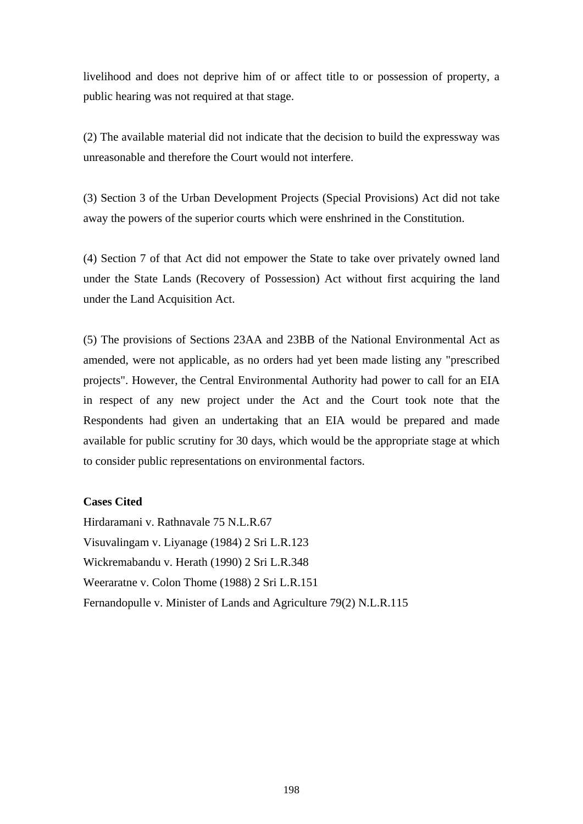livelihood and does not deprive him of or affect title to or possession of property, a public hearing was not required at that stage.

(2) The available material did not indicate that the decision to build the expressway was unreasonable and therefore the Court would not interfere.

(3) Section 3 of the Urban Development Projects (Special Provisions) Act did not take away the powers of the superior courts which were enshrined in the Constitution.

(4) Section 7 of that Act did not empower the State to take over privately owned land under the State Lands (Recovery of Possession) Act without first acquiring the land under the Land Acquisition Act.

(5) The provisions of Sections 23AA and 23BB of the National Environmental Act as amended, were not applicable, as no orders had yet been made listing any "prescribed projects". However, the Central Environmental Authority had power to call for an EIA in respect of any new project under the Act and the Court took note that the Respondents had given an undertaking that an EIA would be prepared and made available for public scrutiny for 30 days, which would be the appropriate stage at which to consider public representations on environmental factors.

# **Cases Cited**

Hirdaramani v. Rathnavale 75 N.L.R.67 Visuvalingam v. Liyanage (1984) 2 Sri L.R.123 Wickremabandu v. Herath (1990) 2 Sri L.R.348 Weeraratne v. Colon Thome (1988) 2 Sri L.R.151 Fernandopulle v. Minister of Lands and Agriculture 79(2) N.L.R.115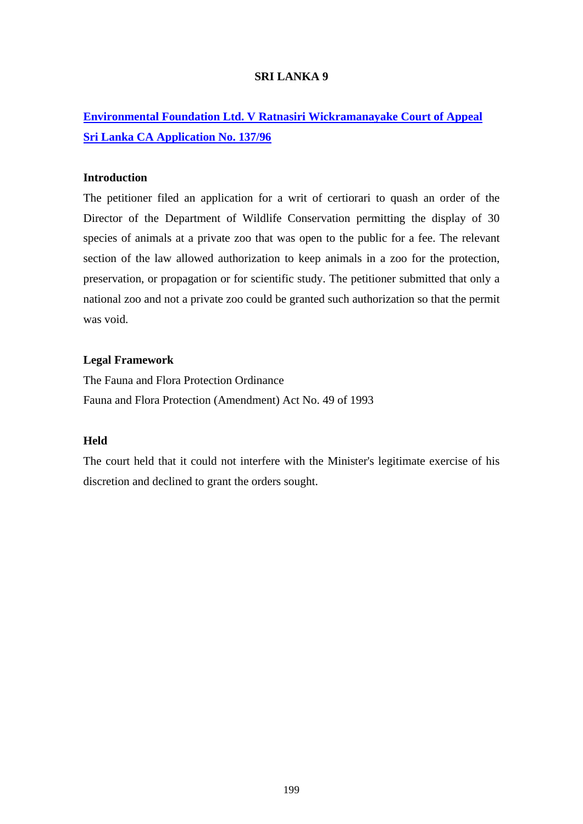# **SRI LANKA 9**

# **[Environmental Foundation Ltd. V Ratnasiri Wickramanayake Court of Appeal](#page-12-0)  Sri Lanka CA Application No. 137/96**

## **Introduction**

The petitioner filed an application for a writ of certiorari to quash an order of the Director of the Department of Wildlife Conservation permitting the display of 30 species of animals at a private zoo that was open to the public for a fee. The relevant section of the law allowed authorization to keep animals in a zoo for the protection, preservation, or propagation or for scientific study. The petitioner submitted that only a national zoo and not a private zoo could be granted such authorization so that the permit was void.

# **Legal Framework**

The Fauna and Flora Protection Ordinance Fauna and Flora Protection (Amendment) Act No. 49 of 1993

# **Held**

The court held that it could not interfere with the Minister's legitimate exercise of his discretion and declined to grant the orders sought.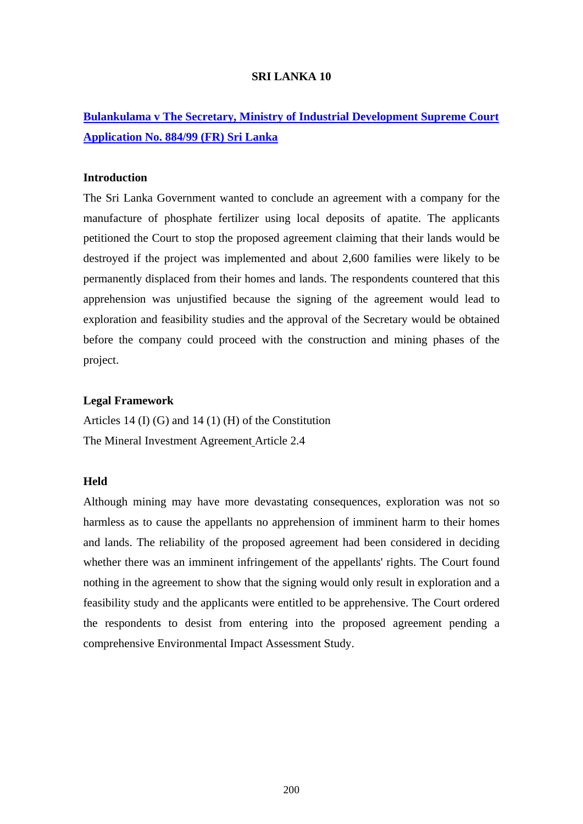## **SRI LANKA 10**

# **[Bulankulama v The Secretary, Ministry of Industrial Development Supreme Court](#page-12-0)  Application No. 884/99 (FR) Sri Lanka**

#### **Introduction**

The Sri Lanka Government wanted to conclude an agreement with a company for the manufacture of phosphate fertilizer using local deposits of apatite. The applicants petitioned the Court to stop the proposed agreement claiming that their lands would be destroyed if the project was implemented and about 2,600 families were likely to be permanently displaced from their homes and lands. The respondents countered that this apprehension was unjustified because the signing of the agreement would lead to exploration and feasibility studies and the approval of the Secretary would be obtained before the company could proceed with the construction and mining phases of the project.

## **Legal Framework**

Articles 14 (I) (G) and 14 (1) (H) of the Constitution The Mineral Investment Agreement Article 2.4

## **Held**

Although mining may have more devastating consequences, exploration was not so harmless as to cause the appellants no apprehension of imminent harm to their homes and lands. The reliability of the proposed agreement had been considered in deciding whether there was an imminent infringement of the appellants' rights. The Court found nothing in the agreement to show that the signing would only result in exploration and a feasibility study and the applicants were entitled to be apprehensive. The Court ordered the respondents to desist from entering into the proposed agreement pending a comprehensive Environmental Impact Assessment Study.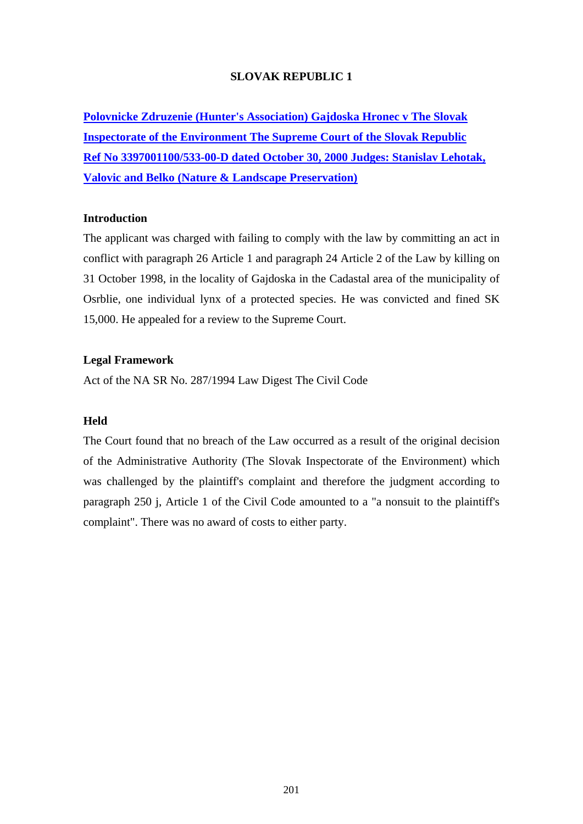# **SLOVAK REPUBLIC 1**

**[Polovnicke Zdruzenie \(Hunter's Association\) Gajdoska Hronec v The Slovak](#page-13-0)  [Inspectorate of the Environment The Supreme Court of the Slovak Republic](#page-13-0) [Ref No 3397001100/533-00-D dated October 30, 2000 Judges: Stanislav Lehotak,](#page-13-0)  [Valovic and Belko \(Nature & Landscape Preservation\)](#page-13-0)**

## **Introduction**

The applicant was charged with failing to comply with the law by committing an act in conflict with paragraph 26 Article 1 and paragraph 24 Article 2 of the Law by killing on 31 October 1998, in the locality of Gajdoska in the Cadastal area of the municipality of Osrblie, one individual lynx of a protected species. He was convicted and fined SK 15,000. He appealed for a review to the Supreme Court.

## **Legal Framework**

Act of the NA SR No. 287/1994 Law Digest The Civil Code

# **Held**

The Court found that no breach of the Law occurred as a result of the original decision of the Administrative Authority (The Slovak Inspectorate of the Environment) which was challenged by the plaintiff's complaint and therefore the judgment according to paragraph 250 j, Article 1 of the Civil Code amounted to a "a nonsuit to the plaintiff's complaint". There was no award of costs to either party.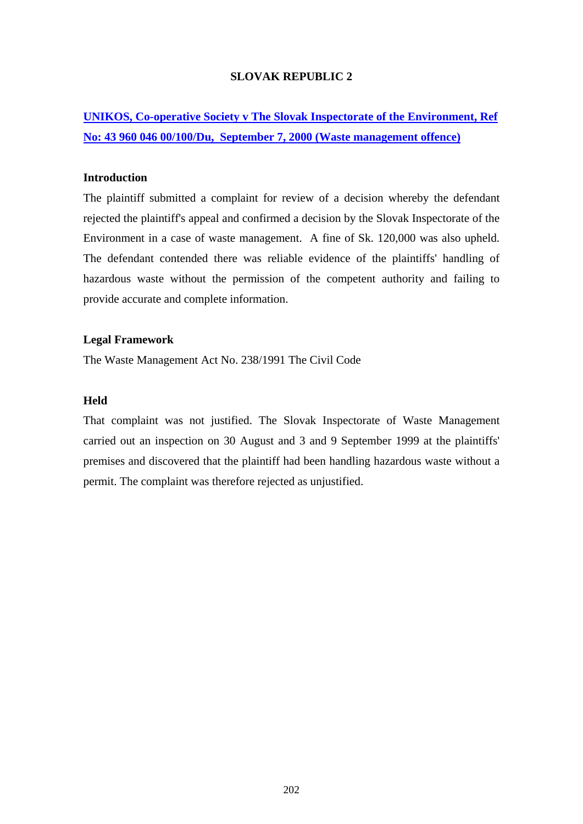# **SLOVAK REPUBLIC 2**

# **[UNIKOS, Co-operative Society v The Slovak Inspectorate of the Environment, Ref](#page-13-0)  [No: 43 960 046 00/100/Du, September 7, 2000 \(Waste management offence\)](#page-13-0)**

## **Introduction**

The plaintiff submitted a complaint for review of a decision whereby the defendant rejected the plaintiff's appeal and confirmed a decision by the Slovak Inspectorate of the Environment in a case of waste management. A fine of Sk. 120,000 was also upheld. The defendant contended there was reliable evidence of the plaintiffs' handling of hazardous waste without the permission of the competent authority and failing to provide accurate and complete information.

### **Legal Framework**

The Waste Management Act No. 238/1991 The Civil Code

### **Held**

That complaint was not justified. The Slovak Inspectorate of Waste Management carried out an inspection on 30 August and 3 and 9 September 1999 at the plaintiffs' premises and discovered that the plaintiff had been handling hazardous waste without a permit. The complaint was therefore rejected as unjustified.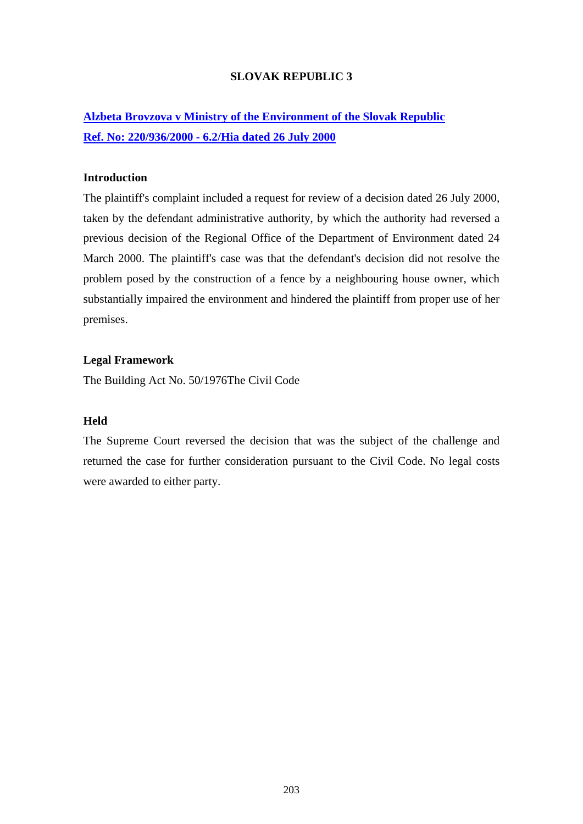# **SLOVAK REPUBLIC 3**

# **[Alzbeta Brovzova v Ministry of the Environment of the Slovak Republic](#page-13-0) [Ref. No: 220/936/2000 - 6.2/Hia dated 26 July 2000](#page-13-0)**

## **Introduction**

The plaintiff's complaint included a request for review of a decision dated 26 July 2000, taken by the defendant administrative authority, by which the authority had reversed a previous decision of the Regional Office of the Department of Environment dated 24 March 2000. The plaintiff's case was that the defendant's decision did not resolve the problem posed by the construction of a fence by a neighbouring house owner, which substantially impaired the environment and hindered the plaintiff from proper use of her premises.

### **Legal Framework**

The Building Act No. 50/1976The Civil Code

# **Held**

The Supreme Court reversed the decision that was the subject of the challenge and returned the case for further consideration pursuant to the Civil Code. No legal costs were awarded to either party.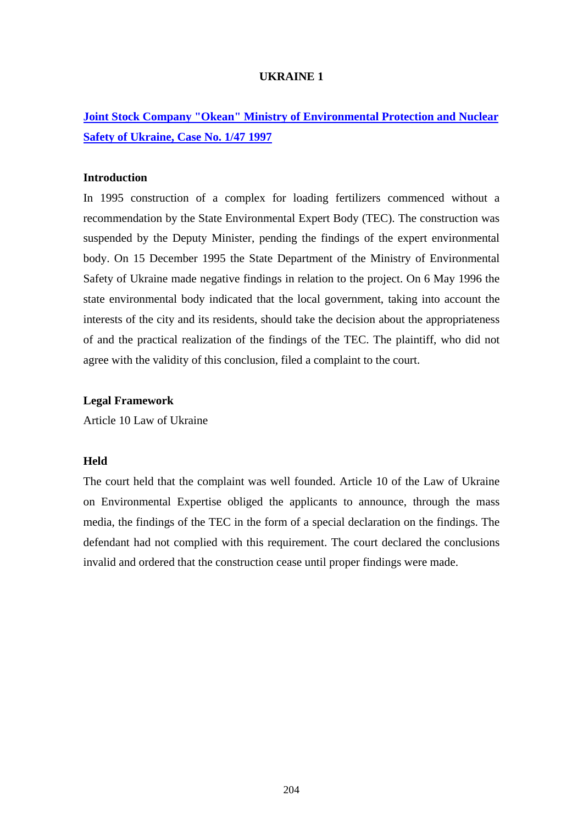## **UKRAINE 1**

# **[Joint Stock Company "Okean" Ministry of Environmental Protection and Nuclear](#page-13-0)  [Safety of Ukraine, Case No. 1/47 1997](#page-13-0)**

#### **Introduction**

In 1995 construction of a complex for loading fertilizers commenced without a recommendation by the State Environmental Expert Body (TEC). The construction was suspended by the Deputy Minister, pending the findings of the expert environmental body. On 15 December 1995 the State Department of the Ministry of Environmental Safety of Ukraine made negative findings in relation to the project. On 6 May 1996 the state environmental body indicated that the local government, taking into account the interests of the city and its residents, should take the decision about the appropriateness of and the practical realization of the findings of the TEC. The plaintiff, who did not agree with the validity of this conclusion, filed a complaint to the court.

### **Legal Framework**

Article 10 Law of Ukraine

## **Held**

The court held that the complaint was well founded. Article 10 of the Law of Ukraine on Environmental Expertise obliged the applicants to announce, through the mass media, the findings of the TEC in the form of a special declaration on the findings. The defendant had not complied with this requirement. The court declared the conclusions invalid and ordered that the construction cease until proper findings were made.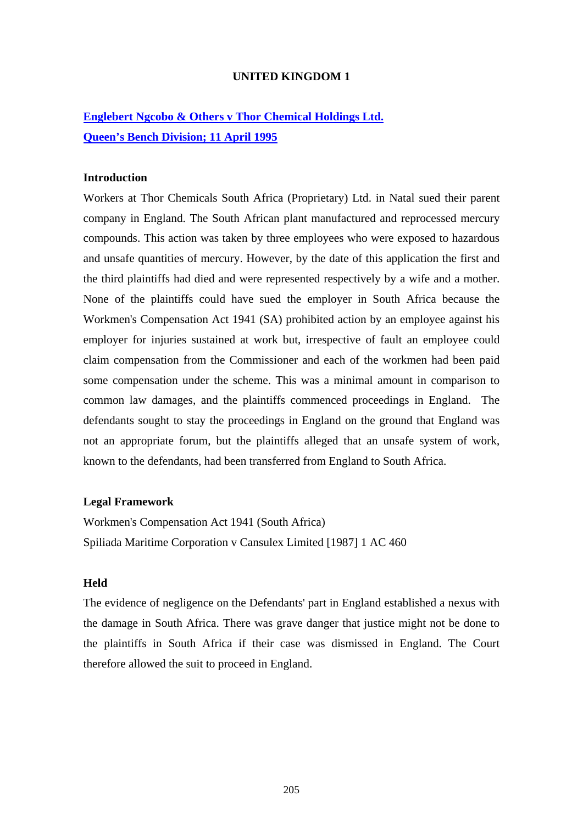# **[Englebert Ngcobo & Others v Thor Chemical Holdings Ltd.](#page-13-0) [Queen's Bench Division; 11 April 1995](#page-13-0)**

#### **Introduction**

Workers at Thor Chemicals South Africa (Proprietary) Ltd. in Natal sued their parent company in England. The South African plant manufactured and reprocessed mercury compounds. This action was taken by three employees who were exposed to hazardous and unsafe quantities of mercury. However, by the date of this application the first and the third plaintiffs had died and were represented respectively by a wife and a mother. None of the plaintiffs could have sued the employer in South Africa because the Workmen's Compensation Act 1941 (SA) prohibited action by an employee against his employer for injuries sustained at work but, irrespective of fault an employee could claim compensation from the Commissioner and each of the workmen had been paid some compensation under the scheme. This was a minimal amount in comparison to common law damages, and the plaintiffs commenced proceedings in England. The defendants sought to stay the proceedings in England on the ground that England was not an appropriate forum, but the plaintiffs alleged that an unsafe system of work, known to the defendants, had been transferred from England to South Africa.

### **Legal Framework**

Workmen's Compensation Act 1941 (South Africa) Spiliada Maritime Corporation v Cansulex Limited [1987] 1 AC 460

# **Held**

The evidence of negligence on the Defendants' part in England established a nexus with the damage in South Africa. There was grave danger that justice might not be done to the plaintiffs in South Africa if their case was dismissed in England. The Court therefore allowed the suit to proceed in England.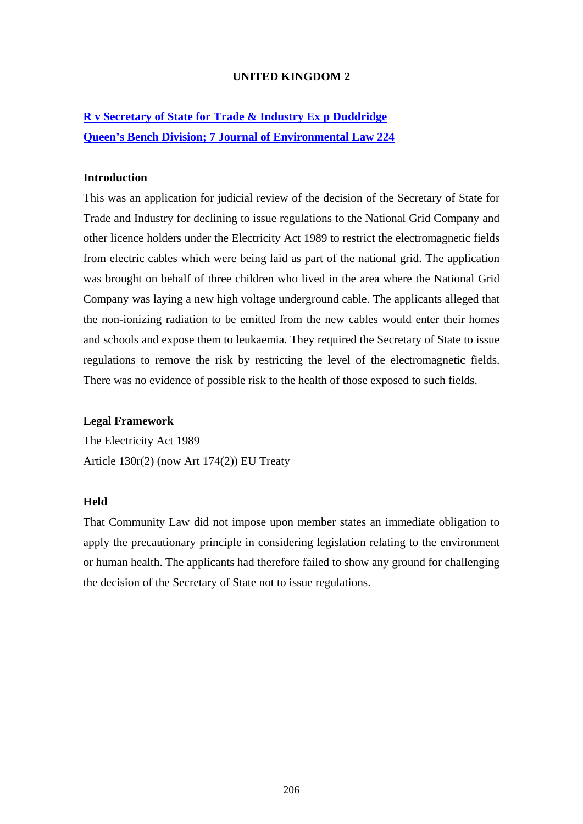# **[R v Secretary of State for Trade & Industry Ex p Duddridge](#page-13-0) [Queen's Bench Division; 7 Journal of Environmental Law 224](#page-13-0)**

## **Introduction**

This was an application for judicial review of the decision of the Secretary of State for Trade and Industry for declining to issue regulations to the National Grid Company and other licence holders under the Electricity Act 1989 to restrict the electromagnetic fields from electric cables which were being laid as part of the national grid. The application was brought on behalf of three children who lived in the area where the National Grid Company was laying a new high voltage underground cable. The applicants alleged that the non-ionizing radiation to be emitted from the new cables would enter their homes and schools and expose them to leukaemia. They required the Secretary of State to issue regulations to remove the risk by restricting the level of the electromagnetic fields. There was no evidence of possible risk to the health of those exposed to such fields.

### **Legal Framework**

The Electricity Act 1989 Article 130r(2) (now Art 174(2)) EU Treaty

# **Held**

That Community Law did not impose upon member states an immediate obligation to apply the precautionary principle in considering legislation relating to the environment or human health. The applicants had therefore failed to show any ground for challenging the decision of the Secretary of State not to issue regulations.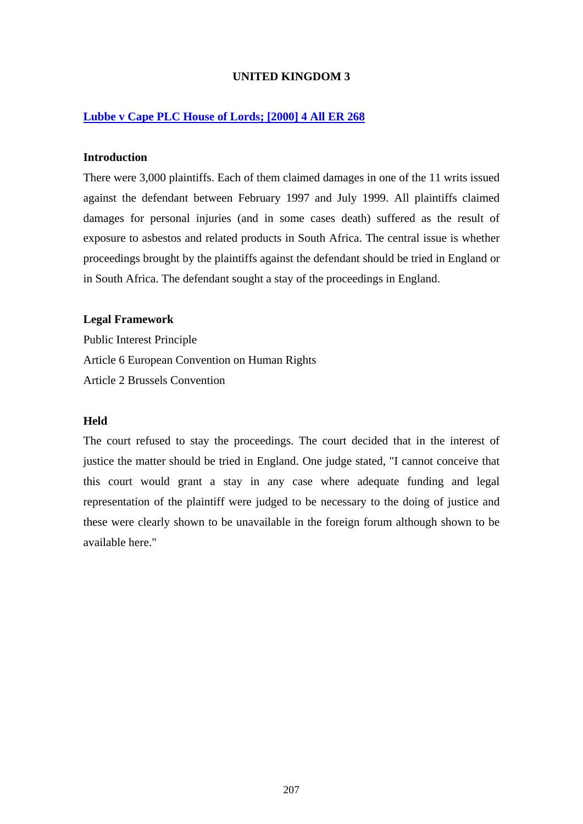# **[Lubbe v Cape PLC House of Lords; \[2000\] 4 All ER 268](#page-13-0)**

## **Introduction**

There were 3,000 plaintiffs. Each of them claimed damages in one of the 11 writs issued against the defendant between February 1997 and July 1999. All plaintiffs claimed damages for personal injuries (and in some cases death) suffered as the result of exposure to asbestos and related products in South Africa. The central issue is whether proceedings brought by the plaintiffs against the defendant should be tried in England or in South Africa. The defendant sought a stay of the proceedings in England.

# **Legal Framework**

Public Interest Principle Article 6 European Convention on Human Rights Article 2 Brussels Convention

#### **Held**

The court refused to stay the proceedings. The court decided that in the interest of justice the matter should be tried in England. One judge stated, "I cannot conceive that this court would grant a stay in any case where adequate funding and legal representation of the plaintiff were judged to be necessary to the doing of justice and these were clearly shown to be unavailable in the foreign forum although shown to be available here."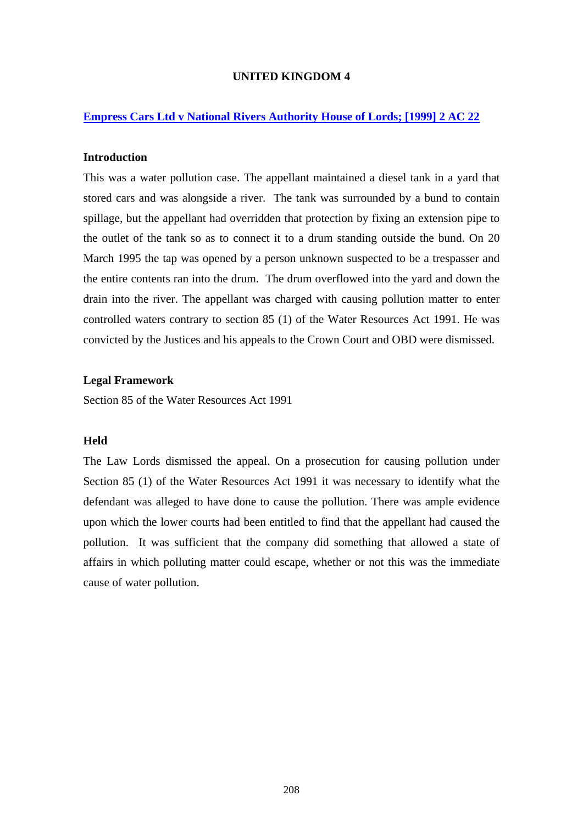# **[Empress Cars Ltd v National Rivers Authority House of Lords; \[1999\] 2 AC 22](#page-13-0)**

## **Introduction**

This was a water pollution case. The appellant maintained a diesel tank in a yard that stored cars and was alongside a river. The tank was surrounded by a bund to contain spillage, but the appellant had overridden that protection by fixing an extension pipe to the outlet of the tank so as to connect it to a drum standing outside the bund. On 20 March 1995 the tap was opened by a person unknown suspected to be a trespasser and the entire contents ran into the drum. The drum overflowed into the yard and down the drain into the river. The appellant was charged with causing pollution matter to enter controlled waters contrary to section 85 (1) of the Water Resources Act 1991. He was convicted by the Justices and his appeals to the Crown Court and OBD were dismissed.

# **Legal Framework**

Section 85 of the Water Resources Act 1991

## **Held**

The Law Lords dismissed the appeal. On a prosecution for causing pollution under Section 85 (1) of the Water Resources Act 1991 it was necessary to identify what the defendant was alleged to have done to cause the pollution. There was ample evidence upon which the lower courts had been entitled to find that the appellant had caused the pollution. It was sufficient that the company did something that allowed a state of affairs in which polluting matter could escape, whether or not this was the immediate cause of water pollution.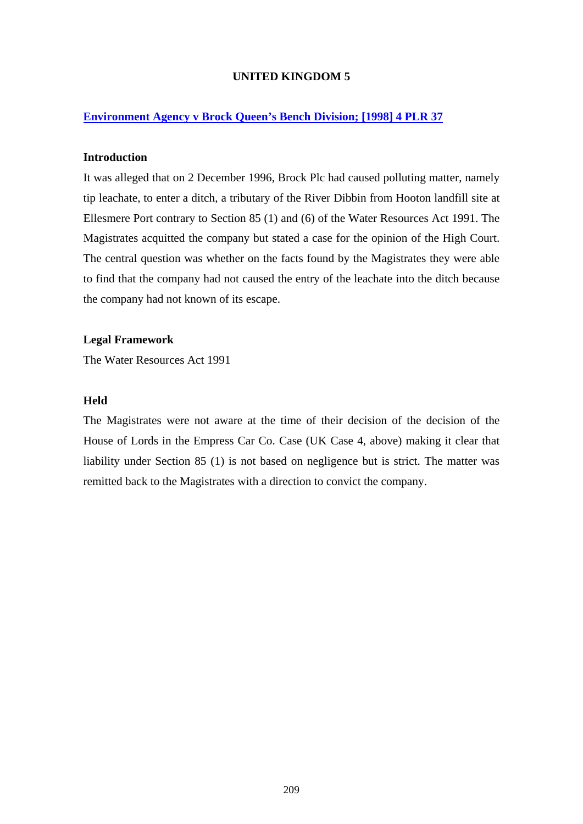# **[Environment Agency v Brock Queen's Bench Division; \[1998\] 4 PLR 37](#page-13-0)**

## **Introduction**

It was alleged that on 2 December 1996, Brock Plc had caused polluting matter, namely tip leachate, to enter a ditch, a tributary of the River Dibbin from Hooton landfill site at Ellesmere Port contrary to Section 85 (1) and (6) of the Water Resources Act 1991. The Magistrates acquitted the company but stated a case for the opinion of the High Court. The central question was whether on the facts found by the Magistrates they were able to find that the company had not caused the entry of the leachate into the ditch because the company had not known of its escape.

## **Legal Framework**

The Water Resources Act 1991

## **Held**

The Magistrates were not aware at the time of their decision of the decision of the House of Lords in the Empress Car Co. Case (UK Case 4, above) making it clear that liability under Section 85 (1) is not based on negligence but is strict. The matter was remitted back to the Magistrates with a direction to convict the company.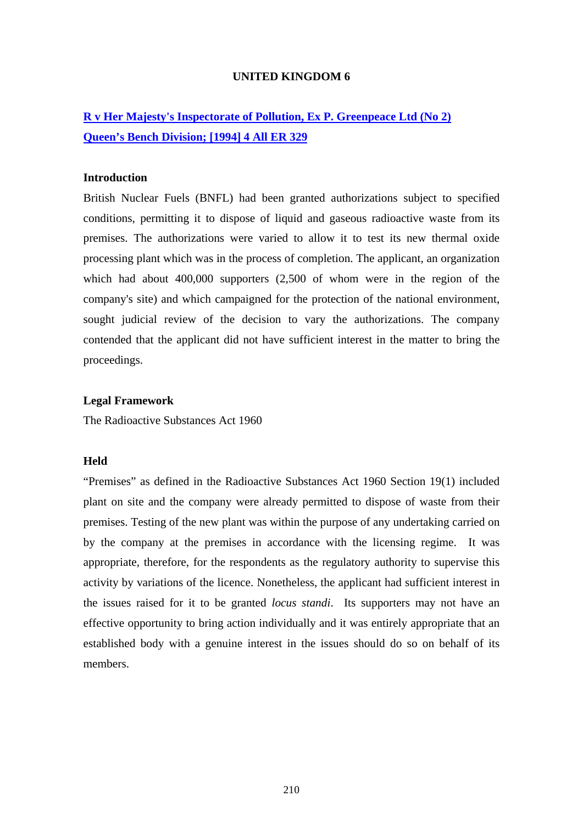# **[R v Her Majesty's Inspectorate of Pollution, Ex P. Greenpeace Ltd \(No 2\)](#page-13-0) [Queen's Bench Division; \[1994\] 4 All ER 329](#page-13-0)**

#### **Introduction**

British Nuclear Fuels (BNFL) had been granted authorizations subject to specified conditions, permitting it to dispose of liquid and gaseous radioactive waste from its premises. The authorizations were varied to allow it to test its new thermal oxide processing plant which was in the process of completion. The applicant, an organization which had about 400,000 supporters (2,500 of whom were in the region of the company's site) and which campaigned for the protection of the national environment, sought judicial review of the decision to vary the authorizations. The company contended that the applicant did not have sufficient interest in the matter to bring the proceedings.

### **Legal Framework**

The Radioactive Substances Act 1960

#### **Held**

"Premises" as defined in the Radioactive Substances Act 1960 Section 19(1) included plant on site and the company were already permitted to dispose of waste from their premises. Testing of the new plant was within the purpose of any undertaking carried on by the company at the premises in accordance with the licensing regime. It was appropriate, therefore, for the respondents as the regulatory authority to supervise this activity by variations of the licence. Nonetheless, the applicant had sufficient interest in the issues raised for it to be granted *locus standi*. Its supporters may not have an effective opportunity to bring action individually and it was entirely appropriate that an established body with a genuine interest in the issues should do so on behalf of its members.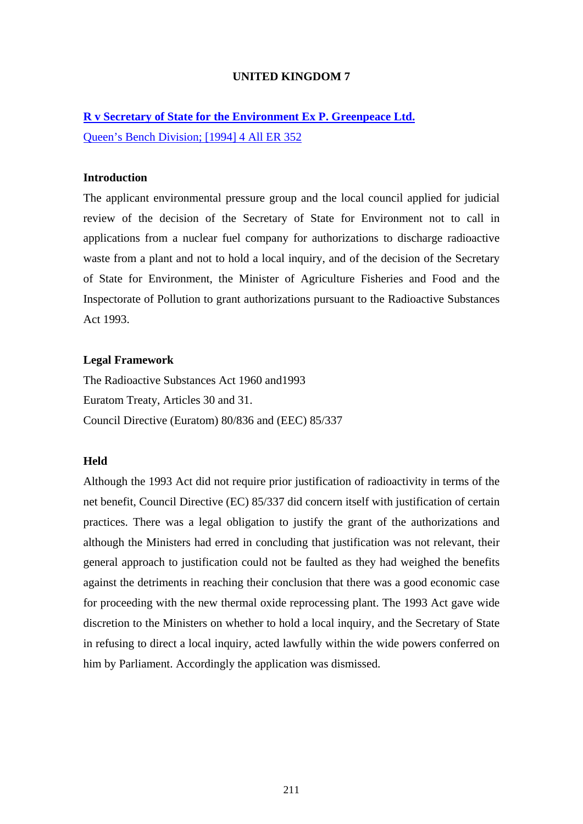# **[R v Secretary of State for the Environment Ex P. Greenpeace Ltd.](#page-13-0)** [Queen's Bench Division; \[1994\] 4 All ER 352](#page-13-0)

### **Introduction**

The applicant environmental pressure group and the local council applied for judicial review of the decision of the Secretary of State for Environment not to call in applications from a nuclear fuel company for authorizations to discharge radioactive waste from a plant and not to hold a local inquiry, and of the decision of the Secretary of State for Environment, the Minister of Agriculture Fisheries and Food and the Inspectorate of Pollution to grant authorizations pursuant to the Radioactive Substances Act 1993.

## **Legal Framework**

The Radioactive Substances Act 1960 and1993 Euratom Treaty, Articles 30 and 31. Council Directive (Euratom) 80/836 and (EEC) 85/337

### **Held**

Although the 1993 Act did not require prior justification of radioactivity in terms of the net benefit, Council Directive (EC) 85/337 did concern itself with justification of certain practices. There was a legal obligation to justify the grant of the authorizations and although the Ministers had erred in concluding that justification was not relevant, their general approach to justification could not be faulted as they had weighed the benefits against the detriments in reaching their conclusion that there was a good economic case for proceeding with the new thermal oxide reprocessing plant. The 1993 Act gave wide discretion to the Ministers on whether to hold a local inquiry, and the Secretary of State in refusing to direct a local inquiry, acted lawfully within the wide powers conferred on him by Parliament. Accordingly the application was dismissed.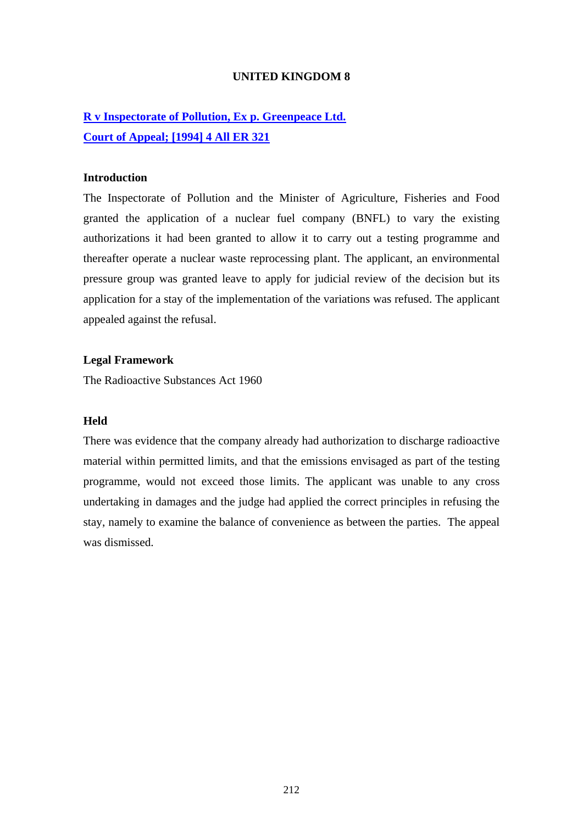# **[R v Inspectorate of Pollution, Ex p. Greenpeace Ltd.](#page-13-1) Court of Appeal; [1994] 4 All ER 321**

### **Introduction**

The Inspectorate of Pollution and the Minister of Agriculture, Fisheries and Food granted the application of a nuclear fuel company (BNFL) to vary the existing authorizations it had been granted to allow it to carry out a testing programme and thereafter operate a nuclear waste reprocessing plant. The applicant, an environmental pressure group was granted leave to apply for judicial review of the decision but its application for a stay of the implementation of the variations was refused. The applicant appealed against the refusal.

#### **Legal Framework**

The Radioactive Substances Act 1960

#### **Held**

There was evidence that the company already had authorization to discharge radioactive material within permitted limits, and that the emissions envisaged as part of the testing programme, would not exceed those limits. The applicant was unable to any cross undertaking in damages and the judge had applied the correct principles in refusing the stay, namely to examine the balance of convenience as between the parties. The appeal was dismissed.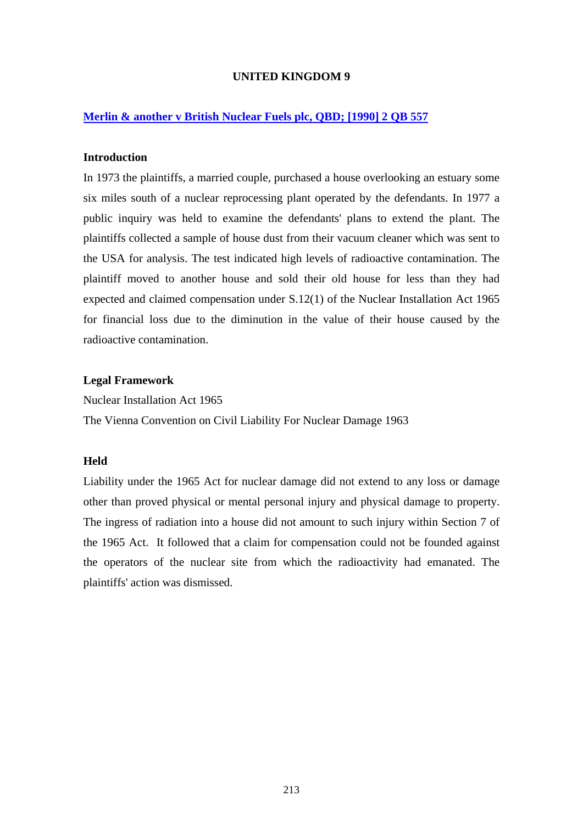## **[Merlin & another v British Nuclear Fuels plc, QBD; \[1990\] 2 QB 557](#page-13-1)**

## **Introduction**

In 1973 the plaintiffs, a married couple, purchased a house overlooking an estuary some six miles south of a nuclear reprocessing plant operated by the defendants. In 1977 a public inquiry was held to examine the defendants' plans to extend the plant. The plaintiffs collected a sample of house dust from their vacuum cleaner which was sent to the USA for analysis. The test indicated high levels of radioactive contamination. The plaintiff moved to another house and sold their old house for less than they had expected and claimed compensation under S.12(1) of the Nuclear Installation Act 1965 for financial loss due to the diminution in the value of their house caused by the radioactive contamination.

# **Legal Framework**

Nuclear Installation Act 1965 The Vienna Convention on Civil Liability For Nuclear Damage 1963

## **Held**

Liability under the 1965 Act for nuclear damage did not extend to any loss or damage other than proved physical or mental personal injury and physical damage to property. The ingress of radiation into a house did not amount to such injury within Section 7 of the 1965 Act. It followed that a claim for compensation could not be founded against the operators of the nuclear site from which the radioactivity had emanated. The plaintiffs' action was dismissed.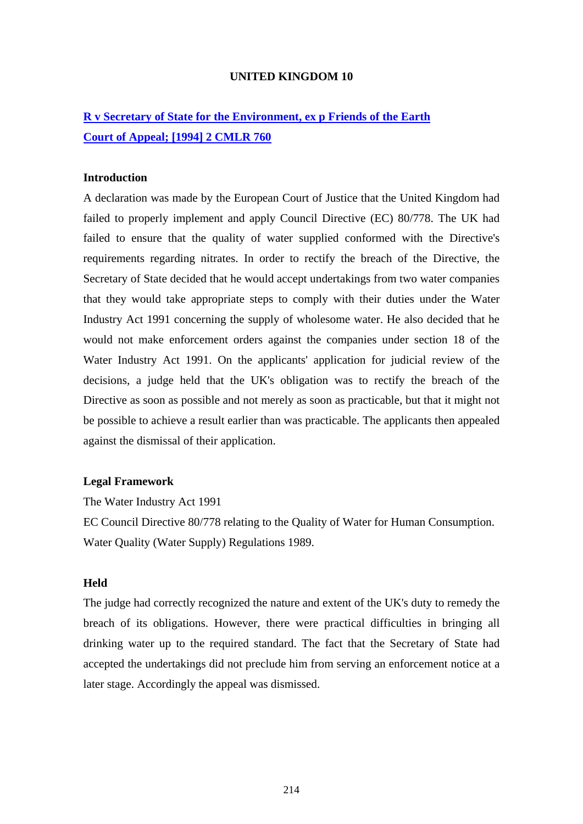# **[R v Secretary of State for the Environment, ex p Friends of the Earth](#page-13-1)  Court of Appeal; [1994] 2 CMLR 760**

### **Introduction**

A declaration was made by the European Court of Justice that the United Kingdom had failed to properly implement and apply Council Directive (EC) 80/778. The UK had failed to ensure that the quality of water supplied conformed with the Directive's requirements regarding nitrates. In order to rectify the breach of the Directive, the Secretary of State decided that he would accept undertakings from two water companies that they would take appropriate steps to comply with their duties under the Water Industry Act 1991 concerning the supply of wholesome water. He also decided that he would not make enforcement orders against the companies under section 18 of the Water Industry Act 1991. On the applicants' application for judicial review of the decisions, a judge held that the UK's obligation was to rectify the breach of the Directive as soon as possible and not merely as soon as practicable, but that it might not be possible to achieve a result earlier than was practicable. The applicants then appealed against the dismissal of their application.

## **Legal Framework**

The Water Industry Act 1991

EC Council Directive 80/778 relating to the Quality of Water for Human Consumption. Water Quality (Water Supply) Regulations 1989.

# **Held**

The judge had correctly recognized the nature and extent of the UK's duty to remedy the breach of its obligations. However, there were practical difficulties in bringing all drinking water up to the required standard. The fact that the Secretary of State had accepted the undertakings did not preclude him from serving an enforcement notice at a later stage. Accordingly the appeal was dismissed.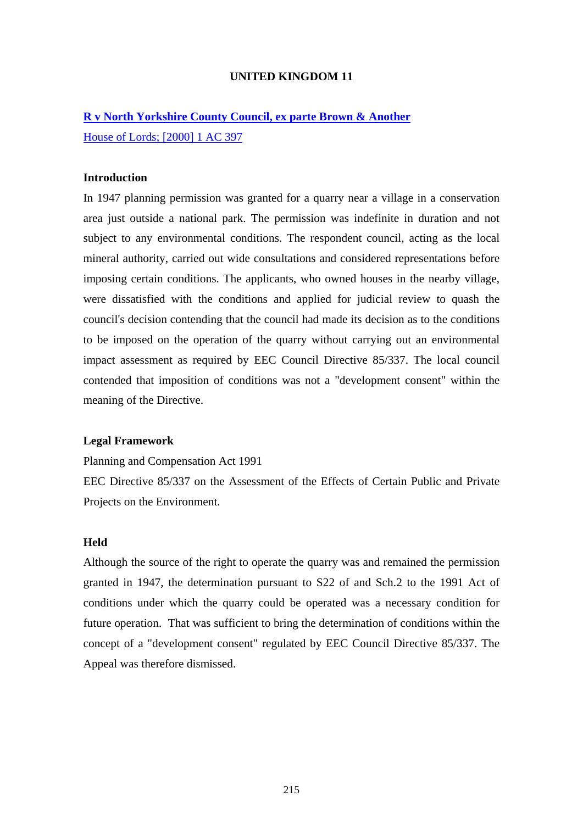# **[R v North Yorkshire County Council, ex parte Brown & Another](#page-13-1)** House of Lords; [2000] 1 AC 397

### **Introduction**

In 1947 planning permission was granted for a quarry near a village in a conservation area just outside a national park. The permission was indefinite in duration and not subject to any environmental conditions. The respondent council, acting as the local mineral authority, carried out wide consultations and considered representations before imposing certain conditions. The applicants, who owned houses in the nearby village, were dissatisfied with the conditions and applied for judicial review to quash the council's decision contending that the council had made its decision as to the conditions to be imposed on the operation of the quarry without carrying out an environmental impact assessment as required by EEC Council Directive 85/337. The local council contended that imposition of conditions was not a "development consent" within the meaning of the Directive.

#### **Legal Framework**

Planning and Compensation Act 1991

EEC Directive 85/337 on the Assessment of the Effects of Certain Public and Private Projects on the Environment.

## **Held**

Although the source of the right to operate the quarry was and remained the permission granted in 1947, the determination pursuant to S22 of and Sch.2 to the 1991 Act of conditions under which the quarry could be operated was a necessary condition for future operation. That was sufficient to bring the determination of conditions within the concept of a "development consent" regulated by EEC Council Directive 85/337. The Appeal was therefore dismissed.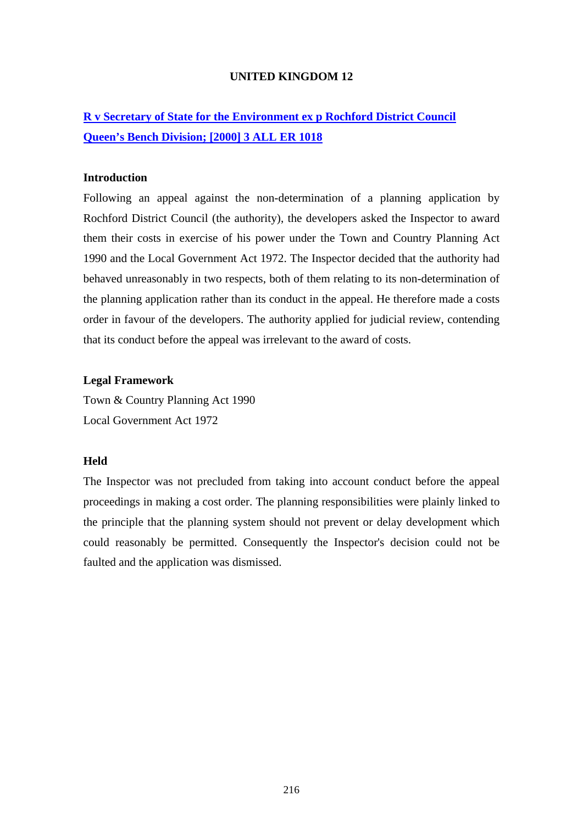# **[R v Secretary of State for the Environment ex p Rochford District Council](#page-13-1)  Queen's Bench Division; [2000] 3 ALL ER 1018**

## **Introduction**

Following an appeal against the non-determination of a planning application by Rochford District Council (the authority), the developers asked the Inspector to award them their costs in exercise of his power under the Town and Country Planning Act 1990 and the Local Government Act 1972. The Inspector decided that the authority had behaved unreasonably in two respects, both of them relating to its non-determination of the planning application rather than its conduct in the appeal. He therefore made a costs order in favour of the developers. The authority applied for judicial review, contending that its conduct before the appeal was irrelevant to the award of costs.

# **Legal Framework**

Town & Country Planning Act 1990 Local Government Act 1972

# **Held**

The Inspector was not precluded from taking into account conduct before the appeal proceedings in making a cost order. The planning responsibilities were plainly linked to the principle that the planning system should not prevent or delay development which could reasonably be permitted. Consequently the Inspector's decision could not be faulted and the application was dismissed.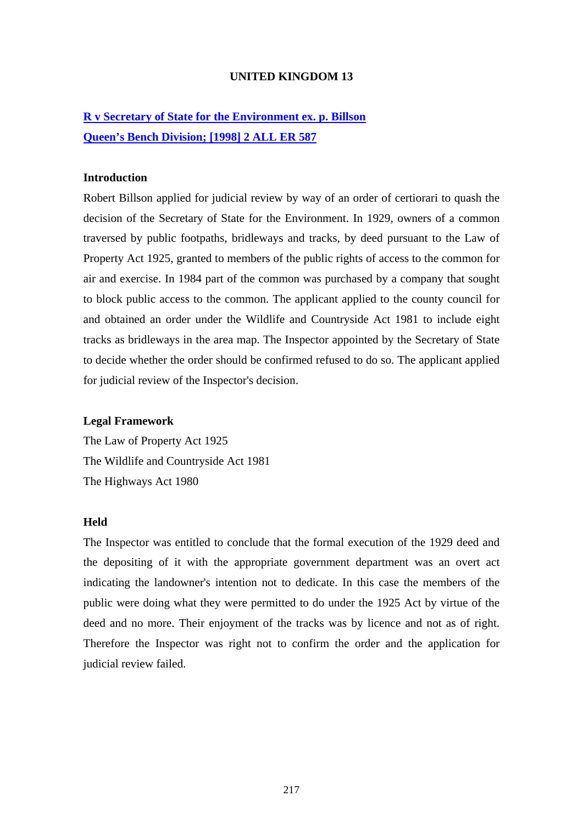# **[R v Secretary of State for the Environment ex. p.](#page-13-1) Billson Queen's Bench Division; [1998] 2 ALL ER 587**

#### **Introduction**

Robert Billson applied for judicial review by way of an order of certiorari to quash the decision of the Secretary of State for the Environment. In 1929, owners of a common traversed by public footpaths, bridleways and tracks, by deed pursuant to the Law of Property Act 1925, granted to members of the public rights of access to the common for air and exercise. In 1984 part of the common was purchased by a company that sought to block public access to the common. The applicant applied to the county council for and obtained an order under the Wildlife and Countryside Act 1981 to include eight tracks as bridleways in the area map. The Inspector appointed by the Secretary of State to decide whether the order should be confirmed refused to do so. The applicant applied for judicial review of the Inspector's decision.

#### **Legal Framework**

The Law of Property Act 1925 The Wildlife and Countryside Act 1981 The Highways Act 1980

#### **Held**

The Inspector was entitled to conclude that the formal execution of the 1929 deed and the depositing of it with the appropriate government department was an overt act indicating the landowner's intention not to dedicate. In this case the members of the public were doing what they were permitted to do under the 1925 Act by virtue of the deed and no more. Their enjoyment of the tracks was by licence and not as of right. Therefore the Inspector was right not to confirm the order and the application for judicial review failed.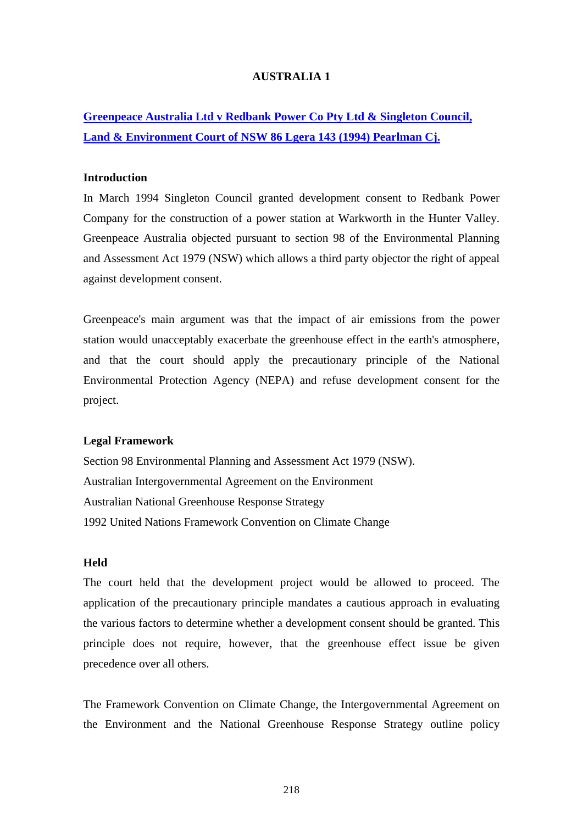# **AUSTRALIA 1**

# **[Greenpeace Australia Ltd v Redbank Power Co Pty Ltd & Singleton Council,](#page-14-0)  [Land & Environment Court of NSW 86 Lgera 143 \(1994\) Pearlman Cj.](#page-14-0)**

### **Introduction**

In March 1994 Singleton Council granted development consent to Redbank Power Company for the construction of a power station at Warkworth in the Hunter Valley. Greenpeace Australia objected pursuant to section 98 of the Environmental Planning and Assessment Act 1979 (NSW) which allows a third party objector the right of appeal against development consent.

Greenpeace's main argument was that the impact of air emissions from the power station would unacceptably exacerbate the greenhouse effect in the earth's atmosphere, and that the court should apply the precautionary principle of the National Environmental Protection Agency (NEPA) and refuse development consent for the project.

## **Legal Framework**

Section 98 Environmental Planning and Assessment Act 1979 (NSW). Australian Intergovernmental Agreement on the Environment Australian National Greenhouse Response Strategy 1992 United Nations Framework Convention on Climate Change

## **Held**

The court held that the development project would be allowed to proceed. The application of the precautionary principle mandates a cautious approach in evaluating the various factors to determine whether a development consent should be granted. This principle does not require, however, that the greenhouse effect issue be given precedence over all others.

The Framework Convention on Climate Change, the Intergovernmental Agreement on the Environment and the National Greenhouse Response Strategy outline policy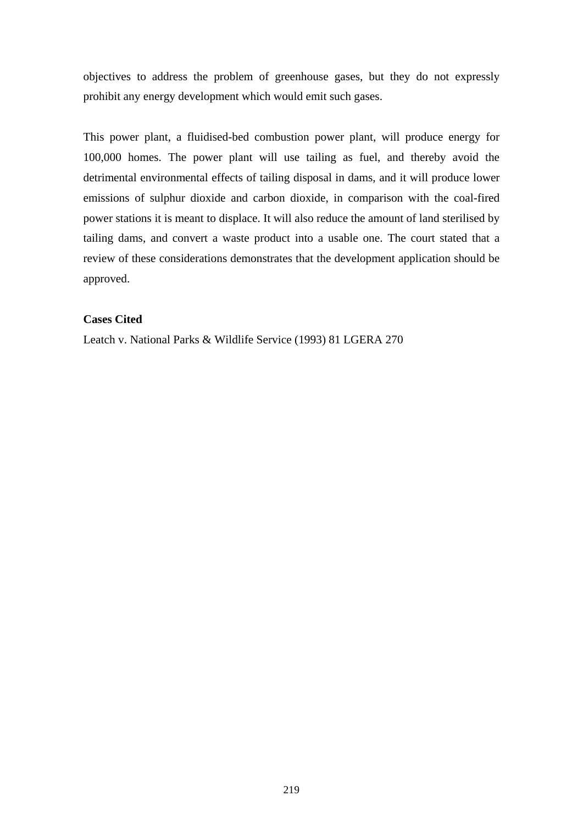objectives to address the problem of greenhouse gases, but they do not expressly prohibit any energy development which would emit such gases.

This power plant, a fluidised-bed combustion power plant, will produce energy for 100,000 homes. The power plant will use tailing as fuel, and thereby avoid the detrimental environmental effects of tailing disposal in dams, and it will produce lower emissions of sulphur dioxide and carbon dioxide, in comparison with the coal-fired power stations it is meant to displace. It will also reduce the amount of land sterilised by tailing dams, and convert a waste product into a usable one. The court stated that a review of these considerations demonstrates that the development application should be approved.

# **Cases Cited**

Leatch v. National Parks & Wildlife Service (1993) 81 LGERA 270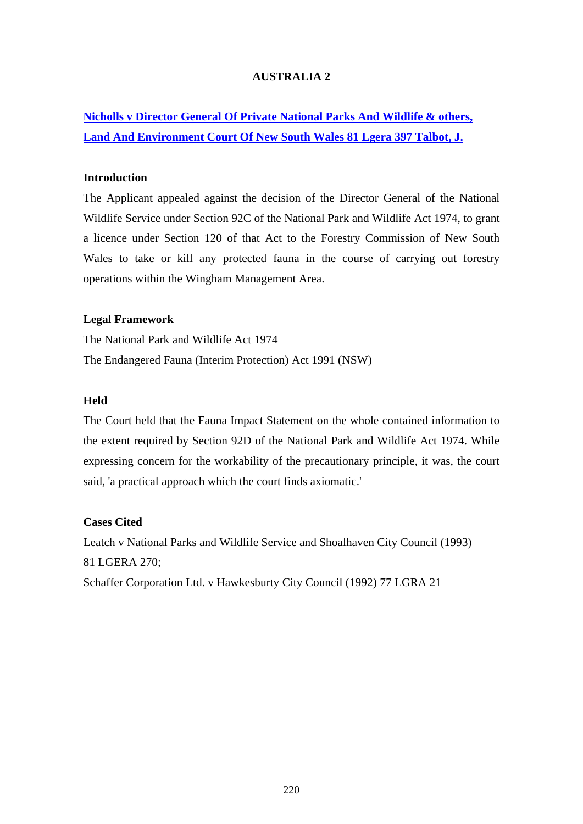# **AUSTRALIA 2**

# **[Nicholls v Director General Of Private National Parks And Wildlife & others,](#page-14-0)  [Land And Environment Court Of New South Wales 81 Lgera 397 Talbot, J.](#page-14-0)**

# **Introduction**

The Applicant appealed against the decision of the Director General of the National Wildlife Service under Section 92C of the National Park and Wildlife Act 1974, to grant a licence under Section 120 of that Act to the Forestry Commission of New South Wales to take or kill any protected fauna in the course of carrying out forestry operations within the Wingham Management Area.

# **Legal Framework**

The National Park and Wildlife Act 1974 The Endangered Fauna (Interim Protection) Act 1991 (NSW)

# **Held**

The Court held that the Fauna Impact Statement on the whole contained information to the extent required by Section 92D of the National Park and Wildlife Act 1974. While expressing concern for the workability of the precautionary principle, it was, the court said, 'a practical approach which the court finds axiomatic.'

# **Cases Cited**

Leatch v National Parks and Wildlife Service and Shoalhaven City Council (1993) 81 LGERA 270; Schaffer Corporation Ltd. v Hawkesburty City Council (1992) 77 LGRA 21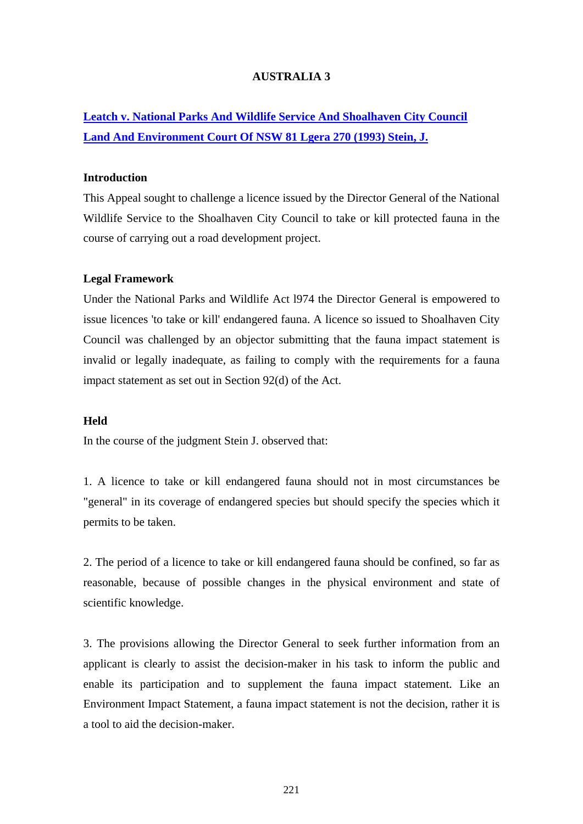# **AUSTRALIA 3**

# **[Leatch v. National Parks And Wildlife Service And Shoalhaven City Council](#page-14-0) [Land And Environment Court Of NSW 81 Lgera 270 \(1993\) Stein, J.](#page-14-0)**

# **Introduction**

This Appeal sought to challenge a licence issued by the Director General of the National Wildlife Service to the Shoalhaven City Council to take or kill protected fauna in the course of carrying out a road development project.

## **Legal Framework**

Under the National Parks and Wildlife Act l974 the Director General is empowered to issue licences 'to take or kill' endangered fauna. A licence so issued to Shoalhaven City Council was challenged by an objector submitting that the fauna impact statement is invalid or legally inadequate, as failing to comply with the requirements for a fauna impact statement as set out in Section 92(d) of the Act.

### **Held**

In the course of the judgment Stein J. observed that:

1. A licence to take or kill endangered fauna should not in most circumstances be "general" in its coverage of endangered species but should specify the species which it permits to be taken.

2. The period of a licence to take or kill endangered fauna should be confined, so far as reasonable, because of possible changes in the physical environment and state of scientific knowledge.

3. The provisions allowing the Director General to seek further information from an applicant is clearly to assist the decision-maker in his task to inform the public and enable its participation and to supplement the fauna impact statement. Like an Environment Impact Statement, a fauna impact statement is not the decision, rather it is a tool to aid the decision-maker.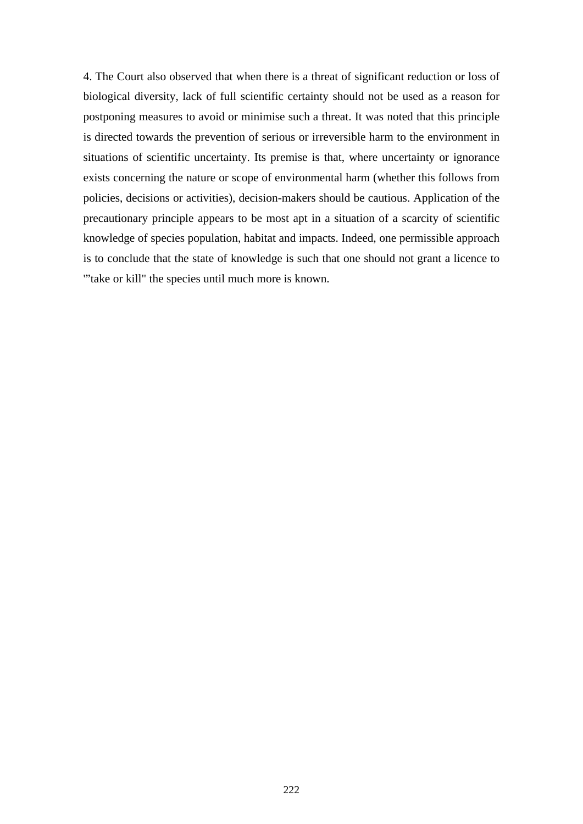4. The Court also observed that when there is a threat of significant reduction or loss of biological diversity, lack of full scientific certainty should not be used as a reason for postponing measures to avoid or minimise such a threat. It was noted that this principle is directed towards the prevention of serious or irreversible harm to the environment in situations of scientific uncertainty. Its premise is that, where uncertainty or ignorance exists concerning the nature or scope of environmental harm (whether this follows from policies, decisions or activities), decision-makers should be cautious. Application of the precautionary principle appears to be most apt in a situation of a scarcity of scientific knowledge of species population, habitat and impacts. Indeed, one permissible approach is to conclude that the state of knowledge is such that one should not grant a licence to '"take or kill" the species until much more is known.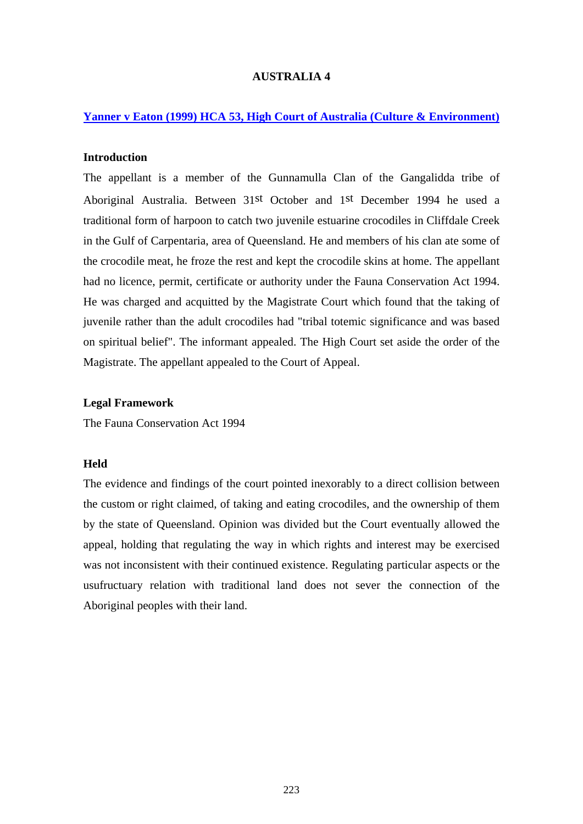## **AUSTRALIA 4**

## **[Yanner v Eaton \(1999\) HCA 53, High Court of Australia \(Culture & Environment\)](#page-14-0)**

# **Introduction**

The appellant is a member of the Gunnamulla Clan of the Gangalidda tribe of Aboriginal Australia. Between 31st October and 1st December 1994 he used a traditional form of harpoon to catch two juvenile estuarine crocodiles in Cliffdale Creek in the Gulf of Carpentaria, area of Queensland. He and members of his clan ate some of the crocodile meat, he froze the rest and kept the crocodile skins at home. The appellant had no licence, permit, certificate or authority under the Fauna Conservation Act 1994. He was charged and acquitted by the Magistrate Court which found that the taking of juvenile rather than the adult crocodiles had "tribal totemic significance and was based on spiritual belief". The informant appealed. The High Court set aside the order of the Magistrate. The appellant appealed to the Court of Appeal.

### **Legal Framework**

The Fauna Conservation Act 1994

### **Held**

The evidence and findings of the court pointed inexorably to a direct collision between the custom or right claimed, of taking and eating crocodiles, and the ownership of them by the state of Queensland. Opinion was divided but the Court eventually allowed the appeal, holding that regulating the way in which rights and interest may be exercised was not inconsistent with their continued existence. Regulating particular aspects or the usufructuary relation with traditional land does not sever the connection of the Aboriginal peoples with their land.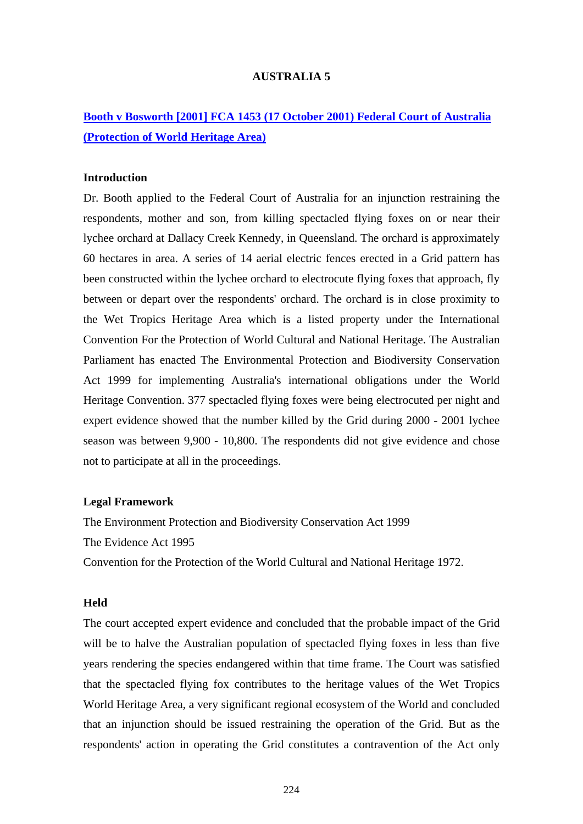# **AUSTRALIA 5**

# **[Booth v Bosworth \[2001\] FCA 1453 \(17 October 2001\) Federal Court of Australia](#page-14-0) [\(Protection of World Heritage Area\)](#page-14-0)**

#### **Introduction**

Dr. Booth applied to the Federal Court of Australia for an injunction restraining the respondents, mother and son, from killing spectacled flying foxes on or near their lychee orchard at Dallacy Creek Kennedy, in Queensland. The orchard is approximately 60 hectares in area. A series of 14 aerial electric fences erected in a Grid pattern has been constructed within the lychee orchard to electrocute flying foxes that approach, fly between or depart over the respondents' orchard. The orchard is in close proximity to the Wet Tropics Heritage Area which is a listed property under the International Convention For the Protection of World Cultural and National Heritage. The Australian Parliament has enacted The Environmental Protection and Biodiversity Conservation Act 1999 for implementing Australia's international obligations under the World Heritage Convention. 377 spectacled flying foxes were being electrocuted per night and expert evidence showed that the number killed by the Grid during 2000 - 2001 lychee season was between 9,900 - 10,800. The respondents did not give evidence and chose not to participate at all in the proceedings.

### **Legal Framework**

The Environment Protection and Biodiversity Conservation Act 1999 The Evidence Act 1995 Convention for the Protection of the World Cultural and National Heritage 1972.

#### **Held**

The court accepted expert evidence and concluded that the probable impact of the Grid will be to halve the Australian population of spectacled flying foxes in less than five years rendering the species endangered within that time frame. The Court was satisfied that the spectacled flying fox contributes to the heritage values of the Wet Tropics World Heritage Area, a very significant regional ecosystem of the World and concluded that an injunction should be issued restraining the operation of the Grid. But as the respondents' action in operating the Grid constitutes a contravention of the Act only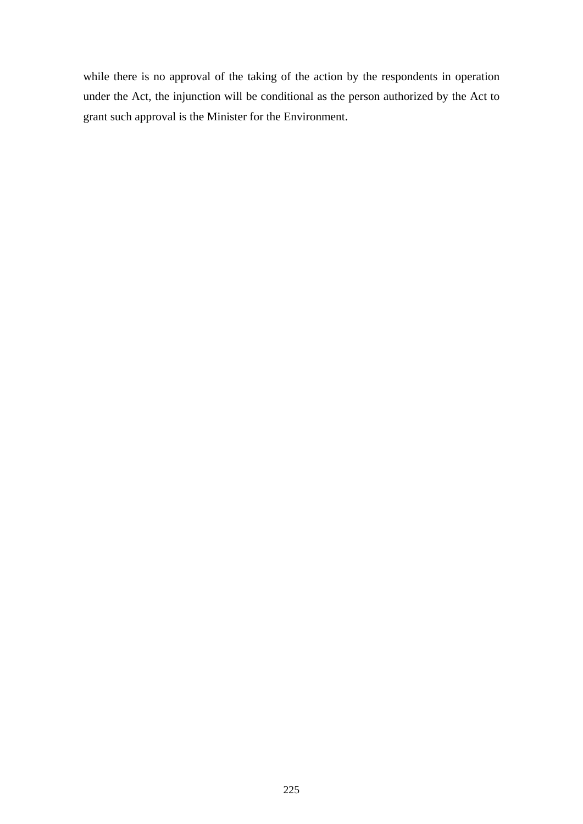while there is no approval of the taking of the action by the respondents in operation under the Act, the injunction will be conditional as the person authorized by the Act to grant such approval is the Minister for the Environment.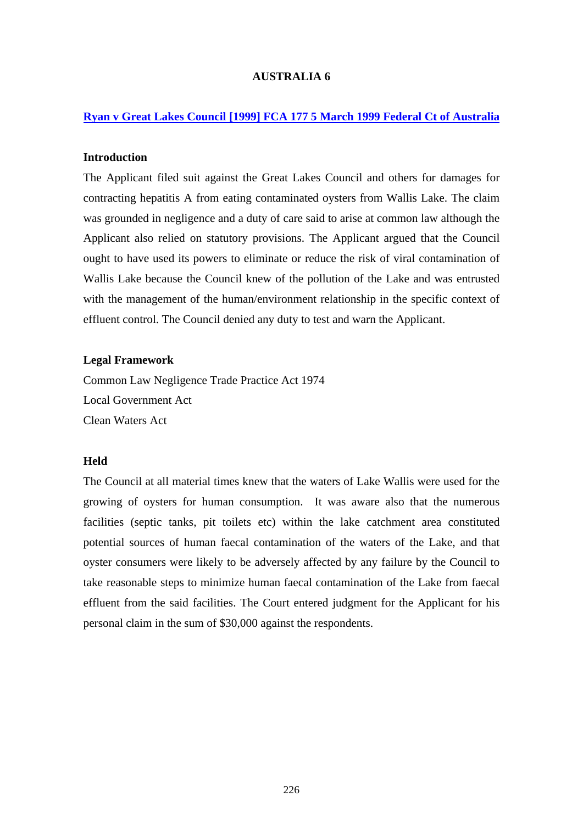## **[Ryan v Great Lakes Council \[1999\] FCA 177 5 March 1999 Federal Ct of Australia](#page-14-0)**

## **Introduction**

The Applicant filed suit against the Great Lakes Council and others for damages for contracting hepatitis A from eating contaminated oysters from Wallis Lake. The claim was grounded in negligence and a duty of care said to arise at common law although the Applicant also relied on statutory provisions. The Applicant argued that the Council ought to have used its powers to eliminate or reduce the risk of viral contamination of Wallis Lake because the Council knew of the pollution of the Lake and was entrusted with the management of the human/environment relationship in the specific context of effluent control. The Council denied any duty to test and warn the Applicant.

#### **Legal Framework**

Common Law Negligence Trade Practice Act 1974 Local Government Act Clean Waters Act

### **Held**

The Council at all material times knew that the waters of Lake Wallis were used for the growing of oysters for human consumption. It was aware also that the numerous facilities (septic tanks, pit toilets etc) within the lake catchment area constituted potential sources of human faecal contamination of the waters of the Lake, and that oyster consumers were likely to be adversely affected by any failure by the Council to take reasonable steps to minimize human faecal contamination of the Lake from faecal effluent from the said facilities. The Court entered judgment for the Applicant for his personal claim in the sum of \$30,000 against the respondents.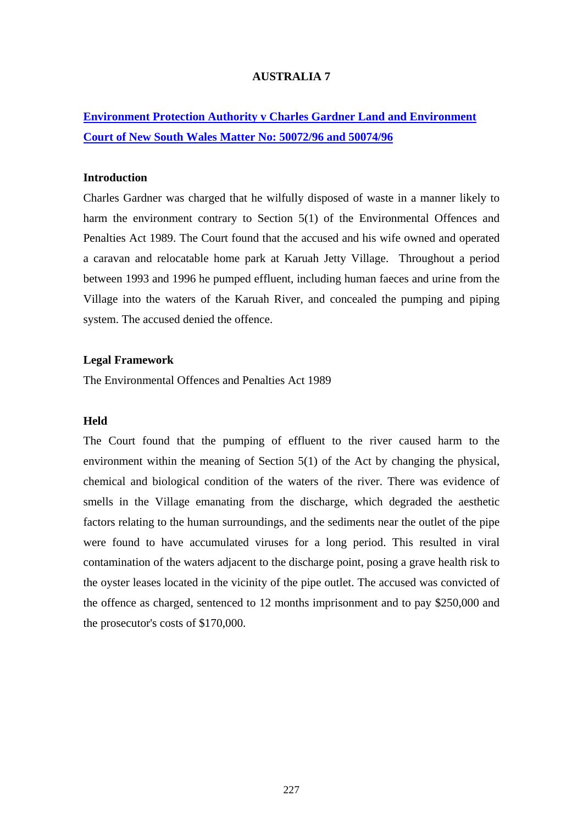## **[Environment Protection Authority v Charles Gardner Land and Environment](#page-14-0)  [Court of New South Wales Matter No: 50072/96 and 50074/96](#page-14-0)**

#### **Introduction**

Charles Gardner was charged that he wilfully disposed of waste in a manner likely to harm the environment contrary to Section 5(1) of the Environmental Offences and Penalties Act 1989. The Court found that the accused and his wife owned and operated a caravan and relocatable home park at Karuah Jetty Village. Throughout a period between 1993 and 1996 he pumped effluent, including human faeces and urine from the Village into the waters of the Karuah River, and concealed the pumping and piping system. The accused denied the offence.

#### **Legal Framework**

The Environmental Offences and Penalties Act 1989

#### **Held**

The Court found that the pumping of effluent to the river caused harm to the environment within the meaning of Section 5(1) of the Act by changing the physical, chemical and biological condition of the waters of the river. There was evidence of smells in the Village emanating from the discharge, which degraded the aesthetic factors relating to the human surroundings, and the sediments near the outlet of the pipe were found to have accumulated viruses for a long period. This resulted in viral contamination of the waters adjacent to the discharge point, posing a grave health risk to the oyster leases located in the vicinity of the pipe outlet. The accused was convicted of the offence as charged, sentenced to 12 months imprisonment and to pay \$250,000 and the prosecutor's costs of \$170,000.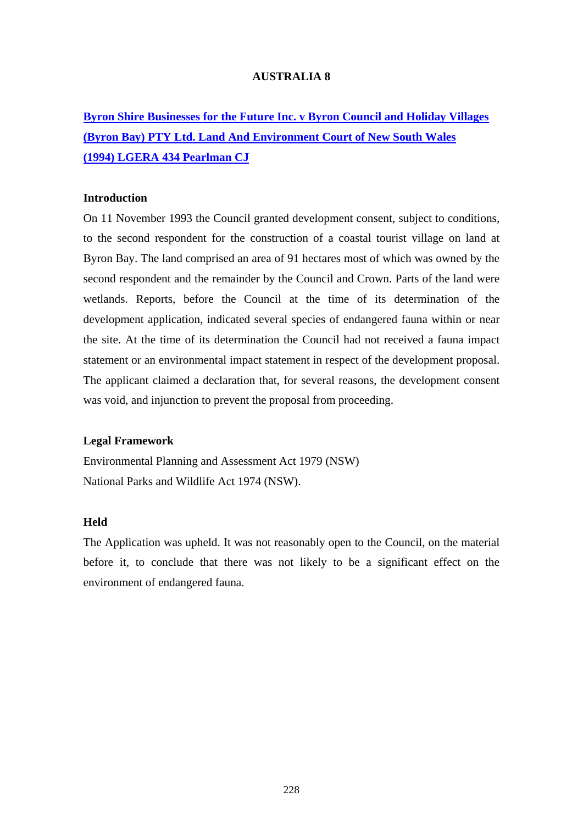# **[Byron Shire Businesses for the Future Inc. v Byron Council and Holiday Villages](#page-14-0)  [\(Byron Bay\) PTY Ltd. Land And Environment Court of New South Wales](#page-14-0)  [\(1994\) LGERA 434 Pearlman CJ](#page-14-0)**

#### **Introduction**

On 11 November 1993 the Council granted development consent, subject to conditions, to the second respondent for the construction of a coastal tourist village on land at Byron Bay. The land comprised an area of 91 hectares most of which was owned by the second respondent and the remainder by the Council and Crown. Parts of the land were wetlands. Reports, before the Council at the time of its determination of the development application, indicated several species of endangered fauna within or near the site. At the time of its determination the Council had not received a fauna impact statement or an environmental impact statement in respect of the development proposal. The applicant claimed a declaration that, for several reasons, the development consent was void, and injunction to prevent the proposal from proceeding.

### **Legal Framework**

Environmental Planning and Assessment Act 1979 (NSW) National Parks and Wildlife Act 1974 (NSW).

#### **Held**

The Application was upheld. It was not reasonably open to the Council, on the material before it, to conclude that there was not likely to be a significant effect on the environment of endangered fauna.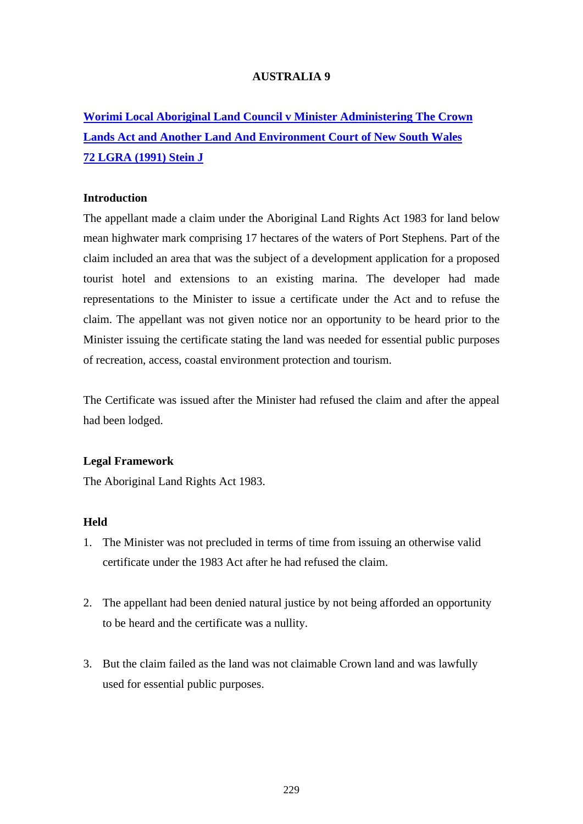# **[Worimi Local Aboriginal Land Council v Minister Administering The Crown](#page-14-0)  [Lands Act and Another Land And Environment Court of New South Wales](#page-14-0) [72 LGRA \(1991\) Stein J](#page-14-0)**

## **Introduction**

The appellant made a claim under the Aboriginal Land Rights Act 1983 for land below mean highwater mark comprising 17 hectares of the waters of Port Stephens. Part of the claim included an area that was the subject of a development application for a proposed tourist hotel and extensions to an existing marina. The developer had made representations to the Minister to issue a certificate under the Act and to refuse the claim. The appellant was not given notice nor an opportunity to be heard prior to the Minister issuing the certificate stating the land was needed for essential public purposes of recreation, access, coastal environment protection and tourism.

The Certificate was issued after the Minister had refused the claim and after the appeal had been lodged.

## **Legal Framework**

The Aboriginal Land Rights Act 1983.

## **Held**

- 1. The Minister was not precluded in terms of time from issuing an otherwise valid certificate under the 1983 Act after he had refused the claim.
- 2. The appellant had been denied natural justice by not being afforded an opportunity to be heard and the certificate was a nullity.
- 3. But the claim failed as the land was not claimable Crown land and was lawfully used for essential public purposes.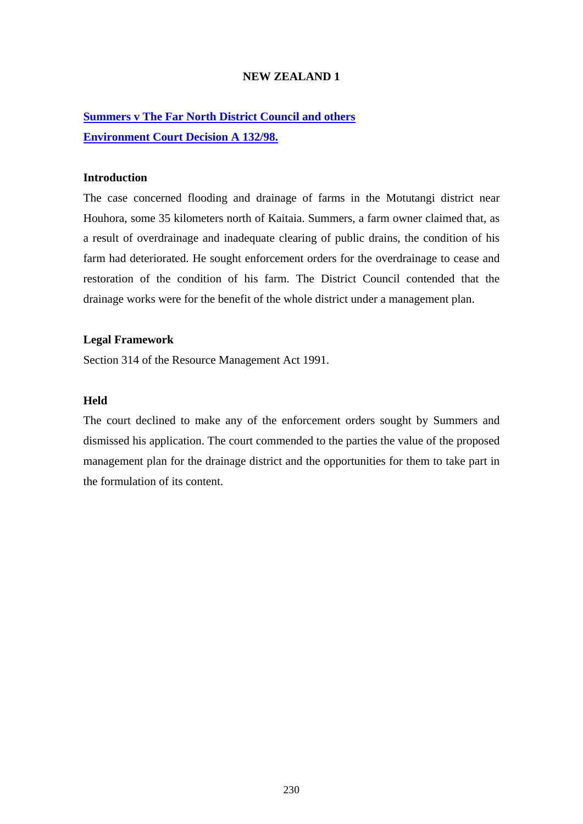# **[Summers v The Far North District Council and others](#page-14-1) Environment Court Decision A 132/98.**

## **Introduction**

The case concerned flooding and drainage of farms in the Motutangi district near Houhora, some 35 kilometers north of Kaitaia. Summers, a farm owner claimed that, as a result of overdrainage and inadequate clearing of public drains, the condition of his farm had deteriorated. He sought enforcement orders for the overdrainage to cease and restoration of the condition of his farm. The District Council contended that the drainage works were for the benefit of the whole district under a management plan.

## **Legal Framework**

Section 314 of the Resource Management Act 1991.

## **Held**

The court declined to make any of the enforcement orders sought by Summers and dismissed his application. The court commended to the parties the value of the proposed management plan for the drainage district and the opportunities for them to take part in the formulation of its content.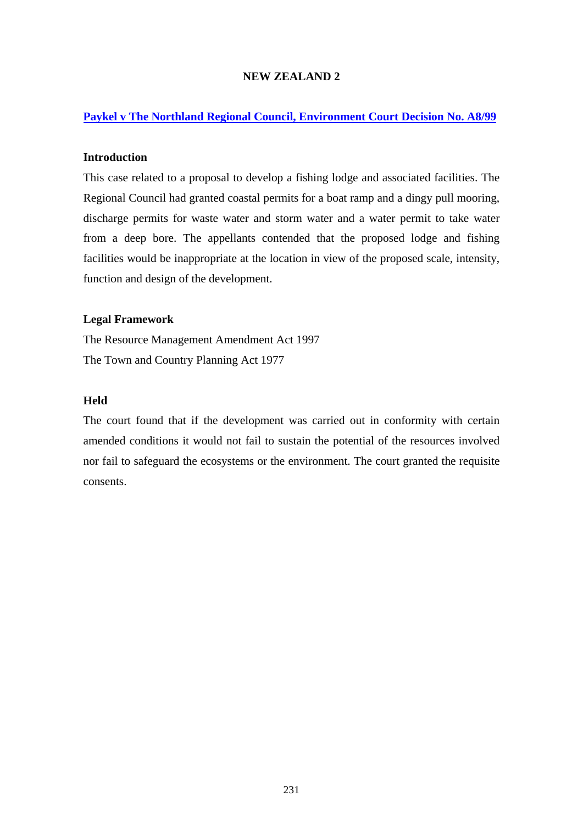## **[Paykel v The Northland Regional Council, Environment Court Decision No. A8/99](#page-14-1)**

## **Introduction**

This case related to a proposal to develop a fishing lodge and associated facilities. The Regional Council had granted coastal permits for a boat ramp and a dingy pull mooring, discharge permits for waste water and storm water and a water permit to take water from a deep bore. The appellants contended that the proposed lodge and fishing facilities would be inappropriate at the location in view of the proposed scale, intensity, function and design of the development.

## **Legal Framework**

The Resource Management Amendment Act 1997 The Town and Country Planning Act 1977

## **Held**

The court found that if the development was carried out in conformity with certain amended conditions it would not fail to sustain the potential of the resources involved nor fail to safeguard the ecosystems or the environment. The court granted the requisite consents.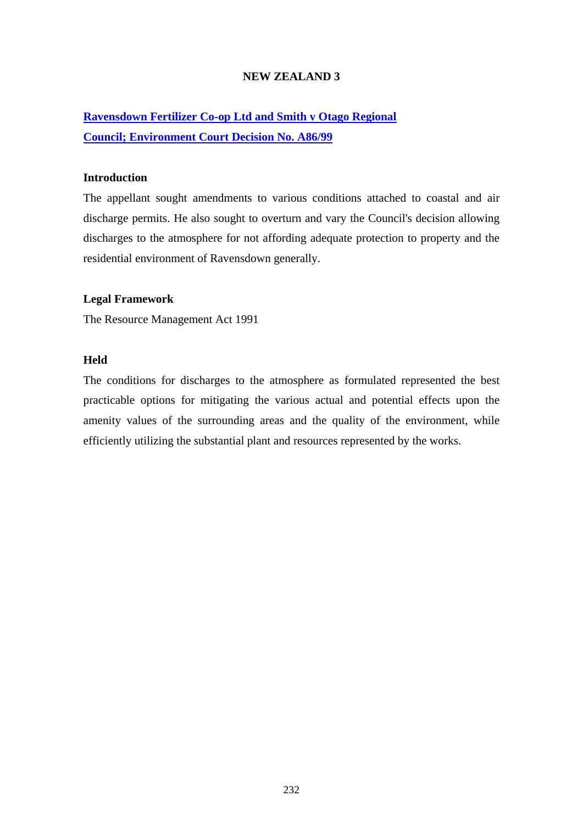# **[Ravensdown Fertilizer Co-op Ltd and Smith v Otago Regional](#page-14-1) Council; Environment Court Decision No. A86/99**

## **Introduction**

The appellant sought amendments to various conditions attached to coastal and air discharge permits. He also sought to overturn and vary the Council's decision allowing discharges to the atmosphere for not affording adequate protection to property and the residential environment of Ravensdown generally.

#### **Legal Framework**

The Resource Management Act 1991

## **Held**

The conditions for discharges to the atmosphere as formulated represented the best practicable options for mitigating the various actual and potential effects upon the amenity values of the surrounding areas and the quality of the environment, while efficiently utilizing the substantial plant and resources represented by the works.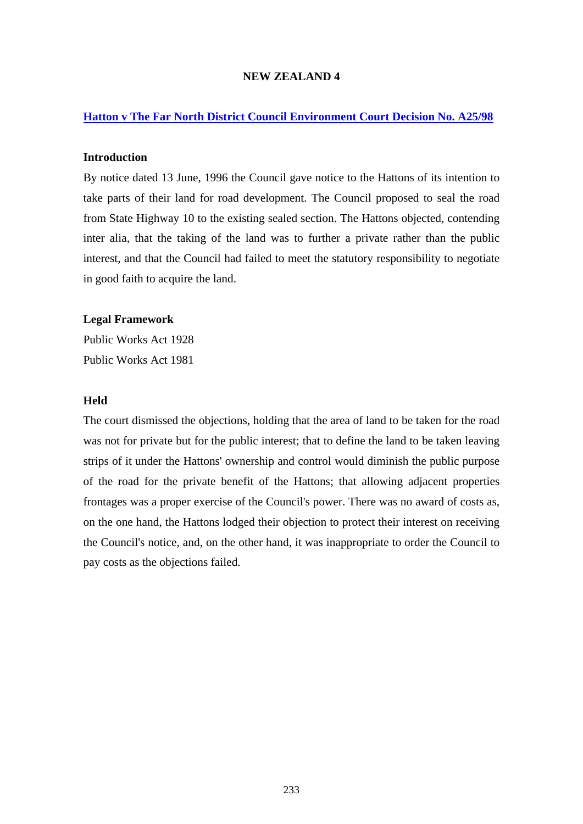## **[Hatton v The Far North District Council Environment Court Decision No. A25/98](#page-14-1)**

## **Introduction**

By notice dated 13 June, 1996 the Council gave notice to the Hattons of its intention to take parts of their land for road development. The Council proposed to seal the road from State Highway 10 to the existing sealed section. The Hattons objected, contending inter alia, that the taking of the land was to further a private rather than the public interest, and that the Council had failed to meet the statutory responsibility to negotiate in good faith to acquire the land.

#### **Legal Framework**

Public Works Act 1928 Public Works Act 1981

### **Held**

The court dismissed the objections, holding that the area of land to be taken for the road was not for private but for the public interest; that to define the land to be taken leaving strips of it under the Hattons' ownership and control would diminish the public purpose of the road for the private benefit of the Hattons; that allowing adjacent properties frontages was a proper exercise of the Council's power. There was no award of costs as, on the one hand, the Hattons lodged their objection to protect their interest on receiving the Council's notice, and, on the other hand, it was inappropriate to order the Council to pay costs as the objections failed.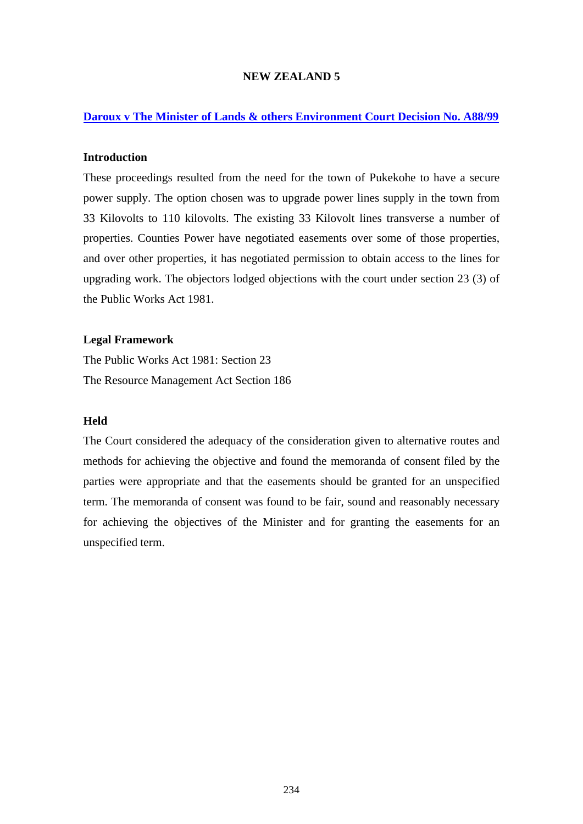## **[Daroux v The Minister of Lands & others Environment Court Decision No. A88/99](#page-14-1)**

## **Introduction**

These proceedings resulted from the need for the town of Pukekohe to have a secure power supply. The option chosen was to upgrade power lines supply in the town from 33 Kilovolts to 110 kilovolts. The existing 33 Kilovolt lines transverse a number of properties. Counties Power have negotiated easements over some of those properties, and over other properties, it has negotiated permission to obtain access to the lines for upgrading work. The objectors lodged objections with the court under section 23 (3) of the Public Works Act 1981.

### **Legal Framework**

The Public Works Act 1981: Section 23 The Resource Management Act Section 186

#### **Held**

The Court considered the adequacy of the consideration given to alternative routes and methods for achieving the objective and found the memoranda of consent filed by the parties were appropriate and that the easements should be granted for an unspecified term. The memoranda of consent was found to be fair, sound and reasonably necessary for achieving the objectives of the Minister and for granting the easements for an unspecified term.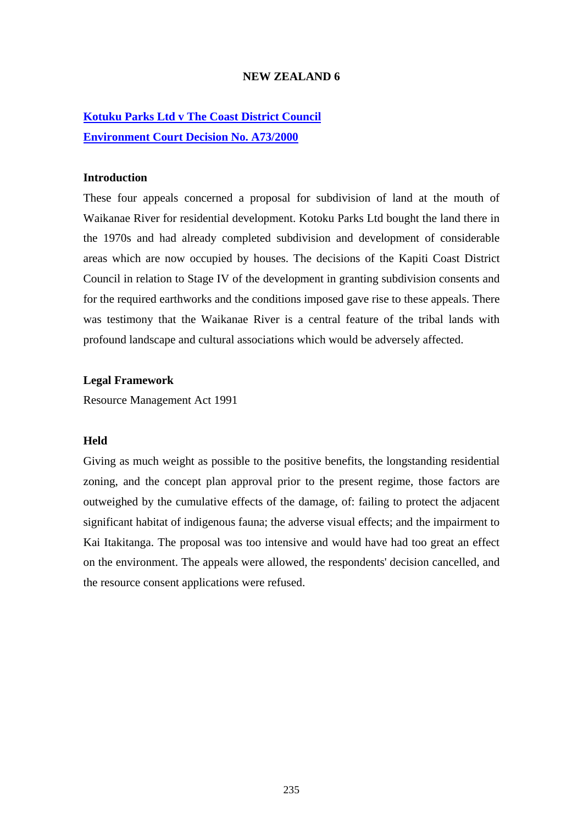# **[Kotuku Parks Ltd v The Coast District Council](#page-14-1) Environment Court Decision No. A73/2000**

## **Introduction**

These four appeals concerned a proposal for subdivision of land at the mouth of Waikanae River for residential development. Kotoku Parks Ltd bought the land there in the 1970s and had already completed subdivision and development of considerable areas which are now occupied by houses. The decisions of the Kapiti Coast District Council in relation to Stage IV of the development in granting subdivision consents and for the required earthworks and the conditions imposed gave rise to these appeals. There was testimony that the Waikanae River is a central feature of the tribal lands with profound landscape and cultural associations which would be adversely affected.

## **Legal Framework**

Resource Management Act 1991

### **Held**

Giving as much weight as possible to the positive benefits, the longstanding residential zoning, and the concept plan approval prior to the present regime, those factors are outweighed by the cumulative effects of the damage, of: failing to protect the adjacent significant habitat of indigenous fauna; the adverse visual effects; and the impairment to Kai Itakitanga. The proposal was too intensive and would have had too great an effect on the environment. The appeals were allowed, the respondents' decision cancelled, and the resource consent applications were refused.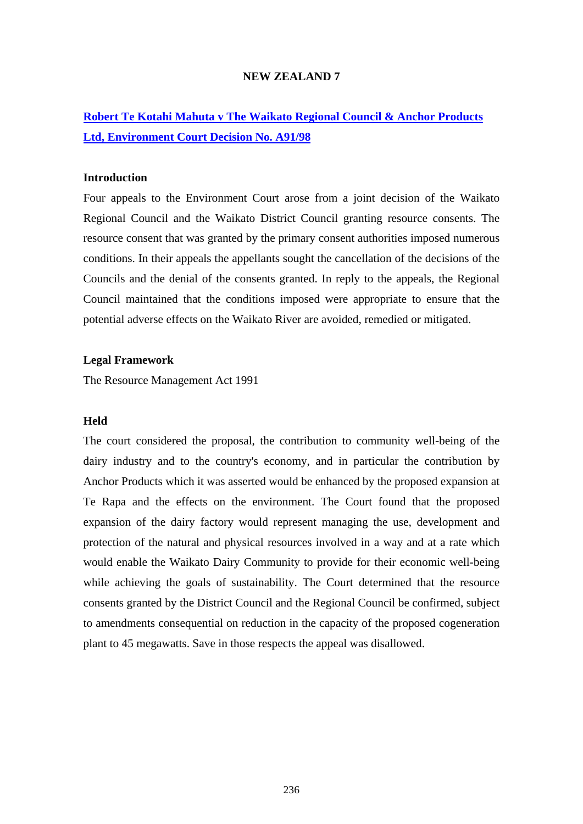## **[Robert Te Kotahi Mahuta v The Waikato Regional Council & Anchor Products](#page-14-1) Ltd, Environment Court Decision No. A91/98**

#### **Introduction**

Four appeals to the Environment Court arose from a joint decision of the Waikato Regional Council and the Waikato District Council granting resource consents. The resource consent that was granted by the primary consent authorities imposed numerous conditions. In their appeals the appellants sought the cancellation of the decisions of the Councils and the denial of the consents granted. In reply to the appeals, the Regional Council maintained that the conditions imposed were appropriate to ensure that the potential adverse effects on the Waikato River are avoided, remedied or mitigated.

#### **Legal Framework**

The Resource Management Act 1991

#### **Held**

The court considered the proposal, the contribution to community well-being of the dairy industry and to the country's economy, and in particular the contribution by Anchor Products which it was asserted would be enhanced by the proposed expansion at Te Rapa and the effects on the environment. The Court found that the proposed expansion of the dairy factory would represent managing the use, development and protection of the natural and physical resources involved in a way and at a rate which would enable the Waikato Dairy Community to provide for their economic well-being while achieving the goals of sustainability. The Court determined that the resource consents granted by the District Council and the Regional Council be confirmed, subject to amendments consequential on reduction in the capacity of the proposed cogeneration plant to 45 megawatts. Save in those respects the appeal was disallowed.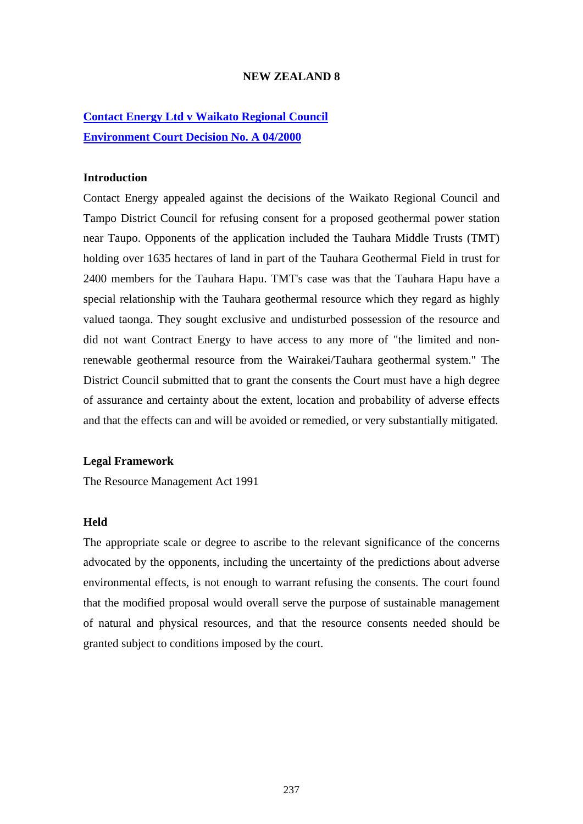# **[Contact Energy Ltd v Waikato Regional Council](#page-14-1) Environment Court Decision No. A 04/2000**

## **Introduction**

Contact Energy appealed against the decisions of the Waikato Regional Council and Tampo District Council for refusing consent for a proposed geothermal power station near Taupo. Opponents of the application included the Tauhara Middle Trusts (TMT) holding over 1635 hectares of land in part of the Tauhara Geothermal Field in trust for 2400 members for the Tauhara Hapu. TMT's case was that the Tauhara Hapu have a special relationship with the Tauhara geothermal resource which they regard as highly valued taonga. They sought exclusive and undisturbed possession of the resource and did not want Contract Energy to have access to any more of "the limited and nonrenewable geothermal resource from the Wairakei/Tauhara geothermal system." The District Council submitted that to grant the consents the Court must have a high degree of assurance and certainty about the extent, location and probability of adverse effects and that the effects can and will be avoided or remedied, or very substantially mitigated.

### **Legal Framework**

The Resource Management Act 1991

#### **Held**

The appropriate scale or degree to ascribe to the relevant significance of the concerns advocated by the opponents, including the uncertainty of the predictions about adverse environmental effects, is not enough to warrant refusing the consents. The court found that the modified proposal would overall serve the purpose of sustainable management of natural and physical resources, and that the resource consents needed should be granted subject to conditions imposed by the court.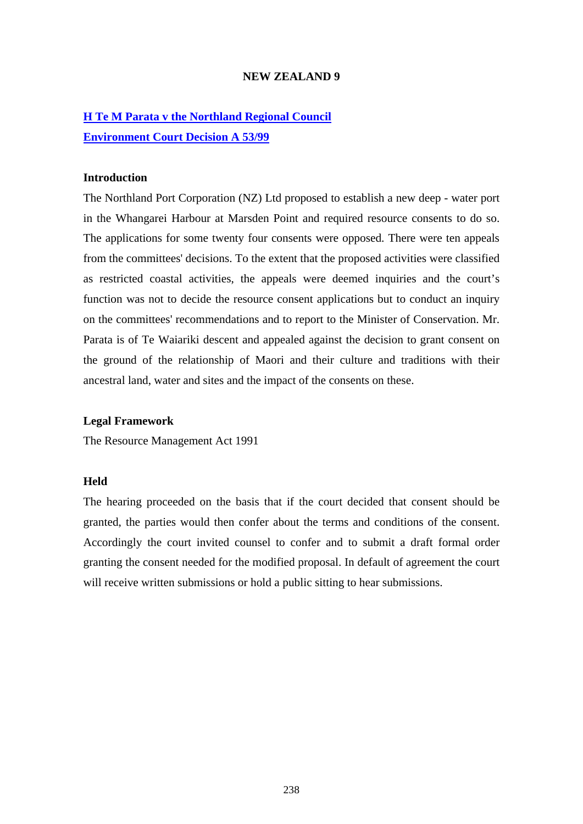## **[H Te M Parata v the Northland Regional Council](#page-15-0) [Environment Court Decision A 53/99](#page-15-0)**

#### **Introduction**

The Northland Port Corporation (NZ) Ltd proposed to establish a new deep - water port in the Whangarei Harbour at Marsden Point and required resource consents to do so. The applications for some twenty four consents were opposed. There were ten appeals from the committees' decisions. To the extent that the proposed activities were classified as restricted coastal activities, the appeals were deemed inquiries and the court's function was not to decide the resource consent applications but to conduct an inquiry on the committees' recommendations and to report to the Minister of Conservation. Mr. Parata is of Te Waiariki descent and appealed against the decision to grant consent on the ground of the relationship of Maori and their culture and traditions with their ancestral land, water and sites and the impact of the consents on these.

#### **Legal Framework**

The Resource Management Act 1991

## **Held**

The hearing proceeded on the basis that if the court decided that consent should be granted, the parties would then confer about the terms and conditions of the consent. Accordingly the court invited counsel to confer and to submit a draft formal order granting the consent needed for the modified proposal. In default of agreement the court will receive written submissions or hold a public sitting to hear submissions.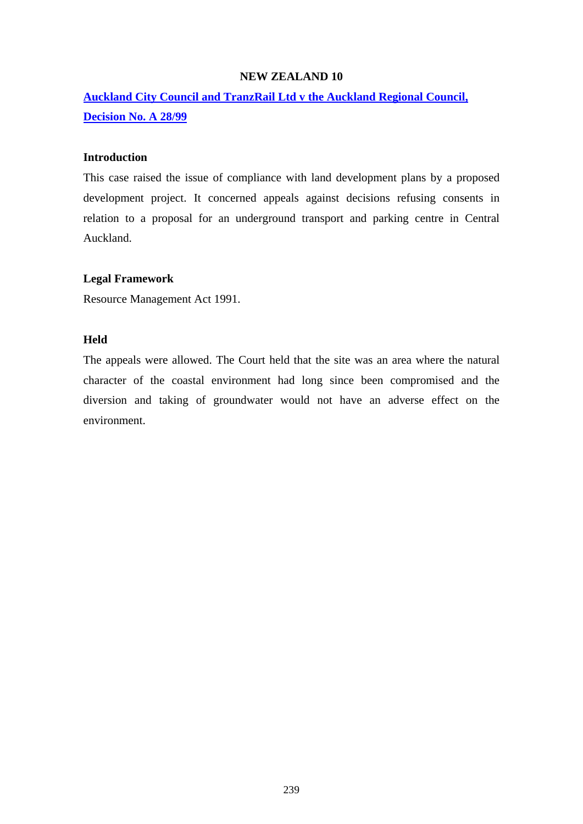# **[Auckland City Council and TranzRail Ltd v the Auckland Regional Council,](#page-15-0) [Decision No. A 28/99](#page-15-0)**

## **Introduction**

This case raised the issue of compliance with land development plans by a proposed development project. It concerned appeals against decisions refusing consents in relation to a proposal for an underground transport and parking centre in Central Auckland.

## **Legal Framework**

Resource Management Act 1991.

## **Held**

The appeals were allowed. The Court held that the site was an area where the natural character of the coastal environment had long since been compromised and the diversion and taking of groundwater would not have an adverse effect on the environment.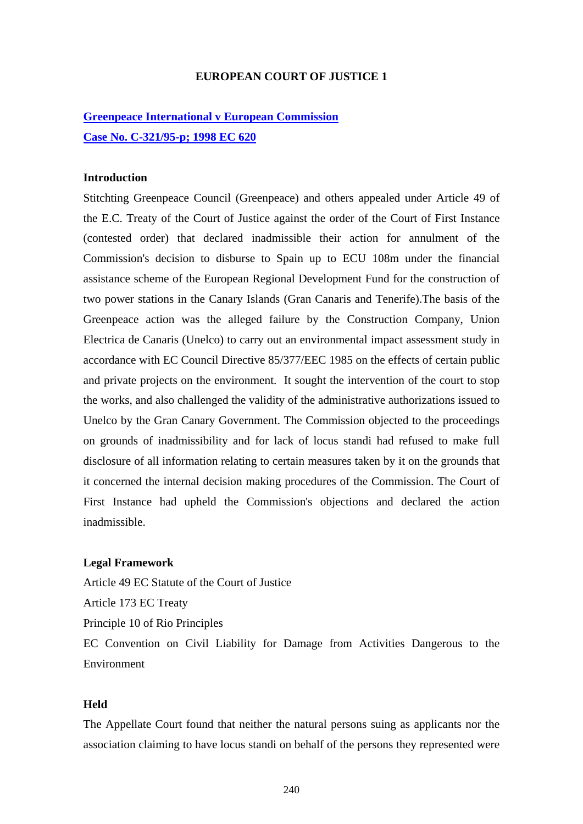## **[Greenpeace International v European Commission](#page-15-0) [Case No. C-321/95-p; 1998 EC 620](#page-15-0)**

#### **Introduction**

Stitchting Greenpeace Council (Greenpeace) and others appealed under Article 49 of the E.C. Treaty of the Court of Justice against the order of the Court of First Instance (contested order) that declared inadmissible their action for annulment of the Commission's decision to disburse to Spain up to ECU 108m under the financial assistance scheme of the European Regional Development Fund for the construction of two power stations in the Canary Islands (Gran Canaris and Tenerife).The basis of the Greenpeace action was the alleged failure by the Construction Company, Union Electrica de Canaris (Unelco) to carry out an environmental impact assessment study in accordance with EC Council Directive 85/377/EEC 1985 on the effects of certain public and private projects on the environment. It sought the intervention of the court to stop the works, and also challenged the validity of the administrative authorizations issued to Unelco by the Gran Canary Government. The Commission objected to the proceedings on grounds of inadmissibility and for lack of locus standi had refused to make full disclosure of all information relating to certain measures taken by it on the grounds that it concerned the internal decision making procedures of the Commission. The Court of First Instance had upheld the Commission's objections and declared the action inadmissible.

## **Legal Framework**

Article 49 EC Statute of the Court of Justice Article 173 EC Treaty Principle 10 of Rio Principles EC Convention on Civil Liability for Damage from Activities Dangerous to the Environment

### **Held**

The Appellate Court found that neither the natural persons suing as applicants nor the association claiming to have locus standi on behalf of the persons they represented were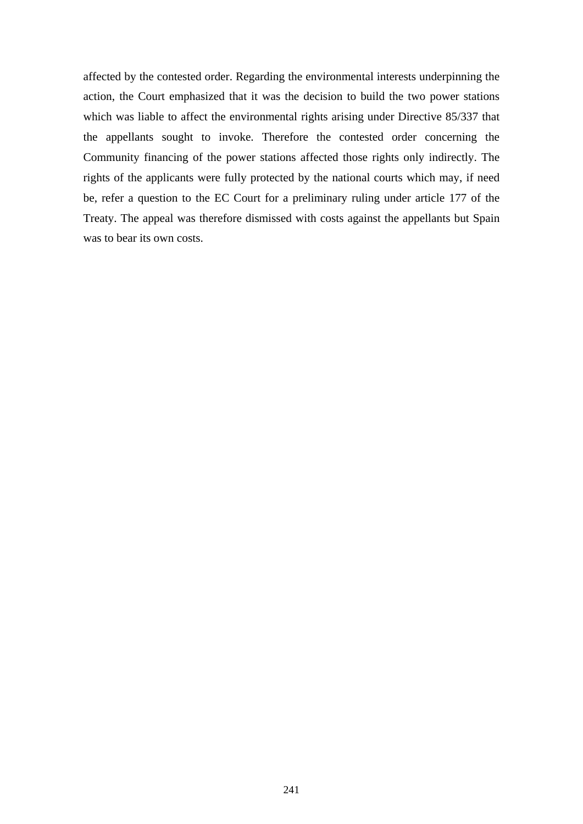affected by the contested order. Regarding the environmental interests underpinning the action, the Court emphasized that it was the decision to build the two power stations which was liable to affect the environmental rights arising under Directive 85/337 that the appellants sought to invoke. Therefore the contested order concerning the Community financing of the power stations affected those rights only indirectly. The rights of the applicants were fully protected by the national courts which may, if need be, refer a question to the EC Court for a preliminary ruling under article 177 of the Treaty. The appeal was therefore dismissed with costs against the appellants but Spain was to bear its own costs.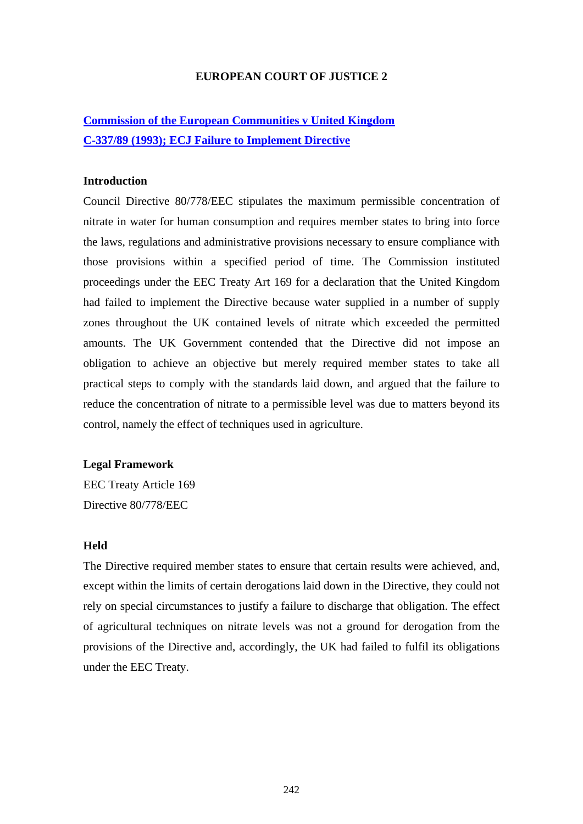# **[Commission of the European Communities v United Kingdom](#page-15-0) [C-337/89 \(1993\); ECJ Failure to Implement Directive](#page-15-0)**

#### **Introduction**

Council Directive 80/778/EEC stipulates the maximum permissible concentration of nitrate in water for human consumption and requires member states to bring into force the laws, regulations and administrative provisions necessary to ensure compliance with those provisions within a specified period of time. The Commission instituted proceedings under the EEC Treaty Art 169 for a declaration that the United Kingdom had failed to implement the Directive because water supplied in a number of supply zones throughout the UK contained levels of nitrate which exceeded the permitted amounts. The UK Government contended that the Directive did not impose an obligation to achieve an objective but merely required member states to take all practical steps to comply with the standards laid down, and argued that the failure to reduce the concentration of nitrate to a permissible level was due to matters beyond its control, namely the effect of techniques used in agriculture.

#### **Legal Framework**

EEC Treaty Article 169 Directive 80/778/EEC

### **Held**

The Directive required member states to ensure that certain results were achieved, and, except within the limits of certain derogations laid down in the Directive, they could not rely on special circumstances to justify a failure to discharge that obligation. The effect of agricultural techniques on nitrate levels was not a ground for derogation from the provisions of the Directive and, accordingly, the UK had failed to fulfil its obligations under the EEC Treaty.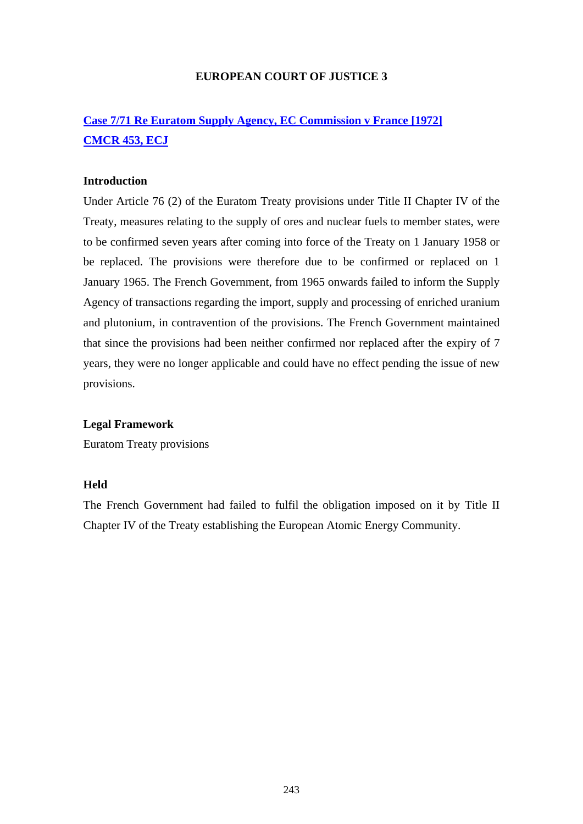# **[Case 7/71 Re Euratom Supply Agency, EC Commission v France \[1972\]](#page-15-0) [CMCR 453, ECJ](#page-15-0)**

#### **Introduction**

Under Article 76 (2) of the Euratom Treaty provisions under Title II Chapter IV of the Treaty, measures relating to the supply of ores and nuclear fuels to member states, were to be confirmed seven years after coming into force of the Treaty on 1 January 1958 or be replaced. The provisions were therefore due to be confirmed or replaced on 1 January 1965. The French Government, from 1965 onwards failed to inform the Supply Agency of transactions regarding the import, supply and processing of enriched uranium and plutonium, in contravention of the provisions. The French Government maintained that since the provisions had been neither confirmed nor replaced after the expiry of 7 years, they were no longer applicable and could have no effect pending the issue of new provisions.

### **Legal Framework**

Euratom Treaty provisions

#### **Held**

The French Government had failed to fulfil the obligation imposed on it by Title II Chapter IV of the Treaty establishing the European Atomic Energy Community.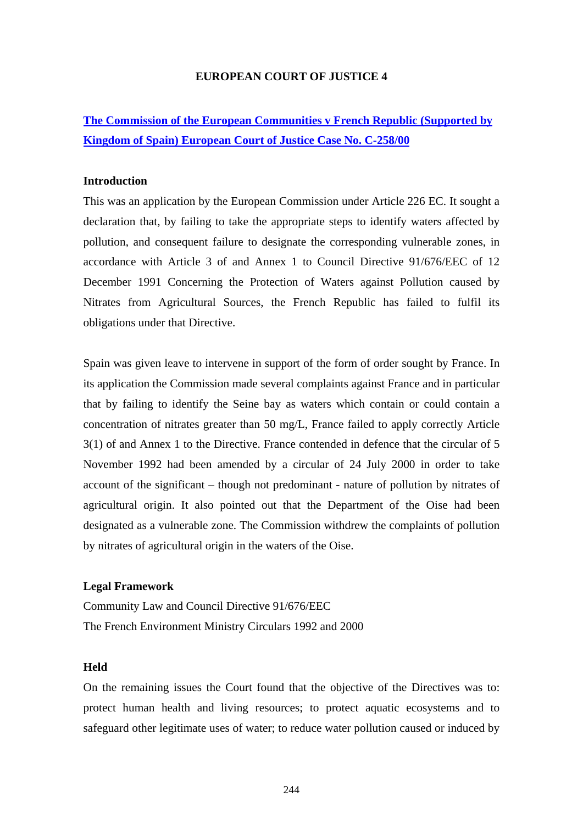# **[The Commission of the European Communities v French Republic \(Supported by](#page-15-0)  [Kingdom of Spain\) European Court of Justice Case No. C-258/00](#page-15-0)**

#### **Introduction**

This was an application by the European Commission under Article 226 EC. It sought a declaration that, by failing to take the appropriate steps to identify waters affected by pollution, and consequent failure to designate the corresponding vulnerable zones, in accordance with Article 3 of and Annex 1 to Council Directive 91/676/EEC of 12 December 1991 Concerning the Protection of Waters against Pollution caused by Nitrates from Agricultural Sources, the French Republic has failed to fulfil its obligations under that Directive.

Spain was given leave to intervene in support of the form of order sought by France. In its application the Commission made several complaints against France and in particular that by failing to identify the Seine bay as waters which contain or could contain a concentration of nitrates greater than 50 mg/L, France failed to apply correctly Article 3(1) of and Annex 1 to the Directive. France contended in defence that the circular of 5 November 1992 had been amended by a circular of 24 July 2000 in order to take account of the significant – though not predominant - nature of pollution by nitrates of agricultural origin. It also pointed out that the Department of the Oise had been designated as a vulnerable zone. The Commission withdrew the complaints of pollution by nitrates of agricultural origin in the waters of the Oise.

### **Legal Framework**

Community Law and Council Directive 91/676/EEC The French Environment Ministry Circulars 1992 and 2000

#### **Held**

On the remaining issues the Court found that the objective of the Directives was to: protect human health and living resources; to protect aquatic ecosystems and to safeguard other legitimate uses of water; to reduce water pollution caused or induced by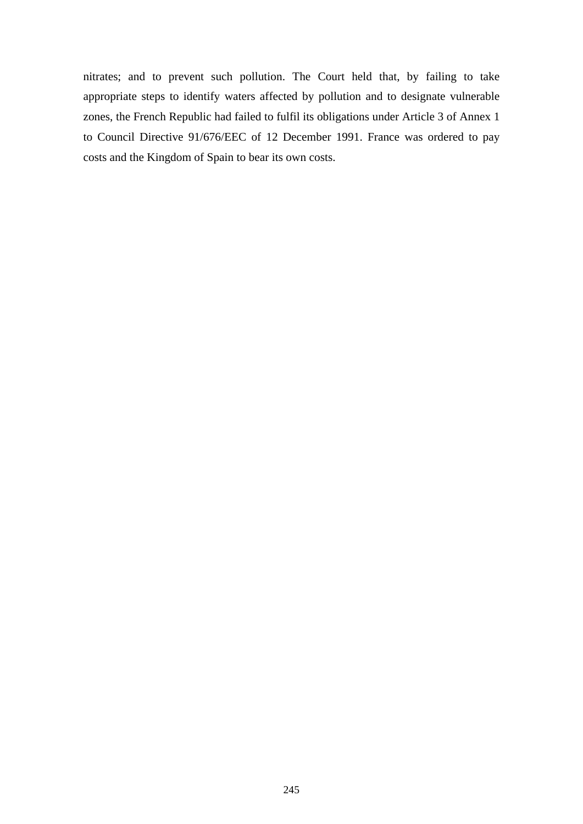nitrates; and to prevent such pollution. The Court held that, by failing to take appropriate steps to identify waters affected by pollution and to designate vulnerable zones, the French Republic had failed to fulfil its obligations under Article 3 of Annex 1 to Council Directive 91/676/EEC of 12 December 1991. France was ordered to pay costs and the Kingdom of Spain to bear its own costs.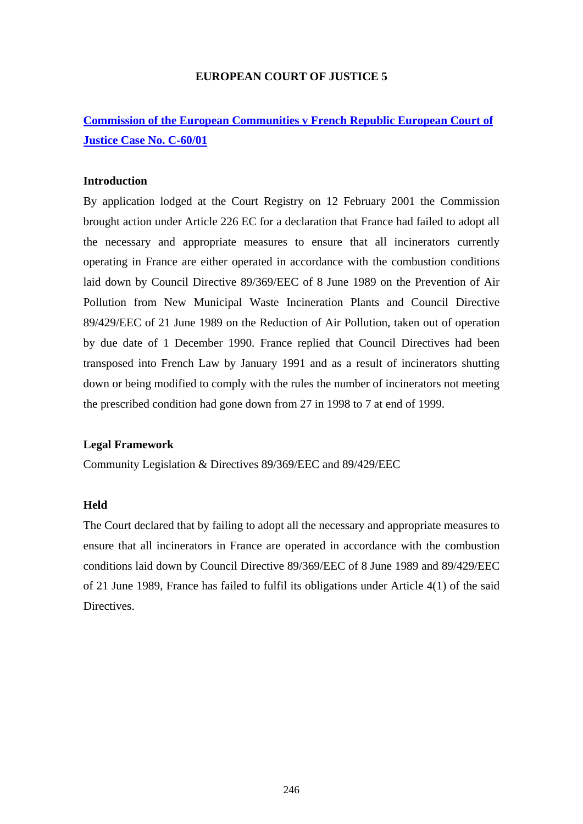# **[Commission of the European Communities v French Republic European Court of](#page-15-0)  [Justice Case No. C-60/01](#page-15-0)**

### **Introduction**

By application lodged at the Court Registry on 12 February 2001 the Commission brought action under Article 226 EC for a declaration that France had failed to adopt all the necessary and appropriate measures to ensure that all incinerators currently operating in France are either operated in accordance with the combustion conditions laid down by Council Directive 89/369/EEC of 8 June 1989 on the Prevention of Air Pollution from New Municipal Waste Incineration Plants and Council Directive 89/429/EEC of 21 June 1989 on the Reduction of Air Pollution, taken out of operation by due date of 1 December 1990. France replied that Council Directives had been transposed into French Law by January 1991 and as a result of incinerators shutting down or being modified to comply with the rules the number of incinerators not meeting the prescribed condition had gone down from 27 in 1998 to 7 at end of 1999.

#### **Legal Framework**

Community Legislation & Directives 89/369/EEC and 89/429/EEC

#### **Held**

The Court declared that by failing to adopt all the necessary and appropriate measures to ensure that all incinerators in France are operated in accordance with the combustion conditions laid down by Council Directive 89/369/EEC of 8 June 1989 and 89/429/EEC of 21 June 1989, France has failed to fulfil its obligations under Article 4(1) of the said Directives.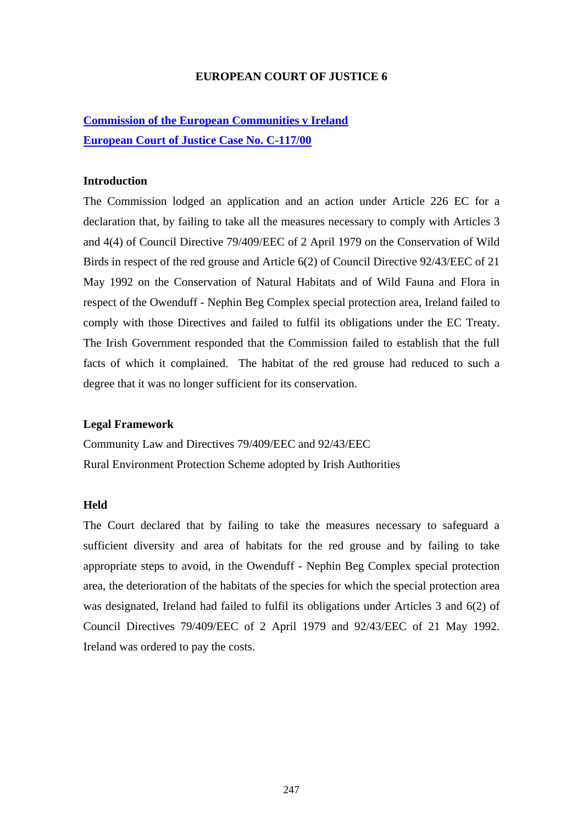# **[Commission of the European Communities v Ireland](#page-15-0)  [European Court of Justice Case No. C-117/00](#page-15-0)**

#### **Introduction**

The Commission lodged an application and an action under Article 226 EC for a declaration that, by failing to take all the measures necessary to comply with Articles 3 and 4(4) of Council Directive 79/409/EEC of 2 April 1979 on the Conservation of Wild Birds in respect of the red grouse and Article 6(2) of Council Directive 92/43/EEC of 21 May 1992 on the Conservation of Natural Habitats and of Wild Fauna and Flora in respect of the Owenduff - Nephin Beg Complex special protection area, Ireland failed to comply with those Directives and failed to fulfil its obligations under the EC Treaty. The Irish Government responded that the Commission failed to establish that the full facts of which it complained. The habitat of the red grouse had reduced to such a degree that it was no longer sufficient for its conservation.

## **Legal Framework**

Community Law and Directives 79/409/EEC and 92/43/EEC Rural Environment Protection Scheme adopted by Irish Authorities

### **Held**

The Court declared that by failing to take the measures necessary to safeguard a sufficient diversity and area of habitats for the red grouse and by failing to take appropriate steps to avoid, in the Owenduff - Nephin Beg Complex special protection area, the deterioration of the habitats of the species for which the special protection area was designated, Ireland had failed to fulfil its obligations under Articles 3 and 6(2) of Council Directives 79/409/EEC of 2 April 1979 and 92/43/EEC of 21 May 1992. Ireland was ordered to pay the costs.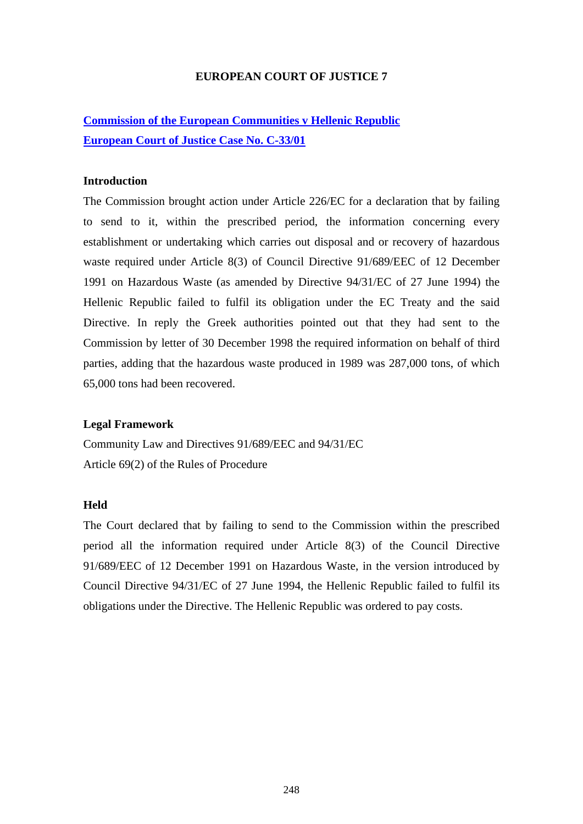# **[Commission of the European Communities v Hellenic Republic](#page-15-0)  [European Court of Justice Case No. C-33/01](#page-15-0)**

#### **Introduction**

The Commission brought action under Article 226/EC for a declaration that by failing to send to it, within the prescribed period, the information concerning every establishment or undertaking which carries out disposal and or recovery of hazardous waste required under Article 8(3) of Council Directive 91/689/EEC of 12 December 1991 on Hazardous Waste (as amended by Directive 94/31/EC of 27 June 1994) the Hellenic Republic failed to fulfil its obligation under the EC Treaty and the said Directive. In reply the Greek authorities pointed out that they had sent to the Commission by letter of 30 December 1998 the required information on behalf of third parties, adding that the hazardous waste produced in 1989 was 287,000 tons, of which 65,000 tons had been recovered.

## **Legal Framework**

Community Law and Directives 91/689/EEC and 94/31/EC Article 69(2) of the Rules of Procedure

### **Held**

The Court declared that by failing to send to the Commission within the prescribed period all the information required under Article 8(3) of the Council Directive 91/689/EEC of 12 December 1991 on Hazardous Waste, in the version introduced by Council Directive 94/31/EC of 27 June 1994, the Hellenic Republic failed to fulfil its obligations under the Directive. The Hellenic Republic was ordered to pay costs.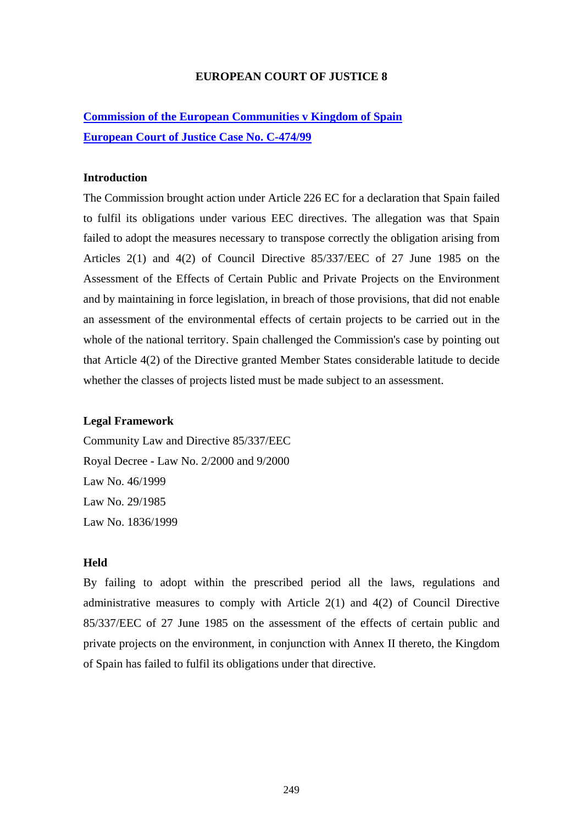# **[Commission of the European Communities v Kingdom of Spain](#page-15-0)  [European Court of Justice Case No. C-474/99](#page-15-0)**

### **Introduction**

The Commission brought action under Article 226 EC for a declaration that Spain failed to fulfil its obligations under various EEC directives. The allegation was that Spain failed to adopt the measures necessary to transpose correctly the obligation arising from Articles 2(1) and 4(2) of Council Directive 85/337/EEC of 27 June 1985 on the Assessment of the Effects of Certain Public and Private Projects on the Environment and by maintaining in force legislation, in breach of those provisions, that did not enable an assessment of the environmental effects of certain projects to be carried out in the whole of the national territory. Spain challenged the Commission's case by pointing out that Article 4(2) of the Directive granted Member States considerable latitude to decide whether the classes of projects listed must be made subject to an assessment.

#### **Legal Framework**

Community Law and Directive 85/337/EEC Royal Decree - Law No. 2/2000 and 9/2000 Law No. 46/1999 Law No. 29/1985 Law No. 1836/1999

#### **Held**

By failing to adopt within the prescribed period all the laws, regulations and administrative measures to comply with Article 2(1) and 4(2) of Council Directive 85/337/EEC of 27 June 1985 on the assessment of the effects of certain public and private projects on the environment, in conjunction with Annex II thereto, the Kingdom of Spain has failed to fulfil its obligations under that directive.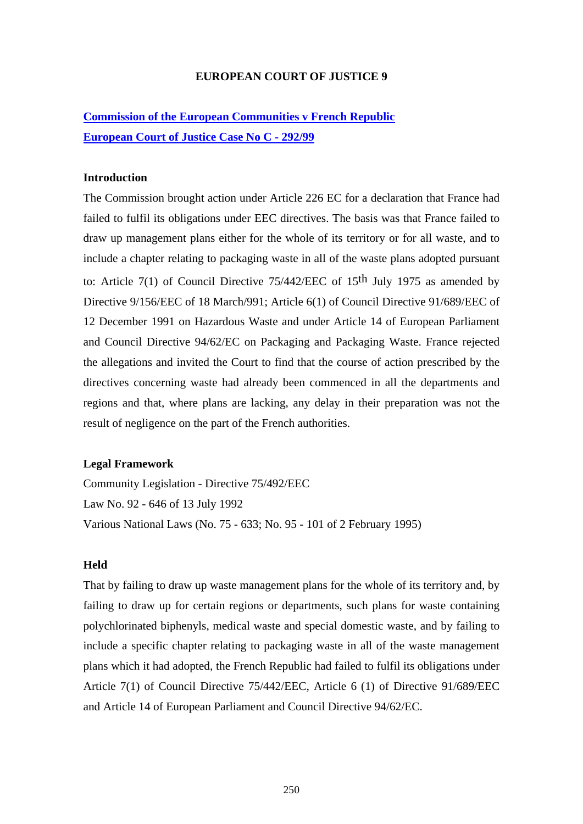# **[Commission of the European Communities v French Republic](#page-15-0)  [European Court of Justice Case No C - 292/99](#page-15-0)**

### **Introduction**

The Commission brought action under Article 226 EC for a declaration that France had failed to fulfil its obligations under EEC directives. The basis was that France failed to draw up management plans either for the whole of its territory or for all waste, and to include a chapter relating to packaging waste in all of the waste plans adopted pursuant to: Article 7(1) of Council Directive 75/442/EEC of 15th July 1975 as amended by Directive 9/156/EEC of 18 March/991; Article 6(1) of Council Directive 91/689/EEC of 12 December 1991 on Hazardous Waste and under Article 14 of European Parliament and Council Directive 94/62/EC on Packaging and Packaging Waste. France rejected the allegations and invited the Court to find that the course of action prescribed by the directives concerning waste had already been commenced in all the departments and regions and that, where plans are lacking, any delay in their preparation was not the result of negligence on the part of the French authorities.

#### **Legal Framework**

Community Legislation - Directive 75/492/EEC Law No. 92 - 646 of 13 July 1992 Various National Laws (No. 75 - 633; No. 95 - 101 of 2 February 1995)

## **Held**

That by failing to draw up waste management plans for the whole of its territory and, by failing to draw up for certain regions or departments, such plans for waste containing polychlorinated biphenyls, medical waste and special domestic waste, and by failing to include a specific chapter relating to packaging waste in all of the waste management plans which it had adopted, the French Republic had failed to fulfil its obligations under Article 7(1) of Council Directive 75/442/EEC, Article 6 (1) of Directive 91/689/EEC and Article 14 of European Parliament and Council Directive 94/62/EC.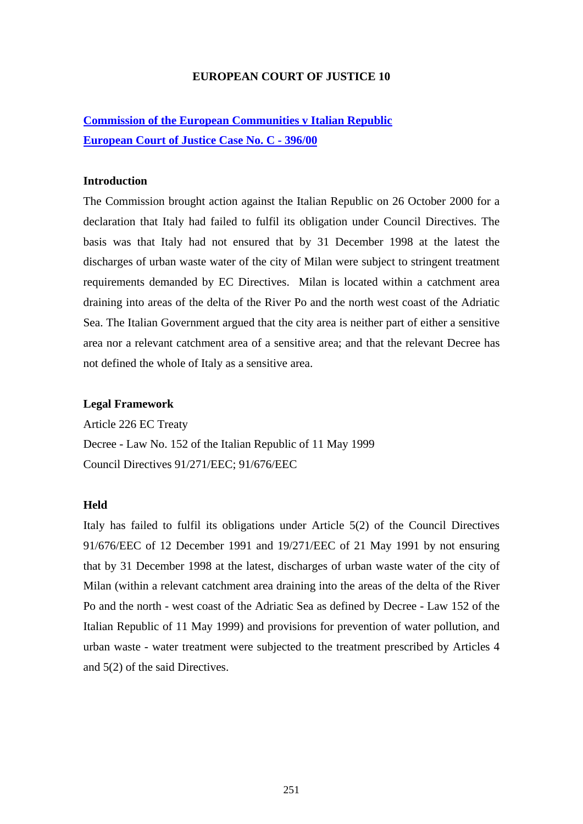# **[Commission of the European Communities v Italian Republic](#page-15-1) European Court of Justice Case No. C - 396/00**

#### **Introduction**

The Commission brought action against the Italian Republic on 26 October 2000 for a declaration that Italy had failed to fulfil its obligation under Council Directives. The basis was that Italy had not ensured that by 31 December 1998 at the latest the discharges of urban waste water of the city of Milan were subject to stringent treatment requirements demanded by EC Directives. Milan is located within a catchment area draining into areas of the delta of the River Po and the north west coast of the Adriatic Sea. The Italian Government argued that the city area is neither part of either a sensitive area nor a relevant catchment area of a sensitive area; and that the relevant Decree has not defined the whole of Italy as a sensitive area.

#### **Legal Framework**

Article 226 EC Treaty Decree - Law No. 152 of the Italian Republic of 11 May 1999 Council Directives 91/271/EEC; 91/676/EEC

### **Held**

Italy has failed to fulfil its obligations under Article 5(2) of the Council Directives 91/676/EEC of 12 December 1991 and 19/271/EEC of 21 May 1991 by not ensuring that by 31 December 1998 at the latest, discharges of urban waste water of the city of Milan (within a relevant catchment area draining into the areas of the delta of the River Po and the north - west coast of the Adriatic Sea as defined by Decree - Law 152 of the Italian Republic of 11 May 1999) and provisions for prevention of water pollution, and urban waste - water treatment were subjected to the treatment prescribed by Articles 4 and 5(2) of the said Directives.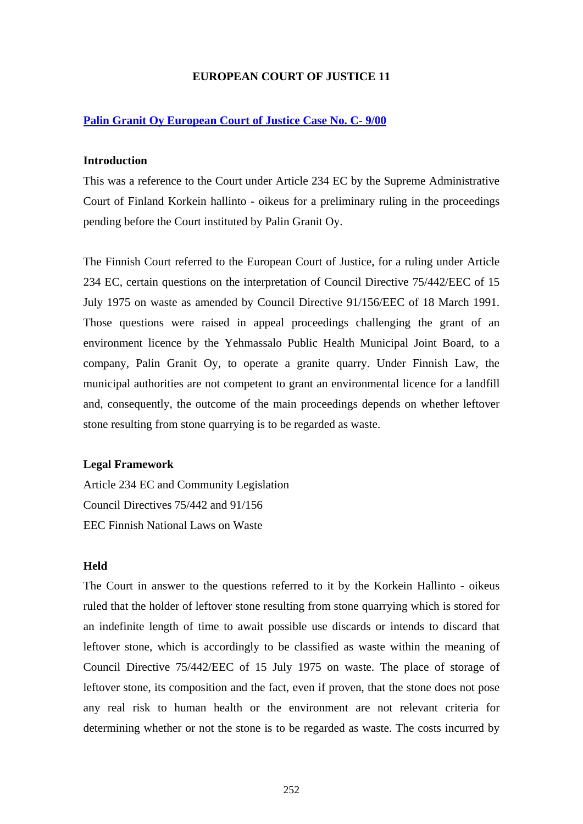### **[Palin Granit Oy European Court of Justice Case No. C- 9/00](#page-15-1)**

## **Introduction**

This was a reference to the Court under Article 234 EC by the Supreme Administrative Court of Finland Korkein hallinto - oikeus for a preliminary ruling in the proceedings pending before the Court instituted by Palin Granit Oy.

The Finnish Court referred to the European Court of Justice, for a ruling under Article 234 EC, certain questions on the interpretation of Council Directive 75/442/EEC of 15 July 1975 on waste as amended by Council Directive 91/156/EEC of 18 March 1991. Those questions were raised in appeal proceedings challenging the grant of an environment licence by the Yehmassalo Public Health Municipal Joint Board, to a company, Palin Granit Oy, to operate a granite quarry. Under Finnish Law, the municipal authorities are not competent to grant an environmental licence for a landfill and, consequently, the outcome of the main proceedings depends on whether leftover stone resulting from stone quarrying is to be regarded as waste.

#### **Legal Framework**

Article 234 EC and Community Legislation Council Directives 75/442 and 91/156 EEC Finnish National Laws on Waste

#### **Held**

The Court in answer to the questions referred to it by the Korkein Hallinto - oikeus ruled that the holder of leftover stone resulting from stone quarrying which is stored for an indefinite length of time to await possible use discards or intends to discard that leftover stone, which is accordingly to be classified as waste within the meaning of Council Directive 75/442/EEC of 15 July 1975 on waste. The place of storage of leftover stone, its composition and the fact, even if proven, that the stone does not pose any real risk to human health or the environment are not relevant criteria for determining whether or not the stone is to be regarded as waste. The costs incurred by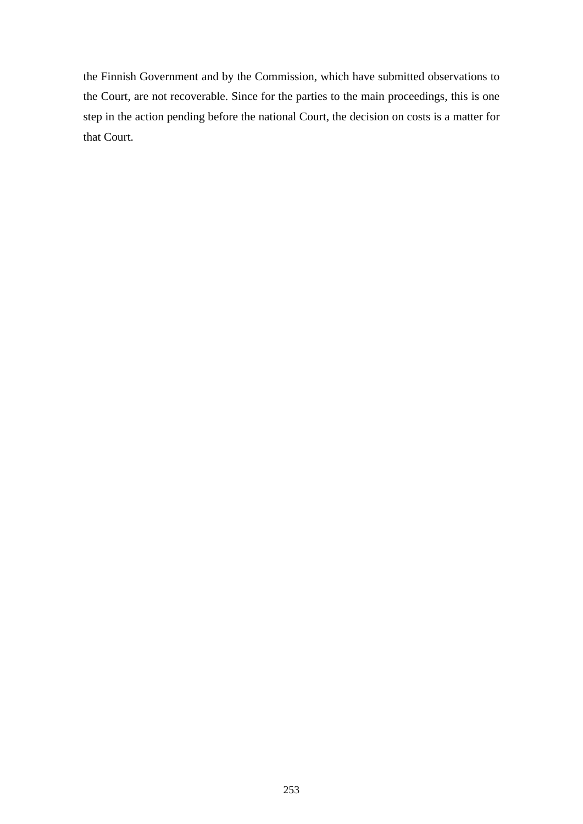the Finnish Government and by the Commission, which have submitted observations to the Court, are not recoverable. Since for the parties to the main proceedings, this is one step in the action pending before the national Court, the decision on costs is a matter for that Court.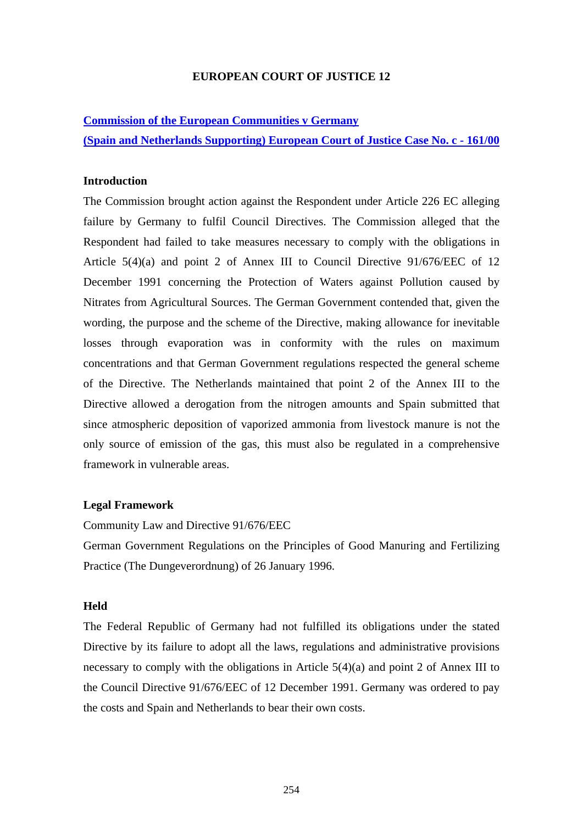## **Commission of the European Communities v Germany [\(Spain and Netherlands Supporting\) European Court of Justice Case No. c - 161/00](#page-15-1)**

#### **Introduction**

The Commission brought action against the Respondent under Article 226 EC alleging failure by Germany to fulfil Council Directives. The Commission alleged that the Respondent had failed to take measures necessary to comply with the obligations in Article 5(4)(a) and point 2 of Annex III to Council Directive 91/676/EEC of 12 December 1991 concerning the Protection of Waters against Pollution caused by Nitrates from Agricultural Sources. The German Government contended that, given the wording, the purpose and the scheme of the Directive, making allowance for inevitable losses through evaporation was in conformity with the rules on maximum concentrations and that German Government regulations respected the general scheme of the Directive. The Netherlands maintained that point 2 of the Annex III to the Directive allowed a derogation from the nitrogen amounts and Spain submitted that since atmospheric deposition of vaporized ammonia from livestock manure is not the only source of emission of the gas, this must also be regulated in a comprehensive framework in vulnerable areas.

#### **Legal Framework**

Community Law and Directive 91/676/EEC

German Government Regulations on the Principles of Good Manuring and Fertilizing Practice (The Dungeverordnung) of 26 January 1996.

#### **Held**

The Federal Republic of Germany had not fulfilled its obligations under the stated Directive by its failure to adopt all the laws, regulations and administrative provisions necessary to comply with the obligations in Article 5(4)(a) and point 2 of Annex III to the Council Directive 91/676/EEC of 12 December 1991. Germany was ordered to pay the costs and Spain and Netherlands to bear their own costs.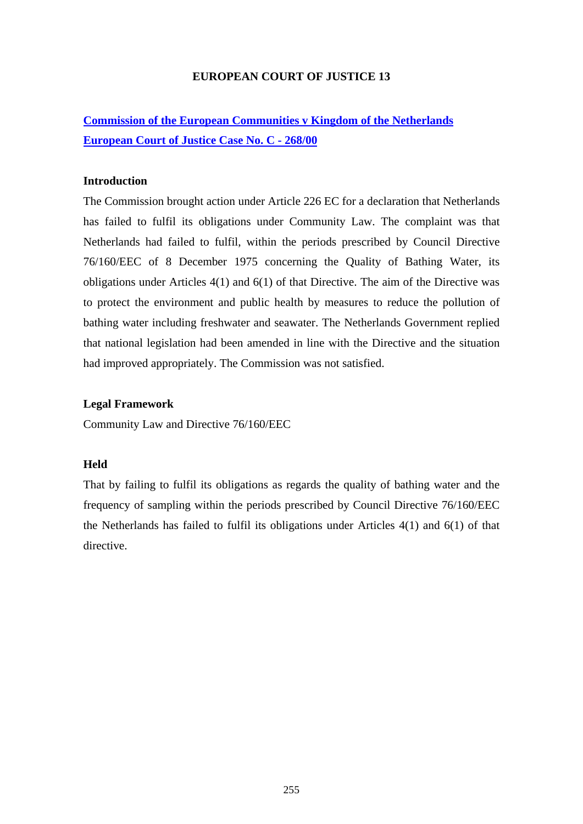# **[Commission of the European Communities v Kingdom of the Netherlands](#page-15-1) European Court of Justice Case No. C - 268/00**

## **Introduction**

The Commission brought action under Article 226 EC for a declaration that Netherlands has failed to fulfil its obligations under Community Law. The complaint was that Netherlands had failed to fulfil, within the periods prescribed by Council Directive 76/160/EEC of 8 December 1975 concerning the Quality of Bathing Water, its obligations under Articles 4(1) and 6(1) of that Directive. The aim of the Directive was to protect the environment and public health by measures to reduce the pollution of bathing water including freshwater and seawater. The Netherlands Government replied that national legislation had been amended in line with the Directive and the situation had improved appropriately. The Commission was not satisfied.

## **Legal Framework**

Community Law and Directive 76/160/EEC

## **Held**

That by failing to fulfil its obligations as regards the quality of bathing water and the frequency of sampling within the periods prescribed by Council Directive 76/160/EEC the Netherlands has failed to fulfil its obligations under Articles 4(1) and 6(1) of that directive.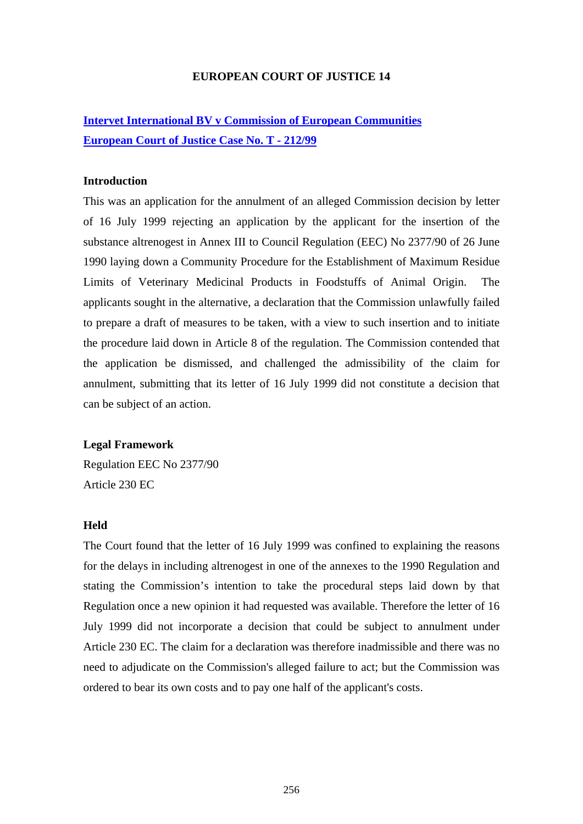# **[Intervet International BV v Commission of European Communities](#page-15-1) European Court of Justice Case No. T - 212/99**

#### **Introduction**

This was an application for the annulment of an alleged Commission decision by letter of 16 July 1999 rejecting an application by the applicant for the insertion of the substance altrenogest in Annex III to Council Regulation (EEC) No 2377/90 of 26 June 1990 laying down a Community Procedure for the Establishment of Maximum Residue Limits of Veterinary Medicinal Products in Foodstuffs of Animal Origin. The applicants sought in the alternative, a declaration that the Commission unlawfully failed to prepare a draft of measures to be taken, with a view to such insertion and to initiate the procedure laid down in Article 8 of the regulation. The Commission contended that the application be dismissed, and challenged the admissibility of the claim for annulment, submitting that its letter of 16 July 1999 did not constitute a decision that can be subject of an action.

#### **Legal Framework**

Regulation EEC No 2377/90 Article 230 EC

#### **Held**

The Court found that the letter of 16 July 1999 was confined to explaining the reasons for the delays in including altrenogest in one of the annexes to the 1990 Regulation and stating the Commission's intention to take the procedural steps laid down by that Regulation once a new opinion it had requested was available. Therefore the letter of 16 July 1999 did not incorporate a decision that could be subject to annulment under Article 230 EC. The claim for a declaration was therefore inadmissible and there was no need to adjudicate on the Commission's alleged failure to act; but the Commission was ordered to bear its own costs and to pay one half of the applicant's costs.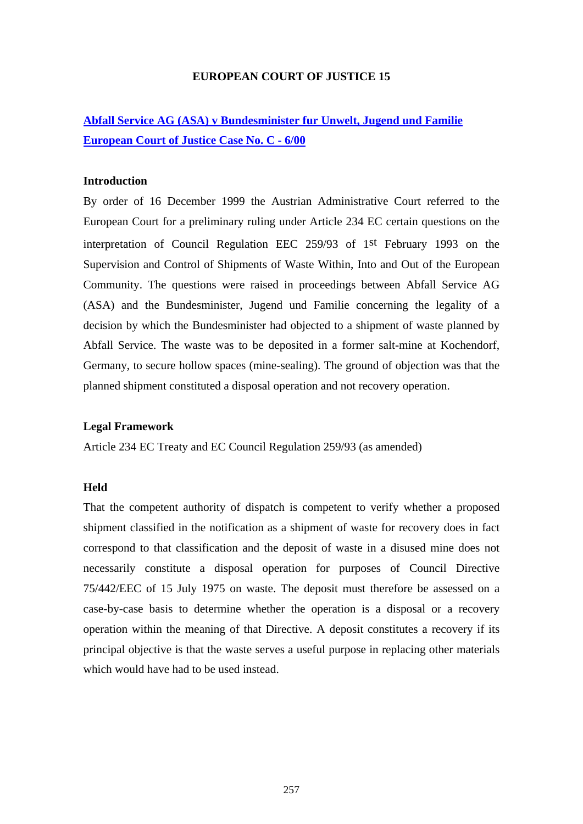# **[Abfall Service AG \(ASA\) v Bundesminister fur Unwelt, Jugend und Familie](#page-15-1) European Court of Justice Case No. C - 6/00**

#### **Introduction**

By order of 16 December 1999 the Austrian Administrative Court referred to the European Court for a preliminary ruling under Article 234 EC certain questions on the interpretation of Council Regulation EEC 259/93 of 1st February 1993 on the Supervision and Control of Shipments of Waste Within, Into and Out of the European Community. The questions were raised in proceedings between Abfall Service AG (ASA) and the Bundesminister, Jugend und Familie concerning the legality of a decision by which the Bundesminister had objected to a shipment of waste planned by Abfall Service. The waste was to be deposited in a former salt-mine at Kochendorf, Germany, to secure hollow spaces (mine-sealing). The ground of objection was that the planned shipment constituted a disposal operation and not recovery operation.

## **Legal Framework**

Article 234 EC Treaty and EC Council Regulation 259/93 (as amended)

## **Held**

That the competent authority of dispatch is competent to verify whether a proposed shipment classified in the notification as a shipment of waste for recovery does in fact correspond to that classification and the deposit of waste in a disused mine does not necessarily constitute a disposal operation for purposes of Council Directive 75/442/EEC of 15 July 1975 on waste. The deposit must therefore be assessed on a case-by-case basis to determine whether the operation is a disposal or a recovery operation within the meaning of that Directive. A deposit constitutes a recovery if its principal objective is that the waste serves a useful purpose in replacing other materials which would have had to be used instead.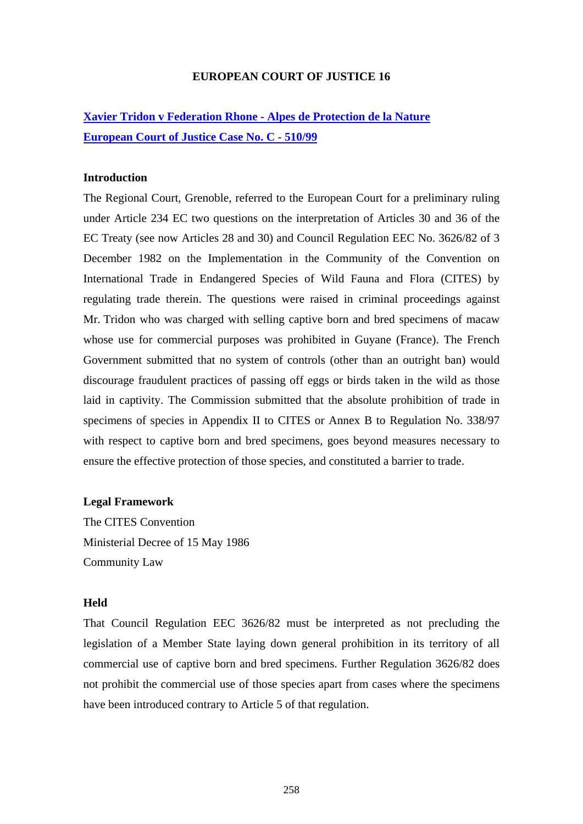# **[Xavier Tridon v Federation Rhone - Alpes de Protection de la Nature](#page-15-1) European Court of Justice Case No. C - 510/99**

#### **Introduction**

The Regional Court, Grenoble, referred to the European Court for a preliminary ruling under Article 234 EC two questions on the interpretation of Articles 30 and 36 of the EC Treaty (see now Articles 28 and 30) and Council Regulation EEC No. 3626/82 of 3 December 1982 on the Implementation in the Community of the Convention on International Trade in Endangered Species of Wild Fauna and Flora (CITES) by regulating trade therein. The questions were raised in criminal proceedings against Mr. Tridon who was charged with selling captive born and bred specimens of macaw whose use for commercial purposes was prohibited in Guyane (France). The French Government submitted that no system of controls (other than an outright ban) would discourage fraudulent practices of passing off eggs or birds taken in the wild as those laid in captivity. The Commission submitted that the absolute prohibition of trade in specimens of species in Appendix II to CITES or Annex B to Regulation No. 338/97 with respect to captive born and bred specimens, goes beyond measures necessary to ensure the effective protection of those species, and constituted a barrier to trade.

### **Legal Framework**

The CITES Convention Ministerial Decree of 15 May 1986 Community Law

#### **Held**

That Council Regulation EEC 3626/82 must be interpreted as not precluding the legislation of a Member State laying down general prohibition in its territory of all commercial use of captive born and bred specimens. Further Regulation 3626/82 does not prohibit the commercial use of those species apart from cases where the specimens have been introduced contrary to Article 5 of that regulation.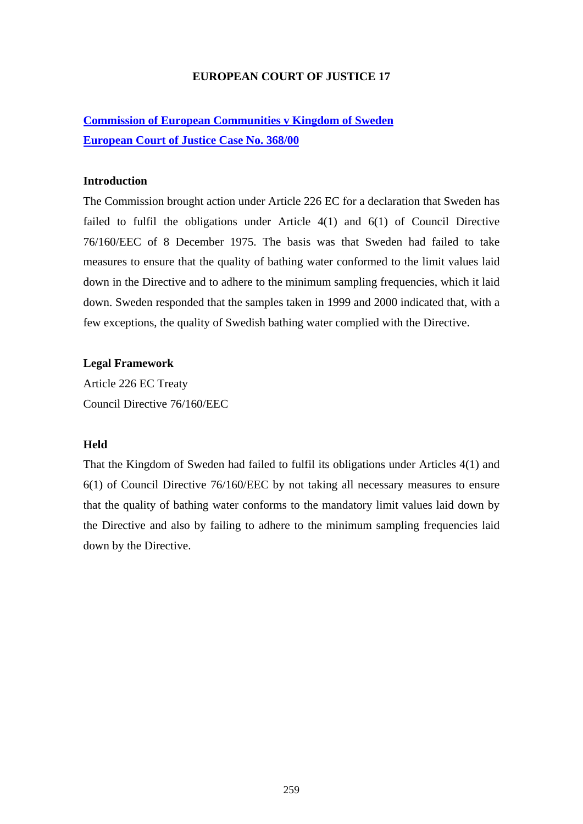# **[Commission of European Communities v Kingdom of Sweden](#page-15-1) European Court of Justice Case No. 368/00**

## **Introduction**

The Commission brought action under Article 226 EC for a declaration that Sweden has failed to fulfil the obligations under Article 4(1) and 6(1) of Council Directive 76/160/EEC of 8 December 1975. The basis was that Sweden had failed to take measures to ensure that the quality of bathing water conformed to the limit values laid down in the Directive and to adhere to the minimum sampling frequencies, which it laid down. Sweden responded that the samples taken in 1999 and 2000 indicated that, with a few exceptions, the quality of Swedish bathing water complied with the Directive.

### **Legal Framework**

Article 226 EC Treaty Council Directive 76/160/EEC

## **Held**

That the Kingdom of Sweden had failed to fulfil its obligations under Articles 4(1) and 6(1) of Council Directive 76/160/EEC by not taking all necessary measures to ensure that the quality of bathing water conforms to the mandatory limit values laid down by the Directive and also by failing to adhere to the minimum sampling frequencies laid down by the Directive.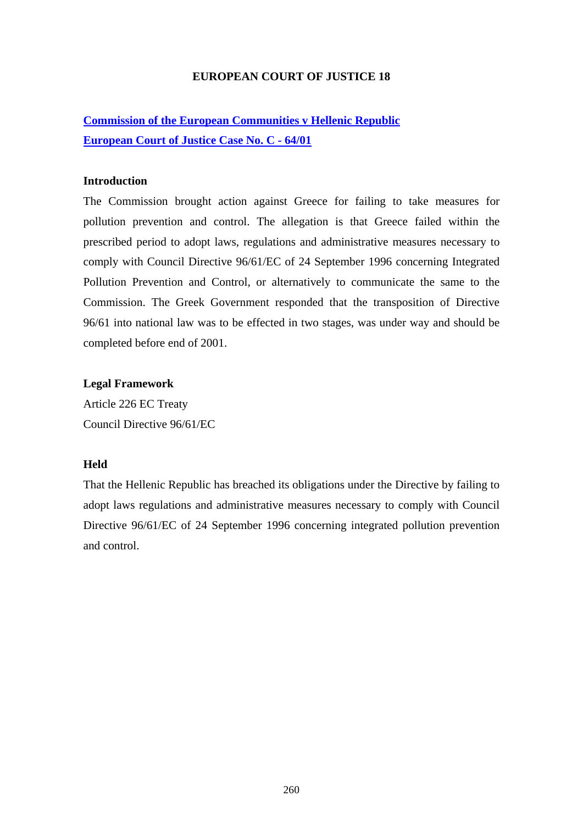# **[Commission of the European Communities v Hellenic Republic](#page-16-0)  European Court of Justice Case No. C - 64/01**

## **Introduction**

The Commission brought action against Greece for failing to take measures for pollution prevention and control. The allegation is that Greece failed within the prescribed period to adopt laws, regulations and administrative measures necessary to comply with Council Directive 96/61/EC of 24 September 1996 concerning Integrated Pollution Prevention and Control, or alternatively to communicate the same to the Commission. The Greek Government responded that the transposition of Directive 96/61 into national law was to be effected in two stages, was under way and should be completed before end of 2001.

## **Legal Framework**

Article 226 EC Treaty Council Directive 96/61/EC

## **Held**

That the Hellenic Republic has breached its obligations under the Directive by failing to adopt laws regulations and administrative measures necessary to comply with Council Directive 96/61/EC of 24 September 1996 concerning integrated pollution prevention and control.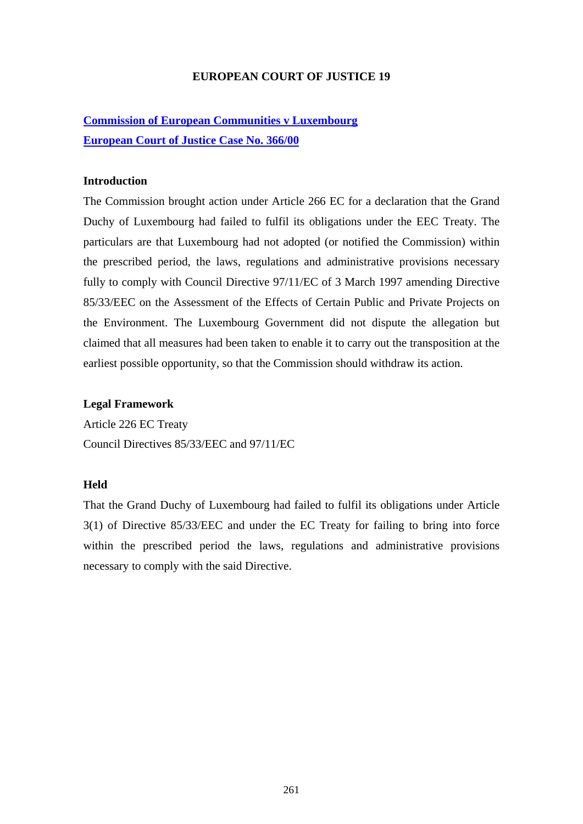# **EUROPEAN COURT OF JUSTICE 19**

# **[Commission of European Communities v Luxembourg](#page-16-0) [European Court of Justice Case No. 366/00](#page-16-0)**

### **Introduction**

The Commission brought action under Article 266 EC for a declaration that the Grand Duchy of Luxembourg had failed to fulfil its obligations under the EEC Treaty. The particulars are that Luxembourg had not adopted (or notified the Commission) within the prescribed period, the laws, regulations and administrative provisions necessary fully to comply with Council Directive 97/11/EC of 3 March 1997 amending Directive 85/33/EEC on the Assessment of the Effects of Certain Public and Private Projects on the Environment. The Luxembourg Government did not dispute the allegation but claimed that all measures had been taken to enable it to carry out the transposition at the earliest possible opportunity, so that the Commission should withdraw its action.

### **Legal Framework**

Article 226 EC Treaty Council Directives 85/33/EEC and 97/11/EC

### **Held**

That the Grand Duchy of Luxembourg had failed to fulfil its obligations under Article 3(1) of Directive 85/33/EEC and under the EC Treaty for failing to bring into force within the prescribed period the laws, regulations and administrative provisions necessary to comply with the said Directive.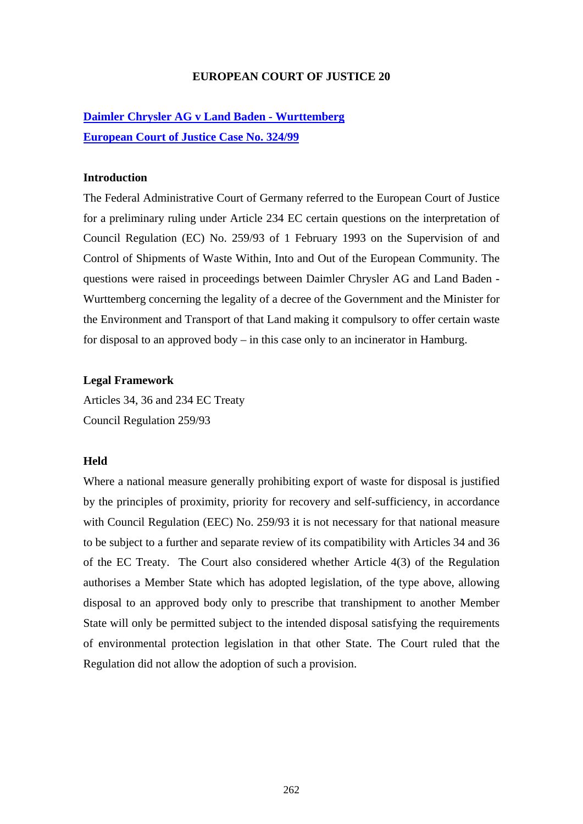### **EUROPEAN COURT OF JUSTICE 20**

# **[Daimler Chrysler AG v Land Baden - Wurttemberg](#page-16-0) [European Court of Justice Case No. 324/99](#page-16-0)**

### **Introduction**

The Federal Administrative Court of Germany referred to the European Court of Justice for a preliminary ruling under Article 234 EC certain questions on the interpretation of Council Regulation (EC) No. 259/93 of 1 February 1993 on the Supervision of and Control of Shipments of Waste Within, Into and Out of the European Community. The questions were raised in proceedings between Daimler Chrysler AG and Land Baden - Wurttemberg concerning the legality of a decree of the Government and the Minister for the Environment and Transport of that Land making it compulsory to offer certain waste for disposal to an approved body – in this case only to an incinerator in Hamburg.

# **Legal Framework**

Articles 34, 36 and 234 EC Treaty Council Regulation 259/93

### **Held**

Where a national measure generally prohibiting export of waste for disposal is justified by the principles of proximity, priority for recovery and self-sufficiency, in accordance with Council Regulation (EEC) No. 259/93 it is not necessary for that national measure to be subject to a further and separate review of its compatibility with Articles 34 and 36 of the EC Treaty. The Court also considered whether Article 4(3) of the Regulation authorises a Member State which has adopted legislation, of the type above, allowing disposal to an approved body only to prescribe that transhipment to another Member State will only be permitted subject to the intended disposal satisfying the requirements of environmental protection legislation in that other State. The Court ruled that the Regulation did not allow the adoption of such a provision.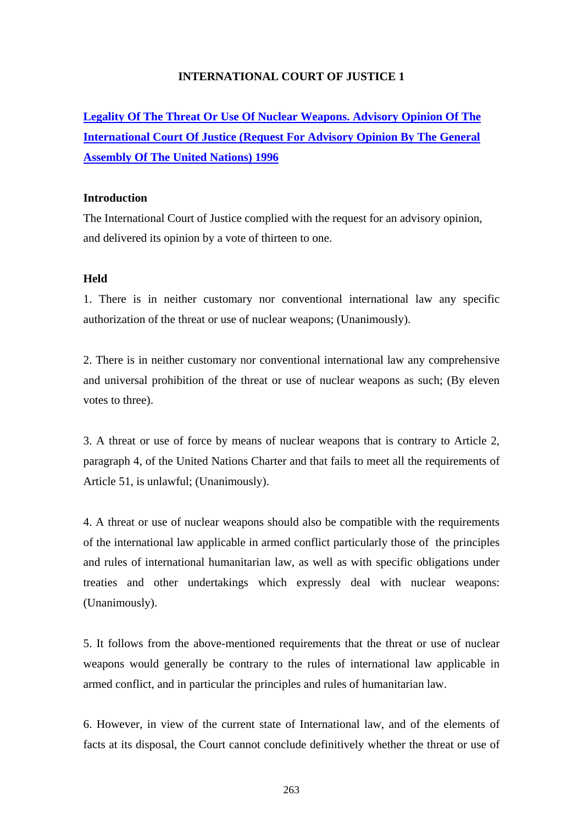**[Legality Of The Threat Or Use Of Nuclear Weapons. Advisory Opinion Of The](#page-16-0)  [International Court Of Justice \(Request For Advisory Opinion By The General](#page-16-0)  [Assembly Of The United Nations\) 1996](#page-16-0)**

### **Introduction**

The International Court of Justice complied with the request for an advisory opinion, and delivered its opinion by a vote of thirteen to one.

# **Held**

1. There is in neither customary nor conventional international law any specific authorization of the threat or use of nuclear weapons; (Unanimously).

2. There is in neither customary nor conventional international law any comprehensive and universal prohibition of the threat or use of nuclear weapons as such; (By eleven votes to three).

3. A threat or use of force by means of nuclear weapons that is contrary to Article 2, paragraph 4, of the United Nations Charter and that fails to meet all the requirements of Article 51, is unlawful; (Unanimously).

4. A threat or use of nuclear weapons should also be compatible with the requirements of the international law applicable in armed conflict particularly those of the principles and rules of international humanitarian law, as well as with specific obligations under treaties and other undertakings which expressly deal with nuclear weapons: (Unanimously).

5. It follows from the above-mentioned requirements that the threat or use of nuclear weapons would generally be contrary to the rules of international law applicable in armed conflict, and in particular the principles and rules of humanitarian law.

6. However, in view of the current state of International law, and of the elements of facts at its disposal, the Court cannot conclude definitively whether the threat or use of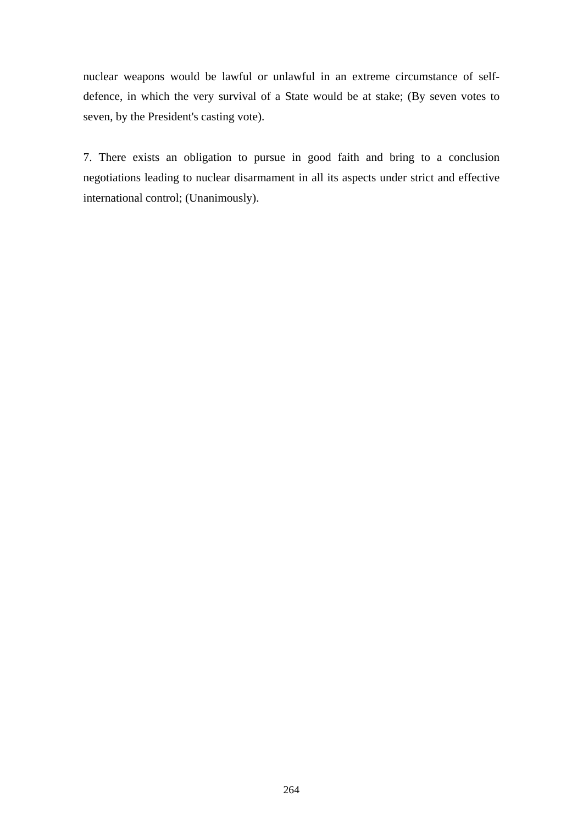nuclear weapons would be lawful or unlawful in an extreme circumstance of selfdefence, in which the very survival of a State would be at stake; (By seven votes to seven, by the President's casting vote).

7. There exists an obligation to pursue in good faith and bring to a conclusion negotiations leading to nuclear disarmament in all its aspects under strict and effective international control; (Unanimously).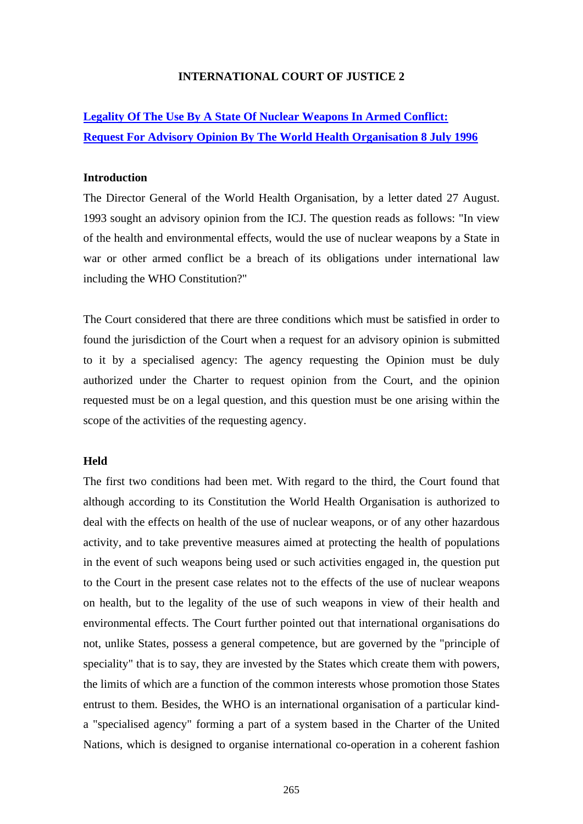# **[Legality Of The Use By A State Of Nuclear Weapons In Armed Conflict:](#page-16-0) [Request For Advisory Opinion By The World Health Organisation 8 July 1996](#page-16-0)**

### **Introduction**

The Director General of the World Health Organisation, by a letter dated 27 August. 1993 sought an advisory opinion from the ICJ. The question reads as follows: "In view of the health and environmental effects, would the use of nuclear weapons by a State in war or other armed conflict be a breach of its obligations under international law including the WHO Constitution?"

The Court considered that there are three conditions which must be satisfied in order to found the jurisdiction of the Court when a request for an advisory opinion is submitted to it by a specialised agency: The agency requesting the Opinion must be duly authorized under the Charter to request opinion from the Court, and the opinion requested must be on a legal question, and this question must be one arising within the scope of the activities of the requesting agency.

### **Held**

The first two conditions had been met. With regard to the third, the Court found that although according to its Constitution the World Health Organisation is authorized to deal with the effects on health of the use of nuclear weapons, or of any other hazardous activity, and to take preventive measures aimed at protecting the health of populations in the event of such weapons being used or such activities engaged in, the question put to the Court in the present case relates not to the effects of the use of nuclear weapons on health, but to the legality of the use of such weapons in view of their health and environmental effects. The Court further pointed out that international organisations do not, unlike States, possess a general competence, but are governed by the "principle of speciality" that is to say, they are invested by the States which create them with powers, the limits of which are a function of the common interests whose promotion those States entrust to them. Besides, the WHO is an international organisation of a particular kinda "specialised agency" forming a part of a system based in the Charter of the United Nations, which is designed to organise international co-operation in a coherent fashion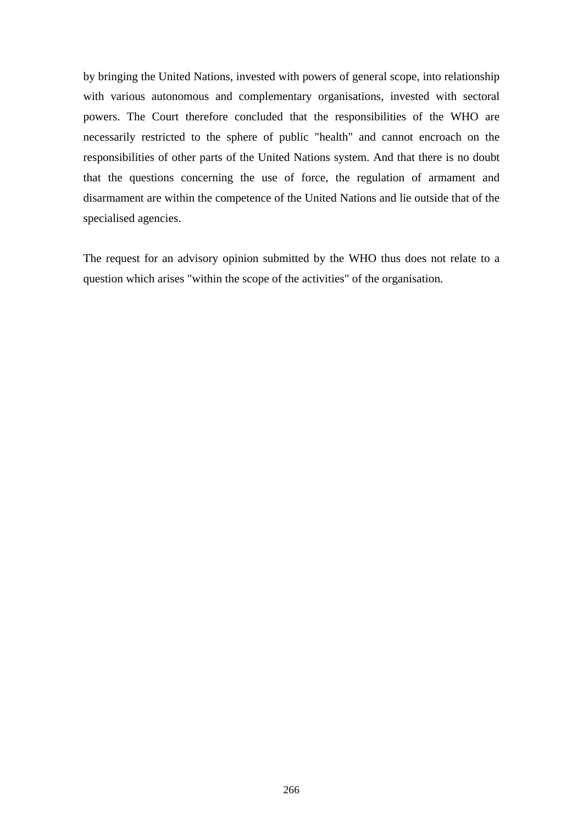by bringing the United Nations, invested with powers of general scope, into relationship with various autonomous and complementary organisations, invested with sectoral powers. The Court therefore concluded that the responsibilities of the WHO are necessarily restricted to the sphere of public "health" and cannot encroach on the responsibilities of other parts of the United Nations system. And that there is no doubt that the questions concerning the use of force, the regulation of armament and disarmament are within the competence of the United Nations and lie outside that of the specialised agencies.

The request for an advisory opinion submitted by the WHO thus does not relate to a question which arises "within the scope of the activities" of the organisation.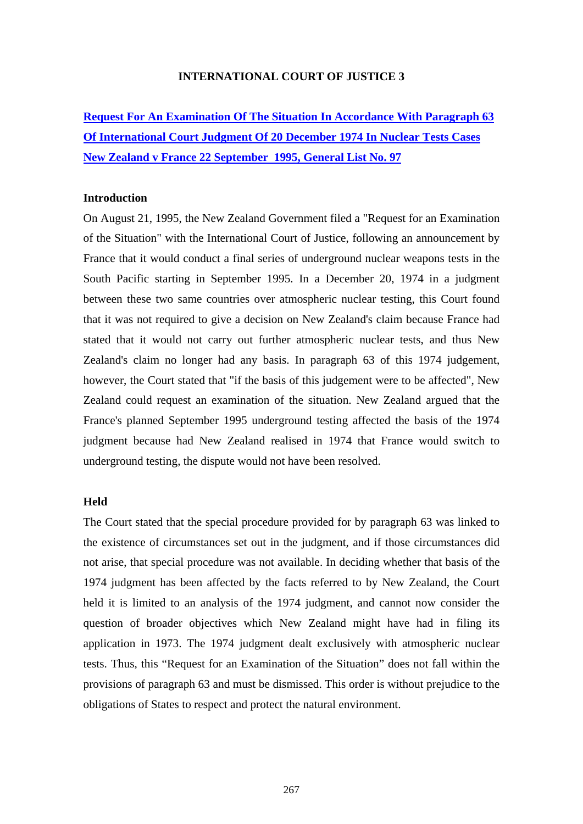**[Request For An Examination Of The Situation In Accordance With Paragraph 63](#page-16-0)  [Of International Court Judgment Of 20 December 1974 In Nuclear Tests Cases](#page-16-0) [New Zealand v France 22 September 1995, General List No. 97](#page-16-0)**

#### **Introduction**

On August 21, 1995, the New Zealand Government filed a "Request for an Examination of the Situation" with the International Court of Justice, following an announcement by France that it would conduct a final series of underground nuclear weapons tests in the South Pacific starting in September 1995. In a December 20, 1974 in a judgment between these two same countries over atmospheric nuclear testing, this Court found that it was not required to give a decision on New Zealand's claim because France had stated that it would not carry out further atmospheric nuclear tests, and thus New Zealand's claim no longer had any basis. In paragraph 63 of this 1974 judgement, however, the Court stated that "if the basis of this judgement were to be affected", New Zealand could request an examination of the situation. New Zealand argued that the France's planned September 1995 underground testing affected the basis of the 1974 judgment because had New Zealand realised in 1974 that France would switch to underground testing, the dispute would not have been resolved.

# **Held**

The Court stated that the special procedure provided for by paragraph 63 was linked to the existence of circumstances set out in the judgment, and if those circumstances did not arise, that special procedure was not available. In deciding whether that basis of the 1974 judgment has been affected by the facts referred to by New Zealand, the Court held it is limited to an analysis of the 1974 judgment, and cannot now consider the question of broader objectives which New Zealand might have had in filing its application in 1973. The 1974 judgment dealt exclusively with atmospheric nuclear tests. Thus, this "Request for an Examination of the Situation" does not fall within the provisions of paragraph 63 and must be dismissed. This order is without prejudice to the obligations of States to respect and protect the natural environment.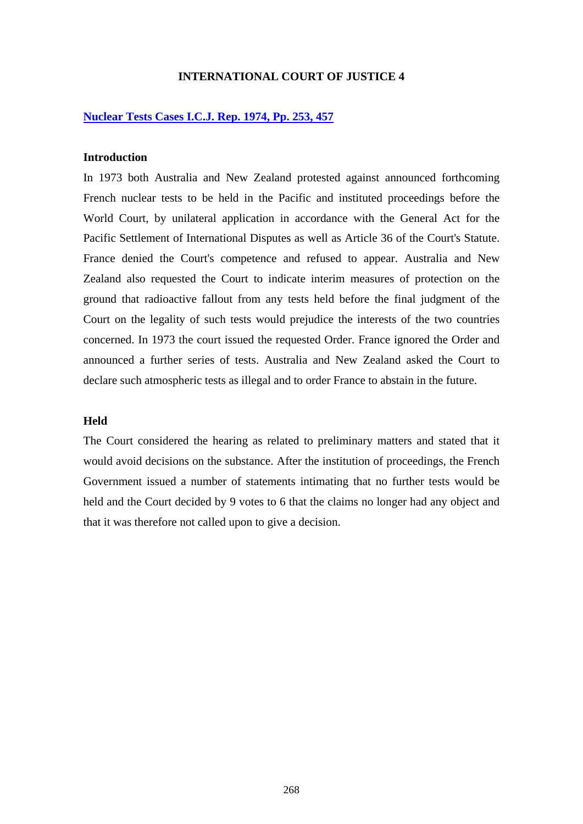# **[Nuclear Tests Cases I.C.J. Rep. 1974, Pp. 253, 457](#page-16-1)**

# **Introduction**

In 1973 both Australia and New Zealand protested against announced forthcoming French nuclear tests to be held in the Pacific and instituted proceedings before the World Court, by unilateral application in accordance with the General Act for the Pacific Settlement of International Disputes as well as Article 36 of the Court's Statute. France denied the Court's competence and refused to appear. Australia and New Zealand also requested the Court to indicate interim measures of protection on the ground that radioactive fallout from any tests held before the final judgment of the Court on the legality of such tests would prejudice the interests of the two countries concerned. In 1973 the court issued the requested Order. France ignored the Order and announced a further series of tests. Australia and New Zealand asked the Court to declare such atmospheric tests as illegal and to order France to abstain in the future.

#### **Held**

The Court considered the hearing as related to preliminary matters and stated that it would avoid decisions on the substance. After the institution of proceedings, the French Government issued a number of statements intimating that no further tests would be held and the Court decided by 9 votes to 6 that the claims no longer had any object and that it was therefore not called upon to give a decision.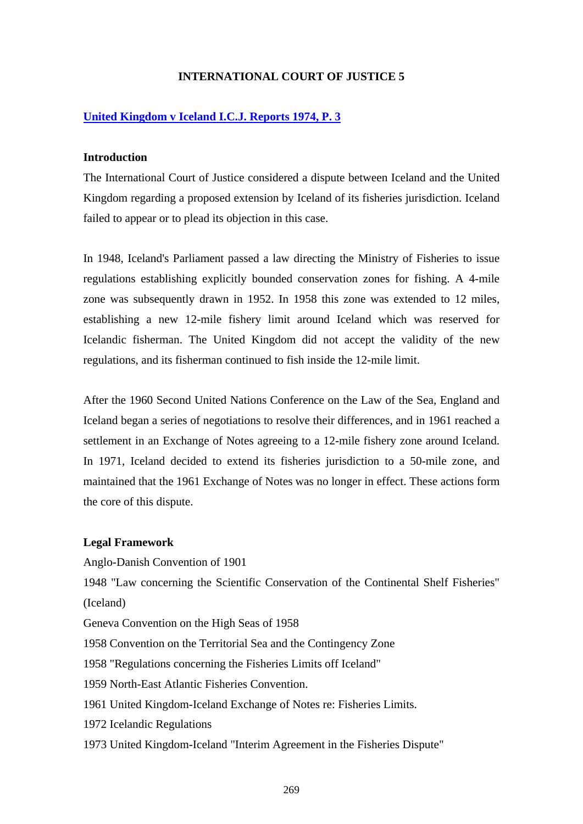# **[United Kingdom v Iceland I.C.J. Reports 1974, P. 3](#page-16-1)**

# **Introduction**

The International Court of Justice considered a dispute between Iceland and the United Kingdom regarding a proposed extension by Iceland of its fisheries jurisdiction. Iceland failed to appear or to plead its objection in this case.

In 1948, Iceland's Parliament passed a law directing the Ministry of Fisheries to issue regulations establishing explicitly bounded conservation zones for fishing. A 4-mile zone was subsequently drawn in 1952. In 1958 this zone was extended to 12 miles, establishing a new 12-mile fishery limit around Iceland which was reserved for Icelandic fisherman. The United Kingdom did not accept the validity of the new regulations, and its fisherman continued to fish inside the 12-mile limit.

After the 1960 Second United Nations Conference on the Law of the Sea, England and Iceland began a series of negotiations to resolve their differences, and in 1961 reached a settlement in an Exchange of Notes agreeing to a 12-mile fishery zone around Iceland. In 1971, Iceland decided to extend its fisheries jurisdiction to a 50-mile zone, and maintained that the 1961 Exchange of Notes was no longer in effect. These actions form the core of this dispute.

#### **Legal Framework**

Anglo-Danish Convention of 1901

1948 "Law concerning the Scientific Conservation of the Continental Shelf Fisheries" (Iceland)

Geneva Convention on the High Seas of 1958

1958 Convention on the Territorial Sea and the Contingency Zone

1958 "Regulations concerning the Fisheries Limits off Iceland"

1959 North-East Atlantic Fisheries Convention.

- 1961 United Kingdom-Iceland Exchange of Notes re: Fisheries Limits.
- 1972 Icelandic Regulations
- 1973 United Kingdom-Iceland "Interim Agreement in the Fisheries Dispute"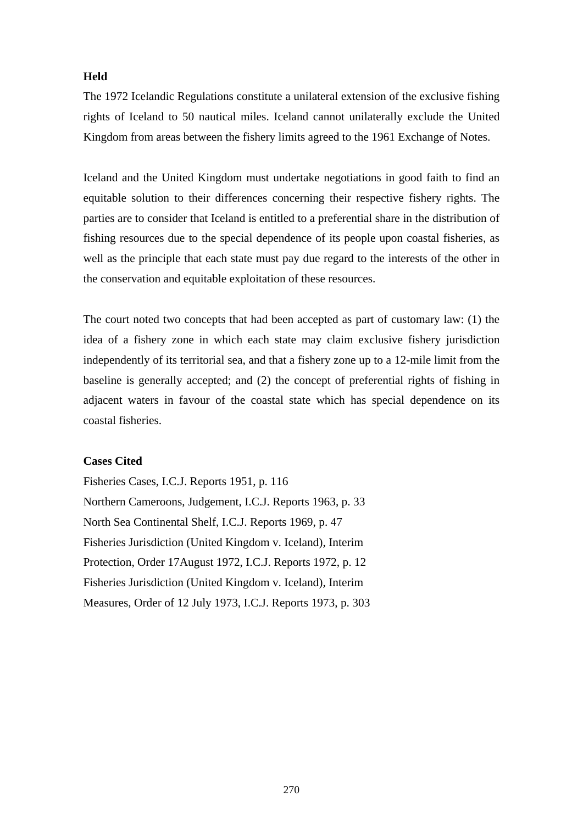# **Held**

The 1972 Icelandic Regulations constitute a unilateral extension of the exclusive fishing rights of Iceland to 50 nautical miles. Iceland cannot unilaterally exclude the United Kingdom from areas between the fishery limits agreed to the 1961 Exchange of Notes.

Iceland and the United Kingdom must undertake negotiations in good faith to find an equitable solution to their differences concerning their respective fishery rights. The parties are to consider that Iceland is entitled to a preferential share in the distribution of fishing resources due to the special dependence of its people upon coastal fisheries, as well as the principle that each state must pay due regard to the interests of the other in the conservation and equitable exploitation of these resources.

The court noted two concepts that had been accepted as part of customary law: (1) the idea of a fishery zone in which each state may claim exclusive fishery jurisdiction independently of its territorial sea, and that a fishery zone up to a 12-mile limit from the baseline is generally accepted; and (2) the concept of preferential rights of fishing in adjacent waters in favour of the coastal state which has special dependence on its coastal fisheries.

### **Cases Cited**

Fisheries Cases, I.C.J. Reports 1951, p. 116 Northern Cameroons, Judgement, I.C.J. Reports 1963, p. 33 North Sea Continental Shelf, I.C.J. Reports 1969, p. 47 Fisheries Jurisdiction (United Kingdom v. Iceland), Interim Protection, Order 17August 1972, I.C.J. Reports 1972, p. 12 Fisheries Jurisdiction (United Kingdom v. Iceland), Interim Measures, Order of 12 July 1973, I.C.J. Reports 1973, p. 303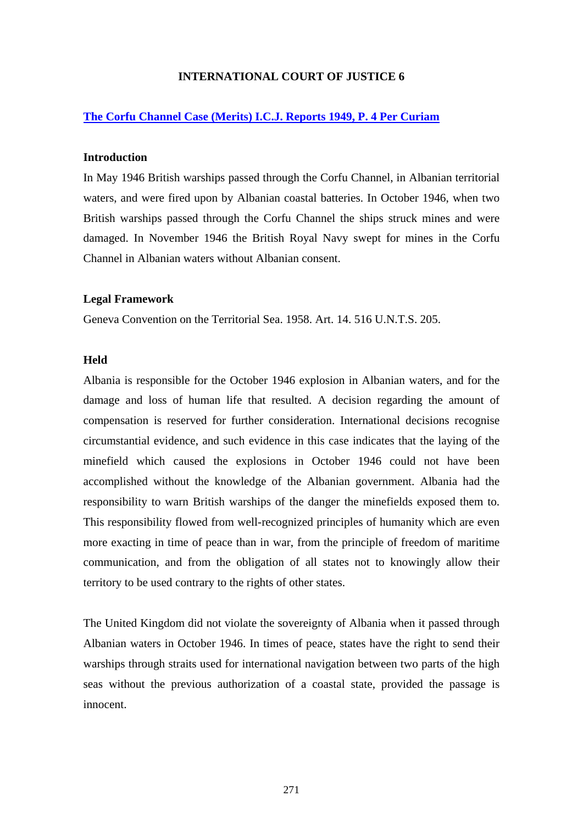# **[The Corfu Channel Case \(Merits\) I.C.J. Reports 1949, P. 4 Per Curiam](#page-16-1)**

# **Introduction**

In May 1946 British warships passed through the Corfu Channel, in Albanian territorial waters, and were fired upon by Albanian coastal batteries. In October 1946, when two British warships passed through the Corfu Channel the ships struck mines and were damaged. In November 1946 the British Royal Navy swept for mines in the Corfu Channel in Albanian waters without Albanian consent.

### **Legal Framework**

Geneva Convention on the Territorial Sea. 1958. Art. 14. 516 U.N.T.S. 205.

## **Held**

Albania is responsible for the October 1946 explosion in Albanian waters, and for the damage and loss of human life that resulted. A decision regarding the amount of compensation is reserved for further consideration. International decisions recognise circumstantial evidence, and such evidence in this case indicates that the laying of the minefield which caused the explosions in October 1946 could not have been accomplished without the knowledge of the Albanian government. Albania had the responsibility to warn British warships of the danger the minefields exposed them to. This responsibility flowed from well-recognized principles of humanity which are even more exacting in time of peace than in war, from the principle of freedom of maritime communication, and from the obligation of all states not to knowingly allow their territory to be used contrary to the rights of other states.

The United Kingdom did not violate the sovereignty of Albania when it passed through Albanian waters in October 1946. In times of peace, states have the right to send their warships through straits used for international navigation between two parts of the high seas without the previous authorization of a coastal state, provided the passage is innocent.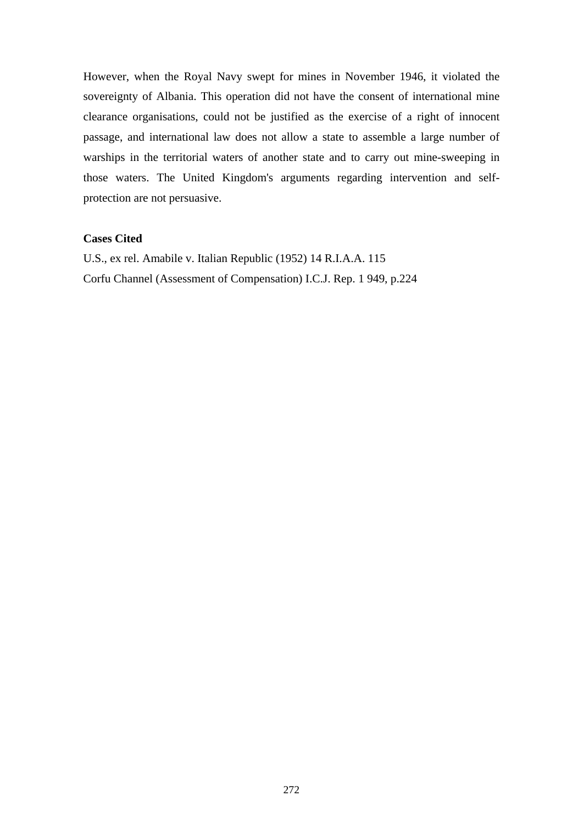However, when the Royal Navy swept for mines in November 1946, it violated the sovereignty of Albania. This operation did not have the consent of international mine clearance organisations, could not be justified as the exercise of a right of innocent passage, and international law does not allow a state to assemble a large number of warships in the territorial waters of another state and to carry out mine-sweeping in those waters. The United Kingdom's arguments regarding intervention and selfprotection are not persuasive.

# **Cases Cited**

U.S., ex rel. Amabile v. Italian Republic (1952) 14 R.I.A.A. 115 Corfu Channel (Assessment of Compensation) I.C.J. Rep. 1 949, p.224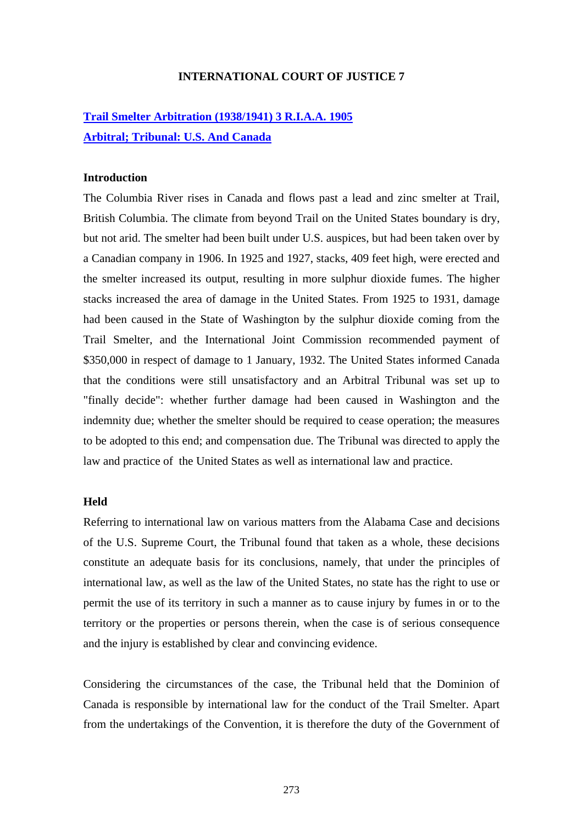# **[Trail Smelter Arbitration \(1938/1941\) 3 R.I.A.A. 1905](#page-16-1) Arbitral; Tribunal: U.S. And Canada**

### **Introduction**

The Columbia River rises in Canada and flows past a lead and zinc smelter at Trail, British Columbia. The climate from beyond Trail on the United States boundary is dry, but not arid. The smelter had been built under U.S. auspices, but had been taken over by a Canadian company in 1906. In 1925 and 1927, stacks, 409 feet high, were erected and the smelter increased its output, resulting in more sulphur dioxide fumes. The higher stacks increased the area of damage in the United States. From 1925 to 1931, damage had been caused in the State of Washington by the sulphur dioxide coming from the Trail Smelter, and the International Joint Commission recommended payment of \$350,000 in respect of damage to 1 January, 1932. The United States informed Canada that the conditions were still unsatisfactory and an Arbitral Tribunal was set up to "finally decide": whether further damage had been caused in Washington and the indemnity due; whether the smelter should be required to cease operation; the measures to be adopted to this end; and compensation due. The Tribunal was directed to apply the law and practice of the United States as well as international law and practice.

### **Held**

Referring to international law on various matters from the Alabama Case and decisions of the U.S. Supreme Court, the Tribunal found that taken as a whole, these decisions constitute an adequate basis for its conclusions, namely, that under the principles of international law, as well as the law of the United States, no state has the right to use or permit the use of its territory in such a manner as to cause injury by fumes in or to the territory or the properties or persons therein, when the case is of serious consequence and the injury is established by clear and convincing evidence.

Considering the circumstances of the case, the Tribunal held that the Dominion of Canada is responsible by international law for the conduct of the Trail Smelter. Apart from the undertakings of the Convention, it is therefore the duty of the Government of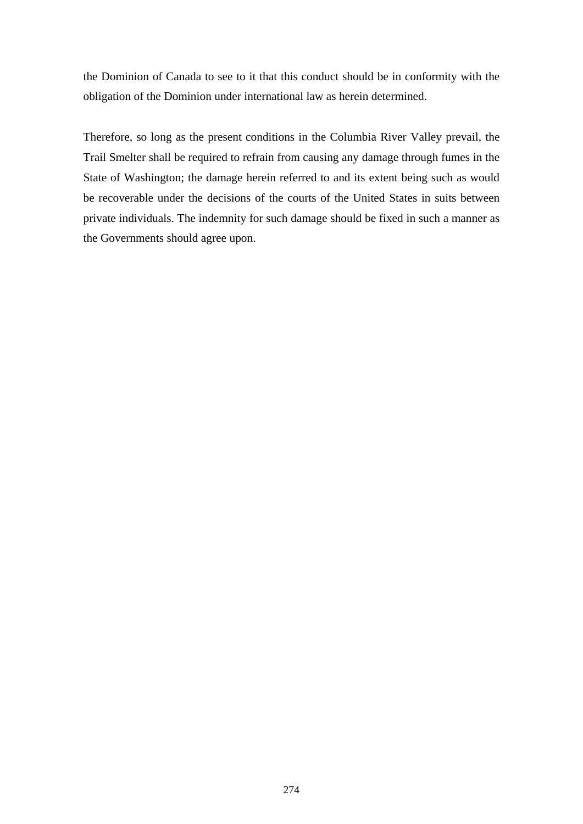the Dominion of Canada to see to it that this conduct should be in conformity with the obligation of the Dominion under international law as herein determined.

Therefore, so long as the present conditions in the Columbia River Valley prevail, the Trail Smelter shall be required to refrain from causing any damage through fumes in the State of Washington; the damage herein referred to and its extent being such as would be recoverable under the decisions of the courts of the United States in suits between private individuals. The indemnity for such damage should be fixed in such a manner as the Governments should agree upon.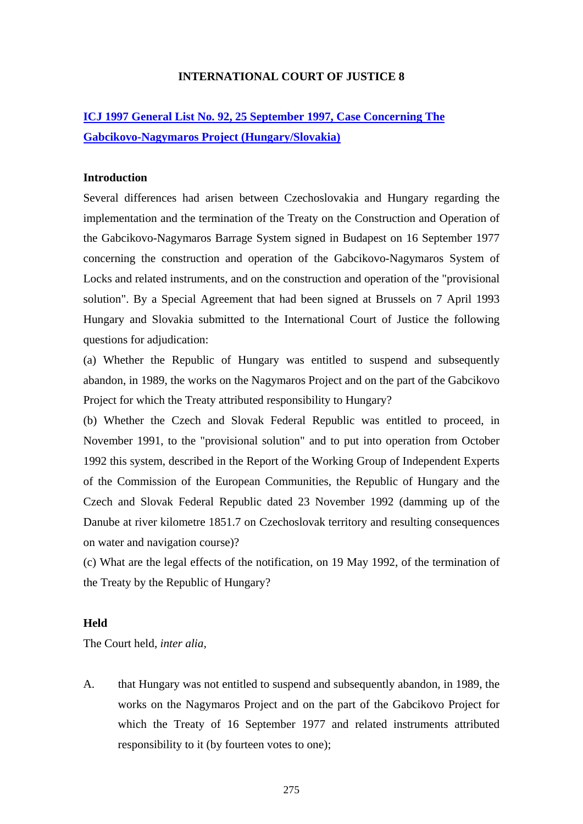# **[ICJ 1997 General List No. 92, 25 September 1997, Case Concerning The](#page-16-1) Gabcikovo-Nagymaros Project (Hungary/Slovakia)**

### **Introduction**

Several differences had arisen between Czechoslovakia and Hungary regarding the implementation and the termination of the Treaty on the Construction and Operation of the Gabcikovo-Nagymaros Barrage System signed in Budapest on 16 September 1977 concerning the construction and operation of the Gabcikovo-Nagymaros System of Locks and related instruments, and on the construction and operation of the "provisional solution". By a Special Agreement that had been signed at Brussels on 7 April 1993 Hungary and Slovakia submitted to the International Court of Justice the following questions for adjudication:

(a) Whether the Republic of Hungary was entitled to suspend and subsequently abandon, in 1989, the works on the Nagymaros Project and on the part of the Gabcikovo Project for which the Treaty attributed responsibility to Hungary?

(b) Whether the Czech and Slovak Federal Republic was entitled to proceed, in November 1991, to the "provisional solution" and to put into operation from October 1992 this system, described in the Report of the Working Group of Independent Experts of the Commission of the European Communities, the Republic of Hungary and the Czech and Slovak Federal Republic dated 23 November 1992 (damming up of the Danube at river kilometre 1851.7 on Czechoslovak territory and resulting consequences on water and navigation course)?

(c) What are the legal effects of the notification, on 19 May 1992, of the termination of the Treaty by the Republic of Hungary?

### **Held**

The Court held, *inter alia,* 

A. that Hungary was not entitled to suspend and subsequently abandon, in 1989, the works on the Nagymaros Project and on the part of the Gabcikovo Project for which the Treaty of 16 September 1977 and related instruments attributed responsibility to it (by fourteen votes to one);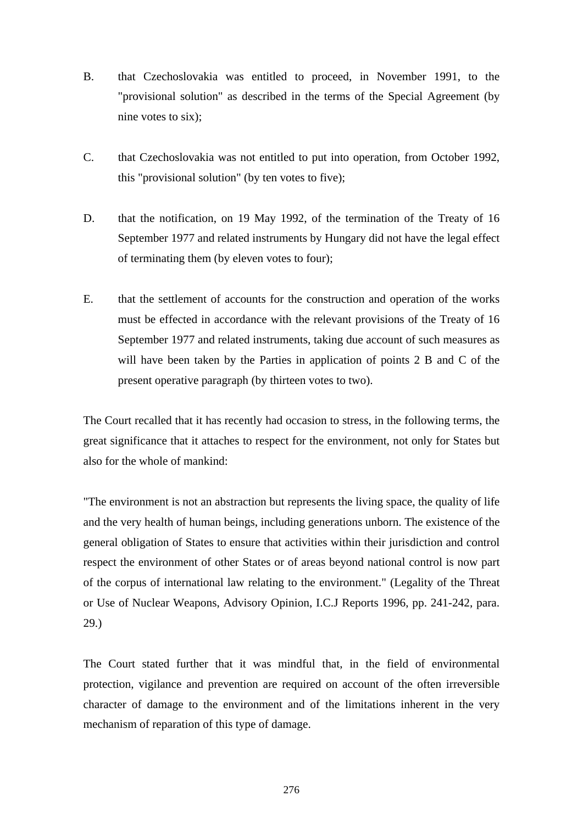- B. that Czechoslovakia was entitled to proceed, in November 1991, to the "provisional solution" as described in the terms of the Special Agreement (by nine votes to six);
- C. that Czechoslovakia was not entitled to put into operation, from October 1992, this "provisional solution" (by ten votes to five);
- D. that the notification, on 19 May 1992, of the termination of the Treaty of 16 September 1977 and related instruments by Hungary did not have the legal effect of terminating them (by eleven votes to four);
- E. that the settlement of accounts for the construction and operation of the works must be effected in accordance with the relevant provisions of the Treaty of 16 September 1977 and related instruments, taking due account of such measures as will have been taken by the Parties in application of points 2 B and C of the present operative paragraph (by thirteen votes to two).

The Court recalled that it has recently had occasion to stress, in the following terms, the great significance that it attaches to respect for the environment, not only for States but also for the whole of mankind:

"The environment is not an abstraction but represents the living space, the quality of life and the very health of human beings, including generations unborn. The existence of the general obligation of States to ensure that activities within their jurisdiction and control respect the environment of other States or of areas beyond national control is now part of the corpus of international law relating to the environment." (Legality of the Threat or Use of Nuclear Weapons, Advisory Opinion, I.C.J Reports 1996, pp. 241-242, para. 29.)

The Court stated further that it was mindful that, in the field of environmental protection, vigilance and prevention are required on account of the often irreversible character of damage to the environment and of the limitations inherent in the very mechanism of reparation of this type of damage.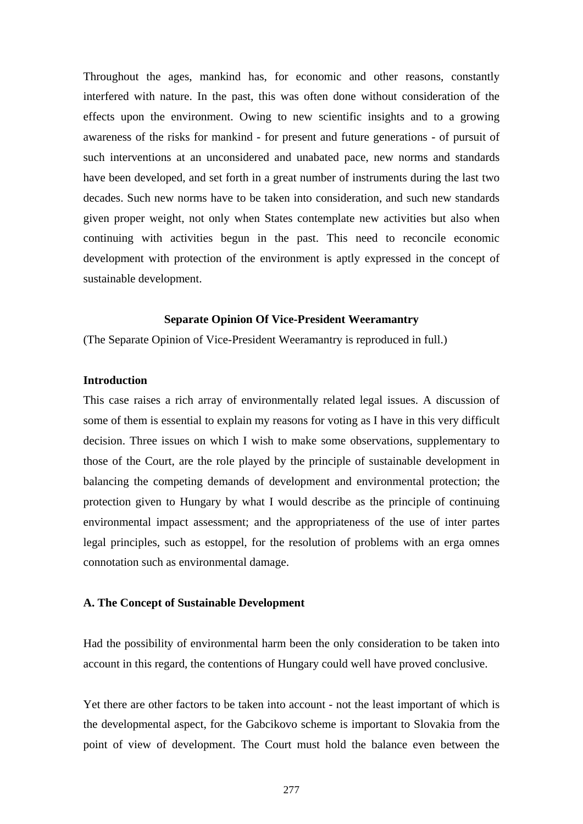Throughout the ages, mankind has, for economic and other reasons, constantly interfered with nature. In the past, this was often done without consideration of the effects upon the environment. Owing to new scientific insights and to a growing awareness of the risks for mankind - for present and future generations - of pursuit of such interventions at an unconsidered and unabated pace, new norms and standards have been developed, and set forth in a great number of instruments during the last two decades. Such new norms have to be taken into consideration, and such new standards given proper weight, not only when States contemplate new activities but also when continuing with activities begun in the past. This need to reconcile economic development with protection of the environment is aptly expressed in the concept of sustainable development.

### **Separate Opinion Of Vice-President Weeramantry**

(The Separate Opinion of Vice-President Weeramantry is reproduced in full.)

## **Introduction**

This case raises a rich array of environmentally related legal issues. A discussion of some of them is essential to explain my reasons for voting as I have in this very difficult decision. Three issues on which I wish to make some observations, supplementary to those of the Court, are the role played by the principle of sustainable development in balancing the competing demands of development and environmental protection; the protection given to Hungary by what I would describe as the principle of continuing environmental impact assessment; and the appropriateness of the use of inter partes legal principles, such as estoppel, for the resolution of problems with an erga omnes connotation such as environmental damage.

### **A. The Concept of Sustainable Development**

Had the possibility of environmental harm been the only consideration to be taken into account in this regard, the contentions of Hungary could well have proved conclusive.

Yet there are other factors to be taken into account - not the least important of which is the developmental aspect, for the Gabcikovo scheme is important to Slovakia from the point of view of development. The Court must hold the balance even between the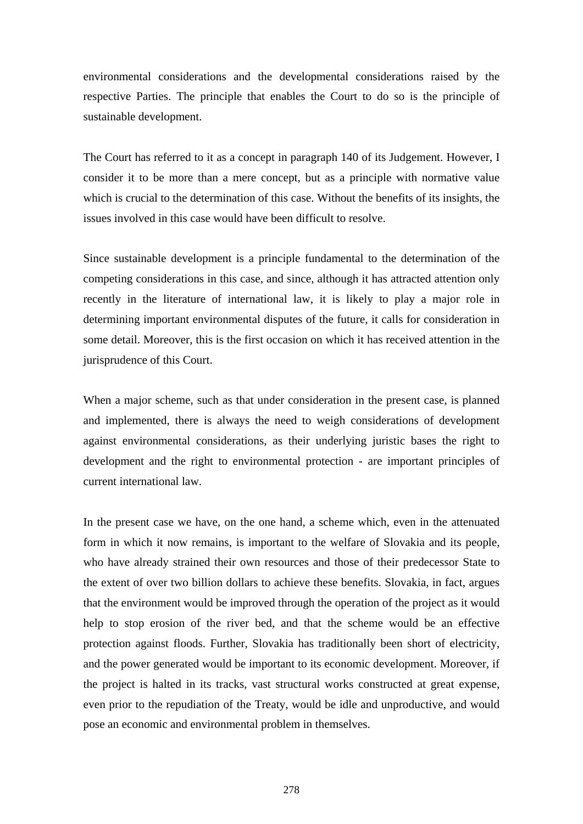environmental considerations and the developmental considerations raised by the respective Parties. The principle that enables the Court to do so is the principle of sustainable development.

The Court has referred to it as a concept in paragraph 140 of its Judgement. However, I consider it to be more than a mere concept, but as a principle with normative value which is crucial to the determination of this case. Without the benefits of its insights, the issues involved in this case would have been difficult to resolve.

Since sustainable development is a principle fundamental to the determination of the competing considerations in this case, and since, although it has attracted attention only recently in the literature of international law, it is likely to play a major role in determining important environmental disputes of the future, it calls for consideration in some detail. Moreover, this is the first occasion on which it has received attention in the jurisprudence of this Court.

When a major scheme, such as that under consideration in the present case, is planned and implemented, there is always the need to weigh considerations of development against environmental considerations, as their underlying juristic bases the right to development and the right to environmental protection - are important principles of current international law.

In the present case we have, on the one hand, a scheme which, even in the attenuated form in which it now remains, is important to the welfare of Slovakia and its people, who have already strained their own resources and those of their predecessor State to the extent of over two billion dollars to achieve these benefits. Slovakia, in fact, argues that the environment would be improved through the operation of the project as it would help to stop erosion of the river bed, and that the scheme would be an effective protection against floods. Further, Slovakia has traditionally been short of electricity, and the power generated would be important to its economic development. Moreover, if the project is halted in its tracks, vast structural works constructed at great expense, even prior to the repudiation of the Treaty, would be idle and unproductive, and would pose an economic and environmental problem in themselves.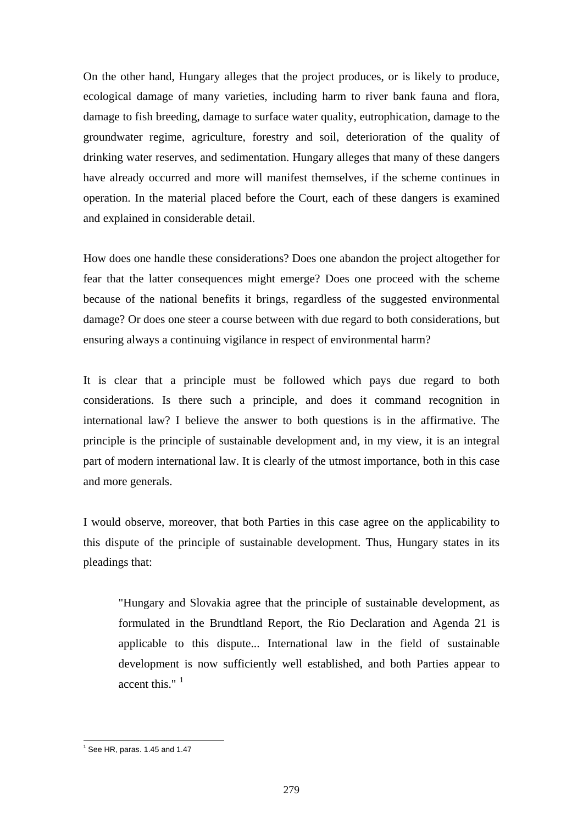On the other hand, Hungary alleges that the project produces, or is likely to produce, ecological damage of many varieties, including harm to river bank fauna and flora, damage to fish breeding, damage to surface water quality, eutrophication, damage to the groundwater regime, agriculture, forestry and soil, deterioration of the quality of drinking water reserves, and sedimentation. Hungary alleges that many of these dangers have already occurred and more will manifest themselves, if the scheme continues in operation. In the material placed before the Court, each of these dangers is examined and explained in considerable detail.

How does one handle these considerations? Does one abandon the project altogether for fear that the latter consequences might emerge? Does one proceed with the scheme because of the national benefits it brings, regardless of the suggested environmental damage? Or does one steer a course between with due regard to both considerations, but ensuring always a continuing vigilance in respect of environmental harm?

It is clear that a principle must be followed which pays due regard to both considerations. Is there such a principle, and does it command recognition in international law? I believe the answer to both questions is in the affirmative. The principle is the principle of sustainable development and, in my view, it is an integral part of modern international law. It is clearly of the utmost importance, both in this case and more generals.

I would observe, moreover, that both Parties in this case agree on the applicability to this dispute of the principle of sustainable development. Thus, Hungary states in its pleadings that:

"Hungary and Slovakia agree that the principle of sustainable development, as formulated in the Brundtland Report, the Rio Declaration and Agenda 21 is applicable to this dispute... International law in the field of sustainable development is now sufficiently well established, and both Parties appear to accent this." $<sup>1</sup>$  $<sup>1</sup>$  $<sup>1</sup>$ </sup>

<span id="page-306-0"></span><sup>1</sup>  $<sup>1</sup>$  See HR, paras. 1.45 and 1.47</sup>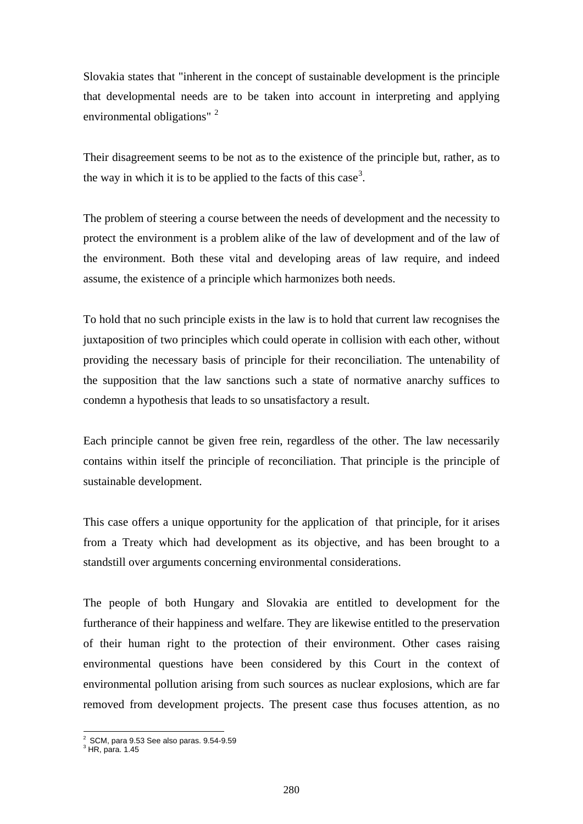Slovakia states that "inherent in the concept of sustainable development is the principle that developmental needs are to be taken into account in interpreting and applying environmental obligations"<sup>[2](#page-307-0)</sup>

Their disagreement seems to be not as to the existence of the principle but, rather, as to the way in which it is to be applied to the facts of this case<sup>[3](#page-307-1)</sup>.

The problem of steering a course between the needs of development and the necessity to protect the environment is a problem alike of the law of development and of the law of the environment. Both these vital and developing areas of law require, and indeed assume, the existence of a principle which harmonizes both needs.

To hold that no such principle exists in the law is to hold that current law recognises the juxtaposition of two principles which could operate in collision with each other, without providing the necessary basis of principle for their reconciliation. The untenability of the supposition that the law sanctions such a state of normative anarchy suffices to condemn a hypothesis that leads to so unsatisfactory a result.

Each principle cannot be given free rein, regardless of the other. The law necessarily contains within itself the principle of reconciliation. That principle is the principle of sustainable development.

This case offers a unique opportunity for the application of that principle, for it arises from a Treaty which had development as its objective, and has been brought to a standstill over arguments concerning environmental considerations.

The people of both Hungary and Slovakia are entitled to development for the furtherance of their happiness and welfare. They are likewise entitled to the preservation of their human right to the protection of their environment. Other cases raising environmental questions have been considered by this Court in the context of environmental pollution arising from such sources as nuclear explosions, which are far removed from development projects. The present case thus focuses attention, as no

<sup>1</sup>  $^{2}$  SCM, para 9.53 See also paras. 9.54-9.59

<span id="page-307-1"></span><span id="page-307-0"></span> $<sup>3</sup>$  HR, para. 1.45</sup>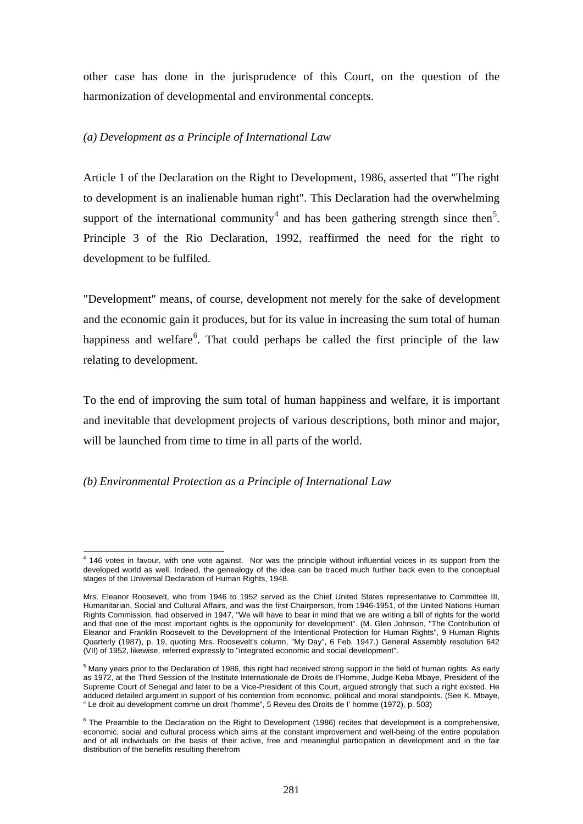other case has done in the jurisprudence of this Court, on the question of the harmonization of developmental and environmental concepts.

# *(a) Development as a Principle of International Law*

Article 1 of the Declaration on the Right to Development, 1986, asserted that "The right to development is an inalienable human right". This Declaration had the overwhelming support of the international community<sup>[4](#page-308-0)</sup> and has been gathering strength since then<sup>[5](#page-308-1)</sup>. Principle 3 of the Rio Declaration, 1992, reaffirmed the need for the right to development to be fulfiled.

"Development" means, of course, development not merely for the sake of development and the economic gain it produces, but for its value in increasing the sum total of human happiness and welfare<sup>[6](#page-308-2)</sup>. That could perhaps be called the first principle of the law relating to development.

To the end of improving the sum total of human happiness and welfare, it is important and inevitable that development projects of various descriptions, both minor and major, will be launched from time to time in all parts of the world.

# *(b) Environmental Protection as a Principle of International Law*

<span id="page-308-0"></span> 4 146 votes in favour, with one vote against. Nor was the principle without influential voices in its support from the developed world as well. Indeed, the genealogy of the idea can be traced much further back even to the conceptual stages of the Universal Declaration of Human Rights, 1948.

<span id="page-308-1"></span>Mrs. Eleanor Roosevelt, who from 1946 to 1952 served as the Chief United States representative to Committee III, Humanitarian, Social and Cultural Affairs, and was the first Chairperson, from 1946-1951, of the United Nations Human Rights Commission, had observed in 1947, "We will have to bear in mind that we are writing a bill of rights for the world and that one of the most important rights is the opportunity for development". (M. Glen Johnson, "The Contribution of Eleanor and Franklin Roosevelt to the Development of the Intentional Protection for Human Rights", 9 Human Rights Quarterly (1987), p. 19, quoting Mrs. Roosevelt's column, "My Day", 6 Feb. 1947.) General Assembly resolution 642 (VII) of 1952, likewise, referred expressly to "integrated economic and social development".

<sup>&</sup>lt;sup>5</sup> Many years prior to the Declaration of 1986, this right had received strong support in the field of human rights. As early as 1972, at the Third Session of the Institute Internationale de Droits de I'Homme, Judge Keba Mbaye, President of the Supreme Court of Senegal and later to be a Vice-President of this Court, argued strongly that such a right existed. He adduced detailed argument in support of his contention from economic, political and moral standpoints. (See K. Mbaye, " Le droit au development comme un droit l'homme", 5 Reveu des Droits de I' homme (1972), p. 503)

<span id="page-308-2"></span> $6$  The Preamble to the Declaration on the Right to Development (1986) recites that development is a comprehensive, economic, social and cultural process which aims at the constant improvement and well-being of the entire population and of all individuals on the basis of their active, free and meaningful participation in development and in the fair distribution of the benefits resulting therefrom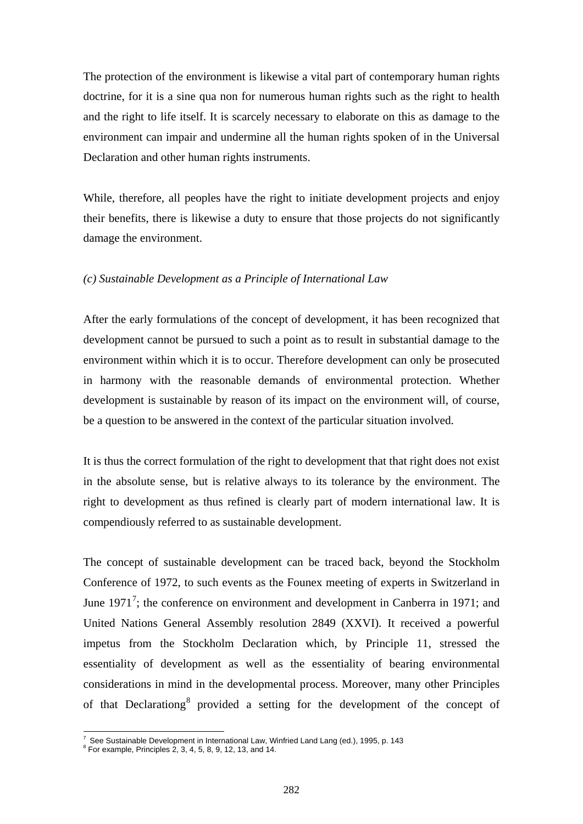The protection of the environment is likewise a vital part of contemporary human rights doctrine, for it is a sine qua non for numerous human rights such as the right to health and the right to life itself. It is scarcely necessary to elaborate on this as damage to the environment can impair and undermine all the human rights spoken of in the Universal Declaration and other human rights instruments.

While, therefore, all peoples have the right to initiate development projects and enjoy their benefits, there is likewise a duty to ensure that those projects do not significantly damage the environment.

### *(c) Sustainable Development as a Principle of International Law*

After the early formulations of the concept of development, it has been recognized that development cannot be pursued to such a point as to result in substantial damage to the environment within which it is to occur. Therefore development can only be prosecuted in harmony with the reasonable demands of environmental protection. Whether development is sustainable by reason of its impact on the environment will, of course, be a question to be answered in the context of the particular situation involved.

It is thus the correct formulation of the right to development that that right does not exist in the absolute sense, but is relative always to its tolerance by the environment. The right to development as thus refined is clearly part of modern international law. It is compendiously referred to as sustainable development.

The concept of sustainable development can be traced back, beyond the Stockholm Conference of 1972, to such events as the Founex meeting of experts in Switzerland in June 19[7](#page-309-0)1<sup>7</sup>; the conference on environment and development in Canberra in 1971; and United Nations General Assembly resolution 2849 (XXVI). It received a powerful impetus from the Stockholm Declaration which, by Principle 11, stressed the essentiality of development as well as the essentiality of bearing environmental considerations in mind in the developmental process. Moreover, many other Principles of that Declarationg<sup>[8](#page-309-1)</sup> provided a setting for the development of the concept of

<sup>1</sup>  $^7$  See Sustainable Development in International Law, Winfried Land Lang (ed.), 1995, p. 143<br><sup>8</sup> For example, Principles 2, 3, 4, 5, 8, 9, 12, 13, and 14.

<span id="page-309-1"></span><span id="page-309-0"></span>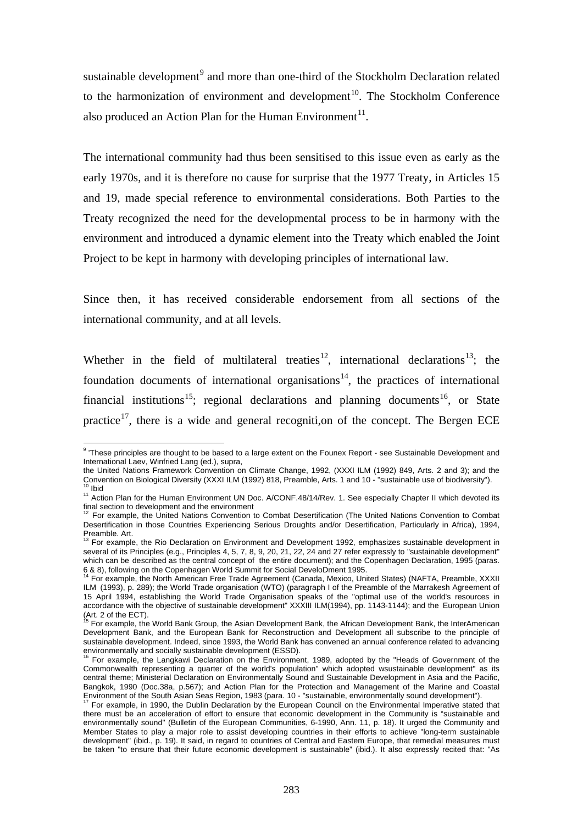sustainable development<sup>[9](#page-310-0)</sup> and more than one-third of the Stockholm Declaration related to the harmonization of environment and development<sup>10</sup>. The Stockholm Conference also produced an Action Plan for the Human Environment $^{11}$ .

The international community had thus been sensitised to this issue even as early as the early 1970s, and it is therefore no cause for surprise that the 1977 Treaty, in Articles 15 and 19, made special reference to environmental considerations. Both Parties to the Treaty recognized the need for the developmental process to be in harmony with the environment and introduced a dynamic element into the Treaty which enabled the Joint Project to be kept in harmony with developing principles of international law.

Since then, it has received considerable endorsement from all sections of the international community, and at all levels.

Whether in the field of multilateral treaties<sup>[12](#page-310-3)</sup>, international declarations<sup>[13](#page-310-4)</sup>; the foundation documents of international organisations<sup>14</sup>, the practices of international financial institutions<sup>15</sup>; regional declarations and planning documents<sup>16</sup>, or State practice<sup>17</sup>, there is a wide and general recognition of the concept. The Bergen ECE

<span id="page-310-0"></span> 9 'These principles are thought to be based to a large extent on the Founex Report - see Sustainable Development and International Laev, Winfried Lang (ed.), supra,

the United Nations Framework Convention on Climate Change, 1992, (XXXI ILM (1992) 849, Arts. 2 and 3); and the<br>Convention on Biological Diversity (XXXI ILM (1992) 818, Preamble, Arts. 1 and 10 - "sustainable use of biodive

<span id="page-310-2"></span><span id="page-310-1"></span><sup>&</sup>lt;sup>10</sup> Ibid<br><sup>11</sup> Action Plan for the Human Environment UN Doc. A/CONF.48/14/Rev. 1. See especially Chapter II which devoted its final section to development and the environment<br>
<sup>12</sup> Expression to development and the environment<br>
<sup>12</sup> Expression in the state of the state of the state of the state of the state of the state of the state of the state

<span id="page-310-3"></span><sup>12</sup> For example, the United Nations Convention to Combat Desertification (The United Nations Convention to Combat Desertification in those Countries Experiencing Serious Droughts and/or Desertification, Particularly in Africa), 1994,

<span id="page-310-4"></span>Preamble. Art.<br><sup>13</sup> For example, the Rio Declaration on Environment and Development 1992, emphasizes sustainable development in several of its Principles (e.g., Principles 4, 5, 7, 8, 9, 20, 21, 22, 24 and 27 refer expressly to "sustainable development" which can be described as the central concept of the entire document); and the Copenhagen Declaration, 1995 (paras.

<span id="page-310-5"></span><sup>6 &</sup>amp; 8), following on the Copenhagen World Summit for Social DeveloDment 1995.<br><sup>14</sup> For example, the North American Free Trade Agreement (Canada, Mexico, United States) (NAFTA, Preamble, XXXII ILM (1993), p. 289); the World Trade organisation (WTO) (paragraph I of the Preamble of the Marrakesh Agreement of 15 April 1994, establishing the World Trade Organisation speaks of the "optimal use of the world's resources in accordance with the objective of sustainable development" XXXIII ILM(1994), pp. 1143-1144); and the European Union  $(Art. 2 of the ECT).$ 

<span id="page-310-6"></span><sup>15</sup> For example, the World Bank Group, the Asian Development Bank, the African Development Bank, the InterAmerican Development Bank, and the European Bank for Reconstruction and Development all subscribe to the principle of sustainable development. Indeed, since 1993, the World Bank has convened an annual conference related to advancing environmentally and socially sustainable development (ESSD).<br><sup>16</sup> For experient and socially sustainable development (ESSD).

<span id="page-310-7"></span><sup>16</sup> For example, the Langkawi Declaration on the Environment, 1989, adopted by the "Heads of Government of the Commonwealth representing a quarter of the world's population" which adopted wsustainable development" as its central theme; Ministerial Declaration on Environmentally Sound and Sustainable Development in Asia and the Pacific, Bangkok, 1990 (Doc.38a, p.567); and Action Plan for the Protection and Management of the Marine and Coastal Environment of the South Asian Seas Region, 1983 (para. 10 - "sustainable, environmentally sound development").<br><sup>17</sup> For example, in 1990, the Dublin Declaration by the European Council on the Environmental Imperative stat

<span id="page-310-8"></span>there must be an acceleration of effort to ensure that economic development in the Community is "sustainable and environmentally sound" (Bulletin of the European Communities, 6-1990, Ann. 11, p. 18). It urged the Community and Member States to play a major role to assist developing countries in their efforts to achieve "long-term sustainable development" (ibid., p. 19). It said, in regard to countries of Central and Eastem Europe, that remedial measures must be taken "to ensure that their future economic development is sustainable" (ibid.). It also expressly recited that: "As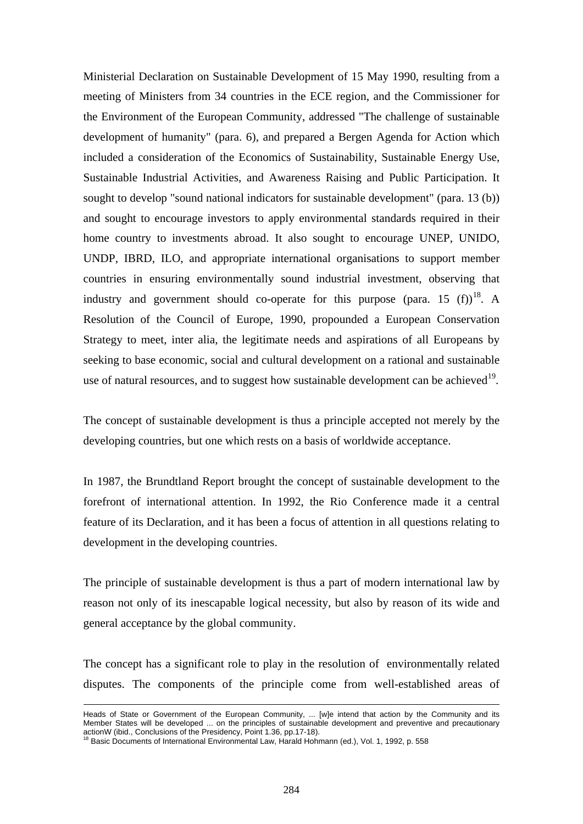Ministerial Declaration on Sustainable Development of 15 May 1990, resulting from a meeting of Ministers from 34 countries in the ECE region, and the Commissioner for the Environment of the European Community, addressed "The challenge of sustainable development of humanity" (para. 6), and prepared a Bergen Agenda for Action which included a consideration of the Economics of Sustainability, Sustainable Energy Use, Sustainable Industrial Activities, and Awareness Raising and Public Participation. It sought to develop "sound national indicators for sustainable development" (para. 13 (b)) and sought to encourage investors to apply environmental standards required in their home country to investments abroad. It also sought to encourage UNEP, UNIDO, UNDP, IBRD, ILO, and appropriate international organisations to support member countries in ensuring environmentally sound industrial investment, observing that industry and government should co-operate for this purpose (para. 15  $(f)$ )<sup>[18](#page-311-0)</sup>. A Resolution of the Council of Europe, 1990, propounded a European Conservation Strategy to meet, inter alia, the legitimate needs and aspirations of all Europeans by seeking to base economic, social and cultural development on a rational and sustainable use of natural resources, and to suggest how sustainable development can be achieved<sup>[19](#page-311-1)</sup>.

The concept of sustainable development is thus a principle accepted not merely by the developing countries, but one which rests on a basis of worldwide acceptance.

In 1987, the Brundtland Report brought the concept of sustainable development to the forefront of international attention. In 1992, the Rio Conference made it a central feature of its Declaration, and it has been a focus of attention in all questions relating to development in the developing countries.

The principle of sustainable development is thus a part of modern international law by reason not only of its inescapable logical necessity, but also by reason of its wide and general acceptance by the global community.

The concept has a significant role to play in the resolution of environmentally related disputes. The components of the principle come from well-established areas of

1

<span id="page-311-1"></span>Heads of State or Government of the European Community, ... [w]e intend that action by the Community and its Member States will be developed ... on the principles of sustainable development and preventive and precautionary actionW (ibid., Conclusions of the Presidency, Point 1.36, pp.17-18).<br><sup>18</sup> Basic Documents of International Environmental Law, Harald Hohmann (ed.), Vol. 1, 1992, p. 558

<span id="page-311-0"></span>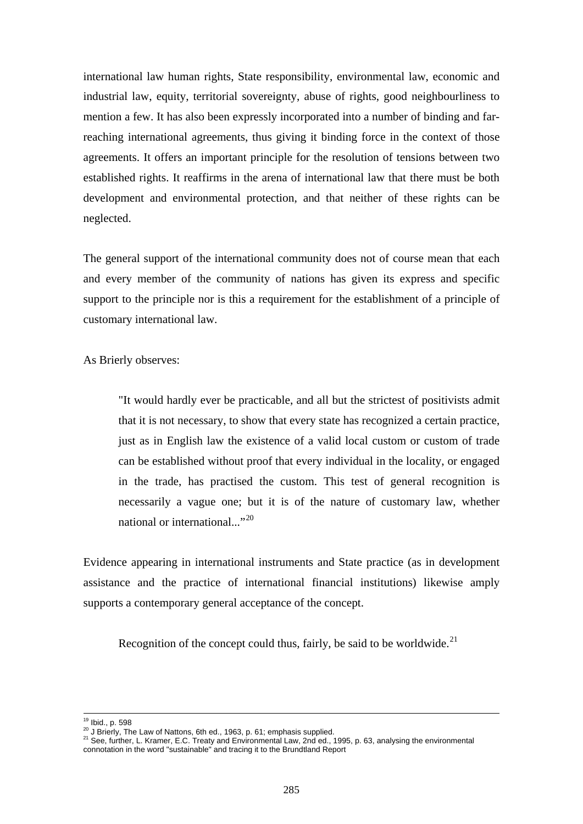international law human rights, State responsibility, environmental law, economic and industrial law, equity, territorial sovereignty, abuse of rights, good neighbourliness to mention a few. It has also been expressly incorporated into a number of binding and farreaching international agreements, thus giving it binding force in the context of those agreements. It offers an important principle for the resolution of tensions between two established rights. It reaffirms in the arena of international law that there must be both development and environmental protection, and that neither of these rights can be neglected.

The general support of the international community does not of course mean that each and every member of the community of nations has given its express and specific support to the principle nor is this a requirement for the establishment of a principle of customary international law.

As Brierly observes:

"It would hardly ever be practicable, and all but the strictest of positivists admit that it is not necessary, to show that every state has recognized a certain practice, just as in English law the existence of a valid local custom or custom of trade can be established without proof that every individual in the locality, or engaged in the trade, has practised the custom. This test of general recognition is necessarily a vague one; but it is of the nature of customary law, whether national or international..."<sup>[20](#page-312-0)</sup>

Evidence appearing in international instruments and State practice (as in development assistance and the practice of international financial institutions) likewise amply supports a contemporary general acceptance of the concept.

Recognition of the concept could thus, fairly, be said to be worldwide.<sup>[21](#page-312-1)</sup>

<span id="page-312-1"></span>

<span id="page-312-0"></span><sup>&</sup>lt;sup>19</sup> Ibid., p. 598<br><sup>20</sup> J Brierly, The Law of Nattons, 6th ed., 1963, p. 61; emphasis supplied.<br><sup>21</sup> See, further, L. Kramer, E.C. Treaty and Environmental Law, 2nd ed., 1995, p. 63, analysing the environmental connotation in the word "sustainable" and tracing it to the Brundtland Report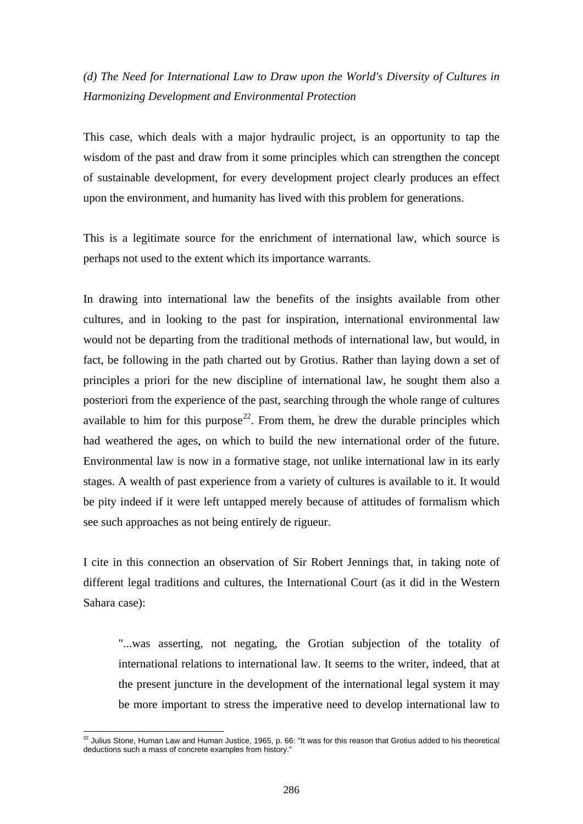# *(d) The Need for International Law to Draw upon the World's Diversity of Cultures in Harmonizing Development and Environmental Protection*

This case, which deals with a major hydraulic project, is an opportunity to tap the wisdom of the past and draw from it some principles which can strengthen the concept of sustainable development, for every development project clearly produces an effect upon the environment, and humanity has lived with this problem for generations.

This is a legitimate source for the enrichment of international law, which source is perhaps not used to the extent which its importance warrants.

In drawing into international law the benefits of the insights available from other cultures, and in looking to the past for inspiration, international environmental law would not be departing from the traditional methods of international law, but would, in fact, be following in the path charted out by Grotius. Rather than laying down a set of principles a priori for the new discipline of international law, he sought them also a posteriori from the experience of the past, searching through the whole range of cultures available to him for this purpose<sup>[22](#page-313-0)</sup>. From them, he drew the durable principles which had weathered the ages, on which to build the new international order of the future. Environmental law is now in a formative stage, not unlike international law in its early stages. A wealth of past experience from a variety of cultures is available to it. It would be pity indeed if it were left untapped merely because of attitudes of formalism which see such approaches as not being entirely de rigueur.

I cite in this connection an observation of Sir Robert Jennings that, in taking note of different legal traditions and cultures, the International Court (as it did in the Western Sahara case):

"...was asserting, not negating, the Grotian subjection of the totality of international relations to international law. It seems to the writer, indeed, that at the present juncture in the development of the international legal system it may be more important to stress the imperative need to develop international law to

<span id="page-313-0"></span><sup>1</sup>  $^{22}$  Julius Stone, Human Law and Human Justice, 1965, p. 66: "It was for this reason that Grotius added to his theoretical deductions such a mass of concrete examples from history."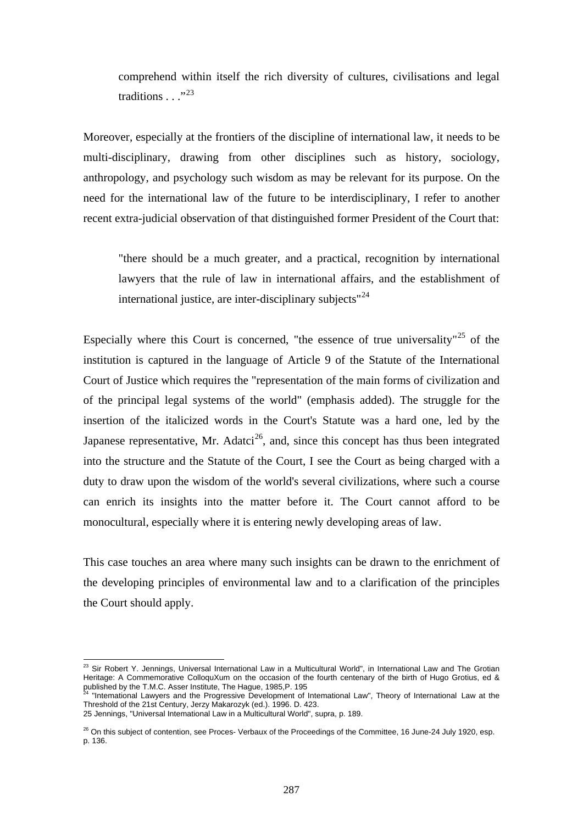comprehend within itself the rich diversity of cultures, civilisations and legal traditions . . .<sup>,[23](#page-314-0)</sup>

Moreover, especially at the frontiers of the discipline of international law, it needs to be multi-disciplinary, drawing from other disciplines such as history, sociology, anthropology, and psychology such wisdom as may be relevant for its purpose. On the need for the international law of the future to be interdisciplinary, I refer to another recent extra-judicial observation of that distinguished former President of the Court that:

"there should be a much greater, and a practical, recognition by international lawyers that the rule of law in international affairs, and the establishment of international justice, are inter-disciplinary subjects<sup>"[24](#page-314-1)</sup>

Especially where this Court is concerned, "the essence of true universality"<sup>[25](#page-314-2)</sup> of the institution is captured in the language of Article 9 of the Statute of the International Court of Justice which requires the "representation of the main forms of civilization and of the principal legal systems of the world" (emphasis added). The struggle for the insertion of the italicized words in the Court's Statute was a hard one, led by the Japanese representative, Mr. Adatci<sup>[26](#page-314-3)</sup>, and, since this concept has thus been integrated into the structure and the Statute of the Court, I see the Court as being charged with a duty to draw upon the wisdom of the world's several civilizations, where such a course can enrich its insights into the matter before it. The Court cannot afford to be monocultural, especially where it is entering newly developing areas of law.

This case touches an area where many such insights can be drawn to the enrichment of the developing principles of environmental law and to a clarification of the principles the Court should apply.

<span id="page-314-0"></span><sup>1</sup>  $^{23}$  Sir Robert Y. Jennings, Universal International Law in a Multicultural World", in International Law and The Grotian Heritage: A Commemorative ColloquXum on the occasion of the fourth centenary of the birth of Hugo Grotius, ed & published by the T.M.C. Asser Institute, The Hague, 1985,P. 195<br><sup>24</sup> "Intemational Lawyers and the Progressive Development of Intemational Law", Theory of International Law at the

<span id="page-314-1"></span>Threshold of the 21st Century, Jerzy Makarozyk (ed.). 1996. D. 423.

<sup>25</sup> Jennings, "Universal Intemational Law in a Multicultural World", supra, p. 189.

<span id="page-314-3"></span><span id="page-314-2"></span> $26$  On this subject of contention, see Proces- Verbaux of the Proceedings of the Committee, 16 June-24 July 1920, esp. p. 136.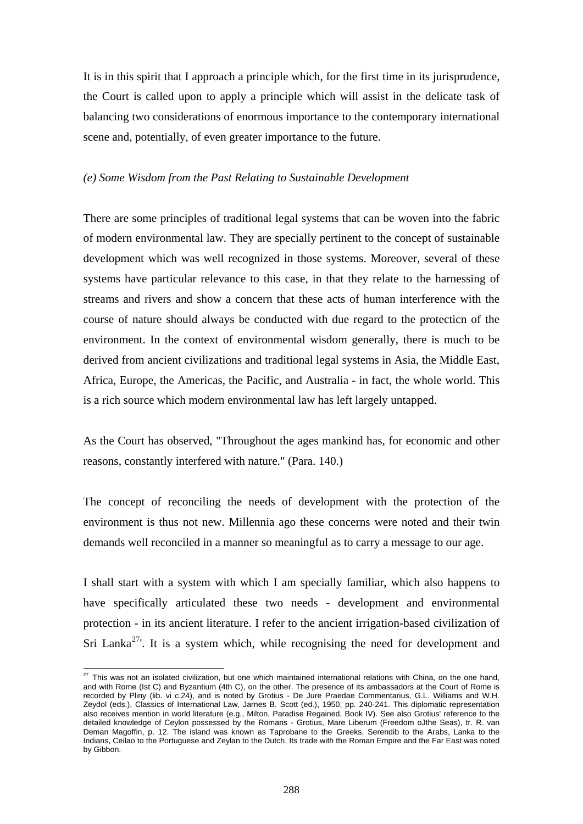It is in this spirit that I approach a principle which, for the first time in its jurisprudence, the Court is called upon to apply a principle which will assist in the delicate task of balancing two considerations of enormous importance to the contemporary international scene and, potentially, of even greater importance to the future.

# *(e) Some Wisdom from the Past Relating to Sustainable Development*

There are some principles of traditional legal systems that can be woven into the fabric of modern environmental law. They are specially pertinent to the concept of sustainable development which was well recognized in those systems. Moreover, several of these systems have particular relevance to this case, in that they relate to the harnessing of streams and rivers and show a concern that these acts of human interference with the course of nature should always be conducted with due regard to the protecticn of the environment. In the context of environmental wisdom generally, there is much to be derived from ancient civilizations and traditional legal systems in Asia, the Middle East, Africa, Europe, the Americas, the Pacific, and Australia - in fact, the whole world. This is a rich source which modern environmental law has left largely untapped.

As the Court has observed, "Throughout the ages mankind has, for economic and other reasons, constantly interfered with nature." (Para. 140.)

The concept of reconciling the needs of development with the protection of the environment is thus not new. Millennia ago these concerns were noted and their twin demands well reconciled in a manner so meaningful as to carry a message to our age.

I shall start with a system with which I am specially familiar, which also happens to have specifically articulated these two needs - development and environmental protection - in its ancient literature. I refer to the ancient irrigation-based civilization of Sri Lanka<sup>[27](#page-315-0)</sup>. It is a system which, while recognising the need for development and

<span id="page-315-0"></span> $^{27}$  This was not an isolated civilization, but one which maintained international relations with China, on the one hand, and with Rome (Ist C) and Byzantium (4th C), on the other. The presence of its ambassadors at the Court of Rome is recorded by Pliny (lib. vi c.24), and is noted by Grotius - De Jure Praedae Commentarius, G.L. Williams and W.H. Zeydol (eds.), Classics of International Law, Jarnes B. Scott (ed.), 1950, pp. 240-241. This diplomatic representation also receives mention in world literature (e.g., Milton, Paradise Regained, Book IV). See also Grotius' reference to the detailed knowledge of Ceylon possessed by the Romans - Grotius, Mare Liberum (Freedom oJthe Seas), tr. R. van Deman Magoffin, p. 12. The island was known as Taprobane to the Greeks, Serendib to the Arabs, Lanka to the Indians, Ceilao to the Portuguese and Zeylan to the Dutch. Its trade with the Roman Empire and the Far East was noted by Gibbon.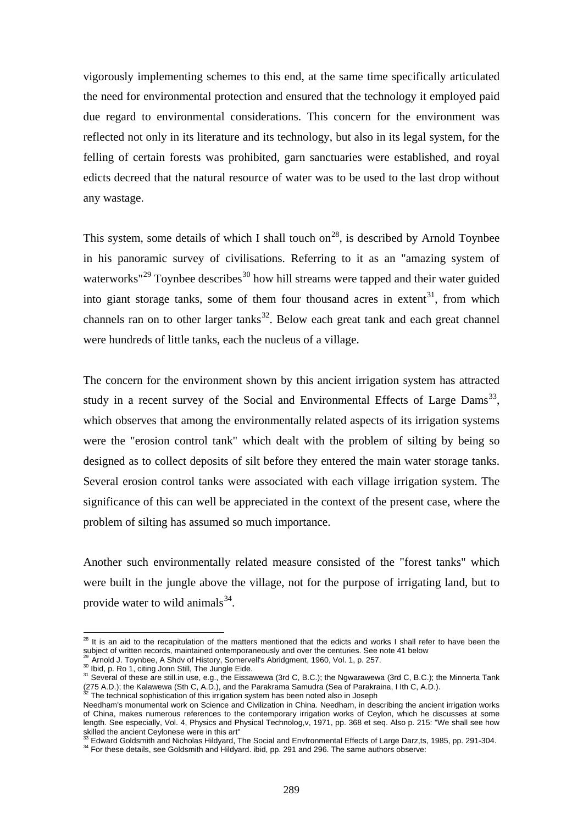vigorously implementing schemes to this end, at the same time specifically articulated the need for environmental protection and ensured that the technology it employed paid due regard to environmental considerations. This concern for the environment was reflected not only in its literature and its technology, but also in its legal system, for the felling of certain forests was prohibited, garn sanctuaries were established, and royal edicts decreed that the natural resource of water was to be used to the last drop without any wastage.

This system, some details of which I shall touch on<sup>28</sup>, is described by Arnold Toynbee in his panoramic survey of civilisations. Referring to it as an "amazing system of waterworks"<sup>29</sup> Toynbee describes<sup>30</sup> how hill streams were tapped and their water guided into giant storage tanks, some of them four thousand acres in extent<sup>[31](#page-316-3)</sup>, from which channels ran on to other larger tanks<sup>[32](#page-316-4)</sup>. Below each great tank and each great channel were hundreds of little tanks, each the nucleus of a village.

The concern for the environment shown by this ancient irrigation system has attracted study in a recent survey of the Social and Environmental Effects of Large Dams<sup>[33](#page-316-5)</sup>. which observes that among the environmentally related aspects of its irrigation systems were the "erosion control tank" which dealt with the problem of silting by being so designed as to collect deposits of silt before they entered the main water storage tanks. Several erosion control tanks were associated with each village irrigation system. The significance of this can well be appreciated in the context of the present case, where the problem of silting has assumed so much importance.

Another such environmentally related measure consisted of the "forest tanks" which were built in the jungle above the village, not for the purpose of irrigating land, but to provide water to wild animals  $34$ .

<span id="page-316-0"></span> $^{28}$  It is an aid to the recapitulation of the matters mentioned that the edicts and works I shall refer to have been the subject of written records, maintained ontemporaneously and over the centuries. See note 41 below<br><sup>29</sup> Arnold J. Toynbee, A Shdv of History, Somervell's Abridgment, 1960, Vol. 1, p. 257.<br><sup>30</sup> Ibid, p. Ro 1, citing Jonn Sti

<span id="page-316-2"></span><span id="page-316-1"></span>

<span id="page-316-3"></span><sup>(275</sup> A.D.); the Kalawewa (Sth C, A.D.), and the Parakrama Samudra (Sea of Parakraina, I Ith C, A.D.).<br><sup>32</sup> The technical sophistication of this irrigation system has been noted also in Joseph

<span id="page-316-4"></span>

Needham's monumental work on Science and Civilization in China. Needham, in describing the ancient irrigation works of China, makes numerous references to the contemporary irrigation works of Ceylon, which he discusses at some length. See especially, Vol. 4, Physics and Physical Technolog,v, 1971, pp. 368 et seq. Also p. 215: "We shall see how skilled the ancient Ceylonese were in this art"<br><sup>33</sup> Edward Goldsmith and Nicholas Hildyard, The Social and Envfronmental Effects of Large Darz,ts, 1985, pp. 291-304.<br><sup>34</sup> For these details, see Goldsmith and Hildyard. ibi

<span id="page-316-6"></span><span id="page-316-5"></span>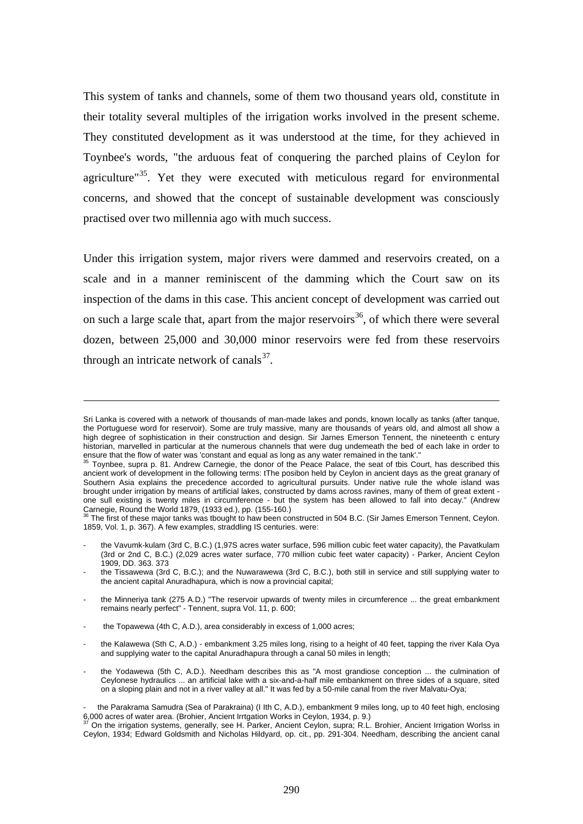This system of tanks and channels, some of them two thousand years old, constitute in their totality several multiples of the irrigation works involved in the present scheme. They constituted development as it was understood at the time, for they achieved in Toynbee's words, "the arduous feat of conquering the parched plains of Ceylon for agriculture<sup> $35$ </sup>. Yet they were executed with meticulous regard for environmental concerns, and showed that the concept of sustainable development was consciously practised over two millennia ago with much success.

Under this irrigation system, major rivers were dammed and reservoirs created, on a scale and in a manner reminiscent of the damming which the Court saw on its inspection of the dams in this case. This ancient concept of development was carried out on such a large scale that, apart from the major reservoirs<sup>36</sup>, of which there were several dozen, between 25,000 and 30,000 minor reservoirs were fed from these reservoirs through an intricate network of canals $^{37}$ .

<span id="page-317-1"></span>Carnegie, Round the World 1879, (1933 ed.), pp. (155-160.)<br><sup>36</sup> The first of these major tanks was tbought to haw been constructed in 504 B.C. (Sir James Emerson Tennent, Ceylon. 1859, Vol. 1, p. 367). A few examples, straddling IS centuries. were:

- the Minneriya tank (275 A.D.) "The reservoir upwards of twenty miles in circumference ... the great embankment remains nearly perfect" - Tennent, supra Vol. 11, p. 600;
- the Topawewa (4th C, A.D.), area considerably in excess of 1,000 acres;

- the Kalawewa (Sth C, A.D.) embankment 3.25 miles long, rising to a height of 40 feet, tapping the river Kala Oya and supplying water to the capital Anuradhapura through a canal 50 miles in length;
- the Yodawewa (5th C, A.D.). Needham describes this as "A most grandiose conception ... the culmination of Ceylonese hydraulics ... an artificial lake with a six-and-a-half mile embankment on three sides of a square, sited on a sloping plain and not in a river valley at all." It was fed by a 50-mile canal from the river Malvatu-Oya;

Sri Lanka is covered with a network of thousands of man-made lakes and ponds, known locally as tanks (after tanque, the Portuguese word for reservoir). Some are truly massive, many are thousands of years old, and almost all show a high degree of sophistication in their construction and design. Sir Jarnes Emerson Tennent, the nineteenth c entury historian, marvelled in particular at the numerous channels that were dug undemeath the bed of each lake in order to ensure that the flow of water was 'constant and equal as long as any water remained in the tank'."

<span id="page-317-0"></span>Toynbee, supra p. 81. Andrew Carnegie, the donor of the Peace Palace, the seat of tbis Court, has described this ancient work of development in the following terms: tThe posibon held by Ceylon in ancient days as the great granary of Southern Asia explains the precedence accorded to agricultural pursuits. Under native rule the whole island was brought under irrigation by means of artificial lakes, constructed by dams across ravines, many of them of great extent one sull existing is twenty miles in circumference - but the system has been allowed to fall into decay." (Andrew

the Vavumk-kulam (3rd C, B.C.) (1,97S acres water surface, 596 million cubic feet water capacity), the Pavatkulam (3rd or 2nd C, B.C.) (2,029 acres water surface, 770 million cubic feet water capacity) - Parker, Ancient Ceylon 1909, DD. 363. 373

the Tissawewa (3rd C, B.C.); and the Nuwarawewa (3rd C, B.C.), both still in service and still supplying water to the ancient capital Anuradhapura, which is now a provincial capital;

the Parakrama Samudra (Sea of Parakraina) (I Ith C, A.D.), embankment 9 miles long, up to 40 feet high, enclosing 6,000 acres of water area. (Brohier, Ancient Irrtgation Works in Ceylon, 1934, p. 9.)

<span id="page-317-2"></span><sup>37</sup> On the irrigation systems, generally, see H. Parker, Ancient Ceylon, supra; R.L. Brohier, Ancient Irrigation Worlss in Ceylon, 1934; Edward Goldsmith and Nicholas Hildyard, op. cit., pp. 291-304. Needham, describing the ancient canal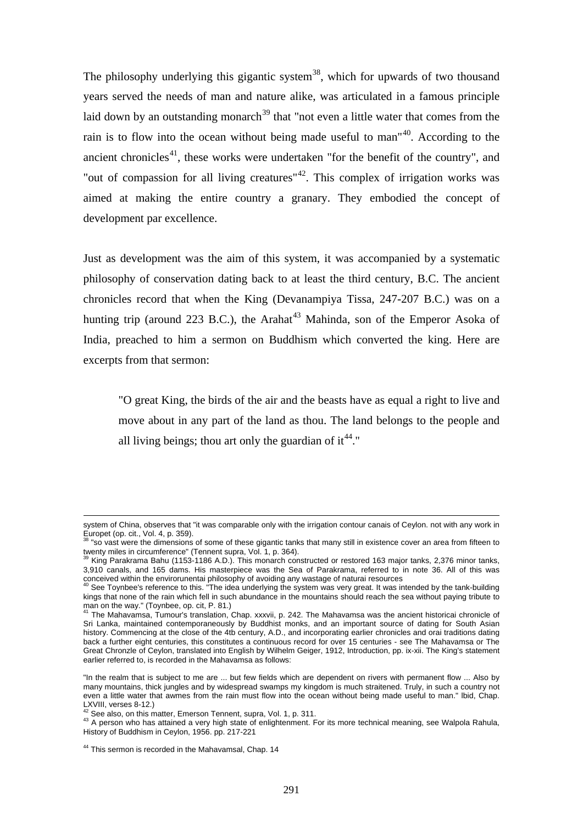The philosophy underlying this gigantic system<sup>[38](#page-318-0)</sup>, which for upwards of two thousand years served the needs of man and nature alike, was articulated in a famous principle laid down by an outstanding monarch<sup>[39](#page-318-1)</sup> that "not even a little water that comes from the rain is to flow into the ocean without being made useful to man"[40.](#page-318-2) According to the ancient chronicles<sup>[41](#page-318-3)</sup>, these works were undertaken "for the benefit of the country", and "out of compassion for all living creatures"<sup>[42](#page-318-4)</sup>. This complex of irrigation works was aimed at making the entire country a granary. They embodied the concept of development par excellence.

Just as development was the aim of this system, it was accompanied by a systematic philosophy of conservation dating back to at least the third century, B.C. The ancient chronicles record that when the King (Devanampiya Tissa, 247-207 B.C.) was on a hunting trip (around 223 B.C.), the Arahat<sup>[43](#page-318-5)</sup> Mahinda, son of the Emperor Asoka of India, preached to him a sermon on Buddhism which converted the king. Here are excerpts from that sermon:

"O great King, the birds of the air and the beasts have as equal a right to live and move about in any part of the land as thou. The land belongs to the people and all living beings; thou art only the guardian of  $it^{44}$ ."

system of China, observes that "it was comparable only with the irrigation contour canais of Ceylon. not with any work in Europet (op. cit., Vol. 4, p. 359).

<span id="page-318-0"></span><sup>38 &</sup>quot;so vast were the dimensions of some of these gigantic tanks that many still in existence cover an area from fifteen to twenty miles in circumference" (Tennent supra, Vol. 1, p. 364).

<span id="page-318-1"></span><sup>39</sup> King Parakrama Bahu (1153-1186 A.D.). This monarch constructed or restored 163 major tanks, 2,376 minor tanks, 3,910 canals, and 165 dams. His masterpiece was the Sea of Parakrama, referred to in note 36. All of this was<br>conceived within the envirorunental philosophy of avoiding any wastage of natural resources

<span id="page-318-2"></span>See Toynbee's reference to this. "The idea underlying the system was very great. It was intended by the tank-building kings that none of the rain which fell in such abundance in the mountains should reach the sea without paying tribute to man on the way." (Toynbee, op. cit, P. 81.)<br><sup>41</sup> The Mahavamsa, Tumour's translation, Chap. xxxvii, p. 242. The Mahavamsa was the ancient historicai chronicle of

<span id="page-318-3"></span>Sri Lanka, maintained contemporaneously by Buddhist monks, and an important source of dating for South Asian history. Commencing at the close of the 4tb century, A.D., and incorporating earlier chronicles and orai traditions dating back a further eight centuries, this constitutes a continuous record for over 15 centuries - see The Mahavamsa or The Great Chronzle of Ceylon, translated into English by Wilhelm Geiger, 1912, Introduction, pp. ix-xii. The King's statement earlier referred to, is recorded in the Mahavamsa as follows:

<sup>&</sup>quot;In the realm that is subject to me are ... but few fields which are dependent on rivers with permanent flow ... Also by many mountains, thick jungles and by widespread swamps my kingdom is much straitened. Truly, in such a country not even a little water that awmes from the rain must flow into the ocean without being made useful to man." lbid, Chap. LXVIII, verses 8-12.)<br><sup>42</sup> See also, on this matter, Emerson Tennent, supra, Vol. 1, p. 311.

<span id="page-318-5"></span><span id="page-318-4"></span><sup>42</sup> See also, on this matter, Emerson Tennent, supra, Vol. 1, p. 311. 43 A person who has attained a very high state of enlightenment. For its more technical meaning, see Walpola Rahula, History of Buddhism in Ceylon, 1956. pp. 217-221

<span id="page-318-6"></span><sup>&</sup>lt;sup>44</sup> This sermon is recorded in the Mahavamsal, Chap. 14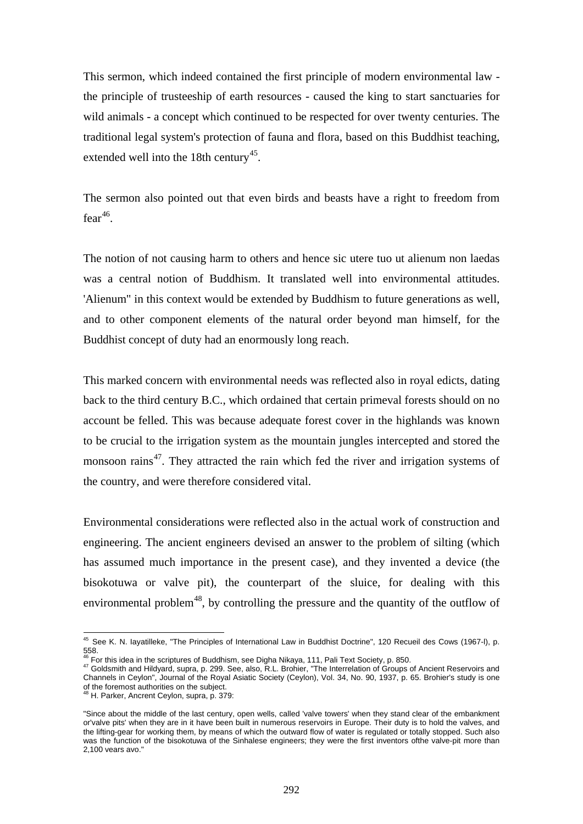This sermon, which indeed contained the first principle of modern environmental law the principle of trusteeship of earth resources - caused the king to start sanctuaries for wild animals - a concept which continued to be respected for over twenty centuries. The traditional legal system's protection of fauna and flora, based on this Buddhist teaching, extended well into the 18th century<sup>[45](#page-319-0)</sup>.

The sermon also pointed out that even birds and beasts have a right to freedom from  $fear^{46}$  $fear^{46}$  $fear^{46}$ 

The notion of not causing harm to others and hence sic utere tuo ut alienum non laedas was a central notion of Buddhism. It translated well into environmental attitudes. 'Alienum" in this context would be extended by Buddhism to future generations as well, and to other component elements of the natural order beyond man himself, for the Buddhist concept of duty had an enormously long reach.

This marked concern with environmental needs was reflected also in royal edicts, dating back to the third century B.C., which ordained that certain primeval forests should on no account be felled. This was because adequate forest cover in the highlands was known to be crucial to the irrigation system as the mountain jungles intercepted and stored the monsoon rains<sup>[47](#page-319-2)</sup>. They attracted the rain which fed the river and irrigation systems of the country, and were therefore considered vital.

Environmental considerations were reflected also in the actual work of construction and engineering. The ancient engineers devised an answer to the problem of silting (which has assumed much importance in the present case), and they invented a device (the bisokotuwa or valve pit), the counterpart of the sluice, for dealing with this environmental problem<sup>[48](#page-319-3)</sup>, by controlling the pressure and the quantity of the outflow of

<span id="page-319-0"></span><sup>&</sup>lt;sup>45</sup> See K. N. Iayatilleke, "The Principles of International Law in Buddhist Doctrine", 120 Recueil des Cows (1967-l), p.

For this idea in the scriptures of Buddhism, see Digha Nikaya, 111, Pali Text Society, p. 850.

<span id="page-319-2"></span><span id="page-319-1"></span><sup>47</sup> Goldsmith and Hildyard, supra, p. 299. See, also, R.L. Brohier, "The Interrelation of Groups of Ancient Reservoirs and Channels in Ceylon", Journal of the Royal Asiatic Society (Ceylon), Vol. 34, No. 90, 1937, p. 65. Brohier's study is one of the foremost authorities on the subject.<br><sup>48</sup> H. Parker, Ancrent Ceylon, supra, p. 379:

<span id="page-319-3"></span>

<sup>&</sup>quot;Since about the middle of the last century, open wells, called 'valve towers' when they stand clear of the embankment or'valve pits' when they are in it have been built in numerous reservoirs in Europe. Their duty is to hold the valves, and the lifting-gear for working them, by means of which the outward flow of water is regulated or totally stopped. Such also was the function of the bisokotuwa of the Sinhalese engineers; they were the first inventors ofthe valve-pit more than 2,100 vears avo."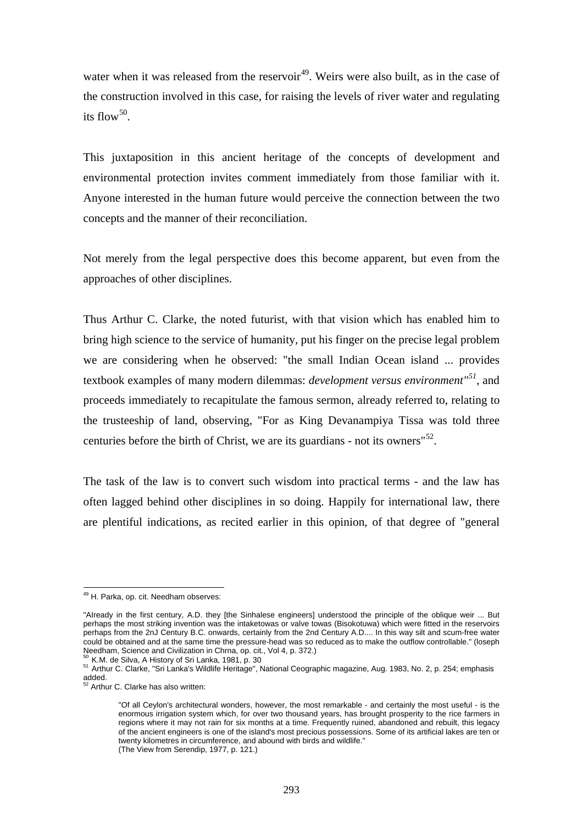water when it was released from the reservoir<sup>49</sup>. Weirs were also built, as in the case of the construction involved in this case, for raising the levels of river water and regulating its flow<sup>50</sup>.

This juxtaposition in this ancient heritage of the concepts of development and environmental protection invites comment immediately from those familiar with it. Anyone interested in the human future would perceive the connection between the two concepts and the manner of their reconciliation.

Not merely from the legal perspective does this become apparent, but even from the approaches of other disciplines.

Thus Arthur C. Clarke, the noted futurist, with that vision which has enabled him to bring high science to the service of humanity, put his finger on the precise legal problem we are considering when he observed: "the small Indian Ocean island ... provides textbook examples of many modern dilemmas: *development versus environment"[51](#page-320-2)*, and proceeds immediately to recapitulate the famous sermon, already referred to, relating to the trusteeship of land, observing, "For as King Devanampiya Tissa was told three centuries before the birth of Christ, we are its guardians - not its owners<sup>"[52](#page-320-3)</sup>.

The task of the law is to convert such wisdom into practical terms - and the law has often lagged behind other disciplines in so doing. Happily for international law, there are plentiful indications, as recited earlier in this opinion, of that degree of "general

<span id="page-320-0"></span><sup>1</sup> <sup>49</sup> H. Parka, op. cit. Needham observes:

<sup>&</sup>quot;AIready in the first century, A.D. they [the Sinhalese engineers] understood the principle of the oblique weir ... But perhaps the most striking invention was the intaketowas or valve towas (Bisokotuwa) which were fitted in the reservoirs perhaps from the 2nJ Century B.C. onwards, certainly from the 2nd Century A.D.... In this way silt and scum-free water could be obtained and at the same time the pressure-head was so reduced as to make the outflow controllable." (loseph Needham, Science and Civilization in Chrna, op. cit., Vol 4, p. 372.)<br><sup>50</sup> K.M. de Silva, A History of Sri Lanka, 1981, p. 30

<span id="page-320-3"></span><span id="page-320-2"></span><span id="page-320-1"></span><sup>51</sup> Arthur C. Clarke, "Sri Lanka's Wildlife Heritage", National Ceographic magazine, Aug. 1983, No. 2, p. 254; emphasis added.<br><sup>52</sup> Arthur C. Clarke has also written:

<sup>&</sup>quot;Of all Ceylon's architectural wonders, however, the most remarkable - and certainly the most useful - is the enormous irrigation system which, for over two thousand years, has brought prosperity to the rice farmers in regions where it may not rain for six months at a time. Frequently ruined, abandoned and rebuilt, this legacy of the ancient engineers is one of the island's most precious possessions. Some of its artificial lakes are ten or twenty kilometres in circumference, and abound with birds and wildlife." (The View from Serendip, 1977, p. 121.)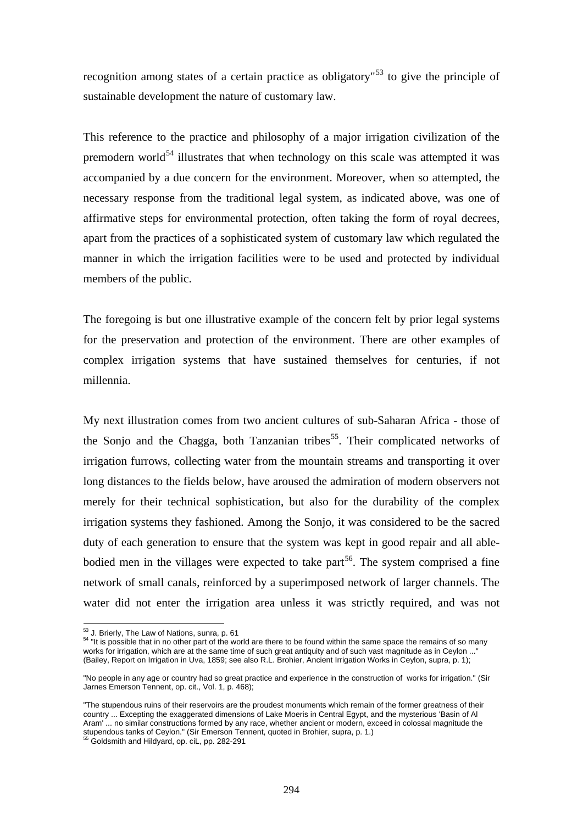recognition among states of a certain practice as obligatory<sup> $53$ </sup> to give the principle of sustainable development the nature of customary law.

This reference to the practice and philosophy of a major irrigation civilization of the premodern world $<sup>54</sup>$  illustrates that when technology on this scale was attempted it was</sup> accompanied by a due concern for the environment. Moreover, when so attempted, the necessary response from the traditional legal system, as indicated above, was one of affirmative steps for environmental protection, often taking the form of royal decrees, apart from the practices of a sophisticated system of customary law which regulated the manner in which the irrigation facilities were to be used and protected by individual members of the public.

The foregoing is but one illustrative example of the concern felt by prior legal systems for the preservation and protection of the environment. There are other examples of complex irrigation systems that have sustained themselves for centuries, if not millennia.

My next illustration comes from two ancient cultures of sub-Saharan Africa - those of the Sonjo and the Chagga, both Tanzanian tribes<sup>55</sup>. Their complicated networks of irrigation furrows, collecting water from the mountain streams and transporting it over long distances to the fields below, have aroused the admiration of modern observers not merely for their technical sophistication, but also for the durability of the complex irrigation systems they fashioned. Among the Sonjo, it was considered to be the sacred duty of each generation to ensure that the system was kept in good repair and all able-bodied men in the villages were expected to take part<sup>[56](#page-321-3)</sup>. The system comprised a fine network of small canals, reinforced by a superimposed network of larger channels. The water did not enter the irrigation area unless it was strictly required, and was not

1

<span id="page-321-3"></span><span id="page-321-1"></span><span id="page-321-0"></span><sup>&</sup>lt;sup>53</sup> J. Brierly, The Law of Nations, sunra, p. 61<br><sup>54</sup> "It is possible that in no other part of the world are there to be found within the same space the remains of so many works for irrigation, which are at the same time of such great antiquity and of such vast magnitude as in Ceylon ... (Bailey, Report on Irrigation in Uva, 1859; see also R.L. Brohier, Ancient Irrigation Works in Ceylon, supra, p. 1);

<sup>&</sup>quot;No people in any age or country had so great practice and experience in the construction of works for irrigation." (Sir Jarnes Emerson Tennent, op. cit., Vol. 1, p. 468);

<sup>&</sup>quot;The stupendous ruins of their reservoirs are the proudest monuments which remain of the former greatness of their country ... Excepting the exaggerated dimensions of Lake Moeris in Central Egypt, and the mysterious 'Basin of Al Aram' ... no similar constructions formed by any race, whether ancient or modern, exceed in colossal magnitude the stupendous tanks of Ceylon." (Sir Emerson Tennent, quoted in Brohier, supra, p. 1.)<br><sup>55</sup> Goldsmith and Hildyard, op. ciL, pp. 282-291

<span id="page-321-2"></span>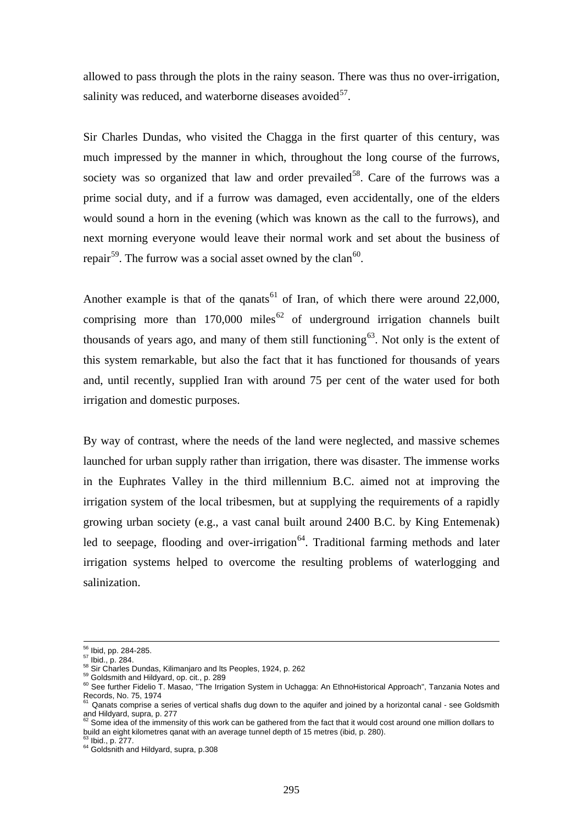allowed to pass through the plots in the rainy season. There was thus no over-irrigation, salinity was reduced, and waterborne diseases avoided $57$ .

Sir Charles Dundas, who visited the Chagga in the first quarter of this century, was much impressed by the manner in which, throughout the long course of the furrows, society was so organized that law and order prevailed<sup>[58](#page-322-1)</sup>. Care of the furrows was a prime social duty, and if a furrow was damaged, even accidentally, one of the elders would sound a horn in the evening (which was known as the call to the furrows), and next morning everyone would leave their normal work and set about the business of repair<sup>59</sup>. The furrow was a social asset owned by the clan<sup>[60](#page-322-3)</sup>.

Another example is that of the qanats<sup>61</sup> of Iran, of which there were around 22,000, comprising more than  $170,000$  miles<sup>[62](#page-322-5)</sup> of underground irrigation channels built thousands of years ago, and many of them still functioning<sup>[63](#page-322-6)</sup>. Not only is the extent of this system remarkable, but also the fact that it has functioned for thousands of years and, until recently, supplied Iran with around 75 per cent of the water used for both irrigation and domestic purposes.

By way of contrast, where the needs of the land were neglected, and massive schemes launched for urban supply rather than irrigation, there was disaster. The immense works in the Euphrates Valley in the third millennium B.C. aimed not at improving the irrigation system of the local tribesmen, but at supplying the requirements of a rapidly growing urban society (e.g., a vast canal built around 2400 B.C. by King Entemenak) led to seepage, flooding and over-irrigation<sup>64</sup>. Traditional farming methods and later irrigation systems helped to overcome the resulting problems of waterlogging and salinization.

<span id="page-322-1"></span>

<span id="page-322-3"></span><span id="page-322-2"></span>

<span id="page-322-0"></span><sup>&</sup>lt;sup>56</sup> Ibid, pp. 284-285.<br><sup>57</sup> Ibid., p. 284.<br><sup>58</sup> Sir Charles Dundas, Kilimanjaro and Its Peoples, 1924, p. 262<br><sup>59</sup> Goldsmith and Hildyard, op. cit., p. 289<br><sup>60</sup> See further Fidelio T. Masao, "The Irrigation System in Ucha Secords, No. 75, 1974

<span id="page-322-4"></span>Qanats comprise a series of vertical shafls dug down to the aquifer and joined by a horizontal canal - see Goldsmith and Hildyard, supra, p. 277

<span id="page-322-5"></span>Some idea of the immensity of this work can be gathered from the fact that it would cost around one million dollars to build an eight kilometres qanat with an average tunnel depth of 15 metres (ibid, p. 280).<br><sup>63</sup> Ibid., p. 277.<br><sup>64</sup> Goldsnith and Hildyard, supra, p.308

<span id="page-322-7"></span><span id="page-322-6"></span>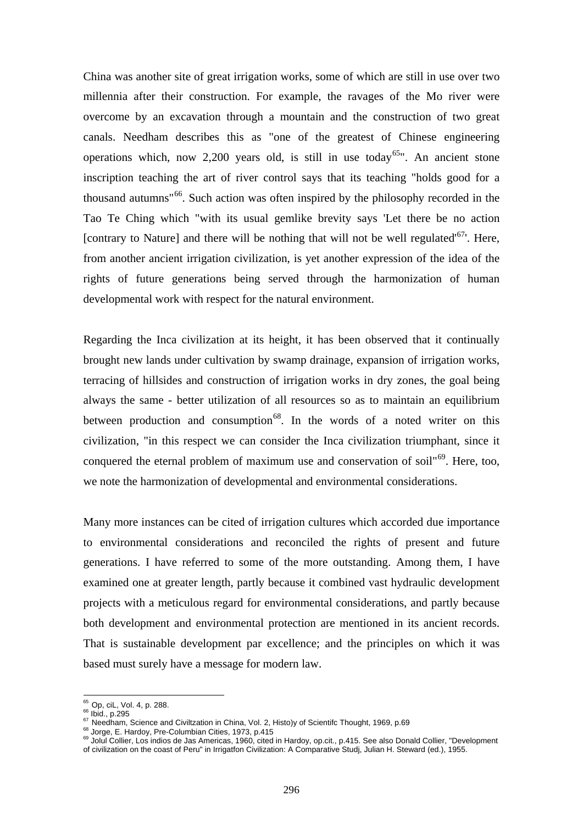China was another site of great irrigation works, some of which are still in use over two millennia after their construction. For example, the ravages of the Mo river were overcome by an excavation through a mountain and the construction of two great canals. Needham describes this as "one of the greatest of Chinese engineering operations which, now 2,200 years old, is still in use today<sup>[65"](#page-323-0)</sup>. An ancient stone inscription teaching the art of river control says that its teaching "holds good for a thousand autumns<sup>"[66](#page-323-1)</sup>. Such action was often inspired by the philosophy recorded in the Tao Te Ching which "with its usual gemlike brevity says 'Let there be no action [contrary to Nature] and there will be nothing that will not be well regulated<sup> $67$ </sup>. Here, from another ancient irrigation civilization, is yet another expression of the idea of the rights of future generations being served through the harmonization of human developmental work with respect for the natural environment.

Regarding the Inca civilization at its height, it has been observed that it continually brought new lands under cultivation by swamp drainage, expansion of irrigation works, terracing of hillsides and construction of irrigation works in dry zones, the goal being always the same - better utilization of all resources so as to maintain an equilibrium between production and consumption<sup>[68](#page-323-3)</sup>. In the words of a noted writer on this civilization, "in this respect we can consider the Inca civilization triumphant, since it conquered the eternal problem of maximum use and conservation of soil"<sup>[69](#page-323-4)</sup>. Here, too, we note the harmonization of developmental and environmental considerations.

Many more instances can be cited of irrigation cultures which accorded due importance to environmental considerations and reconciled the rights of present and future generations. I have referred to some of the more outstanding. Among them, I have examined one at greater length, partly because it combined vast hydraulic development projects with a meticulous regard for environmental considerations, and partly because both development and environmental protection are mentioned in its ancient records. That is sustainable development par excellence; and the principles on which it was based must surely have a message for modern law.

<sup>65</sup> Op. ciL, Vol. 4, p. 288.

<span id="page-323-4"></span><span id="page-323-3"></span><span id="page-323-2"></span>

<span id="page-323-1"></span><span id="page-323-0"></span><sup>&</sup>lt;sup>66</sup> Ibid., p.295<br><sup>66</sup> Ibid., p.295<br><sup>67</sup> Needham, Science and Civiltzation in China, Vol. 2, Histo)y of Scientifc Thought, 1969, p.69<br><sup>68</sup> Jorge, E. Hardoy, Pre-Columbian Cities, 1973, p.415<br><sup>69</sup> Jolul Collier, Los indios of civilization on the coast of Peru" in Irrigatfon Civilization: A Comparative Studj, Julian H. Steward (ed.), 1955.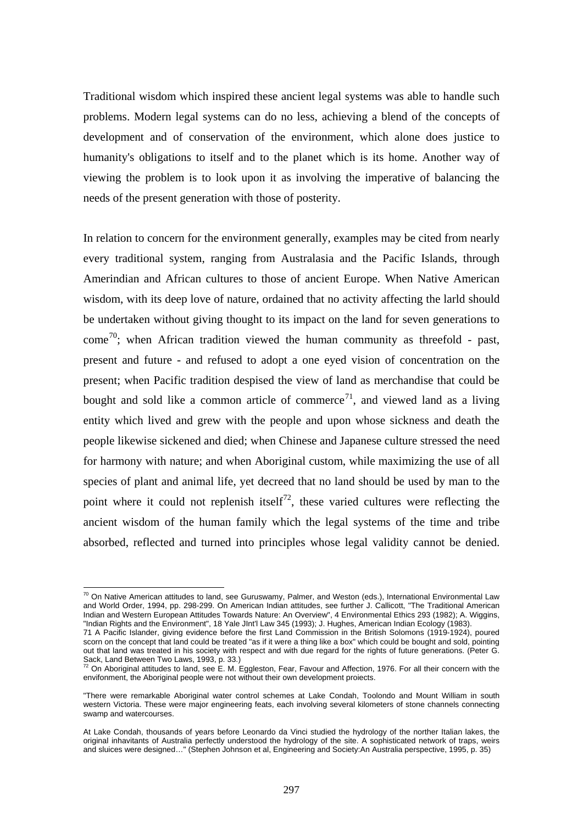Traditional wisdom which inspired these ancient legal systems was able to handle such problems. Modern legal systems can do no less, achieving a blend of the concepts of development and of conservation of the environment, which alone does justice to humanity's obligations to itself and to the planet which is its home. Another way of viewing the problem is to look upon it as involving the imperative of balancing the needs of the present generation with those of posterity.

In relation to concern for the environment generally, examples may be cited from nearly every traditional system, ranging from Australasia and the Pacific Islands, through Amerindian and African cultures to those of ancient Europe. When Native American wisdom, with its deep love of nature, ordained that no activity affecting the larld should be undertaken without giving thought to its impact on the land for seven generations to come<sup>70</sup>; when African tradition viewed the human community as threefold - past, present and future - and refused to adopt a one eyed vision of concentration on the present; when Pacific tradition despised the view of land as merchandise that could be bought and sold like a common article of commerce<sup>71</sup>, and viewed land as a living entity which lived and grew with the people and upon whose sickness and death the people likewise sickened and died; when Chinese and Japanese culture stressed the need for harmony with nature; and when Aboriginal custom, while maximizing the use of all species of plant and animal life, yet decreed that no land should be used by man to the point where it could not replenish itself<sup>72</sup>, these varied cultures were reflecting the ancient wisdom of the human family which the legal systems of the time and tribe absorbed, reflected and turned into principles whose legal validity cannot be denied.

1

<span id="page-324-0"></span> $^{70}$  On Native American attitudes to land, see Guruswamy, Palmer, and Weston (eds.), International Environmental Law and World Order, 1994, pp. 298-299. On American Indian attitudes, see further J. Callicott, "The Traditional American Indian and Western European Attitudes Towards Nature: An Overview", 4 Environmental Ethics 293 (1982); A. Wiggins, "Indian Rights and the Environment", 18 Yale JInt'l Law 345 (1993); J. Hughes, American Indian Ecology (1983).

<span id="page-324-1"></span><sup>71</sup> A Pacific Islander, giving evidence before the first Land Commission in the British Solomons (1919-1924), poured scorn on the concept that land could be treated "as if it were a thing like a box" which could be bought and sold, pointing out that land was treated in his society with respect and with due regard for the rights of future generations. (Peter G.

<span id="page-324-2"></span>Sack, Land Between Two Laws, 1993, p. 33.)<br><sup>72</sup> On Aboriginal attitudes to land, see E. M. Eggleston, Fear, Favour and Affection, 1976. For all their concern with the envifonment, the Aboriginal people were not without their own development proiects.

<sup>&</sup>quot;There were remarkable Aboriginal water control schemes at Lake Condah, Toolondo and Mount William in south western Victoria. These were major engineering feats, each involving several kilometers of stone channels connecting swamp and watercourses.

At Lake Condah, thousands of years before Leonardo da Vinci studied the hydrology of the norther Italian lakes, the original inhavitants of Australia perfectly understood the hydrology of the site. A sophisticated network of traps, weirs and sluices were designed…" (Stephen Johnson et al, Engineering and Society:An Australia perspective, 1995, p. 35)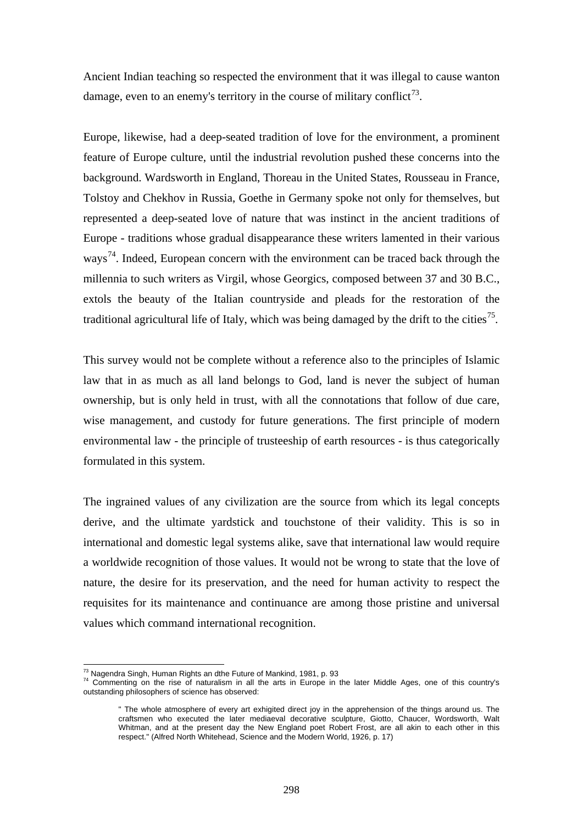Ancient Indian teaching so respected the environment that it was illegal to cause wanton damage, even to an enemy's territory in the course of military conflict<sup>[73](#page-325-0)</sup>.

Europe, likewise, had a deep-seated tradition of love for the environment, a prominent feature of Europe culture, until the industrial revolution pushed these concerns into the background. Wardsworth in England, Thoreau in the United States, Rousseau in France, Tolstoy and Chekhov in Russia, Goethe in Germany spoke not only for themselves, but represented a deep-seated love of nature that was instinct in the ancient traditions of Europe - traditions whose gradual disappearance these writers lamented in their various ways<sup>[74](#page-325-1)</sup>. Indeed, European concern with the environment can be traced back through the millennia to such writers as Virgil, whose Georgics, composed between 37 and 30 B.C., extols the beauty of the Italian countryside and pleads for the restoration of the traditional agricultural life of Italy, which was being damaged by the drift to the cities<sup>75</sup>.

This survey would not be complete without a reference also to the principles of Islamic law that in as much as all land belongs to God, land is never the subject of human ownership, but is only held in trust, with all the connotations that follow of due care, wise management, and custody for future generations. The first principle of modern environmental law - the principle of trusteeship of earth resources - is thus categorically formulated in this system.

The ingrained values of any civilization are the source from which its legal concepts derive, and the ultimate yardstick and touchstone of their validity. This is so in international and domestic legal systems alike, save that international law would require a worldwide recognition of those values. It would not be wrong to state that the love of nature, the desire for its preservation, and the need for human activity to respect the requisites for its maintenance and continuance are among those pristine and universal values which command international recognition.

<span id="page-325-2"></span><span id="page-325-0"></span><sup>&</sup>lt;sup>73</sup> Nagendra Singh, Human Rights an dthe Future of Mankind, 1981, p. 93

<span id="page-325-1"></span><sup>&</sup>lt;sup>74</sup> Commenting on the rise of naturalism in all the arts in Europe in the later Middle Ages, one of this country's outstanding philosophers of science has observed:

<sup>&</sup>quot; The whole atmosphere of every art exhigited direct joy in the apprehension of the things around us. The craftsmen who executed the later mediaeval decorative sculpture, Giotto, Chaucer, Wordsworth, Walt Whitman, and at the present day the New England poet Robert Frost, are all akin to each other in this respect." (Alfred North Whitehead, Science and the Modern World, 1926, p. 17)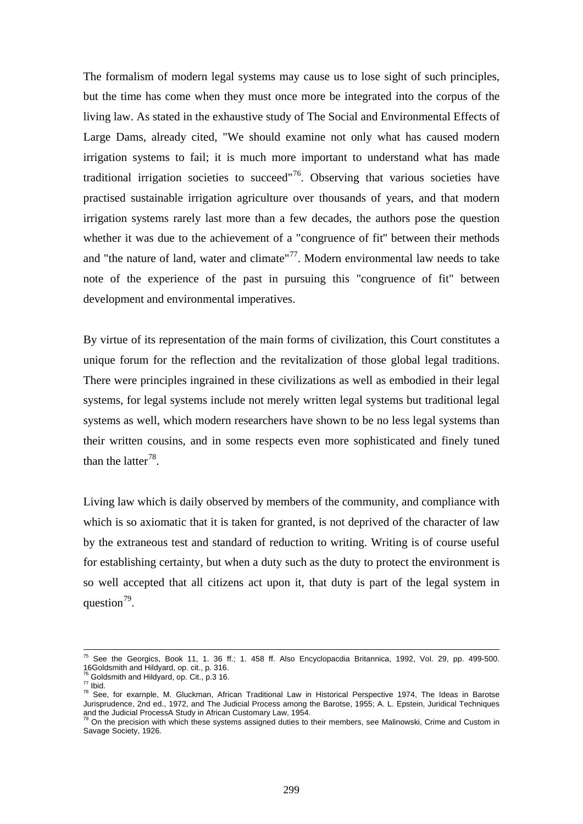The formalism of modern legal systems may cause us to lose sight of such principles, but the time has come when they must once more be integrated into the corpus of the living law. As stated in the exhaustive study of The Social and Environmental Effects of Large Dams, already cited, "We should examine not only what has caused modern irrigation systems to fail; it is much more important to understand what has made traditional irrigation societies to succeed  $76$ . Observing that various societies have practised sustainable irrigation agriculture over thousands of years, and that modern irrigation systems rarely last more than a few decades, the authors pose the question whether it was due to the achievement of a "congruence of fit'' between their methods and "the nature of land, water and climate"<sup>[77](#page-326-1)</sup>. Modern environmental law needs to take note of the experience of the past in pursuing this "congruence of fit" between development and environmental imperatives.

By virtue of its representation of the main forms of civilization, this Court constitutes a unique forum for the reflection and the revitalization of those global legal traditions. There were principles ingrained in these civilizations as well as embodied in their legal systems, for legal systems include not merely written legal systems but traditional legal systems as well, which modern researchers have shown to be no less legal systems than their written cousins, and in some respects even more sophisticated and finely tuned than the latter $^{78}$ .

Living law which is daily observed by members of the community, and compliance with which is so axiomatic that it is taken for granted, is not deprived of the character of law by the extraneous test and standard of reduction to writing. Writing is of course useful for establishing certainty, but when a duty such as the duty to protect the environment is so well accepted that all citizens act upon it, that duty is part of the legal system in question<sup>[79](#page-326-3)</sup>.

75 See the Georgics, Book 11, 1. 36 ff.; 1. 458 ff. Also Encyclopacdia Britannica, 1992, Vol. 29, pp. 499-500. 16Goldsmith and Hildyard, op. cit., p. 316.<br><sup>76</sup> Goldsmith and Hildyard, op. Cit., p.3 16.

<span id="page-326-2"></span>

<span id="page-326-1"></span><span id="page-326-0"></span><sup>77</sup> Ibid.<br><sup>77</sup> Ibid.<br><sup>78</sup> See, for exarnple, M. Gluckman, African Traditional Law in Historical Perspective 1974, The Ideas in Barotse Jurisprudence, 2nd ed., 1972, and The Judicial Process among the Barotse, 1955; A. L. Epstein, Juridical Techniques and the Judicial ProcessA Study in African Customary Law, 1954.<br><sup>79</sup> On the precision with which these systems assigned duties to their members, see Malinowski, Crime and Custom in

<span id="page-326-3"></span>Savage Society, 1926.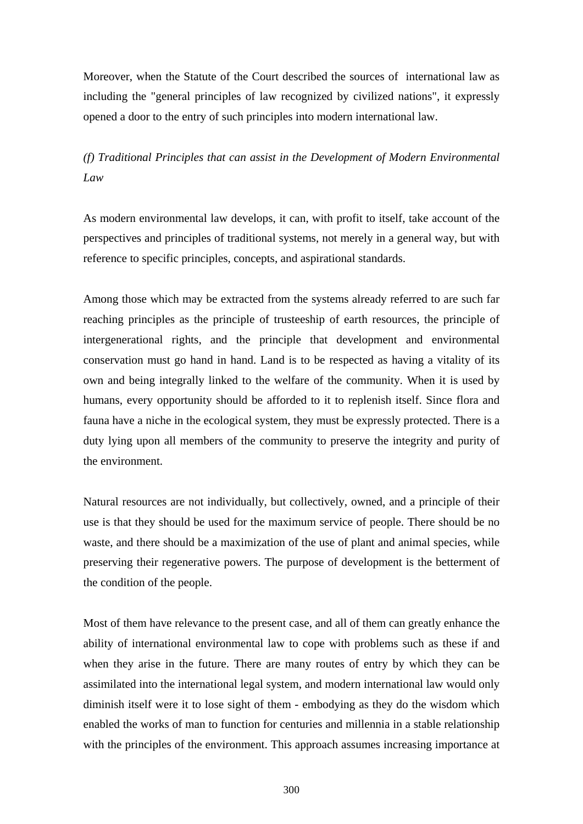Moreover, when the Statute of the Court described the sources of international law as including the "general principles of law recognized by civilized nations", it expressly opened a door to the entry of such principles into modern international law.

*(f) Traditional Principles that can assist in the Development of Modern Environmental Law* 

As modern environmental law develops, it can, with profit to itself, take account of the perspectives and principles of traditional systems, not merely in a general way, but with reference to specific principles, concepts, and aspirational standards.

Among those which may be extracted from the systems already referred to are such far reaching principles as the principle of trusteeship of earth resources, the principle of intergenerational rights, and the principle that development and environmental conservation must go hand in hand. Land is to be respected as having a vitality of its own and being integrally linked to the welfare of the community. When it is used by humans, every opportunity should be afforded to it to replenish itself. Since flora and fauna have a niche in the ecological system, they must be expressly protected. There is a duty lying upon all members of the community to preserve the integrity and purity of the environment.

Natural resources are not individually, but collectively, owned, and a principle of their use is that they should be used for the maximum service of people. There should be no waste, and there should be a maximization of the use of plant and animal species, while preserving their regenerative powers. The purpose of development is the betterment of the condition of the people.

Most of them have relevance to the present case, and all of them can greatly enhance the ability of international environmental law to cope with problems such as these if and when they arise in the future. There are many routes of entry by which they can be assimilated into the international legal system, and modern international law would only diminish itself were it to lose sight of them - embodying as they do the wisdom which enabled the works of man to function for centuries and millennia in a stable relationship with the principles of the environment. This approach assumes increasing importance at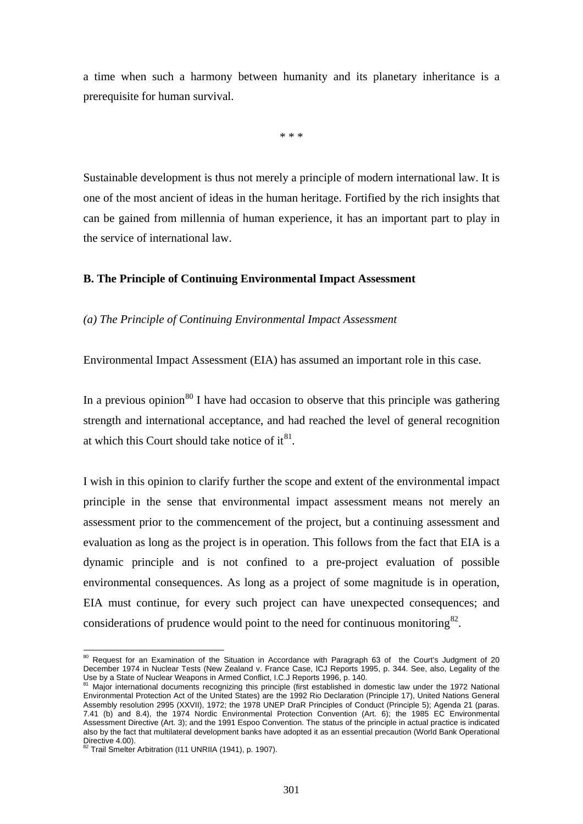a time when such a harmony between humanity and its planetary inheritance is a prerequisite for human survival.

\* \* \*

Sustainable development is thus not merely a principle of modern international law. It is one of the most ancient of ideas in the human heritage. Fortified by the rich insights that can be gained from millennia of human experience, it has an important part to play in the service of international law.

### **B. The Principle of Continuing Environmental Impact Assessment**

### *(a) The Principle of Continuing Environmental Impact Assessment*

Environmental Impact Assessment (EIA) has assumed an important role in this case.

In a previous opinion<sup>[80](#page-328-0)</sup> I have had occasion to observe that this principle was gathering strength and international acceptance, and had reached the level of general recognition at which this Court should take notice of  $it^{81}$  $it^{81}$  $it^{81}$ .

I wish in this opinion to clarify further the scope and extent of the environmental impact principle in the sense that environmental impact assessment means not merely an assessment prior to the commencement of the project, but a continuing assessment and evaluation as long as the project is in operation. This follows from the fact that EIA is a dynamic principle and is not confined to a pre-project evaluation of possible environmental consequences. As long as a project of some magnitude is in operation, EIA must continue, for every such project can have unexpected consequences; and considerations of prudence would point to the need for continuous monitoring $82$ .

-

<span id="page-328-0"></span><sup>&</sup>lt;sup>80</sup> Request for an Examination of the Situation in Accordance with Paragraph 63 of the Court's Judgment of 20 December 1974 in Nuclear Tests (New Zealand v. France Case, ICJ Reports 1995, p. 344. See, also, Legality of the Use by a State of Nuclear Weapons in Armed Conflict, I.C.J Reports 1996, p. 140.

<span id="page-328-1"></span>Major international documents recognizing this principle (first established in domestic law under the 1972 National Environmental Protection Act of the United States) are the 1992 Rio Declaration (Principle 17), United Nations General Assembly resolution 2995 (XXVII), 1972; the 1978 UNEP DraR Principles of Conduct (Principle 5); Agenda 21 (paras. 7.41 (b) and 8.4), the 1974 Nordic Environmental Protection Convention (Art. 6); the 1985 EC Environmental Assessment Directive (Art. 3); and the 1991 Espoo Convention. The status of the principle in actual practice is indicated also by the fact that multilateral development banks have adopted it as an essential precaution (World Bank Operational Directive 4.00).<br><sup>82</sup> Trail Smelter Arbitration (I11 UNRIIA (1941), p. 1907).

<span id="page-328-2"></span>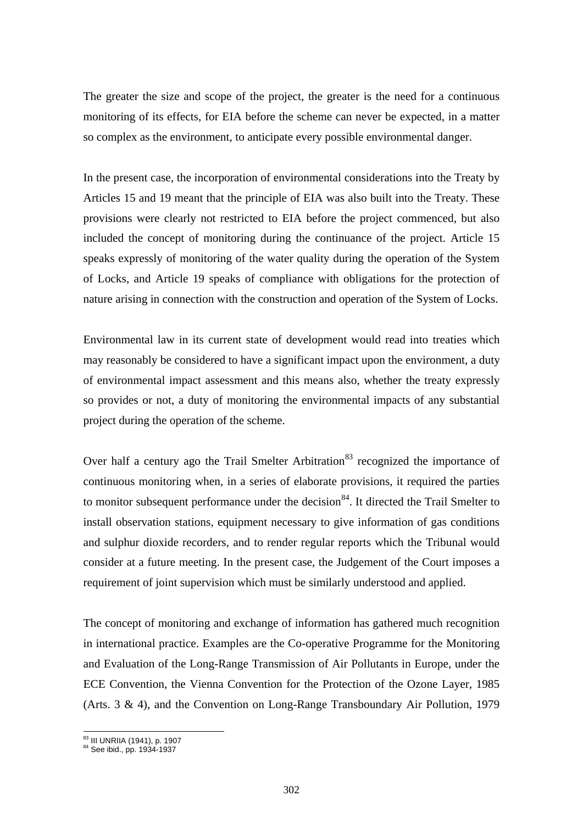The greater the size and scope of the project, the greater is the need for a continuous monitoring of its effects, for EIA before the scheme can never be expected, in a matter so complex as the environment, to anticipate every possible environmental danger.

In the present case, the incorporation of environmental considerations into the Treaty by Articles 15 and 19 meant that the principle of EIA was also built into the Treaty. These provisions were clearly not restricted to EIA before the project commenced, but also included the concept of monitoring during the continuance of the project. Article 15 speaks expressly of monitoring of the water quality during the operation of the System of Locks, and Article 19 speaks of compliance with obligations for the protection of nature arising in connection with the construction and operation of the System of Locks.

Environmental law in its current state of development would read into treaties which may reasonably be considered to have a significant impact upon the environment, a duty of environmental impact assessment and this means also, whether the treaty expressly so provides or not, a duty of monitoring the environmental impacts of any substantial project during the operation of the scheme.

Over half a century ago the Trail Smelter Arbitration<sup>83</sup> recognized the importance of continuous monitoring when, in a series of elaborate provisions, it required the parties to monitor subsequent performance under the decision  $84$ . It directed the Trail Smelter to install observation stations, equipment necessary to give information of gas conditions and sulphur dioxide recorders, and to render regular reports which the Tribunal would consider at a future meeting. In the present case, the Judgement of the Court imposes a requirement of joint supervision which must be similarly understood and applied.

The concept of monitoring and exchange of information has gathered much recognition in international practice. Examples are the Co-operative Programme for the Monitoring and Evaluation of the Long-Range Transmission of Air Pollutants in Europe, under the ECE Convention, the Vienna Convention for the Protection of the Ozone Layer, 1985 (Arts. 3 & 4), and the Convention on Long-Range Transboundary Air Pollution, 1979

<span id="page-329-0"></span><sup>1</sup> <sup>83</sup> III UNRIIA (1941), p. 1907<br><sup>84</sup> See ibid., pp. 1934-1937

<span id="page-329-1"></span>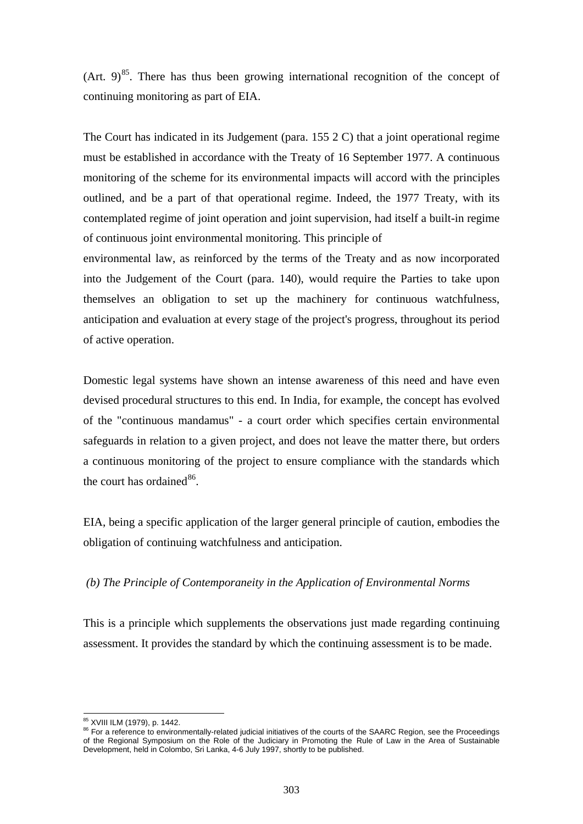(Art. 9)<sup>[85](#page-330-0)</sup>. There has thus been growing international recognition of the concept of continuing monitoring as part of EIA.

The Court has indicated in its Judgement (para. 155 2 C) that a joint operational regime must be established in accordance with the Treaty of 16 September 1977. A continuous monitoring of the scheme for its environmental impacts will accord with the principles outlined, and be a part of that operational regime. Indeed, the 1977 Treaty, with its contemplated regime of joint operation and joint supervision, had itself a built-in regime of continuous joint environmental monitoring. This principle of

environmental law, as reinforced by the terms of the Treaty and as now incorporated into the Judgement of the Court (para. 140), would require the Parties to take upon themselves an obligation to set up the machinery for continuous watchfulness, anticipation and evaluation at every stage of the project's progress, throughout its period of active operation.

Domestic legal systems have shown an intense awareness of this need and have even devised procedural structures to this end. In India, for example, the concept has evolved of the "continuous mandamus" - a court order which specifies certain environmental safeguards in relation to a given project, and does not leave the matter there, but orders a continuous monitoring of the project to ensure compliance with the standards which the court has ordained $^{86}$ .

EIA, being a specific application of the larger general principle of caution, embodies the obligation of continuing watchfulness and anticipation.

## *(b) The Principle of Contemporaneity in the Application of Environmental Norms*

This is a principle which supplements the observations just made regarding continuing assessment. It provides the standard by which the continuing assessment is to be made.

<span id="page-330-0"></span><sup>85</sup> XVIII ILM (1979), p. 1442.

<span id="page-330-1"></span><sup>86</sup> For a reference to environmentally-related judicial initiatives of the courts of the SAARC Region, see the Proceedings of the Regional Symposium on the Role of the Judiciary in Promoting the Rule of Law in the Area of Sustainable Development, held in Colombo, Sri Lanka, 4-6 July 1997, shortly to be published.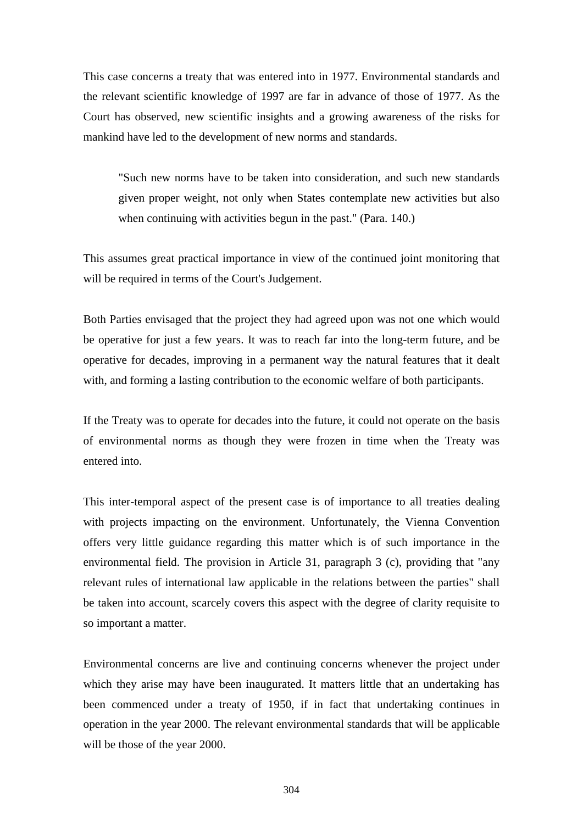This case concerns a treaty that was entered into in 1977. Environmental standards and the relevant scientific knowledge of 1997 are far in advance of those of 1977. As the Court has observed, new scientific insights and a growing awareness of the risks for mankind have led to the development of new norms and standards.

"Such new norms have to be taken into consideration, and such new standards given proper weight, not only when States contemplate new activities but also when continuing with activities begun in the past." (Para. 140.)

This assumes great practical importance in view of the continued joint monitoring that will be required in terms of the Court's Judgement.

Both Parties envisaged that the project they had agreed upon was not one which would be operative for just a few years. It was to reach far into the long-term future, and be operative for decades, improving in a permanent way the natural features that it dealt with, and forming a lasting contribution to the economic welfare of both participants.

If the Treaty was to operate for decades into the future, it could not operate on the basis of environmental norms as though they were frozen in time when the Treaty was entered into.

This inter-temporal aspect of the present case is of importance to all treaties dealing with projects impacting on the environment. Unfortunately, the Vienna Convention offers very little guidance regarding this matter which is of such importance in the environmental field. The provision in Article 31, paragraph 3 (c), providing that "any relevant rules of international law applicable in the relations between the parties" shall be taken into account, scarcely covers this aspect with the degree of clarity requisite to so important a matter.

Environmental concerns are live and continuing concerns whenever the project under which they arise may have been inaugurated. It matters little that an undertaking has been commenced under a treaty of 1950, if in fact that undertaking continues in operation in the year 2000. The relevant environmental standards that will be applicable will be those of the year 2000.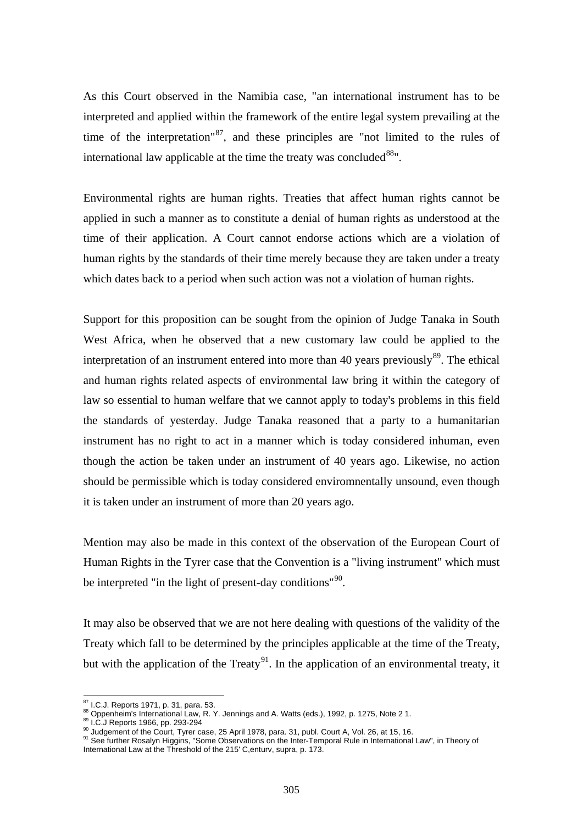As this Court observed in the Namibia case, "an international instrument has to be interpreted and applied within the framework of the entire legal system prevailing at the time of the interpretation"[87](#page-332-0), and these principles are "not limited to the rules of international law applicable at the time the treaty was concluded<sup>88</sup>".

Environmental rights are human rights. Treaties that affect human rights cannot be applied in such a manner as to constitute a denial of human rights as understood at the time of their application. A Court cannot endorse actions which are a violation of human rights by the standards of their time merely because they are taken under a treaty which dates back to a period when such action was not a violation of human rights.

Support for this proposition can be sought from the opinion of Judge Tanaka in South West Africa, when he observed that a new customary law could be applied to the interpretation of an instrument entered into more than 40 years previously $89$ . The ethical and human rights related aspects of environmental law bring it within the category of law so essential to human welfare that we cannot apply to today's problems in this field the standards of yesterday. Judge Tanaka reasoned that a party to a humanitarian instrument has no right to act in a manner which is today considered inhuman, even though the action be taken under an instrument of 40 years ago. Likewise, no action should be permissible which is today considered enviromnentally unsound, even though it is taken under an instrument of more than 20 years ago.

Mention may also be made in this context of the observation of the European Court of Human Rights in the Tyrer case that the Convention is a "living instrument" which must be interpreted "in the light of present-day conditions"<sup>90</sup>.

It may also be observed that we are not here dealing with questions of the validity of the Treaty which fall to be determined by the principles applicable at the time of the Treaty, but with the application of the Treaty<sup>91</sup>. In the application of an environmental treaty, it

1

<span id="page-332-2"></span>

<span id="page-332-4"></span><span id="page-332-3"></span>

<span id="page-332-1"></span><span id="page-332-0"></span><sup>&</sup>lt;sup>87</sup> I.C.J. Reports 1971, p. 31, para. 53.<br><sup>88</sup> Oppenheim's International Law, R. Y. Jennings and A. Watts (eds.), 1992, p. 1275, Note 2 1.<br><sup>89</sup> I.C.J Reports 1966, pp. 293-294<br><sup>90</sup> Judgement of the Court, Tyrer case, 25 International Law at the Threshold of the 215' C,enturv, supra, p. 173.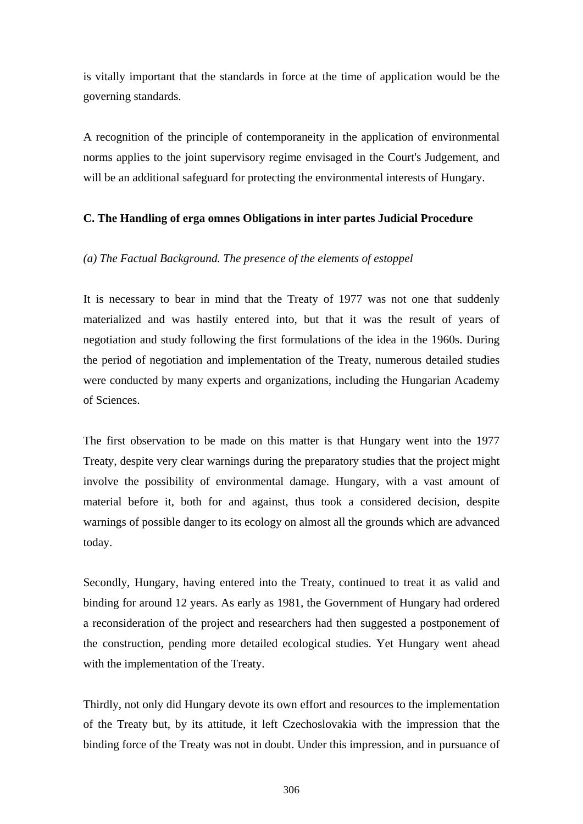is vitally important that the standards in force at the time of application would be the governing standards.

A recognition of the principle of contemporaneity in the application of environmental norms applies to the joint supervisory regime envisaged in the Court's Judgement, and will be an additional safeguard for protecting the environmental interests of Hungary.

## **C. The Handling of erga omnes Obligations in inter partes Judicial Procedure**

## *(a) The Factual Background. The presence of the elements of estoppel*

It is necessary to bear in mind that the Treaty of 1977 was not one that suddenly materialized and was hastily entered into, but that it was the result of years of negotiation and study following the first formulations of the idea in the 1960s. During the period of negotiation and implementation of the Treaty, numerous detailed studies were conducted by many experts and organizations, including the Hungarian Academy of Sciences.

The first observation to be made on this matter is that Hungary went into the 1977 Treaty, despite very clear warnings during the preparatory studies that the project might involve the possibility of environmental damage. Hungary, with a vast amount of material before it, both for and against, thus took a considered decision, despite warnings of possible danger to its ecology on almost all the grounds which are advanced today.

Secondly, Hungary, having entered into the Treaty, continued to treat it as valid and binding for around 12 years. As early as 1981, the Government of Hungary had ordered a reconsideration of the project and researchers had then suggested a postponement of the construction, pending more detailed ecological studies. Yet Hungary went ahead with the implementation of the Treaty.

Thirdly, not only did Hungary devote its own effort and resources to the implementation of the Treaty but, by its attitude, it left Czechoslovakia with the impression that the binding force of the Treaty was not in doubt. Under this impression, and in pursuance of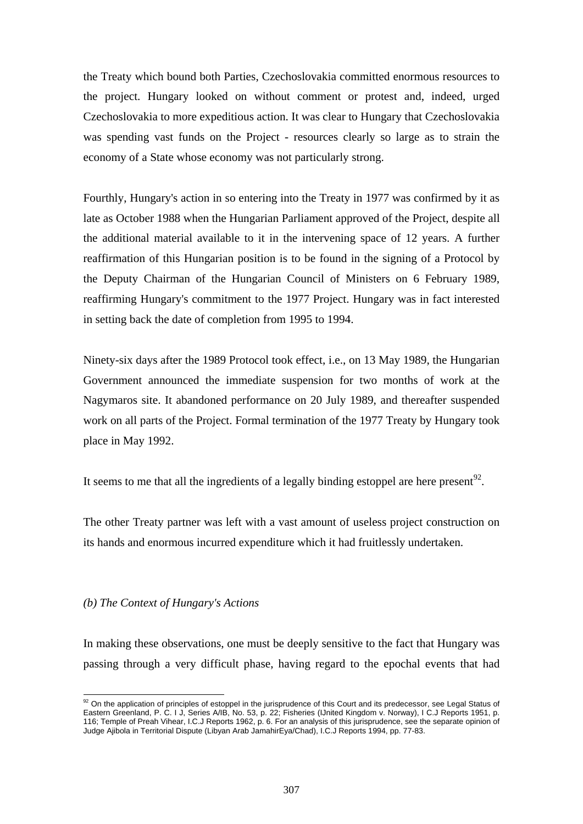the Treaty which bound both Parties, Czechoslovakia committed enormous resources to the project. Hungary looked on without comment or protest and, indeed, urged Czechoslovakia to more expeditious action. It was clear to Hungary that Czechoslovakia was spending vast funds on the Project - resources clearly so large as to strain the economy of a State whose economy was not particularly strong.

Fourthly, Hungary's action in so entering into the Treaty in 1977 was confirmed by it as late as October 1988 when the Hungarian Parliament approved of the Project, despite all the additional material available to it in the intervening space of 12 years. A further reaffirmation of this Hungarian position is to be found in the signing of a Protocol by the Deputy Chairman of the Hungarian Council of Ministers on 6 February 1989, reaffirming Hungary's commitment to the 1977 Project. Hungary was in fact interested in setting back the date of completion from 1995 to 1994.

Ninety-six days after the 1989 Protocol took effect, i.e., on 13 May 1989, the Hungarian Government announced the immediate suspension for two months of work at the Nagymaros site. It abandoned performance on 20 July 1989, and thereafter suspended work on all parts of the Project. Formal termination of the 1977 Treaty by Hungary took place in May 1992.

It seems to me that all the ingredients of a legally binding estoppel are here present<sup>92</sup>.

The other Treaty partner was left with a vast amount of useless project construction on its hands and enormous incurred expenditure which it had fruitlessly undertaken.

## *(b) The Context of Hungary's Actions*

In making these observations, one must be deeply sensitive to the fact that Hungary was passing through a very difficult phase, having regard to the epochal events that had

<span id="page-334-0"></span><sup>-</sup> $92$  On the application of principles of estoppel in the jurisprudence of this Court and its predecessor, see Legal Status of Eastern Greenland, P. C. I J, Series A/IB, No. 53, p. 22; Fisheries (IJnited Kingdom v. Norway), I C.J Reports 1951, p. 116; Temple of Preah Vihear, I.C.J Reports 1962, p. 6. For an analysis of this jurisprudence, see the separate opinion of Judge Ajibola in Territorial Dispute (Libyan Arab JamahirEya/Chad), I.C.J Reports 1994, pp. 77-83.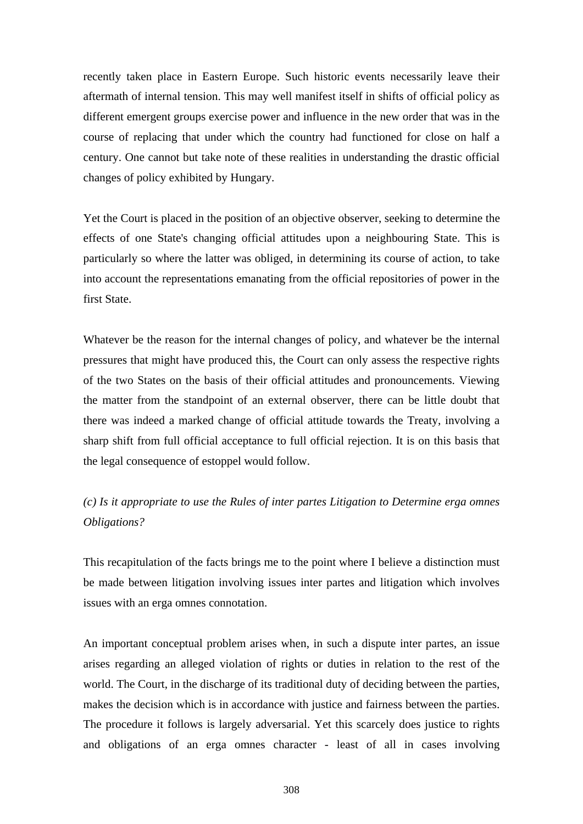recently taken place in Eastern Europe. Such historic events necessarily leave their aftermath of internal tension. This may well manifest itself in shifts of official policy as different emergent groups exercise power and influence in the new order that was in the course of replacing that under which the country had functioned for close on half a century. One cannot but take note of these realities in understanding the drastic official changes of policy exhibited by Hungary.

Yet the Court is placed in the position of an objective observer, seeking to determine the effects of one State's changing official attitudes upon a neighbouring State. This is particularly so where the latter was obliged, in determining its course of action, to take into account the representations emanating from the official repositories of power in the first State.

Whatever be the reason for the internal changes of policy, and whatever be the internal pressures that might have produced this, the Court can only assess the respective rights of the two States on the basis of their official attitudes and pronouncements. Viewing the matter from the standpoint of an external observer, there can be little doubt that there was indeed a marked change of official attitude towards the Treaty, involving a sharp shift from full official acceptance to full official rejection. It is on this basis that the legal consequence of estoppel would follow.

# *(c) Is it appropriate to use the Rules of inter partes Litigation to Determine erga omnes Obligations?*

This recapitulation of the facts brings me to the point where I believe a distinction must be made between litigation involving issues inter partes and litigation which involves issues with an erga omnes connotation.

An important conceptual problem arises when, in such a dispute inter partes, an issue arises regarding an alleged violation of rights or duties in relation to the rest of the world. The Court, in the discharge of its traditional duty of deciding between the parties, makes the decision which is in accordance with justice and fairness between the parties. The procedure it follows is largely adversarial. Yet this scarcely does justice to rights and obligations of an erga omnes character - least of all in cases involving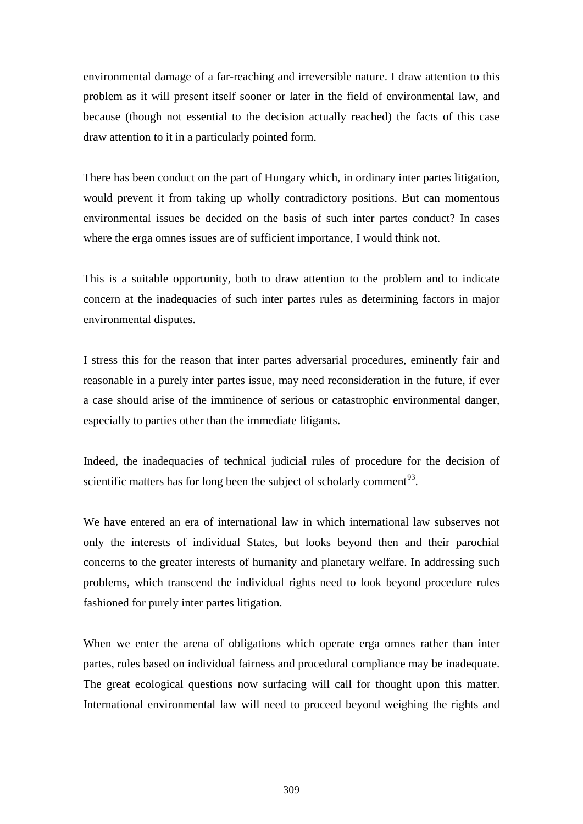environmental damage of a far-reaching and irreversible nature. I draw attention to this problem as it will present itself sooner or later in the field of environmental law, and because (though not essential to the decision actually reached) the facts of this case draw attention to it in a particularly pointed form.

There has been conduct on the part of Hungary which, in ordinary inter partes litigation, would prevent it from taking up wholly contradictory positions. But can momentous environmental issues be decided on the basis of such inter partes conduct? In cases where the erga omnes issues are of sufficient importance, I would think not.

This is a suitable opportunity, both to draw attention to the problem and to indicate concern at the inadequacies of such inter partes rules as determining factors in major environmental disputes.

I stress this for the reason that inter partes adversarial procedures, eminently fair and reasonable in a purely inter partes issue, may need reconsideration in the future, if ever a case should arise of the imminence of serious or catastrophic environmental danger, especially to parties other than the immediate litigants.

Indeed, the inadequacies of technical judicial rules of procedure for the decision of scientific matters has for long been the subject of scholarly comment<sup>[93](#page-336-0)</sup>.

We have entered an era of international law in which international law subserves not only the interests of individual States, but looks beyond then and their parochial concerns to the greater interests of humanity and planetary welfare. In addressing such problems, which transcend the individual rights need to look beyond procedure rules fashioned for purely inter partes litigation.

<span id="page-336-0"></span>When we enter the arena of obligations which operate erga omnes rather than inter partes, rules based on individual fairness and procedural compliance may be inadequate. The great ecological questions now surfacing will call for thought upon this matter. International environmental law will need to proceed beyond weighing the rights and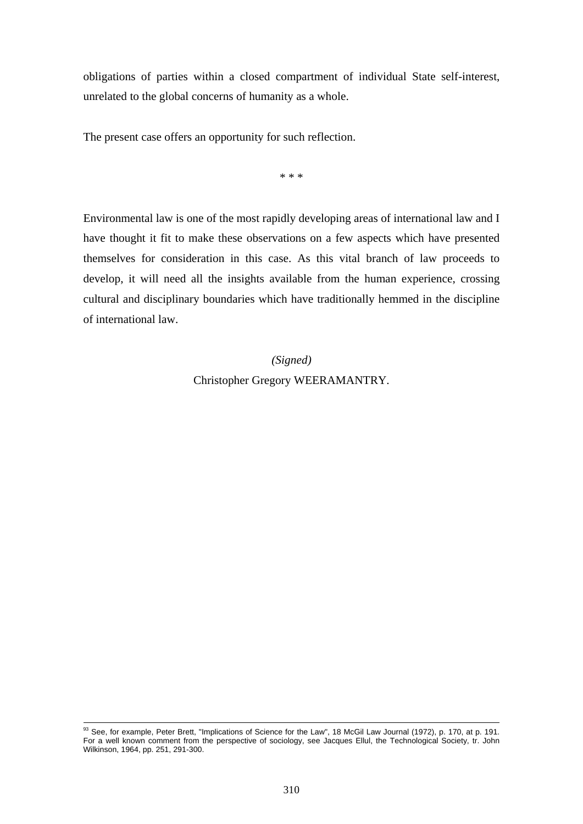obligations of parties within a closed compartment of individual State self-interest, unrelated to the global concerns of humanity as a whole.

The present case offers an opportunity for such reflection.

\* \* \*

Environmental law is one of the most rapidly developing areas of international law and I have thought it fit to make these observations on a few aspects which have presented themselves for consideration in this case. As this vital branch of law proceeds to develop, it will need all the insights available from the human experience, crossing cultural and disciplinary boundaries which have traditionally hemmed in the discipline of international law.

> *(Signed)*  Christopher Gregory WEERAMANTRY.

<sup>93</sup> See, for example, Peter Brett, "Implications of Science for the Law", 18 McGil Law Journal (1972), p. 170, at p. 191. For a well known comment from the perspective of sociology, see Jacques Ellul, the Technological Society, tr. John Wilkinson, 1964, pp. 251, 291-300.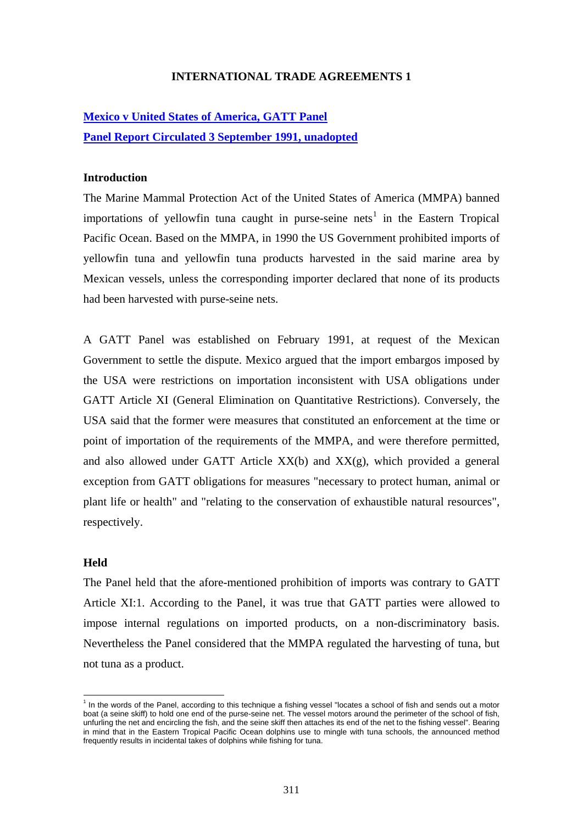### **INTERNATIONAL TRADE AGREEMENTS 1**

# **Mexico v United States of America, GATT Panel [Panel Report Circulated 3 September 1991, unadopted](#page-16-0)**

### **Introduction**

The Marine Mammal Protection Act of the United States of America (MMPA) banned importations of yellowfin tuna caught in purse-seine nets<sup>[1](#page-338-0)</sup> in the Eastern Tropical Pacific Ocean. Based on the MMPA, in 1990 the US Government prohibited imports of yellowfin tuna and yellowfin tuna products harvested in the said marine area by Mexican vessels, unless the corresponding importer declared that none of its products had been harvested with purse-seine nets.

A GATT Panel was established on February 1991, at request of the Mexican Government to settle the dispute. Mexico argued that the import embargos imposed by the USA were restrictions on importation inconsistent with USA obligations under GATT Article XI (General Elimination on Quantitative Restrictions). Conversely, the USA said that the former were measures that constituted an enforcement at the time or point of importation of the requirements of the MMPA, and were therefore permitted, and also allowed under GATT Article  $XX(b)$  and  $XX(g)$ , which provided a general exception from GATT obligations for measures "necessary to protect human, animal or plant life or health" and "relating to the conservation of exhaustible natural resources", respectively.

#### **Held**

1

The Panel held that the afore-mentioned prohibition of imports was contrary to GATT Article XI:1. According to the Panel, it was true that GATT parties were allowed to impose internal regulations on imported products, on a non-discriminatory basis. Nevertheless the Panel considered that the MMPA regulated the harvesting of tuna, but not tuna as a product.

<span id="page-338-0"></span><sup>&</sup>lt;sup>1</sup> In the words of the Panel, according to this technique a fishing vessel "locates a school of fish and sends out a motor boat (a seine skiff) to hold one end of the purse-seine net. The vessel motors around the perimeter of the school of fish, unfurling the net and encircling the fish, and the seine skiff then attaches its end of the net to the fishing vessel". Bearing in mind that in the Eastern Tropical Pacific Ocean dolphins use to mingle with tuna schools, the announced method frequently results in incidental takes of dolphins while fishing for tuna.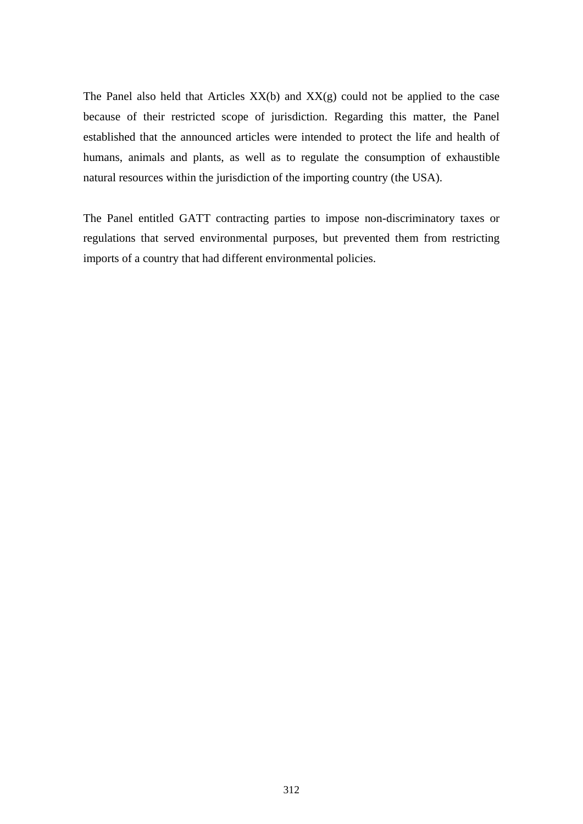The Panel also held that Articles  $XX(b)$  and  $XX(g)$  could not be applied to the case because of their restricted scope of jurisdiction. Regarding this matter, the Panel established that the announced articles were intended to protect the life and health of humans, animals and plants, as well as to regulate the consumption of exhaustible natural resources within the jurisdiction of the importing country (the USA).

The Panel entitled GATT contracting parties to impose non-discriminatory taxes or regulations that served environmental purposes, but prevented them from restricting imports of a country that had different environmental policies.